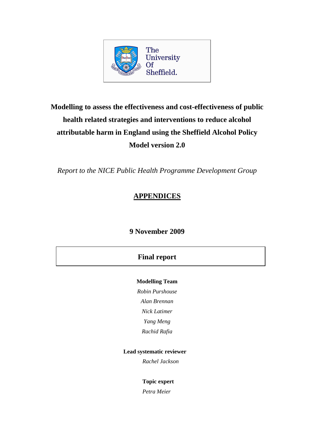

# **Modelling to assess the effectiveness and cost-effectiveness of public health related strategies and interventions to reduce alcohol attributable harm in England using the Sheffield Alcohol Policy Model version 2.0**

*Report to the NICE Public Health Programme Development Group* 

# **APPENDICES**

# **9 November 2009**

# **Final report**

## **Modelling Team**

*Robin Purshouse* 

*Alan Brennan* 

*Nick Latimer* 

*Yang Meng* 

*Rachid Rafia* 

## **Lead systematic reviewer**

*Rachel Jackson* 

## **Topic expert**

*Petra Meier*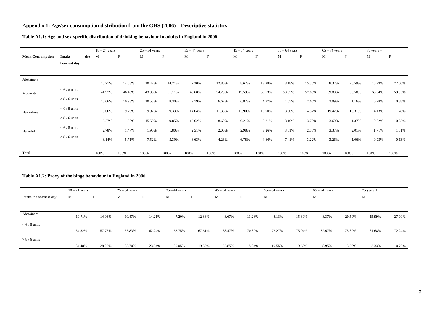#### **Appendix 1: Age/sex consumption distribution from the GHS (2006) – Descriptive statistics**

|                         |                  |       | $18 - 24$ years |        | $25 - 34$ years |                           | $35 - 44$ years |             | $45 - 54$ years |                           | $55 - 64$ years |        | $65 - 74$ years |                           | $75$ years $+$ |        |
|-------------------------|------------------|-------|-----------------|--------|-----------------|---------------------------|-----------------|-------------|-----------------|---------------------------|-----------------|--------|-----------------|---------------------------|----------------|--------|
| <b>Mean Consumption</b> | Intake           | the M |                 | F      | M               | $\boldsymbol{\mathrm{F}}$ | M               | $\mathbf F$ | M               | $\boldsymbol{\mathrm{F}}$ | M               | F      | M               | $\boldsymbol{\mathrm{F}}$ | M              | F      |
|                         | heaviest day     |       |                 |        |                 |                           |                 |             |                 |                           |                 |        |                 |                           |                |        |
|                         |                  |       |                 |        |                 |                           |                 |             |                 |                           |                 |        |                 |                           |                |        |
| Abstainers              |                  |       | 10.71%          | 14.03% | 10.47%          | 14.21%                    | 7.20%           | 12.86%      | 8.67%           | 13.28%                    | 8.18%           | 15.30% | 8.37%           | 20.59%                    | 15.99%         | 27.00% |
| Moderate                | $< 6/8$ units    |       | 41.97%          | 46.49% | 43.95%          | 51.11%                    | 46.60%          | 54.20%      | 49.59%          | 53.73%                    | 50.65%          | 57.89% | 59.88%          | 58.50%                    | 65.84%         | 59.95% |
|                         | $\geq 8/6$ units |       | 10.06%          | 10.93% | 10.58%          | 8.30%                     | 9.79%           | 6.67%       | 6.87%           | 4.97%                     | 4.05%           | 2.66%  | 2.09%           | 1.16%                     | 0.78%          | 0.38%  |
| Hazardous               | $< 6 / 8$ units  |       | 10.06%          | 9.79%  | 9.92%           | 9.33%                     | 14.64%          | 11.35%      | 15.90%          | 13.90%                    | 18.60%          | 14.57% | 19.42%          | 15.31%                    | 14.13%         | 11.28% |
|                         | $\geq 8/6$ units |       | 16.27%          | 11.58% | 15.59%          | 9.85%                     | 12.62%          | 8.60%       | 9.21%           | 6.21%                     | 8.10%           | 3.78%  | 3.60%           | 1.37%                     | 0.62%          | 0.25%  |
| Harmful                 | $< 6/8$ units    |       | 2.78%           | 1.47%  | 1.96%           | 1.80%                     | 2.51%           | 2.06%       | 2.98%           | 3.26%                     | 3.01%           | 2.58%  | 3.37%           | 2.01%                     | 1.71%          | 1.01%  |
|                         | $\geq 8/6$ units |       | 8.14%           | 5.71%  | 7.52%           | 5.39%                     | 6.63%           | 4.26%       | 6.78%           | 4.66%                     | 7.41%           | 3.22%  | 3.26%           | 1.06%                     | 0.93%          | 0.13%  |
| Total                   |                  |       | 100%            | 100%   | 100%            | 100%                      | 100%            | 100%        | 100%            | 100%                      | 100%            | 100%   | 100%            | 100%                      | 100%           | 100%   |

#### **Table A1.1: Age and sex-specific distribution of drinking behaviour in adults in England in 2006**

#### **Table A1.2: Proxy of the binge behaviour in England in 2006**

|                         | $18 - 24$ years |        | $25 - 34$ years |        | $35 - 44$ years |        | $45 - 54$ years |                                | $55 - 64$ years |        | $65 - 74$ years |        | $75$ years $+$ |        |
|-------------------------|-----------------|--------|-----------------|--------|-----------------|--------|-----------------|--------------------------------|-----------------|--------|-----------------|--------|----------------|--------|
| Intake the heaviest day | M               | F      | M               | н.     | M               | F      | M               | $\overline{\phantom{0}}$<br>Н. | M               | F      | M               | F      | М              | F      |
|                         |                 |        |                 |        |                 |        |                 |                                |                 |        |                 |        |                |        |
|                         |                 |        |                 |        |                 |        |                 |                                |                 |        |                 |        |                |        |
| Abstainers              | 10.71%          | 14.03% | 10.47%          | 14.21% | 7.20%           | 12.86% | 8.67%           | 13.28%                         | 8.18%           | 15.30% | 8.37%           | 20.59% | 15.99%         | 27.00% |
| $< 6/8$ units           |                 |        |                 |        |                 |        |                 |                                |                 |        |                 |        |                |        |
|                         | 54.82%          | 57.75% | 55.83%          | 62.24% | 63.75%          | 67.61% | 68.47%          | 70.89%                         | 72.27%          | 75.04% | 82.67%          | 75.82% | 81.68%         | 72.24% |
| $\geq 8/6$ units        |                 |        |                 |        |                 |        |                 |                                |                 |        |                 |        |                |        |
|                         | 34.48%          | 28.22% | 33.70%          | 23.54% | 29.05%          | 19.53% | 22.85%          | 15.84%                         | 19.55%          | 9.66%  | 8.95%           | 3.59%  | 2.33%          | 0.76%  |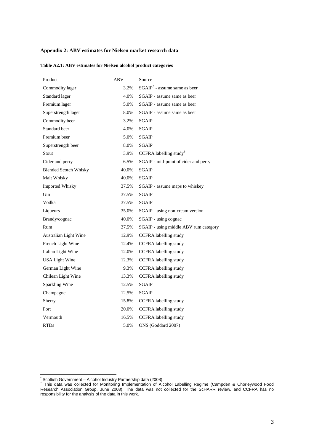#### **Appendix 2: ABV estimates for Nielsen market research data**

#### **Table A2.1: ABV estimates for Nielsen alcohol product categories**

| Product                      | ABV   | Source                                   |
|------------------------------|-------|------------------------------------------|
| Commodity lager              | 3.2%  | SGAIP <sup>*</sup> - assume same as beer |
| Standard lager               | 4.0%  | SGAIP - assume same as beer              |
| Premium lager                | 5.0%  | SGAIP - assume same as beer              |
| Superstrength lager          | 8.0%  | SGAIP - assume same as beer              |
| Commodity beer               | 3.2%  | <b>SGAIP</b>                             |
| Standard beer                | 4.0%  | <b>SGAIP</b>                             |
| Premium beer                 | 5.0%  | <b>SGAIP</b>                             |
| Superstrength beer           | 8.0%  | <b>SGAIP</b>                             |
| Stout                        | 3.9%  | CCFRA labelling study <sup>†</sup>       |
| Cider and perry              | 6.5%  | SGAIP - mid-point of cider and perry     |
| <b>Blended Scotch Whisky</b> | 40.0% | SGAIP                                    |
| Malt Whisky                  | 40.0% | <b>SGAIP</b>                             |
| <b>Imported Whisky</b>       | 37.5% | SGAIP - assume maps to whiskey           |
| Gin                          | 37.5% | <b>SGAIP</b>                             |
| Vodka                        | 37.5% | <b>SGAIP</b>                             |
| Liqueurs                     | 35.0% | SGAIP - using non-cream version          |
| Brandy/cognac                | 40.0% | SGAIP - using cognac                     |
| Rum                          | 37.5% | SGAIP - using middle ABV rum category    |
| Australian Light Wine        | 12.9% | CCFRA labelling study                    |
| French Light Wine            | 12.4% | <b>CCFRA</b> labelling study             |
| Italian Light Wine           | 12.0% | <b>CCFRA</b> labelling study             |
| <b>USA Light Wine</b>        | 12.3% | <b>CCFRA</b> labelling study             |
| German Light Wine            | 9.3%  | CCFRA labelling study                    |
| Chilean Light Wine           | 13.3% | <b>CCFRA</b> labelling study             |
| Sparkling Wine               | 12.5% | <b>SGAIP</b>                             |
| Champagne                    | 12.5% | <b>SGAIP</b>                             |
| Sherry                       | 15.8% | CCFRA labelling study                    |
| Port                         | 20.0% | <b>CCFRA</b> labelling study             |
| Vermouth                     | 16.5% | <b>CCFRA</b> labelling study             |
| <b>RTDs</b>                  | 5.0%  | ONS (Goddard 2007)                       |

 \* Scottish Government – Alcohol Industry Partnership data (2008) † This data was collected for Monitoring Implementation of Alcohol Labelling Regime (Campden & Chorleywood Food Research Association Group, June 2008). The data was not collected for the ScHARR review, and CCFRA has no responsibility for the analysis of the data in this work.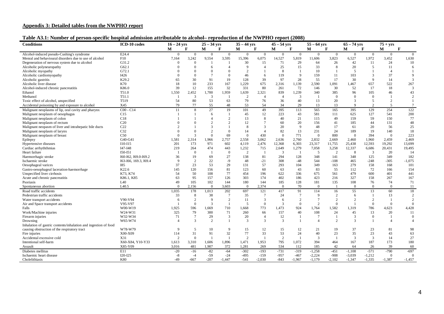#### **Appendix 3: Detailed tables from the NWPHO report**

| Table A3.1: Number of person-specific hospital admission attributable to alcohol-reproduction of the NWPHO report (2008) |
|--------------------------------------------------------------------------------------------------------------------------|
|--------------------------------------------------------------------------------------------------------------------------|

| <b>Conditions</b>                                               | ICD-10 codes          | $16 - 24$ vrs  |                        | $25 - 34$ vrs  |                | $35 - 44$ yrs      |                | $45 - 54$ yrs  |                      | $55 - 64$ vrs  |                        | $\overline{65} - 74$ yrs |                | $75 + vrs$     |                 |
|-----------------------------------------------------------------|-----------------------|----------------|------------------------|----------------|----------------|--------------------|----------------|----------------|----------------------|----------------|------------------------|--------------------------|----------------|----------------|-----------------|
|                                                                 |                       | м              | F                      | М              | F              | М                  | F              | М              | F                    | M              | F                      | М                        | F              | М              | F               |
| Alcohol-induced pseudo-Cushing's syndrome                       | E24.4                 | $\theta$       | $\theta$               | $\overline{0}$ | $\mathbf{0}$   | $\theta$           | $\mathbf{0}$   | $\overline{0}$ | $\overline{0}$       | $\Omega$       | $\Omega$               | $\Omega$                 | $\overline{0}$ | $\overline{0}$ | $\theta$        |
| Menral and behavioural disorders due to use of alcohol          | F10                   | 7,164          | 3,242                  | 9,554          | 3,595          | 15,396             | 6,075          | 14,527         | 5,819                | 11,606         | 3,823                  | 6,527                    | 1,972          | 3,452          | 1,630           |
| Degeneration of nervous system due to alcohol                   | G31.2                 | $\Omega$       | $\Omega$               |                |                | 30                 | 15             | 71             | 29                   | 64             | 26                     | 42                       | 11             | 24             | 10              |
| Alcoholic polyneuropathy                                        | G62.1                 |                | $\Omega$               | 6              |                | 9                  | $\overline{A}$ | 25             | 15                   | 33             | 8                      | 20                       | 5              | 11             | 6               |
| Alcoholic myopathy                                              | G72.1                 |                | $\Omega$               | $\Omega$       |                | $\mathcal{D}$      |                | -8             | $\overline{1}$       | 10             |                        | 5                        | $\mathbf{1}$   | $\overline{A}$ |                 |
| Alcoholic cardiomyopathy                                        | I426                  |                | $\Omega$               | $\overline{7}$ | $\Omega$       | 46                 | 6              | 119            | 9                    | 159            | 11                     | 103                      | 3              | 37             | 9               |
| Alcoholic gastritis                                             | K29.2                 | 65             | 30                     | 91             | 19             | 128                | 39             | 97             | 28                   | 55             | 17                     | 30                       | 9              | 14             | 3               |
| Alcoholic liver disease                                         | K70                   | 18             | 10                     | 233            | 167            | 1,229              | 675            | 2,316          | 1,139                | 2,590          | 1,091                  | 1,467                    | 657            | 522            | 267             |
| Alcohol-induced chronic pancreatitis                            | K86.0                 | 39             | 12                     | 155            | 32             | 331                | 80             | 261            | 72                   | 146            | 30                     | 52                       | 17             | 18             | $\overline{3}$  |
| Ethanol                                                         | T51.0                 | 1,550          | 2,452                  | 1,700          | 1,959          | 1,639              | 2,321          | 839            | 1,239                | 340            | 385                    | 96                       | 105            | 46             | 43              |
| Methanol                                                        | T51.1                 |                | 3                      | $\overline{3}$ |                | 2                  | $\overline{4}$ | $\overline{4}$ | $\overline{3}$       | $\mathbf{1}$   | $\overline{0}$         | $\Omega$                 | $\Omega$       | $\overline{1}$ | 2               |
| Toxic effect of alcohol, unspecified                            | T519                  | 54             | 80                     | 53             | 63             | 79                 | 76             | 36             | 40                   | 13             | 20                     | $\mathcal{R}$            | 5              | $\overline{2}$ |                 |
| Accidental poisoning by and exposure to alcohol                 | X45                   | 79             | 77                     | 55             | 48             | 53                 | 54             | 34             | 29                   | 13             | 13                     | $\Omega$                 | $\mathcal{D}$  | $\overline{5}$ | $7\phantom{.0}$ |
| Malignant neoplasms of lip, oral cavity and pharynx             | $C00 - C14$           | 11             | 8                      | 27             | 19             | 101                | 49             | 395            | 113                  | 565            | 165                    | 395                      | 129            | 254            | 122             |
|                                                                 | C15                   |                |                        | 6              |                | 45                 | 12             | 223            | 43                   | 581            | 111                    | 625                      | 127            | 541            | 200             |
| Malignant neoplasm of oesophagus                                |                       |                |                        | $\Delta$       |                |                    | 8              | 40             |                      |                |                        | 159                      |                |                |                 |
| Malignant neoplasm of colon                                     | C18                   |                | $\Omega$               | $\mathcal{D}$  |                | 13                 | $\tau$         |                | 21                   | 115            | 49                     |                          | 59             | 150            | 77              |
| Malignant neoplasm of rectum                                    | C20<br>C22            |                |                        | $\mathbf{3}$   |                | 12<br>$\mathbf{8}$ | 3              | 60             | 20<br>$\overline{9}$ | 156            | 41<br>17               | 185                      | 44             | 131            | 48              |
| Malignant neopasm of liver and intrahepatic bile ducts          |                       |                | $\Omega$               | $\mathcal{L}$  | $\Omega$       |                    | $\overline{4}$ | 20             |                      | 48             |                        | 61                       | 20             | 56             | 25              |
| Malignant neoplasm of larynx                                    | C32                   |                |                        |                |                | 14                 |                | 82             | 13                   | 231            | 24                     | 189                      | 19             | 140            | 18              |
| Malignant neoplasm of breast                                    | C50                   |                | 3                      | $\overline{0}$ | 69             | $\overline{0}$     | 430            | $\overline{0}$ | 771                  | $\overline{0}$ | 800                    | $\Omega$                 | 394            | $\Omega$       | 223             |
| Epilepsy                                                        | G40-G41               | 1,581          | 2,314                  | 1,966          | 2,757          | 2,558              | 3,062          | 2,636          | 2,760                | 2,832          | 2,669                  | 2,460                    | 1,960          | 2.459          | 2.469           |
| Hypertensive diseases                                           | $I10-I15$             | 201            | 173                    | 971            | 602            | 4,119              | 2,476          | 12,368         | 6,303                | 23,317         | 11,755                 | 25,438                   | 12,593         | 19,292         | 13,699          |
| Cardiac arrhyththmias                                           | I47-I48               | 219            | 264                    | 474            | 443            | 1,232              | 715            | 2,649          | 1,279                | 7,058          | 3,258                  | 12,337                   | 6,686          | 20,431         | 19,495          |
| Heart failure                                                   | I50-I51               |                | $\theta$               |                | $\Omega$       | 2                  | $\blacksquare$ | $\overline{3}$ | -1                   | 5              | $\overline{2}$         | 8                        | $\overline{3}$ | 20             | 14              |
| Haemorrhagic stroke                                             | I60-I62, I69.0-I69.2  | 36             | 19                     | 69             | 27             | 138                | 81             | 294            | 128                  | 348            | 141                    | 348                      | 125            | 349            | 182             |
| Ischaemic stroke                                                | I63-I66, 169.3, I69.4 | $\mathbf{Q}$   | 2                      | 22             | $-9$           | 48                 | $-21$          | 308            | $-48$                | 544            | $-108$                 | 465                      | $-248$         | $-305$         | $-1,075$        |
| Oesophageal varices                                             | I85                   | 37             | 23                     | 53             | 29             | 131                | 57             | 293            | 104                  | 349            | 163                    | 279                      | 158            | 168            | 101             |
| Gastro-oesophageal laceration-haemorrhage                       | K22.6                 | 145            | 120                    | 156            | 81             | 123                | 60             | 63             | 43                   | 83             | 55                     | 112                      | 72             | 166            | 154             |
| Unspecified liver cirrhosis                                     | K73, K74              | 54             | 50                     | 108            | 77             | 454                | 196            | 622            | 336                  | 675            | 561                    | 479                      | 600            | 401            | 441             |
| Acute and chronic pancreatitis                                  | K86.1, K85            | 63             | 95                     | 157            | 126            | 303                | 174            | 402            | 186                  | 423            | 216                    | 327                      | 158            | 267            | 167             |
| Psoriasis                                                       | L40                   | 49             | 105                    | 102            | 144            | 180                | 144            | 185            | 128                  | 181            | 135                    | 108                      | 76             | 74             | 71              |
| Spontaneous abortion                                            | L40.5                 | $\Omega$       | 2,156                  | $\overline{0}$ | 3.603          | $\Omega$           | 2,374          | $\overline{0}$ | 70                   | $\overline{0}$ | $\overline{1}$         | $\Omega$                 | $\overline{0}$ | $\Omega$       | 11              |
| Road traffic accidents                                          |                       | 1,035          | 178                    | 1,013          | 202            | 697                | 121            | 417            | 91                   | 114            | 16                     | 55                       | 13             | 60             | 18              |
| Pedestrian traffic accidents                                    |                       | 33             | 8                      | 38             | $\overline{7}$ | 35                 | $\tau$         | 24             | $7\phantom{.0}$      | 9              | $\overline{2}$         | 6                        | 1              | 13             | 2               |
| Water transport accidents                                       | V90-V94               | 6              | $\mathcal{D}_{\alpha}$ | 9              | 2              | 11                 | 3              | 6              | $\overline{2}$       | $\overline{7}$ | $\mathcal{D}_{\alpha}$ | $\mathcal{D}$            | 2              | $\overline{1}$ | 2               |
| Air and Space transport accidents                               | V95-V97               |                | $\mathbf{0}$           | $\overline{3}$ |                | 5                  | $\mathbf{0}$   | 3              | $\overline{0}$       | $\overline{c}$ | $\overline{0}$         |                          | $\mathbf{0}$   | $\mathbf{0}$   | $\Omega$        |
| Falls                                                           | W00-W19               | 1,925          | 596                    | 1,669          | 710            | 1,668              | 773            | 1,473          | 924                  | 1,764          | 1,582                  | 1,319                    | 786            | 4,623          | 4,428           |
| Work/Machine injuries                                           | W24-W31               | 325            | 79                     | 300            | 71             | 260                | 66             | 157            | 40                   | 108            | 24                     | 45                       | 13             | 20             | 11              |
| Firearm injuries                                                | W32-W34               | 71             | $\overline{7}$         | 29             | 3              | 20                 | $\overline{4}$ | 12             | $\overline{1}$       | $\tau$         | -1                     | 3                        | $\overline{0}$ | $\overline{1}$ | $\Omega$        |
| Drowning                                                        | W65-W74               |                | $\mathbf{3}$           | 2              |                | 3                  | $\mathcal{R}$  | 3              | $\overline{1}$       | $\overline{4}$ | $\mathcal{D}_{\alpha}$ | $\mathcal{R}$            | $\mathbf{1}$   | $\overline{4}$ | $\Delta$        |
| Inhalation of gastric contents/inhalation and ingestion of food |                       |                |                        |                |                |                    |                |                |                      |                |                        |                          |                |                |                 |
| causing obstruction of the respiratory tract                    | W78-W79               | q              | 5                      | 10             | $\mathbf{Q}$   | 15                 | 12             | 15             | 12                   | 21             | 19                     | 37                       | 23             | 81             | 98              |
| Fire injuries                                                   | X00-X09               | 114            | 31                     | 91             | 32             | 77                 | 33             | 53             | 24                   | 40             | 23                     | 35                       | 23             | 43             | 63              |
| Accidental excessive cold                                       | X31                   | $\overline{2}$ | $\theta$               |                |                | 2                  | $\overline{1}$ | $\overline{2}$ | $\overline{1}$       | 3              | $\overline{1}$         | $\overline{3}$           | 3              | 14             | 27              |
| Intentional self-harm                                           | X60-X84, Y10-Y33      | 1,613          | 3,310                  | 1,606          | 1,896          | 1,471              | 1,953          | 795            | 1,072                | 394            | 464                    | 167                      | 187            | 173            | 180             |
| Assault                                                         | X85-Y09               | 3,016          | 481                    | 1,907          | 372            | 1,281              | 269            | 534            | 112                  | 185            | 42                     | 64                       | 26             | 39             | 60              |
| Diabetes mellitus                                               | E11                   | $-20$          | $-16$                  | $-82$          | $-64$          | $-302$             | $-193$         | $-731$         | $-319$               | $-1,258$       | $-451$                 | $-1,108$                 | $-571$         | $-790$         | $-697$          |
| Ischaemic heart disease                                         | $I20-I25$             | $-8$           | $-4$                   | $-59$          | $-24$          | $-495$             | $-159$         | $-957$         | $-467$               | $-2,224$       | $-908$                 | $-3,039$                 | $-1,212$       | $\Omega$       | $\Omega$        |
| Cholelithiasis                                                  | <b>K80</b>            | $-49$          | $-667$                 | $-207$         | $-1.447$       | $-541$             | $-2.030$       | $-843$         | $-1,967$             | $-1,179$       | $-2,102$               | $-1,347$                 | $-1,335$       | $-1,387$       | $-1,457$        |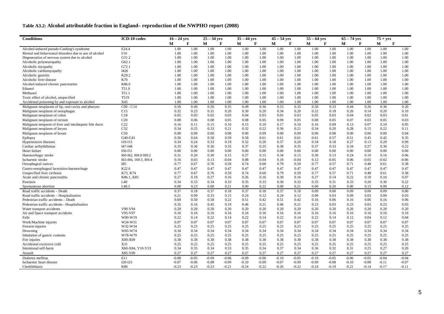#### **Table A3.2: Alcohol attributable fraction in England– reproduction of the NWPHO report (2008)**

| <b>Conditions</b>                                      | ICD-10 codes          | $16 - 24$ vrs |              | $\overline{25} - 34$ yrs |              | $35 - 44$ yrs |              | $45 - 54$ yrs |              | $55 - 64$ vrs |              | $\sqrt{65-74}$ yrs |              | $75 + yrs$       |              |
|--------------------------------------------------------|-----------------------|---------------|--------------|--------------------------|--------------|---------------|--------------|---------------|--------------|---------------|--------------|--------------------|--------------|------------------|--------------|
|                                                        |                       | M             | F            | М                        | F            | М             | F            | М             | $\mathbf{F}$ | М<br>F        |              | м                  | F            | $\mathbf F$<br>М |              |
| Alcohol-induced pseudo-Cushing's syndrome              | E24.4                 | 1.00          | 1.00         | 1.00                     | 1.00         | 1.00          | 1.00         | 1.00          | 1.00         | 1.00          | 1.00         | 1.00               | 1.00         | 1.00             | 1.00         |
| Menral and behavioural disorders due to use of alcohol | F10                   | 1.00          | 1.00         | 1.00                     | 1.00         | 1.00          | 1.00         | 1.00          | 1.00         | 1.00          | 1.00         | 1.00               | 1.00         | 1.00             | 1.00         |
| Degeneration of nervous system due to alcohol          | G31.2                 | 1.00          | 1.00         | 1.00                     | 1.00         | 1.00          | 1.00         | 1.00          | 1.00         | 1.00          | 1.00         | 1.00               | 1.00         | 1.00             | 1.00         |
| Alcoholic polyneuropathy                               | G62.1                 | 1.00          | 1.00         | 1.00                     | 1.00         | 1.00          | 1.00         | 1.00          | 1.00         | 1.00          | 1.00         | 1.00               | 1.00         | 1.00             | 1.00         |
| Alcoholic myopathy                                     | G72.1                 | 1.00          | 1.00         | 1.00                     | 1.00         | 1.00          | 1.00         | 1.00          | 1.00         | 1.00          | 1.00         | 1.00               | 1.00         | 1.00             | 1.00         |
| Alcoholic cardiomyopathy                               | I426                  | 1.00          | 1.00         | 1.00                     | 1.00         | 1.00          | 1.00         | 1.00          | 1.00         | 1.00          | 1.00         | 1.00               | 1.00         | 1.00             | 1.00         |
| Alcoholic gastritis                                    | K29.2                 | 1.00          | 1.00         | 1.00                     | 1.00         | 1.00          | 1.00         | 1.00          | 1.00         | 1.00          | 1.00         | 1.00               | 1.00         | 1.00             | 1.00         |
| Alcoholic liver disease                                | K70                   | 1.00          | 1.00         | 1.00                     | 1.00         | 1.00          | 1.00         | 1.00          | 1.00         | 1.00          | 1.00         | 1.00               | 1.00         | 1.00             | 1.00         |
| Alcohol-induced chronic pancreatitis                   | K86.0                 | 1.00          | 1.00         | 1.00                     | 1.00         | 1.00          | 1.00         | 1.00          | 1.00         | 1.00          | 1.00         | 1.00               | 1.00         | 1.00             | 1.00         |
| Ethanol                                                | T51.0                 | 1.00          | 1.00         | 1.00                     | 1.00         | 1.00          | 1.00         | 1.00          | 1.00         | 1.00          | 1.00         | 1.00               | 1.00         | 1.00             | 1.00         |
| Methanol                                               | T51.1                 | 1.00          | 1.00         | 1.00                     | 1.00         | 1.00          | 1.00         | 1.00          | 1.00         | 1.00          | 1.00         | 1.00               | 1.00         | 1.00             | 1.00         |
| Toxic effect of alcohol, unspecified                   | T519                  | 1.00          | 1.00         | 1.00                     | 1.00         | 1.00          | 1.00         | 1.00          | 1.00         | 1.00          | 1.00         | 1.00               | 1.00         | 1.00             | 1.00         |
| Accidental poisoning by and exposure to alcohol        | X45                   | 1.00          | 1.00         | 1.00                     | 1.00         | 1.00          | 1.00         | 1.00          | 1.00         | 1.00          | 1.00         | 1.00               | 1.00         | 1.00             | 1.00         |
| Malignant neoplasms of lip, oral cavity and pharynx    | $C00 - C14$           | 0.50          | 0.40         | 0.50                     | 0.35         | 0.49          | 0.36         | 0.53          | 0.35         | 0.50          | 0.33         | 0.44               | 0.26         | 0.36             | 0.20         |
| Malignant neoplasm of oesophagus                       | C15                   | 0.32          | 0.23         | 0.31                     | 0.20         | 0.30          | 0.20         | 0.34          | 0.20         | 0.32          | 0.18         | 0.26               | 0.14         | 0.20             | 0.10         |
| Malignant neoplasm of colon                            | C18                   | 0.05          | 0.03         | 0.05                     | 0.03         | 0.04          | 0.03         | 0.05          | 0.03         | 0.05          | 0.03         | 0.04               | 0.02         | 0.03             | 0.01         |
| Malignant neoplasm of rectum                           | C20                   | 0.08          | 0.06         | 0.08                     | 0.05         | 0.08          | 0.05         | 0.09          | 0.05         | 0.08          | 0.05         | 0.07               | 0.03         | 0.05             | 0.03         |
| Malignant neopasm of liver and intrahepatic bile ducts | C <sub>22</sub>       | 0.16          | 0.11         | 0.15                     | 0.10         | 0.15          | 0.10         | 0.17          | 0.10         | 0.16          | 0.09         | 0.13               | 0.07         | 0.10             | 0.05         |
| Malignant neoplasm of larynx                           | C32                   | 0.34          | 0.25         | 0.33                     | 0.21         | 0.32          | 0.22         | 0.36          | 0.21         | 0.34          | 0.20         | 0.28               | 0.15         | 0.22             | 0.11         |
| Malignant neoplasm of breast                           | C50                   | 0.00          | 0.09         | 0.00                     | 0.08         | 0.00          | 0.09         | 0.00          | 0.09         | 0.00          | 0.08         | 0.00               | 0.06         | 0.00             | 0.04         |
| Epilepsy                                               | G40-G41               | 0.56          | 0.64         | 0.58                     | 0.59         | 0.58          | 0.61         | 0.61          | 0.61         | 0.61          | 0.57         | 0.51               | 0.45         | 0.42             | 0.35         |
| Hypertensive diseases                                  | $I10-I15$             | 0.34          | 0.24         | 0.33                     | 0.19         | 0.32          | 0.20         | 0.37          | 0.20         | 0.34          | 0.18         | 0.27               | 0.13         | 0.20             | 0.09         |
| Cardiac arrhyththmias                                  | I47-I48               | 0.35          | 0.36         | 0.36                     | 0.35         | 0.37          | 0.35         | 0.38          | 0.35         | 0.37          | 0.33         | 0.34               | 0.27         | 0.30             | 0.22         |
| Heart failure                                          | $I50-I51$             | 0.00          | 0.00         | 0.00                     | 0.00         | 0.00          | 0.00         | 0.00          | 0.00         | 0.00          | 0.00         | 0.00               | 0.00         | 0.00             | 0.00         |
| Haemorrhagic stroke                                    | I60-I62, I69.0-I69.2  | 0.31          | 0.20         | 0.30                     | 0.15         | 0.27          | 0.15         | 0.34          | 0.15         | 0.30          | 0.13         | 0.24               | 0.10         | 0.16             | 0.06         |
| Ischaemic stroke                                       | I63-I66, 169.3, I69.4 | 0.16          | 0.03         | 0.13                     | $-0.04$      | 0.08          | $-0.04$      | 0.18          | $-0.04$      | 0.12          | $-0.05$      | 0.06               | $-0.05$      | $-0.02$          | $-0.06$      |
| Oesophageal varices                                    | <b>I85</b>            | 0.77          | 0.67         | 0.76                     | 0.59         | 0.74          | 0.60         | 0.79          | 0.59         | 0.77          | 0.57         | 0.71               | 0.48         | 0.61             | 0.38         |
| Gastro-oesophageal laceration-haemorrhage              | K22.6                 | 0.47          | 0.47         | 0.47                     | 0.47         | 0.47          | 0.47         | 0.47          | 0.47         | 0.47          | 0.47         | 0.47               | 0.47         | 0.47             | 0.47         |
| Unspecified liver cirrhosis                            | K73, K74              | 0.77          | 0.67         | 0.76                     | 0.59         | 0.74          | 0.60         | 0.79          | 0.59         | 0.77          | 0.57         | 0.71               | 0.48         | 0.61             | 0.38         |
| Acute and chronic pancreatitis                         | K86.1, K85            | 0.27          | 0.19         | 0.27                     | 0.16         | 0.26          | 0.16         | 0.30          | 0.16         | 0.27          | 0.14         | 0.22               | 0.10         | 0.16             | 0.07         |
| Psoriasis                                              | L40                   | 0.34          | 0.33         | 0.34                     | 0.33         | 0.35          | 0.33         | 0.36          | 0.32         | 0.35          | 0.31         | 0.33               | 0.26         | 0.30             | 0.22         |
| Spontaneous abortion                                   | L <sub>40.5</sub>     | 0.00          | 0.23         | 0.00                     | 0.21         | 0.00          | 0.22         | 0.00          | 0.21         | 0.00          | 0.20         | 0.00               | 0.15         | 0.00             | 0.12         |
| Road traffic accidents - Death                         |                       | 0.37          | 0.18         | 0.37                     | 0.18         | 0.37          | 0.18         | 0.37          | 0.18         | 0.09          | 0.00         | 0.09               | 0.00         | 0.09             | 0.00         |
| Road traffic accidents - Hospitalisation               |                       | 0.21          | 0.09         | 0.33                     | 0.15         | 0.24          | 0.12         | 0.24          | 0.12         | 0.09          | 0.03         | 0.09               | 0.03         | 0.09             | 0.03         |
| Pedestrian traffic accidents - Death                   |                       | 0.69          | 0.50         | 0.58                     | 0.22         | 0.51          | 0.42         | 0.51          | 0.42         | 0.16          | 0.06         | 0.16               | 0.06         | 0.16             | 0.06         |
| Pedestrian traffic accidents - Hospitalisation         |                       | 0.35          | 0.16         | 0.45                     | 0.19         | 0.46          | 0.21         | 0.46          | 0.21         | 0.23          | 0.03         | 0.23               | 0.03         | 0.23             | 0.03         |
| Water transport accidents                              | V90-V94<br>V95-V97    | 0.20          | 0.20         | 0.20                     | 0.20         | 0.20          | 0.20         | 0.20          | 0.20         | 0.20          | 0.20         | 0.20               | 0.20         | 0.20             | 0.20         |
| Air and Space transport accidents                      |                       | 0.16          | 0.16         | 0.16                     | 0.16         | 0.16          | 0.16         | 0.16          | 0.16         | 0.16          | 0.16         | 0.16               | 0.16         | 0.16             | 0.16         |
| Falls                                                  | W00-W19               | 0.22          | 0.14         | 0.22                     | 0.14         | 0.22          | 0.14         | 0.22          | 0.14         | 0.22          | 0.14         | 0.12               | 0.04         | 0.12             | 0.04         |
| Work/Machine injuries                                  | W24-W31               | 0.07          | 0.07         | 0.07                     | 0.07         | 0.07          | 0.07         | 0.07          | 0.07         | 0.07          | 0.07         | 0.07               | 0.07         | 0.07<br>0.25     | 0.07         |
| Firearm injuries                                       | W32-W34<br>W65-W74    | 0.25<br>0.34  | 0.25<br>0.34 | 0.25                     | 0.25         | 0.25<br>0.34  | 0.25<br>0.34 | 0.25          | 0.25<br>0.34 | 0.25          | 0.25         | 0.25<br>0.34       | 0.25         | 0.34             | 0.25<br>0.34 |
| Drowning                                               | W78-W79               | 0.25          | 0.25         | 0.34<br>0.25             | 0.34<br>0.25 | 0.25          | 0.25         | 0.34<br>0.25  | 0.25         | 0.34<br>0.25  | 0.34<br>0.25 | 0.25               | 0.34<br>0.25 | 0.25             | 0.25         |
| Inhalation of gastric contents<br>Fire injuries        | X00-X09               | 0.38          | 0.38         | 0.38                     | 0.38         | 0.38          | 0.38         | 0.38          | 0.38         | 0.38          | 0.38         | 0.38               | 0.38         | 0.38             | 0.38         |
|                                                        | X31                   |               | 0.25         | 0.25                     |              | 0.25          | 0.25         | 0.25          | 0.25         | 0.25          | 0.25         | 0.25               | 0.25         | 0.25             | 0.25         |
| Accidental excessive cold<br>Intentional self-harm     | X60-X84, Y10-Y33      | 0.25<br>0.34  | 0.35         | 0.34                     | 0.25<br>0.33 | 0.35          | 0.34         | 0.37          | 0.34         | 0.36          | 0.32         | 0.31               | 0.25         | 0.27             | 0.20         |
| Assault                                                | X85-Y09               | 0.27          | 0.27         | 0.27                     | 0.27         | 0.27          | 0.27         | 0.27          | 0.27         | 0.27          | 0.27         | 0.27               | 0.27         | 0.27             | 0.27         |
| Diabetes mellitus                                      | E11                   | $-0.08$       | $-0.05$      | $-0.09$                  | $-0.06$      | $-0.09$       | $-0.06$      | $-0.10$       | $-0.05$      | $-0.10$       | $-0.05$      | $-0.06$            | $-0.05$      | $-0.04$          | $-0.04$      |
| Ischaemic heart disease                                | $I20-I25$             | $-0.07$       | $-0.06$      | $-0.08$                  | $-0.09$      | $-0.10$       | $-0.09$      | $-0.07$       | $-0.09$      | $-0.09$       | $-0.08$      | $-0.10$            | $-0.08$      | $-0.11$          | $-0.07$      |
| Cholelithiasis                                         | <b>K80</b>            | $-0.23$       | $-0.23$      | $-0.23$                  | $-0.21$      | $-0.24$       | $-0.22$      | $-0.26$       | $-0.22$      | $-0.24$       | $-0.19$      | $-0.21$            | $-0.14$      | $-0.17$          | $-0.11$      |
|                                                        |                       |               |              |                          |              |               |              |               |              |               |              |                    |              |                  |              |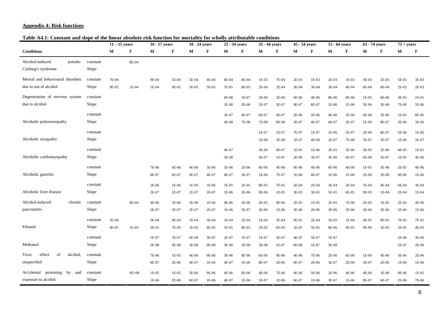#### **Appendix 4: Risk functions**

**Table A4.1: Constant and slope of the linear absolute risk function for mortality for wholly attributable conditions** 

|                                                             |                   | $11 - 15$ vears |           | 16 - 17 years    |                  | $\overline{18}$ - 24 years |                | $\overline{25}$ - 34 years |                  | $\overline{35}$ - 44 years |                  | $\overline{45}$ - 54 years |                  | 55 - 64 vears  |                  | 65 - 74 years    |                | $75 + years$     |                  |
|-------------------------------------------------------------|-------------------|-----------------|-----------|------------------|------------------|----------------------------|----------------|----------------------------|------------------|----------------------------|------------------|----------------------------|------------------|----------------|------------------|------------------|----------------|------------------|------------------|
| <b>Conditions</b>                                           |                   | M               | F         | М                | F                | М                          | $\mathbf F$    | М                          | F                | М                          | $\mathbf F$      | М                          | F                | M              | F                | М                | F              | М                | F                |
| Alcohol-induced<br>pseudo-<br>Cushing's syndrome            | constant<br>Slope |                 | 8E-04     |                  |                  |                            |                |                            |                  |                            |                  |                            |                  |                |                  |                  |                |                  |                  |
| Mental and behavioural disorders<br>due to use of alcohol   | constant<br>Slope | 7E-04<br>9E-05  | 1E-04     | 9E-04<br>$1E-04$ | 5E-04<br>9E-05   | 5E-04<br>5E-05             | 4E-04<br>5E-05 | 6E-04<br>7E-05             | 4E-04<br>8E-05   | $1E-03$<br>$2E-04$         | 7E-04<br>$2E-04$ | 2E-03<br>3E-04             | 1E-03<br>3E-04   | 2E-03<br>3E-04 | 1E-03<br>4E-04   | 3E-03<br>6E-04   | 1E-03<br>6E-04 | 5E-03<br>2E-03   | 3E-03<br>2E-03   |
| Degeneration of nervous system<br>due to alcohol            | constant<br>Slope |                 |           |                  |                  |                            |                | 6E-08<br>3E-08             | 1E-07<br>3E-08   | 2E-06<br>$2E-07$           | 2E-06<br>3E-07   | 6E-06<br>9E-07             | 4E-06<br>8E-07   | 8E-06<br>1E-06 | 6E-06<br>1E-06   | $1E-05$<br>3E-06 | 6E-06<br>2E-06 | 3E-05<br>7E-06   | $1E-05$<br>5E-06 |
| Alcoholic polyneuropathy                                    | constant<br>Slope |                 |           |                  |                  |                            |                | 3E-07<br>4E-08             | 4E-07<br>7E-08   | 6E-07<br>7E-08             | 4E-07<br>8E-08   | 2E-06<br>3E-07             | 2E-06<br>4E-07   | 4E-06<br>6E-07 | $2E-06$<br>5E-07 | 6E-06<br>$1E-06$ | 3E-06<br>8E-07 | $1E-05$<br>3E-06 | 8E-06<br>3E-06   |
| Alcoholic myopathy                                          | constant<br>Slope |                 |           |                  |                  |                            |                |                            |                  | 1E-07<br>2E-08             | 1E-07<br>3E-08   | 7E-07<br>1E-07             | $1E-07$<br>4E-08 | 1E-06<br>2E-07 | $2E-07$<br>7E-08 | $2E-06$<br>3E-07 | 6E-07<br>2E-07 | 5E-06<br>1E-06   | 1E-06<br>5E-07   |
| Alcoholic cardiomyopathy                                    | constant<br>Slope |                 |           |                  |                  |                            |                | 4E-07<br>5E-08             |                  | 3E-06<br>4E-07             | 6E-07<br>1E-07   | $1E-05$<br>2E-06           | 1E-06<br>3E-07   | 2E-05<br>3E-06 | 3E-06<br>6E-07   | 3E-05<br>6E-06   | 2E-06<br>5E-07 | 4E-05<br>1E-05   | $1E-05$<br>4E-06 |
| Alcoholic gastritis                                         | constant<br>Slope |                 |           | 7E-06<br>8E-07   | 4E-06<br>6E-07   | 4E-06<br>4E-07             | 3E-06<br>4E-07 | 5E-06<br>6E-07             | 2E-06<br>3E-07   | 8E-06<br>1E-06             | 4E-06<br>7E-07   | 9E-06<br>1E-06             | 4E-06<br>8E-07   | 6E-06<br>1E-06 | 4E-06<br>1E-06   | $1E-05$<br>2E-06 | 5E-06<br>2E-06 | $2E-05$<br>4E-06 | 4E-06<br>1E-06   |
| Alcoholic liver disease                                     | constant<br>Slope |                 |           | 2E-06<br>2E-07   | 1E-06<br>2E-07   | 1E-06<br>1E-07             | 1E-06<br>1E-07 | $1E-05$<br>1E-06           | 2E-05<br>3E-06   | 8E-05<br>9E-06             | 7E-05<br>1E-05   | 2E-04<br>3E-05             | 2E-04<br>3E-05   | 3E-04<br>5E-05 | 2E-04<br>6E-05   | 5E-04<br>9E-05   | 4E-04<br>1E-04 | 6E-04<br>2E-04   | 3E-04<br>$1E-04$ |
| Alcohol-induced<br>chronic<br>pancreatitis                  | constant<br>Slope |                 | 8E-04     | 4E-06<br>5E-07   | 2E-06<br>3E-07   | 2E-06<br>2E-07             | 1E-06<br>2E-07 | 9E-06<br>1E-06             | 3E-06<br>5E-07   | 2E-05<br>3E-06             | 8E-06<br>1E-06   | 2E-05<br>3E-06             | $1E-05$<br>2E-06 | 2E-05<br>3E-06 | 7E-06<br>2E-06   | 2E-05<br>3E-06   | 1E-05<br>3E-06 | 2E-05<br>5E-06   | 4E-06<br>1E-06   |
| Ethanol                                                     | constant<br>Slope | 3E-04<br>4E-05  | 1E-04     | 2E-04<br>2E-05   | 4E-04<br>7E-05   | $1E-04$<br>1E-05           | 3E-04<br>4E-05 | 1E-04<br>1E-05             | 2E-04<br>4E-05   | $1E-04$<br>2E-05           | 3E-04<br>6E-05   | 9E-05<br>1E-05             | 2E-04<br>5E-05   | 5E-05<br>8E-06 | $1E-04$<br>4E-05 | 4E-05<br>9E-06   | 8E-05<br>3E-05 | 7E-05<br>2E-05   | 7E-05<br>4E-05   |
| Methanol                                                    | constant<br>Slope |                 |           | $1E-07$<br>2E-08 | 5E-07<br>9E-08   | 6E-08<br>3E-08             | 3E-07<br>6E-08 | 2E-07<br>3E-08             | $1E-07$<br>3E-08 | 1E-07<br>3E-08             | 5E-07<br>$1E-07$ | 4E-07<br>8E-08             | 5E-07<br>1E-07   | 1E-07<br>3E-08 |                  |                  |                | 2E-06<br>5E-07   | 3E-06<br>2E-06   |
| effect<br>of<br>Toxic<br>alcohol.<br>unspecified            | constant<br>Slope |                 |           | 7E-06<br>8E-07   | $1E-05$<br>2E-06 | 4E-06<br>4E-07             | 9E-06<br>1E-06 | 3E-06<br>4E-07             | 8E-06<br>1E-06   | 6E-06<br>8E-07             | 9E-06<br>2E-06   | 4E-06<br>6E-07             | 7E-06<br>2E-06   | 2E-06<br>3E-07 | 6E-06<br>$2E-06$ | $1E-06$<br>3E-07 | 4E-06<br>2E-06 | 3E-06<br>1E-06   | $2E-06$<br>1E-06 |
| Accidental<br>poisoning<br>by<br>and<br>exposure to alcohol | constant<br>Slope |                 | $0E + 00$ | $1E-05$<br>1E-06 | $1E-05$<br>2E-06 | 5E-06<br>6E-07             | 9E-06<br>1E-06 | 4E-06<br>4E-07             | 6E-06<br>1E-06   | 4E-06<br>5E-07             | 7E-06<br>1E-06   | 4E-06<br>6E-07             | 5E-06<br>1E-06   | 2E-06<br>3E-07 | 4E-06<br>1E-06   | 4E-06<br>8E-07   | 1E-06<br>6E-07 | 8E-06<br>2E-06   | 1E-05<br>7E-06   |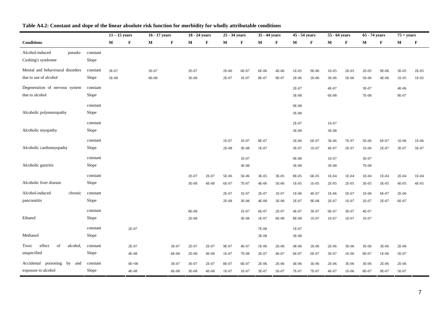|                                   |          | $11 - 15$ years |              | 16 - 17 years |       | 18 - 24 years |       | 25 - 34 years |              | 35 - 44 years |       | 45 - 54 years |       | 55 - 64 years |       | 65 - 74 years |         | $75 + years$ |         |
|-----------------------------------|----------|-----------------|--------------|---------------|-------|---------------|-------|---------------|--------------|---------------|-------|---------------|-------|---------------|-------|---------------|---------|--------------|---------|
| $\label{10}$ Conditions           |          | M               | $\mathbf{F}$ | М             | F     | М             | F     | М             | $\mathbf{F}$ | М             | F     | M             | F     | М             | F     | М             | F       | М            | F       |
| Alcohol-induced<br>pseudo-        | constant |                 |              |               |       |               |       |               |              |               |       |               |       |               |       |               |         |              |         |
| Cushing's syndrome                | Slope    |                 |              |               |       |               |       |               |              |               |       |               |       |               |       |               |         |              |         |
| Mental and behavioural disorders  | constant | 3E-07           |              | 5E-07         |       | 2E-07         |       | 2E-06         | 6E-07        | 6E-06         | 4E-06 | 1E-05         | 9E-06 | 1E-05         | 2E-05 | 2E-05         | 9E-06   | 3E-05        | $2E-05$ |
| due to use of alcohol             | Slope    | 5E-08           |              | 6E-08         |       | 3E-08         |       | 2E-07         | 1E-07        | 8E-07         | 9E-07 | 2E-06         | 2E-06 | 3E-06         | 5E-06 | 5E-06         | 4E-06   | 1E-05        | $1E-05$ |
| Degeneration of nervous system    | constant |                 |              |               |       |               |       |               |              |               |       | 2E-07         |       | 4E-07         |       | 3E-07         |         | 4E-06        |         |
| due to alcohol                    | Slope    |                 |              |               |       |               |       |               |              |               |       | 3E-08         |       | 6E-08         |       | 7E-08         |         | 9E-07        |         |
|                                   | constant |                 |              |               |       |               |       |               |              |               |       | 9E-08         |       |               |       |               |         |              |         |
| Alcoholic polyneuropathy          | Slope    |                 |              |               |       |               |       |               |              |               |       | 3E-08         |       |               |       |               |         |              |         |
|                                   | constant |                 |              |               |       |               |       |               |              |               |       | 2E-07         |       | 1E-07         |       |               |         |              |         |
| Alcoholic myopathy                | Slope    |                 |              |               |       |               |       |               |              |               |       | 3E-08         |       | 3E-08         |       |               |         |              |         |
|                                   | constant |                 |              |               |       |               |       | 1E-07         | 1E-07        | 8E-07         |       | 2E-06         | 6E-07 | 3E-06         | 7E-07 | 5E-06         | 6E-07   | 1E-06        | 1E-06   |
| Alcoholic cardiomyopathy          | Slope    |                 |              |               |       |               |       | 2E-08         | 3E-08        | 1E-07         |       | 3E-07         | 1E-07 | 4E-07         | 2E-07 | 1E-06         | 2E-07   | 3E-07        | 5E-07   |
|                                   | constant |                 |              |               |       |               |       |               | 1E-07        |               |       | 9E-08         |       | 1E-07         |       | 3E-07         |         |              |         |
| Alcoholic gastritis               | Slope    |                 |              |               |       |               |       |               | 3E-08        |               |       | 3E-08         |       | 3E-08         |       | 7E-08         |         |              |         |
|                                   | constant |                 |              |               |       | 2E-07         | 2E-07 | 5E-06         | 5E-06        | 3E-05         | 3E-05 | 8E-05         | 6E-05 | 1E-04         | 1E-04 | 1E-04         | $1E-04$ | 2E-04        | $1E-04$ |
| Alcoholic liver disease           | Slope    |                 |              |               |       | 3E-08         | 4E-08 | 6E-07         | 7E-07        | $4E-06$       | 5E-06 | 1E-05         | 1E-05 | 2E-05         | 2E-05 | 3E-05         | 3E-05   | 4E-05        | 4E-05   |
| Alcohol-induced<br>chronic        | constant |                 |              |               |       |               |       | 2E-07         | 1E-07        | 2E-07         | 1E-07 | 1E-06         | 4E-07 | 1E-06         | 5E-07 | 1E-06         | 6E-07   | 2E-06        |         |
| pancreatitis                      | Slope    |                 |              |               |       |               |       | 2E-08         | 3E-08        | 4E-08         | 3E-08 | 2E-07         | 9E-08 | 2E-07         | 1E-07 | 2E-07         | 2E-07   | 6E-07        |         |
|                                   | constant |                 |              |               |       | 8E-08         |       |               | $1E-07$      | 6E-07         | 2E-07 | 4E-07         | 3E-07 | 6E-07         | 3E-07 | 4E-07         |         |              |         |
| Ethanol                           | Slope    |                 |              |               |       | 2E-08         |       |               | 3E-08        | 1E-07         | 6E-08 | 8E-08         | 1E-07 | 1E-07         | 1E-07 | 1E-07         |         |              |         |
|                                   | constant |                 | 2E-07        |               |       |               |       |               |              | 7E-08         |       | 1E-07         |       |               |       |               |         |              |         |
| Methanol                          | Slope    |                 |              |               |       |               |       |               |              | 3E-08         |       | 3E-08         |       |               |       |               |         |              |         |
| effect<br>Toxic<br>of<br>alcohol, | constant |                 | $2E-07$      |               | 3E-07 | 2E-07         | 2E-07 | 9E-07         | 4E-07        | 1E-06         | 2E-06 | 4E-06         | 2E-06 | $2E-06$       | 3E-06 | 3E-06         | 3E-06   | 2E-06        |         |
| unspecified                       | Slope    |                 | 4E-08        |               | 6E-08 | 2E-08         | 4E-08 | 1E-07         | 7E-08        | 2E-07         | 4E-07 | 6E-07         | 6E-07 | 3E-07         | 1E-06 | 8E-07         | 1E-06   | 5E-07        |         |
| Accidental poisoning by and       | constant |                 | $0E + 00$    |               | 3E-07 | 3E-07         | 2E-07 | 8E-07         | 6E-07        | 2E-06         | 2E-06 | 4E-06         | 3E-06 | 2E-06         | 3E-06 | 3E-06         | 2E-06   | 2E-06        |         |
| exposure to alcohol               | Slope    |                 | 4E-08        |               | 6E-08 | $3E-08$       | 4E-08 | 1E-07         | $1E-07$      | 3E-07         | 5E-07 | 7E-07         | 7E-07 | 4E-07         | 1E-06 | 8E-07         | 9E-07   | 5E-07        |         |

#### **Table A4.2: Constant and slope of the linear absolute risk function for morbidity for wholly attributable conditions**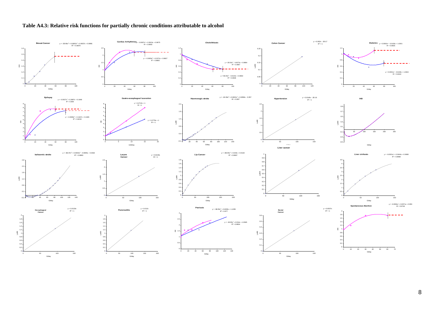

#### **Table A4.3: Relative risk functions for partially chronic conditions attributable to alcohol**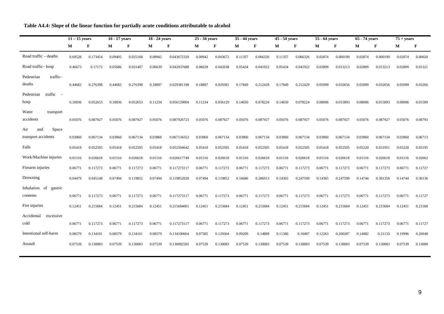|  |  | Table A4.4: Slope of the linear function for partially acute conditions attributable to alcohol |  |
|--|--|-------------------------------------------------------------------------------------------------|--|
|  |  |                                                                                                 |  |

|                                            | $11 - 15$ years |              | 16 - 17 years |          | 18 - 24 years |             | 25 - 34 years |             | 35 - 44 years |          | $45 - 54$ years |          | 55 - 64 years |             | $65 - 74$ years |          | $75 + years$ |             |
|--------------------------------------------|-----------------|--------------|---------------|----------|---------------|-------------|---------------|-------------|---------------|----------|-----------------|----------|---------------|-------------|-----------------|----------|--------------|-------------|
|                                            | M               | $\mathbf{F}$ | M             | F        | M             | $\mathbf F$ | М             | $\mathbf F$ | M             | F        | M               | F        | М             | $\mathbf F$ | M               | F        | М            | $\mathbf F$ |
| Road traffic – deaths                      | 0.69528         | 0.173454     | 0.09405       | 0.025168 | 0.08942       | 0.043672329 | 0.08942       | 0.043672    | 0.11357       | 0.066326 | 0.11357         | 0.066326 | 0.02874       | 0.000199    | 0.02874         | 0.000199 | 0.02874      | 0.00020     |
| Road traffic-hosp                          | 0.46673         | 0.17172      | 0.05686       | 0.031407 | 0.06639       | 0.042037688 | 0.06639       | 0.042038    | 0.05434       | 0.041922 | 0.05434         | 0.041922 | 0.02809       | 0.013213    | 0.02809         | 0.013213 | 0.02809      | 0.01321     |
| traffic-<br>Pedestrian<br>deaths           | 0.44682         | 0.276398     | 0.44682       | 0.276398 | 0.18897       | 0.029381198 | 0.18897       | 0.029381    | 0.17849       | 0.212429 | 0.17849         | 0.212429 | 0.05099       | 0.032656    | 0.05099         | 0.032656 | 0.05099      | 0.03266     |
| traffic<br>Pedestrian<br>hosp              | 0.10836         | 0.052653     | 0.10836       | 0.052653 | 0.11234       | 0.056129004 | 0.11234       | 0.056129    | 0.14650       | 0.078224 | 0.14650         | 0.078224 | 0.08006       | 0.015893    | 0.08006         | 0.015893 | 0.08006      | 0.01589     |
| Water<br>transport<br>accidents            | 0.05076         | 0.087927     | 0.05076       | 0.087927 | 0.05076       | 0.087926723 | 0.05076       | 0.087927    | 0.05076       | 0.087927 | 0.05076         | 0.087927 | 0.05076       | 0.087927    | 0.05076         | 0.087927 | 0.05076      | 0.08793     |
| Space<br>Air<br>and<br>transport accidents | 0.03860         | 0.067134     | 0.03860       | 0.067134 | 0.03860       | 0.067134352 | 0.03860       | 0.067134    | 0.03860       | 0.067134 | 0.03860         | 0.067134 | 0.03860       | 0.067134    | 0.03860         | 0.067134 | 0.03860      | 0.06713     |
| Falls                                      | 0.05418         | 0.052505     | 0.05418       | 0.052505 | 0.05418       | 0.052504642 | 0.05418       | 0.052505    | 0.05418       | 0.052505 | 0.05418         | 0.052505 | 0.05418       | 0.052505    | 0.05220         | 0.031951 | 0.05220      | 0.03195     |
| Work/Machine injuries                      | 0.01516         | 0.026618     | 0.01516       | 0.026618 | 0.01516       | 0.026617749 | 0.01516       | 0.026618    | 0.01516       | 0.026618 | 0.01516         | 0.026618 | 0.01516       | 0.026618    | 0.01516         | 0.026618 | 0.01516      | 0.02662     |
| Firearm injuries                           | 0.06771         | 0.117273     | 0.06771       | 0.117273 | 0.06771       | 0.117273117 | 0.06771       | 0.117273    | 0.06771       | 0.117273 | 0.06771         | 0.117273 | 0.06771       | 0.117273    | 0.06771         | 0.117273 | 0.06771      | 0.11727     |
| Drowning                                   | 0.04479         | 0.045148     | 0.07494       | 0.119852 | 0.07494       | 0.119852028 | 0.07494       | 0.119852    | 0.16686       | 0.286913 | 0.14365         | 0.247599 | 0.14365       | 0.247599    | 0.14744         | 0.301356 | 0.14744      | 0.30136     |
| Inhalation of gastric<br>contents          | 0.06771         | 0.117273     | 0.06771       | 0.117273 | 0.06771       | 0.117273117 | 0.06771       | 0.117273    | 0.06771       | 0.117273 | 0.06771         | 0.117273 | 0.06771       | 0.117273    | 0.06771         | 0.117273 | 0.06771      | 0.11727     |
| Fire injuries                              | 0.12451         | 0.215684     | 0.12451       | 0.215684 | 0.12451       | 0.215684001 | 0.12451       | 0.215684    | 0.12451       | 0.215684 | 0.12451         | 0.215684 | 0.12451       | 0.215684    | 0.12451         | 0.215684 | 0.12451      | 0.21568     |
| Accidental<br>excessive<br>cold            | 0.06771         | 0.117273     | 0.06771       | 0.117273 | 0.06771       | 0.117273117 | 0.06771       | 0.117273    | 0.06771       | 0.117273 | 0.06771         | 0.117273 | 0.06771       | 0.117273    | 0.06771         | 0.117273 | 0.06771      | 0.11727     |
| Intentional self-harm                      | 0.08579         | 0.134101     | 0.08579       | 0.134101 | 0.08579       | 0.134100664 | 0.07585       | 0.129364    | 0.09209       | 0.14889  | 0.11380         | 0.16487  | 0.12263       | 0.200287    | 0.14082         | 0.21133  | 0.19996      | 0.26948     |
| Assault                                    | 0.07539         | 0.130083     | 0.07539       | 0.130083 | 0.07539       | 0.130082505 | 0.07539       | 0.130083    | 0.07539       | 0.130083 | 0.07539         | 0.130083 | 0.07539       | 0.130083    | 0.07539         | 0.130083 | 0.07539      | 0.13008     |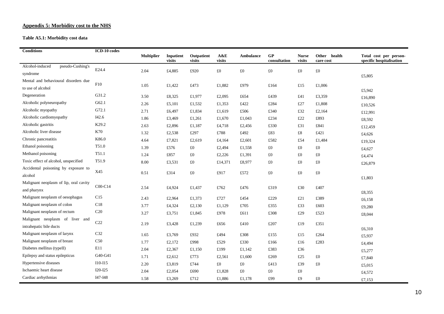#### **Appendix 5: Morbidity cost to the NHS**

#### **Table A5.1: Morbidity cost data**

| <b>Conditions</b>                      | ICD-10 codes    |                   |                     |                      |               |             |                    |                        |                              |                                                    |
|----------------------------------------|-----------------|-------------------|---------------------|----------------------|---------------|-------------|--------------------|------------------------|------------------------------|----------------------------------------------------|
|                                        |                 | <b>Multiplier</b> | Inpatient<br>visits | Outpatient<br>visits | A&E<br>visits | Ambulance   | GP<br>consultation | <b>Nurse</b><br>visits | Other<br>health<br>care cost | Total cost per person-<br>specific hospitalisation |
| Alcohol-induced<br>pseudo-Cushing's    | E24.4           |                   |                     |                      |               |             |                    |                        |                              |                                                    |
| syndrome                               |                 | 2.04              | £4,885              | £920                 | $\pounds 0$   | $\pounds 0$ | £0                 | $\pounds 0$            | $\pounds 0$                  | £5,805                                             |
| Mental and behavioural disorders due   | F10             |                   |                     |                      |               |             |                    |                        |                              |                                                    |
| to use of alcohol                      |                 | 1.05              | £1,422              | £473                 | £1,882        | £979        | £164               | £15                    | £1,006                       | £5,942                                             |
| Degeneration                           | G31.2           | 3.50              | £8,325              | £1,977               | £2,095        | £654        | £439               | £41                    | £3,359                       | £16,890                                            |
| Alcoholic polyneuropathy               | G62.1           | 2.26              | £5,101              | £1,532               | £1,353        | £422        | £284               | £27                    | £1,808                       | £10,526                                            |
| Alcoholic myopathy                     | G72.1           | 2.71              | £6,497              | £1,834               | £1,619        | £506        | £340               | £32                    | £2,164                       | £12,991                                            |
| Alcoholic cardiomyopathy               | I42.6           | 1.86              | £3,469              | £1,261               | £1,670        | £1,043      | £234               | £22                    | £893                         | £8,592                                             |
| Alcoholic gastritis                    | K29.2           | 2.63              | £2,896              | £1,187               | £4,718        | £2,456      | £330               | £31                    | £841                         | £12,459                                            |
| Alcoholic liver disease                | K70             | 1.32              | £2,538              | £297                 | £788          | £492        | £83                | $\pounds 8$            | £421                         | £4,626                                             |
| Chronic pancreatitis                   | K86.0           | 4.64              | £7,821              | £2,619               | £4,164        | £2,601      | £582               | £54                    | £1,484                       | £19,324                                            |
| Ethanol poisoning                      | T51.0           | 1.39              | £576                | £0                   | £2,494        | £1,558      | $\pounds 0$        | $\pounds 0$            | $\pounds 0$                  | £4,627                                             |
| Methanol poisoning                     | T51.1           | 1.24              | £857                | £0                   | £2,226        | £1,391      | £0                 | $\pounds 0$            | $\pounds 0$                  | £4,474                                             |
| Toxic effect of alcohol, unspecified   | T51.9           | 8.00              | £3,531              | $\pounds 0$          | £14,371       | £8,977      | $\pounds 0$        | $\pounds 0$            | $\pounds 0$                  | £26,879                                            |
| Accidental poisoning by exposure to    | X45             |                   |                     | £0                   |               |             |                    |                        |                              |                                                    |
| alcohol                                |                 | 0.51              | £314                |                      | £917          | £572        | £0                 | $\pounds 0$            | $\pounds 0$                  | £1,803                                             |
| Malignant neoplasm of lip, oral cavity | $COO-C14$       |                   |                     |                      |               |             |                    |                        |                              |                                                    |
| and pharynx                            |                 | 2.54              | £4,924              | £1,437               | £762          | £476        | £319               | £30                    | £407                         | £8,355                                             |
| Malignant neoplasm of oesophagus       | C15             | 2.43              | £2,964              | £1,373               | £727          | £454        | £229               | £21                    | £389                         | £6,158                                             |
| Malignant neoplasm of colon            | C18             | 3.77              | £4,324              | £2,130               | £1,129        | £705        | £355               | £33                    | £603                         | £9,280                                             |
| Malignant neoplasm of rectum           | C <sub>20</sub> | 3.27              | £3,751              | £1,845               | £978          | £611        | £308               | £29                    | £523                         | £8,044                                             |
| Malignant neoplasm of liver and        | C22             |                   |                     |                      |               |             |                    |                        |                              |                                                    |
| intrahepatic bile ducts                |                 | 2.19              | £3,428              | £1,239               | £656          | £410        | £207               | £19                    | £351                         | £6,310                                             |
| Malignant neoplasm of larynx           | C32             | 1.65              | £3,769              | £932                 | £494          | £308        | £155               | £15                    | £264                         | £5,937                                             |
| Malignant neoplasm of breast           | C50             | 1.77              | £2,172              | £998                 | £529          | £330        | £166               | £16                    | £283                         | £4,494                                             |
| Diabetes mellitus (typeII)             | E11             | 2.04              | £2,367              | £1,150               | £199          | £1,142      | £383               | £36                    |                              | £5,277                                             |
| Epilepsy and status epilepticus        | G40-G41         | 1.71              | £2,612              | £773                 | £2,561        | £1,600      | £269               | £25                    | $\pounds 0$                  | £7,840                                             |
| Hypertensive diseases                  | $I10-I15$       | 2.20              | £3,819              | £744                 | £0            | £0          | £413               | £39                    | $\pounds 0$                  | £5,015                                             |
| Ischaemic heart disease                | $I20-I25$       | 2.04              | £2,054              | £690                 | £1,828        | £0          | £0                 | $\pounds 0$            |                              | £4,572                                             |
| Cardiac arrhythmias                    | I47-I48         | 1.58              | £3,269              | £712                 | £1,886        | £1,178      | £99                | £9                     | $\pounds 0$                  | £7,153                                             |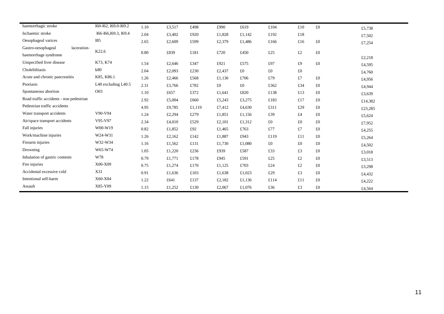| haemorrhagic stroke                     | I60-I62, I69.0-I69.2  | 1.10 | £3,517 | £498   | £990   | £619   | £104        | £10         | £0          | £5,738  |
|-----------------------------------------|-----------------------|------|--------|--------|--------|--------|-------------|-------------|-------------|---------|
| Ischaemic stroke                        | I66-I66, I69.3, I69.4 | 2.04 | £3,402 | £920   | £1,828 | £1,142 | £192        | $\pounds18$ |             | £7,502  |
| Oesophageal varices                     | <b>I85</b>            | 2.65 | £2,609 | £599   | £2,379 | £1,486 | £166        | £16         | $\pounds 0$ | £7,254  |
| laceration-<br>Gastro-oesophageal       |                       |      |        |        |        |        |             |             |             |         |
| haemorrhage syndrome                    | K22.6                 | 0.80 | £839   | £181   | £720   | £450   | £25         | $\pounds2$  | $\pounds 0$ | £2,218  |
| Unspecified liver disease               | K73, K74              | 1.54 | £2,646 | £347   | £921   | £575   | £97         | £9          | $\pounds 0$ | £4,595  |
| Cholelithiasis                          | k80                   | 2.04 | £2,093 | £230   | £2,437 | £0     | $\pounds 0$ | $\pounds 0$ |             | £4,760  |
| Acute and chronic pancreatitis          | K85, K86.1            | 1.26 | £2,466 | £568   | £1,130 | £706   | £79         | £7          | £0          | £4,956  |
| Psoriasis                               | L40 excluding L40.5   | 2.31 | £3,766 | £782   | £0     | £0     | £362        | £34         | $\pounds 0$ | £4,944  |
| Spontaneous abortion                    | O <sub>0</sub> 3      | 1.10 | £657   | £372   | £1,641 | £820   | £138        | £13         | $\pounds 0$ | £3,639  |
| Road traffic accidents - non pedestrian |                       | 2.92 | £5,004 | £660   | £5,243 | £3,275 | £183        | £17         | £0          | £14,382 |
| Pedestrian traffic accidents            |                       | 4.95 | £9,785 | £1,119 | £7,412 | £4,630 | £311        | £29         | £0          | £23,285 |
| Water transport accidents               | V90-V94               | 1.24 | £2,294 | £279   | £1,851 | £1,156 | £39         | £4          | £0          | £5,624  |
| Air/space transport accidents           | V95-V97               | 2.34 | £4,010 | £529   | £2,101 | £1,312 | £0          | $\pounds 0$ | £0          | £7,952  |
| Fall injuries                           | W00-W19               | 0.82 | £1,852 | £92    | £1,465 | £763   | £77         | £7          | $\pounds 0$ | £4,255  |
| Work/machine injuries                   | W24-W31               | 1.26 | £2,162 | £142   | £1,887 | £943   | £119        | £11         | $\pounds 0$ | £5,264  |
| Firearm injuries                        | W32-W34               | 1.16 | £1,562 | £131   | £1,730 | £1,080 | £0          | $\pounds 0$ | £0          | £4,502  |
| Drowning                                | W65-W74               | 1.05 | £1,220 | £236   | £939   | £587   | £33         | £3          | £0          | £3,018  |
| Inhalation of gastric contents          | W78                   | 0.79 | £1,771 | £178   | £945   | £591   | £25         | £2          | £0          | £3,513  |
| Fire injuries                           | X00-X09               | 0.75 | £1,274 | £170   | £1,125 | £703   | £24         | $\pounds2$  | $\pounds 0$ | £3,298  |
| Accidental excessive cold               | X31                   | 0.91 | £1,636 | £103   | £1,638 | £1,023 | £29         | £3          | £0          | £4,432  |
| Intentional self-harm                   | X60-X84               | 1.22 | £641   | £137   | £2,182 | £1,136 | £114        | £11         | £0          | £4,222  |
| Assault                                 | X85-Y09               | 1.15 | £1,252 | £130   | £2,067 | £1,076 | £36         | £3          | £0          | £4,564  |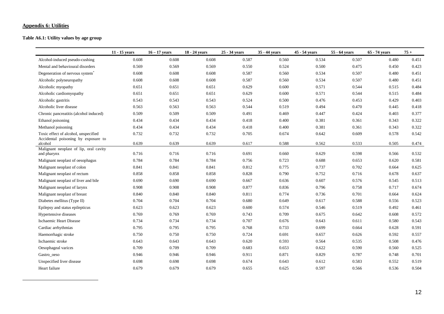#### **Appendix 6: Utilities**

**Table A6.1: Utility values by age group** 

|                                                | $11 - 15$ years | $16 - 17$ years | 18 - 24 years | 25 - 34 years | 35 - 44 years | 45 - 54 years | 55 - 64 years | 65 - 74 years | $75+$ |
|------------------------------------------------|-----------------|-----------------|---------------|---------------|---------------|---------------|---------------|---------------|-------|
| Alcohol-induced pseudo-cushing                 | 0.608           | 0.608           | 0.608         | 0.587         | 0.560         | 0.534         | 0.507         | 0.480         | 0.451 |
| Mental and behavioural disorders               | 0.569           | 0.569           | 0.569         | 0.550         | 0.524         | 0.500         | 0.475         | 0.450         | 0.423 |
| Degeneration of nervous system <sup>*</sup>    | 0.608           | 0.608           | 0.608         | 0.587         | 0.560         | 0.534         | 0.507         | 0.480         | 0.451 |
| Alcoholic polyneuropathy                       | 0.608           | 0.608           | 0.608         | 0.587         | 0.560         | 0.534         | 0.507         | 0.480         | 0.451 |
| Alcoholic myopathy                             | 0.651           | 0.651           | 0.651         | 0.629         | 0.600         | 0.571         | 0.544         | 0.515         | 0.484 |
| Alcoholic cardiomyopathy                       | 0.651           | 0.651           | 0.651         | 0.629         | 0.600         | 0.571         | 0.544         | 0.515         | 0.484 |
| Alcoholic gastritis                            | 0.543           | 0.543           | 0.543         | 0.524         | 0.500         | 0.476         | 0.453         | 0.429         | 0.403 |
| Alcoholic liver disease                        | 0.563           | 0.563           | 0.563         | 0.544         | 0.519         | 0.494         | 0.470         | 0.445         | 0.418 |
| Chronic pancreatitis (alcohol induced)         | 0.509           | 0.509           | 0.509         | 0.491         | 0.469         | 0.447         | 0.424         | 0.403         | 0.377 |
| Ethanol poisoning                              | 0.434           | 0.434           | 0.434         | 0.418         | 0.400         | 0.381         | 0.361         | 0.343         | 0.322 |
| Methanol poisoning                             | 0.434           | 0.434           | 0.434         | 0.418         | 0.400         | 0.381         | 0.361         | 0.343         | 0.322 |
| Toxic effect of alcohol, unspecified           | 0.732           | 0.732           | 0.732         | 0.705         | 0.674         | 0.642         | 0.609         | 0.578         | 0.542 |
| Accidental poisoning by exposure to<br>alcohol | 0.639           | 0.639           | 0.639         | 0.617         | 0.588         | 0.562         | 0.533         | 0.505         | 0.474 |
| Malignant neoplast of lip, oral cavity         |                 |                 |               |               |               |               |               |               |       |
| and pharynx                                    | 0.716           | 0.716           | 0.716         | 0.691         | 0.660         | 0.629         | 0.598         | 0.566         | 0.532 |
| Malignant neoplast of oesophagus               | 0.784           | 0.784           | 0.784         | 0.756         | 0.723         | 0.688         | 0.653         | 0.620         | 0.581 |
| Malignant neoplast of colon                    | 0.841           | 0.841           | 0.841         | 0.812         | 0.775         | 0.737         | 0.702         | 0.664         | 0.625 |
| Malignant neoplast of rectum                   | 0.858           | 0.858           | 0.858         | 0.828         | 0.790         | 0.752         | 0.716         | 0.678         | 0.637 |
| Malignant neoplast of liver and bile           | 0.690           | 0.690           | 0.690         | 0.667         | 0.636         | 0.607         | 0.576         | 0.545         | 0.513 |
| Malignant neoplast of larynx                   | 0.908           | 0.908           | 0.908         | 0.877         | 0.836         | 0.796         | 0.758         | 0.717         | 0.674 |
| Malignant neoplast of breast                   | 0.840           | 0.840           | 0.840         | 0.811         | 0.774         | 0.736         | 0.701         | 0.664         | 0.624 |
| Diabetes mellitus (Type II)                    | 0.704           | 0.704           | 0.704         | 0.680         | 0.649         | 0.617         | 0.588         | 0.556         | 0.523 |
| Epilepsy and status epilepticus                | 0.623           | 0.623           | 0.623         | 0.600         | 0.574         | 0.546         | 0.519         | 0.492         | 0.461 |
| Hypertensive diseases                          | 0.769           | 0.769           | 0.769         | 0.743         | 0.709         | 0.675         | 0.642         | 0.608         | 0.572 |
| Ischaemic Heart Disease                        | 0.734           | 0.734           | 0.734         | 0.707         | 0.676         | 0.643         | 0.611         | 0.580         | 0.543 |
| Cardiac arrhythmias                            | 0.795           | 0.795           | 0.795         | 0.768         | 0.733         | 0.699         | 0.664         | 0.628         | 0.591 |
| Haemorrhagic stroke                            | 0.750           | 0.750           | 0.750         | 0.724         | 0.691         | 0.657         | 0.626         | 0.592         | 0.557 |
| Ischaemic stroke                               | 0.643           | 0.643           | 0.643         | 0.620         | 0.593         | 0.564         | 0.535         | 0.508         | 0.476 |
| Oesophageal varices                            | 0.709           | 0.709           | 0.709         | 0.683         | 0.653         | 0.622         | 0.590         | 0.560         | 0.525 |
| Gastro_oeso                                    | 0.946           | 0.946           | 0.946         | 0.911         | 0.871         | 0.829         | 0.787         | 0.748         | 0.701 |
| Unspecified liver disease                      | 0.698           | 0.698           | 0.698         | 0.674         | 0.643         | 0.612         | 0.583         | 0.552         | 0.519 |
| Heart failure                                  | 0.679           | 0.679           | 0.679         | 0.655         | 0.625         | 0.597         | 0.566         | 0.536         | 0.504 |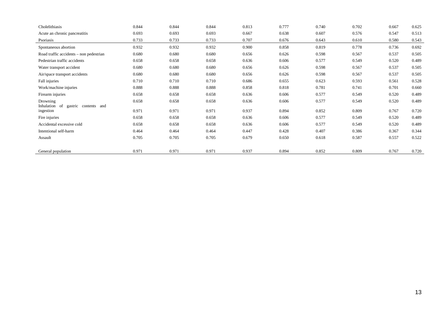| Cholelithiasis                          | 0.844 | 0.844 | 0.844 | 0.813 | 0.777 | 0.740 | 0.702 | 0.667 | 0.625 |
|-----------------------------------------|-------|-------|-------|-------|-------|-------|-------|-------|-------|
| Acute an chronic pancreatitis           | 0.693 | 0.693 | 0.693 | 0.667 | 0.638 | 0.607 | 0.576 | 0.547 | 0.513 |
| Psoriasis                               | 0.733 | 0.733 | 0.733 | 0.707 | 0.676 | 0.643 | 0.610 | 0.580 | 0.543 |
| Spontaneous abortion                    | 0.932 | 0.932 | 0.932 | 0.900 | 0.858 | 0.819 | 0.778 | 0.736 | 0.692 |
| Road traffic accidents – non pedestrian | 0.680 | 0.680 | 0.680 | 0.656 | 0.626 | 0.598 | 0.567 | 0.537 | 0.505 |
| Pedestrian traffic accidents            | 0.658 | 0.658 | 0.658 | 0.636 | 0.606 | 0.577 | 0.549 | 0.520 | 0.489 |
| Water transport accident                | 0.680 | 0.680 | 0.680 | 0.656 | 0.626 | 0.598 | 0.567 | 0.537 | 0.505 |
| Air/space transport accidents           | 0.680 | 0.680 | 0.680 | 0.656 | 0.626 | 0.598 | 0.567 | 0.537 | 0.505 |
| Fall injuries                           | 0.710 | 0.710 | 0.710 | 0.686 | 0.655 | 0.623 | 0.593 | 0.561 | 0.528 |
| Work/machine injuries                   | 0.888 | 0.888 | 0.888 | 0.858 | 0.818 | 0.781 | 0.741 | 0.701 | 0.660 |
| Firearm injuries                        | 0.658 | 0.658 | 0.658 | 0.636 | 0.606 | 0.577 | 0.549 | 0.520 | 0.489 |
| Drowning                                | 0.658 | 0.658 | 0.658 | 0.636 | 0.606 | 0.577 | 0.549 | 0.520 | 0.489 |
| Inhalation of gastric contents and      | 0.971 | 0.971 | 0.971 | 0.937 | 0.894 | 0.852 | 0.809 | 0.767 | 0.720 |
| ingestion                               |       |       |       |       |       |       |       |       |       |
| Fire injuries                           | 0.658 | 0.658 | 0.658 | 0.636 | 0.606 | 0.577 | 0.549 | 0.520 | 0.489 |
| Accidental excessive cold               | 0.658 | 0.658 | 0.658 | 0.636 | 0.606 | 0.577 | 0.549 | 0.520 | 0.489 |
| Intentional self-harm                   | 0.464 | 0.464 | 0.464 | 0.447 | 0.428 | 0.407 | 0.386 | 0.367 | 0.344 |
| Assault                                 | 0.705 | 0.705 | 0.705 | 0.679 | 0.650 | 0.618 | 0.587 | 0.557 | 0.522 |
|                                         |       |       |       |       |       |       |       |       |       |
| General population                      | 0.971 | 0.971 | 0.971 | 0.937 | 0.894 | 0.852 | 0.809 | 0.767 | 0.720 |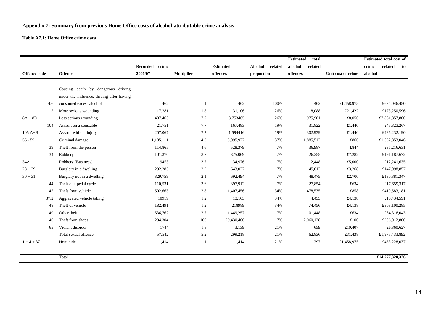#### **Appendix 7: Summary from previous Home Office costs of alcohol-attributable crime analysis**

#### **Table A7.1: Home Office crime data**

|                     |      |                                           |                          |                   |                |                  |                |         | <b>Estimated</b><br>total |         |                    |         | <b>Estimated total cost of</b> |    |
|---------------------|------|-------------------------------------------|--------------------------|-------------------|----------------|------------------|----------------|---------|---------------------------|---------|--------------------|---------|--------------------------------|----|
|                     |      |                                           | <b>Recorded</b><br>crime |                   |                | <b>Estimated</b> | <b>Alcohol</b> | related | alcohol                   | related |                    | crime   | related                        | to |
| <b>Offence code</b> |      | <b>Offence</b>                            | 2006/07                  | <b>Multiplier</b> |                | offences         | proportion     |         | offences                  |         | Unit cost of crime | alcohol |                                |    |
|                     |      |                                           |                          |                   |                |                  |                |         |                           |         |                    |         |                                |    |
|                     |      | Causing death by dangerous driving        |                          |                   |                |                  |                |         |                           |         |                    |         |                                |    |
|                     |      | under the influence, driving after having |                          |                   |                |                  |                |         |                           |         |                    |         |                                |    |
|                     | 4.6  | consumed excess alcohol                   | 462                      |                   | $\overline{1}$ | 462              |                | 100%    |                           | 462     | £1,458,975         |         | £674,046,450                   |    |
|                     | 5    | More serious wounding                     | 17,281                   |                   | 1.8            | 31,106           |                | 26%     |                           | 8,088   | £21,422            |         | £173,250,596                   |    |
| $8A + 8D$           |      | Less serious wounding                     | 487,463                  |                   | 7.7            | 3,753465         |                | 26%     | 975,901                   |         | £8,056             |         | £7,861,857,860                 |    |
|                     | 104  | Assault on a constable                    | 21,751                   |                   | 7.7            | 167,483          |                | 19%     |                           | 31,822  | £1,440             |         | £45,823,267                    |    |
| $105A+B$            |      | Assault without injury                    | 207,067                  |                   | 7.7            | 1,594416         |                | 19%     | 302,939                   |         | £1,440             |         | £436,232,190                   |    |
| $56 - 59$           |      | Criminal damage                           | 1,185,111                |                   | 4.3            | 5,095,977        |                | 37%     | 1,885,512                 |         | £866               |         | £1,632,853,046                 |    |
|                     | 39   | Theft from the person                     | 114,865                  |                   | 4.6            | 528,379          |                | 7%      |                           | 36,987  | £844               |         | £31,216,631                    |    |
|                     | 34   | Robbery                                   | 101,370                  |                   | 3.7            | 375,069          |                | 7%      |                           | 26,255  | £7,282             |         | £191.187.672                   |    |
| 34A                 |      | Robbery (Business)                        | 9453                     |                   | 3.7            | 34,976           |                | 7%      |                           | 2,448   | £5,000             |         | £12,241,635                    |    |
| $28 + 29$           |      | Burglary in a dwelling                    | 292,285                  |                   | 2.2            | 643,027          |                | 7%      |                           | 45,012  | £3,268             |         | £147,098,857                   |    |
| $30 + 31$           |      | Burglary not in a dwelling                | 329,759                  |                   | 2.1            | 692,494          |                | 7%      |                           | 48,475  | £2,700             |         | £130,881,347                   |    |
|                     | 44   | Theft of a pedal cycle                    | 110,531                  |                   | 3.6            | 397,912          |                | 7%      |                           | 27,854  | £634               |         | £17,659,317                    |    |
|                     | 45   | Theft from vehicle                        | 502,663                  |                   | 2.8            | 1,407,456        |                | 34%     | 478,535                   |         | £858               |         | £410,583,181                   |    |
|                     | 37.2 | Aggravated vehicle taking                 | 10919                    |                   | 1.2            | 13,103           |                | 34%     |                           | 4,455   | £4,138             |         | £18,434,591                    |    |
|                     | 48   | Theft of vehicle                          | 182,491                  |                   | 1.2            | 218989           |                | 34%     |                           | 74,456  | £4,138             |         | £308,100,285                   |    |
|                     | 49   | Other theft                               | 536,762                  |                   | 2.7            | 1,449,257        |                | 7%      |                           | 101,448 | £634               |         | £64,318,043                    |    |
|                     | 46   | Theft from shops                          | 294,304                  |                   | 100            | 29,430,400       |                | 7%      | 2,060,128                 |         | £100               |         | £206,012,800                   |    |
|                     | 65   | Violent disorder                          | 1744                     |                   | 1.8            | 3,139            |                | 21%     |                           | 659     | £10,407            |         | £6,860,627                     |    |
|                     |      | Total sexual offence                      | 57,542                   |                   | 5.2            | 299,218          |                | 21%     |                           | 62,836  | £31,438            |         | £1,975,433,892                 |    |
| $1 + 4 + 37$        |      | Homicide                                  | 1,414                    |                   | $\mathbf{1}$   | 1,414            |                | 21%     |                           | 297     | £1,458,975         |         | £433,228,037                   |    |
|                     |      |                                           |                          |                   |                |                  |                |         |                           |         |                    |         |                                |    |

Total **£14,777,320,326**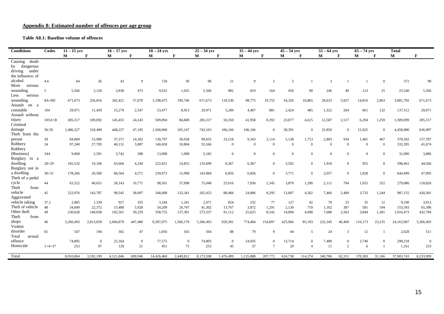#### **Appendix 8: Estimated number of offences per age group**

#### **Table A8.1: Baseline volume of offences**

| <b>Conditions</b>          | Codes          | $11 - 15$ vrs |                | $16 - 17$ yrs |                | $18 - 24$ yrs |                | $25 - 34$ yrs |                | $35 - 44$ yrs |                 | $45 - 54$ yrs  |                | $55 - 64$ vrs  |                | $65 - 74$ yrs |                | <b>Total</b> |                |
|----------------------------|----------------|---------------|----------------|---------------|----------------|---------------|----------------|---------------|----------------|---------------|-----------------|----------------|----------------|----------------|----------------|---------------|----------------|--------------|----------------|
|                            |                | $\mathbf{M}$  | F              | М             | $\mathbf{F}$   | М             | F              | М             | $\mathbf{F}$   | M             | $\mathbf{F}$    | М              | $\mathbf{F}$   | М              | $\mathbf{F}$   | М             | F              | M            | $\mathbf{F}$   |
| Causing death              |                |               |                |               |                |               |                |               |                |               |                 |                |                |                |                |               |                |              |                |
| by dangerous               |                |               |                |               |                |               |                |               |                |               |                 |                |                |                |                |               |                |              |                |
| driving under              |                |               |                |               |                |               |                |               |                |               |                 |                |                |                |                |               |                |              |                |
| the influence, of          |                |               |                |               |                |               |                |               |                |               |                 |                |                |                |                |               |                |              |                |
| alcohol                    | 4.6            | 64            | 26             | 43            | 9              | 150           | 30             | 96            | 21             | 9             | 2               | 5              |                | 3              |                |               | $\overline{0}$ | 372          | 90             |
| More<br>serious            |                |               |                |               |                |               |                |               |                |               |                 |                |                |                |                |               |                |              |                |
| wounding                   | $\overline{5}$ | 5,566         | 2,128          | 2,838         | 473            | 9,932         | 1,655          | 5,566         | 982            | 819           | 164             | 450            | 90             | 246            | 49             | 123           | 25             | 25,540       | 5,566          |
| Less<br>serious            |                |               |                |               |                |               |                |               |                |               |                 |                |                |                |                |               |                |              |                |
| wounding                   | $8A+8D$        | 671,673       | 256,816        | 342,421       | 57,070         | 1,198,475     | 199,746        | 671,673       | 118,530        | 98,775        | 19,755          | 54,326         | 10,865         | 29,633         | 5,927          | 14,816        | 2,963          | 3,081,792    | 671,673        |
| Assault on a               |                |               |                |               |                |               |                |               |                |               |                 |                |                |                |                |               |                |              |                |
| constable                  | 104            | 29,971        | 11,459         | 15,279        | 2,547          | 53,477        | 8,913          | 29,971        | 5,289          | 4,407         | 881             | 2,424          | 485            | 1,322          | 264            | 661           | 132            | 137,512      | 29,971         |
| Assault without            |                |               |                |               |                |               |                |               |                |               |                 |                |                |                |                |               |                |              |                |
| injury                     | $105A+B$       | 285,317       | 109,092        | 145,455       | 24,243         | 509,094       | 84,849         | 285,317       | 50,350         | 41,958        | 8,392           | 23,077         | 4,615          | 12,587         | 2,517          | 6,294         | 1,259          | 1,309,099    | 285,317        |
| Criminal                   |                |               |                |               |                |               |                |               |                |               |                 |                |                |                |                |               |                |              |                |
| damage                     | 56-59          | 1,486,327     | 318,499        | 448,257       | 47,185         | 1,568,900     | 165,147        | 743,163       | 106,166        | 106,166       | $\Omega$        | 58,391         | $\Omega$       | 31,850         | $\Omega$       | 15,925        | $\Omega$       | 4,458,980    | 636,997        |
| Theft from the             |                |               |                |               |                |               |                |               |                |               |                 |                |                |                |                |               |                |              |                |
| person                     | 39             | 84,084        | 53,980         | 37,371        | 14,302         | 130,797       | 50,058         | 99,655        | 33,218         | 9,343         | 3,114           | 5,138          | 1,713          | 2,803          | 934            | 1,401         | 467            | 370,592      | 157,787        |
| Robbery                    | 34             | 97,240        | 27,783         | 40,131        | 3,087          | 140,458       | 10,804         | 55,566        | $\mathbf{0}$   | $\Omega$      | $\mathbf{0}$    | $\overline{0}$ | $\mathbf{0}$   | $\overline{0}$ | $\overline{0}$ | $\mathbf{0}$  | $\overline{0}$ | 333,395      | 41,674         |
| Robbery                    |                |               |                |               |                |               |                |               |                |               |                 |                |                |                |                |               |                |              |                |
| (Business)                 | 34A            | 9,068         | 2,591          | 3,742         | 288            | 13,098        | 1,008          | 5,182         | $\overline{0}$ | $\Omega$      | $\mathbf{0}$    | $\Omega$       | $\Omega$       | $\mathbf{0}$   | $\theta$       | $\mathbf{0}$  | $\theta$       | 31,090       | 3,886          |
| Burglary in a              |                |               |                |               |                |               |                |               |                |               |                 |                |                |                |                |               |                |              |                |
| dwelling                   | $28 + 29$      | 165,532       | 19,100         | 63,666        | 4,244          | 222,831       | 14,855         | 133,699       | 6,367          | 6,367         | $\overline{0}$  | 3,502          | $\overline{0}$ | 1,910          | $\overline{0}$ | 955           | $\Omega$       | 598,461      | 44,566         |
| Burglary not in            |                |               |                |               |                |               |                |               |                |               |                 |                |                |                |                |               |                |              |                |
| a dwelling                 | $30 + 31$      | 178,266       | 20,569         | 68,564        | 4,571          | 239,973       | 15,998         | 143,984       | 6,856          | 6,856         | $\mathbf{0}$    | 3,771          | $\Omega$       | 2,057          | $\overline{0}$ | 1,028         | $\overline{0}$ | 644,499      | 47,995         |
| Theft of a pedal           |                |               |                |               |                |               |                |               |                |               |                 |                |                |                |                |               |                |              |                |
| cycle                      | 44             | 63,322        | 40,651         | 28,143        | 10,771         | 98,501        | 37,698         | 75,048        | 25,016         | 7,036         | 2,345           | 3,870          | 1,290          | 2,111          | 704            | 1,055         | 352            | 279,086      | 118,826        |
| Theft<br>from              |                |               |                |               |                |               |                |               |                |               |                 |                |                |                |                |               |                |              |                |
| vehicle                    | 45             | 223,976       | 143,787        | 99,545        | 38,097         | 348,408       | 133,341        | 265,453       | 88,484         | 24,886        | 8,295           | 13,687         | 4,562          | 7,466          | 2,489          | 3,733         | 1,244          | 987,155      | 420,301        |
| Aggravated                 |                |               |                |               |                |               |                |               |                |               |                 |                |                |                |                |               |                |              |                |
| vehicle taking             | 37.2           | 2,085         | 1,339          | 927           | 355            | 3,244         | 1,241          | 2,471         | 824            | 232           | 77              | 127            | 42             | 70             | 23             | 35            | 12             | 9,190        | 3,913          |
| Theft of vehicle           | 48             | 34,849        | 22,372         | 15,488        | 5,928          | 54,209        | 20,747         | 41,302        | 13,767         | 3,872         | 1,291           | 2,130          | 710            | 1.162          | 387            | 581           | 194            | 153,593      | 65,396         |
| Other theft                | 49             | 230,628       | 148,058        | 102,501       | 39,229         | 358,755       | 137,301        | 273,337       | 91,112         | 25,625        | 8,542           | 14,094         | 4,698          | 7,688          | 2,563          | 3,844         | 1,281          | 1,016,473    | 432,784        |
| Theft<br>from              |                |               |                |               |                |               |                |               |                |               |                 |                |                |                |                |               |                |              |                |
| shops                      | 46             | 5,266,493     | 2,013,659      | 2,684,879     | 447,480        | 9,397,075     | 1,566,179      | 5,266,493     | 929,381        | 774,484       | 154,897         | 425,966        | 85,193         | 232,345        | 46,469         | 116,173       | 23,235         | 24,163,907   | 5,266,493      |
| Violent<br>disorder        |                |               |                |               |                |               |                |               |                |               |                 |                |                |                |                |               |                |              |                |
|                            | 65             | 547           | 194            | 302           | 47             | 1,056         | 165            | 564           | 88             | 79            | 9               | 44             | 5              | 24             | 3              | 12            |                | 2,628        | 511            |
| Total<br>sexual<br>offence |                |               |                |               |                |               |                |               |                |               |                 |                | $\Omega$       |                |                |               |                |              |                |
|                            |                | 74,805        | $\overline{0}$ | 22,164        | $\overline{0}$ | 77,575        | $\overline{0}$ | 74,805        | $\overline{0}$ | 24,935        | $\overline{0}$  | 13,714         |                | 7,480          | $\overline{0}$ | 3,740         | $\overline{0}$ | 299,218      | $\overline{0}$ |
| Homicide                   | $1+4+37$       | 253           | 97             | 129           | 21             | 451           | 75             | 253           | 45             | 37            | $7\phantom{.0}$ | 20             | $\overline{4}$ | 11             | 2              | 6             |                | 1,161        | 253            |
| Total                      |                | 8.910.064     | 3.192.199      | 4.121.846     | 699,946        | 14,426,460    | 2.449.812      | 8.173.598     | 1.476.499      | 1.135.888     | 207,772         | 624,738        | 114,274        | 340,766        | 62.331         | 170.383       | 31.166         | 37,903,743   | 8,233,999      |
|                            |                |               |                |               |                |               |                |               |                |               |                 |                |                |                |                |               |                |              |                |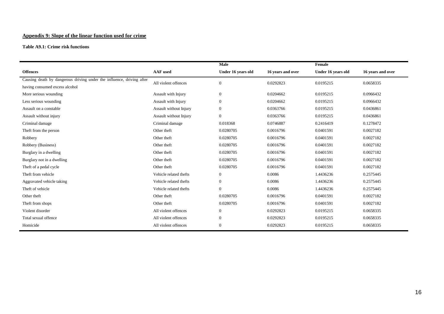### **Appendix 9: Slope of the linear function used for crime**

**Table A9.1: Crime risk functions** 

|                                                                       |                        | Male               |                   | Female             |                   |
|-----------------------------------------------------------------------|------------------------|--------------------|-------------------|--------------------|-------------------|
| <b>Offences</b>                                                       | <b>AAF</b> used        | Under 16 years old | 16 years and over | Under 16 years old | 16 years and over |
| Causing death by dangerous driving under the influence, driving after | All violent offences   | $\mathbf{0}$       | 0.0292823         | 0.0195215          | 0.0658335         |
| having consumed excess alcohol                                        |                        |                    |                   |                    |                   |
| More serious wounding                                                 | Assault with Injury    | $\boldsymbol{0}$   | 0.0204662         | 0.0195215          | 0.0966432         |
| Less serious wounding                                                 | Assault with Injury    | $\boldsymbol{0}$   | 0.0204662         | 0.0195215          | 0.0966432         |
| Assault on a constable                                                | Assault without Injury | $\mathbf{0}$       | 0.0363766         | 0.0195215          | 0.0436861         |
| Assault without injury                                                | Assault without Injury | $\overline{0}$     | 0.0363766         | 0.0195215          | 0.0436861         |
| Criminal damage                                                       | Criminal damage        | 0.018368           | 0.0746887         | 0.2416419          | 0.1278472         |
| Theft from the person                                                 | Other theft            | 0.0280705          | 0.0016796         | 0.0401591          | 0.0027182         |
| Robbery                                                               | Other theft            | 0.0280705          | 0.0016796         | 0.0401591          | 0.0027182         |
| Robbery (Business)                                                    | Other theft            | 0.0280705          | 0.0016796         | 0.0401591          | 0.0027182         |
| Burglary in a dwelling                                                | Other theft            | 0.0280705          | 0.0016796         | 0.0401591          | 0.0027182         |
| Burglary not in a dwelling                                            | Other theft            | 0.0280705          | 0.0016796         | 0.0401591          | 0.0027182         |
| Theft of a pedal cycle                                                | Other theft            | 0.0280705          | 0.0016796         | 0.0401591          | 0.0027182         |
| Theft from vehicle                                                    | Vehicle related thefts | $\mathbf{0}$       | 0.0086            | 1.4436236          | 0.2575445         |
| Aggravated vehicle taking                                             | Vehicle related thefts | $\mathbf{0}$       | 0.0086            | 1.4436236          | 0.2575445         |
| Theft of vehicle                                                      | Vehicle related thefts | $\overline{0}$     | 0.0086            | 1.4436236          | 0.2575445         |
| Other theft                                                           | Other theft            | 0.0280705          | 0.0016796         | 0.0401591          | 0.0027182         |
| Theft from shops                                                      | Other theft            | 0.0280705          | 0.0016796         | 0.0401591          | 0.0027182         |
| Violent disorder                                                      | All violent offences   | $\mathbf{0}$       | 0.0292823         | 0.0195215          | 0.0658335         |
| Total sexual offence                                                  | All violent offences   | $\mathbf{0}$       | 0.0292823         | 0.0195215          | 0.0658335         |
| Homicide                                                              | All violent offences   | $\mathbf{0}$       | 0.0292823         | 0.0195215          | 0.0658335         |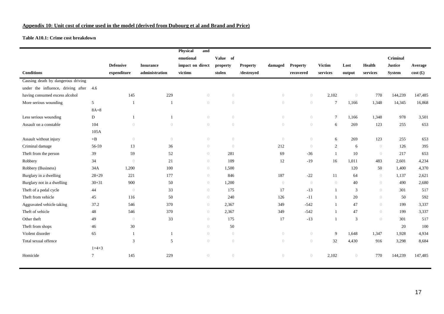#### **Appendix 10: Unit cost of crime used in the model (derived from Dubourg et al and Brand and Price)**

#### **Table A10.1: Crime cost breakdown**

|                                    |           |                  |                  | Physical<br>and  |                  |                            |                |                |                 |                |                |                |                 |
|------------------------------------|-----------|------------------|------------------|------------------|------------------|----------------------------|----------------|----------------|-----------------|----------------|----------------|----------------|-----------------|
|                                    |           |                  |                  | emotional        | Value of         |                            |                |                |                 |                |                | Criminal       |                 |
|                                    |           | <b>Defensive</b> | <b>Insurance</b> | impact on direct | property         | <b>Property</b><br>damaged |                | Property       | <b>Victim</b>   | Lost           | Health         | <b>Justice</b> | Average         |
| <b>Conditions</b>                  |           | expenditure      | administration   | victims          | stolen           | /destroyed                 |                | recovered      | services        | output         | services       | <b>System</b>  | $cost(\pounds)$ |
| Causing death by dangerous driving |           |                  |                  |                  |                  |                            |                |                |                 |                |                |                |                 |
| under the influence, driving after | 4.6       |                  |                  |                  |                  |                            |                |                |                 |                |                |                |                 |
| having consumed excess alcohol     |           | 145              | 229              | $\overline{0}$   | $\overline{0}$   |                            | $\bigcirc$     | $\theta$       | 2,102           | $\bigcirc$     | 770            | 144,239        | 147,485         |
| More serious wounding              | 5         | -1               | -1               | $\overline{0}$   | $\overline{0}$   |                            | $\bigcirc$     | $\bigcirc$     | $7\phantom{.0}$ | 1,166          | 1,348          | 14,345         | 16,868          |
|                                    | $8A+8$    |                  |                  |                  |                  |                            |                |                |                 |                |                |                |                 |
| Less serious wounding              | D         | $\mathbf{1}$     | $\overline{1}$   | $\overline{0}$   | $\bigcirc$       |                            | $\bigcirc$     | $\overline{0}$ | $7\phantom{.0}$ | 1,166          | 1,348          | 978            | 3,501           |
| Assault on a constable             | 104       | $\bigcirc$       | $\left( \right)$ | $\overline{0}$   | $\left( \right)$ |                            | $\bigcirc$     | $\bigcirc$     | 6               | 269            | 123            | 255            | 653             |
|                                    | 105A      |                  |                  |                  |                  |                            |                |                |                 |                |                |                |                 |
| Assault without injury             | $+B$      | $\overline{0}$   | $\bigcirc$       | $\overline{0}$   | $\bigcirc$       |                            | $\overline{0}$ | $\overline{0}$ | 6               | 269            | 123            | 255            | 653             |
| Criminal damage                    | 56-59     | 13               | 36               | $\bigcirc$       | $\overline{0}$   |                            | 212            | $\theta$       | 2               | 6              | $\bigcirc$     | 126            | 395             |
| Theft from the person              | 39        | 59               | 52               | $\bigcirc$       | 281              |                            | 69             | $-36$          | $\overline{1}$  | 10             | $\bigcirc$     | 217            | 653             |
| Robbery                            | 34        | $\overline{0}$   | 21               | $\bigcirc$       | 109              |                            | 12             | $-19$          | 16              | 1,011          | 483            | 2,601          | 4,234           |
| Robbery (Business)                 | 34A       | 1,200            | 100              | $\bigcirc$       | 1,500            |                            |                |                |                 | 120            | 50             | 1,400          | 4,370           |
| Burglary in a dwelling             | $28 + 29$ | 221              | 177              | $\bigcirc$       | 846              |                            | 187            | $-22$          | 11              | 64             | $\bigcirc$     | 1,137          | 2,621           |
| Burglary not in a dwelling         | $30 + 31$ | 900              | 50               | $\bigcirc$       | 1,200            |                            | $\bigcirc$     | ()             | ()              | 40             | $\overline{0}$ | 490            | 2,680           |
| Theft of a pedal cycle             | 44        | $\bigcirc$       | 33               | $\bigcirc$       | 175              |                            | 17             | $-13$          | 1               | 3              | $\overline{0}$ | 301            | 517             |
| Theft from vehicle                 | 45        | 116              | 50               | $\bigcirc$       | 240              |                            | 126            | $-11$          | 1               | 20             | $\overline{0}$ | 50             | 592             |
| Aggravated vehicle taking          | 37.2      | 546              | 370              | $\overline{0}$   | 2,367            |                            | 349            | $-542$         | $\mathbf{1}$    | 47             | $\overline{0}$ | 199            | 3,337           |
| Theft of vehicle                   | 48        | 546              | 370              | $\bigcirc$       | 2,367            |                            | 349            | $-542$         | $\mathbf{1}$    | 47             | $\overline{0}$ | 199            | 3,337           |
| Other theft                        | 49        | $\bigcirc$       | 33               | $\bigcirc$       | 175              |                            | 17             | $-13$          | $\mathbf{1}$    | $\overline{3}$ | $\overline{0}$ | 301            | 517             |
| Theft from shops                   | 46        | 30               |                  | $\overline{0}$   | 50               |                            |                |                |                 |                |                | 20             | 100             |
| Violent disorder                   | 65        | $\mathbf{1}$     | $\mathbf{1}$     | $\bigcirc$       | $\bigcirc$       |                            | $\bigcirc$     | $\overline{0}$ | 9               | 1,648          | 1,347          | 1,928          | 4,934           |
| Total sexual offence               |           | 3                | 5                | $\bigcirc$       | $\left( \right)$ |                            | $\bigcirc$     | $\bigcirc$     | 32              | 4,430          | 916            | 3,298          | 8,684           |
|                                    | $1+4+3$   |                  |                  |                  |                  |                            |                |                |                 |                |                |                |                 |
| Homicide                           | $\tau$    | 145              | 229              | $\overline{0}$   | $\left( \right)$ |                            | $\bigcirc$     | $\overline{0}$ | 2,102           | $\bigcirc$     | 770            | 144,239        | 147,485         |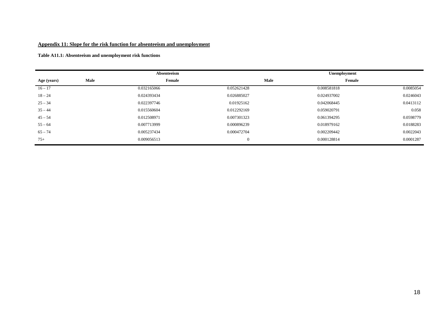#### **Appendix 11: Slope for the risk function for absenteeism and unemployment**

**Table A11.1: Absenteeism and unemployment risk functions** 

|             |      | Absenteeism |             | Unemployment |           |
|-------------|------|-------------|-------------|--------------|-----------|
| Age (years) | Male | Female      | <b>Male</b> | Female       |           |
| $16 - 17$   |      | 0.032165066 | 0.052621428 | 0.008581818  | 0.0085054 |
| $18 - 24$   |      | 0.024393434 | 0.026885027 | 0.024937002  | 0.0246043 |
| $25 - 34$   |      | 0.022397746 | 0.01925162  | 0.042068445  | 0.0413112 |
| $35 - 44$   |      | 0.015560604 | 0.012292169 | 0.059020791  | 0.058     |
| $45 - 54$   |      | 0.012508971 | 0.007301323 | 0.061394295  | 0.0598779 |
| $55 - 64$   |      | 0.007713999 | 0.000896239 | 0.018979162  | 0.0188283 |
| $65 - 74$   |      | 0.005237434 | 0.000472704 | 0.002209442  | 0.0022043 |
| $75+$       |      | 0.009056513 | $\theta$    | 0.000128814  | 0.0001287 |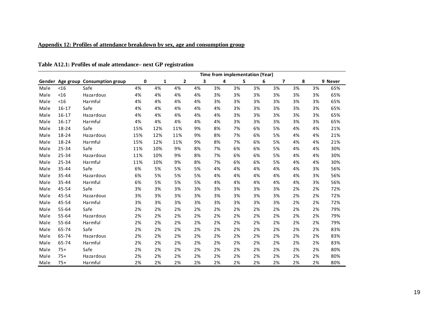## **Appendix 12: Profiles of attendance breakdown by sex, age and consumption group**

|      |           |                                    | Time from implementation (Year) |              |              |    |    |    |    |                         |    |    |         |  |
|------|-----------|------------------------------------|---------------------------------|--------------|--------------|----|----|----|----|-------------------------|----|----|---------|--|
|      |           | Gender Age group Consumption group | 0                               | $\mathbf{1}$ | $\mathbf{2}$ | 3  | 4  | 5  | 6  | $\overline{\mathbf{z}}$ | 8  |    | 9 Never |  |
| Male | $<$ 16    | Safe                               | 4%                              | 4%           | 4%           | 4% | 3% | 3% | 3% | 3%                      | 3% | 3% | 65%     |  |
| Male | $<$ 16    | Hazardous                          | 4%                              | 4%           | 4%           | 4% | 3% | 3% | 3% | 3%                      | 3% | 3% | 65%     |  |
| Male | < 16      | Harmful                            | 4%                              | 4%           | 4%           | 4% | 3% | 3% | 3% | 3%                      | 3% | 3% | 65%     |  |
| Male | $16 - 17$ | Safe                               | 4%                              | 4%           | 4%           | 4% | 4% | 3% | 3% | 3%                      | 3% | 3% | 65%     |  |
| Male | $16 - 17$ | Hazardous                          | 4%                              | 4%           | 4%           | 4% | 4% | 3% | 3% | 3%                      | 3% | 3% | 65%     |  |
| Male | $16 - 17$ | Harmful                            | 4%                              | 4%           | 4%           | 4% | 4% | 3% | 3% | 3%                      | 3% | 3% | 65%     |  |
| Male | 18-24     | Safe                               | 15%                             | 12%          | 11%          | 9% | 8% | 7% | 6% | 5%                      | 4% | 4% | 21%     |  |
| Male | 18-24     | Hazardous                          | 15%                             | 12%          | 11%          | 9% | 8% | 7% | 6% | 5%                      | 4% | 4% | 21%     |  |
| Male | 18-24     | Harmful                            | 15%                             | 12%          | 11%          | 9% | 8% | 7% | 6% | 5%                      | 4% | 4% | 21%     |  |
| Male | 25-34     | Safe                               | 11%                             | 10%          | 9%           | 8% | 7% | 6% | 6% | 5%                      | 4% | 4% | 30%     |  |
| Male | $25 - 34$ | Hazardous                          | 11%                             | 10%          | 9%           | 8% | 7% | 6% | 6% | 5%                      | 4% | 4% | 30%     |  |
| Male | 25-34     | Harmful                            | 11%                             | 10%          | 9%           | 8% | 7% | 6% | 6% | 5%                      | 4% | 4% | 30%     |  |
| Male | 35-44     | Safe                               | 6%                              | 5%           | 5%           | 5% | 4% | 4% | 4% | 4%                      | 4% | 3% | 56%     |  |
| Male | $35 - 44$ | Hazardous                          | 6%                              | 5%           | 5%           | 5% | 4% | 4% | 4% | 4%                      | 4% | 3% | 56%     |  |
| Male | 35-44     | Harmful                            | 6%                              | 5%           | 5%           | 5% | 4% | 4% | 4% | 4%                      | 4% | 3% | 56%     |  |
| Male | 45-54     | Safe                               | 3%                              | 3%           | 3%           | 3% | 3% | 3% | 3% | 3%                      | 2% | 2% | 72%     |  |
| Male | 45-54     | Hazardous                          | 3%                              | 3%           | 3%           | 3% | 3% | 3% | 3% | 3%                      | 2% | 2% | 72%     |  |
| Male | 45-54     | Harmful                            | 3%                              | 3%           | 3%           | 3% | 3% | 3% | 3% | 3%                      | 2% | 2% | 72%     |  |
| Male | 55-64     | Safe                               | 2%                              | 2%           | 2%           | 2% | 2% | 2% | 2% | 2%                      | 2% | 2% | 79%     |  |
| Male | 55-64     | Hazardous                          | 2%                              | 2%           | 2%           | 2% | 2% | 2% | 2% | 2%                      | 2% | 2% | 79%     |  |
| Male | 55-64     | Harmful                            | 2%                              | 2%           | 2%           | 2% | 2% | 2% | 2% | 2%                      | 2% | 2% | 79%     |  |
| Male | 65-74     | Safe                               | 2%                              | 2%           | 2%           | 2% | 2% | 2% | 2% | 2%                      | 2% | 2% | 83%     |  |
| Male | 65-74     | Hazardous                          | 2%                              | 2%           | 2%           | 2% | 2% | 2% | 2% | 2%                      | 2% | 2% | 83%     |  |
| Male | 65-74     | Harmful                            | 2%                              | 2%           | 2%           | 2% | 2% | 2% | 2% | 2%                      | 2% | 2% | 83%     |  |
| Male | $75+$     | Safe                               | 2%                              | 2%           | 2%           | 2% | 2% | 2% | 2% | 2%                      | 2% | 2% | 80%     |  |
| Male | $75+$     | <b>Hazardous</b>                   | 2%                              | 2%           | 2%           | 2% | 2% | 2% | 2% | 2%                      | 2% | 2% | 80%     |  |
| Male | $75+$     | Harmful                            | 2%                              | 2%           | 2%           | 2% | 2% | 2% | 2% | 2%                      | 2% | 2% | 80%     |  |

### **Table A12.1: Profiles of male attendance– next GP registration**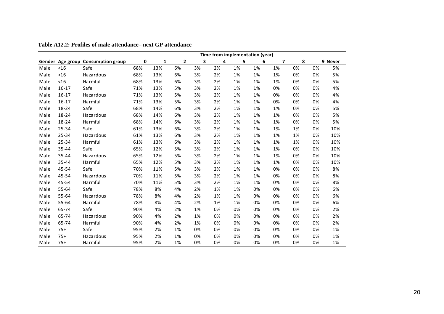|      |           |                                    | Time from implementation (year) |     |              |    |    |    |    |    |    |    |         |
|------|-----------|------------------------------------|---------------------------------|-----|--------------|----|----|----|----|----|----|----|---------|
|      |           | Gender Age group Consumption group | 0                               | 1   | $\mathbf{2}$ | 3  | 4  | 5  | 6  | 7  | 8  |    | 9 Never |
| Male | $<$ 16    | Safe                               | 68%                             | 13% | 6%           | 3% | 2% | 1% | 1% | 1% | 0% | 0% | 5%      |
| Male | $<$ 16    | Hazardous                          | 68%                             | 13% | 6%           | 3% | 2% | 1% | 1% | 1% | 0% | 0% | 5%      |
| Male | $<$ 16    | Harmful                            | 68%                             | 13% | 6%           | 3% | 2% | 1% | 1% | 1% | 0% | 0% | 5%      |
| Male | $16 - 17$ | Safe                               | 71%                             | 13% | 5%           | 3% | 2% | 1% | 1% | 0% | 0% | 0% | 4%      |
| Male | $16 - 17$ | Hazardous                          | 71%                             | 13% | 5%           | 3% | 2% | 1% | 1% | 0% | 0% | 0% | 4%      |
| Male | $16 - 17$ | Harmful                            | 71%                             | 13% | 5%           | 3% | 2% | 1% | 1% | 0% | 0% | 0% | 4%      |
| Male | 18-24     | Safe                               | 68%                             | 14% | 6%           | 3% | 2% | 1% | 1% | 1% | 0% | 0% | 5%      |
| Male | 18-24     | Hazardous                          | 68%                             | 14% | 6%           | 3% | 2% | 1% | 1% | 1% | 0% | 0% | 5%      |
| Male | 18-24     | Harmful                            | 68%                             | 14% | 6%           | 3% | 2% | 1% | 1% | 1% | 0% | 0% | 5%      |
| Male | 25-34     | Safe                               | 61%                             | 13% | 6%           | 3% | 2% | 1% | 1% | 1% | 1% | 0% | 10%     |
| Male | 25-34     | Hazardous                          | 61%                             | 13% | 6%           | 3% | 2% | 1% | 1% | 1% | 1% | 0% | 10%     |
| Male | 25-34     | Harmful                            | 61%                             | 13% | 6%           | 3% | 2% | 1% | 1% | 1% | 1% | 0% | 10%     |
| Male | 35-44     | Safe                               | 65%                             | 12% | 5%           | 3% | 2% | 1% | 1% | 1% | 0% | 0% | 10%     |
| Male | 35-44     | Hazardous                          | 65%                             | 12% | 5%           | 3% | 2% | 1% | 1% | 1% | 0% | 0% | 10%     |
| Male | $35 - 44$ | Harmful                            | 65%                             | 12% | 5%           | 3% | 2% | 1% | 1% | 1% | 0% | 0% | 10%     |
| Male | 45-54     | Safe                               | 70%                             | 11% | 5%           | 3% | 2% | 1% | 1% | 0% | 0% | 0% | 8%      |
| Male | 45-54     | Hazardous                          | 70%                             | 11% | 5%           | 3% | 2% | 1% | 1% | 0% | 0% | 0% | 8%      |
| Male | 45-54     | Harmful                            | 70%                             | 11% | 5%           | 3% | 2% | 1% | 1% | 0% | 0% | 0% | 8%      |
| Male | 55-64     | Safe                               | 78%                             | 8%  | 4%           | 2% | 1% | 1% | 0% | 0% | 0% | 0% | 6%      |
| Male | 55-64     | <b>Hazardous</b>                   | 78%                             | 8%  | 4%           | 2% | 1% | 1% | 0% | 0% | 0% | 0% | 6%      |
| Male | 55-64     | Harmful                            | 78%                             | 8%  | 4%           | 2% | 1% | 1% | 0% | 0% | 0% | 0% | 6%      |
| Male | 65-74     | Safe                               | 90%                             | 4%  | 2%           | 1% | 0% | 0% | 0% | 0% | 0% | 0% | 2%      |
| Male | 65-74     | <b>Hazardous</b>                   | 90%                             | 4%  | 2%           | 1% | 0% | 0% | 0% | 0% | 0% | 0% | 2%      |
| Male | 65-74     | Harmful                            | 90%                             | 4%  | 2%           | 1% | 0% | 0% | 0% | 0% | 0% | 0% | 2%      |
| Male | $75+$     | Safe                               | 95%                             | 2%  | 1%           | 0% | 0% | 0% | 0% | 0% | 0% | 0% | 1%      |
| Male | $75+$     | Hazardous                          | 95%                             | 2%  | 1%           | 0% | 0% | 0% | 0% | 0% | 0% | 0% | 1%      |
| Male | $75+$     | Harmful                            | 95%                             | 2%  | 1%           | 0% | 0% | 0% | 0% | 0% | 0% | 0% | 1%      |

**Table A12.2: Profiles of male attendance– next GP attendance**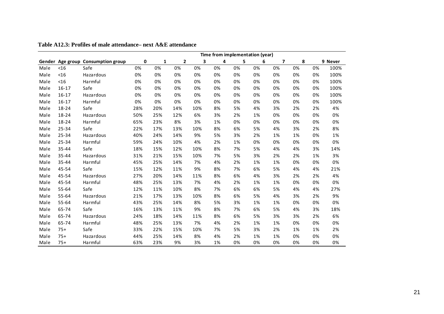|      |           |                                    | Time from implementation (year) |              |              |     |    |    |    |                         |    |    |         |
|------|-----------|------------------------------------|---------------------------------|--------------|--------------|-----|----|----|----|-------------------------|----|----|---------|
|      |           | Gender Age group Consumption group | 0                               | $\mathbf{1}$ | $\mathbf{2}$ | 3   | 4  | 5  | 6  | $\overline{\mathbf{z}}$ | 8  |    | 9 Never |
| Male | $<$ 16    | Safe                               | 0%                              | 0%           | 0%           | 0%  | 0% | 0% | 0% | 0%                      | 0% | 0% | 100%    |
| Male | $<$ 16    | Hazardous                          | 0%                              | 0%           | 0%           | 0%  | 0% | 0% | 0% | 0%                      | 0% | 0% | 100%    |
| Male | $<$ 16    | Harmful                            | 0%                              | 0%           | 0%           | 0%  | 0% | 0% | 0% | 0%                      | 0% | 0% | 100%    |
| Male | $16 - 17$ | Safe                               | 0%                              | 0%           | 0%           | 0%  | 0% | 0% | 0% | 0%                      | 0% | 0% | 100%    |
| Male | $16 - 17$ | Hazardous                          | 0%                              | 0%           | 0%           | 0%  | 0% | 0% | 0% | 0%                      | 0% | 0% | 100%    |
| Male | $16 - 17$ | Harmful                            | 0%                              | 0%           | 0%           | 0%  | 0% | 0% | 0% | 0%                      | 0% | 0% | 100%    |
| Male | 18-24     | Safe                               | 28%                             | 20%          | 14%          | 10% | 8% | 5% | 4% | 3%                      | 2% | 2% | 4%      |
| Male | 18-24     | Hazardous                          | 50%                             | 25%          | 12%          | 6%  | 3% | 2% | 1% | 0%                      | 0% | 0% | 0%      |
| Male | 18-24     | Harmful                            | 65%                             | 23%          | 8%           | 3%  | 1% | 0% | 0% | 0%                      | 0% | 0% | 0%      |
| Male | 25-34     | Safe                               | 22%                             | 17%          | 13%          | 10% | 8% | 6% | 5% | 4%                      | 3% | 2% | 8%      |
| Male | 25-34     | Hazardous                          | 40%                             | 24%          | 14%          | 9%  | 5% | 3% | 2% | 1%                      | 1% | 0% | 1%      |
| Male | 25-34     | Harmful                            | 59%                             | 24%          | 10%          | 4%  | 2% | 1% | 0% | 0%                      | 0% | 0% | 0%      |
| Male | 35-44     | Safe                               | 18%                             | 15%          | 12%          | 10% | 8% | 7% | 5% | 4%                      | 4% | 3% | 14%     |
| Male | 35-44     | Hazardous                          | 31%                             | 21%          | 15%          | 10% | 7% | 5% | 3% | 2%                      | 2% | 1% | 3%      |
| Male | 35-44     | Harmful                            | 45%                             | 25%          | 14%          | 7%  | 4% | 2% | 1% | 1%                      | 0% | 0% | 0%      |
| Male | 45-54     | Safe                               | 15%                             | 12%          | 11%          | 9%  | 8% | 7% | 6% | 5%                      | 4% | 4% | 21%     |
| Male | 45-54     | Hazardous                          | 27%                             | 20%          | 14%          | 11% | 8% | 6% | 4% | 3%                      | 2% | 2% | 4%      |
| Male | 45-54     | Harmful                            | 48%                             | 25%          | 13%          | 7%  | 4% | 2% | 1% | 1%                      | 0% | 0% | 0%      |
| Male | 55-64     | Safe                               | 12%                             | 11%          | 10%          | 8%  | 7% | 6% | 6% | 5%                      | 4% | 4% | 27%     |
| Male | 55-64     | <b>Hazardous</b>                   | 21%                             | 17%          | 13%          | 10% | 8% | 6% | 5% | 4%                      | 3% | 2% | 9%      |
| Male | 55-64     | Harmful                            | 43%                             | 25%          | 14%          | 8%  | 5% | 3% | 1% | 1%                      | 0% | 0% | 0%      |
| Male | 65-74     | Safe                               | 16%                             | 13%          | 11%          | 9%  | 8% | 7% | 6% | 5%                      | 4% | 3% | 18%     |
| Male | 65-74     | <b>Hazardous</b>                   | 24%                             | 18%          | 14%          | 11% | 8% | 6% | 5% | 3%                      | 3% | 2% | 6%      |
| Male | 65-74     | Harmful                            | 48%                             | 25%          | 13%          | 7%  | 4% | 2% | 1% | 1%                      | 0% | 0% | 0%      |
| Male | $75+$     | Safe                               | 33%                             | 22%          | 15%          | 10% | 7% | 5% | 3% | 2%                      | 1% | 1% | 2%      |
| Male | $75+$     | Hazardous                          | 44%                             | 25%          | 14%          | 8%  | 4% | 2% | 1% | 1%                      | 0% | 0% | 0%      |
| Male | $75+$     | Harmful                            | 63%                             | 23%          | 9%           | 3%  | 1% | 0% | 0% | 0%                      | 0% | 0% | 0%      |

**Table A12.3: Profiles of male attendance– next A&E attendance**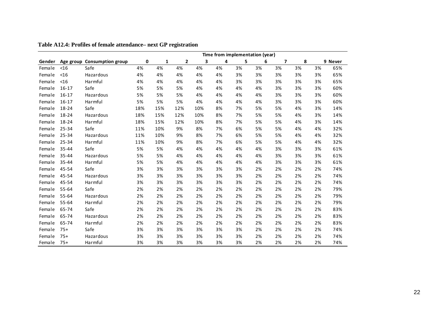|        |           |                             | Time from implementation (year) |              |                |     |    |    |    |                |    |    |         |
|--------|-----------|-----------------------------|---------------------------------|--------------|----------------|-----|----|----|----|----------------|----|----|---------|
| Gender |           | Age group Consumption group | 0                               | $\mathbf{1}$ | $\overline{2}$ | 3   | 4  | 5  | 6  | $\overline{7}$ | 8  |    | 9 Never |
| Female | $<$ 16    | Safe                        | 4%                              | 4%           | 4%             | 4%  | 4% | 3% | 3% | 3%             | 3% | 3% | 65%     |
| Female | $<$ 16    | Hazardous                   | 4%                              | 4%           | 4%             | 4%  | 4% | 3% | 3% | 3%             | 3% | 3% | 65%     |
| Female | $<$ 16    | Harmful                     | 4%                              | 4%           | 4%             | 4%  | 4% | 3% | 3% | 3%             | 3% | 3% | 65%     |
| Female | $16 - 17$ | Safe                        | 5%                              | 5%           | 5%             | 4%  | 4% | 4% | 4% | 3%             | 3% | 3% | 60%     |
| Female | $16 - 17$ | Hazardous                   | 5%                              | 5%           | 5%             | 4%  | 4% | 4% | 4% | 3%             | 3% | 3% | 60%     |
| Female | $16 - 17$ | Harmful                     | 5%                              | 5%           | 5%             | 4%  | 4% | 4% | 4% | 3%             | 3% | 3% | 60%     |
| Female | 18-24     | Safe                        | 18%                             | 15%          | 12%            | 10% | 8% | 7% | 5% | 5%             | 4% | 3% | 14%     |
| Female | 18-24     | Hazardous                   | 18%                             | 15%          | 12%            | 10% | 8% | 7% | 5% | 5%             | 4% | 3% | 14%     |
| Female | 18-24     | Harmful                     | 18%                             | 15%          | 12%            | 10% | 8% | 7% | 5% | 5%             | 4% | 3% | 14%     |
| Female | 25-34     | Safe                        | 11%                             | 10%          | 9%             | 8%  | 7% | 6% | 5% | 5%             | 4% | 4% | 32%     |
| Female | 25-34     | Hazardous                   | 11%                             | 10%          | 9%             | 8%  | 7% | 6% | 5% | 5%             | 4% | 4% | 32%     |
| Female | 25-34     | Harmful                     | 11%                             | 10%          | 9%             | 8%  | 7% | 6% | 5% | 5%             | 4% | 4% | 32%     |
| Female | 35-44     | Safe                        | 5%                              | 5%           | 4%             | 4%  | 4% | 4% | 4% | 3%             | 3% | 3% | 61%     |
| Female | 35-44     | Hazardous                   | 5%                              | 5%           | 4%             | 4%  | 4% | 4% | 4% | 3%             | 3% | 3% | 61%     |
| Female | 35-44     | Harmful                     | 5%                              | 5%           | 4%             | 4%  | 4% | 4% | 4% | 3%             | 3% | 3% | 61%     |
| Female | 45-54     | Safe                        | 3%                              | 3%           | 3%             | 3%  | 3% | 3% | 2% | 2%             | 2% | 2% | 74%     |
| Female | 45-54     | Hazardous                   | 3%                              | 3%           | 3%             | 3%  | 3% | 3% | 2% | 2%             | 2% | 2% | 74%     |
| Female | 45-54     | Harmful                     | 3%                              | 3%           | 3%             | 3%  | 3% | 3% | 2% | 2%             | 2% | 2% | 74%     |
| Female | 55-64     | Safe                        | 2%                              | 2%           | 2%             | 2%  | 2% | 2% | 2% | 2%             | 2% | 2% | 79%     |
| Female | 55-64     | Hazardous                   | 2%                              | 2%           | 2%             | 2%  | 2% | 2% | 2% | 2%             | 2% | 2% | 79%     |
| Female | 55-64     | Harmful                     | 2%                              | 2%           | 2%             | 2%  | 2% | 2% | 2% | 2%             | 2% | 2% | 79%     |
| Female | 65-74     | Safe                        | 2%                              | 2%           | 2%             | 2%  | 2% | 2% | 2% | 2%             | 2% | 2% | 83%     |
| Female | 65-74     | Hazardous                   | 2%                              | 2%           | 2%             | 2%  | 2% | 2% | 2% | 2%             | 2% | 2% | 83%     |
| Female | 65-74     | Harmful                     | 2%                              | 2%           | 2%             | 2%  | 2% | 2% | 2% | 2%             | 2% | 2% | 83%     |
| Female | $75+$     | Safe                        | 3%                              | 3%           | 3%             | 3%  | 3% | 3% | 2% | 2%             | 2% | 2% | 74%     |
| Female | $75+$     | Hazardous                   | 3%                              | 3%           | 3%             | 3%  | 3% | 3% | 2% | 2%             | 2% | 2% | 74%     |
| Female | $75+$     | Harmful                     | 3%                              | 3%           | 3%             | 3%  | 3% | 3% | 2% | 2%             | 2% | 2% | 74%     |

**Table A12.4: Profiles of female attendance– next GP registration**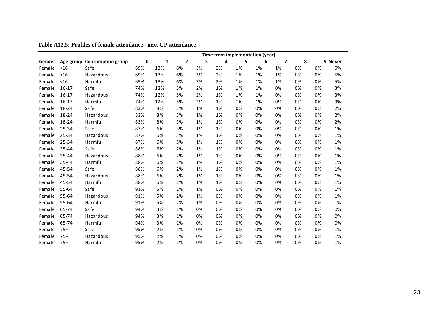|        |           |                             | Time from implementation (year) |              |                |    |    |    |    |                |    |    |         |
|--------|-----------|-----------------------------|---------------------------------|--------------|----------------|----|----|----|----|----------------|----|----|---------|
| Gender |           | Age group Consumption group | 0                               | $\mathbf{1}$ | $\overline{2}$ | 3  | 4  | 5  | 6  | $\overline{ }$ | 8  |    | 9 Never |
| Female | $<$ 16    | Safe                        | 69%                             | 13%          | 6%             | 3% | 2% | 1% | 1% | 1%             | 0% | 0% | 5%      |
| Female | $<$ 16    | Hazardous                   | 69%                             | 13%          | 6%             | 3% | 2% | 1% | 1% | 1%             | 0% | 0% | 5%      |
| Female | $<$ 16    | Harmful                     | 69%                             | 13%          | 6%             | 3% | 2% | 1% | 1% | 1%             | 0% | 0% | 5%      |
| Female | $16 - 17$ | Safe                        | 74%                             | 12%          | 5%             | 2% | 1% | 1% | 1% | 0%             | 0% | 0% | 3%      |
| Female | $16 - 17$ | Hazardous                   | 74%                             | 12%          | 5%             | 2% | 1% | 1% | 1% | 0%             | 0% | 0% | 3%      |
| Female | $16 - 17$ | Harmful                     | 74%                             | 12%          | 5%             | 2% | 1% | 1% | 1% | 0%             | 0% | 0% | 3%      |
| Female | 18-24     | Safe                        | 83%                             | 8%           | 3%             | 1% | 1% | 0% | 0% | 0%             | 0% | 0% | 2%      |
| Female | 18-24     | Hazardous                   | 83%                             | 8%           | 3%             | 1% | 1% | 0% | 0% | 0%             | 0% | 0% | 2%      |
| Female | 18-24     | Harmful                     | 83%                             | 8%           | 3%             | 1% | 1% | 0% | 0% | 0%             | 0% | 0% | 2%      |
| Female | 25-34     | Safe                        | 87%                             | 6%           | 3%             | 1% | 1% | 0% | 0% | 0%             | 0% | 0% | 1%      |
| Female | 25-34     | Hazardous                   | 87%                             | 6%           | 3%             | 1% | 1% | 0% | 0% | 0%             | 0% | 0% | 1%      |
| Female | 25-34     | Harmful                     | 87%                             | 6%           | 3%             | 1% | 1% | 0% | 0% | 0%             | 0% | 0% | 1%      |
| Female | 35-44     | Safe                        | 88%                             | 6%           | 2%             | 1% | 1% | 0% | 0% | 0%             | 0% | 0% | 1%      |
| Female | 35-44     | Hazardous                   | 88%                             | 6%           | 2%             | 1% | 1% | 0% | 0% | 0%             | 0% | 0% | 1%      |
| Female | 35-44     | Harmful                     | 88%                             | 6%           | 2%             | 1% | 1% | 0% | 0% | 0%             | 0% | 0% | 1%      |
| Female | 45-54     | Safe                        | 88%                             | 6%           | 2%             | 1% | 1% | 0% | 0% | 0%             | 0% | 0% | 1%      |
| Female | 45-54     | Hazardous                   | 88%                             | 6%           | 2%             | 1% | 1% | 0% | 0% | 0%             | 0% | 0% | 1%      |
| Female | 45-54     | Harmful                     | 88%                             | 6%           | 2%             | 1% | 1% | 0% | 0% | 0%             | 0% | 0% | 1%      |
| Female | 55-64     | Safe                        | 91%                             | 5%           | 2%             | 1% | 0% | 0% | 0% | 0%             | 0% | 0% | 1%      |
| Female | 55-64     | Hazardous                   | 91%                             | 5%           | 2%             | 1% | 0% | 0% | 0% | 0%             | 0% | 0% | 1%      |
| Female | 55-64     | Harmful                     | 91%                             | 5%           | 2%             | 1% | 0% | 0% | 0% | 0%             | 0% | 0% | 1%      |
| Female | 65-74     | Safe                        | 94%                             | 3%           | 1%             | 0% | 0% | 0% | 0% | 0%             | 0% | 0% | 0%      |
| Female | 65-74     | Hazardous                   | 94%                             | 3%           | 1%             | 0% | 0% | 0% | 0% | 0%             | 0% | 0% | 0%      |
| Female | 65-74     | Harmful                     | 94%                             | 3%           | 1%             | 0% | 0% | 0% | 0% | 0%             | 0% | 0% | 0%      |
| Female | $75+$     | Safe                        | 95%                             | 2%           | 1%             | 0% | 0% | 0% | 0% | 0%             | 0% | 0% | 1%      |
| Female | $75+$     | Hazardous                   | 95%                             | 2%           | 1%             | 0% | 0% | 0% | 0% | 0%             | 0% | 0% | 1%      |
| Female | $75+$     | Harmful                     | 95%                             | 2%           | 1%             | 0% | 0% | 0% | 0% | 0%             | 0% | 0% | 1%      |

**Table A12.5: Profiles of female attendance– next GP attendance**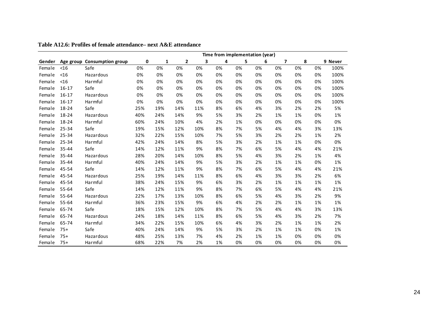|        |           |                             |     |              |                |     |    |    | Time from implementation (year) |                |    |    |         |
|--------|-----------|-----------------------------|-----|--------------|----------------|-----|----|----|---------------------------------|----------------|----|----|---------|
| Gender |           | Age group Consumption group | 0   | $\mathbf{1}$ | $\overline{2}$ | 3   | 4  | 5  | 6                               | $\overline{7}$ | 8  |    | 9 Never |
| Female | $<$ 16    | Safe                        | 0%  | 0%           | 0%             | 0%  | 0% | 0% | 0%                              | 0%             | 0% | 0% | 100%    |
| Female | $<$ 16    | Hazardous                   | 0%  | 0%           | 0%             | 0%  | 0% | 0% | 0%                              | 0%             | 0% | 0% | 100%    |
| Female | $<$ 16    | Harmful                     | 0%  | 0%           | 0%             | 0%  | 0% | 0% | 0%                              | 0%             | 0% | 0% | 100%    |
| Female | $16 - 17$ | Safe                        | 0%  | 0%           | 0%             | 0%  | 0% | 0% | 0%                              | 0%             | 0% | 0% | 100%    |
| Female | $16 - 17$ | Hazardous                   | 0%  | 0%           | 0%             | 0%  | 0% | 0% | 0%                              | 0%             | 0% | 0% | 100%    |
| Female | $16 - 17$ | Harmful                     | 0%  | 0%           | 0%             | 0%  | 0% | 0% | 0%                              | 0%             | 0% | 0% | 100%    |
| Female | 18-24     | Safe                        | 25% | 19%          | 14%            | 11% | 8% | 6% | 4%                              | 3%             | 2% | 2% | 5%      |
| Female | 18-24     | Hazardous                   | 40% | 24%          | 14%            | 9%  | 5% | 3% | 2%                              | 1%             | 1% | 0% | 1%      |
| Female | 18-24     | Harmful                     | 60% | 24%          | 10%            | 4%  | 2% | 1% | 0%                              | 0%             | 0% | 0% | 0%      |
| Female | 25-34     | Safe                        | 19% | 15%          | 12%            | 10% | 8% | 7% | 5%                              | 4%             | 4% | 3% | 13%     |
| Female | 25-34     | Hazardous                   | 32% | 22%          | 15%            | 10% | 7% | 5% | 3%                              | 2%             | 2% | 1% | 2%      |
| Female | 25-34     | Harmful                     | 42% | 24%          | 14%            | 8%  | 5% | 3% | 2%                              | 1%             | 1% | 0% | 0%      |
| Female | 35-44     | Safe                        | 14% | 12%          | 11%            | 9%  | 8% | 7% | 6%                              | 5%             | 4% | 4% | 21%     |
| Female | 35-44     | Hazardous                   | 28% | 20%          | 14%            | 10% | 8% | 5% | 4%                              | 3%             | 2% | 1% | 4%      |
| Female | 35-44     | Harmful                     | 40% | 24%          | 14%            | 9%  | 5% | 3% | 2%                              | 1%             | 1% | 0% | 1%      |
| Female | 45-54     | Safe                        | 14% | 12%          | 11%            | 9%  | 8% | 7% | 6%                              | 5%             | 4% | 4% | 21%     |
| Female | 45-54     | Hazardous                   | 25% | 19%          | 14%            | 11% | 8% | 6% | 4%                              | 3%             | 3% | 2% | 6%      |
| Female | 45-54     | Harmful                     | 38% | 24%          | 15%            | 9%  | 6% | 3% | 2%                              | 1%             | 1% | 1% | 1%      |
| Female | 55-64     | Safe                        | 14% | 12%          | 11%            | 9%  | 8% | 7% | 6%                              | 5%             | 4% | 4% | 21%     |
| Female | 55-64     | Hazardous                   | 22% | 17%          | 13%            | 10% | 8% | 6% | 5%                              | 4%             | 3% | 2% | 9%      |
| Female | 55-64     | Harmful                     | 36% | 23%          | 15%            | 9%  | 6% | 4% | 2%                              | 2%             | 1% | 1% | 1%      |
| Female | 65-74     | Safe                        | 18% | 15%          | 12%            | 10% | 8% | 7% | 5%                              | 4%             | 4% | 3% | 13%     |
| Female | 65-74     | Hazardous                   | 24% | 18%          | 14%            | 11% | 8% | 6% | 5%                              | 4%             | 3% | 2% | 7%      |
| Female | 65-74     | Harmful                     | 34% | 22%          | 15%            | 10% | 6% | 4% | 3%                              | 2%             | 1% | 1% | 2%      |
| Female | $75+$     | Safe                        | 40% | 24%          | 14%            | 9%  | 5% | 3% | 2%                              | 1%             | 1% | 0% | 1%      |
| Female | $75+$     | Hazardous                   | 48% | 25%          | 13%            | 7%  | 4% | 2% | 1%                              | 1%             | 0% | 0% | 0%      |
| Female | $75+$     | Harmful                     | 68% | 22%          | 7%             | 2%  | 1% | 0% | 0%                              | 0%             | 0% | 0% | 0%      |

**Table A12.6: Profiles of female attendance– next A&E attendance**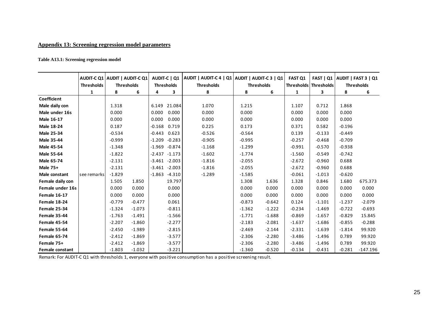### **Appendix 13: Screening regression model parameters**

#### **Table A13.1: Screening regression model**

|                     | AUDIT-C Q1 AUDIT   AUDIT-C Q1 |                   |          | AUDIT-C   Q1      |          | AUDIT   AUDIT-C 4   Q1   AUDIT   AUDIT-C 3   Q1 |          |                   | <b>FAST Q1</b> | FAST   Q1   AUDIT   FAST 3   Q1 |          |                   |
|---------------------|-------------------------------|-------------------|----------|-------------------|----------|-------------------------------------------------|----------|-------------------|----------------|---------------------------------|----------|-------------------|
|                     | <b>Thresholds</b>             | <b>Thresholds</b> |          | <b>Thresholds</b> |          | <b>Thresholds</b>                               |          | <b>Thresholds</b> |                | Thresholds Thresholds           |          | <b>Thresholds</b> |
|                     | 1                             | 8                 | 6        | 4                 | 3        | 8                                               | 8        | 6                 | 1              | 3                               | 8        | 6                 |
| Coefficient         |                               |                   |          |                   |          |                                                 |          |                   |                |                                 |          |                   |
| Male daily con      |                               | 1.318             |          | 6.149             | 21.084   | 1.070                                           | 1.215    |                   | 1.107          | 0.712                           | 1.868    |                   |
| Male under 16s      |                               | 0.000             |          | 0.000             | 0.000    | 0.000                                           | 0.000    |                   | 0.000          | 0.000                           | 0.000    |                   |
| Male 16-17          |                               | 0.000             |          | 0.000             | 0.000    | 0.000                                           | 0.000    |                   | 0.000          | 0.000                           | 0.000    |                   |
| Male 18-24          |                               | 0.187             |          | $-0.168$          | 0.719    | 0.225                                           | 0.173    |                   | 0.371          | 0.582                           | $-0.196$ |                   |
| <b>Male 25-34</b>   |                               | $-0.534$          |          | $-0.443$          | 0.623    | $-0.526$                                        | $-0.564$ |                   | 0.139          | $-0.133$                        | $-0.449$ |                   |
| Male 35-44          |                               | $-0.999$          |          | $-1.209$          | $-0.283$ | $-0.905$                                        | $-0.995$ |                   | $-0.257$       | $-0.468$                        | $-0.709$ |                   |
| <b>Male 45-54</b>   |                               | $-1.348$          |          | $-1.969$          | $-0.874$ | $-1.168$                                        | $-1.299$ |                   | $-0.991$       | $-0.570$                        | $-0.938$ |                   |
| <b>Male 55-64</b>   |                               | $-1.822$          |          | $-2.437$          | $-1.173$ | $-1.602$                                        | $-1.774$ |                   | $-1.560$       | $-0.549$                        | $-0.742$ |                   |
| Male 65-74          |                               | $-2.131$          |          | $-3.461 - 2.003$  |          | $-1.816$                                        | $-2.055$ |                   | $-2.672$       | $-0.960$                        | 0.688    |                   |
| <b>Male 75+</b>     |                               | $-2.131$          |          | $-3.461 - 2.003$  |          | $-1.816$                                        | $-2.055$ |                   | $-2.672$       | $-0.960$                        | 0.688    |                   |
| Male constant       | see remarks                   | $-1.829$          |          | $-1.863$          | $-4.310$ | $-1.289$                                        | $-1.585$ |                   | $-0.061$       | $-1.013$                        | $-0.620$ |                   |
| Female daily con    |                               | 1.505             | 1.850    |                   | 19.797   |                                                 | 1.308    | 1.636             | 1.328          | 0.846                           | 1.680    | 675.373           |
| Female under 16s    |                               | 0.000             | 0.000    |                   | 0.000    |                                                 | 0.000    | 0.000             | 0.000          | 0.000                           | 0.000    | 0.000             |
| <b>Female 16-17</b> |                               | 0.000             | 0.000    |                   | 0.000    |                                                 | 0.000    | 0.000             | 0.000          | 0.000                           | 0.000    | 0.000             |
| Female 18-24        |                               | $-0.779$          | $-0.477$ |                   | 0.061    |                                                 | $-0.873$ | $-0.642$          | 0.124          | $-1.101$                        | $-1.237$ | $-2.079$          |
| Female 25-34        |                               | $-1.324$          | $-1.073$ |                   | $-0.811$ |                                                 | $-1.362$ | $-1.222$          | $-0.234$       | $-1.469$                        | $-0.722$ | $-0.693$          |
| Female 35-44        |                               | $-1.763$          | $-1.491$ |                   | $-1.566$ |                                                 | $-1.771$ | $-1.688$          | $-0.869$       | $-1.657$                        | $-0.829$ | 15.845            |
| Female 45-54        |                               | $-2.207$          | $-1.860$ |                   | $-2.277$ |                                                 | $-2.183$ | $-2.081$          | $-1.637$       | $-1.686$                        | $-0.855$ | $-0.288$          |
| Female 55-64        |                               | $-2.450$          | $-1.989$ |                   | $-2.815$ |                                                 | $-2.469$ | $-2.144$          | $-2.331$       | $-1.639$                        | $-1.814$ | 99.920            |
| Female 65-74        |                               | $-2.412$          | $-1.869$ |                   | $-3.577$ |                                                 | $-2.306$ | $-2.280$          | $-3.486$       | $-1.496$                        | 0.789    | 99.920            |
| Female 75+          |                               | $-2.412$          | $-1.869$ |                   | $-3.577$ |                                                 | $-2.306$ | $-2.280$          | $-3.486$       | $-1.496$                        | 0.789    | 99.920            |
| Female constant     |                               | $-1.803$          | $-1.032$ |                   | $-3.221$ |                                                 | $-1.360$ | $-0.520$          | $-0.134$       | $-0.431$                        | $-0.281$ | $-147.196$        |

Remark: For AUDIT-C Q1 with thresholds 1, everyone with positive consumption has a positive screening result.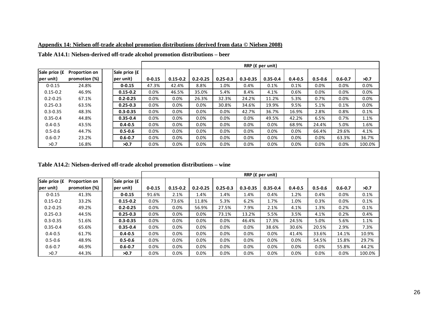|                            |                                       |                             |            |              |              |              |              | RRP (£ per unit) |             |             |             |        |
|----------------------------|---------------------------------------|-----------------------------|------------|--------------|--------------|--------------|--------------|------------------|-------------|-------------|-------------|--------|
| Sale price (£<br>per unit) | <b>Proportion on</b><br>promotion (%) | Sale price (£<br>(per unit) | $0 - 0.15$ | $0.15 - 0.2$ | $0.2 - 0.25$ | $0.25 - 0.3$ | $0.3 - 0.35$ | $0.35 - 0.4$     | $0.4 - 0.5$ | $0.5 - 0.6$ | $0.6 - 0.7$ | >0.7   |
| $0 - 0.15$                 | 24.8%                                 | $0 - 0.15$                  | 47.3%      | 42.4%        | 8.8%         | 1.0%         | 0.4%         | 0.1%             | 0.1%        | 0.0%        | $0.0\%$     | 0.0%   |
| $0.15 - 0.2$               | 46.9%                                 | $0.15 - 0.2$                | $0.0\%$    | 46.5%        | 35.0%        | 5.4%         | 8.4%         | 4.1%             | 0.6%        | 0.0%        | 0.0%        | 0.0%   |
| $0.2 - 0.25$               | 67.1%                                 | $0.2 - 0.25$                | 0.0%       | 0.0%         | 26.3%        | 32.3%        | 24.2%        | 11.2%            | 5.3%        | 0.7%        | 0.0%        | 0.0%   |
| $0.25 - 0.3$               | 63.5%                                 | $0.25 - 0.3$                | 0.0%       | 0.0%         | 0.0%         | 30.8%        | 34.6%        | 19.9%            | 9.5%        | 5.1%        | 0.1%        | 0.0%   |
| $0.3 - 0.35$               | 48.3%                                 | $0.3 - 0.35$                | 0.0%       | 0.0%         | 0.0%         | 0.0%         | 42.7%        | 36.7%            | 16.9%       | 2.8%        | 0.8%        | 0.1%   |
| $0.35 - 0.4$               | 44.8%                                 | $0.35 - 0.4$                | 0.0%       | 0.0%         | 0.0%         | 0.0%         | 0.0%         | 49.5%            | 42.2%       | 6.5%        | 0.7%        | 1.1%   |
| $0.4 - 0.5$                | 43.5%                                 | $0.4 - 0.5$                 | 0.0%       | 0.0%         | 0.0%         | 0.0%         | 0.0%         | 0.0%             | 68.9%       | 24.4%       | 5.0%        | 1.6%   |
| $0.5 - 0.6$                | 44.7%                                 | $0.5 - 0.6$                 | 0.0%       | 0.0%         | 0.0%         | 0.0%         | 0.0%         | $0.0\%$          | 0.0%        | 66.4%       | 29.6%       | 4.1%   |
| $0.6 - 0.7$                | 23.2%                                 | $0.6 - 0.7$                 | 0.0%       | 0.0%         | 0.0%         | $0.0\%$      | 0.0%         | 0.0%             | 0.0%        | $0.0\%$     | 63.3%       | 36.7%  |
| >0.7                       | 16.8%                                 | >0.7                        | 0.0%       | 0.0%         | 0.0%         | 0.0%         | $0.0\%$      | 0.0%             | 0.0%        | 0.0%        | $0.0\%$     | 100.0% |

**Appendix 14: Nielsen off-trade alcohol promotion distributions (derived from data © Nielsen 2008)**

| Table A14.1: Nielsen-derived off-trade alcohol promotion distributions – beer |  |  |  |
|-------------------------------------------------------------------------------|--|--|--|
|-------------------------------------------------------------------------------|--|--|--|

**Table A14.2: Nielsen-derived off-trade alcohol promotion distributions – wine** 

|               |                      |               |            |              |              |              |              | RRP (£ per unit) |             |             |             |        |
|---------------|----------------------|---------------|------------|--------------|--------------|--------------|--------------|------------------|-------------|-------------|-------------|--------|
| Sale price (£ | <b>Proportion on</b> | Sale price (£ |            |              |              |              |              |                  |             |             |             |        |
| per unit)     | promotion (%)        | per unit)     | $0 - 0.15$ | $0.15 - 0.2$ | $0.2 - 0.25$ | $0.25 - 0.3$ | $0.3 - 0.35$ | $0.35 - 0.4$     | $0.4 - 0.5$ | $0.5 - 0.6$ | $0.6 - 0.7$ | >0.7   |
| $0 - 0.15$    | 41.3%                | $0 - 0.15$    | 91.6%      | 2.1%         | 1.4%         | 1.4%         | 1.4%         | 0.4%             | 1.2%        | 0.4%        | 0.0%        | 0.1%   |
| $0.15 - 0.2$  | 33.2%                | $0.15 - 0.2$  | 0.0%       | 73.6%        | 11.8%        | 5.3%         | 6.2%         | 1.7%             | 1.0%        | 0.3%        | $0.0\%$     | 0.1%   |
| $0.2 - 0.25$  | 49.2%                | $0.2 - 0.25$  | 0.0%       | 0.0%         | 56.9%        | 27.5%        | 7.9%         | 2.1%             | 4.1%        | 1.3%        | 0.2%        | 0.1%   |
| $0.25 - 0.3$  | 44.5%                | $0.25 - 0.3$  | 0.0%       | 0.0%         | 0.0%         | 73.1%        | 13.2%        | 5.5%             | 3.5%        | 4.1%        | 0.2%        | 0.4%   |
| $0.3 - 0.35$  | 51.6%                | $0.3 - 0.35$  | 0.0%       | 0.0%         | 0.0%         | 0.0%         | 46.4%        | 17.3%            | 24.5%       | 5.0%        | 5.6%        | 1.1%   |
| $0.35 - 0.4$  | 65.6%                | $0.35 - 0.4$  | 0.0%       | $0.0\%$      | 0.0%         | 0.0%         | 0.0%         | 38.6%            | 30.6%       | 20.5%       | 2.9%        | 7.3%   |
| $0.4 - 0.5$   | 61.7%                | $0.4 - 0.5$   | 0.0%       | 0.0%         | 0.0%         | 0.0%         | 0.0%         | 0.0%             | 41.4%       | 33.6%       | 14.1%       | 10.9%  |
| $0.5 - 0.6$   | 48.9%                | $0.5 - 0.6$   | 0.0%       | $0.0\%$      | 0.0%         | 0.0%         | 0.0%         | 0.0%             | 0.0%        | 54.5%       | 15.8%       | 29.7%  |
| $0.6 - 0.7$   | 46.9%                | $0.6 - 0.7$   | 0.0%       | 0.0%         | 0.0%         | 0.0%         | 0.0%         | 0.0%             | 0.0%        | $0.0\%$     | 55.8%       | 44.2%  |
| >0.7          | 44.3%                | >0.7          | 0.0%       | 0.0%         | $0.0\%$      | 0.0%         | 0.0%         | $0.0\%$          | 0.0%        | $0.0\%$     | $0.0\%$     | 100.0% |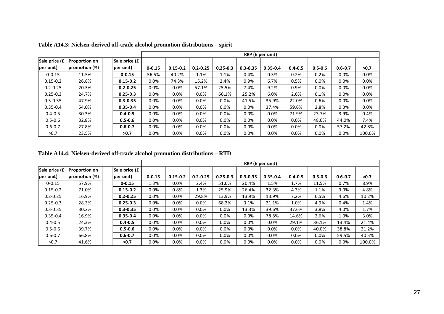|                            |                                       |                            |            |              |              |              |              | RRP (£ per unit) |             |             |             |        |
|----------------------------|---------------------------------------|----------------------------|------------|--------------|--------------|--------------|--------------|------------------|-------------|-------------|-------------|--------|
| Sale price (£<br>per unit) | <b>Proportion on</b><br>promotion (%) | Sale price (£<br>per unit) | $0 - 0.15$ | $0.15 - 0.2$ | $0.2 - 0.25$ | $0.25 - 0.3$ | $0.3 - 0.35$ | $0.35 - 0.4$     | $0.4 - 0.5$ | $0.5 - 0.6$ | $0.6 - 0.7$ | >0.7   |
| $0 - 0.15$                 | 11.5%                                 | $0 - 0.15$                 | 56.5%      | 40.2%        | 1.1%         | 1.1%         | 0.4%         | 0.3%             | 0.2%        | 0.2%        | 0.0%        | 0.0%   |
| $0.15 - 0.2$               | 26.8%                                 | $0.15 - 0.2$               | 0.0%       | 74.3%        | 15.2%        | 2.4%         | 0.9%         | 6.7%             | 0.5%        | $0.0\%$     | $0.0\%$     | 0.0%   |
| $0.2 - 0.25$               | 20.3%                                 | $0.2 - 0.25$               | 0.0%       | 0.0%         | 57.1%        | 25.5%        | 7.4%         | 9.2%             | 0.9%        | $0.0\%$     | 0.0%        | 0.0%   |
| $0.25 - 0.3$               | 24.7%                                 | $0.25 - 0.3$               | 0.0%       | 0.0%         | 0.0%         | 66.1%        | 25.2%        | 6.0%             | 2.6%        | 0.1%        | $0.0\%$     | 0.0%   |
| $0.3 - 0.35$               | 47.9%                                 | $0.3 - 0.35$               | 0.0%       | 0.0%         | 0.0%         | 0.0%         | 41.5%        | 35.9%            | 22.0%       | 0.6%        | 0.0%        | 0.0%   |
| $0.35 - 0.4$               | 54.0%                                 | $0.35 - 0.4$               | 0.0%       | $0.0\%$      | 0.0%         | 0.0%         | 0.0%         | 37.4%            | 59.6%       | 2.8%        | 0.3%        | 0.0%   |
| $0.4 - 0.5$                | 30.3%                                 | $0.4 - 0.5$                | 0.0%       | $0.0\%$      | 0.0%         | 0.0%         | 0.0%         | 0.0%             | 71.9%       | 23.7%       | 3.9%        | 0.4%   |
| $0.5 - 0.6$                | 32.8%                                 | $0.5 - 0.6$                | 0.0%       | 0.0%         | 0.0%         | 0.0%         | 0.0%         | 0.0%             | 0.0%        | 48.6%       | 44.0%       | 7.4%   |
| $0.6 - 0.7$                | 27.8%                                 | $0.6 - 0.7$                | 0.0%       | 0.0%         | 0.0%         | 0.0%         | 0.0%         | 0.0%             | 0.0%        | $0.0\%$     | 57.2%       | 42.8%  |
| >0.7                       | 23.5%                                 | >0.7                       | 0.0%       | 0.0%         | $0.0\%$      | 0.0%         | $0.0\%$      | $0.0\%$          | 0.0%        | $0.0\%$     | $0.0\%$     | 100.0% |

**Table A14.3: Nielsen-derived off-trade alcohol promotion distributions – spirit** 

**Table A14.4: Nielsen-derived off-trade alcohol promotion distributions – RTD** 

|               |                      |               |            |              |              |              |              | RRP (£ per unit) |             |             |             |        |
|---------------|----------------------|---------------|------------|--------------|--------------|--------------|--------------|------------------|-------------|-------------|-------------|--------|
| Sale price (£ | <b>Proportion on</b> | Sale price (£ |            |              |              |              |              |                  |             |             |             |        |
| per unit)     | promotion (%)        | per unit)     | $0 - 0.15$ | $0.15 - 0.2$ | $0.2 - 0.25$ | $0.25 - 0.3$ | $0.3 - 0.35$ | $0.35 - 0.4$     | $0.4 - 0.5$ | $0.5 - 0.6$ | $0.6 - 0.7$ | >0.7   |
| $0 - 0.15$    | 57.9%                | $0 - 0.15$    | 1.3%       | 0.0%         | 2.4%         | 51.6%        | 20.4%        | 1.5%             | 1.7%        | 11.5%       | 0.7%        | 8.9%   |
| $0.15 - 0.2$  | 71.0%                | $0.15 - 0.2$  | 0.0%       | 0.8%         | 1.3%         | 25.9%        | 26.4%        | 32.3%            | 4.3%        | 1.1%        | 3.0%        | 4.8%   |
| $0.2 - 0.25$  | 16.9%                | $0.2 - 0.25$  | 0.0%       | 0.0%         | 29.8%        | 13.9%        | 13.9%        | 13.9%            | 7.2%        | 6.5%        | 4.6%        | 10.2%  |
| $0.25 - 0.3$  | 28.3%                | $0.25 - 0.3$  | 0.0%       | 0.0%         | $0.0\%$      | 68.2%        | 3.1%         | 21.1%            | 1.0%        | 4.9%        | 0.4%        | 1.4%   |
| $0.3 - 0.35$  | 30.2%                | $0.3 - 0.35$  | 0.0%       | 0.0%         | $0.0\%$      | 0.0%         | 13.3%        | 39.6%            | 37.6%       | 3.8%        | 4.0%        | 1.7%   |
| $0.35 - 0.4$  | 16.9%                | $0.35 - 0.4$  | 0.0%       | 0.0%         | $0.0\%$      | 0.0%         | 0.0%         | 78.8%            | 14.6%       | 2.6%        | 1.0%        | 3.0%   |
| $0.4 - 0.5$   | 24.3%                | $0.4 - 0.5$   | 0.0%       | 0.0%         | $0.0\%$      | 0.0%         | 0.0%         | 0.0%             | 29.1%       | 36.1%       | 13.4%       | 21.4%  |
| $0.5 - 0.6$   | 39.7%                | $0.5 - 0.6$   | 0.0%       | 0.0%         | $0.0\%$      | 0.0%         | 0.0%         | $0.0\%$          | 0.0%        | 40.0%       | 38.8%       | 21.2%  |
| $0.6 - 0.7$   | 66.8%                | $0.6 - 0.7$   | 0.0%       | 0.0%         | $0.0\%$      | 0.0%         | 0.0%         | 0.0%             | 0.0%        | 0.0%        | 59.5%       | 40.5%  |
| >0.7          | 41.6%                | >0.7          | 0.0%       | 0.0%         | $0.0\%$      | 0.0%         | 0.0%         | $0.0\%$          | 0.0%        | 0.0%        | $0.0\%$     | 100.0% |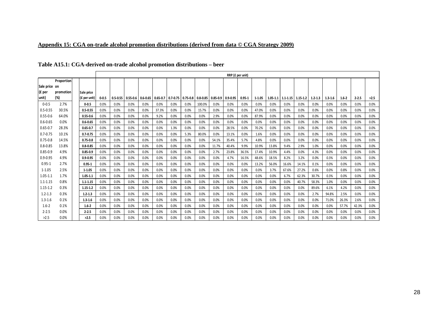|                         | Table A15.1: CGA-derived on-trade alcohol promotion distributions – beer |                |           |              |              |      |                         |      |      |        |       |                                                          |                  |            |       |       |                                    |             |             |           |           |      |
|-------------------------|--------------------------------------------------------------------------|----------------|-----------|--------------|--------------|------|-------------------------|------|------|--------|-------|----------------------------------------------------------|------------------|------------|-------|-------|------------------------------------|-------------|-------------|-----------|-----------|------|
|                         |                                                                          |                |           |              |              |      |                         |      |      |        |       |                                                          | RRP (£ per unit) |            |       |       |                                    |             |             |           |           |      |
| Sale price on<br>(£ per | <b>Proportion</b><br>promotion                                           | Sale price     |           |              |              |      |                         |      |      |        |       |                                                          |                  |            |       |       |                                    |             |             |           |           |      |
| unit)                   | (%)                                                                      | $(f$ per unit) | $0 - 0.5$ | $0.5 - 0.55$ | $0.55 - 0.6$ |      | $0.6 - 0.65$   0.65-0.7 |      |      |        |       | $0.7 - 0.75$   0.75-0.8   0.8-0.85   0.85-0.9   0.9-0.95 | 0.95-1           | $1 - 1.05$ |       |       | $1.05 - 1.1$   1.1-1.15   1.15-1.2 | $1.2 - 1.3$ | $1.3 - 1.6$ | $1.6 - 2$ | $2 - 2.5$ | >2.5 |
| $0 - 0.5$               | 2.7%                                                                     | $0 - 0.5$      | 0.0%      | 0.0%         | 0.0%         | 0.0% | 0.0%                    | 0.0% | 0.0% | 100.0% | 0.0%  | 0.0%                                                     | 0.0%             | 0.0%       | 0.0%  | 0.0%  | 0.0%                               | 0.0%        | $0.0\%$     | 0.0%      | 0.0%      | 0.0% |
| $0.5 - 0.55$            | 30.5%                                                                    | $0.5 - 0.55$   | 0.0%      | 0.0%         | 0.0%         | 0.0% | 37.3%                   | 0.0% | 0.0% | 15.7%  | 0.0%  | 0.0%                                                     | 0.0%             | 47.0%      | 0.0%  | 0.0%  | 0.0%                               | 0.0%        | 0.0%        | 0.0%      | 0.0%      | 0.0% |
| $0.55 - 0.6$            | 64.0%                                                                    | $0.55 - 0.6$   | 0.0%      | 0.0%         | 0.0%         | 0.0% | 9.2%                    | 0.0% | 0.0% | 0.0%   | 2.9%  | 0.0%                                                     | 0.0%             | 87.9%      | 0.0%  | 0.0%  | 0.0%                               | 0.0%        | 0.0%        | 0.0%      | 0.0%      | 0.0% |
| $0.6 - 0.65$            | 0.0%                                                                     | $0.6 - 0.65$   | 0.0%      | 0.0%         | 0.0%         | 0.0% | 0.0%                    | 0.0% | 0.0% | 0.0%   | 0.0%  | 0.0%                                                     | 0.0%             | 0.0%       | 0.0%  | 0.0%  | 0.0%                               | 0.0%        | 0.0%        | 0.0%      | 0.0%      | 0.0% |
| $0.65 - 0.7$            | 28.3%                                                                    | $0.65 - 0.7$   | 0.0%      | 0.0%         | 0.0%         | 0.0% | 0.0%                    | 1.3% | 0.0% | 0.0%   | 0.0%  | 28.5%                                                    | 0.0%             | 70.2%      | 0.0%  | 0.0%  | 0.0%                               | 0.0%        | 0.0%        | 0.0%      | 0.0%      | 0.0% |
| $0.7 - 0.75$            | 10.1%                                                                    | $0.7 - 0.75$   | 0.0%      | 0.0%         | 0.0%         | 0.0% | 0.0%                    | 0.0% | 5.3% | 80.0%  | 0.0%  | 13.1%                                                    | 0.0%             | 1.6%       | 0.0%  | 0.0%  | 0.0%                               | 0.0%        | 0.0%        | 0.0%      | 0.0%      | 0.0% |
| $0.75 - 0.8$            | 14.5%                                                                    | $0.75 - 0.8$   | 0.0%      | 0.0%         | 0.0%         | 0.0% | 0.0%                    | 0.0% | 0.0% | 0.0%   | 54.1% | 35.4%                                                    | 5.7%             | 4.8%       | 0.0%  | 0.0%  | 0.0%                               | 0.0%        | 0.0%        | 0.0%      | 0.0%      | 0.0% |
| $0.8 - 0.85$            | 13.8%                                                                    | $0.8 - 0.85$   | 0.0%      | 0.0%         | 0.0%         | 0.0% | 0.0%                    | 0.0% | 0.0% | 0.0%   | 11.7% | 40.4%                                                    | 9.9%             | 10.9%      | 13.8% | 9.4%  | 2.9%                               | 1.0%        | 0.0%        | 0.0%      | 0.0%      | 0.0% |
| $0.85 - 0.9$            | 4.9%                                                                     | $0.85 - 0.9$   | 0.0%      | 0.0%         | 0.0%         | 0.0% | 0.0%                    | 0.0% | 0.0% | 0.0%   | 2.7%  | 23.8%                                                    | 36.5%            | 17.4%      | 10.9% | 4.4%  | 0.0%                               | 4.3%        | 0.0%        | 0.0%      | 0.0%      | 0.0% |
| $0.9 - 0.95$            | 4.9%                                                                     | $0.9 - 0.95$   | 0.0%      | 0.0%         | 0.0%         | 0.0% | 0.0%                    | 0.0% | 0.0% | 0.0%   | 0.0%  | 4.7%                                                     | 16.5%            | 48.6%      | 18.5% | 8.2%  | 3.2%                               | 0.0%        | 0.3%        | 0.0%      | 0.0%      | 0.0% |
| $0.95 - 1$              | 2.7%                                                                     | $0.95 - 1$     | 0.0%      | 0.0%         | 0.0%         | 0.0% | 0.0%                    | 0.0% | 0.0% | 0.0%   | 0.0%  | 0.0%                                                     | 0.0%             | 13.2%      | 56.0% | 16.6% | 14.1%                              | 0.1%        | 0.0%        | 0.0%      | 0.0%      | 0.0% |

**0.95-1** 0.0% 0.0% 0.0% 0.0% 0.0% 0.0% 0.0% 0.0% 0.0% 0.0% 0.0% 13.2% 56.0% 16.6% 14.1% 0.1% 0.0% 0.0% 0.0% 0.0%

**1-1.05** 0.0% 0.0% 0.0% 0.0% 0.0% 0.0% 0.0% 0.0% 0.0% 0.0% 0.0% 0.0% 3.7% 67.6% 27.2% 0.6% 0.0% 0.8% 0.0% 0.0%

**1.05-1.1** 0.0% 0.0% 0.0% 0.0% 0.0% 0.0% 0.0% 0.0% 0.0% 0.0% 0.0% 0.0% 0.0% 6.7% 62.3% 30.7% 0.3% 0.0% 0.0% 0.0%

**1.1-1.15** 0.0% 0.0% 0.0% 0.0% 0.0% 0.0% 0.0% 0.0% 0.0% 0.0% 0.0% 0.0% 0.0% 0.0% 40.7% 58.3% 1.0% 0.0% 0.0% 0.0%

**1.15-1.2** 0.0% 0.0% 0.0% 0.0% 0.0% 0.0% 0.0% 0.0% 0.0% 0.0% 0.0% 0.0% 0.0% 0.0% 0.0% 89.6% 6.1% 4.2% 0.0% 0.0%

**1.2-1.3** 0.0% 0.0% 0.0% 0.0% 0.0% 0.0% 0.0% 0.0% 0.0% 0.0% 0.0% 0.0% 0.0% 0.0% 0.0% 2.7% 94.8% 2.5% 0.0% 0.0%

**1.3-1.6** 0.0% 0.0% 0.0% 0.0% 0.0% 0.0% 0.0% 0.0% 0.0% 0.0% 0.0% 0.0% 0.0% 0.0% 0.0% 0.0% 71.0% 26.3% 2.6% 0.0%

**1.6-2** 0.0% 0.0% 0.0% 0.0% 0.0% 0.0% 0.0% 0.0% 0.0% 0.0% 0.0% 0.0% 0.0% 0.0% 0.0% 0.0% 0.0% 57.7% 42.3% 0.0%

**2-2.5** 0.0% 0.0% 0.0% 0.0% 0.0% 0.0% 0.0% 0.0% 0.0% 0.0% 0.0% 0.0% 0.0% 0.0% 0.0% 0.0% 0.0% 0.0% 0.0% 0.0%

 $\%$  | **>2.5** | 0.0% | 0.0% | 0.0% | 0.0% | 0.0% | 0.0% | 0.0% | 0.0% | 0.0% | 0.0% | 0.0% | 0.0% | 0.0% | 0.0% | 0.0% | 0.0% | 0.0% | 0.0% | 0.0% | 0.0% | 0.0% | 0.0% | 0.0% | 0.0% | 0.0% | 0.0% | 0.0% | 0.0% | 0.0% | 0.

0.95-1 2.7%<br>1-1.05 2.5%

1.05-1.1 1.7%<br>1.1-1.15 0.8%

1.1-1.15 0.8%<br>1.15-1.2 0.3%

1.2-1.3 0.3%<br>1.3-1.6 0.1%

1.6-2 0.1%<br>2-2.5 0.0%

 $2-2.5$  0.0%<br>>2.5 0.0%

 $0.0%$ 

 $1 - 1.05$ 

 $1.15 - 1.2$ 

 $1.3 - 1.6$ 

**Appendix 15: CGA on-trade alcohol promotion distributions (derived from data © CGA Strategy 2009)**

0.0%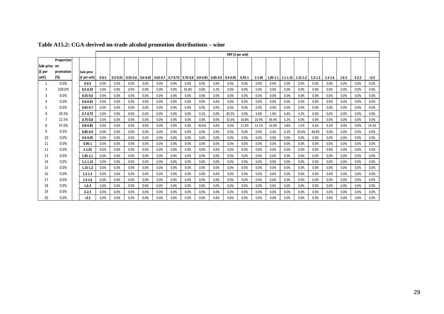|               |            |              |           |              |      |                         |              |                                    |       |       |              | RRP (£ per unit) |            |            |       |                                            |       |             |             |           |           |       |
|---------------|------------|--------------|-----------|--------------|------|-------------------------|--------------|------------------------------------|-------|-------|--------------|------------------|------------|------------|-------|--------------------------------------------|-------|-------------|-------------|-----------|-----------|-------|
|               | Proportion |              |           |              |      |                         |              |                                    |       |       |              |                  |            |            |       |                                            |       |             |             |           |           |       |
| Sale price on |            |              |           |              |      |                         |              |                                    |       |       |              |                  |            |            |       |                                            |       |             |             |           |           |       |
| (£ per        | promotion  | Sale price   |           |              |      |                         |              |                                    |       |       |              |                  |            |            |       |                                            |       |             |             |           |           |       |
| unit)         | (%)        | (£ per unit) | $0 - 0.5$ | $0.5 - 0.55$ |      | $0.55 - 0.6$   0.6-0.65 | $0.65 - 0.7$ | $0.7 - 0.75$   0.75-0.8   0.8-0.85 |       |       | $0.85 - 0.9$ | $0.9 - 0.95$     | $0.95 - 1$ | $1 - 1.05$ |       | $1.05 - 1.1$   $1.1 - 1.15$   $1.15 - 1.2$ |       | $1.2 - 1.3$ | $1.3 - 1.6$ | $1.6 - 2$ | $2 - 2.5$ | >2.5  |
|               | 0.0%       | $0 - 0.5$    | 0.0%      | 0.0%         | 0.0% | 0.0%                    | 0.0%         | 0.0%                               | 0.0%  | 0.0%  | 0.0%         | 0.0%             | 0.0%       | 0.0%       | 0.0%  | 0.0%                                       | 0.0%  | 0.0%        | 0.0%        | 0.0%      | 0.0%      | 0.0%  |
| 2             | 100.0%     | $0.5 - 0.55$ | 0.0%      | 0.0%         | 0.0% | 0.0%                    | 0.0%         | 0.0%                               | 93.8% | 0.0%  | 6.2%         | 0.0%             | 0.0%       | 0.0%       | 0.0%  | 0.0%                                       | 0.0%  | 0.0%        | 0.0%        | 0.0%      | 0.0%      | 0.0%  |
|               | 0.0%       | $0.55 - 0.6$ | 0.0%      | 0.0%         | 0.0% | 0.0%                    | 0.0%         | 0.0%                               | 0.0%  | 0.0%  | 0.0%         | 0.0%             | 0.0%       | 0.0%       | 0.0%  | 0.0%                                       | 0.0%  | 0.0%        | 0.0%        | 0.0%      | 0.0%      | 0.0%  |
|               | 0.0%       | $0.6 - 0.65$ | 0.0%      | 0.0%         | 0.0% | 0.0%                    | 0.0%         | 0.0%                               | 0.0%  | 0.0%  | 0.0%         | 0.0%             | 0.0%       | 0.0%       | 0.0%  | 0.0%                                       | 0.0%  | 0.0%        | 0.0%        | 0.0%      | 0.0%      | 0.0%  |
|               | 0.0%       | $0.65 - 0.7$ | 0.0%      | 0.0%         | 0.0% | 0.0%                    | 0.0%         | 0.0%                               | 0.0%  | 0.0%  | 0.0%         | 0.0%             | 0.0%       | 0.0%       | 0.0%  | 0.0%                                       | 0.0%  | 0.0%        | 0.0%        | 0.0%      | 0.0%      | 0.0%  |
|               | 30.5%      | $0.7 - 0.75$ | 0.0%      | 0.0%         | 0.0% | 0.0%                    | 0.0%         | 0.0%                               | 0.0%  | 0.1%  | 0.0%         | 83.5%            | 0.0%       | 6.8%       | 1.0%  | 4.4%                                       | 4.2%  | 0.0%        | 0.0%        | 0.0%      | 0.0%      | 0.0%  |
|               | 22.5%      | $0.75 - 0.8$ | 0.0%      | 0.0%         | 0.0% | 0.0%                    | 0.0%         | 0.0%                               | 0.0%  | 0.0%  | 0.0%         | 32.6%            | 16.8%      | 10.9%      | 36.4% | 3.2%                                       | 0.0%  | 0.0%        | 0.0%        | 0.0%      | 0.0%      | 0.0%  |
|               | 37.0%      | $0.8 - 0.85$ | 0.0%      | 0.0%         | 0.0% | 0.0%                    | 0.0%         | 0.0%                               | 0.0%  | 30.6% | 0.0%         | 0.0%             | 11.0%      | 13.1%      | 14.0% | 3.8%                                       | 1.5%  | 6.6%        | 0.2%        | 0.0%      | 0.0%      | 19.3% |
| 9             | 0.5%       | $0.85 - 0.9$ | 0.0%      | 0.0%         | 0.0% | 0.0%                    | 0.0%         | 0.0%                               | 0.0%  | 0.0%  | 0.0%         | 0.0%             | 0.0%       | 0.0%       | 0.4%  | 0.2%                                       | 50.6% | 48.8%       | 0.0%        | 0.0%      | 0.0%      | 0.0%  |
| 10            | 0.0%       | $0.9 - 0.95$ | 0.0%      | 0.0%         | 0.0% | 0.0%                    | 0.0%         | 0.0%                               | 0.0%  | 0.0%  | 0.0%         | 0.0%             | 0.0%       | 0.0%       | 0.0%  | 0.0%                                       | 0.0%  | 0.0%        | 0.0%        | 0.0%      | 0.0%      | 0.0%  |
| 11            | 0.0%       | $0.95 - 1$   | 0.0%      | 0.0%         | 0.0% | 0.0%                    | 0.0%         | 0.0%                               | 0.0%  | 0.0%  | 0.0%         | 0.0%             | 0.0%       | 0.0%       | 0.0%  | 0.0%                                       | 0.0%  | 0.0%        | 0.0%        | 0.0%      | 0.0%      | 0.0%  |
| 12            | 0.0%       | $1 - 1.05$   | 0.0%      | 0.0%         | 0.0% | 0.0%                    | 0.0%         | 0.0%                               | 0.0%  | 0.0%  | 0.0%         | 0.0%             | 0.0%       | 0.0%       | 0.0%  | 0.0%                                       | 0.0%  | 0.0%        | 0.0%        | 0.0%      | 0.0%      | 0.0%  |
| 13            | 0.0%       | $1.05 - 1.1$ | 0.0%      | 0.0%         | 0.0% | 0.0%                    | 0.0%         | 0.0%                               | 0.0%  | 0.0%  | 0.0%         | 0.0%             | 0.0%       | 0.0%       | 0.0%  | 0.0%                                       | 0.0%  | 0.0%        | 0.0%        | 0.0%      | 0.0%      | 0.0%  |
| 14            | 0.0%       | $1.1 - 1.15$ | 0.0%      | 0.0%         | 0.0% | 0.0%                    | 0.0%         | 0.0%                               | 0.0%  | 0.0%  | 0.0%         | 0.0%             | 0.0%       | 0.0%       | 0.0%  | 0.0%                                       | 0.0%  | 0.0%        | 0.0%        | 0.0%      | 0.0%      | 0.0%  |
| 15            | 0.0%       | $1.15 - 1.2$ | 0.0%      | 0.0%         | 0.0% | 0.0%                    | 0.0%         | 0.0%                               | 0.0%  | 0.0%  | 0.0%         | 0.0%             | 0.0%       | 0.0%       | 0.0%  | 0.0%                                       | 0.0%  | 0.0%        | 0.0%        | 0.0%      | 0.0%      | 0.0%  |
| 16            | 0.0%       | $1.2 - 1.3$  | 0.0%      | 0.0%         | 0.0% | 0.0%                    | 0.0%         | 0.0%                               | 0.0%  | 0.0%  | 0.0%         | 0.0%             | 0.0%       | 0.0%       | 0.0%  | 0.0%                                       | 0.0%  | 0.0%        | 0.0%        | 0.0%      | 0.0%      | 0.0%  |
| 17            | 0.0%       | $1.3 - 1.6$  | 0.0%      | 0.0%         | 0.0% | 0.0%                    | 0.0%         | 0.0%                               | 0.0%  | 0.0%  | 0.0%         | 0.0%             | 0.0%       | 0.0%       | 0.0%  | 0.0%                                       | 0.0%  | 0.0%        | 0.0%        | 0.0%      | 0.0%      | 0.0%  |
| 18            | 0.0%       | $1.6 - 2$    | 0.0%      | 0.0%         | 0.0% | 0.0%                    | 0.0%         | 0.0%                               | 0.0%  | 0.0%  | 0.0%         | 0.0%             | 0.0%       | 0.0%       | 0.0%  | 0.0%                                       | 0.0%  | 0.0%        | 0.0%        | 0.0%      | 0.0%      | 0.0%  |
| 19            | 0.0%       | $2 - 2.5$    | 0.0%      | 0.0%         | 0.0% | 0.0%                    | 0.0%         | 0.0%                               | 0.0%  | 0.0%  | 0.0%         | 0.0%             | 0.0%       | 0.0%       | 0.0%  | 0.0%                                       | 0.0%  | 0.0%        | 0.0%        | 0.0%      | 0.0%      | 0.0%  |
| 20            | 0.0%       | >2.5         | 0.0%      | 0.0%         | 0.0% | 0.0%                    | 0.0%         | 0.0%                               | 0.0%  | 0.0%  | 0.0%         | 0.0%             | 0.0%       | 0.0%       | 0.0%  | 0.0%                                       | 0.0%  | 0.0%        | 0.0%        | 0.0%      | 0.0%      | 0.0%  |

#### **Table A15.2: CGA-derived on-trade alcohol promotion distributions – wine**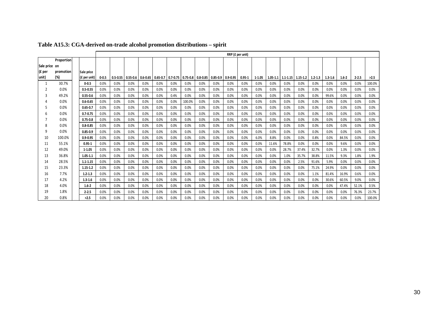|               |            |                |           |              |              |              |              |              |        |                         |              | RRP (£ per unit) |            |            |       |                                            |       |             |             |           |           |        |
|---------------|------------|----------------|-----------|--------------|--------------|--------------|--------------|--------------|--------|-------------------------|--------------|------------------|------------|------------|-------|--------------------------------------------|-------|-------------|-------------|-----------|-----------|--------|
|               | Proportion |                |           |              |              |              |              |              |        |                         |              |                  |            |            |       |                                            |       |             |             |           |           |        |
| Sale price on |            |                |           |              |              |              |              |              |        |                         |              |                  |            |            |       |                                            |       |             |             |           |           |        |
| (£ per        | promotion  | Sale price     |           |              |              |              |              |              |        |                         |              |                  |            |            |       |                                            |       |             |             |           |           |        |
| unit)         | (%)        | $(f$ per unit) | $0 - 0.5$ | $0.5 - 0.55$ | $0.55 - 0.6$ | $0.6 - 0.65$ | $0.65 - 0.7$ | $0.7 - 0.75$ |        | $0.75 - 0.8$   0.8-0.85 | $0.85 - 0.9$ | $0.9 - 0.95$     | $0.95 - 1$ | $1 - 1.05$ |       | $1.05 - 1.1$   $1.1 - 1.15$   $1.15 - 1.2$ |       | $1.2 - 1.3$ | $1.3 - 1.6$ | $1.6 - 2$ | $2 - 2.5$ | >2.5   |
|               | 30.7%      | $0 - 0.5$      | 0.0%      | 0.0%         | 0.0%         | 0.0%         | 0.0%         | 0.0%         | 0.0%   | 0.0%                    | 0.0%         | 0.0%             | 0.0%       | 0.0%       | 0.0%  | 0.0%                                       | 0.0%  | 0.0%        | 0.0%        | 0.0%      | 0.0%      | 100.0% |
|               | 0.0%       | $0.5 - 0.55$   | 0.0%      | 0.0%         | 0.0%         | 0.0%         | 0.0%         | 0.0%         | 0.0%   | 0.0%                    | 0.0%         | 0.0%             | 0.0%       | 0.0%       | 0.0%  | 0.0%                                       | 0.0%  | 0.0%        | 0.0%        | 0.0%      | 0.0%      | 0.0%   |
|               | 49.2%      | $0.55 - 0.6$   | 0.0%      | 0.0%         | 0.0%         | 0.0%         | 0.0%         | 0.4%         | 0.0%   | 0.0%                    | 0.0%         | 0.0%             | 0.0%       | 0.0%       | 0.0%  | 0.0%                                       | 0.0%  | 0.0%        | 99.6%       | 0.0%      | 0.0%      | 0.0%   |
|               | 0.0%       | $0.6 - 0.65$   | 0.0%      | 0.0%         | 0.0%         | 0.0%         | 0.0%         | 0.0%         | 100.0% | 0.0%                    | 0.0%         | 0.0%             | 0.0%       | 0.0%       | 0.0%  | 0.0%                                       | 0.0%  | 0.0%        | 0.0%        | 0.0%      | 0.0%      | 0.0%   |
|               | 0.0%       | $0.65 - 0.7$   | 0.0%      | 0.0%         | 0.0%         | 0.0%         | 0.0%         | 0.0%         | 0.0%   | 0.0%                    | 0.0%         | 0.0%             | 0.0%       | 0.0%       | 0.0%  | 0.0%                                       | 0.0%  | 0.0%        | 0.0%        | 0.0%      | 0.0%      | 0.0%   |
|               | 0.0%       | $0.7 - 0.75$   | 0.0%      | 0.0%         | 0.0%         | 0.0%         | 0.0%         | 0.0%         | 0.0%   | 0.0%                    | 0.0%         | 0.0%             | 0.0%       | 0.0%       | 0.0%  | 0.0%                                       | 0.0%  | 0.0%        | 0.0%        | 0.0%      | 0.0%      | 0.0%   |
|               | 0.0%       | $0.75 - 0.8$   | 0.0%      | 0.0%         | 0.0%         | 0.0%         | 0.0%         | 0.0%         | 0.0%   | 0.0%                    | 0.0%         | 0.0%             | 0.0%       | 0.0%       | 0.0%  | 0.0%                                       | 0.0%  | 0.0%        | 0.0%        | 0.0%      | 0.0%      | 0.0%   |
|               | 0.0%       | $0.8 - 0.85$   | 0.0%      | 0.0%         | 0.0%         | 0.0%         | 0.0%         | 0.0%         | 0.0%   | 0.0%                    | 0.0%         | 0.0%             | 0.0%       | 0.0%       | 0.0%  | 0.0%                                       | 0.0%  | 0.0%        | 0.0%        | 0.0%      | 0.0%      | 0.0%   |
| q             | 0.0%       | $0.85 - 0.9$   | 0.0%      | 0.0%         | 0.0%         | 0.0%         | 0.0%         | 0.0%         | 0.0%   | 0.0%                    | 0.0%         | 0.0%             | 0.0%       | 0.0%       | 0.0%  | 0.0%                                       | 0.0%  | 0.0%        | 0.0%        | 0.0%      | 0.0%      | 0.0%   |
| 10            | 100.0%     | $0.9 - 0.95$   | 0.0%      | 0.0%         | 0.0%         | 0.0%         | 0.0%         | 0.0%         | 0.0%   | 0.0%                    | 0.0%         | 0.0%             | 0.0%       | 6.0%       | 8.8%  | 0.0%                                       | 0.0%  | 0.8%        | 0.0%        | 84.5%     | 0.0%      | 0.0%   |
| 11            | 55.1%      | $0.95 - 1$     | 0.0%      | 0.0%         | 0.0%         | 0.0%         | 0.0%         | 0.0%         | 0.0%   | 0.0%                    | 0.0%         | 0.0%             | 0.0%       | 0.0%       | 11.6% | 78.8%                                      | 0.0%  | 0.0%        | 0.0%        | 9.6%      | 0.0%      | 0.0%   |
| 12            | 49.0%      | $1 - 1.05$     | 0.0%      | 0.0%         | 0.0%         | 0.0%         | 0.0%         | 0.0%         | 0.0%   | 0.0%                    | 0.0%         | 0.0%             | 0.0%       | 0.0%       | 0.0%  | 28.7%                                      | 37.4% | 32.7%       | 0.0%        | 1.3%      | 0.0%      | 0.0%   |
| 13            | 36.8%      | $1.05 - 1.1$   | 0.0%      | 0.0%         | 0.0%         | 0.0%         | 0.0%         | 0.0%         | 0.0%   | 0.0%                    | 0.0%         | 0.0%             | 0.0%       | 0.0%       | 0.0%  | 1.0%                                       | 35.7% | 38.8%       | 11.5%       | 9.3%      | 1.8%      | 1.9%   |
| 14            | 28.5%      | $1.1 - 1.15$   | 0.0%      | 0.0%         | 0.0%         | 0.0%         | 0.0%         | 0.0%         | 0.0%   | 0.0%                    | 0.0%         | 0.0%             | 0.0%       | 0.0%       | 0.0%  | 0.0%                                       | 2.5%  | 91.6%       | 5.9%        | 0.0%      | 0.0%      | 0.0%   |
| 15            | 23.3%      | $1.15 - 1.2$   | 0.0%      | 0.0%         | 0.0%         | 0.0%         | 0.0%         | 0.0%         | 0.0%   | 0.0%                    | 0.0%         | 0.0%             | 0.0%       | 0.0%       | 0.0%  | 0.0%                                       | 0.0%  | 75.1%       | 24.9%       | 0.0%      | 0.0%      | 0.0%   |
| 16            | 7.7%       | $1.2 - 1.3$    | 0.0%      | 0.0%         | 0.0%         | 0.0%         | 0.0%         | 0.0%         | 0.0%   | 0.0%                    | 0.0%         | 0.0%             | 0.0%       | 0.0%       | 0.0%  | 0.0%                                       | 0.0%  | 1.1%        | 81.4%       | 16.9%     | 0.6%      | 0.0%   |
| 17            | 4.2%       | $1.3 - 1.6$    | 0.0%      | 0.0%         | 0.0%         | 0.0%         | 0.0%         | 0.0%         | 0.0%   | 0.0%                    | 0.0%         | 0.0%             | 0.0%       | 0.0%       | 0.0%  | 0.0%                                       | 0.0%  | 0.0%        | 30.6%       | 60.5%     | 9.0%      | 0.0%   |
| 18            | 4.0%       | $1.6 - 2$      | 0.0%      | 0.0%         | 0.0%         | 0.0%         | 0.0%         | 0.0%         | 0.0%   | 0.0%                    | 0.0%         | 0.0%             | 0.0%       | 0.0%       | 0.0%  | 0.0%                                       | 0.0%  | 0.0%        | 0.0%        | 47.4%     | 52.1%     | 0.5%   |
| 19            | 1.8%       | $2 - 2.5$      | 0.0%      | 0.0%         | 0.0%         | 0.0%         | 0.0%         | 0.0%         | 0.0%   | 0.0%                    | 0.0%         | 0.0%             | 0.0%       | 0.0%       | 0.0%  | 0.0%                                       | 0.0%  | 0.0%        | 0.0%        | 0.0%      | 76.3%     | 23.7%  |
| 20            | 0.8%       | >2.5           | 0.0%      | 0.0%         | 0.0%         | 0.0%         | 0.0%         | 0.0%         | 0.0%   | 0.0%                    | 0.0%         | 0.0%             | 0.0%       | 0.0%       | 0.0%  | 0.0%                                       | 0.0%  | 0.0%        | 0.0%        | 0.0%      | 0.0%      | 100.0% |

#### **Table A15.3: CGA-derived on-trade alcohol promotion distributions – spirit**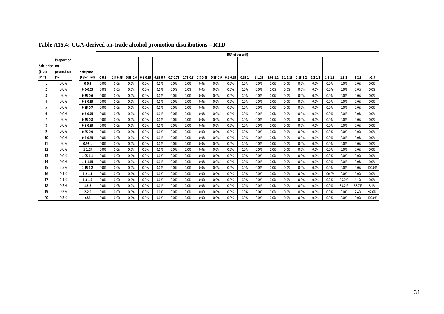|               |            |              |           |              |              |                       |      |              |      |                         |              | RRP (£ per unit) |            |            |      |                                            |      |             |             |           |           |        |
|---------------|------------|--------------|-----------|--------------|--------------|-----------------------|------|--------------|------|-------------------------|--------------|------------------|------------|------------|------|--------------------------------------------|------|-------------|-------------|-----------|-----------|--------|
|               | Proportion |              |           |              |              |                       |      |              |      |                         |              |                  |            |            |      |                                            |      |             |             |           |           |        |
| Sale price on |            |              |           |              |              |                       |      |              |      |                         |              |                  |            |            |      |                                            |      |             |             |           |           |        |
| (£ per        | promotion  | Sale price   |           |              |              |                       |      |              |      |                         |              |                  |            |            |      |                                            |      |             |             |           |           |        |
| unit)         | (%)        | (£ per unit) | $0 - 0.5$ | $0.5 - 0.55$ | $0.55 - 0.6$ | $0.6 - 0.65$ 0.65-0.7 |      | $0.7 - 0.75$ |      | $0.75 - 0.8$   0.8-0.85 | $0.85 - 0.9$ | $0.9 - 0.95$     | $0.95 - 1$ | $1 - 1.05$ |      | $1.05 - 1.1$   $1.1 - 1.15$   $1.15 - 1.2$ |      | $1.2 - 1.3$ | $1.3 - 1.6$ | $1.6 - 2$ | $2 - 2.5$ | >2.5   |
|               | 0.0%       | $0 - 0.5$    | 0.0%      | 0.0%         | 0.0%         | 0.0%                  | 0.0% | 0.0%         | 0.0% | 0.0%                    | 0.0%         | 0.0%             | 0.0%       | 0.0%       | 0.0% | 0.0%                                       | 0.0% | 0.0%        | 0.0%        | 0.0%      | 0.0%      | 0.0%   |
|               | 0.0%       | $0.5 - 0.55$ | 0.0%      | 0.0%         | 0.0%         | 0.0%                  | 0.0% | 0.0%         | 0.0% | 0.0%                    | 0.0%         | 0.0%             | 0.0%       | 0.0%       | 0.0% | 0.0%                                       | 0.0% | 0.0%        | 0.0%        | 0.0%      | 0.0%      | 0.0%   |
|               | 0.0%       | $0.55 - 0.6$ | 0.0%      | 0.0%         | 0.0%         | 0.0%                  | 0.0% | 0.0%         | 0.0% | 0.0%                    | 0.0%         | 0.0%             | 0.0%       | 0.0%       | 0.0% | 0.0%                                       | 0.0% | 0.0%        | 0.0%        | 0.0%      | 0.0%      | 0.0%   |
|               | 0.0%       | $0.6 - 0.65$ | 0.0%      | 0.0%         | 0.0%         | 0.0%                  | 0.0% | 0.0%         | 0.0% | 0.0%                    | 0.0%         | 0.0%             | 0.0%       | 0.0%       | 0.0% | 0.0%                                       | 0.0% | 0.0%        | 0.0%        | 0.0%      | 0.0%      | 0.0%   |
|               | 0.0%       | $0.65 - 0.7$ | 0.0%      | 0.0%         | 0.0%         | 0.0%                  | 0.0% | 0.0%         | 0.0% | 0.0%                    | 0.0%         | 0.0%             | 0.0%       | 0.0%       | 0.0% | 0.0%                                       | 0.0% | 0.0%        | 0.0%        | 0.0%      | 0.0%      | 0.0%   |
|               | 0.0%       | $0.7 - 0.75$ | 0.0%      | 0.0%         | 0.0%         | 0.0%                  | 0.0% | 0.0%         | 0.0% | 0.0%                    | 0.0%         | 0.0%             | 0.0%       | 0.0%       | 0.0% | 0.0%                                       | 0.0% | 0.0%        | 0.0%        | 0.0%      | 0.0%      | 0.0%   |
|               | 0.0%       | $0.75 - 0.8$ | 0.0%      | 0.0%         | 0.0%         | 0.0%                  | 0.0% | 0.0%         | 0.0% | 0.0%                    | 0.0%         | 0.0%             | 0.0%       | 0.0%       | 0.0% | 0.0%                                       | 0.0% | 0.0%        | 0.0%        | 0.0%      | 0.0%      | 0.0%   |
|               | 0.0%       | $0.8 - 0.85$ | 0.0%      | 0.0%         | 0.0%         | 0.0%                  | 0.0% | 0.0%         | 0.0% | 0.0%                    | 0.0%         | 0.0%             | 0.0%       | 0.0%       | 0.0% | 0.0%                                       | 0.0% | 0.0%        | 0.0%        | 0.0%      | 0.0%      | 0.0%   |
| q             | 0.0%       | $0.85 - 0.9$ | 0.0%      | 0.0%         | 0.0%         | 0.0%                  | 0.0% | 0.0%         | 0.0% | 0.0%                    | 0.0%         | 0.0%             | 0.0%       | 0.0%       | 0.0% | 0.0%                                       | 0.0% | 0.0%        | 0.0%        | 0.0%      | 0.0%      | 0.0%   |
| 10            | 0.0%       | $0.9 - 0.95$ | 0.0%      | 0.0%         | 0.0%         | 0.0%                  | 0.0% | 0.0%         | 0.0% | 0.0%                    | 0.0%         | 0.0%             | 0.0%       | 0.0%       | 0.0% | 0.0%                                       | 0.0% | 0.0%        | 0.0%        | 0.0%      | 0.0%      | 0.0%   |
| 11            | 0.0%       | $0.95 - 1$   | 0.0%      | 0.0%         | 0.0%         | 0.0%                  | 0.0% | 0.0%         | 0.0% | 0.0%                    | 0.0%         | 0.0%             | 0.0%       | 0.0%       | 0.0% | 0.0%                                       | 0.0% | 0.0%        | 0.0%        | 0.0%      | 0.0%      | 0.0%   |
| 12            | 0.0%       | $1 - 1.05$   | 0.0%      | 0.0%         | 0.0%         | 0.0%                  | 0.0% | 0.0%         | 0.0% | 0.0%                    | 0.0%         | 0.0%             | 0.0%       | 0.0%       | 0.0% | 0.0%                                       | 0.0% | 0.0%        | 0.0%        | 0.0%      | 0.0%      | 0.0%   |
| 13            | 0.0%       | $1.05 - 1.1$ | 0.0%      | 0.0%         | 0.0%         | 0.0%                  | 0.0% | 0.0%         | 0.0% | 0.0%                    | 0.0%         | 0.0%             | 0.0%       | 0.0%       | 0.0% | 0.0%                                       | 0.0% | 0.0%        | 0.0%        | 0.0%      | 0.0%      | 0.0%   |
| 14            | 0.0%       | $1.1 - 1.15$ | 0.0%      | 0.0%         | 0.0%         | 0.0%                  | 0.0% | 0.0%         | 0.0% | 0.0%                    | 0.0%         | 0.0%             | 0.0%       | 0.0%       | 0.0% | 0.0%                                       | 0.0% | 0.0%        | 0.0%        | 0.0%      | 0.0%      | 0.0%   |
| 15            | 2.5%       | $1.15 - 1.2$ | 0.0%      | 0.0%         | 0.0%         | 0.0%                  | 0.0% | 0.0%         | 0.0% | 0.0%                    | 0.0%         | 0.0%             | 0.0%       | 0.0%       | 0.0% | 0.0%                                       | 0.0% | 0.0%        | 0.0%        | 0.0%      | 0.0%      | 100.0% |
| 16            | 0.1%       | $1.2 - 1.3$  | 0.0%      | 0.0%         | 0.0%         | 0.0%                  | 0.0% | 0.0%         | 0.0% | 0.0%                    | 0.0%         | 0.0%             | 0.0%       | 0.0%       | 0.0% | 0.0%                                       | 0.0% | 0.0%        | 100.0%      | 0.0%      | 0.0%      | 0.0%   |
| 17            | 2.1%       | $1.3 - 1.6$  | 0.0%      | 0.0%         | 0.0%         | 0.0%                  | 0.0% | 0.0%         | 0.0% | 0.0%                    | 0.0%         | 0.0%             | 0.0%       | 0.0%       | 0.0% | 0.0%                                       | 0.0% | 0.0%        | 0.2%        | 95.7%     | 4.1%      | 0.0%   |
| 18            | 0.2%       | $1.6 - 2$    | 0.0%      | 0.0%         | 0.0%         | 0.0%                  | 0.0% | 0.0%         | 0.0% | 0.0%                    | 0.0%         | 0.0%             | 0.0%       | 0.0%       | 0.0% | 0.0%                                       | 0.0% | 0.0%        | 0.0%        | 33.2%     | 58.7%     | 8.1%   |
| 19            | 0.2%       | $2 - 2.5$    | 0.0%      | 0.0%         | 0.0%         | 0.0%                  | 0.0% | 0.0%         | 0.0% | 0.0%                    | 0.0%         | 0.0%             | 0.0%       | 0.0%       | 0.0% | 0.0%                                       | 0.0% | 0.0%        | 0.0%        | 0.0%      | 7.4%      | 92.6%  |
| 20            | 0.3%       | >2.5         | 0.0%      | 0.0%         | 0.0%         | 0.0%                  | 0.0% | 0.0%         | 0.0% | 0.0%                    | 0.0%         | 0.0%             | 0.0%       | 0.0%       | 0.0% | 0.0%                                       | 0.0% | 0.0%        | 0.0%        | 0.0%      | 0.0%      | 100.0% |

**Table A15.4: CGA-derived on-trade alcohol promotion distributions – RTD**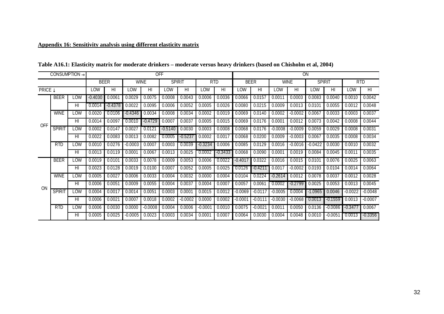### **Appendix 16: Sensitivity analysis using different elasticity matrix**

|                           | <b>CONSUMPTION</b> |                 |             |           |                    | <b>OFF</b>  |               |                |           |            |             |           |                    | <b>ON</b>   |               |                |            |           |
|---------------------------|--------------------|-----------------|-------------|-----------|--------------------|-------------|---------------|----------------|-----------|------------|-------------|-----------|--------------------|-------------|---------------|----------------|------------|-----------|
|                           |                    |                 | <b>BEER</b> |           |                    | <b>WINE</b> | <b>SPIRIT</b> |                |           | <b>RTD</b> | <b>BEER</b> |           |                    | <b>WINE</b> | <b>SPIRIT</b> |                | <b>RTD</b> |           |
| <b>PRICE</b> $\downarrow$ |                    |                 | LOW         | HI        | LOW                | HI          | LOW           | H <sub>l</sub> | LOW       | HI         | LOW         | HI        | LOW                | HI          | LOW           | H <sub>l</sub> | LOW        | $H\Box$   |
|                           | <b>BEER</b>        | LOW             | $-0.4030$   | 0.0061    | 0.0029             | 0.0075      | 0.0008        | 0.0043         | 0.0006    | 0.0036     | 0.0066      | 0.0157    | 0.0011             | 0.0003      | 0.0083        | 0.0040         | 0.0010     | 0.0042    |
|                           |                    | H <sub>l</sub>  | 0.0014      | $-0.4378$ | 0.0022             | 0.0095      | 0.0006        | 0.0052         | 0.0005    | 0.0026     | 0.0080      | 0.0215    | 0.0009             | 0.0013      | 0.0101        | 0.0055         | 0.0012     | 0.0048    |
|                           | <b>WINE</b>        | LOW             | 0.0020      | 0.0106    | $-0.4346$          | 0.0034      | 0.0008        | 0.0034         | 0.0002    | 0.0019     | 0.0069      | 0.0140    | 0.0002             | $-0.0002$   | 0.0067        | 0.0033         | 0.0003     | 0.0037    |
| <b>OFF</b>                |                    | H <sub>l</sub>  | 0.0014      | 0.0097    | 0.0010             | $-0.4729$   | 0.0007        | 0.0037         | 0.0005    | 0.0015     | 0.0069      | 0.0176    | 0.0001             | 0.0012      | 0.0073        | 0.0042         | 0.0008     | 0.0044    |
|                           | <b>SPIRIT</b>      | LOW             | 0.0002      | 0.0147    | 0.0027             | 0.0121      | $-0.5140$     | 0.0030         | 0.0003    | 0.0008     | 0.0068      | 0.0176    | $-0.0008$          | $-0.0009$   | 0.0059        | 0.0029         | 0.0008     | 0.0031    |
|                           |                    | $\overline{H}$  | 0.0022      | 0.0083    | 0.0013             | 0.0082      | 0.0005        | $-0.5237$      | 0.0002    | 0.0017     | 0.0068      | 0.0200    | 0.0009             | $-0.0003$   | 0.0067        | 0.0035         | 0.0008     | 0.0034    |
|                           | RTD                | LOW             | 0.0010      | 0.0276    | $-0.0003$          | 0.0007      | 0.0003        | 0.0039         | $-0.3234$ | 0.0006     | 0.0085      | 0.0129    | 0.0016             | $-0.0016$   | $-0.0422$     | 0.0030         | 0.0010     | 0.0032    |
|                           |                    | HI              | 0.0013      | 0.0119    | 0.000 <sub>1</sub> | 0.0067      | 0.0013        | 0.0025         | 0.0002    | -0.3433    | 0.0068      | 0.0090    | 0.000 <sub>1</sub> | 0.0019      | 0.0084        | 0.0045         | 0.0011     | 0.0035    |
|                           | <b>BEER</b>        | LOW             | 0.0019      | 0.0101    | 0.0033             | 0.0078      | 0.0009        | 0.0053         | 0.0006    | 0.0022     | $-0.401$    | 0.0322    | 0.0016             | 0.0015      | 0.0101        | 0.0076         | 0.0025     | 0.0063    |
|                           |                    | HI              | 0.0023      | 0.0128    | 0.0019             | 0.0100      | 0.0007        | 0.0052         | 0.0005    | 0.0025     | 0.0126      | $-0.421$  | 0.0017             | $-0.0002$   | 0.0193        | 0.0104         | 0.0014     | 0.0064    |
|                           | <b>WINE</b>        | LOW             | 0.0005      | 0.0027    | 0.0006             | 0.0033      | 0.0004        | 0.0032         | 0.0000    | 0.0004     | 0.0104      | 0.0224    | -0.2614            | 0.0012      | 0.0078        | 0.0037         | 0.0012     | 0.0028    |
| 0 <sub>N</sub>            |                    | HI              | 0.0006      | 0.0051    | 0.0009             | 0.0055      | 0.0004        | 0.0037         | 0.0004    | 0.0007     | 0.0057      | 0.0061    | 0.0002             | $-0.2799$   | 0.0025        | 0.0053         | 0.0013     | 0.0045    |
|                           | <b>SPIRIT</b>      | LOW             | 0.0004      | 0.0017    | 0.0014             | 0.0051      | 0.0003        | 0.0001         | 0.0015    | 0.0012     | $-0.0069$   | $-0.0117$ | $-0.0005$          | 0.0004      | $-1.0965$     | 0.0046         | $-0.0022$  | $-0.0048$ |
|                           |                    | H <sub>II</sub> | 0.0006      | 0.0021    | 0.0007             | 0.0018      | 0.0002        | $-0.0002$      | 0.0000    | 0.0002     | $-0.0001$   | $-0.0111$ | $-0.0030$          | $-0.0068$   | 0.0013        | $-0.1559$      | 0.0013     | $-0.0007$ |
|                           | <b>RTD</b>         | LOW             | 0.0006      | 0.0030    | 0.0000             | $-0.0008$   | 0.0004        | 0.0006         | $-0.0001$ | 0.0010     | 0.0075      | $-0.0022$ | 0.0011             | 0.0050      | 0.0136        | $-0.0086$      | $-0.3477$  | 0.0067    |
|                           |                    | HI              | 0.0005      | 0.0025    | $-0.0005$          | 0.0023      | 0.0003        | 0.0034         | 0.0001    | 0.0007     | 0.0064      | 0.0030    | 0.0004             | 0.0048      | 0.0010        | $-0.0051$      | 0.0013     | $-0.3356$ |

**Table A16.1: Elasticity matrix for moderate drinkers – moderate versus heavy drinkers (based on Chisholm et al, 2004)**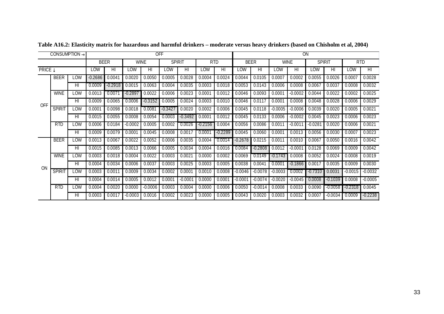| <b>CONSUMPTION</b>        |               |             |           |                 |                    | <b>OFF</b>      |                |            |                    |             | ON        |                    |           |               |           |            |                         |           |  |
|---------------------------|---------------|-------------|-----------|-----------------|--------------------|-----------------|----------------|------------|--------------------|-------------|-----------|--------------------|-----------|---------------|-----------|------------|-------------------------|-----------|--|
|                           |               | <b>BEER</b> |           | <b>WINE</b>     |                    | <b>SPIRIT</b>   |                | <b>RTD</b> |                    | <b>BEER</b> |           | <b>WINE</b>        |           | <b>SPIRIT</b> |           | <b>RTD</b> |                         |           |  |
| <b>PRICE</b> $\downarrow$ |               | LOW         | HI        | LOW             | $\overline{H}$     | LOW             | H <sub>l</sub> | LOW        | HI                 | LOW         | HI        | LOW                | HI        | LOW           | HI        | LOW        | $\overline{\mathsf{H}}$ |           |  |
|                           | <b>BEER</b>   | LOW         | $-0.2686$ | 0.0041          | 0.0020             | 0.0050          | 0.0005         | 0.0028     | 0.0004             | 0.0024      | 0.0044    | 0.0105             | 0.0007    | 0.0002        | 0.0055    | 0.0026     | 0.0007                  | 0.0028    |  |
|                           |               | HI          | 0.0009    | -0.2918         | 0.0015             | 0.0063          | 0.0004         | 0.0035     | 0.0003             | 0.0018      | 0.0053    | 0.0143             | 0.0006    | 0.0008        | 0.0067    | 0.0037     | 0.0008                  | 0.0032    |  |
|                           | <b>WINE</b>   | LOW         | 0.0013    | $0.007^{\circ}$ | $-0.2897$          | 0.0022          | 0.0006         | 0.0023     | 0.0001             | 0.0012      | 0.0046    | 0.0093             | 0.0001    | $-0.0002$     | 0.0044    | 0.0022     | 0.0002                  | 0.0025    |  |
| <b>OFF</b>                |               | HI          | 0.0009    | 0.0065          | 0.0006             | $-0.3152$       | 0.0005         | 0.0024     | 0.0003             | 0.0010      | 0.0046    | 0.0117             | 0.0001    | 0.0008        | 0.0048    | 0.0028     | 0.0006                  | 0.0029    |  |
|                           | <b>SPIRIT</b> | LOW         | 0.0001    | 0.0098          | 0.0018             | $0.008^{\circ}$ | $-0.3427$      | 0.0020     | 0.0002             | 0.0006      | 0.0045    | 0.0118             | $-0.0005$ | $-0.0006$     | 0.0039    | 0.0020     | 0.0005                  | 0.0021    |  |
|                           |               | HI          | 0.0015    | 0.0055          | 0.0008             | 0.0054          | 0.0003         | -0.3492    | $0.000^{\circ}$    | 0.0012      | 0.0045    | 0.0133             | 0.0006    | $-0.0002$     | 0.0045    | 0.0023     | 0.0006                  | 0.0023    |  |
|                           | <b>RTD</b>    | LOW         | 0.0006    | 0.0184          | $-0.0002$          | 0.0005          | 0.0002         | 0.0026     | $-0.2156$          | 0.0004      | 0.0056    | 0.0086             | 0.0011    | $-0.001$      | $-0.0281$ | 0.0020     | 0.0006                  | 0.0021    |  |
|                           |               | HI          | 0.0009    | 0.0079          | 0.000 <sup>1</sup> | 0.0045          | 0.0008         | 0.0017     | 0.000 <sup>7</sup> | $-0.2289$   | 0.0045    | 0.0060             | 0.0001    | 0.0013        | 0.0056    | 0.0030     | 0.0007                  | 0.0023    |  |
|                           | <b>BEER</b>   | LOW         | 0.0013    | 0.0067          | 0.0022             | 0.0052          | 0.0006         | 0.0035     | 0.0004             | 0.0014      | $-0.2678$ | 0.0215             | 0.001     | 0.0010        | 0.0067    | 0.0050     | 0.0016                  | 0.0042    |  |
|                           |               | HI          | 0.0015    | 0.0085          | 0.0013             | 0.0066          | 0.0005         | 0.0034     | 0.0004             | 0.0016      | 0.0084    | $-0.2808$          | 0.0012    | $-0.0001$     | 0.0128    | 0.0069     | 0.0009                  | 0.0042    |  |
|                           | <b>WINE</b>   | LOW         | 0.0003    | 0.0018          | 0.0004             | 0.0022          | 0.0003         | 0.0021     | 0.0000             | 0.0002      | 0.0069    | 0.0149             | -0.1743   | 0.0008        | 0.0052    | 0.0024     | 0.0008                  | 0.0019    |  |
| <b>ON</b>                 |               | HI          | 0.0004    | 0.0034          | 0.0006             | 0.0037          | 0.0003         | 0.0025     | 0.0003             | 0.0005      | 0.0038    | 0.004 <sup>2</sup> | 0.0001    | $-0.1866$     | 0.0017    | 0.0035     | 0.0009                  | 0.0030    |  |
|                           | <b>SPIRIT</b> | LOW         | 0.0003    | 0.001           | 0.0009             | 0.0034          | 0.0002         | 0.0001     | 0.0010             | 0.0008      | $-0.0046$ | $-0.0078$          | $-0.0003$ | 0.0002        | -0.7310   | 0.0031     | $-0.0015$               | $-0.0032$ |  |
|                           |               | HI          | 0.0004    | 0.0014          | 0.0005             | 0.0012          | 0.0001         | $-0.0001$  | 0.0000             | 0.0001      | $-0.000$  | $-0.0074$          | $-0.0020$ | $-0.0045$     | 0.0008    | -0.1039    | 0.0008                  | $-0.0005$ |  |
|                           | <b>RTD</b>    | LOW         | 0.0004    | 0.0020          | 0.0000             | $-0.0006$       | 0.0003         | 0.0004     | 0.0000             | 0.0006      | 0.0050    | $-0.0014$          | 0.0008    | 0.0033        | 0.0090    | $-0.0058$  | $-0.2318$               | 0.0045    |  |
|                           |               | HI          | 0.0003    | 0.0017          | $-0.0003$          | 0.0016          | 0.0002         | 0.0023     | 0.0000             | 0.0005      | 0.0043    | 0.0020             | 0.0003    | 0.0032        | 0.0007    | $-0.0034$  | 0.0009                  | $-0.2238$ |  |

**Table A16.2: Elasticity matrix for hazardous and harmful drinkers – moderate versus heavy drinkers (based on Chisholm et al, 2004)**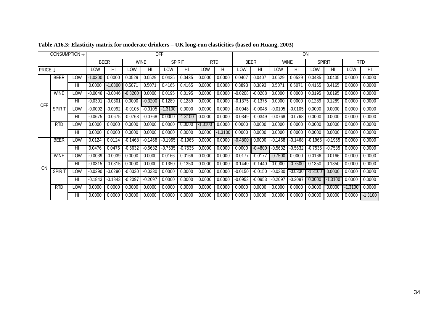| <b>CONSUMPTION</b> |                |        |           |             |             |                | <b>OFF</b>    |                |            | ON             |           |                         |           |                |           |                         |         |                         |
|--------------------|----------------|--------|-----------|-------------|-------------|----------------|---------------|----------------|------------|----------------|-----------|-------------------------|-----------|----------------|-----------|-------------------------|---------|-------------------------|
|                    |                |        |           | <b>BEER</b> | <b>WINE</b> |                | <b>SPIRIT</b> |                | <b>RTD</b> |                |           | <b>BEER</b>             |           | <b>WINE</b>    |           | <b>SPIRIT</b>           |         | <b>RTD</b>              |
|                    | <b>PRICE</b> ↓ |        | LOW       | HI          | LOW         | $\overline{H}$ | LOW           | $\overline{H}$ | LOW        | H <sub>l</sub> | LOW       | $\overline{\mathsf{H}}$ | LOW       | $\overline{H}$ | LOW       | $\overline{\mathsf{H}}$ | LOW     | $\overline{\mathsf{H}}$ |
|                    | <b>BEER</b>    | LOW    | $-1.0300$ | 0.0000      | 0.0529      | 0.0529         | 0.0435        | 0.0435         | 0.0000     | 0.0000         | 0.0407    | 0.0407                  | 0.0529    | 0.0529         | 0.0435    | 0.0435                  | 0.0000  | 0.0000                  |
|                    |                | HI     | 0.0000    | $-1.0300$   | 0.5071      | 0.507'         | 0.4165        | 0.4165         | 0.0000     | 0.0000         | 0.3893    | 0.3893                  | 0.5071    | 0.507          | 0.4165    | 0.4165                  | 0.0000  | 0.0000                  |
|                    | <b>WINE</b>    | LOW    | $-0.0046$ | $-0.0046$   | $-0.3200$   | 0.0000         | 0.0195        | 0.0195         | 0.0000     | 0.0000         | $-0.0208$ | $-0.0208$               | 0.0000    | 0.0000         | 0.0195    | 0.0195                  | 0.0000  | 0.0000                  |
| <b>OFF</b>         |                | HI     | $-0.030'$ | $-0.0301$   | 0.0000      | $-0.3200$      | 0.1289        | 0.1289         | 0.0000     | 0.0000         | $-0.1375$ | $-0.1375$               | 0.0000    | 0.0000         | 0.1289    | 0.1289                  | 0.0000  | 0.0000                  |
|                    | <b>SPIRIT</b>  | LOW    | $-0.0092$ | $-0.0092$   | $-0.0105$   | $-0.0105$      | 1.3100        | 0.0000         | 0.0000     | 0.0000         | $-0.0048$ | $-0.0048$               | $-0.0105$ | $-0.0105$      | 0.0000    | 0.0000                  | 0.0000  | 0.0000                  |
|                    |                | HI     | $-0.0675$ | $-0.0675$   | $-0.0768$   | $-0.0768$      | 0.0000        | $-1.3100$      | 0.0000     | 0.0000         | $-0.0349$ | $-0.0349$               | $-0.0768$ | $-0.0768$      | 0.0000    | 0.0000                  | 0.0000  | 0.0000                  |
|                    | <b>RTD</b>     | LOW    | 0.0000    | 0.0000      | 0.0000      | 0.0000         | 0.0000        | 0.0000         | -1.3100    | 0.0000         | 0.0000    | 0.0000                  | 0.0000    | 0.0000         | 0.0000    | 0.0000                  | 0.0000  | 0.0000                  |
|                    |                | HI     | 0.0000    | 0.0000      | 0.0000      | 0.0000         | 0.0000        | 0.0000         | 0.0000     | $-1.3100$      | 0.0000    | 0.0000                  | 0.0000    | 0.0000         | 0.0000    | 0.0000                  | 0.0000  | 0.0000                  |
|                    | <b>BEER</b>    | LOW    | 0.0124    | 0.0124      | $-0.1468$   | $-0.1468$      | $-0.1965$     | $-0.1965$      | 0.0000     | 0.0000         | $-0.4800$ | 0.0000                  | -0.1468   | $-0.1468$      | -0.1965   | -0.1965                 | 0.0000  | 0.0000                  |
|                    |                | HI     | 0.0476    | 0.0476      | $-0.5632$   | $-0.5632$      | $-0.7535$     | $-0.7535$      | 0.0000     | 0.0000         | 0.0000    | $-0.4800$               | $-0.5632$ | $-0.5632$      | $-0.7535$ | -0.7535                 | 0.0000  | 0.0000                  |
|                    | <b>WINE</b>    | -<br>S | $-0.0039$ | $-0.0039$   | 0.0000      | 0.0000         | 0.0166        | 0.0166         | 0.0000     | 0.0000         | $-0.0177$ | -0.0177                 | -0.7500   | 0.0000         | 0.0166    | 0.0166                  | 0.0000  | 0.0000                  |
| ON                 |                | HI     | $-0.0315$ | $-0.0315$   | 0.0000      | 0.0000         | 0.1350        | 0.1350         | 0.0000     | 0.0000         | -0.1440   | -0.1440                 | 0.0000    | $-0.7500$      | 0.1350    | 0.1350                  | 0.0000  | 0.0000                  |
|                    | <b>SPIRIT</b>  | LOW    | $-0.0290$ | $-0.0290$   | $-0.0330$   | $-0.0330$      | 0.0000        | 0.0000         | 0.0000     | 0.0000         | $-0.0150$ | $-0.0150$               | $-0.0330$ | $-0.0330$      | -1.3100   | 0.0000                  | 0.0000  | 0.0000                  |
|                    |                | HI     | $-0.1843$ | $-0.1843$   | $-0.2097$   | $-0.2097$      | 0.0000        | 0.0000         | 0.0000     | 0.0000         | -0.0953   | $-0.0953$               | -0.2097   | -0.2097        | 0.0000    | -1.3100                 | 0.0000  | 0.0000                  |
|                    | <b>RTD</b>     | LOW    | 0.0000    | 0.0000      | 0.0000      | 0.0000         | 0.0000        | 0.0000         | 0.0000     | 0.0000         | 0.0000    | 0.0000                  | 0.0000    | 0.0000         | 0.0000    | 0.0000                  | -1.3100 | 0.0000                  |
|                    |                | HI     | 0.0000    | 0.0000      | 0.0000      | 0.0000         | 0.0000        | 0.0000         | 0.0000     | 0.0000         | 0.0000    | 0.0000                  | 0.0000    | 0.0000         | 0.0000    | 0.0000                  | 0.0000  | $-1.3100$               |

**Table A16.3: Elasticity matrix for moderate drinkers – UK long-run elasticities (based on Huang, 2003)**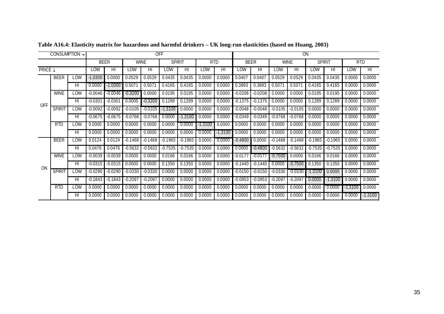| <b>CONSUMPTION</b> |                |        |           |             |             |                | <b>OFF</b>    |                |            | ON             |           |                         |           |                |           |                         |         |                         |
|--------------------|----------------|--------|-----------|-------------|-------------|----------------|---------------|----------------|------------|----------------|-----------|-------------------------|-----------|----------------|-----------|-------------------------|---------|-------------------------|
|                    |                |        |           | <b>BEER</b> | <b>WINE</b> |                | <b>SPIRIT</b> |                | <b>RTD</b> |                |           | <b>BEER</b>             |           | <b>WINE</b>    |           | <b>SPIRIT</b>           |         | <b>RTD</b>              |
|                    | <b>PRICE</b> ↓ |        | LOW       | HI          | LOW         | $\overline{H}$ | LOW           | $\overline{H}$ | LOW        | H <sub>l</sub> | LOW       | $\overline{\mathsf{H}}$ | LOW       | $\overline{H}$ | LOW       | $\overline{\mathsf{H}}$ | LOW     | $\overline{\mathsf{H}}$ |
|                    | <b>BEER</b>    | LOW    | $-1.0300$ | 0.0000      | 0.0529      | 0.0529         | 0.0435        | 0.0435         | 0.0000     | 0.0000         | 0.0407    | 0.0407                  | 0.0529    | 0.0529         | 0.0435    | 0.0435                  | 0.0000  | 0.0000                  |
|                    |                | HI     | 0.0000    | $-1.0300$   | 0.5071      | 0.507'         | 0.4165        | 0.4165         | 0.0000     | 0.0000         | 0.3893    | 0.3893                  | 0.5071    | 0.507          | 0.4165    | 0.4165                  | 0.0000  | 0.0000                  |
|                    | <b>WINE</b>    | LOW    | $-0.0046$ | $-0.0046$   | $-0.3200$   | 0.0000         | 0.0195        | 0.0195         | 0.0000     | 0.0000         | $-0.0208$ | $-0.0208$               | 0.0000    | 0.0000         | 0.0195    | 0.0195                  | 0.0000  | 0.0000                  |
| <b>OFF</b>         |                | HI     | $-0.030'$ | $-0.0301$   | 0.0000      | $-0.3200$      | 0.1289        | 0.1289         | 0.0000     | 0.0000         | $-0.1375$ | $-0.1375$               | 0.0000    | 0.0000         | 0.1289    | 0.1289                  | 0.0000  | 0.0000                  |
|                    | <b>SPIRIT</b>  | LOW    | $-0.0092$ | $-0.0092$   | $-0.0105$   | $-0.0105$      | 1.3100        | 0.0000         | 0.0000     | 0.0000         | $-0.0048$ | $-0.0048$               | $-0.0105$ | $-0.0105$      | 0.0000    | 0.0000                  | 0.0000  | 0.0000                  |
|                    |                | HI     | $-0.0675$ | $-0.0675$   | $-0.0768$   | $-0.0768$      | 0.0000        | $-1.3100$      | 0.0000     | 0.0000         | $-0.0349$ | $-0.0349$               | $-0.0768$ | $-0.0768$      | 0.0000    | 0.0000                  | 0.0000  | 0.0000                  |
|                    | <b>RTD</b>     | LOW    | 0.0000    | 0.0000      | 0.0000      | 0.0000         | 0.0000        | 0.0000         | -1.3100    | 0.0000         | 0.0000    | 0.0000                  | 0.0000    | 0.0000         | 0.0000    | 0.0000                  | 0.0000  | 0.0000                  |
|                    |                | HI     | 0.0000    | 0.0000      | 0.0000      | 0.0000         | 0.0000        | 0.0000         | 0.0000     | $-1.3100$      | 0.0000    | 0.0000                  | 0.0000    | 0.0000         | 0.0000    | 0.0000                  | 0.0000  | 0.0000                  |
|                    | <b>BEER</b>    | LOW    | 0.0124    | 0.0124      | $-0.1468$   | $-0.1468$      | $-0.1965$     | $-0.1965$      | 0.0000     | 0.0000         | $-0.4800$ | 0.0000                  | -0.1468   | $-0.1468$      | -0.1965   | -0.1965                 | 0.0000  | 0.0000                  |
|                    |                | HI     | 0.0476    | 0.0476      | $-0.5632$   | $-0.5632$      | $-0.7535$     | $-0.7535$      | 0.0000     | 0.0000         | 0.0000    | $-0.4800$               | $-0.5632$ | $-0.5632$      | $-0.7535$ | -0.7535                 | 0.0000  | 0.0000                  |
|                    | <b>WINE</b>    | -<br>S | $-0.0039$ | $-0.0039$   | 0.0000      | 0.0000         | 0.0166        | 0.0166         | 0.0000     | 0.0000         | $-0.0177$ | -0.0177                 | -0.7500   | 0.0000         | 0.0166    | 0.0166                  | 0.0000  | 0.0000                  |
| ON                 |                | HI     | $-0.0315$ | $-0.0315$   | 0.0000      | 0.0000         | 0.1350        | 0.1350         | 0.0000     | 0.0000         | -0.1440   | -0.1440                 | 0.0000    | $-0.7500$      | 0.1350    | 0.1350                  | 0.0000  | 0.0000                  |
|                    | <b>SPIRIT</b>  | LOW    | $-0.0290$ | $-0.0290$   | $-0.0330$   | $-0.0330$      | 0.0000        | 0.0000         | 0.0000     | 0.0000         | $-0.0150$ | $-0.0150$               | $-0.0330$ | $-0.0330$      | -1.3100   | 0.0000                  | 0.0000  | 0.0000                  |
|                    |                | HI     | $-0.1843$ | $-0.1843$   | $-0.2097$   | $-0.2097$      | 0.0000        | 0.0000         | 0.0000     | 0.0000         | -0.0953   | $-0.0953$               | -0.2097   | -0.2097        | 0.0000    | -1.3100                 | 0.0000  | 0.0000                  |
|                    | <b>RTD</b>     | LOW    | 0.0000    | 0.0000      | 0.0000      | 0.0000         | 0.0000        | 0.0000         | 0.0000     | 0.0000         | 0.0000    | 0.0000                  | 0.0000    | 0.0000         | 0.0000    | 0.0000                  | -1.3100 | 0.0000                  |
|                    |                | HI     | 0.0000    | 0.0000      | 0.0000      | 0.0000         | 0.0000        | 0.0000         | 0.0000     | 0.0000         | 0.0000    | 0.0000                  | 0.0000    | 0.0000         | 0.0000    | 0.0000                  | 0.0000  | $-1.3100$               |

**Table A16.4: Elasticity matrix for hazardous and harmful drinkers – UK long-run elasticities (based on Huang, 2003)**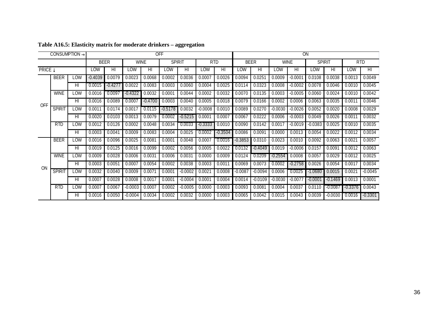| <b>CONSUMPTION</b>        |               |        |           |             |                |             | <b>OFF</b>     |               |           | ON         |             |           |             |           |               |           |                    |           |
|---------------------------|---------------|--------|-----------|-------------|----------------|-------------|----------------|---------------|-----------|------------|-------------|-----------|-------------|-----------|---------------|-----------|--------------------|-----------|
|                           |               |        |           | <b>BEER</b> |                | <b>WINE</b> |                | <b>SPIRIT</b> |           | <b>RTD</b> | <b>BEER</b> |           | <b>WINE</b> |           | <b>SPIRIT</b> |           | <b>RTD</b>         |           |
| <b>PRICE</b> $\downarrow$ |               | LOW    | HI        | LOW         | H <sub>l</sub> | LOW         | H <sub>l</sub> | LOW           | HI        | LOW        | HI          | LOW       | HI          | LOW       | HI            | LOW       | H <sub>l</sub>     |           |
|                           | <b>BEER</b>   | LOW    | $-0.4039$ | 0.0079      | 0.0023         | 0.0068      | 0.0002         | 0.0036        | 0.0007    | 0.0026     | 0.0094      | 0.0251    | 0.0009      | $-0.0002$ | 0.0108        | 0.0038    | 0.0013             | 0.0049    |
|                           |               | HI     | 0.0015    | $-0.427$    | 0.0022         | 0.0083      | 0.0003         | 0.0060        | 0.0004    | 0.0025     | 0.0114      | 0.0323    | 0.0008      | $-0.0002$ | 0.0078        | 0.0046    | 0.0010             | 0.0045    |
|                           | <b>WINE</b>   | LOW    | 0.0016    | 0.0097      | $-0.4322$      | 0.0032      | 0.0001         | 0.0044        | 0.0002    | 0.0032     | 0.0070      | 0.0135    | 0.0003      | $-0.0005$ | 0.0060        | 0.0024    | 0.0010             | 0.0042    |
| <b>OFF</b>                |               | HI     | 0.0016    | 0.0089      | 0.0007         | $-0.4700$   | 0.0003         | 0.0040        | 0.0005    | 0.0018     | 0.0079      | 0.0166    | 0.0002      | 0.0006    | 0.0063        | 0.0035    | 0.001              | 0.0046    |
|                           | <b>SPIRIT</b> | LOW    | 0.0011    | 0.0174      | 0.0017         | 0.0115      | -0.5178        | 0.0032        | $-0.0008$ | 0.0010     | 0.0089      | 0.0270    | $-0.003C$   | $-0.0026$ | 0.0052        | 0.0020    | 0.0008             | 0.0029    |
|                           |               | HI     | 0.0020    | 0.0103      | 0.0013         | 0.0079      | 0.0002         | $-0.5215$     | 0.0001    | 0.0007     | 0.0067      | 0.0222    | 0.0006      | $-0.0003$ | 0.0049        | 0.0026    | 0.001              | 0.0032    |
|                           | <b>RTD</b>    | LOW    | 0.0012    | 0.0126      | 0.0002         | 0.0048      | 0.0034         | 0.0033        | -0.3333   | 0.0010     | 0.0090      | 0.0142    | 0.0017      | $-0.0019$ | $-0.0383$     | 0.0025    | 0.0010             | 0.0035    |
|                           |               | HI     | 0.0003    | 0.0041      | 0.0009         | 0.0083      | 0.0004         | 0.0025        | 0.0002    | -0.3504    | 0.0086      | 0.0091    | 0.0000      | 0.0013    | 0.0054        | 0.0022    | 0.0012             | 0.0034    |
|                           | <b>BEER</b>   | LOW    | 0.0016    | 0.0096      | 0.0025         | 0.0081      | 0.0001         | 0.0048        | 0.0007    | 0.0016     | $-0.3853$   | 0.0310    | 0.0023      | 0.0010    | 0.0092        | 0.0063    | $0.002^{t}$        | 0.0057    |
|                           |               | HI     | 0.0019    | 0.0125      | 0.0016         | 0.0099      | 0.0002         | 0.0056        | 0.0005    | 0.0022     | 0.0132      | $-0.4049$ | 0.0019      | $-0.0006$ | 0.0157        | 0.0091    | 0.0012             | 0.0063    |
|                           | <b>WINE</b>   | -<br>S | 0.0009    | 0.0028      | 0.0006         | 0.0031      | 0.0006         | 0.0031        | 0.0000    | 0.0009     | 0.0124      | 0.0209    | $-0.2554$   | 0.0008    | 0.0057        | 0.0029    | 0.0012             | 0.0025    |
| ON                        |               | HI     | 0.0003    | 0.0051      | 0.0007         | 0.0054      | 0.0002         | 0.0038        | 0.0003    | 0.0011     | 0.0069      | 0.0073    | 0.0002      | -0.2758   | 0.0026        | 0.0054    | 0.0017             | 0.0034    |
|                           | <b>SPIRIT</b> | LOW    | 0.0032    | 0.0040      | 0.0009         | 0.0071      | 0.0001         | $-0.0002$     | 0.0021    | 0.0008     | $-0.0087$   | $-0.0094$ | 0.0006      | 0.0025    | -1.0680       | 0.0015    | 0.002 <sup>2</sup> | $-0.0045$ |
|                           |               | HI     | 0.0007    | 0.0028      | 0.0008         | 0.0017      | 0.0001         | $-0.0004$     | 0.0001    | 0.0004     | 0.0014      | $-0.0109$ | $-0.0030$   | $-0.0077$ | $-0.0001$     | -0.1469   | 0.0013             | 0.0001    |
|                           | <b>RTD</b>    | LOW    | 0.0007    | 0.0067      | $-0.0003$      | 0.0007      | 0.0002         | $-0.0005$     | 0.0000    | 0.0003     | 0.0093      | 0.0081    | 0.0004      | 0.0037    | 0.0110        | $-0.0087$ | $-0.3376$          | 0.0043    |
|                           |               | HI     | 0.0016    | 0.0050      | $-0.0004$      | 0.0034      | 0.0002         | 0.0032        | 0.0000    | 0.0003     | 0.0065      | 0.0042    | 0.0015      | 0.0043    | 0.0039        | $-0.0030$ | 0.0016             | $-0.3301$ |

#### **Table A16.5: Elasticity matrix for moderate drinkers – aggregation**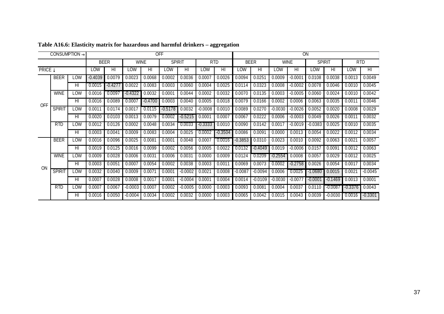|                | CONSUMPTION $\rightarrow$ |                 |             |                |             |                | <b>OFF</b>      |                |            |           |             |                         |             | ON        |               |           |            |           |
|----------------|---------------------------|-----------------|-------------|----------------|-------------|----------------|-----------------|----------------|------------|-----------|-------------|-------------------------|-------------|-----------|---------------|-----------|------------|-----------|
|                |                           |                 | <b>BEER</b> |                | <b>WINE</b> |                | <b>SPIRIT</b>   |                | <b>RTD</b> |           | <b>BEER</b> |                         | <b>WINE</b> |           | <b>SPIRIT</b> |           | <b>RTD</b> |           |
| <b>PRICE</b> ↓ |                           |                 | LOW         | $\overline{H}$ | LOW         | H <sub>l</sub> | LOW             | $\overline{H}$ | LOW        | HI        | LOW         | $\overline{\mathsf{H}}$ | LOW         | HI        | LOW           | HI        | LOW        | HI        |
|                | BEER                      | LOW             | $-0.4039$   | 0.0079         | 0.0023      | 0.0068         | 0.0002          | 0.0036         | 0.0007     | 0.0026    | 0.0094      | 0.0251                  | 0.0009      | $-0.0001$ | 0.0108        | 0.0038    | 0.0013     | 0.0049    |
|                |                           | HI              | 0.0015      | $-0.4277$      | 0.0022      | 0.0083         | 0.0003          | 0.0060         | 0.0004     | 0.0025    | 0.0114      | 0.0323                  | 0.0008      | $-0.0002$ | 0.0078        | 0.0046    | 0.0010     | 0.0045    |
|                | <b>WINE</b>               | LOW             | 0.0016      | 0.0097         | $-0.4322$   | 0.0032         | 0.0001          | 0.0044         | 0.0002     | 0.0032    | 0.0070      | 0.0135                  | 0.0003      | $-0.0005$ | 0.0060        | 0.0024    | 0.0010     | 0.0042    |
| <b>OFF</b>     |                           | HI              | 0.0016      | 0.0089         | 0.0007      | -0.4700        | 0.0003          | 0.0040         | 0.0005     | 0.0018    | 0.0079      | 0.0166                  | 0.0002      | 0.0006    | 0.0063        | 0.0035    | 0.0011     | 0.0046    |
|                | <b>SPIRIT</b>             | LOW             | 0.001'      | 0.0174         | 0.0017      | 0.0115         | $-0.5178$       | 0.0032         | $-0.0008$  | 0.0010    | 0.0089      | 0.0270                  | $-0.0030$   | $-0.0026$ | 0.0052        | 0.0020    | 0.0008     | 0.0029    |
|                |                           | HI              | 0.0020      | 0.0103         | 0.0013      | 0.0079         | 0.0002          | $-0.5215$      | 0.0001     | 0.0007    | 0.0067      | 0.0222                  | 0.0006      | $-0.0003$ | 0.0049        | 0.0026    | 0.0011     | 0.0032    |
|                | RTD                       | LOW             | 0.0012      | 0.0126         | 0.0002      | 0.0048         | 0.0034          | 0.0033         | $-0.3333$  | 0.0010    | 0.0090      | 0.0142                  | 0.0017      | $-0.0019$ | $-0.0383$     | 0.0025    | 0.0010     | 0.0035    |
|                |                           | H <sub>II</sub> | 0.0003      | 0.004'         | 0.0009      | 0.0083         | 0.0004          | 0.0025         | 0.0002     | $-0.3504$ | 0.0086      | 0.0091                  | 0.0000      | 0.0013    | 0.0054        | 0.0022    | 0.0012     | 0.0034    |
|                | <b>BEER</b>               | LOW             | 0.0016      | 0.0096         | 0.0025      | 0.0081         | 0.0001          | 0.0048         | 0.0007     | 0.0016    | $-0.3853$   | 0.0310                  | 0.0023      | 0.0010    | 0.0092        | 0.0063    | 0.0021     | 0.0057    |
|                |                           | HI              | 0.0019      | 0.0125         | 0.0016      | 0.0099         | 0.0002          | 0.0056         | 0.0005     | 0.0022    | 0.0132      | -0.4049                 | 0.0019      | $-0.0006$ | 0.0157        | 0.0091    | 0.0012     | 0.0063    |
|                | <b>WINE</b>               | LOW             | 0.0009      | 0.0028         | 0.0006      | 0.0031         | 0.0006          | 0.0031         | 0.0000     | 0.0009    | 0.0124      | 0.0209                  | -0.2554     | 0.0008    | 0.0057        | 0.0029    | 0.0012     | 0.0025    |
|                |                           | HI              | 0.0003      | 0.005'         | 0.0007      | 0.0054         | 0.0002          | 0.0038         | 0.0003     | 0.001     | 0.0069      | 0.0073                  | 0.0002      | $-0.2758$ | 0.0026        | 0.0054    | 0.0017     | 0.0034    |
| ON             | <b>SPIRIT</b>             | LOW             | 0.0032      | 0.0040         | 0.0009      | 0.0071         | $0.000^{\circ}$ | $-0.0002$      | 0.0021     | 0.0008    | $-0.0087$   | $-0.0094$               | 0.0006      | 0.0025    | -1.0680       | 0.0015    | 0.0021     | $-0.0045$ |
|                |                           | HI              | 0.0007      | 0.0028         | 0.0008      | 0.0017         | $0.000^{\circ}$ | $-0.0004$      | 0.0001     | 0.0004    | 0.0014      | $-0.0109$               | -0.0030     | $-0.007$  | $-0.0001$     | $-0.1469$ | 0.0013     | 0.0001    |
|                | <b>RTD</b>                | LOW             | 0.0007      | 0.0067         | $-0.0003$   | 0.0007         | 0.0002          | $-0.0005$      | 0.0000     | 0.0003    | 0.0093      | 0.0081                  | 0.0004      | 0.0037    | 0.0110        | $-0.0087$ | -0.3376    | 0.0043    |
|                |                           | HI              | 0.0016      | 0.0050         | $-0.0004$   | 0.0034         | 0.0002          | 0.0032         | 0.0000     | 0.0003    | 0.0065      | 0.0042                  | 0.0015      | 0.0043    | 0.0039        | $-0.0030$ | 0.0016     | $-0.3301$ |

### **Table A16.6: Elasticity matrix for hazardous and harmful drinkers – aggregation**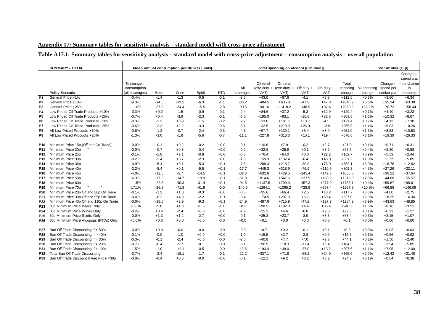## **Appendix 17: Summary tables for sensitivity analysis – standard model with cross-price adjustment**

# **Table A17.1: Summary tables for sensitivity analysis – standard model with cross-price adjustment – consumption analysis – overall population**

|                 | <b>SUMMARY - TOTAL</b>                   |                 |         |         | Mean annual consumption per drinker (units) |            |           |               | Total spending on alcohol (£ millions) |              |             |           |            | Per drinker (£ p) |                        |
|-----------------|------------------------------------------|-----------------|---------|---------|---------------------------------------------|------------|-----------|---------------|----------------------------------------|--------------|-------------|-----------|------------|-------------------|------------------------|
|                 |                                          |                 |         |         |                                             |            |           |               |                                        |              |             |           |            |                   | Change in              |
|                 |                                          |                 |         |         |                                             |            |           |               |                                        |              |             |           |            |                   | spend p.a.             |
|                 |                                          | % change in     |         |         |                                             |            |           | Off retail    | On retail                              |              |             | Total     |            |                   | Change in if no change |
|                 |                                          | consumption     |         |         |                                             |            | All       | $(exc duty +$ | (exc duty $+$                          | Off duty $+$ | On duty $+$ | spending  | % spending | spend per         | in                     |
|                 | Policy Scenario                          | (all beverages) | Beer    | Wine    | Spirit                                      | <b>RTD</b> | beverages | VAT)          | VAT)                                   | <b>VAT</b>   | <b>VAT</b>  | change    | change     | drinker p.a.      | consump.               |
| P <sub>1</sub>  | General Price +1%                        | $-0.4%$         | $-1.4$  | $-1.3$  | $-0.6$                                      | $-0.1$     | $-3.5$    | $+43.0$       | $+67.6$                                | $-4.1$       | $+5.5$      | $+112.0$  | $+0.6%$    | $+3.80$           | $+6.34$                |
| P <sub>2</sub>  | General Price +10%                       | $-4.3%$         | $-14.5$ | $-13.2$ | $-6.3$                                      | $-1.1$     | $-35.2$   | $+404.5$      | $+635.8$                               | $-47.9$      | $+47.8$     | +1040.2   | $+5.6%$    | $+35.34$          | $+63.38$               |
| lP3             | General Price +25%                       | $-11.0%$        | $-37.9$ | $-34.4$ | $-15.5$                                     | $-2.8$     | $-90.5$   | $+901.6$      | $+1418.2$                              | $-148.9$     | $+87.4$     | $+2258.3$ | $+12.1%$   | $+76.73$          | $+158.44$              |
| IP4             | Low Priced Off Trade Products +10%       | $-0.3%$         | $+0.2$  | $-1.5$  | $-0.9$                                      | $-0.1$     | $-2.4$    | $+84.6$       | $+37.2$                                | $-5.3$       | $+12.9$     | $+129.4$  | $+0.7%$    | $+4.40$           | $+3.23$                |
| P <sub>5</sub>  | Low Priced Off Trade Products +25%       | $-0.7%$         | $+0.4$  | $-3.9$  | $-2.3$                                      | $-0.1$     | $-6.0$    | $+195.0$      | $+93.1$                                | $-16.6$      | $+32.3$     | $+303.8$  | $+1.6%$    | $+10.32$          | $+8.07$                |
| P <sub>6</sub>  | Low Priced On Trade Products +10%        | $-0.3%$         | $-1.3$  | $+0.9$  | $-1.5$                                      | $-0.2$     | $-2.2$    | $+13.0$       | $+101.7$                               | $+10.7$      | $-4.1$      | $+121.4$  | $+0.7%$    | $+4.13$           | $+7.30$                |
| P7              | Low Priced On Trade Products +25%        | $-0.6%$         | $-3.3$  | $+2.2$  | $-3.3$                                      | $-0.6$     | $-5.1$    | $+32.5$       | $+219.3$                               | $+26.9$      | $-12.9$     | $+265.8$  | $+1.4%$    | $+9.03$           | $+18.26$               |
| IP8             | All Low Priced Products +10%             | $-0.6%$         | $-1.2$  | $-0.7$  | $-2.4$                                      | $-0.3$     | $-4.6$    | $+97.7$       | $+139.1$                               | $+5.4$       | $+8.9$      | $+251.0$  | $+1.3%$    | $+8.53$           | $+10.53$               |
| P <sub>9</sub>  | All Low Priced Products +25%             | $-1.3%$         | $-3.0$  | $-1.8$  | $-5.6$                                      | $-0.7$     | $-11.1$   | $+227.8$      | $+313.3$                               | $+10.1$      | $+19.4$     | $+570.6$  | $+3.1%$    | $+19.39$          | $+26.33$               |
| <b>P10</b>      | Minimum Price 15p (Off and On Trade)     | $-0.0%$         | $-0.1$  | $+0.2$  | $-0.2$                                      | $+0.0$     | $-0.1$    | $+10.6$       | $+7.9$                                 | $-0.2$       | $+2.7$      | $+21.0$   | $+0.1%$    | $+0.71$           | $+0.31$                |
| P <sub>11</sub> | Minimum Price 20p                        | $-0.0%$         | $-0.7$  | $+0.8$  | $-0.4$                                      | $+0.0$     | $-0.2$    | $+32.8$       | $+25.8$                                | $+0.1$       | $+8.9$      | $+67.6$   | $+0.4%$    | $+2.30$           | $+0.98$                |
| P <sub>12</sub> | Minimum Price 25p                        | $-0.1%$         | $-1.8$  | $+2.1$  | $-0.8$                                      | $+0.0$     | $-0.5$    | $+76.4$       | $+64.0$                                | $+0.0$       | $+22.2$     | $+162.7$  | $+0.9%$    | $+5.53$           | $+2.44$                |
| P <sub>13</sub> | Minimum Price 30p                        | $-0.2%$         | $-3.4$  | $+3.7$  | $-2.3$                                      | $+0.0$     | $-1.9$    | $+159.3$      | $+132.4$                               | $-6.4$       | $+46.0$     | $+331.2$  | $+1.8%$    | $+11.25$          | $+5.85$                |
| <b>P14</b>      | Minimum Price 35p                        | $-0.9%$         | $-5.4$  | $+3.1$  | $-5.3$                                      | $+0.1$     | $-7.5$    | $+288.3$      | $+218.7$                               | $-30.9$      | $+76.0$     | $+552.1$  | $+3.0%$    | $+18.76$          | $+12.62$               |
| P <sub>15</sub> | Minimum Price 40p                        | $-2.2%$         | $-8.4$  | $+0.1$  | $-9.5$                                      | $+0.1$     | $-17.7$   | $+449.3$      | $+318.9$                               | $-76.9$      | $+110.9$    | $+802.3$  | $+4.3%$    | $+27.26$          | $+23.11$               |
| P <sub>16</sub> | Minimum Price 45p                        | $-4.0%$         | $-12.5$ | $-5.7$  | $-14.5$                                     | $+0.1$     | $-32.6$   | $+632.6$      | $+429.5$                               | $-145.4$     | $+149.3$    | $+1066.0$ | $+5.7%$    | $+36.22$          | $+37.64$               |
| <b>P17</b>      | Minimum Price 50p                        | $-6.3%$         | $-17.3$ | $-14.7$ | $-19.9$                                     | $+0.1$     | $-51.8$   | $+814.6$      | $+547.6$                               | $-237.5$     | $+190.2$    | $+1315.0$ | $+7.0%$    | $+44.68$          | $+55.57$               |
| P <sub>18</sub> | Minimum Price 60p                        | $-11.5%$        | $-22.8$ | $-40.3$ | $-31.4$                                     | $+0.1$     | $-94.5$   | $+1137.5$     | $+799.0$                               | $-457.3$     | $+277.0$    | $+1756.1$ | $+9.4%$    | $+59.67$          | $+98.61$               |
| P <sub>19</sub> | Minimum Price 70p                        | $-17.1%$        | $-26.8$ | $-71.8$ | $-41.9$                                     | $-0.0$     | $-140.5$  | $+1264.1$     | $+1065.2$                              | $-728.9$     | $+367.4$    | $+1967.9$ | $+10.5%$   | +66.86            | $+146.09$              |
| P20             | Minimum Price 20p Off and 80p On Trade   | $-0.1%$         | $-1.2$  | $+1.0$  | $-0.3$                                      | $+0.0$     | $-0.5$    | $+35.6$       | $+66.4$                                | $+2.5$       | $+13.2$     | $+117.7$  | $+0.6%$    | $+4.00$           | $+2.75$                |
| P21             | Minimum Price 30p Off and 95p On Trade   | $-0.4%$         | $-6.2$  | $+4.9$  | $-2.2$                                      | $+0.1$     | $-3.4$    | $+174.5$      | $+297.0$                               | $+6.1$       | $+59.4$     | $+537.0$  | $+2.9%$    | $+18.25$          | $+14.34$               |
| P22             | Minimum Price 40p Off and 110p On Trade  | $-3.0%$         | $-18.6$ | $+2.9$  | $-9.3$                                      | $+0.1$     | $-24.9$   | $+487.6$      | $+715.9$                               | $-47.2$      | $+127.9$    | $+1284.2$ | $+6.9%$    | $+43.63$          | $+48.85$               |
| P23             | 30p Minimum Price Beers Only             | $+0.0%$         | $-5.0$  | $+4.8$  | $+0.3$                                      | $+0.0$     | $+0.2$    | $+98.5$       | $+102.0$                               | $+4.4$       | $+35.4$     | $+240.3$  | $+1.3%$    | $+8.16$           | $+3.51$                |
| P24             | 30p Minimum Price Wines Only             | $-0.2%$         | $+0.4$  | $-2.4$  | $+0.0$                                      | $+0.0$     | $-1.9$    | $+25.2$       | $+6.6$                                 | $-6.8$       | $+2.3$      | $+27.3$   | $+0.1%$    | $+0.93$           | $+1.27$                |
| P <sub>25</sub> | 30p Minimum Price Spirits Only           | $-0.0%$         | $+1.3$  | $+1.2$  | $-2.7$                                      | $+0.0$     | $-0.1$    | $+35.3$       | $+23.7$                                | $-3.9$       | $+8.3$      | $+63.4$   | $+0.3%$    | $+2.15$           | $+1.07$                |
| P26             | 30p Minimum Price Alcopops (RTDs) Only   | $+0.0%$         | $+0.0$  | $+0.0$  | $+0.0$                                      | $-0.0$     | $+0.0$    | $+0.1$        | $+0.0$                                 | $+0.0$       | $+0.0$      | $+0.1$    | $+0.0%$    | $+0.00$           | $+0.00$                |
| P27             | Ban Off Trade Discounting if > 50%       | $-0.0%$         | $+0.0$  | $-0.0$  | $-0.0$                                      | $-0.0$     | $-0.0$    | $+0.7$        | $+0.2$                                 | $-0.1$       | $+0.1$      | $+0.8$    | $+0.0%$    | $+0.03$           | $+0.03$                |
| P28             | Ban Off Trade Discounting if > 40%       | $-0.1%$         | $-0.0$  | $-1.0$  | $+0.0$                                      | $+0.0$     | $-1.0$    | $+15.5$       | $+2.7$                                 | $-2.8$       | $+0.9$      | $+16.3$   | $+0.1%$    | $+0.56$           | $+0.92$                |
| P <sub>29</sub> | Ban Off Trade Discounting if > 30%       | $-0.3%$         | $-0.1$  | $-2.4$  | $+0.0$                                      | $-0.0$     | $-2.5$    | $+40.8$       | $+7.7$                                 | $-7.0$       | $+2.7$      | $+44.1$   | $+0.2%$    | $+1.50$           | $+2.40$                |
| P30             | Ban Off Trade Discounting if > 20%       | $-0.7%$         | $-0.4$  | $-5.7$  | $-0.1$                                      | $-0.0$     | $-6.1$    | $+96.9$       | $+18.3$                                | $-17.4$      | $+6.4$      | $+104.2$  | $+0.6%$    | $+3.54$           | $+5.85$                |
| P31             | Ban Off Trade Discounting if > 10%       | $-1.5%$         | $-1.0$  | $-11.1$ | $-0.5$                                      | $-0.0$     | $-12.6$   | $+193.4$      | $+38.0$                                | $-37.0$      | $+13.2$     | $+207.6$  | $+1.1%$    | $+7.05$           | $+12.00$               |
| P32             | Total Ban Off Trade Discounting          | $-2.7%$         | $-2.4$  | $-18.1$ | $-1.7$                                      | $-0.1$     | $-22.2$   | $+337.1$      | $+71.8$                                | $-68.2$      | $+24.9$     | $+365.6$  | $+2.0%$    | $+12.42$          | $+21.48$               |
| P33             | Ban Off Trade Discount if Reg Price <30p | $-0.0%$         | $-0.4$  | $+0.3$  | $-0.0$                                      | $+0.0$     | $-0.1$    | $+12.1$       | $+9.2$                                 | $+0.2$       | $+3.2$      | $+24.7$   | $+0.1%$    | $+0.84$           | $+0.38$                |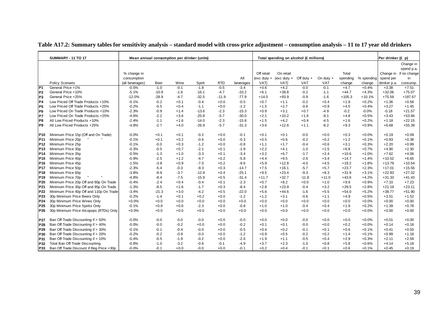|                 | <b>SUMMARY - 11 TO 17</b>                | Mean annual consumption per drinker (units) |         |        |         |            |           |               | Total spending on alcohol (£ millions) |              |            |          |            | Per drinker (£ p) |              |
|-----------------|------------------------------------------|---------------------------------------------|---------|--------|---------|------------|-----------|---------------|----------------------------------------|--------------|------------|----------|------------|-------------------|--------------|
|                 |                                          |                                             |         |        |         |            |           |               |                                        |              |            |          |            |                   | Change in    |
|                 |                                          |                                             |         |        |         |            |           |               |                                        |              |            |          |            |                   | spend p.a.   |
|                 |                                          | % change in                                 |         |        |         |            |           | Off retail    | On retail                              |              |            | Total    |            | Change in         | if no change |
|                 |                                          | consumption                                 |         |        |         |            | All       | $(exc duty +$ | (exc duty $+$                          | Off duty $+$ | On duty +  | spending | % spending | spend per         | in           |
|                 | Policy Scenario                          | (all beverages)                             | Beer    | Wine   | Spirit  | <b>RTD</b> | beverages | VAT)          | VAT)                                   | <b>VAT</b>   | <b>VAT</b> | change   | change     | drinker p.a.      | consump.     |
| P <sub>1</sub>  | General Price +1%                        | $-0.5%$                                     | $-1.0$  | $-0.1$ | $-1.8$  | $-0.5$     | $-3.4$    | $+0.6$        | $+4.2$                                 | $-0.0$       | $-0.1$     | $+4.7$   | $+0.4%$    | $+3.38$           | $+7.51$      |
| P <sub>2</sub>  | General Price +10%                       | $-5.1%$                                     | $-10.8$ | $-1.6$ | $-16.1$ | $-4.7$     | $-33.2$   | $+6.1$        | $+39.8$                                | $-0.2$       | $-1.1$     | $+44.7$  | $+4.3%$    | $+32.06$          | $+75.07$     |
| P3              | General Price +25%                       | $-12.0%$                                    | $-28.9$ | $-4.7$ | $-32.5$ | $-11.9$    | $-77.9$   | $+14.0$       | $+93.9$                                | $-0.9$       | $-1.6$     | $+105.3$ | $+10.1%$   | $+75.59$          | $+187.67$    |
| P <sub>4</sub>  | Low Priced Off Trade Products +10%       | $-0.1%$                                     | $-0.2$  | $+0.1$ | $-0.4$  | $+0.0$     | $-0.5$    | $+0.7$        | $+1.1$                                 | $-0.2$       | $+0.4$     | $+1.9$   | $+0.2%$    | $+1.36$           | $+0.58$      |
| P <sub>5</sub>  | Low Priced Off Trade Products +25%       | $-0.2%$                                     | $-0.5$  | $+0.4$ | $-1.1$  | $+0.0$     | $-1.2$    | $+1.5$        | $+2.7$                                 | $-0.6$       | $+0.9$     | $+4.5$   | $+0.4%$    | $+3.27$           | $+1.45$      |
| P <sub>6</sub>  | Low Priced On Trade Products +10%        | $-2.3%$                                     | $-0.9$  | $+1.4$ | $-13.6$ | $-2.3$     | $-15.3$   | $+0.9$        | $+3.1$                                 | $+0.7$       | $-4.9$     | $-0.2$   | $-0.0%$    | $-0.18$           | $+21.57$     |
| P7              | Low Priced On Trade Products +25%        | $-4.6%$                                     | $-2.2$  | $+3.6$ | $-25.8$ | $-5.7$     | $-30.0$   | $+2.1$        | $+10.2$                                | $+1.6$       | $-9.1$     | $+4.8$   | $+0.5%$    | $+3.43$           | $+53.94$     |
| P8              | All Low Priced Products +10%             | $-2.4%$                                     | $-1.1$  | $+1.6$ | $-14.0$ | $-2.3$     | $-15.8$   | $+1.5$        | $+4.2$                                 | $+0.4$       | $-4.5$     | $+1.6$   | $+0.2%$    | $+1.18$           | $+22.15$     |
| P9              | All Low Priced Products +25%             | $-4.8%$                                     | $-2.7$  | $+4.0$ | $-26.9$ | $-5.7$     | $-31.3$   | $+3.6$        | $+12.8$                                | $+1.1$       | $-8.2$     | $+9.3$   | $+0.9%$    | $+6.68$           | $+55.39$     |
| P <sub>10</sub> | Minimum Price 15p (Off and On Trade)     | $-0.0%$                                     | $+0.1$  | $+0.1$ | $-0.2$  | $+0.0$     | $-0.1$    | $+0.1$        | $+0.1$                                 | $-0.0$       | $+0.0$     | $+0.3$   | $+0.0%$    | $+0.19$           | $+0.09$      |
| P11             | Minimum Price 20p                        | $-0.1%$                                     | $+0.1$  | $+0.2$ | $-0.6$  | $+0.0$     | $-0.3$    | $+0.5$        | $+0.6$                                 | $-0.2$       | $+0.2$     | $+1.2$   | $+0.1%$    | $+0.83$           | $+0.38$      |
| P <sub>12</sub> | Minimum Price 25p                        | $-0.1%$                                     | $-0.0$  | $+0.3$ | $-1.2$  | $+0.0$     | $-0.8$    | $+1.1$        | $+1.7$                                 | $-0.4$       | $+0.6$     | $+3.1$   | $+0.3%$    | $+2.20$           | $+0.99$      |
| IP13            | Minimum Price 30p                        | $-0.3%$                                     | $-0.5$  | $+0.7$ | $-2.1$  | $+0.1$     | $-1.9$    | $+2.2$        | $+4.1$                                 | $-1.0$       | $+1.5$     | $+6.8$   | $+0.7%$    | $+4.90$           | $+2.30$      |
| P14             | Minimum Price 35p                        | $-0.5%$                                     | $-1.3$  | $+1.0$ | $-3.3$  | $+0.1$     | $-3.4$    | $+3.2$        | $+6.7$                                 | $-1.7$       | $+2.4$     | $+10.6$  | $+1.0%$    | $+7.62$           | $+4.06$      |
| P <sub>15</sub> | Minimum Price 40p                        | $-0.9%$                                     | $-2.5$  | $+1.2$ | $-4.7$  | $+0.2$     | $-5.8$    | $+4.4$        | $+9.5$                                 | $-2.6$       | $+3.4$     | $+14.7$  | $+1.4%$    | $+10.52$          | $+6.65$      |
| P <sub>16</sub> | Minimum Price 45p                        | $-1.5%$                                     | $-3.8$  | $+0.9$ | $-7.0$  | $+0.2$     | $-9.6$    | $+5.9$        | $+12.8$                                | $-4.0$       | $+4.5$     | $+19.2$  | $+1.8%$    | $+13.79$          | $+10.54$     |
| P <sub>17</sub> | Minimum Price 50p                        | $-2.3%$                                     | $-5.4$  | $-0.3$ | $-9.3$  | $+0.3$     | $-14.7$   | $+7.5$        | $+16.1$                                | $-5.7$       | $+5.7$     | $+23.7$  | $+2.3%$    | $+17.01$          | $+15.56$     |
| P <sub>18</sub> | Minimum Price 60p                        | $-3.8%$                                     | $-8.9$  | $-3.7$ | $-12.9$ | $+0.4$     | $-25.1$   | $+9.5$        | $+23.4$                                | $-9.3$       | $+8.3$     | $+31.9$  | $+3.1%$    | $+22.93$          | $+27.32$     |
| P <sub>19</sub> | Minimum Price 70p                        | $-4.8%$                                     | $-8.4$  | $-7.5$ | $-15.9$ | $+0.5$     | $-31.4$   | $+11.7$       | $+32.7$                                | $-11.8$      | $+11.0$    | $+43.6$  | $+4.2%$    | $+31.33$          | $+41.43$     |
| P20             | Minimum Price 20p Off and 80p On Trade   | $-0.4%$                                     | $-2.4$  | $+0.4$ | $-0.4$  | $+0.1$     | $-2.3$    | $+0.7$        | $+8.2$                                 | $+0.0$       | $+1.0$     | $+9.9$   | $+0.9%$    | $+7.10$           | $+7.23$      |
| P21             | Minimum Price 30p Off and 95p On Trade   | $-1.3%$                                     | $-8.5$  | $+1.6$ | $-1.7$  | $+0.3$     | $-8.4$    | $+2.8$        | $+23.9$                                | $-0.4$       | $+3.2$     | $+29.5$  | $+2.8%$    | $+21.19$          | $+23.11$     |
| P22             | Minimum Price 40p Off and 110p On Trade  | $-3.4%$                                     | $-21.3$ | $+3.0$ | $-4.2$  | $+0.5$     | $-22.0$   | $+5.6$        | $+44.6$                                | $-1.6$       | $+5.5$     | $+54.0$  | $+5.2%$    | $+38.77$          | $+51.90$     |
| P23             | 30p Minimum Price Beers Only             | $-0.2%$                                     | $-1.4$  | $+0.1$ | $+0.2$  | $+0.0$     | $-1.2$    | $+1.2$        | $+3.1$                                 | $-0.6$       | $+1.1$     | $+4.9$   | $+0.5%$    | $+3.51$           | $+1.52$      |
| P24             | 30p Minimum Price Wines Only             | $+0.0%$                                     | $+0.0$  | $+0.0$ | $+0.0$  | $+0.0$     | $+0.0$    | $+0.0$        | $+0.0$                                 | $+0.0$       | $+0.0$     |          | $+0.0%$    | $+0.00$           | $+0.00$      |
|                 |                                          |                                             |         |        |         |            |           |               |                                        |              |            | $+0.0$   |            |                   |              |
| P <sub>25</sub> | 30p Minimum Price Spirits Only           | $-0.1%$                                     | $+0.9$  | $+0.6$ | $-2.3$  | $+0.0$     | $-0.8$    | $+1.0$        | $+1.0$                                 | $-0.4$       | $+0.4$     | $+1.9$   | $+0.2%$    | $+1.39$           | $+0.78$      |
| P <sub>26</sub> | 30p Minimum Price Alcopops (RTDs) Only   | $+0.0%$                                     | $+0.0$  | $+0.0$ | $+0.0$  | $+0.0$     | $+0.0$    | $+0.0$        | $+0.0$                                 | $+0.0$       | $+0.0$     | $+0.0$   | $+0.0%$    | $+0.00$           | $+0.00$      |
| P27             | Ban Off Trade Discounting if > 50%       | $-0.0%$                                     | $-0.0$  | $-0.0$ | $-0.0$  | $+0.0$     | $-0.0$    | $+0.0$        | $+0.0$                                 | $-0.0$       | $+0.0$     | $+0.0$   | $+0.0%$    | $+0.01$           | $+0.00$      |
| P28             | Ban Off Trade Discounting if > 40%       | $-0.0%$                                     | $-0.0$  | $-0.2$ | $+0.0$  | $+0.0$     | $-0.2$    | $+0.1$        | $+0.1$                                 | $-0.0$       | $+0.0$     | $+0.2$   | $+0.0%$    | $+0.14$           | $+0.18$      |
| P29             | Ban Off Trade Discounting if > 30%       | $-0.1%$                                     | $-0.1$  | $-0.4$ | $-0.0$  | $+0.0$     | $-0.5$    | $+0.4$        | $+0.2$                                 | $-0.1$       | $+0.1$     | $+0.6$   | $+0.1%$    | $+0.41$           | $+0.50$      |
| P30             | Ban Off Trade Discounting if > 20%       | $-0.2%$                                     | $-0.2$  | $-0.9$ | $-0.0$  | $+0.0$     | $-1.2$    | $+0.9$        | $+0.5$                                 | $-0.2$       | $+0.2$     | $+1.4$   | $+0.1%$    | $+0.99$           | $+1.18$      |
| P31             | Ban Off Trade Discounting if > 10%       | $-0.4%$                                     | $-0.5$  | $-1.9$ | $-0.2$  | $+0.0$     | $-2.6$    | $+1.9$        | $+1.1$                                 | $-0.5$       | $+0.4$     | $+2.9$   | $+0.3%$    | $+2.11$           | $+2.59$      |
| P32             | Total Ban Off Trade Discounting          | $-0.8%$                                     | $-1.0$  | $-3.2$ | $-0.6$  | $-0.1$     | $-4.9$    | $+3.7$        | $+2.3$                                 | $-1.0$       | $+0.8$     | $+5.8$   | $+0.6%$    | $+4.14$           | $+5.18$      |
| P33             | Ban Off Trade Discount if Reg Price <30p | $-0.0%$                                     | $-0.1$  | $+0.0$ | $-0.0$  | $+0.0$     | $-0.1$    | $+0.2$        | $+0.4$                                 | $-0.1$       | $+0.1$     | $+0.6$   | $+0.1%$    | $+0.45$           | $+0.19$      |

#### **Table A17.2: Summary tables for sensitivity analysis – standard model with cross-price adjustment – consumption analysis – 11 to 17 year old drinkers**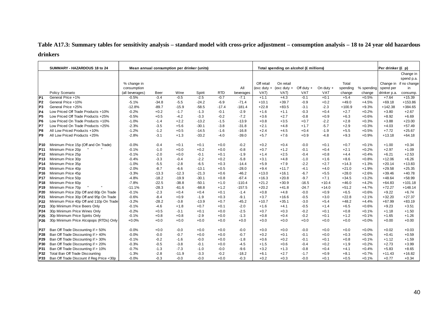# **Table A17.3: Summary tables for sensitivity analysis – standard model with cross-price adjustment – consumption analysis – 18 to 24 year old hazardous drinkers**

|                 | SUMMARY - HAZARDOUS 18 to 24             |                 |         | Mean annual consumption per drinker (units) |         |            |           |               | Total spending on alcohol (£ millions) |              |             |          |            | Per drinker (£ p) |                        |
|-----------------|------------------------------------------|-----------------|---------|---------------------------------------------|---------|------------|-----------|---------------|----------------------------------------|--------------|-------------|----------|------------|-------------------|------------------------|
|                 |                                          |                 |         |                                             |         |            |           |               |                                        |              |             |          |            |                   | Change in              |
|                 |                                          |                 |         |                                             |         |            |           |               |                                        |              |             |          |            |                   | spend p.a.             |
|                 |                                          | % change in     |         |                                             |         |            |           | Off retail    | On retail                              |              |             | Total    |            |                   | Change in if no change |
|                 |                                          | consumption     |         |                                             |         |            | All       | $(exc duty +$ | $(exc duty +$                          | Off duty $+$ | On duty $+$ | spending | % spending | spend per         | in                     |
|                 | Policy Scenario                          | (all beverages) | Beer    | Wine                                        | Spirit  | <b>RTD</b> | beverages | VAT)          | VAT)                                   | <b>VAT</b>   | <b>VAT</b>  | change   | change     | drinker p.a.      | consump.               |
| P <sub>1</sub>  | General Price +1%                        | $-0.5%$         | $-3.4$  | $-0.5$                                      | $-2.5$  | $-0.7$     | $-7.1$    | $+1.1$        | $+4.3$                                 | $-0.1$       | $+0.1$      | $+5.4$   | $+0.5%$    | $+7.64$           | $+15.39$               |
| P <sub>2</sub>  | General Price +10%                       | $-5.1%$         | $-34.8$ | $-5.5$                                      | $-24.2$ | $-6.9$     | $-71.4$   | $+10.1$       | $+39.7$                                | $-0.9$       | $+0.2$      | $+49.0$  | $+4.5%$    | $+69.18$          | $+153.86$              |
| P <sub>3</sub>  | General Price +25%                       | $-12.8%$        | $-89.7$ | $-15.9$                                     | $-58.5$ | $-17.4$    | $-181.4$  | $+22.8$       | $+83.5$                                | $-3.1$       | $-2.3$      | $+100.9$ | $+9.3%$    | $+142.38$         | $+384.65$              |
| P <sub>4</sub>  | Low Priced Off Trade Products +10%       | $-0.2%$         | $+0.2$  | $-1.7$                                      | $-1.3$  | $-0.1$     | $-2.9$    | $+1.6$        | $+1.1$                                 | $-0.3$       | $+0.4$      | $+2.7$   | $+0.2%$    | $+3.80$           | $+2.67$                |
| P <sub>5</sub>  | Low Priced Off Trade Products +25%       | $-0.5%$         | $+0.5$  | $-4.2$                                      | $-3.3$  | $-0.2$     | $-7.2$    | $+3.6$        | $+2.7$                                 | $-0.8$       | $+0.9$      | $+6.3$   | $+0.6%$    | $+8.92$           | $+6.69$                |
| P <sub>6</sub>  | Low Priced On Trade Products +10%        | $-1.0%$         | $-1.4$  | $+2.2$                                      | $-13.2$ | $-1.5$     | $-13.9$   | $+0.8$        | $+3.5$                                 | $+0.7$       | $-2.2$      | $+2.8$   | $+0.3%$    | $+3.88$           | $+23.00$               |
| P7              | Low Priced On Trade Products +25%        | $-2.3%$         | $-3.5$  | $+5.6$                                      | $-30.1$ | $-3.8$     | $-31.8$   | $+2.1$        | $+4.8$                                 | $+1.7$       | $-5.7$      | $+2.9$   | $+0.3%$    | $+4.03$           | $+57.49$               |
| P8              | All Low Priced Products +10%             | $-1.2%$         | $-1.2$  | $+0.5$                                      | $-14.5$ | $-1.6$     | $-16.8$   | $+2.4$        | $+4.5$                                 | $+0.4$       | $-1.9$      | $+5.5$   | $+0.5%$    | $+7.72$           | $+25.67$               |
| P <sub>9</sub>  | All Low Priced Products +25%             | $-2.8%$         | $-3.1$  | $+1.3$                                      | $-33.2$ | $-4.0$     | $-39.0$   | $+5.7$        | $+7.6$                                 | $+0.9$       | $-4.8$      | $+9.3$   | $+0.9%$    | $+13.18$          | $+64.18$               |
|                 |                                          |                 |         |                                             |         |            |           |               |                                        |              |             |          |            |                   |                        |
| P10             | Minimum Price 15p (Off and On Trade)     | $-0.0%$         | $-0.4$  | $+0.1$                                      | $+0.1$  | $+0.0$     | $-0.2$    | $+0.2$        | $+0.4$                                 | $-0.0$       | $+0.1$      | $+0.7$   | $+0.1%$    | $+1.00$           | $+0.34$                |
| P <sub>11</sub> | Minimum Price 20p                        | $-0.1%$         | $-1.0$  | $+0.0$                                      | $+0.2$  | $+0.0$     | $-0.8$    | $+0.7$        | $+1.2$                                 | $-0.1$       | $+0.4$      | $+2.1$   | $+0.2%$    | $+2.97$           | $+1.09$                |
| P <sub>12</sub> | Minimum Price 25p                        | $-0.1%$         | $-2.0$  | $+0.0$                                      | $-0.1$  | $+0.1$     | $-1.9$    | $+1.4$        | $+2.5$                                 | $-0.4$       | $+0.8$      | $+4.4$   | $+0.4%$    | $+6.21$           | $+2.53$                |
| P <sub>13</sub> | Minimum Price 30p                        | $-0.4%$         | $-3.3$  | $-0.4$                                      | $-2.2$  | $+0.2$     | $-5.8$    | $+3.1$        | $+4.8$                                 | $-1.0$       | $+1.6$      | $+8.6$   | $+0.8%$    | $+12.06$          | $+6.26$                |
| P <sub>14</sub> | Minimum Price 35p                        | $-1.0%$         | $-5.5$  | $-2.8$                                      | $-6.5$  | $+0.3$     | $-14.4$   | $+5.9$        | $+7.9$                                 | $-2.2$       | $+2.7$      | $+14.3$  | $+1.3%$    | $+20.14$          | $+13.83$               |
| P <sub>15</sub> | Minimum Price 40p                        | $-2.0%$         | $-8.7$  | $-6.6$                                      | $-13.1$ | $+0.5$     | $-28.0$   | $+9.4$        | $+11.7$                                | $-4.1$       | $+4.0$      | $+21.0$  | $+1.9%$    | $+29.58$          | $+25.35$               |
| P <sub>16</sub> | Minimum Price 45p                        | $-3.3%$         | $-13.3$ | $-12.3$                                     | $-21.3$ | $+0.6$     | $-46.2$   | $+13.0$       | $+16.1$                                | $-6.7$       | $+5.5$      | $+28.0$  | $+2.6%$    | $+39.46$          | $+40.78$               |
| P <sub>17</sub> | Minimum Price 50p                        | $-4.8%$         | $-18.2$ | $-19.9$                                     | $-30.1$ | $+0.8$     | $-67.4$   | $+16.3$       | $+20.8$                                | $-9.7$       | $+7.1$      | $+34.5$  | $+3.2%$    | $+48.64$          | $+58.99$               |
| <b>P18</b>      | Minimum Price 60p                        | $-7.8%$         | $-22.5$ | $-38.8$                                     | $-50.1$ | $+1.0$     | $-110.4$  | $+21.2$       | $+30.9$                                | $-16.5$      | $+10.4$     | $+46.0$  | $+4.2%$    | $+64.83$          | $+101.18$              |
| P <sub>19</sub> | Minimum Price 70p                        | $-11.1%$        | $-28.3$ | $-61.6$                                     | $-68.8$ | $+1.2$     | $-157.5$  | $+20.2$       | $+41.8$                                | $-24.7$      | $+14.0$     | $+51.2$  | $+4.7%$    | $+72.27$          | $+148.14$              |
| P20             | Minimum Price 20p Off and 80p On Trade   | $-0.1%$         | $-2.3$  | $+0.4$                                      | $+0.4$  | $+0.1$     | $-1.4$    | $+0.8$        | $+4.8$                                 | $-0.0$       | $+0.9$      | $+6.5$   | $+0.6%$    | $+9.22$           | $+6.74$                |
| P21             | Minimum Price 30p Off and 95p On Trade   | $-0.6%$         | $-8.4$  | $+0.9$                                      | $-1.9$  | $+0.3$     | $-9.1$    | $+3.7$        | $+16.6$                                | $-0.5$       | $+3.0$      | $+22.8$  | $+2.1%$    | $+32.20$          | $+27.37$               |
| P <sub>22</sub> | Minimum Price 40p Off and 110p On Trade  | $-3.2%$         | $-28.2$ | $-3.8$                                      | $-13.9$ | $+0.7$     | $-45.2$   | $+10.7$       | $+35.1$                                | $-3.0$       | $+5.4$      | $+48.2$  | $+4.4%$    | $+67.99$          | $+83.19$               |
| P23             | 30p Minimum Price Beers Only             | $-0.1%$         | $-4.6$  | $+1.8$                                      | $+0.7$  | $+0.1$     | $-2.0$    | $+1.6$        | $+4.1$                                 | $-0.5$       | $+1.4$      | $+6.5$   | $+0.6%$    | $+9.23$           | $+3.51$                |
| P24             | 30p Minimum Price Wines Only             | $-0.2%$         | $+0.5$  | $-3.1$                                      | $+0.1$  | $+0.0$     | $-2.5$    | $+0.7$        | $+0.3$                                 | $-0.2$       | $+0.1$      | $+0.8$   | $+0.1%$    | $+1.18$           | $+1.50$                |
| P <sub>25</sub> | 30p Minimum Price Spirits Only           | $-0.1%$         | $+0.8$  | $+0.8$                                      | $-2.9$  | $+0.0$     | $-1.3$    | $+0.8$        | $+0.4$                                 | $-0.2$       | $+0.1$      | $+1.2$   | $+0.1%$    | $+1.65$           | $+1.26$                |
| P26             | 30p Minimum Price Alcopops (RTDs) Only   | $+0.0%$         | $+0.0$  | $+0.0$                                      | $+0.0$  | $+0.0$     | $+0.0$    | $+0.0$        | $+0.0$                                 | $+0.0$       | $+0.0$      | $+0.0$   | $+0.0%$    | $+0.00$           | $+0.00$                |
|                 |                                          |                 |         |                                             |         |            |           |               |                                        |              |             |          |            |                   |                        |
| <b>P27</b>      | Ban Off Trade Discounting if > 50%       | $-0.0%$         | $+0.0$  | $-0.0$                                      | $+0.0$  | $+0.0$     | $-0.0$    | $+0.0$        | $+0.0$                                 | $-0.0$       | $+0.0$      | $+0.0$   | $+0.0%$    | $+0.02$           | $+0.03$                |
| P28             | Ban Off Trade Discounting if > 40%       | $-0.0%$         | $-0.0$  | $-0.7$                                      | $+0.0$  | $+0.0$     | $-0.7$    | $+0.2$        | $+0.1$                                 | $-0.1$       | $+0.0$      | $+0.3$   | $+0.0%$    | $+0.41$           | $+0.59$                |
| P29             | Ban Off Trade Discounting if > 30%       | $-0.1%$         | $-0.2$  | $-1.6$                                      | $-0.0$  | $+0.0$     | $-1.8$    | $+0.6$        | $+0.2$                                 | $-0.1$       | $+0.1$      | $+0.8$   | $+0.1%$    | $+1.12$           | $+1.59$                |
| P30             | Ban Off Trade Discounting if > 20%       | $-0.3%$         | $-0.5$  | $-3.8$                                      | $-0.1$  | $+0.0$     | $-4.5$    | $+1.5$        | $+0.6$                                 | $-0.4$       | $+0.2$      | $+1.9$   | $+0.2%$    | $+2.73$           | $+3.99$                |
| P31             | Ban Off Trade Discounting if > 10%       | $-0.7%$         | $-1.3$  | $-7.3$                                      | $-1.0$  | $-0.0$     | $-9.6$    | $+3.2$        | $+1.3$                                 | $-0.8$       | $+0.4$      | $+4.1$   | $+0.4%$    | $+5.83$           | $+8.65$                |
| P32             | Total Ban Off Trade Discounting          | $-1.3%$         | $-2.8$  | $-11.9$                                     | $-3.3$  | $-0.2$     | $-18.2$   | $+6.1$        | $+2.7$                                 | $-1.7$       | $+0.9$      | $+8.1$   | $+0.7%$    | $+11.43$          | $+16.82$               |
| P33             | Ban Off Trade Discount if Reg Price <30p | $-0.0%$         | $-0.3$  | $-0.0$                                      | $-0.0$  | $+0.0$     | $-0.3$    | $+0.2$        | $+0.3$                                 | $-0.0$       | $+0.1$      | $+0.5$   | $+0.1%$    | $+0.77$           | $+0.34$                |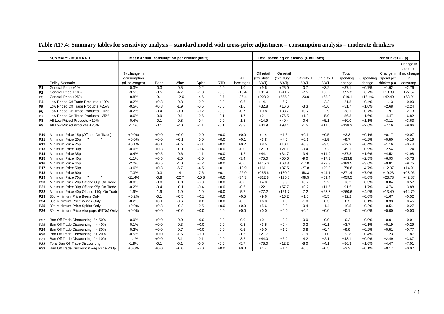|                 | <b>SUMMARY - MODERATE</b>                |                 |        | Mean annual consumption per drinker (units) |         |            |           |            | Total spending on alcohol (£ millions) |              |             |          |            | Per drinker (£ p) |                        |
|-----------------|------------------------------------------|-----------------|--------|---------------------------------------------|---------|------------|-----------|------------|----------------------------------------|--------------|-------------|----------|------------|-------------------|------------------------|
|                 |                                          |                 |        |                                             |         |            |           |            |                                        |              |             |          |            |                   | Change in              |
|                 |                                          |                 |        |                                             |         |            |           |            |                                        |              |             |          |            |                   | spend p.a.             |
|                 |                                          | % change in     |        |                                             |         |            |           | Off retail | On retail                              |              |             | Total    |            |                   | Change in if no change |
|                 |                                          | consumption     |        |                                             |         |            | All       |            | (exc duty + (exc duty +                | Off duty $+$ | On duty $+$ | spending | % spending | spend per         | in                     |
|                 | Policy Scenario                          | (all beverages) | Beer   | Wine                                        | Spirit  | <b>RTD</b> | beverages | VAT)       | VAT)                                   | VAT          | <b>VAT</b>  | change   | change     | drinker p.a.      | consump.               |
| P <sub>1</sub>  | General Price +1%                        | $-0.3%$         | $-0.3$ | $-0.5$                                      | $-0.2$  | $-0.0$     | $-1.0$    | $+9.6$     | $+25.0$                                | $-0.7$       | $+3.2$      | $+37.1$  | $+0.7%$    | $+1.92$           | $+2.76$                |
| P <sub>2</sub>  | General Price +10%                       | $-3.5%$         | $-3.5$ | $-4.7$                                      | $-1.8$  | $-0.3$     | $-10.4$   | $+91.4$    | $+241.2$                               | $-7.5$       | $+30.2$     | $+355.3$ | $+6.7%$    | $+18.39$          | $+27.57$               |
| P <sub>3</sub>  | General Price +25%                       | $-8.8%$         | $-9.1$ | $-12.0$                                     | $-4.6$  | $-0.7$     | $-26.4$   | $+208.0$   | $+565.8$                               | $-23.0$      | $+68.2$     | $+819.1$ | $+15.4%$   | $+42.40$          | $+68.91$               |
| P <sub>4</sub>  | Low Priced Off Trade Products +10%       | $-0.2%$         | $+0.3$ | $-0.8$                                      | $-0.2$  | $-0.0$     | $-0.6$    | $+14.1$    | $+6.7$                                 | $-1.1$       | $+2.2$      | $+21.8$  | $+0.4%$    | $+1.13$           | $+0.90$                |
| P <sub>5</sub>  | Low Priced Off Trade Products +25%       | $-0.5%$         | $+0.8$ | $-1.9$                                      | $-0.5$  | $-0.0$     | $-1.6$    | $+32.8$    | $+16.6$                                | $-3.3$       | $+5.6$      | $+51.7$  | $+1.0%$    | $+2.68$           | $+2.24$                |
| P <sub>6</sub>  | Low Priced On Trade Products +10%        | $-0.2%$         | $-0.4$ | $-0.0$                                      | $-0.2$  | $-0.0$     | $-0.7$    | $+0.8$     | $+33.7$                                | $+0.7$       | $+2.9$      | $+38.1$  | $+0.7%$    | $+1.97$           | $+2.73$                |
| P7              | Low Priced On Trade Products +25%        | $-0.6%$         | $-0.9$ | $-0.1$                                      | $-0.6$  | $-0.1$     | $-1.7$    | $+2.1$     | $+76.5$                                | $+1.8$       | $+5.9$      | $+86.3$  | $+1.6%$    | $+4.47$           | $+6.82$                |
| P8              | All Low Priced Products +10%             | $-0.4%$         | $-0.1$ | $-0.8$                                      | $-0.4$  | $-0.0$     | $-1.3$    | $+14.9$    | $+40.4$                                | $-0.4$       | $+5.1$      | $+60.0$  | $+1.1%$    | $+3.11$           | $+3.63$                |
| P <sub>9</sub>  | All Low Priced Products +25%             | $-1.1%$         | $-0.1$ | $-2.0$                                      | $-1.1$  | $-0.1$     | $-3.3$    | $+34.9$    | $+93.4$                                | $-1.5$       | $+11.5$     | $+138.3$ | $+2.6%$    | $+7.16$           | $+9.06$                |
| P10             | Minimum Price 15p (Off and On Trade)     | $+0.0%$         | $+0.0$ | $+0.0$                                      | $-0.0$  | $+0.0$     | $+0.0$    | $+1.4$     | $+1.3$                                 | $+0.1$       | $+0.5$      | $+3.3$   | $+0.1%$    | $+0.17$           | $+0.07$                |
| P11             | Minimum Price 20p                        | $+0.0%$         | $+0.0$ | $+0.1$                                      | $-0.0$  | $+0.0$     | $+0.1$    | $+3.8$     | $+4.2$                                 | $+0.1$       | $+1.5$      | $+9.7$   | $+0.2%$    | $+0.50$           | $+0.19$                |
| P <sub>12</sub> | Minimum Price 25p                        | $+0.1%$         | $+0.1$ | $+0.2$                                      | $-0.1$  | $+0.0$     | $+0.2$    | $+8.5$     | $+10.1$                                | $+0.3$       | $+3.5$      | $+22.3$  | $+0.4%$    | $+1.16$           | $+0.44$                |
| P <sub>13</sub> | Minimum Price 30p                        | $-0.0%$         | $+0.3$ | $+0.1$                                      | $-0.4$  | $+0.0$     | $-0.0$    | $+21.3$    | $+21.1$                                | $-0.4$       | $+7.2$      | $+49.1$  | $+0.9%$    | $+2.54$           | $+1.24$                |
| P <sub>14</sub> | Minimum Price 35p                        | $-0.4%$         | $+0.5$ | $-0.6$                                      | $-1.1$  | $+0.0$     | $-1.2$    | $+44.1$    | $+34.7$                                | $-3.4$       | $+11.9$     | $+87.3$  | $+1.6%$    | $+4.52$           | $+2.98$                |
| P <sub>15</sub> | Minimum Price 40p                        | $-1.1%$         | $+0.5$ | $-2.0$                                      | $-2.0$  | $+0.0$     | $-3.4$    | $+75.0$    | $+50.6$                                | $-9.0$       | $+17.3$     | $+133.8$ | $+2.5%$    | $+6.93$           | $+5.73$                |
| P <sub>16</sub> | Minimum Price 45p                        | $-2.2%$         | $+0.5$ | $-4.0$                                      | $-3.2$  | $+0.0$     | $-6.6$    | $+115.0$   | $+68.3$                                | $-17.0$      | $+23.3$     | $+189.5$ | $+3.6%$    | $+9.81$           | $+9.75$                |
| <b>P17</b>      | Minimum Price 50p                        | $-3.6%$         | $+0.3$ | $-6.7$                                      | $-4.5$  | $+0.1$     | $-10.9$   | $+161.1$   | $+87.5$                                | $-27.8$      | $+29.8$     | $+250.6$ | $+4.7%$    | $+12.97$          | $+14.91$               |
| P <sub>18</sub> | Minimum Price 60p                        | $-7.3%$         | $-0.3$ | $-14.1$                                     | $-7.6$  | $+0.1$     | $-22.0$   | $+255.6$   | $+130.0$                               | $-58.3$      | $+44.1$     | $+371.4$ | $+7.0%$    | $+19.23$          | $+28.03$               |
| P <sub>19</sub> | Minimum Price 70p                        | $-11.4%$        | $-0.8$ | $-22.7$                                     | $-10.8$ | $+0.0$     | $-34.3$   | $+322.8$   | $+175.8$                               | $-98.5$      | $+59.4$     | $+459.5$ | $+8.6%$    | $+23.78$          | $+42.87$               |
| P20             | Minimum Price 20p Off and 80p On Trade   | $-0.0%$         | $-0.0$ | $+0.1$                                      | $-0.0$  | $+0.0$     | $-0.0$    | $+4.0$     | $+9.9$                                 | $+0.2$       | $+2.2$      | $+16.2$  | $+0.3%$    | $+0.84$           | $+0.57$                |
| P21             | Minimum Price 30p Off and 95p On Trade   | $-0.2%$         | $-0.4$ | $+0.1$                                      | $-0.4$  | $+0.0$     | $-0.6$    | $+22.1$    | $+57.7$                                | $+0.2$       | $+11.5$     | $+91.5$  | $+1.7%$    | $+4.74$           | $+3.88$                |
| P22             | Minimum Price 40p Off and 110p On Trade  | $-1.9%$         | $-1.9$ | $-1.9$                                      | $-1.9$  | $+0.0$     | $-5.7$    | $+77.2$    | $+161.7$                               | $-7.2$       | $+28.8$     | $+260.6$ | $+4.9%$    | $+13.49$          | $+14.79$               |
| P23             | 30p Minimum Price Beers Only             | $+0.2%$         | $-0.1$ | $+0.5$                                      | $+0.1$  | $+0.0$     | $+0.5$    | $+9.6$     | $+16.2$                                | $+1.0$       | $+5.5$      | $+32.2$  | $+0.6%$    | $+1.67$           | $+0.52$                |
| P <sub>24</sub> | 30p Minimum Price Wines Only             | $-0.2%$         | $+0.1$ | $-0.6$                                      | $+0.0$  | $+0.0$     | $-0.6$    | $+6.0$     | $+1.0$                                 | $-1.0$       | $+0.3$      | $+6.3$   | $+0.1%$    | $+0.33$           | $+0.45$                |
| P <sub>25</sub> | 30p Minimum Price Spirits Only           | $+0.0%$         | $+0.3$ | $+0.2$                                      | $-0.5$  | $+0.0$     | $+0.0$    | $+5.6$     | $+3.9$                                 | $-0.4$       | $+1.4$      | $+10.5$  | $+0.2%$    | $+0.54$           | $+0.27$                |
| P <sub>26</sub> | 30p Minimum Price Alcopops (RTDs) Only   | $+0.0%$         | $+0.0$ | $+0.0$                                      | $+0.0$  | $-0.0$     | $+0.0$    | $+0.0$     | $+0.0$                                 | $+0.0$       | $+0.0$      | $+0.1$   | $+0.0%$    | $+0.00$           | $+0.00$                |
| <b>P27</b>      | Ban Off Trade Discounting if > 50%       | $-0.0%$         | $+0.0$ | $-0.0$                                      | $+0.0$  | $-0.0$     | $-0.0$    | $+0.1$     | $+0.0$                                 | $-0.0$       | $+0.0$      | $+0.2$   | $+0.0%$    | $+0.01$           | $+0.01$                |
| P28             | Ban Off Trade Discounting if > 40%       | $-0.1%$         | $+0.0$ | $-0.3$                                      | $+0.0$  | $-0.0$     | $-0.3$    | $+3.5$     | $+0.4$                                 | $-0.3$       | $+0.1$      | $+3.7$   | $+0.1%$    | $+0.19$           | $+0.29$                |
| P29             | Ban Off Trade Discounting if > 30%       | $-0.2%$         | $+0.0$ | $-0.7$                                      | $+0.0$  | $-0.0$     | $-0.6$    | $+9.0$     | $+1.2$                                 | $-0.8$       | $+0.4$      | $+9.9$   | $+0.2%$    | $+0.51$           | $+0.77$                |
| P30             | Ban Off Trade Discounting if > 20%       | $-0.5%$         | $+0.0$ | $-1.6$                                      | $-0.0$  | $-0.0$     | $-1.6$    | $+21.7$    | $+3.0$                                 | $-1.9$       | $+1.0$      | $+23.8$  | $+0.4%$    | $+1.23$           | $+1.87$                |
| P31             | Ban Off Trade Discounting if > 10%       | $-1.1%$         | $+0.0$ | $-3.1$                                      | $-0.1$  | $-0.0$     | $-3.2$    | $+44.0$    | $+6.2$                                 | $-4.2$       | $+2.1$      | $+48.1$  | $+0.9%$    | $+2.49$           | $+3.87$                |
| P32             | Total Ban Off Trade Discounting          | $-1.9%$         | $-0.1$ | $-5.1$                                      | $-0.5$  | $-0.0$     | $-5.7$    | $+78.0$    | $+12.2$                                | $-8.0$       | $+4.1$      | $+86.3$  | $+1.6%$    | $+4.47$           | $+7.01$                |
| P33             | Ban Off Trade Discount if Reg Price <30p | $+0.0%$         | $+0.0$ | $+0.0$                                      | $-0.0$  | $+0.0$     | $+0.0$    | $+1.4$     | $+1.4$                                 | $+0.0$       | $+0.5$      | $+3.3$   | $+0.1%$    | $+0.17$           | $+0.07$                |

### **Table A17.4: Summary tables for sensitivity analysis – standard model with cross-price adjustment – consumption analysis – moderate drinkers**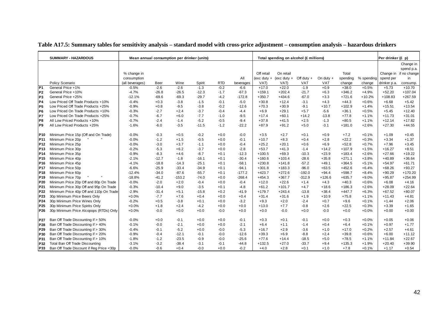|                 | <b>SUMMARY - HAZARDOUS</b>               | Mean annual consumption per drinker (units) |         |          |         |            |           |            | Total spending on alcohol (£ millions) |              |             |          |            | Per drinker (£ p) |                        |
|-----------------|------------------------------------------|---------------------------------------------|---------|----------|---------|------------|-----------|------------|----------------------------------------|--------------|-------------|----------|------------|-------------------|------------------------|
|                 |                                          |                                             |         |          |         |            |           |            |                                        |              |             |          |            |                   | Change in              |
|                 |                                          |                                             |         |          |         |            |           |            |                                        |              |             |          |            |                   | spend p.a.             |
|                 |                                          | % change in                                 |         |          |         |            |           | Off retail | On retail                              |              |             | Total    |            |                   | Change in if no change |
|                 |                                          | consumption                                 |         |          |         |            | All       |            | (exc duty + (exc duty +                | Off duty $+$ | On duty $+$ | spending | % spending | spend per         | in                     |
|                 | Policy Scenario                          | (all beverages)                             | Beer    | Wine     | Spirit  | <b>RTD</b> | beverages | VAT)       | VAT)                                   | VAT          | <b>VAT</b>  | change   | change     | drinker p.a.      | consump.               |
| P <sub>1</sub>  | General Price +1%                        | $-0.5%$                                     | $-2.6$  | $-2.6$   | $-1.3$  | $-0.2$     | $-6.6$    | $+17.0$    | $+22.0$                                | $-1.9$       | $+0.9$      | $+38.0$  | $+0.5%$    | $+5.73$           | $+10.70$               |
| P <sub>2</sub>  | General Price +10%                       | $-4.7%$                                     | $-26.8$ | $-26.5$  | $-12.3$ | $-1.7$     | $-67.3$   | $+159.1$   | $+202.4$                               | $-21.7$      | $+6.3$      | $+346.2$ | $+4.9%$    | $+52.20$          | $+107.04$              |
| P <sub>3</sub>  | General Price +25%                       | $-12.1%$                                    | $-69.6$ | $-69.3$  | $-29.7$ | $-4.2$     | $-172.8$  | $+350.7$   | $+434.6$                               | $-67.0$      | $+3.3$      | $+721.6$ | $+10.2%$   | $+108.83$         | $+267.59$              |
| <b>P4</b>       | Low Priced Off Trade Products +10%       | $-0.4%$                                     | $+0.3$  | $-3.8$   | $-1.5$  | $-0.1$     | $-5.0$    | $+30.8$    | $+12.4$                                | $-3.1$       | $+4.3$      | $+44.3$  | $+0.6%$    | $+6.68$           | $+5.42$                |
| P <sub>5</sub>  | Low Priced Off Trade Products +25%       | $-0.9%$                                     | $+0.8$  | $-9.5$   | $-3.8$  | $-0.2$     | $-12.6$   | $+70.3$    | $+30.9$                                | $-9.1$       | $+10.7$     | $+102.9$ | $+1.4%$    | $+15.51$          | $+13.54$               |
| P <sub>6</sub>  | Low Priced On Trade Products +10%        | $-0.3%$                                     | $-2.7$  | $+2.4$   | $-3.7$  | $-0.4$     | $-4.4$    | $+6.9$     | $+29.1$                                | $+5.7$       | $-5.6$      | $+36.1$  | $+0.5%$    | $+5.45$           | $+12.40$               |
| P7              | Low Priced On Trade Products +25%        | $-0.7%$                                     | $-6.7$  | $+6.0$   | $-7.7$  | $-1.0$     | $-9.5$    | $+17.4$    | $+60.1$                                | $+14.2$      | $-13.8$     | $+77.8$  | $+1.1%$    | $+11.73$          | $+31.01$               |
| P <sub>8</sub>  | All Low Priced Products +10%             | $-0.7%$                                     | $-2.4$  | $-1.4$   | $-5.2$  | $-0.5$     | $-9.4$    | $+37.8$    | $+41.5$                                | $+2.5$       | $-1.3$      | $+80.5$  | $+1.1%$    | $+12.14$          | $+17.82$               |
| P <sub>9</sub>  | All Low Priced Products +25%             | $-1.6%$                                     | $-6.0$  | $-3.5$   | $-11.5$ | $-1.2$     | $-22.2$   | $+87.9$    | $+91.2$                                | $+5.0$       | $-3.1$      | $+181.0$ | $+2.6%$    | $+27.30$          | $+44.55$               |
| P10             | Minimum Price 15p (Off and On Trade)     | $-0.0%$                                     | $-0.3$  | $+0.5$   | $-0.2$  | $+0.0$     | $-0.0$    | $+3.5$     | $+2.7$                                 | $+0.1$       | $+0.9$      | $+7.2$   | $+0.1%$    | $+1.09$           | $+0.45$                |
| P11             | Minimum Price 20p                        | $-0.0%$                                     | $-1.2$  | $+1.5$   | $-0.5$  | $+0.0$     | $-0.1$    | $+10.7$    | $+8.3$                                 | $+0.4$       | $+2.8$      | $+22.2$  | $+0.3%$    | $+3.34$           | $+1.37$                |
| P <sub>12</sub> | Minimum Price 25p                        | $-0.0%$                                     | $-3.0$  | $+3.7$   | $-1.1$  | $+0.0$     | $-0.4$    | $+25.2$    | $+20.1$                                | $+0.6$       | $+6.9$      | $+52.8$  | $+0.7%$    | $+7.96$           | $+3.45$                |
| P <sub>13</sub> | Minimum Price 30p                        | $-0.2%$                                     | $-5.3$  | $+6.2$   | $-3.7$  | $+0.0$     | $-2.8$    | $+53.7$    | $+41.3$                                | $-1.4$       | $+14.2$     | $+107.9$ | $+1.5%$    | $+16.27$          | $+8.51$                |
| P <sub>14</sub> | Minimum Price 35p                        | $-0.9%$                                     | $-8.3$  | $+4.6$   | $-8.7$  | $+0.1$     | $-12.3$   | $+100.5$   | $+69.3$                                | $-10.3$      | $+23.9$     | $+183.4$ | $+2.6%$    | $+27.66$          | $+19.22$               |
| P <sub>15</sub> | Minimum Price 40p                        | $-2.1%$                                     | $-12.7$ | $-1.8$   | $-16.1$ | $+0.1$     | $-30.4$   | $+160.6$   | $+103.4$                               | $-28.6$      | $+35.8$     | $+271.1$ | $+3.8%$    | $+40.89$          | $+36.64$               |
| P16             | Minimum Price 45p                        | $-4.1%$                                     | $-18.8$ | $-14.3$  | $-25.1$ | $+0.1$     | $-58.1$   | $+230.8$   | $+141.8$                               | $-57.2$      | $+49.1$     | $+364.5$ | $+5.1%$    | $+54.97$          | $+61.71$               |
| <b>P17</b>      | Minimum Price 50p                        | $-6.6%$                                     | $-25.9$ | $-33.4$  | $-34.9$ | $+0.1$     | $-94.1$   | $+301.8$   | $+183.3$                               | $-96.0$      | $+63.5$     | $+452.6$ | $+6.4%$    | $+68.26$          | $+93.27$               |
| P <sub>18</sub> | Minimum Price 60p                        | $-12.4%$                                    | $-34.0$ | $-87.6$  | $-55.7$ | $+0.1$     | $-177.2$  | $+423.7$   | $+272.6$                               | $-192.0$     | $+94.4$     | $+598.7$ | $+8.4%$    | $+90.29$          | $+170.20$              |
| P <sub>19</sub> | Minimum Price 70p                        | $-18.8%$                                    | $-41.2$ | $-153.2$ | $-74.0$ | $+0.0$     | $-268.4$  | $+454.3$   | $+367.7$                               | $-312.9$     | $+126.6$    | $+635.7$ | $+9.0%$    | $+95.87$          | $+254.99$              |
| P20             | Minimum Price 20p Off and 80p On Trade   | $-0.0%$                                     | $-2.0$  | $+2.0$   | $-0.4$  | $+0.0$     | $-0.4$    | $+12.0$    | $+22.6$                                | $+1.4$       | $+4.3$      | $+40.3$  | $+0.6%$    | $+6.08$           | $+4.16$                |
| P21             | Minimum Price 30p Off and 95p On Trade   | $-0.3%$                                     | $-10.4$ | $+9.0$   | $-3.5$  | $+0.1$     | $-4.8$    | $+61.2$    | $+101.7$                               | $+4.7$       | $+18.6$     | $+186.3$ | $+2.6%$    | $+28.09$          | $+22.64$               |
| P22             | Minimum Price 40p Off and 110p On Trade  | $-2.9%$                                     | $-31.4$ | $+5.1$   | $-15.8$ | $+0.2$     | $-41.9$   | $+179.7$   | $+243.4$                               | $-13.8$      | $+38.4$     | $+447.7$ | $+6.3%$    | $+67.52$          | $+80.07$               |
| P23             | 30p Minimum Price Beers Only             | $+0.0%$                                     | $-7.7$  | $+7.6$   | $+0.4$  | $+0.0$     | $+0.4$    | $+31.4$    | $+31.6$                                | $+1.9$       | $+10.9$     | $+75.8$  | $+1.1%$    | $+11.43$          | $+4.81$                |
| P <sub>24</sub> | 30p Minimum Price Wines Only             | $-0.2%$                                     | $+0.5$  | $-3.8$   | $+0.1$  | $+0.0$     | $-3.2$    | $+9.3$     | $+2.0$                                 | $-2.4$       | $+0.7$      | $+9.6$   | $+0.1%$    | $+1.44$           | $+2.06$                |
| P <sub>25</sub> | 30p Minimum Price Spirits Only           | $+0.0%$                                     | $+1.8$  | $+2.4$   | $-4.2$  | $+0.0$     | $+0.0$    | $+13.0$    | $+7.7$                                 | $-0.8$       | $+2.6$      | $+22.5$  | $+0.3%$    | $+3.39$           | $+1.65$                |
| P <sub>26</sub> | 30p Minimum Price Alcopops (RTDs) Only   | $+0.0%$                                     | $-0.0$  | $+0.0$   | $+0.0$  | $-0.0$     | $+0.0$    | $+0.0$     | $-0.0$                                 | $+0.0$       | $-0.0$      | $+0.0$   | $+0.0%$    | $+0.00$           | $+0.00$                |
| <b>P27</b>      | Ban Off Trade Discounting if > 50%       | $-0.0%$                                     | $+0.0$  | $-0.1$   | $+0.0$  | $+0.0$     | $-0.1$    | $+0.3$     | $+0.1$                                 | $-0.1$       | $+0.0$      | $+0.3$   | $+0.0%$    | $+0.05$           | $+0.06$                |
| P28             | Ban Off Trade Discounting if > 40%       | $-0.1%$                                     | $-0.0$  | $-2.1$   | $+0.0$  | $+0.0$     | $-2.1$    | $+6.4$     | $+1.1$                                 | $-1.4$       | $+0.4$      | $+6.4$   | $+0.1%$    | $+0.97$           | $+1.77$                |
| P29             | Ban Off Trade Discounting if > 30%       | $-0.4%$                                     | $-0.1$  | $-5.2$   | $+0.0$  | $-0.0$     | $-5.3$    | $+16.7$    | $+2.9$                                 | $-3.6$       | $+1.0$      | $+17.0$  | $+0.2%$    | $+2.57$           | $+4.61$                |
| P30             | Ban Off Trade Discounting if > 20%       | $-0.9%$                                     | $-0.4$  | $-12.1$  | $-0.1$  | $-0.0$     | $-12.6$   | $+39.3$    | $+6.9$                                 | $-8.8$       | $+2.4$      | $+39.8$  | $+0.6%$    | $+6.00$           | $+11.12$               |
| P31             | Ban Off Trade Discounting if > 10%       | $-1.8%$                                     | $-1.2$  | $-23.5$  | $-0.9$  | $-0.0$     | $-25.6$   | $+77.6$    | $+14.4$                                | $-18.5$      | $+5.0$      | $+78.5$  | $+1.1%$    | $+11.84$          | $+22.67$               |
| P32             | Total Ban Off Trade Discounting          | $-3.1%$                                     | $-3.2$  | $-38.4$  | $-3.1$  | $-0.1$     | $-44.8$   | $+132.5$   | $+27.0$                                | $-33.7$      | $+9.4$      | $+135.3$ | $+1.9%$    | $+20.40$          | $+39.90$               |
| P33             | Ban Off Trade Discount if Reg Price <30p | $-0.0%$                                     | $-0.6$  | $+0.4$   | $-0.0$  | $+0.0$     | $-0.2$    | $+4.0$     | $+2.8$                                 | $+0.1$       | $+1.0$      | $+7.8$   | $+0.1%$    | $+1.17$           | $+0.54$                |

#### **Table A17.5: Summary tables for sensitivity analysis – standard model with cross-price adjustment – consumption analysis – hazardous drinkers**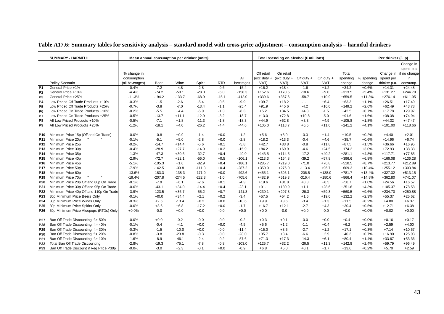|                 | <b>SUMMARY - HARMFUL</b>                 | Mean annual consumption per drinker (units) |             |          |          |            |           |            | Total spending on alcohol (£ millions) |              |             |          |            | Per drinker (£ p) |                        |
|-----------------|------------------------------------------|---------------------------------------------|-------------|----------|----------|------------|-----------|------------|----------------------------------------|--------------|-------------|----------|------------|-------------------|------------------------|
|                 |                                          |                                             |             |          |          |            |           |            |                                        |              |             |          |            |                   | Change in              |
|                 |                                          |                                             |             |          |          |            |           |            |                                        |              |             |          |            |                   | spend p.a.             |
|                 |                                          | % change in                                 |             |          |          |            |           | Off retail | On retail                              |              |             | Total    |            |                   | Change in if no change |
|                 |                                          | consumption                                 |             |          |          |            | All       |            | (exc duty + (exc duty +                | Off duty $+$ | On duty $+$ | spending | % spending | spend per         | in                     |
|                 | Policy Scenario                          | (all beverages)                             | <b>Beer</b> | Wine     | Spirit   | <b>RTD</b> | beverages | VAT)       | VAT)                                   | VAT          | <b>VAT</b>  | change   | change     | drinker p.a.      | consump.               |
| P <sub>1</sub>  | General Price +1%                        | $-0.4%$                                     | $-7.2$      | $-4.8$   | $-2.8$   | $-0.6$     | $-15.4$   | $+16.2$    | $+18.4$                                | $-1.6$       | $+1.2$      | $+34.2$  | $+0.6%$    | $+14.31$          | $+24.48$               |
| P <sub>2</sub>  | General Price +10%                       | $-4.4%$                                     | $-74.2$     | $-50.1$  | $-28.0$  | $-6.0$     | $-158.3$  | $+152.6$   | $+170.5$                               | $-18.6$      | $+9.0$      | $+313.5$ | $+5.4%$    | $+131.27$         | $+244.78$              |
| P <sub>3</sub>  | General Price +25%                       | $-11.3%$                                    | $-194.2$    | $-133.7$ | $-68.9$  | $-15.1$    | $-412.0$  | $+339.6$   | $+367.6$                               | $-58.7$      | $+10.9$     | $+659.5$ | $+11.3%$   | $+276.14$         | $+611.95$              |
| P4              | Low Priced Off Trade Products +10%       | $-0.3%$                                     | $-1.5$      | $-2.6$   | $-5.4$   | $-0.5$     | $-9.9$    | $+39.7$    | $+18.2$                                | $-1.1$       | $+6.4$      | $+63.3$  | $+1.1%$    | $+26.51$          | $+17.49$               |
| P <sub>5</sub>  | Low Priced Off Trade Products +25%       | $-0.7%$                                     | $-3.8$      | $-7.0$   | $-13.4$  | $-1.1$     | $-25.4$   | $+91.9$    | $+45.6$                                | $-4.2$       | $+16.0$     | $+149.2$ | $+2.6%$    | $+62.49$          | $+43.73$               |
| P <sub>6</sub>  | Low Priced On Trade Products +10%        | $-0.2%$                                     | $-5.5$      | $+4.4$   | $-5.9$   | $-1.3$     | $-8.3$    | $+5.2$     | $+34.5$                                | $+4.3$       | $-1.5$      | $+42.5$  | $+0.7%$    | $+17.78$          | $+29.97$               |
| P7              | Low Priced On Trade Products +25%        | $-0.5%$                                     | $-13.7$     | $+11.1$  | $-12.9$  | $-3.2$     | $-18.7$   | $+13.0$    | $+72.8$                                | $+10.8$      | $-5.0$      | $+91.6$  | $+1.6%$    | $+38.38$          | $+74.94$               |
| P <sub>8</sub>  | All Low Priced Products +10%             | $-0.5%$                                     | $-7.1$      | $+1.8$   | $-11.3$  | $-1.8$     | $-18.3$   | $+44.9$    | $+52.8$                                | $+3.3$       | $+4.9$      | $+105.8$ | $+1.8%$    | $+44.32$          | $+47.47$               |
| P <sub>9</sub>  | All Low Priced Products +25%             | $-1.2%$                                     | $-18.1$     | $+4.0$   | $-26.2$  | $-4.4$     | $-44.6$   | $+105.0$   | $+118.7$                               | $+6.5$       | $+11.0$     | $+241.2$ | $+4.1%$    | $+101.00$         | $+118.66$              |
| P10             | Minimum Price 15p (Off and On Trade)     | $-0.0%$                                     | $-0.8$      | $+0.9$   | $-1.4$   | $+0.0$     | $-1.2$    | $+5.6$     | $+3.9$                                 | $-0.3$       | $+1.4$      | $+10.5$  | $+0.2%$    | $+4.40$           | $+2.01$                |
| P11             | Minimum Price 20p                        | $-0.1%$                                     | $-5.1$      | $+5.0$   | $-2.8$   | $+0.0$     | $-2.8$    | $+18.2$    | $+13.3$                                | $-0.4$       | $+4.6$      | $+35.7$  | $+0.6%$    | $+14.96$          | $+6.74$                |
| P <sub>12</sub> | Minimum Price 25p                        | $-0.2%$                                     | $-14.7$     | $+14.4$  | $-5.6$   | $+0.1$     | $-5.8$    | $+42.7$    | $+33.8$                                | $-0.8$       | $+11.8$     | $+87.5$  | $+1.5%$    | $+36.66$          | $+16.95$               |
| P <sub>13</sub> | Minimum Price 30p                        | $-0.4%$                                     | $-28.9$     | $+27.7$  | $-14.9$  | $+0.2$     | $-15.9$   | $+84.2$    | $+69.9$                                | $-4.6$       | $+24.5$     | $+174.2$ | $+3.0%$    | $+72.93$          | $+38.38$               |
| P <sub>14</sub> | Minimum Price 35p                        | $-1.3%$                                     | $-47.3$     | $+30.6$  | $-32.7$  | $+0.4$     | $-49.0$   | $+143.5$   | $+114.5$                               | $-17.2$      | $+40.2$     | $+281.1$ | $+4.8%$    | $+117.71$         | $+77.85$               |
| P <sub>15</sub> | Minimum Price 40p                        | $-2.9%$                                     | $-72.7$     | $+22.1$  | $-56.0$  | $+0.5$     | $-106.1$  | $+213.3$   | $+164.8$                               | $-39.2$      | $+57.8$     | $+396.6$ | $+6.8%$    | $+166.08$         | $+136.28$              |
| P <sub>16</sub> | Minimum Price 45p                        | $-5.1%$                                     | $-105.3$    | $+1.6$   | $-82.9$  | $+0.4$     | $-186.1$  | $+285.7$   | $+219.0$                               | $-71.0$      | $+76.8$     | $+510.5$ | $+8.7%$    | $+213.77$         | $+212.89$              |
| P <sub>17</sub> | Minimum Price 50p                        | $-7.9%$                                     | $-142.5$    | $-33.8$  | $-111.3$ | $+0.4$     | $-287.2$  | $+350.0$   | $+276.0$                               | $-113.4$     | $+96.7$     | $+609.3$ | $+10.4%$   | $+255.12$         | $+303.84$              |
| <b>P18</b>      | Minimum Price 60p                        | $-13.6%$                                    | $-183.3$    | $-138.3$ | $-171.0$ | $+0.0$     | $-492.6$  | $+455.1$   | $+395.1$                               | $-206.5$     | $+138.0$    | $+781.7$ | $+13.4%$   | $+327.32$         | $+513.15$              |
| P <sub>19</sub> | Minimum Price 70p                        | $-19.4%$                                    | $-207.8$    | $-274.5$ | $-222.3$ | $-1.0$     | $-705.6$  | $+482.9$   | $+519.3$                               | $-316.4$     | $+180.6$    | $+866.4$ | $+14.8%$   | $+362.80$         | $+741.07$              |
| P20             | Minimum Price 20p Off and 80p On Trade   | $-0.1%$                                     | $-7.9$      | $+6.1$   | $-2.6$   | $+0.1$     | $-4.3$    | $+19.6$    | $+31.8$                                | $+0.8$       | $+6.5$      | $+58.7$  | $+1.0%$    | $+24.56$          | $+16.57$               |
| P21             | Minimum Price 30p Off and 95p On Trade   | $-0.6%$                                     | $-43.1$     | $+34.0$  | $-14.4$  | $+0.4$     | $-23.1$   | $+91.1$    | $+130.9$                               | $+1.1$       | $+28.6$     | $+251.6$ | $+4.3%$    | $+105.37$         | $+78.58$               |
| P22             | Minimum Price 40p Off and 110p On Trade  | $-3.9%$                                     | $-123.5$    | $+36.7$  | $-55.2$  | $+0.7$     | $-141.3$  | $+230.1$   | $+297.3$                               | $-26.3$      | $+59.3$     | $+560.5$ | $+9.6%$    | $+234.70$         | $+250.88$              |
| P23             | 30p Minimum Price Beers Only             | $-0.1%$                                     | $-40.0$     | $+34.4$  | $+2.1$   | $+0.2$     | $-3.4$    | $+57.5$    | $+54.2$                                | $+1.6$       | $+19.0$     | $+132.2$ | $+2.3%$    | $+55.37$          | $+25.62$               |
| P24             | 30p Minimum Price Wines Only             | $-0.3%$                                     | $+2.6$      | $-13.4$  | $+0.2$   | $+0.0$     | $-10.6$   | $+9.9$     | $+3.6$                                 | $-3.4$       | $+1.3$      | $+11.5$  | $+0.2%$    | $+4.80$           | $+6.37$                |
| P <sub>25</sub> | 30p Minimum Price Spirits Only           | $-0.0%$                                     | $+8.6$      | $+6.8$   | $-17.2$  | $+0.0$     | $-1.7$    | $+16.7$    | $+12.1$                                | $-2.7$       | $+4.3$      | $+30.4$  | $+0.5%$    | $+12.71$          | $+6.38$                |
| P <sub>26</sub> | 30p Minimum Price Alcopops (RTDs) Only   | $+0.0%$                                     | $-0.0$      | $+0.0$   | $+0.0$   | $-0.0$     | $+0.0$    | $+0.0$     | $-0.0$                                 | $+0.0$       | $-0.0$      | $+0.0$   | $+0.0%$    | $+0.02$           | $+0.00$                |
| <b>P27</b>      | Ban Off Trade Discounting if > 50%       | $-0.0%$                                     | $+0.0$      | $-0.2$   | $-0.0$   | $-0.0$     | $-0.2$    | $+0.3$     | $+0.1$                                 | $-0.0$       | $+0.0$      | $+0.4$   | $+0.0%$    | $+0.16$           | $+0.17$                |
| P28             | Ban Off Trade Discounting if > 40%       | $-0.1%$                                     | $-0.4$      | $-4.1$   | $+0.0$   | $+0.0$     | $-4.5$    | $+5.6$     | $+1.2$                                 | $-1.1$       | $+0.4$      | $+6.2$   | $+0.1%$    | $+2.59$           | $+4.00$                |
| P29             | Ban Off Trade Discounting if > 30%       | $-0.3%$                                     | $-1.5$      | $-10.0$  | $+0.0$   | $-0.0$     | $-11.4$   | $+15.0$    | $+3.5$                                 | $-2.7$       | $+1.2$      | $+17.1$  | $+0.3%$    | $+7.14$           | $+10.57$               |
| P30             | Ban Off Trade Discounting if > 20%       | $-0.8%$                                     | $-3.8$      | $-23.8$  | $-0.3$   | $-0.0$     | $-28.0$   | $+35.7$    | $+8.4$                                 | $-6.6$       | $+2.9$      | $+40.3$  | $+0.7%$    | $+16.90$          | $+25.93$               |
| P31             | Ban Off Trade Discounting if > 10%       | $-1.6%$                                     | $-8.9$      | $-46.1$  | $-2.4$   | $-0.2$     | $-57.6$   | $+71.3$    | $+17.3$                                | $-14.3$      | $+6.1$      | $+80.4$  | $+1.4%$    | $+33.67$          | $+53.36$               |
| P32             | Total Ban Off Trade Discounting          | $-2.8%$                                     | $-19.3$     | $-75.1$  | $-7.8$   | $-0.8$     | $-103.0$  | $+125.7$   | $+32.2$                                | $-26.5$      | $+11.3$     | $+142.8$ | $+2.4%$    | $+59.79$          | $+96.49$               |
| P33             | Ban Off Trade Discount if Reg Price <30p | $-0.0%$                                     | $-3.0$      | $+2.3$   | $-0.1$   | $+0.0$     | $-0.9$    | $+6.8$     | $+5.0$                                 | $+0.1$       | $+1.7$      | $+13.6$  | $+0.2%$    | $+5.70$           | $+2.59$                |

### **Table A17.6: Summary tables for sensitivity analysis – standard model with cross-price adjustment – consumption analysis – harmful drinkers**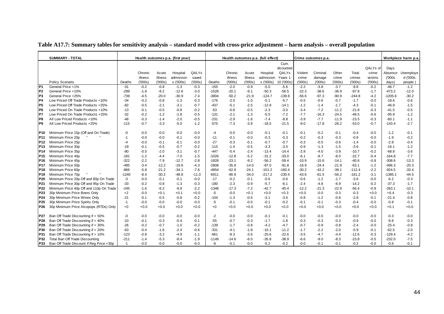|                        | <b>SUMMARY - TOTAL</b>                                                   |                |         |                  | Health outcomes p.a. (first year) |                  |                  |         |                  | Health outcomes p.a. (full effect) |                   |                  | Crime outcomes p.a. |                  |                  |                  |                    | Workplace harm p.a. |
|------------------------|--------------------------------------------------------------------------|----------------|---------|------------------|-----------------------------------|------------------|------------------|---------|------------------|------------------------------------|-------------------|------------------|---------------------|------------------|------------------|------------------|--------------------|---------------------|
|                        |                                                                          |                |         |                  |                                   |                  |                  |         |                  |                                    | Cum.              |                  |                     |                  |                  |                  |                    |                     |
|                        |                                                                          |                |         |                  |                                   |                  |                  |         |                  |                                    | dicounted         |                  |                     |                  |                  | QALYs of         | Days               |                     |
|                        |                                                                          |                | Chronic | Acute            | Hospital                          | QALYs            |                  | Chronic | Acute            | Hospital                           | QALYs             | Violent          | Criminal            | Other            | Total            | crime            | Absence            | Unemploye           |
|                        |                                                                          |                | illness | illness          | admission                         | saved            |                  | illness | illness          | admission                          | Years 1           | crime            | damage              | crime            | crimes           | victims          | (000s)             | d ('000s            |
|                        | Policy Scenario                                                          | Deaths         | (000s)  | (000s)           | s ('000s)                         | (000s)           | Deaths           | (000s)  | (′000s)          | s ('000s)                          | 10 ('000s)        | (000s)           | (000s)              | ('000s)          | (000s)           | (000s)           | days)              | people)             |
| P1                     | General Price +1%                                                        | $-31$          | $-0.2$  | $-0.8$           | $-1.3$                            | $-0.3$           | $-155$           | $-2.0$  | $-0.9$           | $-5.0$                             | $-5.6$            | $-2.2$           | $-3.8$              | $-3.7$           | $-9.8$           | $-0.2$           | $-46.7$            | $-1.2$              |
| P <sub>2</sub>         | General Price +10%                                                       | $-299$         | $-1.8$  | $-8.2$           | $-12.6$                           | $-3.0$           | $-1528$          | $-20.1$ | $-9.1$           | $-50.3$                            | $-56.5$           | $-22.3$          | $-38.6$             | $-36.9$          | $-97.8$          | $-1.7$           | $-473.2$           | $-12.0$             |
| P <sub>3</sub>         | General Price +25%                                                       | $-739$         | $-4.5$  | $-20.0$          | $-30.9$                           | $-7.4$           | $-3804$          | $-50.2$ | $-21.9$          | $-124.7$                           | $-139.8$          | $-56.6$          | $-97.3$             | $-90.9$          | $-244.8$         | $-4.2$           | $-1205.6$          | $-30.2$             |
| <b>P4</b>              | Low Priced Off Trade Products +10%                                       | $-34$          | $-0.2$  | $-0.8$           | $-1.3$                            | $-0.3$           | $-176$           | $-2.0$  | $-1.0$           | $-5.1$                             | $-5.7$            | $-0.5$           | $-0.6$              | $-0.7$           | $-1.7$           | $-0.0$           | $-18.6$            | $-0.6$              |
| P <sub>5</sub>         | Low Priced Off Trade Products +25%                                       | $-82$          | $-0.5$  | $-2.1$           | $-3.1$                            | $-0.7$           | $-437$           | $-5.1$  | $-2.5$           | $-12.8$                            | $-14.1$           | $-1.2$           | $-1.4$              | $-1.7$           | $-4.3$           | $-0.1$           | $-46.9$            | $-1.5$              |
| P <sub>6</sub>         | Low Priced On Trade Products +10%                                        | $-13$          | $-0.1$  | $-0.5$           | $-0.8$                            | $-0.2$           | $-53$            | $-0.8$  | $-0.5$           | $-2.3$                             | $-3.0$            | $-3.4$           | $-7.2$              | $-11.2$          | -21.8            | $-0.3$           | $-41.5$            | $-0.5$              |
| P7                     | Low Priced On Trade Products +25%                                        | $-32$          | $-0.2$  | $-1.2$           | $-1.8$                            | $-0.5$           | $-131$           | $-2.1$  | $-1.3$           | $-5.5$                             | $-7.2$            | $-7.7$           | $-16.3$             | $-24.5$          | $-48.5$          | $-0.6$           | $-95.9$            | $-1.2$              |
| P <sub>8</sub>         | All Low Priced Products +10%                                             | $-48$          | $-0.3$  | $-1.4$           | $-2.0$                            | $-0.5$           | $-231$           | $-2.9$  | $-1.6$           | $-7.4$                             | $-8.8$            | $-3.9$           | $-7.7$              | $-11.9$          | $-23.5$          | $-0.3$           | $-60.1$            | $-1.1$              |
| P <sub>9</sub>         | All Low Priced Products +25%                                             | $-115$         | $-0.7$  | $-3.3$           | $-5.0$                            | $-1.2$           | $-575$           | $-7.3$  | $-3.8$           | $-18.5$                            | $-21.5$           | $-9.0$           | $-17.8$             | $-26.2$          | $-53.0$          | $-0.7$           | $-143.4$           | $-2.7$              |
| P10                    | Minimum Price 15p (Off and On Trade)                                     | $-0$           | -0.0    | $-0.0$           | $-0.0$                            | $-0.0$           | $-4$             | $-0.0$  | $-0.0$           | $-0.1$                             | $-0.1$            | $-0.1$           | $-0.2$              | $-0.1$           | $-0.4$           | $-0.0$           | $-1.2$             | $-0.1$              |
| P <sub>11</sub>        | Minimum Price 20p                                                        | $-1$           | $-0.0$  | $-0.0$           | $-0.1$                            | $-0.0$           | $-11$            | $-0.1$  | $-0.0$           | $-0.3$                             | $-0.3$            | $-0.2$           | $-0.3$              | $-0.3$           | $-0.8$           | $-0.0$           | $-1.9$             | $-0.2$              |
| P <sub>12</sub>        | Minimum Price 25p                                                        | $-4$           | $-0.0$  | $-0.1$           | $-0.1$                            | $-0.0$           | $-27$            | $-0.3$  | $-0.1$           | $-0.7$                             | $-0.7$            | $-0.3$           | $-0.5$              | $-0.6$           | $-1.4$           | $-0.0$           | $-2.8$             | $-0.4$              |
| P <sub>13</sub>        | Minimum Price 30p                                                        | $-19$          | $-0.1$  | $-0.5$           | $-0.7$                            | $-0.2$           | $-115$           | $-1.4$  | $-0.5$           | $-3.3$                             | $-3.5$            | $-0.9$           | $-1.3$              | $-1.5$           | $-3.6$           | $-0.1$           | $-16.1$            | $-1.2$              |
| P <sub>14</sub>        | Minimum Price 35p                                                        | $-80$          | $-0.5$  | $-2.0$           | $-3.1$                            | $-0.7$           | $-447$           | $-5.4$  | $-2.4$           | $-13.4$                            | $-14.4$           | $-2.8$           | $-4.0$              | $-3.9$           | $-10.7$          | $-0.2$           | $-68.8$            | $-3.6$              |
| P <sub>15</sub>        | Minimum Price 40p                                                        | $-181$         | $-1.2$  | $-4.4$           | $-7.0$                            | $-1.5$           | $-1026$          | $-12.8$ | $-5.2$           | $-31.2$                            | $-33.0$           | $-6.1$           | $-8.7$              | $-8.0$           | $-22.7$          | $-0.4$           | $-164.8$           | $-7.7$              |
| P16                    | Minimum Price 45p                                                        | $-322$         | $-2.2$  | $-7.9$           | $-12.7$                           | $-2.8$           | $-1828$          | $-23.1$ | $-9.2$           | $-56.2$                            | $-59.4$           | $-10.9$          | $-15.6$             | $-14.1$          | $-40.6$          | $-0.8$           | $-308.6$           | $-13.3$             |
| P <sub>17</sub>        | Minimum Price 50p                                                        | $-495$         | $-3.4$  | $-12.2$          | $-19.6$                           | $-4.3$           | $-2808$          | $-35.8$ | $-14.0$          | $-87.0$                            | $-91.8$           | $-16.9$          | $-24.4$             | $-21.9$          | $-63.1$          | $-1.2$           | -496.3             | $-20.3$             |
| P18                    | Minimum Price 60p                                                        | $-866$         | $-5.8$  | $-21.2$          | -34.1                             | $-7.6$           | $-4854$          | $-62.8$ | $-24.1$          | $-151.2$                           | $-160.4$          | $-30.2$          | $-43.2$             | $-39.1$          | $-112.4$         | $-2.2$           | -924.5             | $-33.4$             |
| P <sub>19</sub>        | Minimum Price 70p                                                        | $-1240$        | $-8.4$  | $-30.2$          | $-48.8$                           | $-11.0$          | $-6911$          | $-90.9$ | $-34.0$          | $-217.2$                           | $-230.4$          | $-43.6$          | $-61.5$             | $-56.2$          | $-161.2$         | $-3.1$           | $-1385.1$          | $-44.5$             |
| P <sub>20</sub>        | Minimum Price 20p Off and 80p On Trade                                   | $-3$           | $-0.0$  | $-0.1$           | $-0.1$                            | $-0.0$           | $-17$            | $-0.2$  | $-0.1$           | $-0.6$                             | $-0.6$            | $-0.6$           | $-1.2$              | $-1.7$           | $-3.6$           | $-0.0$           | $-6.2$             | $-0.3$              |
| P21                    | Minimum Price 30p Off and 95p On Trade                                   | $-33$          | $-0.2$  | $-0.8$           | $-1.3$                            | $-0.3$           | $-180$           | $-2.3$  | $-0.9$           | $-5.7$                             | $-6.1$            | $-2.4$           | $-4.8$              | $-6.9$           | $-14.2$          | $-0.2$           | $-37.3$            | $-1.7$              |
| P <sub>22</sub>        | Minimum Price 40p Off and 110p On Trade                                  | $-245$         | $-1.6$  | $-6.2$           | $-9.9$                            | $-2.2$           | $-1348$          | $-17.3$ | $-7.2$           | $-42.7$                            | $-45.4$           | $-12.2$          | $-21.3$             | $-22.9$          | $-56.4$          | $-0.9$           | -263.1             | $-10.1$             |
| P <sub>23</sub>        | 30p Minimum Price Beers Only                                             | $+2$           | -0.0    | $+0.1$           | $+0.1$                            | $+0.0$           | $-5$             | $-0.0$  | $+0.1$           | $+0.0$                             | $+0.3$            | $+0.0$           | $-0.0$              | -0.3             | $-0.3$           | $+0.0$           | $+6.4$             | $-0.3$              |
| P24                    | 30p Minimum Price Wines Only                                             | -21            | $-0.1$  | $-0.5$           | $-0.8$                            | $-0.2$           | $-104$           | $-1.3$  | $-0.6$           | $-3.1$                             | $-3.6$            | $-0.8$           | $-1.2$              | $-0.8$           | $-2.8$           | $-0.1$           | $-21.4$            | $-0.8$              |
| P25                    | 30p Minimum Price Spirits Only                                           | $-1$           | $-0.0$  | $-0.0$           | $-0.0$                            | $-0.0$           | -5               | $-0.1$  | $-0.0$           | $-0.1$                             | $-0.2$            | $-0.1$           | $-0.1$              | $-0.3$           | $-0.4$           | $-0.0$           | $-0.8$             | $-0.1$              |
| P <sub>26</sub>        | 30p Minimum Price Alcopops (RTDs) Only                                   | $+0$           | $+0.0$  | $+0.0$           | $+0.0$                            | $+0.0$           | $+0$             | $+0.0$  | $+0.0$           | $+0.0$                             | $+0.0$            | $+0.0$           | $+0.0$              | $+0.0$           | $+0.0$           | $+0.0$           | $+0.1$             | $+0.0$              |
| <b>P27</b>             | Ban Off Trade Discounting if > 50%                                       | $-0$           | $-0.0$  |                  |                                   |                  |                  |         |                  | $-0.1$                             |                   |                  |                     | $-0.0$           |                  |                  |                    | $-0.0$              |
|                        | Ban Off Trade Discounting if > 40%                                       |                |         | $-0.0$           | $-0.0$                            | $-0.0$           | $-2$<br>$-55$    | $-0.0$  | $-0.0$           |                                    | $-0.1$            | $-0.0$           | $-0.0$              |                  | $-0.0$           | $-0.0$           | $-0.3$             |                     |
| P28                    |                                                                          | $-10$          | $-0.1$  | $-0.3$           | $-0.4$                            | $-0.1$           |                  | $-0.7$  | $-0.3$           | $-1.7$                             | $-1.8$            | $-0.3$           | $-0.3$              | $-0.3$           | $-0.9$           | $-0.0$           | $-9.8$             | $-0.3$              |
| P <sub>29</sub><br>P30 | Ban Off Trade Discounting if > 30%<br>Ban Off Trade Discounting if > 20% | $-26$<br>$-63$ | $-0.2$  | $-0.7$<br>$-1.6$ | $-1.0$                            | $-0.2$<br>$-0.6$ | $-139$<br>$-331$ | $-1.7$  | $-0.8$           | $-4.2$<br>$-10.1$                  | $-4.7$<br>$-11.2$ | $-0.7$<br>$-1.7$ | $-0.9$<br>$-2.2$    | $-0.8$<br>$-2.0$ | $-2.4$<br>$-5.9$ | $-0.0$<br>$-0.1$ | $-25.4$<br>$-62.5$ | $-0.8$<br>$-2.0$    |
|                        | Ban Off Trade Discounting if > 10%                                       | $-123$         | $-0.4$  |                  | $-2.4$                            |                  |                  | $-4.1$  | $-1.8$<br>$-3.6$ |                                    | $-22.6$           |                  | $-4.7$              |                  |                  |                  | $-129.4$           | $-4.2$              |
| P31                    |                                                                          |                | $-0.8$  | $-3.2$           | $-4.9$                            | $-1.1$           | $-661$           | $-8.3$  |                  | $-20.6$                            |                   | $-3.5$           |                     | -4.4             | $-12.6$          | $-0.3$           |                    |                     |
| P32                    | Total Ban Off Trade Discounting                                          | $-211$         | $-1.4$  | $-5.3$           | $-8.4$                            | $-1.9$           | $-1149$          | $-14.6$ | $-6.0$           | $-35.8$                            | $-38.9$           | $-6.6$           | $-9.0$              | $-8.3$           | $-23.8$          | $-0.5$           | $-232.0$           | $-7.5$              |
| P33                    | Ban Off Trade Discount if Reg Price <30p                                 | $-1$           | $-0.0$  | $-0.0$           | $-0.0$                            | $-0.0$           | -6               | $-0.1$  | $-0.0$           | $-0.2$                             | $-0.2$            | $-0.0$           | $-0.1$              | $-0.1$           | $-0.2$           | $-0.0$           | $-0.6$             | $-0.1$              |

**Table A17.7: Summary tables for sensitivity analysis – standard model with cross-price adjustment – harm analysis – overall population**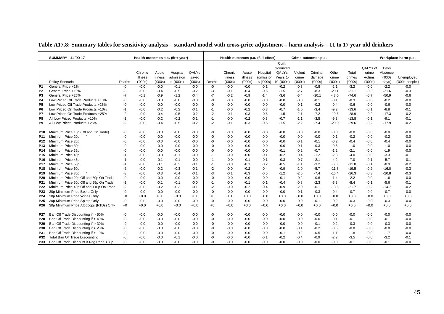|                 | <b>SUMMARY - 11 TO 17</b>                |        | Health outcomes p.a. (first year) |                  |                        |                 |        | Health outcomes p.a. (full effect) |                  |                        |                       |                 | Crime outcomes p.a. |                 |                  |                   |                | Workplace harm p.a.           |
|-----------------|------------------------------------------|--------|-----------------------------------|------------------|------------------------|-----------------|--------|------------------------------------|------------------|------------------------|-----------------------|-----------------|---------------------|-----------------|------------------|-------------------|----------------|-------------------------------|
|                 |                                          |        |                                   |                  |                        |                 |        |                                    |                  |                        | Cum.<br>dicounted     |                 |                     |                 |                  | QALYs of          | Days           |                               |
|                 |                                          |        | Chronic                           | Acute<br>illness | Hospital               | QALYs           |        | Chronic                            | Acute<br>illness | Hospital               | QALYS                 | Violent         | Criminal            | Other           | Total            | crime             | Absence        |                               |
|                 | Policy Scenario                          | Deaths | illness<br>(000s)                 | (000s)           | admission<br>s ('000s) | saved<br>(000s) | Deaths | illness<br>(000s)                  | (000s)           | admission<br>s ('000s) | Years 1<br>10 ('000s) | crime<br>(000s) | damage<br>(000s)    | crime<br>(000s) | crimes<br>(000s) | victims<br>(000s) | (000s<br>days) | Unemployed<br>$(000s$ people) |
| P <sub>1</sub>  | General Price +1%                        | -0     | $-0.0$                            | $-0.0$           | $-0.1$                 | $-0.0$          | -0     | $-0.0$                             | $-0.0$           | $-0.1$                 | $-0.2$                | $-0.3$          | $-0.8$              | $-2.1$          | $-3.2$           | $-0.0$            | $-2.2$         | $-0.0$                        |
| P <sub>2</sub>  | General Price +10%                       | -3     | $-0.0$                            | -0.4             | $-0.5$                 | $-0.2$          | -3     | $-0.1$                             | $-0.4$           | $-0.6$                 | $-1.5$                | $-2.7$          | $-8.3$              | $-20.1$         | $-31.1$          | $-0.3$            | $-21.6$        | $-0.3$                        |
| P <sub>3</sub>  | General Price +25%                       | $-7$   | $-0.1$                            | $-0.9$           | $-1.2$                 | $-0.4$          | $-7$   | $-0.2$                             | $-0.9$           | $-1.4$                 | $-3.6$                | $-6.4$          | $-20.1$             | $-48.0$         | $-74.6$          | $-0.7$            | $-50.9$        | $-0.6$                        |
| P <sub>4</sub>  | Low Priced Off Trade Products +10%       | -0     | $-0.0$                            | $-0.0$           | $-0.0$                 | $-0.0$          | $-0$   | $-0.0$                             | $-0.0$           | $-0.0$                 | $-0.0$                | $-0.0$          | $-0.1$              | $-0.1$          | $-0.3$           | $-0.0$            | $-0.2$         | $-0.0$                        |
| P <sub>5</sub>  | Low Priced Off Trade Products +25%       | $-0$   | $-0.0$                            | $-0.0$           | $-0.0$                 | $-0.0$          | $-0$   | $-0.0$                             | $-0.0$           | $-0.0$                 | $-0.0$                | $-0.1$          | $-0.2$              | $-0.4$          | $-0.6$           | $-0.0$            | $-0.6$         | $-0.0$                        |
| P <sub>6</sub>  | Low Priced On Trade Products +10%        | -1     | $-0.0$                            | $-0.2$           | $-0.2$                 | $-0.1$          | $-1$   | $-0.0$                             | $-0.2$           | $-0.3$                 | $-0.7$                | $-1.0$          | $-3.4$              | $-9.2$          | $-13.6$          | $-0.1$            | $-8.8$         | $-0.1$                        |
| P7              | Low Priced On Trade Products +25%        | $-2$   | $-0.0$                            | $-0.4$           | $-0.5$                 | $-0.2$          | $-2$   | $-0.1$                             | $-0.3$           | $-0.6$                 | $-1.5$                | $-2.1$          | $-7.2$              | $-19.6$         | $-28.9$          | $-0.2$            | $-17.3$        | $-0.2$                        |
| P8              | All Low Priced Products +10%             | -1     | $-0.0$                            | $-0.2$           | $-0.2$                 | $-0.1$          | $-1$   | $-0.0$                             | $-0.2$           | $-0.3$                 | $-0.7$                | $-1.1$          | $-3.5$              | $-9.3$          | $-13.8$          | $-0.1$            | $-9.1$         | $-0.1$                        |
| P <sub>9</sub>  | All Low Priced Products +25%             | $-2$   | $-0.0$                            | -0.4             | $-0.5$                 | $-0.2$          | $-2$   | $-0.1$                             | $-0.3$           | $-0.6$                 | $-1.5$                | $-2.2$          | $-7.4$              | $-20.0$         | $-29.6$          | $-0.2$            | $-17.9$        | $-0.2$                        |
| P10             | Minimum Price 15p (Off and On Trade)     | -0     | $-0.0$                            | $-0.0$           | $-0.0$                 | $-0.0$          | -0     | $-0.0$                             | $-0.0$           | $-0.0$                 | $-0.0$                | $-0.0$          | $-0.0$              | $-0.0$          | $-0.0$           | $-0.0$            | $-0.0$         | $-0.0$                        |
| P <sub>11</sub> | Minimum Price 20p                        | -0     | $-0.0$                            | $-0.0$           | $-0.0$                 | $-0.0$          | -0     | $-0.0$                             | $-0.0$           | $-0.0$                 | $-0.0$                | $-0.0$          | $-0.0$              | $-0.1$          | $-0.2$           | $-0.0$            | $-0.2$         | $-0.0$                        |
| P <sub>12</sub> | Minimum Price 25p                        | -ሰ     | $-0.0$                            | $-0.0$           | $-0.0$                 | $-0.0$          | $-0$   | $-0.0$                             | $-0.0$           | $-0.0$                 | $-0.0$                | $-0.1$          | $-0.1$              | $-0.2$          | $-0.4$           | $-0.0$            | $-0.4$         | $-0.0$                        |
| P <sub>13</sub> | Minimum Price 30p                        | -ሰ     | $-0.0$                            | -0.0             | $-0.0$                 | $-0.0$          | -0     | $-0.0$                             | $-0.0$           | $-0.0$                 | $-0.0$                | $-0.1$          | $-0.3$              | $-0.6$          | $-1.0$           | $-0.0$            | $-1.0$         | $-0.0$                        |
| P14             | Minimum Price 35p                        | -0     | $-0.0$                            | -0.0             | $-0.0$                 | $-0.0$          | $-0$   | $-0.0$                             | $-0.0$           | $-0.0$                 | $-0.1$                | $-0.2$          | $-0.7$              | $-1.2$          | $-2.1$           | $-0.0$            | $-1.9$         | $-0.0$                        |
| P <sub>15</sub> | Minimum Price 40p                        | -1     | $-0.0$                            | $-0.0$           | $-0.1$                 | $-0.0$          | -1     | $-0.0$                             | $-0.0$           | $-0.1$                 | $-0.2$                | $-0.4$          | $-1.2$              | $-2.3$          | $-4.0$           | $-0.0$            | $-3.3$         | $-0.1$                        |
| P <sub>16</sub> | Minimum Price 45p                        | $-1$   | $-0.0$                            | $-0.1$           | $-0.1$                 | $-0.0$          | $-1$   | $-0.0$                             | $-0.1$           | $-0.1$                 | $-0.3$                | $-0.7$          | $-2.1$              | $-4.2$          | $-7.0$           | $-0.1$            | $-5.7$         | $-0.1$                        |
| P <sub>17</sub> | Minimum Price 50p                        | $-1$   | $-0.0$                            | $-0.1$           | $-0.2$                 | $-0.1$          | $-1$   | $-0.0$                             | $-0.1$           | $-0.2$                 | $-0.5$                | $-1.1$          | $-3.2$              | $-6.6$          | $-11.0$          | $-0.1$            | $-8.9$         | $-0.2$                        |
| P <sub>18</sub> | Minimum Price 60p                        | $-2$   | $-0.0$                            | $-0.2$           | $-0.3$                 | $-0.1$          | $-2$   | $-0.0$                             | $-0.2$           | $-0.4$                 | $-0.9$                | $-2.0$          | $-5.7$              | $-11.8$         | $-19.5$          | $-0.2$            | $-16.0$        | $-0.3$                        |
| P <sub>19</sub> | Minimum Price 70p                        | -3     | $-0.0$                            | $-0.3$           | $-0.4$                 | $-0.1$          | -3     | $-0.1$                             | $-0.3$           | $-0.5$                 | $-1.2$                | $-2.6$          | $-7.4$              | $-16.4$         | $-26.3$          | $-0.3$            | $-20.8$        | $-0.3$                        |
| P20             | Minimum Price 20p Off and 80p On Trade   | -0     | $-0.0$                            | -0.0             | $-0.0$                 | $-0.0$          | -0     | $-0.0$                             | $-0.0$           | $-0.0$                 | $-0.1$                | $-0.2$          | $-0.6$              | $-1.4$          | $-2.2$           | $-0.0$            | $-1.6$         | $-0.0$                        |
| P21             | Minimum Price 30p Off and 95p On Trade   | -1     | $-0.0$                            | $-0.1$           | $-0.1$                 | $-0.0$          | $-1$   | $-0.0$                             | $-0.1$           | $-0.1$                 | $-0.4$                | $-0.8$          | $-2.3$              | $-5.3$          | $-8.4$           | $-0.1$            | $-5.6$         | $-0.1$                        |
| P22             | Minimum Price 40p Off and 110p On Trade  | $-2$   | $-0.0$                            | $-0.2$           | $-0.3$                 | $-0.1$          | $-2$   | $-0.0$                             | $-0.2$           | $-0.4$                 | $-0.9$                | $-2.0$          | $-6.1$              | $-13.6$         | $-21.7$          | $-0.2$            | $-14.7$        | $-0.2$                        |
| P <sub>23</sub> | 30p Minimum Price Beers Only             | $-0$   | $-0.0$                            | $-0.0$           | $-0.0$                 | $-0.0$          | $-0$   | $-0.0$                             | $-0.0$           | $-0.0$                 | $-0.0$                | $-0.1$          | $-0.3$              | $-0.4$          | $-0.7$           | $-0.0$            | $-0.7$         | $-0.0$                        |
| P24             | 30p Minimum Price Wines Only             | $+0$   | $+0.0$                            | $+0.0$           | $+0.0$                 | $+0.0$          | $+0$   | $+0.0$                             | $+0.0$           | $+0.0$                 | $+0.0$                | $+0.0$          | $+0.0$              | $+0.0$          | $+0.0$           | $+0.0$            | $+0.0$         | $+0.0$                        |
| P <sub>25</sub> | 30p Minimum Price Spirits Only           | $-0$   | $-0.0$                            | $-0.0$           | $-0.0$                 | $-0.0$          | -0     | $-0.0$                             | $-0.0$           | $-0.0$                 | $-0.0$                | $-0.0$          | $-0.1$              | $-0.2$          | $-0.3$           | $-0.0$            | $-0.3$         | $-0.0$                        |
| P26             | 30p Minimum Price Alcopops (RTDs) Only   | $+0$   | $+0.0$                            | $+0.0$           | $+0.0$                 | $+0.0$          | $+0$   | $+0.0$                             | $+0.0$           | $+0.0$                 | $+0.0$                | $+0.0$          | $+0.0$              | $+0.0$          | $+0.0$           | $+0.0$            | $+0.0$         | $+0.0$                        |
| P27             | Ban Off Trade Discounting if > 50%       | -0     | $-0.0$                            | $-0.0$           | $-0.0$                 | $-0.0$          | -0     | $-0.0$                             | $-0.0$           | $-0.0$                 | $-0.0$                | $-0.0$          | $-0.0$              | $-0.0$          | $-0.0$           | $-0.0$            | $-0.0$         | $-0.0$                        |
| P28             | Ban Off Trade Discounting if > 40%       | $-0$   | $-0.0$                            | $-0.0$           | $-0.0$                 | $-0.0$          | -0     | $-0.0$                             | $-0.0$           | $-0.0$                 | $-0.0$                | $-0.0$          | $-0.0$              | $-0.1$          | $-0.1$           | $-0.0$            | $-0.1$         | $-0.0$                        |
| P <sub>29</sub> | Ban Off Trade Discounting if > 30%       | $-0$   | $-0.0$                            | $-0.0$           | $-0.0$                 | $-0.0$          | -0     | $-0.0$                             | $-0.0$           | $-0.0$                 | $-0.0$                | $-0.0$          | $-0.1$              | $-0.2$          | $-0.3$           | $-0.0$            | $-0.3$         | $-0.0$                        |
| P30             | Ban Off Trade Discounting if > 20%       | -ሰ     | $-0.0$                            | -0.0             | $-0.0$                 | $-0.0$          | -0     | $-0.0$                             | $-0.0$           | $-0.0$                 | $-0.0$                | $-0.1$          | $-0.2$              | $-0.5$          | $-0.8$           | $-0.0$            | $-0.8$         | $-0.0$                        |
| P31             | Ban Off Trade Discounting if > 10%       | -0     | $-0.0$                            | $-0.0$           | $-0.0$                 | $-0.0$          | -0     | $-0.0$                             | $-0.0$           | $-0.0$                 | $-0.1$                | $-0.2$          | $-0.5$              | $-1.1$          | $-1.8$           | $-0.0$            | $-1.7$         | $-0.0$                        |
| P32             | Total Ban Off Trade Discounting          | -0     | $-0.0$                            | $-0.0$           | $-0.1$                 | $-0.0$          | -0     | $-0.0$                             | $-0.0$           | $-0.1$                 | $-0.2$                | $-0.4$          | $-0.9$              | $-2.2$          | $-3.5$           | $-0.0$            | $-3.2$         | $-0.1$                        |
| P33             | Ban Off Trade Discount if Reg Price <30p | -0     | $-0.0$                            | -0.0             | $-0.0$                 | $-0.0$          | -0     | $-0.0$                             | $-0.0$           | $-0.0$                 | $-0.0$                | $-0.0$          | $-0.0$              | $-0.0$          | $-0.1$           | $-0.0$            | $-0.1$         | $-0.0$                        |

**Table A17.8: Summary tables for sensitivity analysis – standard model with cross-price adjustment – harm analysis – 11 to 17 year old drinkers**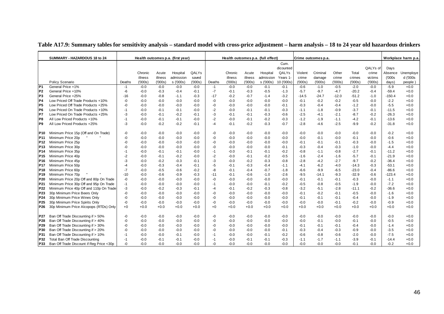|                 | SUMMARY - HAZARDOUS 18 to 24             |        |         |         | Health outcomes p.a. (first year) |        |        |         |         | Health outcomes p.a. (full effect) |            |         | Crime outcomes p.a. |         |         |          |          | Workplace harm p.a. |
|-----------------|------------------------------------------|--------|---------|---------|-----------------------------------|--------|--------|---------|---------|------------------------------------|------------|---------|---------------------|---------|---------|----------|----------|---------------------|
|                 |                                          |        |         |         |                                   |        |        |         |         |                                    | Cum.       |         |                     |         |         |          |          |                     |
|                 |                                          |        |         |         |                                   |        |        |         |         |                                    | dicounted  |         |                     |         |         | QALYs of | Days     |                     |
|                 |                                          |        | Chronic | Acute   | Hospital                          | QALYs  |        | Chronic | Acute   | Hospital                           | QALYs      | Violent | Criminal            | Other   | Total   | crime    | Absence  | Unemploye           |
|                 |                                          |        | illness | illness | admission                         | saved  |        | illness | illness | admission                          | Years 1    | crime   | damage              | crime   | crimes  | victims  | (000s    | d ('000s            |
|                 | Policy Scenario                          | Deaths | (000s)  | (000s)  | s ('000s)                         | (000s) | Deaths | (000s)  | (000s)  | s ('000s)                          | 10 ('000s) | (000s   | (000s)              | (000s)  | (000s)  | (000s)   | days)    | people              |
| P <sub>1</sub>  | General Price +1%                        | $-1$   | $-0.0$  | $-0.0$  | $-0.0$                            | $-0.0$ | $-1$   | $-0.0$  | $-0.0$  | $-0.1$                             | $-0.1$     | $-0.6$  | $-1.0$              | $-0.5$  | $-2.0$  | $-0.0$   | $-5.9$   | $+0.0$              |
| P <sub>2</sub>  | General Price +10%                       | -6     | $-0.0$  | $-0.3$  | $-0.4$                            | $-0.1$ | $-7$   | $-0.1$  | $-0.3$  | $-0.5$                             | $-1.3$     | $-5.7$  | $-9.7$              | $-4.7$  | $-20.2$ | $-0.4$   | $-59.4$  | $+0.0$              |
| P <sub>3</sub>  | General Price +25%                       | $-16$  | $-0.0$  | $-0.8$  | $-1.1$                            | $-0.3$ | $-17$  | $-0.2$  | $-0.7$  | $-1.4$                             | $-3.2$     | $-14.5$ | $-24.7$             | $-12.0$ | $-51.2$ | $-1.0$   | $-150.4$ | $+0.0$              |
| P <sub>4</sub>  | Low Priced Off Trade Products +10%       | -0     | $-0.0$  | $-0.0$  | $-0.0$                            | $-0.0$ | -0     | $-0.0$  | $-0.0$  | $-0.0$                             | $-0.0$     | $-0.1$  | $-0.2$              | $-0.2$  | $-0.5$  | $-0.0$   | $-2.2$   | $+0.0$              |
| P <sub>5</sub>  | Low Priced Off Trade Products +25%       | -0     | $-0.0$  | $-0.0$  | $-0.0$                            | $-0.0$ | -0     | $-0.0$  | $-0.0$  | $-0.0$                             | $-0.1$     | $-0.3$  | $-0.4$              | $-0.4$  | $-1.2$  | $-0.0$   | $-5.5$   | $+0.0$              |
| P <sub>6</sub>  | Low Priced On Trade Products +10%        | -1     | $-0.0$  | $-0.1$  | $-0.1$                            | $-0.0$ | $-2$   | $-0.0$  | $-0.1$  | $-0.1$                             | $-0.3$     | $-1.1$  | $-1.8$              | $-0.9$  | $-3.7$  | $-0.1$   | $-11.5$  | $+0.0$              |
| P7              | Low Priced On Trade Products +25%        | -3     | -0.0    | $-0.1$  | $-0.2$                            | $-0.1$ | -3     | $-0.1$  | $-0.1$  | $-0.3$                             | $-0.6$     | $-2.5$  | $-4.1$              | $-2.1$  | $-8.7$  | $-0.2$   | $-26.3$  | $+0.0$              |
| P8              | All Low Priced Products +10%             | $-1$   | $-0.0$  | $-0.1$  | $-0.1$                            | $-0.0$ | $-2$   | $-0.0$  | $-0.1$  | $-0.2$                             | $-0.3$     | $-1.2$  | $-1.9$              | $-1.1$  | $-4.2$  | $-0.1$   | $-13.6$  | $+0.0$              |
| P9              | All Low Priced Products +25%             | -3     | $-0.0$  | $-0.2$  | $-0.2$                            | $-0.1$ | $-4$   | $-0.1$  | $-0.2$  | $-0.3$                             | $-0.7$     | $-2.8$  | $-4.6$              | $-2.5$  | $-9.9$  | $-0.2$   | $-31.8$  | $+0.0$              |
| P <sub>10</sub> | Minimum Price 15p (Off and On Trade)     | -0     | $-0.0$  | $-0.0$  | $-0.0$                            | -0.0   | -0     | $-0.0$  | $-0.0$  | $-0.0$                             | -0.0       | $-0.0$  | $-0.0$              | $-0.0$  | $-0.0$  | $-0.0$   | $-0.2$   | $+0.0$              |
| P <sub>11</sub> | Minimum Price 20p                        | $-0$   | $-0.0$  | $-0.0$  | $-0.0$                            | $-0.0$ | -0     | $-0.0$  | $-0.0$  | $-0.0$                             | $-0.0$     | $-0.0$  | $-0.1$              | $-0.0$  | $-0.1$  | $-0.0$   | $-0.6$   | $+0.0$              |
| P <sub>12</sub> | Minimum Price 25p                        | -0     | $-0.0$  | $-0.0$  | $-0.0$                            | $-0.0$ | -0     | $-0.0$  | $-0.0$  | $-0.0$                             | $-0.0$     | $-0.1$  | $-0.1$              | $-0.1$  | $-0.3$  | $-0.0$   | $-1.5$   | $+0.0$              |
| P <sub>13</sub> | Minimum Price 30p                        | $-0$   | $-0.0$  | $-0.0$  | $-0.0$                            | $-0.0$ | -0     | $-0.0$  | $-0.0$  | $-0.0$                             | $-0.1$     | $-0.3$  | $-0.4$              | $-0.3$  | $-1.0$  | $-0.0$   | $-4.4$   | $+0.0$              |
| P <sub>14</sub> | Minimum Price 35p                        | -1     | $-0.0$  | $-0.1$  | $-0.1$                            | $-0.0$ | $-1$   | $-0.0$  | $-0.1$  | $-0.1$                             | $-0.2$     | $-0.8$  | $-1.1$              | $-0.8$  | $-2.7$  | $-0.1$   | $-11.2$  | $+0.0$              |
| P <sub>15</sub> | Minimum Price 40p                        | -2     | -0.0    | $-0.1$  | $-0.2$                            | $-0.0$ | $-2$   | $-0.0$  | $-0.1$  | $-0.2$                             | $-0.5$     | $-1.6$  | $-2.4$              | $-1.6$  | $-5.7$  | $-0.1$   | $-21.9$  | $+0.0$              |
| P <sub>16</sub> | Minimum Price 45p                        | -3     | $-0.0$  | $-0.2$  | $-0.3$                            | $-0.1$ | -3     | $-0.0$  | $-0.2$  | $-0.3$                             | $-0.8$     | $-2.8$  | $-4.2$              | $-2.7$  | $-9.7$  | $-0.2$   | $-36.4$  | $+0.0$              |
| P <sub>17</sub> | Minimum Price 50p                        | $-4$   | -0.0    | $-0.3$  | $-0.4$                            | $-0.1$ | -5     | $-0.1$  | $-0.3$  | $-0.4$                             | $-1.1$     | -4.1    | $-6.2$              | $-4.0$  | $-14.3$ | $-0.3$   | $-53.1$  | $+0.0$              |
| P <sub>18</sub> | Minimum Price 60p                        | $-7$   | $-0.0$  | $-0.5$  | $-0.6$                            | $-0.2$ | -8     | $-0.1$  | $-0.4$  | $-0.7$                             | $-1.8$     | $-6.6$  | $-9.9$              | $-6.5$  | $-23.0$ | $-0.4$   | $-86.6$  | $+0.0$              |
| P <sub>19</sub> | Minimum Price 70p                        | $-10$  | $-0.0$  | $-0.6$  | $-0.9$                            | $-0.3$ | $-11$  | $-0.1$  | $-0.6$  | $-1.0$                             | $-2.6$     | $-9.5$  | -14.1               | $-9.3$  | $-32.9$ | $-0.6$   | $-123.4$ | $+0.0$              |
| P <sub>20</sub> | Minimum Price 20p Off and 80p On Trade   | -0     | $-0.0$  | $-0.0$  | $-0.0$                            | $-0.0$ | -0     | $-0.0$  | $-0.0$  | $-0.0$                             | $-0.0$     | $-0.1$  | $-0.1$              | $-0.1$  | $-0.3$  | $-0.0$   | $-1.1$   | $+0.0$              |
| P21             | Minimum Price 30p Off and 95p On Trade   | -1     | $-0.0$  | $-0.0$  | $-0.0$                            | $-0.0$ | $-1$   | $-0.0$  | $-0.0$  | $-0.1$                             | $-0.2$     | $-0.5$  | $-0.8$              | $-0.5$  | $-1.9$  | $-0.0$   | $-7.2$   | $+0.0$              |
| P22             | Minimum Price 40p Off and 110p On Trade  | -3     | $-0.0$  | $-0.2$  | $-0.3$                            | $-0.1$ | -4     | $-0.1$  | $-0.2$  | $-0.3$                             | $-0.8$     | $-3.2$  | $-5.1$              | $-2.8$  | $-11.1$ | $-0.2$   | $-36.6$  | $+0.0$              |
| P <sub>23</sub> | 30p Minimum Price Beers Only             | -0     | $-0.0$  | $-0.0$  | $-0.0$                            | $-0.0$ | -0     | $-0.0$  | $-0.0$  | $-0.0$                             | -0.0       | $-0.1$  | $-0.2$              | $-0.1$  | $-0.5$  | -0.0     | $-1.6$   | $+0.0$              |
| P <sub>24</sub> | 30p Minimum Price Wines Only             | -0     | $-0.0$  | $-0.0$  | $-0.0$                            | $-0.0$ | -0     | $-0.0$  | $-0.0$  | $-0.0$                             | $-0.0$     | $-0.1$  | $-0.1$              | $-0.1$  | $-0.4$  | $-0.0$   | $-1.9$   | $+0.0$              |
| P <sub>25</sub> | 30p Minimum Price Spirits Only           | -0     | $-0.0$  | $-0.0$  | $-0.0$                            | -0.0   | -0     | $-0.0$  | $-0.0$  | $-0.0$                             | $-0.0$     | $-0.0$  | $-0.0$              | $-0.1$  | $-0.2$  | $-0.0$   | $-0.9$   | $+0.0$              |
| P <sub>26</sub> | 30p Minimum Price Alcopops (RTDs) Only   | $+0$   | $+0.0$  | $+0.0$  | $+0.0$                            | $+0.0$ | $+0$   | $+0.0$  | $+0.0$  | $+0.0$                             | $+0.0$     | $+0.0$  | $+0.0$              | $+0.0$  | $+0.0$  | $+0.0$   | $+0.0$   | $+0.0$              |
| P27             | Ban Off Trade Discounting if > 50%       | -0     | $-0.0$  | $-0.0$  | $-0.0$                            | $-0.0$ | -0     | $-0.0$  | $-0.0$  | $-0.0$                             | $-0.0$     | $-0.0$  | $-0.0$              | $-0.0$  | $-0.0$  | $-0.0$   | $-0.0$   | $+0.0$              |
| P28             | Ban Off Trade Discounting if > 40%       | -0     | -0.0    | $-0.0$  | $-0.0$                            | -0.0   | -0     | $-0.0$  | $-0.0$  | $-0.0$                             | $-0.0$     | $-0.0$  | $-0.1$              | $-0.0$  | $-0.1$  | $-0.0$   | $-0.5$   | $+0.0$              |
| P <sub>29</sub> | Ban Off Trade Discounting if > 30%       | -0     | $-0.0$  | $-0.0$  | $-0.0$                            | $-0.0$ | -0     | $-0.0$  | $-0.0$  | $-0.0$                             | $-0.0$     | $-0.1$  | $-0.1$              | $-0.1$  | $-0.4$  | $-0.0$   | $-1.4$   | $+0.0$              |
| P30             | Ban Off Trade Discounting if > 20%       | -0     | -0.0    | $-0.0$  | $-0.0$                            | $-0.0$ | -0     | -0.0    | $-0.0$  | $-0.0$                             | $-0.1$     | $-0.3$  | $-0.4$              | $-0.3$  | $-0.9$  | $-0.0$   | $-3.5$   | $+0.0$              |
| P31             | Ban Off Trade Discounting if > 10%       | $-1$   | $-0.0$  | $-0.0$  | $-0.1$                            | $-0.0$ | $-1$   | $-0.0$  | $-0.0$  | $-0.1$                             | $-0.2$     | $-0.6$  | $-0.8$              | $-0.6$  | $-2.0$  | $-0.0$   | $-7.5$   | $+0.0$              |
| P32             | Total Ban Off Trade Discounting          | $-1$   | $-0.0$  | $-0.1$  | $-0.1$                            | $-0.0$ | -1     | $-0.0$  | $-0.1$  | $-0.1$                             | $-0.3$     | $-1.1$  | $-1.7$              | $-1.1$  | $-3.9$  | $-0.1$   | $-14.4$  | $+0.0$              |
| P33             | Ban Off Trade Discount if Reg Price <30p | -0     | $-0.0$  | $-0.0$  | $-0.0$                            | $-0.0$ | -0     | $-0.0$  | $-0.0$  | $-0.0$                             | $-0.0$     | $-0.0$  | $-0.0$              | $-0.0$  | $-0.1$  | $-0.0$   | $-0.2$   | $+0.0$              |

#### **Table A17.9: Summary tables for sensitivity analysis – standard model with cross-price adjustment – harm analysis – 18 to 24 year old hazardous drinkers**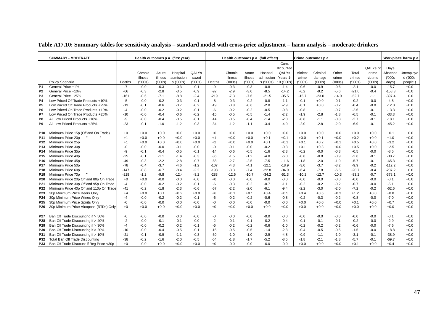|                 | <b>SUMMARY - MODERATE</b>                |        |         |         | Health outcomes p.a. (first year) |        |        |         |         | Health outcomes p.a. (full effect) |            |         | Crime outcomes p.a. |         |         |          |          | Workplace harm p.a |
|-----------------|------------------------------------------|--------|---------|---------|-----------------------------------|--------|--------|---------|---------|------------------------------------|------------|---------|---------------------|---------|---------|----------|----------|--------------------|
|                 |                                          |        |         |         |                                   |        |        |         |         |                                    | Cum.       |         |                     |         |         |          |          |                    |
|                 |                                          |        |         |         |                                   |        |        |         |         |                                    | dicounted  |         |                     |         |         | QALYs of | Days     |                    |
|                 |                                          |        | Chronic | Acute   | Hospital                          | QALYs  |        | Chronic | Acute   | Hospital                           | QALYs      | Violent | Criminal            | Other   | Total   | crime    | Absence  | Unemploye          |
|                 |                                          |        | illness | illness | admission                         | saved  |        | illness | illness | admission                          | Years 1    | crime   | damage              | crime   | crimes  | victims  | (000s    | d ('000s           |
|                 | Policy Scenario                          | Deaths | (000s)  | (000s)  | s ('000s)                         | (000s) | Deaths | (000s)  | (000s)  | s ('000s)                          | 10 ('000s) | (000s)  | (000s)              | (000s)  | (000s)  | (000s)   | days)    | people             |
| P <sub>1</sub>  | General Price +1%                        | $-7$   | $-0.0$  | $-0.3$  | $-0.3$                            | $-0.1$ | -9     | $-0.3$  | $-0.3$  | $-0.8$                             | $-1.4$     | $-0.6$  | $-0.9$              | $-0.6$  | $-2.1$  | $-0.0$   | $-15.7$  | $+0.0$             |
| P <sub>2</sub>  | General Price +10%                       | $-66$  | $-0.3$  | $-2.8$  | $-3.5$                            | $-0.9$ | $-92$  | $-2.9$  | $-3.0$  | $-8.5$                             | $-14.2$    | $-6.2$  | $-9.2$              | $-5.6$  | $-21.0$ | $-0.4$   | $-158.3$ | $+0.0$             |
| P <sub>3</sub>  | General Price +25%                       | $-161$ | $-0.6$  | $-7.1$  | $-8.8$                            | $-2.4$ | $-219$ | $-7.3$  | $-7.6$  | $-21.5$                            | $-35.5$    | $-15.7$ | $-23.0$             | $-14.0$ | $-52.7$ | $-1.1$   | $-397.4$ | $+0.0$             |
| P4              | Low Priced Off Trade Products +10%       | $-5$   | $-0.0$  | $-0.2$  | $-0.3$                            | $-0.1$ | -8     | $-0.3$  | $-0.2$  | $-0.8$                             | $-1.1$     | $-0.1$  | $+0.0$              | $-0.1$  | $-0.2$  | $-0.0$   | $-4.8$   | $+0.0$             |
| P5              | Low Priced Off Trade Products +25%       | $-13$  | $-0.1$  | $-0.6$  | $-0.7$                            | $-0.2$ | $-19$  | $-0.8$  | $-0.6$  | $-2.0$                             | $-2.9$     | -0.1    | $+0.0$              | $-0.2$  | $-0.4$  | $-0.0$   | $-12.0$  | $+0.0$             |
| P6              | Low Priced On Trade Products +10%        | $-4$   | $-0.0$  | $-0.2$  | $-0.2$                            | $-0.1$ | -6     | $-0.2$  | $-0.2$  | $-0.5$                             | $-0.8$     | -0.8    | $-1.1$              | $-0.7$  | $-2.6$  | $-0.1$   | $-13.3$  | $+0.0$             |
| P7              | Low Priced On Trade Products +25%        | $-10$  | $-0.0$  | $-0.4$  | $-0.6$                            | $-0.2$ | $-15$  | $-0.5$  | $-0.5$  | $-1.4$                             | $-2.2$     | $-1.9$  | $-2.8$              | $-1.8$  | $-6.5$  | $-0.1$   | $-33.3$  | $+0.0$             |
| P <sub>8</sub>  | All Low Priced Products +10%             | -9     | $-0.0$  | $-0.4$  | $-0.5$                            | $-0.1$ | $-14$  | $-0.5$  | $-0.4$  | $-1.4$                             | $-2.0$     | $-0.8$  | $-1.1$              | $-0.8$  | $-2.7$  | $-0.1$   | $-18.1$  | $+0.0$             |
| P <sub>9</sub>  | All Low Priced Products +25%             | $-23$  | $-0.1$  | $-1.0$  | $-1.2$                            | $-0.3$ | $-34$  | $-1.2$  | $-1.1$  | $-3.4$                             | $-4.9$     | $-2.0$  | $-2.8$              | $-2.0$  | $-6.9$  | $-0.1$   | $-45.2$  | $+0.0$             |
| P <sub>10</sub> | Minimum Price 15p (Off and On Trade)     | +0     | $+0.0$  | $+0.0$  | $+0.0$                            | $+0.0$ | $+0$   | $+0.0$  | $+0.0$  | $+0.0$                             | $+0.0$     | $+0.0$  | $+0.0$              | $+0.0$  | $+0.0$  | $+0.0$   | $+0.1$   | $+0.0$             |
| P <sub>11</sub> | Minimum Price 20p                        | $+1$   | $+0.0$  | $+0.0$  | $+0.0$                            | $+0.0$ | $+1$   | $+0.0$  | $+0.0$  | $+0.1$                             | $+0.1$     | $+0.0$  | $+0.1$              | $+0.0$  | $+0.2$  | $+0.0$   | $+1.0$   | $+0.0$             |
| P <sub>12</sub> | Minimum Price 25p                        | $+1$   | $+0.0$  | $+0.0$  | $+0.0$                            | $+0.0$ | $+2$   | $+0.0$  | $+0.0$  | $+0.1$                             | $+0.1$     | $+0.1$  | $+0.2$              | $+0.1$  | $+0.5$  | $+0.0$   | $+3.2$   | $+0.0$             |
| P <sub>13</sub> | Minimum Price 30p                        | -0     | $-0.0$  | $-0.0$  | $-0.1$                            | $-0.0$ | -0     | $-0.1$  | $-0.0$  | $-0.2$                             | $-0.3$     | $+0.1$  | $+0.3$              | $+0.0$  | $+0.5$  | $+0.0$   | $+2.5$   | $+0.0$             |
| P <sub>14</sub> | Minimum Price 35p                        | -9     | $-0.1$  | $-0.4$  | $-0.5$                            | $-0.1$ | $-14$  | $-0.6$  | $-0.5$  | $-1.6$                             | $-2.3$     | $-0.2$  | $-0.0$              | $-0.3$  | $-0.5$  | $-0.0$   | $-8.5$   | $+0.0$             |
| P <sub>15</sub> | Minimum Price 40p                        | -25    | $-0.1$  | $-1.1$  | $-1.4$                            | $-0.3$ | $-36$  | $-1.5$  | $-1.2$  | $-4.0$                             | $-6.0$     | $-0.8$  | $-0.8$              | $-0.9$  | $-2.6$  | $-0.1$   | $-30.7$  | $+0.0$             |
| P <sub>16</sub> | Minimum Price 45p                        | $-49$  | $-0.3$  | $-2.2$  | $-2.8$                            | $-0.7$ | $-68$  | $-2.7$  | $-2.5$  | $-7.5$                             | $-11.6$    | $-1.8$  | $-2.0$              | $-1.9$  | $-5.7$  | $-0.1$   | $-65.3$  | $+0.0$             |
| P <sub>17</sub> | Minimum Price 50p                        | $-78$  | $-0.4$  | $-3.7$  | $-4.6$                            | $-1.2$ | $-107$ | $-4.3$  | $-4.1$  | $-12.1$                            | $-18.9$    | -3.0    | $-3.7$              | $-3.2$  | $-9.9$  | $-0.2$   | $-112.2$ | $+0.0$             |
| P18             | Minimum Price 60p                        | $-147$ | $-0.8$  | $-6.7$  | $-8.4$                            | $-2.2$ | $-198$ | $-8.3$  | $-7.4$  | $-22.8$                            | $-34.9$    | -6.4    | $-7.8$              | $-6.5$  | $-20.7$ | $-0.4$   | $-237.2$ | $+0.0$             |
| P <sub>19</sub> | Minimum Price 70p                        | $-218$ | $-1.2$  | $-9.8$  | $-12.4$                           | $-3.2$ | $-283$ | $-12.6$ | $-10.7$ | $-34.2$                            | $-51.3$    | $-10.2$ | $-12.7$             | $-10.3$ | $-33.2$ | $-0.7$   | $-378.1$ | $+0.0$             |
| P20             | Minimum Price 20p Off and 80p On Trade   | $+0$   | $+0.0$  | $-0.0$  | $-0.0$                            | $-0.0$ | $+0$   | $-0.0$  | $-0.0$  | $-0.0$                             | $-0.0$     | $-0.0$  | $-0.0$              | $-0.0$  | $-0.0$  | $-0.0$   | $-0.1$   | $+0.0$             |
| P21             | Minimum Price 30p Off and 95p On Trade   | $-4$   | $-0.0$  | $-0.2$  | $-0.2$                            | $-0.1$ | -6     | $-0.3$  | $-0.2$  | $-0.7$                             | $-1.1$     | $-0.2$  | $-0.2$              | $-0.2$  | $-0.7$  | $-0.0$   | $-5.1$   | $+0.0$             |
| P22             | Minimum Price 40p Off and 110p On Trade  | $-41$  | $-0.2$  | $-1.8$  | $-2.3$                            | $-0.6$ | $-57$  | $-2.2$  | $-2.0$  | $-6.1$                             | $-9.4$     | $-2.2$  | $-3.0$              | $-2.0$  | $-7.2$  | $-0.2$   | $-62.6$  | $+0.0$             |
| P23             | 30p Minimum Price Beers Only             | $+4$   | $+0.0$  | $+0.1$  | $+0.2$                            | $+0.0$ | $+6$   | $+0.1$  | $+0.1$  | $+0.4$                             | $+0.5$     | $+0.4$  | $+0.6$              | $+0.3$  | $+1.2$  | $+0.0$   | $+8.8$   | $+0.0$             |
| P24             | 30p Minimum Price Wines Only             | $-4$   | $-0.0$  | $-0.2$  | $-0.2$                            | $-0.1$ | -6     | $-0.2$  | $-0.2$  | $-0.6$                             | $-0.8$     | $-0.2$  | $-0.3$              | $-0.2$  | $-0.8$  | $-0.0$   | $-7.0$   | $+0.0$             |
| P <sub>25</sub> | 30p Minimum Price Spirits Only           | -0     | $-0.0$  | $-0.0$  | $-0.0$                            | $-0.0$ | -0     | $-0.0$  | $-0.0$  | $-0.0$                             | $-0.0$     | $+0.0$  | $+0.0$              | $+0.0$  | $+0.1$  | $+0.0$   | $+0.7$   | $+0.0$             |
| P <sub>26</sub> | 30p Minimum Price Alcopops (RTDs) Only   | $+0$   | $+0.0$  | $+0.0$  | $+0.0$                            | $+0.0$ | $+0$   | $+0.0$  | $+0.0$  | $+0.0$                             | $+0.0$     | $+0.0$  | $+0.0$              | $+0.0$  | $+0.0$  | $+0.0$   | $+0.0$   | $+0.0$             |
| P27             | Ban Off Trade Discounting if > 50%       | -0     | $-0.0$  | $-0.0$  | $-0.0$                            | $-0.0$ | -0     | $-0.0$  | $-0.0$  | $-0.0$                             | $-0.0$     | -0.0    | $-0.0$              | $-0.0$  | $-0.0$  | $-0.0$   | $-0.1$   | $+0.0$             |
| <b>P28</b>      | Ban Off Trade Discounting if > 40%       | $-2$   | $-0.0$  | $-0.1$  | $-0.1$                            | $-0.0$ | $-2$   | $-0.1$  | $-0.1$  | $-0.2$                             | $-0.4$     | $-0.1$  | $-0.1$              | $-0.1$  | $-0.2$  | $-0.0$   | $-2.9$   | $+0.0$             |
| P29             | Ban Off Trade Discounting if > 30%       | $-4$   | $-0.0$  | $-0.2$  | $-0.2$                            | $-0.1$ | -6     | $-0.2$  | $-0.2$  | $-0.6$                             | $-1.0$     | $-0.2$  | $-0.2$              | $-0.2$  | $-0.6$  | $-0.0$   | $-7.6$   | $+0.0$             |
| P30             | Ban Off Trade Discounting if > 20%       | $-10$  | $-0.0$  | $-0.4$  | $-0.5$                            | $-0.1$ | $-15$  | $-0.5$  | $-0.5$  | $-1.4$                             | $-2.3$     | $-0.4$  | $-0.5$              | $-0.5$  | $-1.5$  | $-0.0$   | $-18.8$  | $+0.0$             |
| P31             | Ban Off Trade Discounting if > 10%       | $-21$  | $-0.1$  | $-0.9$  | $-1.1$                            | $-0.3$ | $-30$  | $-1.0$  | $-1.0$  | $-2.9$                             | $-4.8$     | $-0.9$  | $-1.1$              | $-1.0$  | $-3.1$  | $-0.1$   | $-38.9$  | $+0.0$             |
| P32             | Total Ban Off Trade Discounting          | $-38$  | $-0.2$  | $-1.6$  | $-2.0$                            | $-0.5$ | $-54$  | $-1.8$  | $-1.7$  | $-5.2$                             | $-8.5$     | $-1.8$  | $-2.1$              | $-1.8$  | $-5.7$  | $-0.1$   | $-69.7$  | $+0.0$             |
| P33             | Ban Off Trade Discount if Reg Price <30p | $+0$   | $-0.0$  | $+0.0$  | $+0.0$                            | $+0.0$ | $+0$   | $-0.0$  | $-0.0$  | $-0.0$                             | $-0.0$     | $+0.0$  | $+0.0$              | $+0.0$  | $+0.1$  | $+0.0$   | $+0.4$   | $+0.0$             |

### **Table A17.10: Summary tables for sensitivity analysis – standard model with cross-price adjustment – harm analysis – moderate drinkers**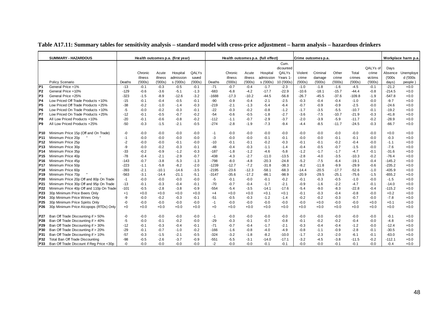|                 | <b>SUMMARY - HAZARDOUS</b>               |        |         |         | Health outcomes p.a. (first year) |        |         |         |         | Health outcomes p.a. (full effect) |            |         | Crime outcomes p.a. |         |          |          |          | Workplace harm p.a |
|-----------------|------------------------------------------|--------|---------|---------|-----------------------------------|--------|---------|---------|---------|------------------------------------|------------|---------|---------------------|---------|----------|----------|----------|--------------------|
|                 |                                          |        |         |         |                                   |        |         |         |         |                                    | Cum.       |         |                     |         |          |          |          |                    |
|                 |                                          |        |         |         |                                   |        |         |         |         |                                    | dicounted  |         |                     |         |          | QALYs of | Days     |                    |
|                 |                                          |        | Chronic | Acute   | Hospital                          | QALYs  |         | Chronic | Acute   | Hospital                           | QALYs      | Violent | Criminal            | Other   | Total    | crime    | Absence  | Unemploye          |
|                 |                                          |        | illness | illness | admission                         | saved  |         | illness | illness | admission                          | Years 1    | crime   | damage              | crime   | crimes   | victims  | (000s    | d ('000s           |
|                 | Policy Scenario                          | Deaths | (000s)  | (000s)  | s ('000s)                         | (000s) | Deaths  | (000s)  | (000s)  | s ('000s)                          | 10 ('000s) | (000s)  | (000s)              | (000s)  | (000s)   | (000s)   | days)    | people             |
| P <sub>1</sub>  | General Price +1%                        | $-13$  | $-0.1$  | $-0.3$  | $-0.5$                            | $-0.1$ | $-71$   | $-0.7$  | $-0.4$  | $-1.7$                             | $-2.3$     | $-1.0$  | $-1.8$              | $-1.6$  | $-4.5$   | $-0.1$   | $-21.2$  | $+0.0$             |
| P <sub>2</sub>  | General Price +10%                       | $-129$ | $-0.6$  | $-3.6$  | $-5.1$                            | $-1.3$ | $-683$  | $-6.8$  | $-4.2$  | $-17.7$                            | $-22.9$    | $-10.6$ | $-18.1$             | $-15.7$ | -44.4    | $-0.8$   | $-214.5$ | $+0.0$             |
| P <sub>3</sub>  | General Price +25%                       | -323   | $-1.5$  | $-8.9$  | $-12.6$                           | $-3.2$ | $-1688$ | $-17.3$ | $-10.2$ | $-44.5$                            | $-56.8$    | $-26.7$ | $-45.5$             | $-37.6$ | $-109.8$ | $-1.9$   | $-547.8$ | $+0.0$             |
| P4              | Low Priced Off Trade Products +10%       | $-15$  | $-0.1$  | $-0.4$  | $-0.5$                            | $-0.1$ | $-90$   | $-0.9$  | $-0.4$  | $-2.1$                             | $-2.5$     | $-0.3$  | $-0.4$              | $-0.4$  | $-1.0$   | $-0.0$   | $-9.7$   | $+0.0$             |
| P5              | Low Priced Off Trade Products +25%       | -38    | $-0.2$  | $-1.0$  | $-1.4$                            | $-0.3$ | $-219$  | $-2.1$  | $-1.3$  | $-5.4$                             | $-6.4$     | $-0.7$  | $-0.9$              | $-0.9$  | $-2.5$   | $-0.0$   | $-24.6$  | $+0.0$             |
| P6              | Low Priced On Trade Products +10%        | $-5$   | $-0.0$  | $-0.2$  | $-0.3$                            | $-0.1$ | $-22$   | $-0.3$  | $-0.2$  | $-0.8$                             | $-1.2$     | $-1.7$  | $-3.5$              | $-5.5$  | $-10.7$  | $-0.1$   | $-19.2$  | $+0.0$             |
| P7              | Low Priced On Trade Products +25%        | $-12$  | $-0.1$  | $-0.5$  | $-0.7$                            | $-0.2$ | $-54$   | $-0.6$  | $-0.5$  | $-1.8$                             | $-2.7$     | $-3.6$  | $-7.5$              | $-10.7$ | $-21.9$  | $-0.3$   | $-41.8$  | $+0.0$             |
| P <sub>8</sub>  | All Low Priced Products +10%             | $-20$  | $-0.1$  | $-0.6$  | $-0.8$                            | $-0.2$ | $-112$  | $-1.1$  | $-0.7$  | $-2.9$                             | $-3.7$     | $-2.0$  | $-3.9$              | $-5.9$  | $-11.7$  | $-0.2$   | $-28.9$  | $+0.0$             |
| P <sub>9</sub>  | All Low Priced Products +25%             | $-50$  | $-0.3$  | $-1.5$  | $-2.1$                            | $-0.5$ | $-274$  | $-2.8$  | $-1.9$  | $-7.3$                             | $-9.4$     | $-4.4$  | $-8.5$              | $-11.7$ | $-24.5$  | $-0.3$   | $-66.7$  | $+0.0$             |
| P <sub>10</sub> | Minimum Price 15p (Off and On Trade)     | -0     | $-0.0$  | $-0.0$  | $-0.0$                            | $-0.0$ | -1      | $-0.0$  | $-0.0$  | $-0.0$                             | $-0.0$     | $-0.0$  | $-0.0$              | $-0.0$  | $-0.0$   | $-0.0$   | $+0.0$   | $+0.0$             |
| P <sub>11</sub> | Minimum Price 20p                        | -1     | $-0.0$  | $-0.0$  | $-0.0$                            | $-0.0$ | $-3$    | $-0.0$  | $-0.0$  | $-0.1$                             | $-0.1$     | $-0.0$  | $-0.0$              | $-0.1$  | $-0.1$   | $-0.0$   | $-0.3$   | $+0.0$             |
| P <sub>12</sub> | Minimum Price 25p                        | $-2$   | $-0.0$  | $-0.0$  | $-0.1$                            | $-0.0$ | $-10$   | $-0.1$  | $-0.1$  | $-0.2$                             | $-0.3$     | -0.1    | $-0.1$              | $-0.2$  | $-0.4$   | $-0.0$   | $-1.1$   | $+0.0$             |
| P <sub>13</sub> | Minimum Price 30p                        | -9     | $-0.0$  | $-0.2$  | $-0.3$                            | $-0.1$ | $-48$   | $-0.4$  | $-0.3$  | $-1.1$                             | $-1.4$     | $-0.4$  | $-0.5$              | $-0.7$  | $-1.5$   | $-0.0$   | $-7.6$   | $+0.0$             |
| P <sub>14</sub> | Minimum Price 35p                        | $-33$  | $-0.2$  | $-0.9$  | $-1.2$                            | $-0.3$ | $-187$  | $-1.8$  | $-1.2$  | $-4.6$                             | $-5.8$     | $-1.2$  | $-1.7$              | $-1.7$  | $-4.7$   | $-0.1$   | $-31.6$  | $+0.0$             |
| P <sub>15</sub> | Minimum Price 40p                        | $-78$  | $-0.4$  | $-2.1$  | $-2.9$                            | $-0.7$ | $-438$  | $-4.3$  | $-2.7$  | $-11.0$                            | $-13.5$    | $-2.8$  | $-4.0$              | $-3.5$  | $-10.3$  | $-0.2$   | $-76.4$  | $+0.0$             |
| P <sub>16</sub> | Minimum Price 45p                        | $-143$ | $-0.7$  | $-3.8$  | $-5.3$                            | $-1.3$ | $-798$  | $-8.0$  | $-4.8$  | $-20.3$                            | $-24.8$    | $-5.2$  | $-7.5$              | $-6.4$  | $-19.1$  | $-0.4$   | $-145.2$ | $+0.0$             |
| P <sub>17</sub> | Minimum Price 50p                        | $-223$ | $-1.1$  | $-5.8$  | $-8.2$                            | $-2.0$ | $-1239$ | $-12.7$ | $-7.2$  | $-31.8$                            | $-38.3$    | $-8.2$  | $-11.8$             | $-9.9$  | $-29.9$  | $-0.6$   | $-235.2$ | $+0.0$             |
| P18             | Minimum Price 60p                        | $-393$ | $-2.1$  | $-10.1$ | $-14.6$                           | $-3.5$ | $-2195$ | $-23.6$ | $-12.3$ | $-58.1$                            | $-68.3$    | $-14.4$ | $-20.5$             | $-17.7$ | $-52.6$  | $-1.0$   | $-435.9$ | $+0.0$             |
| P <sub>19</sub> | Minimum Price 70p                        | $-563$ | $-3.1$  | $-14.4$ | $-21.1$                           | $-5.1$ | $-3147$ | $-35.6$ | $-17.2$ | $-86.1$                            | $-98.9$    | $-20.9$ | $-29.5$             | $-25.1$ | $-75.6$  | $-1.5$   | $-655.2$ | $+0.0$             |
| P20             | Minimum Price 20p Off and 80p On Trade   | $-1$   | $-0.0$  | $-0.0$  | $-0.0$                            | $-0.0$ | -5      | $-0.1$  | $-0.0$  | $-0.1$                             | $-0.2$     | $-0.1$  | $-0.3$              | $-0.5$  | $-1.0$   | $-0.0$   | $-1.5$   | $+0.0$             |
| P21             | Minimum Price 30p Off and 95p On Trade   | $-13$  | $-0.1$  | $-0.3$  | $-0.4$                            | $-0.1$ | $-70$   | $-0.7$  | $-0.4$  | $-1.7$                             | $-2.1$     | $-0.9$  | $-1.6$              | $-2.2$  | $-4.7$   | $-0.1$   | $-14.0$  | $+0.0$             |
| P22             | Minimum Price 40p Off and 110p On Trade  | $-101$ | $-0.5$  | $-2.8$  | $-3.8$                            | $-0.9$ | $-554$  | $-5.4$  | $-3.5$  | $-14.1$                            | $-17.6$    | $-5.4$  | $-9.0$              | $-8.3$  | $-22.8$  | $-0.4$   | $-115.2$ | $+0.0$             |
| P23             | 30p Minimum Price Beers Only             | $+1$   | $+0.0$  | $+0.0$  | $+0.0$                            | $+0.0$ | $+4$    | $+0.0$  | $+0.0$  | $+0.1$                             | $+0.1$     | -0.1    | $-0.3$              | $-0.4$  | $-0.8$   | $-0.0$   | $+0.2$   | $+0.0$             |
| P24             | 30p Minimum Price Wines Only             | -9     | $-0.0$  | $-0.2$  | $-0.3$                            | $-0.1$ | $-51$   | $-0.5$  | $-0.3$  | $-1.2$                             | $-1.4$     | $-0.2$  | $-0.2$              | $-0.3$  | $-0.7$   | $-0.0$   | $-7.8$   | $+0.0$             |
| P <sub>25</sub> | 30p Minimum Price Spirits Only           | -0     | $-0.0$  | $-0.0$  | $-0.0$                            | $-0.0$ | $-1$    | $-0.0$  | $-0.0$  | $-0.0$                             | $-0.0$     | $-0.0$  | $+0.0$              | $-0.0$  | $-0.0$   | $+0.0$   | $+0.1$   | $+0.0$             |
| P <sub>26</sub> | 30p Minimum Price Alcopops (RTDs) Only   | $+0$   | $+0.0$  | $+0.0$  | $+0.0$                            | $+0.0$ | $+0$    | $+0.0$  | $+0.0$  | $+0.0$                             | $+0.0$     | $+0.0$  | $+0.0$              | $+0.0$  | $+0.0$   | $+0.0$   | $+0.0$   | $+0.0$             |
| P27             | Ban Off Trade Discounting if > 50%       | -0     | $-0.0$  | $-0.0$  | $-0.0$                            | $-0.0$ | $-1$    | $-0.0$  | $-0.0$  | $-0.0$                             | $-0.0$     | -0.0    | $-0.0$              | $-0.0$  | $-0.0$   | $-0.0$   | $-0.1$   | $+0.0$             |
| <b>P28</b>      | Ban Off Trade Discounting if > 40%       | $-5$   | $-0.0$  | $-0.1$  | $-0.2$                            | $-0.0$ | $-29$   | $-0.3$  | $-0.1$  | $-0.7$                             | $-0.8$     | $-0.1$  | $-0.2$              | $-0.2$  | $-0.4$   | $-0.0$   | $-4.8$   | $+0.0$             |
| P29             | Ban Off Trade Discounting if > 30%       | $-12$  | $-0.1$  | $-0.3$  | $-0.4$                            | $-0.1$ | $-71$   | $-0.7$  | $-0.4$  | $-1.7$                             | $-2.1$     | $-0.3$  | $-0.4$              | $-0.4$  | $-1.2$   | $-0.0$   | $-12.4$  | $+0.0$             |
| P30             | Ban Off Trade Discounting if > 20%       | $-29$  | $-0.1$  | $-0.7$  | $-1.0$                            | $-0.2$ | $-166$  | $-1.6$  | $-0.8$  | $-4.0$                             | $-4.9$     | $-0.8$  | $-1.1$              | $-0.9$  | $-2.8$   | $-0.1$   | $-30.5$  | $+0.0$             |
| P31             | Ban Off Trade Discounting if > 10%       | $-57$  | $-0.3$  | $-1.5$  | $-2.1$                            | $-0.5$ | $-324$  | $-3.2$  | $-1.8$  | $-8.2$                             | $-10.0$    | $-1.7$  | $-2.3$              | $-2.0$  | $-6.1$   | $-0.1$   | $-63.0$  | $+0.0$             |
| P32             | Total Ban Off Trade Discounting          | $-98$  | $-0.5$  | $-2.6$  | $-3.7$                            | $-0.9$ | $-551$  | $-5.5$  | $-3.1$  | $-14.0$                            | $-17.1$    | $-3.2$  | $-4.5$              | $-3.8$  | $-11.5$  | $-0.2$   | $-112.1$ | $+0.0$             |
| P33             | Ban Off Trade Discount if Reg Price <30p | -0     | $-0.0$  | $-0.0$  | $-0.0$                            | $-0.0$ | $-2$    | $-0.0$  | $-0.0$  | $-0.1$                             | $-0.1$     | $-0.0$  | $-0.0$              | $-0.1$  | $-0.1$   | $-0.0$   | $-0.4$   | $+0.0$             |

**Table A17.11: Summary tables for sensitivity analysis – standard model with cross-price adjustment – harm analysis – hazardous drinkers**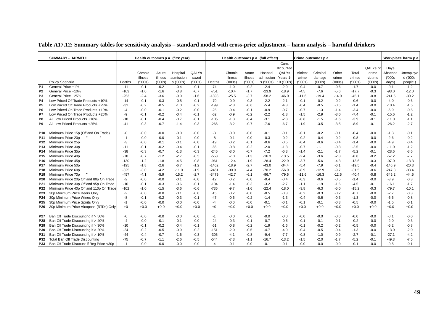|                 | <b>SUMMARY - HARMFUL</b>                 |        |         |         | Health outcomes p.a. (first year) |        |         |         |         | Health outcomes p.a. (full effect) |            |         | Crime outcomes p.a. |         |         |          |          | Workplace harm p.a |
|-----------------|------------------------------------------|--------|---------|---------|-----------------------------------|--------|---------|---------|---------|------------------------------------|------------|---------|---------------------|---------|---------|----------|----------|--------------------|
|                 |                                          |        |         |         |                                   |        |         |         |         |                                    | Cum.       |         |                     |         |         |          |          |                    |
|                 |                                          |        |         |         |                                   |        |         |         |         |                                    | dicounted  |         |                     |         |         | QALYs of | Days     |                    |
|                 |                                          |        | Chronic | Acute   | Hospital                          | QALYs  |         | Chronic | Acute   | Hospital                           | QALYs      | Violent | Criminal            | Other   | Total   | crime    | Absence  | Unemploye          |
|                 |                                          |        | illness | illness | admission                         | saved  |         | illness | illness | admission                          | Years 1    | crime   | damage              | crime   | crimes  | victims  | (000s    | d ('000s           |
|                 | Policy Scenario                          | Deaths | (000s)  | (000s)  | s ('000s)                         | (000s) | Deaths  | (000s)  | (000s)  | s ('000s)                          | 10 ('000s) | (000s)  | (000s)              | (000s)  | (000s)  | (000s)   | days)    | people)            |
| IP <sub>1</sub> | General Price +1%                        | $-11$  | $-0.1$  | $-0.2$  | $-0.4$                            | $-0.1$ | $-74$   | $-1.0$  | $-0.2$  | $-2.4$                             | $-2.0$     | $-0.4$  | $-0.7$              | $-0.6$  | $-1.7$  | $-0.0$   | $-9.1$   | $-1.2$             |
| P <sub>2</sub>  | General Price +10%                       | $-103$ | $-1.0$  | $-1.6$  | $-3.8$                            | $-0.7$ | $-751$  | $-10.4$ | $-1.7$  | $-23.9$                            | $-18.9$    | $-4.5$  | $-7.6$              | $-5.6$  | $-17.7$ | $-0.3$   | $-93.0$  | $-12.0$            |
| P <sub>3</sub>  | General Price +25%                       | $-253$ | $-2.4$  | $-3.6$  | $-9.0$                            | $-1.6$ | $-1893$ | $-25.5$ | $-3.7$  | $-58.2$                            | $-46.0$    | $-11.6$ | $-19.4$             | $-14.0$ | $-45.1$ | $-0.8$   | $-241.5$ | $-30.2$            |
| P4              | Low Priced Off Trade Products +10%       | $-14$  | $-0.1$  | $-0.3$  | $-0.5$                            | $-0.1$ | $-79$   | $-0.9$  | $-0.3$  | $-2.2$                             | $-2.1$     | $-0.1$  | $-0.2$              | $-0.2$  | $-0.6$  | $-0.0$   | $-4.0$   | $-0.6$             |
| P5              | Low Priced Off Trade Products +25%       | $-31$  | $-0.2$  | $-0.5$  | $-1.0$                            | $-0.2$ | $-199$  | $-2.3$  | $-0.6$  | $-5.4$                             | $-4.8$     | -0.4    | $-0.5$              | $-0.5$  | $-1.4$  | $-0.0$   | $-10.4$  | $-1.5$             |
| P6              | Low Priced On Trade Products +10%        | $-4$   | $-0.0$  | $-0.1$  | $-0.2$                            | $-0.0$ | $-25$   | $-0.4$  | $-0.1$  | $-0.9$                             | $-0.7$     | -0.7    | $-1.3$              | $-1.4$  | $-3.4$  | $-0.0$   | $-6.9$   | $-0.5$             |
| P7              | Low Priced On Trade Products +25%        | -9     | $-0.1$  | $-0.2$  | $-0.4$                            | $-0.1$ | $-62$   | $-0.9$  | $-0.2$  | $-2.2$                             | $-1.8$     | $-1.5$  | $-2.9$              | $-3.0$  | $-7.4$  | $-0.1$   | $-15.6$  | $-1.2$             |
| P8              | All Low Priced Products +10%             | $-18$  | $-0.1$  | $-0.4$  | $-0.7$                            | $-0.1$ | $-105$  | $-1.3$  | $-0.4$  | $-3.1$                             | $-2.8$     | $-0.8$  | $-1.5$              | $-1.6$  | $-3.9$  | $-0.1$   | $-11.0$  | $-1.1$             |
| P <sub>9</sub>  | All Low Priced Products +25%             | $-41$  | $-0.3$  | $-0.7$  | $-1.4$                            | $-0.3$ | $-266$  | $-3.2$  | $-0.7$  | $-7.6$                             | $-6.7$     | $-1.9$  | $-3.5$              | $-3.5$  | $-8.9$  | $-0.1$   | $-26.2$  | $-2.7$             |
| P <sub>10</sub> | Minimum Price 15p (Off and On Trade)     | -0     | $-0.0$  | $-0.0$  | $-0.0$                            | $-0.0$ | -3      | $-0.0$  | $-0.0$  | $-0.1$                             | $-0.1$     | $-0.1$  | $-0.2$              | $-0.1$  | $-0.4$  | $-0.0$   | $-1.3$   | $-0.1$             |
| P <sub>11</sub> | Minimum Price 20p                        | -1     | $-0.0$  | $-0.0$  | $-0.1$                            | $-0.0$ | -8      | $-0.1$  | $-0.0$  | $-0.3$                             | $-0.2$     | $-0.2$  | $-0.4$              | $-0.2$  | $-0.8$  | $-0.0$   | $-2.6$   | $-0.2$             |
| P <sub>12</sub> | Minimum Price 25p                        | -3     | $-0.0$  | $-0.1$  | $-0.1$                            | $-0.0$ | $-19$   | $-0.2$  | $-0.1$  | $-0.6$                             | $-0.5$     | $-0.4$  | $-0.6$              | $-0.4$  | $-1.4$  | $-0.0$   | $-4.9$   | $-0.4$             |
| P <sub>13</sub> | Minimum Price 30p                        | $-11$  | $-0.1$  | $-0.2$  | $-0.4$                            | $-0.1$ | $-66$   | $-0.8$  | $-0.2$  | $-2.0$                             | $-1.8$     | $-0.7$  | $-1.1$              | $-0.8$  | $-2.5$  | $-0.0$   | $-11.0$  | $-1.2$             |
| P <sub>14</sub> | Minimum Price 35p                        | -38    | $-0.3$  | $-0.7$  | $-1.3$                            | $-0.3$ | $-246$  | $-3.0$  | $-0.7$  | $-7.2$                             | $-6.3$     | $-1.4$  | $-2.1$              | $-1.7$  | $-5.2$  | $-0.1$   | $-28.6$  | $-3.6$             |
| P <sub>15</sub> | Minimum Price 40p                        | $-78$  | $-0.7$  | $-1.2$  | $-2.7$                            | $-0.5$ | $-553$  | $-7.0$  | $-1.3$  | $-16.3$                            | $-13.5$    | $-2.4$  | $-3.6$              | $-2.8$  | $-8.8$  | $-0.2$   | $-57.2$  | $-7.7$             |
| P <sub>16</sub> | Minimum Price 45p                        | $-130$ | $-1.2$  | $-1.8$  | $-4.5$                            | $-0.8$ | $-961$  | $-12.4$ | $-1.9$  | $-28.4$                            | $-22.9$    | $-3.7$  | $-5.6$              | $-4.3$  | $-13.6$ | $-0.3$   | $-97.0$  | $-13.3$            |
| P <sub>17</sub> | Minimum Price 50p                        | $-195$ | $-1.8$  | $-2.6$  | $-6.7$                            | $-1.2$ | $-1462$ | $-18.9$ | $-2.7$  | $-43.0$                            | $-34.4$    | -5.4    | $-7.9$              | $-6.1$  | $-19.5$ | $-0.4$   | $-146.9$ | $-20.3$            |
| P <sub>18</sub> | Minimum Price 60p                        | $-325$ | $-3.0$  | $-4.2$  | $-11.0$                           | $-1.9$ | $-2461$ | $-30.9$ | $-4.4$  | $-70.2$                            | $-56.9$    | $-8.9$  | $-12.9$             | $-9.7$  | $-31.5$ | $-0.6$   | $-247.3$ | $-33.4$            |
| P <sub>19</sub> | Minimum Price 70p                        | $-457$ | $-4.1$  | $-5.9$  | $-15.2$                           | $-2.7$ | $-3479$ | $-42.7$ | $-6.1$  | $-96.7$                            | $-79.6$    | $-11.6$ | $-16.3$             | $-12.5$ | $-40.4$ | $-0.8$   | $-345.2$ | $-44.5$            |
| P20             | Minimum Price 20p Off and 80p On Trade   | $-2$   | $-0.0$  | $-0.0$  | $-0.1$                            | $-0.0$ | $-12$   | $-0.2$  | $-0.0$  | $-0.4$                             | $-0.4$     | $-0.3$  | $-0.6$              | $-0.5$  | $-1.4$  | $-0.0$   | $-3.9$   | $-0.3$             |
| P21             | Minimum Price 30p Off and 95p On Trade   | $-16$  | $-0.1$  | $-0.3$  | $-0.6$                            | $-0.1$ | $-104$  | $-1.4$  | $-0.3$  | $-3.2$                             | $-2.7$     | $-1.1$  | $-1.9$              | $-1.6$  | $-4.5$  | $-0.1$   | $-16.1$  | $-1.7$             |
| P22             | Minimum Price 40p Off and 110p On Trade  | $-102$ | $-1.0$  | $-1.5$  | $-3.6$                            | $-0.6$ | $-736$  | $-9.7$  | $-1.6$  | $-22.4$                            | $-18.0$    | $-3.8$  | $-6.3$              | $-5.0$  | $-15.2$ | $-0.3$   | $-79.7$  | $-10.1$            |
| P23             | 30p Minimum Price Beers Only             | $-2$   | $-0.0$  | $-0.0$  | $-0.1$                            | $-0.0$ | $-15$   | $-0.2$  | $-0.0$  | $-0.5$                             | $-0.3$     | $-0.2$  | $-0.3$              | $-0.2$  | $-0.7$  | $-0.0$   | $-2.7$   | $-0.3$             |
| P24             | 30p Minimum Price Wines Only             | -8     | $-0.1$  | $-0.2$  | $-0.3$                            | $-0.1$ | $-47$   | $-0.6$  | $-0.2$  | $-1.4$                             | $-1.3$     | $-0.4$  | $-0.6$              | $-0.3$  | $-1.3$  | $-0.0$   | $-6.6$   | $-0.8$             |
| P <sub>25</sub> | 30p Minimum Price Spirits Only           | $-1$   | $-0.0$  | $-0.0$  | $-0.0$                            | $-0.0$ | $-4$    | $-0.0$  | $-0.0$  | $-0.1$                             | $-0.1$     | $-0.1$  | $-0.1$              | $-0.3$  | $-0.5$  | $-0.0$   | $-1.5$   | $-0.1$             |
| P <sub>26</sub> | 30p Minimum Price Alcopops (RTDs) Only   | $+0$   | $+0.0$  | $+0.0$  | $+0.0$                            | $+0.0$ | $+0$    | $+0.0$  | $+0.0$  | $+0.0$                             | $+0.0$     | $+0.0$  | $+0.0$              | $+0.0$  | $+0.0$  | $+0.0$   | $+0.0$   | $+0.0$             |
| P27             | Ban Off Trade Discounting if > 50%       | -0     | $-0.0$  | $-0.0$  | $-0.0$                            | $-0.0$ | $-1$    | $-0.0$  | $-0.0$  | $-0.0$                             | $-0.0$     | -0.0    | $-0.0$              | $-0.0$  | $-0.0$  | $-0.0$   | $-0.1$   | $-0.0$             |
| <b>P28</b>      | Ban Off Trade Discounting if > 40%       | $-4$   | $-0.0$  | $-0.1$  | $-0.1$                            | $-0.0$ | $-24$   | $-0.3$  | $-0.1$  | $-0.7$                             | $-0.6$     | $-0.1$  | $-0.1$              | $-0.1$  | $-0.2$  | $-0.0$   | $-2.0$   | $-0.3$             |
| P29             | Ban Off Trade Discounting if > 30%       | $-10$  | $-0.1$  | $-0.2$  | $-0.4$                            | $-0.1$ | $-61$   | $-0.8$  | $-0.2$  | $-1.9$                             | $-1.6$     | -0.1    | $-0.2$              | $-0.2$  | $-0.5$  | $-0.0$   | $-5.2$   | $-0.8$             |
| P30             | Ban Off Trade Discounting if > 20%       | $-24$  | $-0.2$  | $-0.5$  | $-0.9$                            | $-0.2$ | $-151$  | $-2.0$  | $-0.5$  | $-4.7$                             | $-4.0$     | $-0.4$  | $-0.5$              | $-0.4$  | $-1.3$  | $-0.0$   | $-13.0$  | $-2.0$             |
| P31             | Ban Off Trade Discounting if > 10%       | -44    | $-0.4$  | $-0.7$  | $-1.6$                            | $-0.3$ | $-306$  | $-4.1$  | $-0.8$  | $-9.4$                             | $-7.7$     | $-0.8$  | $-1.0$              | $-0.9$  | $-2.7$  | $-0.1$   | $-27.1$  | $-4.2$             |
| P32             | Total Ban Off Trade Discounting          | $-75$  | $-0.7$  | $-1.1$  | $-2.6$                            | $-0.5$ | $-544$  | $-7.3$  | $-1.1$  | $-16.7$                            | $-13.2$    | $-1.5$  | $-2.0$              | $-1.7$  | $-5.2$  | $-0.1$   | $-49.3$  | $-7.5$             |
| P33             | Ban Off Trade Discount if Reg Price <30p | $-1$   | $-0.0$  | $-0.0$  | $-0.0$                            | $-0.0$ | $-4$    | $-0.1$  | $-0.0$  | $-0.1$                             | $-0.1$     | $-0.0$  | $-0.0$              | $-0.0$  | $-0.1$  | $-0.0$   | $-0.5$   | $-0.1$             |

### **Table A17.12: Summary tables for sensitivity analysis – standard model with cross-price adjustment – harm analysis – harmful drinkers**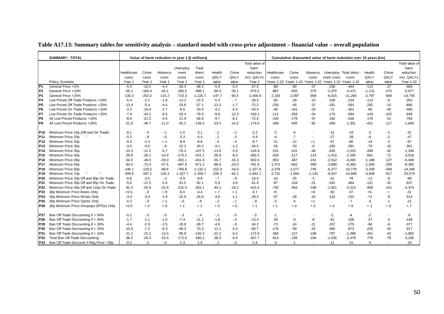|                 | <b>SUMMARY - TOTAL</b>                   |            |          | Value of harm reduction in year 1 (£ millions) |            |             |          |         |                |            |                                  |          |                       | Cumulative discounted value of harm reduction over 10 years (£m) |          |           |                |
|-----------------|------------------------------------------|------------|----------|------------------------------------------------|------------|-------------|----------|---------|----------------|------------|----------------------------------|----------|-----------------------|------------------------------------------------------------------|----------|-----------|----------------|
|                 |                                          |            |          |                                                |            |             |          |         | Total value of |            |                                  |          |                       |                                                                  |          |           | Total value of |
|                 |                                          |            |          |                                                | Unemploy   | Total       |          |         | harm           |            |                                  |          |                       |                                                                  |          |           | harm           |
|                 |                                          | Healthcare | Crime    | Absence                                        | ment       | direct      | Health   | Crime   | reduction      | Healthcare | Crime                            | Absence  |                       | Unemploy Total direct                                            | Health   | Crime     | reduction      |
|                 |                                          | costs      | costs    | costs                                          | costs      | costs       | QALY     | QALY    | incl. QALYs    | costs      | costs                            | costs    | ment costs            | costs                                                            | QALY     | QALY      | incl. QALYs    |
|                 | Policy Scenario                          | Year 1     | Year 1   | Year 1                                         | Year 1     | Year 1      | value    | value   | Year 1         |            | Years 1-10 Years 1-10 Years 1-10 |          | Years 1-10 Years 1-10 |                                                                  | value    | value     | Year 1-10      |
| P <sub>1</sub>  | General Price +1%                        | $-5.4$     | $-10.0$  | $-4.4$                                         | $-28.4$    | $-48.3$     | $-5.9$   | $-3.3$  | $-57.5$        | -88        | -83                              | $-37$    | $-236$                | -444                                                             | $-113$   | $-27$     | $-584$         |
| P <sub>2</sub>  | General Price +10%                       | $-55.1$    | $-100.4$ | $-45.1$                                        | $-285.5$   | $-486.1$    | $-60.0$  | $-33.1$ | $-579.2$       | $-887$     | $-835$                           | $-375$   | $-2,375$              | $-4,472$                                                         | $-1,131$ | $-275$    | $-5,877$       |
| P3              | General Price +25%                       | $-135.0$   | $-252.2$ | $-115.2$                                       | $-723.3$   | $-1,225.7$  | $-147.7$ | $-83.5$ | $-1,456.9$     | $-2,193$   | $-2,097$                         | $-958$   | $-6,015$              | $-11,264$                                                        | $-2,797$ | -694      | $-14,755$      |
| P <sub>4</sub>  | Low Priced Off Trade Products +10%       | $-5.4$     | $-2.2$   | $-1.8$                                         | $-13.2$    | $-22.5$     | $-5.3$   | $-.7$   | $-28.5$        | $-92$      | $-18$                            | $-15$    | $-109$                | $-234$                                                           | $-113$   | -6        | $-353$         |
| P <sub>5</sub>  | Low Priced Off Trade Products +25%       | $-13.4$    | $-5.4$   | $-4.4$                                         | $-33.8$    | $-57.1$     | $-13.3$  | $-1.7$  | $-72.2$        | $-230$     | $-45$                            | $-37$    | $-281$                | -593                                                             | $-282$   | $-14$     | $-890$         |
| IP <sub>6</sub> | Low Priced On Trade Products +10%        | $-3.3$     | $-19.4$  | $-2.7$                                         | $-8.5$     | $-33.9$     | $-4.2$   | $-5.4$  | $-43.5$        | $-46$      | $-161$                           | $-23$    | $-71$                 | -301                                                             | $-60$    | $-45$     | $-406$         |
| IP7             | Low Priced On Trade Products +25%        | $-7.9$     | $-43.2$  | $-6.5$                                         | $-20.4$    | $-78.0$     | $-9.8$   | $-12.3$ | $-100.1$       | $-111$     | $-359$                           | $-54$    | $-170$                | $-694$                                                           | $-143$   | $-102$    | -939           |
| P8              | All Low Priced Products +10%             | $-8.9$     | $-21.5$  | $-4.5$                                         | $-21.9$    | $-56.8$     | $-9.7$   | $-6.1$  | $-72.6$        | $-140$     | $-179$                           | $-37$    | $-182$                | $-538$                                                           | $-176$   | $-51$     | $-764$         |
| P <sub>9</sub>  | All Low Priced Products +25%             | $-21.6$    | $-48.7$  | $-11.0$                                        | $-55.2$    | $-136.5$    | $-23.4$  | $-14.0$ | $-174.0$       | $-346$     | $-405$                           | $-92$    | $-459$                | $-1,301$                                                         | -431     | $-117$    | $-1,849$       |
| P <sub>10</sub> | Minimum Price 15p (Off and On Trade)     | $-0.1$     | $-.5$    | $-.1$                                          | $-1.5$     | $-2.1$      | $-.1$    | $-.1$   | $-2.3$         | $-2$       | -4                               |          | $-12$                 | -18                                                              | $-2$     | $-1$      | $-21$          |
| P11             | Minimum Price 20p                        | $-0.2$     | $-0.8$   | $-0.0$                                         | $-3.3$     | $-4.4$      | $-2$     | $-3$    | $-4.9$         | -4         | $-7$                             |          | $-27$                 | -39                                                              | -6       | $-2$      | $-47$          |
| P <sub>12</sub> | Minimum Price 25p                        | $-0.5$     | $-1.4$   | $+.1$                                          | $-6.9$     | $-8.8$      | $-5$     | $-4$    | $-9.7$         | $-11$      | $-12$                            | $+1$     | $-57$                 | -80                                                              | $-14$    | -3        | $-97$          |
| P <sub>13</sub> | Minimum Price 30p                        | $-3.0$     | $-4.0$   | $-.9$                                          | $-22.2$    | $-30.2$     | $-3.1$   | $-1.2$  | $-34.5$        | $-55$      | $-33$                            | -8       | $-185$                | $-281$                                                           | $-70$    | $-10$     | $-361$         |
| P14             | Minimum Price 35p                        | $-13.3$    | $-12.2$  | $-5.7$                                         | $-76.3$    | $-107.5$    | $-13.6$  | $-3.9$  | $-124.9$       | $-231$     | $-101$                           | $-48$    | $-635$                | $-1,015$                                                         | $-289$   | $-32$     | $-1,336$       |
| P <sub>15</sub> | Minimum Price 40p                        | $-29.9$    | $-26.1$  | $-14.9$                                        | $-170.2$   | $-241.1$    | $-30.8$  | $-8.5$  | $-280.3$       | $-529$     | $-217$                           | $-124$   | $-1,415$              | $-2,285$                                                         | $-661$   | $-71$     | $-3,016$       |
| P <sub>16</sub> | Minimum Price 45p                        | $-54.0$    | $-46.5$  | $-29.0$                                        | $-302.1$   | $-431.6$    | $-55.7$  | $-15.3$ | $-502.6$       | $-953$     | $-387$                           | $-241$   | $-2,512$              | $-4,093$                                                         | $-1.188$ | $-127$    | $-5,408$       |
| P17             | Minimum Price 50p                        | $-83.5$    | $-72.4$  | $-47.5$                                        | $-467.8$   | $-671.2$    | $-86.6$  | $-24.0$ | $-781.8$       | $-1,472$   | $-602$                           | $-395$   | $-3,890$              | $-6,360$                                                         | $-1,836$ | $-200$    | $-8,395$       |
| P <sub>18</sub> | Minimum Price 60p                        | $-146.1$   | $-129.5$ | $-89.6$                                        | $-766.8$   | $-1, 132.1$ | $-152.8$ | $-43.0$ | $-1,327.9$     | $-2,579$   | $-1,077$                         | $-745$   | $-6,377$              | $-10,779$                                                        | $-3,209$ | $-358$    | $-14,346$      |
| P <sub>19</sub> | Minimum Price 70p                        | $-209.6$   | $-187.1$ | $-135.3$                                       | $-1,027.7$ | $-1,559.7$  | $-220.3$ | $-62.1$ | $-1,842.1$     | $-3,721$   | $-1,556$                         | $-1,125$ | $-8,547$              | $-14,949$                                                        | $-4,609$ | $-517$    | $-20,074$      |
| P20             | Minimum Price 20p Off and 80p On Trade   | $-0.6$     | $-3.0$   | $-3$                                           | $-4.9$     | $-8.8$      | $-.7$    | $-9$    | $-10.4$        | $-10$      | $-25$                            | $-3$     | $-41$                 | -78                                                              | $-13$    | -8        | $-98$          |
| P21             | Minimum Price 30p Off and 95p On Trade   | $-5.6$     | $-12.5$  | $-2.6$                                         | $-31.5$    | $-52.1$     | $-5.9$   | $-3.8$  | $-61.9$        | $-97$      | $-104$                           | $-21$    | $-262$                | $-484$                                                           | $-121$   | $-32$     | $-637$         |
| P22             | Minimum Price 40p Off and 110p On Trade  | $-42.4$    | $-55.8$  | $-23.9$                                        | $-231.0$   | $-353.1$    | $-44.1$  | $-18.2$ | -415.4         | $-730$     | $-464$                           | $-199$   | $-1,921$              | $-3,314$                                                         | -909     | $-151$    | $-4,374$       |
| P23             | 30p Minimum Price Beers Only             | $+0.6$     | $-.0$    | $+.9$                                          | $-6.0$     | $-4.4$      | $+.7$    | $+.1$   | $-3.7$         | $+5$       | $\overline{\phantom{a}}$         | $+8$     | $-50$                 | $-37$                                                            | $+6$     | $\ddot{}$ | $-31$          |
| P <sub>24</sub> | 30p Minimum Price Wines Only             | $-3.4$     | $-3.4$   | $-1.9$                                         | $-15.9$    | $-24.6$     | $-3.6$   | $-1.1$  | $-29.4$        | $-57$      | $-28$                            | $-16$    | $-132$                | $-233$                                                           | $-71$    | -9        | $-314$         |
| P <sub>25</sub> | 30p Minimum Price Spirits Only           | $-0.2$     | $-.5$    | $+.1$                                          | $-0.0$     | $-6$        | $-.2$    | $-1$    | $-9$           | $-3$       | $-4$                             | $+1$     | $\sim$                | $-7$                                                             | $-4$     | $-1$      | $-11$          |
| P <sub>26</sub> | 30p Minimum Price Alcopops (RTDs) Only   | $+0.0$     | $+.0$    | $+.0$                                          | $+.1$      | $+.1$       | $+.0$    | $+.0$   | $+.1$          | $+.1$      | $+.0$                            | $+.0$    | $+.4$                 | $+.6$                                                            | $+.1$    | $+.0$     | $+.7$          |
| P27             | Ban Off Trade Discounting if > 50%       | $-0.1$     | $-.0$    | $-.0$                                          | $-.3$      | $-.4$       | $-.1$    | $-.0$   | $-.5$          | $-1$       |                                  |          | $-2$                  | $-4$                                                             | -2       |           | -6             |
| P28             | Ban Off Trade Discounting if > 40%       | $-1.7$     | $-1.1$   | $-1.0$                                         | $-7.4$     | $-11.2$     | $-1.8$   | $-4$    | $-13.4$        | $-29$      | -9                               | -8       | $-61$                 | $-108$                                                           | $-37$    | -3        | $-148$         |
| P <sub>29</sub> | Ban Off Trade Discounting if > 30%       | $-4.4$     | $-2.9$   | $-2.5$                                         | $-18.8$    | $-28.7$     | $-4.6$   | $-9$    | $-34.2$        | $-73$      | $-24$                            | $-21$    | $-157$                | $-275$                                                           | $-94$    | -8        | $-377$         |
| P30             | Ban Off Trade Discounting if > 20%       | $-10.6$    | $-7.2$   | $-6.3$                                         | $-46.3$    | $-70.3$     | $-11.1$  | $-2.4$  | $-83.7$        | $-176$     | $-59$                            | $-52$    | $-385$                | $-673$                                                           | $-225$   | $-20$     | $-917$         |
| P31             | Ban Off Trade Discounting if > 10%       | $-21.2$    | $-15.2$  | $-13.0$                                        | $-95.8$    | $-145.3$    | $-22.3$  | $-5.0$  | $-172.6$       | $-356$     | $-127$                           | $-108$   | $-797$                | $-1,388$                                                         | $-451$   | $-42$     | $-1,882$       |
| P32             | Total Ban Off Trade Discounting          | $-36.0$    | $-28.3$  | $-23.4$                                        | $-172.6$   | $-260.2$    | $-38.0$  | $-9.4$  | $-307.7$       | $-614$     | $-236$                           | $-194$   | $-1,435$              | $-2,479$                                                         | $-778$   | $-78$     | $-3,336$       |
| P33             | Ban Off Trade Discount if Reg Price <30p | $-0.2$     | $-2$     | $-0$                                           | $-1.3$     | $-1.6$      | $-2$     | $-0.0$  | $-1.8$         | -3         | $-1$                             |          | $-11$                 | -15                                                              | $-4$     |           | $-19$          |

### **Table A17.13: Summary tables for sensitivity analysis – standard model with cross-price adjustment – financial value – overall population**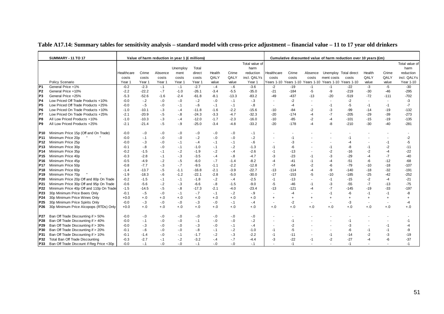|                 | <b>SUMMARY - 11 TO 17</b>                |            |         |         | Value of harm reduction in year 1 (£ millions) |         |        |         |                |                          |           |           |                                                        | Cumulative discounted value of harm reduction over 10 years (£m) |           |                          |                |
|-----------------|------------------------------------------|------------|---------|---------|------------------------------------------------|---------|--------|---------|----------------|--------------------------|-----------|-----------|--------------------------------------------------------|------------------------------------------------------------------|-----------|--------------------------|----------------|
|                 |                                          |            |         |         |                                                |         |        |         | Total value of |                          |           |           |                                                        |                                                                  |           |                          | Total value of |
|                 |                                          |            |         |         | Unemploy                                       | Total   |        |         | harm           |                          |           |           |                                                        |                                                                  |           |                          | harm           |
|                 |                                          | Healthcare | Crime   | Absence | ment                                           | direct  | Health | Crime   | reduction      | Healthcare               | Crime     | Absence   |                                                        | Unemploy Total direct                                            | Health    | Crime                    | reduction      |
|                 |                                          | costs      | costs   | costs   | costs                                          | costs   | QALY   | QALY    | incl. QALYs    | costs                    | costs     | costs     | ment costs                                             | costs                                                            | QALY      | QALY                     | incl. QALYs    |
|                 | Policy Scenario                          | Year 1     | Year 1  | Year 1  | Year 1                                         | Year 1  | value  | value   | Year 1         |                          |           |           | Years 1-10 Years 1-10 Years 1-10 Years 1-10 Years 1-10 |                                                                  | value     | value                    | Year 1-10      |
| P <sub>1</sub>  | General Price +1%                        | $-0.2$     | $-2.3$  | $-.1$   | $-.1$                                          | $-2.7$  | $-4$   | $-6$    | $-3.6$         | $-2$                     | $-19$     | $-1$      | $-1$                                                   | $-22$                                                            | $-3$      | $-5$                     | $-30$          |
| P <sub>2</sub>  | General Price +10%                       | $-2.2$     | $-22.2$ | $-7$    | $-1.0$                                         | $-26.1$ | $-3.4$ | $-5.5$  | $-35.0$        | $-21$                    | $-184$    | -5        | -9                                                     | $-219$                                                           | $-30$     | $-46$                    | $-295$         |
| P <sub>3</sub>  | General Price +25%                       | $-5.3$     | $-52.6$ | $-1.6$  | $-2.4$                                         | $-61.8$ | $-8.1$ | $-13.3$ | $-83.2$        | $-49$                    | $-437$    | $-13$     | $-20$                                                  | $-519$                                                           | $-72$     | $-111$                   | $-702$         |
| P <sub>4</sub>  | Low Priced Off Trade Products +10%       | $-0.0$     | $-.2$   | $-0$    | $-0.0$                                         | $-2$    | $-0.0$ | $-1$    | $-3$           | $\blacksquare$           | $-2$      |           |                                                        | $-2$                                                             |           | $\blacksquare$           | -3             |
| P <sub>5</sub>  | Low Priced Off Trade Products +25%       | $-0.0$     | $-5$    | $-0$    | $-.1$                                          | $-6$    | $-.1$  | $-1$    | $-8$           | $\overline{\phantom{a}}$ | -4        |           | -1                                                     | -5                                                               | $-1$      | $-1$                     | $-7$           |
| P <sub>6</sub>  | Low Priced On Trade Products +10%        | $-1.0$     | $-10.1$ | $-3$    | $-.4$                                          | $-11.8$ | $-1.6$ | $-2.2$  | $-15.6$        | $-10$                    | $-84$     | -2        | -3                                                     | $-99$                                                            | $-14$     | $-19$                    | $-132$         |
| P7              | Low Priced On Trade Products +25%        | $-2.1$     | $-20.9$ | $-5$    | $-8$                                           | $-24.3$ | $-3.3$ | $-4.7$  | $-32.3$        | $-20$                    | $-174$    | $-4$      | $-7$                                                   | $-205$                                                           | $-29$     | $-39$                    | $-273$         |
| P <sub>8</sub>  | All Low Priced Products +10%             | $-1.0$     | $-10.3$ | $-3$    | $-.4$                                          | $-12.0$ | $-1.7$ | $-2.3$  | $-16.0$        | $-10$                    | $-85$     | $-2$      |                                                        | $-101$                                                           | $-15$     | $-19$                    | $-135$         |
| P <sub>9</sub>  | All Low Priced Products +25%             | $-2.1$     | $-21.4$ | $-5$    | $-9$                                           | $-25.0$ | $-3.4$ | $-4.8$  | $-33.2$        | $-20$                    | $-178$    | $-4$      | -8                                                     | $-210$                                                           | $-30$     | $-40$                    | $-281$         |
|                 |                                          |            |         |         |                                                |         |        |         |                |                          |           |           |                                                        |                                                                  |           |                          |                |
| P10             | Minimum Price 15p (Off and On Trade)     | $-0.0$     | $-0$    | $-0$    | $-0.0$                                         | $-.0$   | $-0.0$ | $-0$    | $-1$           |                          |           |           |                                                        |                                                                  |           |                          |                |
| P <sub>11</sub> | Minimum Price 20p                        | $-0.0$     | $-1$    | $-0$    | $-0.0$                                         | $-.2$   | $-0.0$ | $-0.0$  | $-2$           |                          |           |           |                                                        |                                                                  |           |                          | -2             |
| P12             | Minimum Price 25p                        | $-0.0$     | $-3$    | $-0$    | $-.1$                                          | $-4$    | $-.1$  | $-1$    | $-6$           | $\blacksquare$           | -3        |           |                                                        | -4                                                               |           | $-1$                     | $-5$           |
| P <sub>13</sub> | Minimum Price 30p                        | $-0.1$     | $-8$    | $-.0$   | $-.1$                                          | $-1.0$  | $-.1$  | $-2$    | $-1.3$         | $-1$                     | -6        |           | -1                                                     | -8                                                               | $-1$      | $-2$                     | $-11$          |
| P <sub>14</sub> | Minimum Price 35p                        | $-0.2$     | $-1.5$  | $-.1$   | $-2$                                           | $-1.9$  | $-2$   | $-.4$   | $-2.6$         | $-1$                     | $-13$     |           | -2                                                     | $-16$                                                            | $-2$      | $-4$                     | $-22$          |
| P <sub>15</sub> | Minimum Price 40p                        | $-0.3$     | $-2.8$  | $-.1$   | $-3$                                           | $-3.5$  | $-.4$  | $-8$    | $-4.7$         | -3                       | $-23$     | -1        | -3                                                     | $-29$                                                            | $-4$      | $-7$                     | $-40$          |
| P <sub>16</sub> | Minimum Price 45p                        | $-0.5$     | $-4.9$  | $-2$    | $-5$                                           | $-6.0$  | $-7$   | $-1.4$  | $-8.2$         | $-4$                     | $-41$     | $-1$      |                                                        | $-51$                                                            | -6        | $-12$                    | $-68$          |
| <b>P17</b>      | Minimum Price 50p                        | $-0.8$     | $-7.7$  | $-3$    | $-.7$                                          | $-9.5$  | $-1.1$ | $-2.2$  | $-12.8$        | $-7$                     | $-64$     | $-2$      |                                                        | $-79$                                                            | -10       | $-18$                    | $-107$         |
| P <sub>18</sub> | Minimum Price 60p                        | $-1.4$     | $-13.7$ | $-5$    | $-1.1$                                         | $-16.8$ | $-2.1$ | $-3.9$  | $-22.7$        | $-13$                    | $-114$    | $-4$      | -9                                                     | $-140$                                                           | -18       | $-32$                    | $-191$         |
| P <sub>19</sub> | Minimum Price 70p                        | $-1.9$     | $-18.3$ | $-6$    | $-1.2$                                         | $-22.1$ | $-2.8$ | $-5.0$  | $-30.0$        | $-17$                    | $-153$    | -5        | $-10$                                                  | $-185$                                                           | $-25$     | $-42$                    | $-252$         |
| P <sub>20</sub> | Minimum Price 20p Off and 80p On Trade   | $-0.2$     | $-1.5$  | $-.1$   | $-.1$                                          | $-1.8$  | $-2$   | $-.4$   | $-2.5$         | $-1$                     | $-13$     |           | $-1$                                                   | $-15$                                                            | $-2$      | $-4$                     | $-21$          |
| P <sub>21</sub> | Minimum Price 30p Off and 95p On Trade   | $-0.6$     | $-5.6$  | $-2$    | $-3$                                           | $-6.6$  | $-8$   | $-1.5$  | $-9.0$         | $-5$                     | $-46$     | -1        | -3                                                     | $-55$                                                            | $-7$      | $-13$                    | $-75$          |
| P22             | Minimum Price 40p Off and 110p On Trade  | $-1.5$     | $-14.5$ | $-5$    | $-8$                                           | $-17.3$ | $-2.1$ | $-4.0$  | $-23.4$        | $-13$                    | $-121$    | -4        |                                                        | $-145$                                                           | $-19$     | $-33$                    | $-197$         |
| P <sub>23</sub> | 30p Minimum Price Beers Only             | $-0.1$     | $-.5$   | $-0$    | $-.1$                                          | $-7$    | $-.1$  | $-2$    | $-9$           | $\blacksquare$           | -4        |           |                                                        | -6                                                               | -1        | $-1$                     | -8             |
| P <sub>24</sub> | 30p Minimum Price Wines Only             | $+0.0$     | $+.0$   | $+.0$   | $+.0$                                          | $+.0$   | $+.0$  | $+.0$   | $+.0$          | $\ddot{}$                | $\ddot{}$ | $\ddot{}$ |                                                        |                                                                  | $\ddot{}$ | $\ddot{}$                | $\ddot{}$      |
| P25             | 30p Minimum Price Spirits Only           | $-0.0$     | $-.3$   | $-0$    | $-0.0$                                         | $-3$    | $-0.0$ | $-.1$   | $-4$           | $\blacksquare$           | $-2$      |           |                                                        | -3                                                               |           | $\overline{\phantom{a}}$ | -4             |
| P <sub>26</sub> | 30p Minimum Price Alcopops (RTDs) Only   | $+0.0$     | $+.0$   | $+.0$   | $+0.0$                                         | $+.0$   | $+.0$  | $+.0$   | $+.0$          | $+.0$                    | $+.0$     | $+.0$     | $+.0$                                                  | $+.0$                                                            | $+.0$     | $+.0$                    | $+.0$          |
|                 |                                          |            |         |         |                                                |         |        |         |                |                          |           |           |                                                        |                                                                  |           |                          |                |
| P27             | Ban Off Trade Discounting if > 50%       | $-0.0$     | $-.0$   | $-0$    | $-0.0$                                         | $-0$    | $-0.0$ | $-.0$   | $-0.0$         |                          |           |           |                                                        |                                                                  |           |                          |                |
| P28             | Ban Off Trade Discounting if > 40%       | $-0.0$     | $-1$    | $-0$    | $-0.0$                                         | $-1$    | $-0.0$ | $-0.0$  | $-2$           | $\overline{\phantom{a}}$ | $-1$      |           |                                                        | -1                                                               |           |                          | -1             |
| P <sub>29</sub> | Ban Off Trade Discounting if > 30%       | $-0.0$     | $-3$    | $-0$    | $-0.0$                                         | $-3$    | $-0.0$ | $-1$    | - 4            | $\blacksquare$           | $-2$      |           |                                                        | -3                                                               |           | $-1$                     | -4             |
| P30             | Ban Off Trade Discounting if > 20%       | $-0.1$     | $-6$    | $-0$    | $-0.0$                                         | $-8$    | -. 1   | $-2$    | $-1.0$         | $-1$                     | $-5$      |           |                                                        | -6                                                               | -1        | $-1$                     | -9             |
| P31             | Ban Off Trade Discounting if > 10%       | $-0.1$     | $-1.4$  | $-0$    | $-.1$                                          | $-1.7$  | $-2$   | $-3$    | $-2.2$         | $-1$                     | $-11$     |           | -1                                                     | $-14$                                                            | $-2$      | -3                       | $-19$          |
| P32             | Total Ban Off Trade Discounting          | $-0.3$     | $-2.7$  | $-.1$   | $-2$                                           | $-3.2$  | $-.4$  | $-7$    | $-4.4$         | $-3$                     | $-22$     | $-1$      | $-2$                                                   | $-27$                                                            | $-4$      | -6                       | $-37$          |
| P33             | Ban Off Trade Discount if Reg Price <30p | $-0.0$     | $-.1$   | $-0$    | $-0.0$                                         | $-1$    | $-0.0$ | $-0.1$  | $-.1$          |                          | $-1$      |           |                                                        | $-1$                                                             |           |                          | $-1$           |

### **Table A17.14: Summary tables for sensitivity analysis – standard model with cross-price adjustment – financial value – 11 to 17 year old drinkers**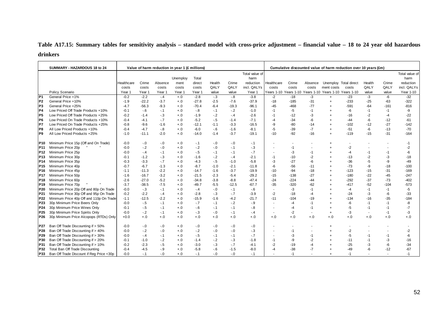# **Table A17.15: Summary tables for sensitivity analysis – standard model with cross-price adjustment – financial value – 18 to 24 year old hazardous drinkers**

|                 | SUMMARY - HAZARDOUS 18 to 24             |            |         | Value of harm reduction in year 1 (£ millions) |          |         |        |         |                |                          |        |                          |            | Cumulative discounted value of harm reduction over 10 years (£m) |          |        |                |
|-----------------|------------------------------------------|------------|---------|------------------------------------------------|----------|---------|--------|---------|----------------|--------------------------|--------|--------------------------|------------|------------------------------------------------------------------|----------|--------|----------------|
|                 |                                          |            |         |                                                |          |         |        |         | Total value of |                          |        |                          |            |                                                                  |          |        | Total value of |
|                 |                                          |            |         |                                                | Unemploy | Total   |        |         | harm           |                          |        |                          |            |                                                                  |          |        | harm           |
|                 |                                          | Healthcare | Crime   | Absence                                        | ment     | direct  | Health | Crime   | reduction      | Healthcare               | Crime  | Absence                  |            | Unemploy Total direct                                            | Health   | Crime  | reduction      |
|                 |                                          | costs      | costs   | costs                                          | costs    | costs   | QALY   | QALY    | incl. QALYs    | costs                    | costs  | costs                    | ment costs | costs                                                            | QALY     | QALY   | incl. QALYs    |
|                 | Policy Scenario                          | Year 1     | Year 1  | Year 1                                         | Year 1   | Year 1  | value  | value   | Year 1         |                          |        |                          |            | Years 1-10 Years 1-10 Years 1-10 Years 1-10 Years 1-10           | value    | value  | Year 1-10      |
| IP <sub>1</sub> | General Price +1%                        | $-0.2$     | $-2.2$  | $-.4$                                          | $+.0$    | $-2.8$  | $-3$   | $-8$    | $-3.8$         | $-2$                     | $-18$  | $-3$                     | $+$        | $-23$                                                            | $-3$     | $-6$   | $-32$          |
| IP <sub>2</sub> | General Price +10%                       | $-1.9$     | $-22.2$ | $-3.7$                                         | $+.0$    | $-27.8$ | $-2.5$ | $-7.6$  | $-37.9$        | $-18$                    | $-185$ | $-31$                    | $\ddot{}$  | $-233$                                                           | $-25$    | $-63$  | $-322$         |
| IP <sub>3</sub> | General Price +25%                       | $-4.7$     | $-56.3$ | $-9.3$                                         | $+.0$    | $-70.4$ | $-6.4$ | $-19.3$ | $-96.1$        | $-45$                    | $-468$ | $-77$                    |            | $-591$                                                           | $-64$    | $-161$ | $-816$         |
| P4              | Low Priced Off Trade Products +10%       | $-0.1$     | $-6$    | $-.1$                                          | $+.0$    | $-8$    | $-.1$  | $-2$    | $-1.0$         | $-1$                     | -5     | $-1$                     |            | -6                                                               | $-1$     | $-1$   | -9             |
| IP <sub>5</sub> | Low Priced Off Trade Products +25%       | $-0.2$     | $-1.4$  | $-3$                                           | $+.0$    | $-1.9$  | $-.2$  | $-.4$   | $-2.6$         | $-1$                     | $-12$  | -3                       |            | -16                                                              | -2       | -4     | $-22$          |
| P <sub>6</sub>  | Low Priced On Trade Products +10%        | $-0.4$     | $-4.1$  | $-.7$                                          | $+.0$    | $-5.2$  | $-5$   | $-1.4$  | $-7.1$         | $-4$                     | $-34$  | -6                       |            | -44                                                              | -6       | $-12$  | $-61$          |
| <b>P7</b>       | Low Priced On Trade Products +25%        | $-0.8$     | $-9.6$  | $-1.6$                                         | $+.0$    | $-12.1$ | $-1.1$ | $-3.3$  | $-16.5$        | -9                       | $-80$  | $-14$                    |            | $-102$                                                           | $-12$    | $-27$  | $-142$         |
| P8              | All Low Priced Products +10%             | $-0.4$     | $-4.7$  | $-8$                                           | $+.0$    | $-6.0$  | $-6$   | $-1.6$  | $-8.1$         | $-5$                     | $-39$  | $-7$                     |            | $-51$                                                            | $-6$     | $-13$  | $-70$          |
| IP <sub>9</sub> | All Low Priced Products +25%             | $-1.0$     | $-11.1$ | $-2.0$                                         | $+.0$    | $-14.0$ | $-1.4$ | $-3.7$  | $-19.1$        | $-10$                    | $-92$  | $-16$                    |            | $-119$                                                           | $-15$    | $-31$  | $-164$         |
| <b>P10</b>      | Minimum Price 15p (Off and On Trade)     | $-0.0$     | $-0.0$  | $-0.0$                                         | $+.0$    | $-.1$   | $-0$   | $-0.0$  | -. 1           |                          |        |                          |            |                                                                  |          |        | $-1$           |
| P <sub>11</sub> | Minimum Price 20p                        | $-0.0$     | $-2$    | $-0.0$                                         | $+.0$    | $-2$    | $-.0$  | $-1$    | $-3$           | ٠                        | $-1$   |                          |            | $-2$                                                             |          |        | $-2$           |
| P <sub>12</sub> | Minimum Price 25p                        | $-0.0$     | -.4     | $-.1$                                          | $+.0$    | $-5$    | $-.1$  | $-.1$   | $-7$           | $\overline{a}$           | -3     | -1                       |            | -4                                                               | -1       | $-1$   | -6             |
| P <sub>13</sub> | Minimum Price 30p                        | $-0.1$     | $-1.2$  | $-3$                                           | $+.0$    | $-1.6$  | $-2$   | $-.4$   | $-2.1$         | $-1$                     | $-10$  | $-2$                     |            | $-13$                                                            | $-2$     | -3     | $-18$          |
| P <sub>14</sub> | Minimum Price 35p                        | $-0.3$     | $-3.3$  | $-7$                                           | $+.0$    | $-4.3$  | $-5$   | $-1.0$  | $-5.8$         | $-3$                     | $-27$  | -6                       |            | $-36$                                                            | $-5$     | -9     | $-49$          |
| P <sub>15</sub> | Minimum Price 40p                        | $-0.7$     | $-6.7$  | $-1.3$                                         | $+.0$    | $-8.7$  | $-1.0$ | $-2.1$  | $-11.8$        | $-6$                     | $-56$  | $-11$                    |            | $-73$                                                            | -9       | $-18$  | $-100$         |
| P <sub>16</sub> | Minimum Price 45p                        | $-1.1$     | $-11.3$ | $-2.2$                                         | $+.0$    | $-14.7$ | $-1.6$ | $-3.7$  | $-19.9$        | $-10$                    | $-94$  | $-18$                    |            | $-123$                                                           | $-15$    | $-31$  | $-169$         |
| P <sub>17</sub> | Minimum Price 50p                        | $-1.6$     | $-16.7$ | $-3.2$                                         | $+.0$    | $-21.5$ | $-2.3$ | $-5.4$  | $-29.2$        | $-15$                    | $-138$ | $-27$                    |            | $-180$                                                           | $-22$    | $-45$  | $-247$         |
| P <sub>18</sub> | Minimum Price 60p                        | $-2.6$     | $-27.0$ | $-5.2$                                         | $+.0$    | $-34.8$ | $-3.8$ | $-8.8$  | $-47.4$        | $-24$                    | $-224$ | $-44$                    |            | $-292$                                                           | $-37$    | $-73$  | $-402$         |
| P <sub>19</sub> | Minimum Price 70p                        | $-3.7$     | $-38.5$ | $-7.5$                                         | $+.0$    | $-49.7$ | $-5.5$ | $-12.5$ | $-67.7$        | $-35$                    | $-320$ | $-62$                    |            | $-417$                                                           | $-52$    | $-104$ | $-573$         |
| P <sub>20</sub> | Minimum Price 20p Off and 80p On Trade   | $-0.0$     | $-.3$   | $-.1$                                          | $+.0$    | $-.4$   | $-.0$  | $-1$    | $-6$           | $\overline{\phantom{a}}$ | $-3$   | $-1$                     |            | -4                                                               | $-1$     | $-1$   | $-5$           |
| P21             | Minimum Price 30p Off and 95p On Trade   | $-0.2$     | $-2.2$  | $-4$                                           | $+.0$    | $-2.8$  | $-3$   | $-7$    | $-3.9$         | $-2$                     | $-18$  | $-4$                     |            | $-24$                                                            | -3       | -6     | $-33$          |
| P <sub>22</sub> | Minimum Price 40p Off and 110p On Trade  | $-1.1$     | $-12.5$ | $-2.2$                                         | $+.0$    | $-15.9$ | $-1.6$ | $-4.2$  | $-21.7$        | $-11$                    | $-104$ | $-19$                    |            | $-134$                                                           | $-16$    | $-35$  | $-184$         |
| P <sub>23</sub> | 30p Minimum Price Beers Only             | $-0.0$     | $-.5$   | $-.1$                                          | $+.0$    | $-.7$   | $-.1$  | $-2$    | $-9$           | $\blacksquare$           | -4     | $-1$                     |            | -6                                                               | $-1$     | $-1$   | -8             |
| P24             | 30p Minimum Price Wines Only             | $-0.1$     | $-5$    | $-.1$                                          | $+.0$    | $-6$    | $-.1$  | $-.1$   | $-8$           | $\overline{\phantom{a}}$ | -4     | $-1$                     |            | -5                                                               | $-1$     | $-1$   | $-7$           |
| P <sub>25</sub> | 30p Minimum Price Spirits Only           | $-0.0$     | $-2$    | $-.1$                                          | $+.0$    | $-.3$   | $-.0$  | $-.1$   | - 4            | $\blacksquare$           | $-2$   | $\overline{\phantom{a}}$ |            | -3                                                               |          | $-1$   | -3             |
| P26             | 30p Minimum Price Alcopops (RTDs) Only   | $+0.0$     | $+.0$   | $+.0$                                          | $+.0$    | $+.0$   | $+.0$  | $+.0$   | $+.0$          | $+.0$                    | $+.0$  | $+.0$                    | $+.0$      | $+.0$                                                            | $^{+.0}$ | $+.0$  | $+.0$          |
| P27             | Ban Off Trade Discounting if > 50%       | $-0.0$     | $-0.0$  | $-0.0$                                         | $+.0$    | $-0$    | $-0$   | $-0.0$  | $-0$           |                          |        |                          |            |                                                                  |          |        |                |
| P28             | Ban Off Trade Discounting if > 40%       | $-0.0$     | $-2$    | $-0$                                           | $+.0$    | $-2$    | $-0.0$ | $-0.0$  | $-3$           | $\blacksquare$           | $-1$   |                          |            | $-2$                                                             |          |        | $-2$           |
| P29             | Ban Off Trade Discounting if > 30%       | $-0.0$     | $-4$    | $-.1$                                          | $+.0$    | $-5$    | $-.1$  | $-.1$   | $-7$           | $\overline{\phantom{a}}$ | -3     | -1                       |            | -5                                                               | $-1$     | $-1$   | -6             |
| P30             | Ban Off Trade Discounting if > 20%       | $-0.1$     | $-1.0$  | $-2$                                           | $+.0$    | $-1.4$  | $-2$   | $-3$    | $-1.8$         | $-1$                     | -9     | $-2$                     |            | $-11$                                                            | $-1$     | -3     | $-16$          |
| P31             | Ban Off Trade Discounting if > 10%       | $-0.2$     | $-2.3$  | $-5$                                           | $+.0$    | $-3.0$  | $-.3$  | $-.7$   | -4.1           | $-2$                     | $-19$  | $-4$                     |            | $-25$                                                            | -3       | -6     | $-34$          |
| P32             | Total Ban Off Trade Discounting          | $-0.4$     | $-4.5$  | $-9$                                           | $+.0$    | $-5.8$  | $-6$   | $-1.5$  | $-8.0$         | $-4$                     | $-38$  | $-7$                     |            | $-49$                                                            | -6       | $-12$  | $-67$          |
| P33             | Ban Off Trade Discount if Reg Price <30p | $-0.0$     | $-1$    | $-0.0$                                         | $+.0$    | $-.1$   | $-0$   | $-0.1$  | $-.1$          |                          | $-1$   |                          |            | $-1$                                                             |          |        | -1             |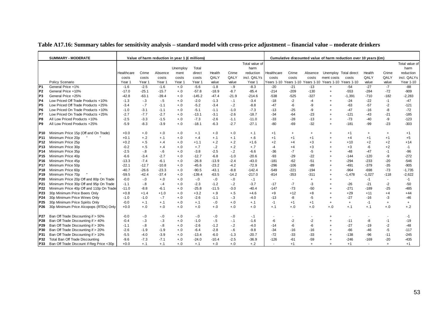|                 | <b>SUMMARY - MODERATE</b>                |            |          |         | Value of harm reduction in year 1 (£ millions) |          |         |         |                |                          |           |           |                                                        | Cumulative discounted value of harm reduction over 10 years (£m) |           |                          |                |
|-----------------|------------------------------------------|------------|----------|---------|------------------------------------------------|----------|---------|---------|----------------|--------------------------|-----------|-----------|--------------------------------------------------------|------------------------------------------------------------------|-----------|--------------------------|----------------|
|                 |                                          |            |          |         |                                                |          |         |         | Total value of |                          |           |           |                                                        |                                                                  |           |                          | Total value of |
|                 |                                          |            |          |         | Unemploy                                       | Total    |         |         | harm           |                          |           |           |                                                        |                                                                  |           |                          | harm           |
|                 |                                          | Healthcare | Crime    | Absence | ment                                           | direct   | Health  | Crime   | reduction      | Healthcare               | Crime     | Absence   |                                                        | Unemploy Total direct                                            | Health    | Crime                    | reduction      |
|                 |                                          | costs      | costs    | costs   | costs                                          | costs    | QALY    | QALY    | incl. QALYs    | costs                    | costs     | costs     | ment costs                                             | costs                                                            | QALY      | QALY                     | incl. QALYs    |
|                 | Policy Scenario                          | Year 1     | Year 1   | Year 1  | Year 1                                         | Year 1   | value   | value   | Year 1         |                          |           |           | Years 1-10 Years 1-10 Years 1-10 Years 1-10 Years 1-10 |                                                                  | value     | value                    | Year 1-10      |
| P <sub>1</sub>  | General Price +1%                        | $-1.6$     | $-2.5$   | $-1.6$  | $+.0$                                          | $-5.6$   | $-1.8$  | -.9     | $-8.3$         | $-20$                    | $-21$     | $-13$     | $+$                                                    | $-54$                                                            | $-27$     | $-7$                     | $-88$          |
| P <sub>2</sub>  | General Price +10%                       | $-17.0$    | $-25.1$  | $-15.7$ | $+.0$                                          | $-57.8$  | $-18.9$ | $-8.7$  | $-85.4$        | $-214$                   | $-209$    | $-130$    | $^{+}$                                                 | $-553$                                                           | $-284$    | $-72$                    | $-909$         |
| P <sub>3</sub>  | General Price +25%                       | $-42.8$    | $-63.1$  | $-39.4$ | $+.0$                                          | $-145.2$ | $-47.4$ | $-21.9$ | $-214.6$       | $-538$                   | $-525$    | $-327$    |                                                        | $-1,391$                                                         | $-710$    | $-182$                   | $-2,283$       |
| P <sub>4</sub>  | Low Priced Off Trade Products +10%       | $-1.3$     | $-.3$    | $-5$    | $+.0$                                          | $-2.0$   | $-1.3$  | $-1$    | $-3.4$         | $-18$                    | $-2$      | $-4$      |                                                        | $-24$                                                            | $-22$     | $-1$                     | $-47$          |
| P <sub>5</sub>  | Low Priced Off Trade Products +25%       | $-3.4$     | $-.7$    | $-1.1$  | $+.0$                                          | $-5.2$   | $-3.4$  | $-.2$   | $-8.8$         | $-47$                    | -6        | -9        |                                                        | -63                                                              | $-57$     | $-2$                     | $-121$         |
| P <sub>6</sub>  | Low Priced On Trade Products +10%        | $-1.0$     | $-3.1$   | $-1.1$  | $+.0$                                          | $-5.1$   | $-1.1$  | $-1.0$  | $-7.3$         | $-13$                    | $-25$     | -9        |                                                        | $-47$                                                            | -16       | -8                       | $-72$          |
| P7              | Low Priced On Trade Products +25%        | $-2.7$     | $-7.7$   | $-2.7$  | $+.0$                                          | $-13.1$  | $-3.1$  | $-2.6$  | $-18.7$        | $-34$                    | $-64$     | $-23$     |                                                        | $-121$                                                           | $-43$     | $-21$                    | $-185$         |
| P8              | All Low Priced Products +10%             | $-2.5$     | $-3.3$   | $-1.5$  | $+.0$                                          | $-7.3$   | $-2.6$  | $-1.1$  | $-11.0$        | $-33$                    | $-28$     | $-13$     |                                                        | $-73$                                                            | $-40$     | -9                       | $-123$         |
| P <sub>9</sub>  | All Low Priced Products +25%             | $-5.9$     | $-8.3$   | $-3.9$  | $+.0$                                          | $-18.1$  | $-6.3$  | $-2.7$  | $-27.1$        | $-80$                    | $-69$     | $-32$     |                                                        | $-181$                                                           | $-99$     | $-23$                    | $-303$         |
|                 |                                          |            |          |         |                                                |          |         |         |                |                          |           |           |                                                        |                                                                  |           |                          |                |
| P10             | Minimum Price 15p (Off and On Trade)     | $+0.0$     | $+.0$    | $+.0$   | $+.0$                                          | $+.1$    | $+.0$   | $+.0$   | $+.1$          | $+1$                     | $\ddot{}$ | $\ddot{}$ |                                                        | $+1$                                                             | $\ddot{}$ | $+$                      | $+1$           |
| P11             | Minimum Price 20p                        | $+0.1$     | $+.2$    | $+.1$   | $+.0$                                          | $+.4$    | $+.1$   | $+.1$   | $+.6$          | $+1$                     | $+1$      | $+1$      |                                                        | $+4$                                                             | $+1$      | $+1$                     | $+5$           |
| P12             | Minimum Price 25p                        | $+0.2$     | $+.5$    | $+.4$   | $+.0$                                          | $+1.1$   | $+.2$   | $+.2$   | $+1.6$         | $+2$                     | $+4$      | $+3$      |                                                        | $+10$                                                            | $+2$      | $+2$                     | $+14$          |
| P <sub>13</sub> | Minimum Price 30p                        | $-0.2$     | $+.5$    | $+.4$   | $+.0$                                          | $+.7$    | $-2$    | $+.2$   | $+.7$          | $-4$                     | $+4$      | $+3$      |                                                        | $+3$                                                             | -6        | $+2$                     | $-1$           |
| P <sub>14</sub> | Minimum Price 35p                        | $-2.5$     | $-8$     | $-6$    | $+.0$                                          | $-3.8$   | $-2.5$  | $-2$    | $-6.6$         | $-36$                    | $-7$      | -5        |                                                        | $-48$                                                            | $-47$     | $-1$                     | $-96$          |
| P <sub>15</sub> | Minimum Price 40p                        | $-6.6$     | $-3.4$   | $-2.7$  | $+.0$                                          | $-12.7$  | $-6.8$  | $-1.0$  | $-20.6$        | $-93$                    | $-29$     | $-22$     |                                                        | $-144$                                                           | $-120$    | -9                       | $-272$         |
| P <sub>16</sub> | Minimum Price 45p                        | $-13.3$    | $-7.4$   | $-6.1$  | $+.0$                                          | $-26.8$  | $-13.9$ | $-2.4$  | $-43.0$        | $-181$                   | $-62$     | $-51$     |                                                        | $-294$                                                           | $-233$    | $-20$                    | $-546$         |
| <b>P17</b>      | Minimum Price 50p                        | $-22.1$    | $-12.7$  | $-10.8$ | $+.0$                                          | $-45.6$  | $-23.2$ | $-4.2$  | $-72.9$        | $-296$                   | $-106$    | $-89$     |                                                        | $-491$                                                           | $-379$    | -35                      | $-905$         |
| P <sub>18</sub> | Minimum Price 60p                        | $-40.7$    | $-26.6$  | $-23.3$ | $+.0$                                          | $-90.5$  | $-43.1$ | $-8.8$  | $-142.4$       | $-549$                   | $-221$    | $-194$    |                                                        | -964                                                             | $-698$    | $-73$                    | $-1,735$       |
| P <sub>19</sub> | Minimum Price 70p                        | $-59.5$    | $-42.4$  | $-37.4$ | $+.0$                                          | $-139.4$ | $-63.5$ | $-14.2$ | $-217.0$       | $-814$                   | $-353$    | $-311$    |                                                        | $-1,478$                                                         | $-1,027$  | $-118$                   | $-2,622$       |
| P <sub>20</sub> | Minimum Price 20p Off and 80p On Trade   | $-0.0$     | $-0.0$   | $+.0$   | $+.0$                                          | $-0$     | $-0.0$  | $-0.0$  | $-.1$          | $\blacksquare$           | $\sim$    | $\ddot{}$ |                                                        |                                                                  | $-1$      | $\overline{\phantom{a}}$ | $-1$           |
| P21             | Minimum Price 30p Off and 95p On Trade   | $-1.1$     | $-8$     | $-.4$   | $+.0$                                          | $-2.3$   | $-1.2$  | $-2$    | $-3.7$         | $-17$                    | $-7$      | -3        |                                                        | $-26$                                                            | $-21$     | $-2$                     | $-50$          |
| P22             | Minimum Price 40p Off and 110p On Trade  | $-11.0$    | $-8.8$   | $-6.1$  | $+.0$                                          | $-25.8$  | $-11.5$ | $-3.0$  | $-40.4$        | $-147$                   | $-73$     | -50       |                                                        | $-271$                                                           | $-189$    | $-25$                    | $-485$         |
| P <sub>23</sub> | 30p Minimum Price Beers Only             | $+0.8$     | $+1.4$   | $+1.0$  | $+.0$                                          | $+3.2$   | $+.9$   | $+.5$   | $+4.6$         | $+9$                     | $+12$     | $+8$      |                                                        | $+29$                                                            | $+11$     | $+4$                     | $+44$          |
| P24             | 30p Minimum Price Wines Only             | $-1.0$     | $-1.0$   | $-7$    | $+.0$                                          | $-2.6$   | $-1.1$  | $-.3$   | $-4.0$         | $-13$                    | -8        | -5        |                                                        | $-27$                                                            | $-16$     | -3                       | -46            |
| P25             | 30p Minimum Price Spirits Only           | $-0.0$     | $+.1$    | $+.1$   | $+.0$                                          | $+.1$    | $-0.0$  | $+.0$   | $+.1$          | $-1$                     | $+1$      | $+1$      | $\ddot{}$                                              | $\ddot{}$                                                        | $-1$      | $+$                      | $+$            |
| P <sub>26</sub> | 30p Minimum Price Alcopops (RTDs) Only   | $+0.0$     | $^{+.0}$ | $+.0$   | $+.0$                                          | $+.0$    | $+.0$   | $+.0$   | $+.0$          | $+.1$                    | $+.0$     | $+.0$     | $^{+.0}$                                               | $+.1$                                                            | $+.1$     | $+.0$                    | $+.2$          |
|                 |                                          |            |          |         |                                                |          |         |         |                |                          |           |           |                                                        |                                                                  |           |                          |                |
| P27             | Ban Off Trade Discounting if > 50%       | $-0.0$     | $-.0$    | $-0$    | $+.0$                                          | $-0$     | $-0.0$  | $-0.0$  | $-1$           |                          |           |           |                                                        |                                                                  |           |                          | $-1$           |
| P28             | Ban Off Trade Discounting if > 40%       | $-0.4$     | $-3$     | $-3$    | $+.0$                                          | $-1.0$   | $-5$    | $-1$    | $-1.6$         | -6                       | $-2$      | $-2$      |                                                        | $-11$                                                            | -8        | $-1$                     | $-19$          |
| P29             | Ban Off Trade Discounting if > 30%       | $-1.1$     | $-8$     | $-8$    | $+.0$                                          | $-2.6$   | $-1.2$  | $-2$    | $-4.0$         | $-14$                    | -6        | -6        |                                                        | $-27$                                                            | $-19$     | $-2$                     | $-48$          |
| P30             | Ban Off Trade Discounting if > 20%       | $-2.6$     | $-1.9$   | $-1.9$  | $+.0$                                          | $-6.4$   | $-2.8$  | $-6$    | $-9.8$         | $-34$                    | $-16$     | $-16$     |                                                        | $-66$                                                            | -46       | $-5$                     | $-117$         |
| P31             | Ban Off Trade Discounting if > 10%       | $-5.5$     | $-4.0$   | $-3.9$  | $+.0$                                          | $-13.4$  | $-6.0$  | $-1.3$  | $-20.7$        | $-72$                    | $-33$     | $-33$     |                                                        | $-138$                                                           | $-96$     | $-11$                    | $-245$         |
| P32             | Total Ban Off Trade Discounting          | $-9.6$     | $-7.3$   | $-7.1$  | $+.0$                                          | $-24.0$  | $-10.4$ | $-2.5$  | $-36.9$        | $-126$                   | $-61$     | $-59$     |                                                        | $-246$                                                           | $-169$    | $-20$                    | $-435$         |
| P33             | Ban Off Trade Discount if Reg Price <30p | $+0.0$     | $+.1$    | $+.1$   | $+.0$                                          | $+.1$    | $+.0$   | $+.0$   | $+.2$          | $\overline{\phantom{a}}$ | $+1$      | $\ddot{}$ |                                                        | $+1$                                                             |           | $+$                      | $+1$           |

### **Table A17.16: Summary tables for sensitivity analysis – standard model with cross-price adjustment – financial value – moderate drinkers**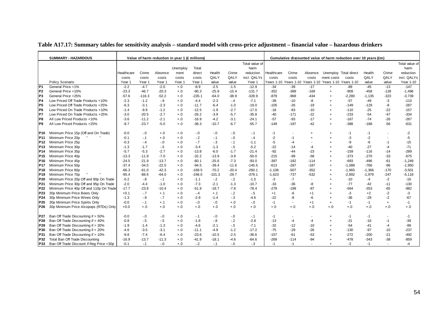|                                    | <b>SUMMARY - HAZARDOUS</b>                                              |                   |              |                 | Value of harm reduction in year 1 (£ millions) |                  |                  |                 |                |                |                 |            |                                             | Cumulative discounted value of harm reduction over 10 years (£m) |                |                |                |
|------------------------------------|-------------------------------------------------------------------------|-------------------|--------------|-----------------|------------------------------------------------|------------------|------------------|-----------------|----------------|----------------|-----------------|------------|---------------------------------------------|------------------------------------------------------------------|----------------|----------------|----------------|
|                                    |                                                                         |                   |              |                 |                                                |                  |                  |                 | Total value of |                |                 |            |                                             |                                                                  |                |                | Total value of |
|                                    |                                                                         |                   |              |                 | Unemploy                                       | Total            |                  |                 | harm           |                |                 |            |                                             |                                                                  |                |                | harm           |
|                                    |                                                                         | Healthcare        | Crime        | Absence         | ment                                           | direct           | Health           | Crime           | reduction      | Healthcare     | Crime           | Absence    | Unemploy Total direct                       |                                                                  | Health         | Crime          | reduction      |
|                                    |                                                                         | costs             | costs        | costs           | costs                                          | costs            | QALY             | QALY            | incl. QALYs    | costs          | costs           | costs      | ment costs                                  | costs                                                            | QALY           | QALY           | incl. QALYs    |
|                                    | Policy Scenario                                                         | Year 1            | Year 1       | Year 1          | Year 1                                         | Year 1           | value            | value           | Year 1         | Years 1-10     |                 |            | Years 1-10 Years 1-10 Years 1-10 Years 1-10 |                                                                  | value          | value          | Year 1-10      |
| IP <sub>1</sub>                    | General Price +1%                                                       | $-2.2$            | $-4.7$       | $-2.0$          | $+.0$                                          | $-8.9$           | $-2.5$           | $-1.5$          | $-12.9$        | $-34$          | $-39$           | $-17$      | $\ddot{}$                                   | $-89$                                                            | $-45$          | $-13$          | $-147$         |
| P <sub>2</sub>                     | General Price +10%                                                      | $-23.3$           | $-46.7$      | $-20.3$         | $+.0$                                          | $-90.3$          | $-25.9$          | $-15.4$         | $-131.7$       | $-352$         | $-389$          | $-169$     | $\ddot{}$                                   | -909                                                             | $-458$         | $-128$         | $-1,496$       |
| P <sub>3</sub>                     | General Price +25%                                                      | $-57.6$           | $-116.3$     | $-52.2$         | $+.0$                                          | -226.1           | $-64.0$          | $-38.9$         | $-328.9$       | $-879$         | $-968$          | $-434$     |                                             | $-2,280$                                                         | $-1,135$       | $-323$         | $-3,739$       |
| P <sub>4</sub>                     | Low Priced Off Trade Products +10%                                      | $-2.3$            | $-1.2$       | $-9$            | $+0.0$                                         | $-4.4$           | $-2.3$           | $-.4$           | $-7.1$         | $-39$          | $-10$           | -8         |                                             | $-57$                                                            | -49            | $-3$           | $-110$         |
| P <sub>5</sub>                     | Low Priced Off Trade Products +25%                                      | $-6.3$            | $-3.1$       | $-2.3$          | $+.0$                                          | $-11.7$          | $-6.4$           | $-1.0$          | $-19.0$        | $-105$         | $-26$           | $-19$      |                                             | $-149$                                                           | $-129$         | -8             | $-287$         |
| P6                                 | Low Priced On Trade Products +10%                                       | $-1.4$            | $-9.9$       | $-1.2$          | $+.0$                                          | $-12.5$          | $-1.9$           | $-2.7$          | $-17.0$        | $-18$          | $-83$           | $-10$      |                                             | $-110$                                                           | $-25$          | $-22$          | $-157$         |
| P7                                 | Low Priced On Trade Products +25%                                       | $-3.0$            | $-20.5$      | $-2.7$          | $+.0$                                          | $-26.2$          | $-3.9$           | $-5.7$          | $-35.8$        | -40            | $-171$          | $-22$      |                                             | $-233$                                                           | $-54$          | $-47$          | $-334$         |
| P8                                 | All Low Priced Products +10%                                            | $-3.6$            | $-11.2$      | $-2.1$          | $+.0$                                          | $-16.9$          | $-4.2$           | $-3.1$          | $-24.1$        | $-57$          | $-93$           | $-17$      | $\ddot{}$                                   | $-167$                                                           | $-74$          | $-26$          | $-267$         |
| P <sub>9</sub>                     | All Low Priced Products +25%                                            | $-9.7$            | $-23.7$      | $-5.0$          | $+.0$                                          | $-38.3$          | $-10.7$          | $-6.7$          | $-55.7$        | $-149$         | $-197$          | $-42$      |                                             | $-388$                                                           | $-188$         | $-56$          | $-631$         |
|                                    |                                                                         |                   |              |                 |                                                |                  |                  |                 |                |                |                 |            |                                             |                                                                  |                |                |                |
| P <sub>10</sub>                    | Minimum Price 15p (Off and On Trade)                                    | $-0.0$            | $-0$         | $+.0$           | $+.0$                                          | $-0.0$           | $-0.0$           | $-0.0$          | $-.1$          | -1             |                 | $\ddot{}$  |                                             | $-1$                                                             | $-1$           | $\blacksquare$ | $-2$           |
| P <sub>11</sub>                    | Minimum Price 20p                                                       | $-0.1$            | $-1$         | $+.0$           | $+.0$                                          | $-2$             | $-.1$            | $-0.0$          | - 4            | $-2$           | -1              |            |                                             | -3                                                               | $-2$           |                | $-5$           |
| P <sub>12</sub>                    | Minimum Price 25p                                                       | $-0.3$            | $-.4$        | $-.0$           | $+.0$                                          | $-7$             | $-3$             | $-1$            | $-1.1$         | $-5$           | -4              |            |                                             | -9                                                               | -6             | $-1$           | $-15$          |
| P <sub>13</sub>                    | Minimum Price 30p                                                       | $-1.3$            | $-1.7$       | $-.5$<br>$-2.7$ | $+.0$                                          | $-3.4$           | $-1.3$           | $-.5$<br>$-1.7$ | $-5.2$         | $-22$          | $-14$           | -4         |                                             | -40                                                              | -27            | $-4$           | $-71$          |
| P <sub>14</sub>                    | Minimum Price 35p                                                       | $-5.7$            | $-5.3$       |                 | $+.0$                                          | $-13.8$          | $-6.0$           |                 | $-21.4$        | $-92$          | $-44$           | $-23$      |                                             | $-159$                                                           | $-116$         | $-14$          | $-289$         |
| P <sub>15</sub>                    | Minimum Price 40p                                                       | $-13.3$           | $-11.9$      | $-7.0$          | $+.0$                                          | $-32.2$          | $-13.9$          | $-3.9$          | $-50.0$        | $-215$         | -99             | $-58$      |                                             | $-373$                                                           | $-270$         | $-33$          | $-675$         |
| P <sub>16</sub>                    | Minimum Price 45p                                                       | $-24.5$           | $-21.9$      | $-13.7$         | $+.0$                                          | $-60.1$          | $-25.6$          | $-7.3$          | $-93.0$        | $-397$         | $-182$          | $-114$     |                                             | $-693$                                                           | $-496$         | $-61$          | $-1,249$       |
| P <sub>17</sub>                    | Minimum Price 50p                                                       | $-37.4$           | $-34.5$      | $-22.5$         | $+.0$                                          | $-94.5$          | $-39.4$          | $-11.6$         | $-145.5$       | $-613$         | $-287$          | $-187$     |                                             | $-1,088$                                                         | $-766$         | -96            | $-1,950$       |
| P <sub>18</sub>                    | Minimum Price 60p                                                       | $-66.3$           | $-61.0$      | $-42.3$         | $+.0$                                          | $-169.5$         | $-70.2$          | $-20.4$         | $-260.1$       | $-1,106$       | $-507$          | $-352$     | $\ddot{}$                                   | $-1,965$                                                         | $-1,366$       | $-170$         | $-3,501$       |
| P <sub>19</sub>                    | Minimum Price 70p                                                       | $-95.4$           | $-88.6$      | $-64.0$         | $+.0$                                          | $-248.0$         | $-101.3$         | $-29.7$         | $-379.1$       | $-1,623$       | $-737$          | $-532$     |                                             | $-2,892$                                                         | $-1,979$       | $-247$         | $-5,118$       |
| P20                                | Minimum Price 20p Off and 80p On Trade                                  | $-0.2$            | $-8$         | $-.1$           | $+.0$                                          | $-1.1$           | $-2$             | $-2$            | $-1.5$         | -3             | $-7$            |            |                                             | $-10$                                                            | $-4$           | $-2$           | $-16$          |
| P21                                | Minimum Price 30p Off and 95p On Trade                                  | $-2.0$            | $-4.4$       | $-1.0$          | $+.0$                                          | $-7.3$           | $-2.1$           | $-1.3$          | $-10.7$        | $-33$          | $-36$           | -8         |                                             | $-77$                                                            | $-42$          | $-11$          | $-130$         |
| P <sub>22</sub><br>P <sub>23</sub> | Minimum Price 40p Off and 110p On Trade<br>30p Minimum Price Beers Only | $-17.7$<br>$+0.1$ | $-23.8$      | $-10.4$         | $+.0$                                          | $-51.9$          | $-18.7$          | $-7.8$<br>$-2$  | $-78.4$        | $-279$<br>$+1$ | $-198$          | $-87$      |                                             | $-564$<br>-3                                                     | $-353$<br>$+2$ | $-65$          | $-982$         |
|                                    |                                                                         |                   | $-7$         | $+.1$           | $+.0$                                          | $-4$             | $+.1$            |                 | $-5$           |                | -6              | $+1$       |                                             |                                                                  |                | $-2$           | $-3$           |
| P24<br>P <sub>25</sub>             | 30p Minimum Price Wines Only<br>30p Minimum Price Spirits Only          | $-1.3$<br>$-0.0$  | $-9$<br>$-1$ | $-.7$<br>$+.1$  | $+.0$<br>$+.0$                                 | $-2.9$<br>$-0.0$ | $-1.4$<br>$-0.0$ | $-.3$<br>$+.0$  | $-4.6$         | $-22$<br>$-1$  | -8              | -6<br>$+1$ |                                             | $-36$<br>-1                                                      | $-29$<br>$-1$  | $-2$           | $-67$<br>$-1$  |
|                                    | 30p Minimum Price Alcopops (RTDs) Only                                  | $+0.0$            | $+.0$        | $+.0$           | $+.0$                                          | $+.0$            | $+.0$            | $+.0$           | $-0$<br>$+.0$  | $+.0$          | $\sim$<br>$+.0$ | $+.0$      | $+$<br>$^{+.0}$                             | $+.0$                                                            | $+.0$          | $+$<br>$+.0$   | $+.0$          |
| P <sub>26</sub>                    |                                                                         |                   |              |                 |                                                |                  |                  |                 |                |                |                 |            |                                             |                                                                  |                |                |                |
| P27                                | Ban Off Trade Discounting if > 50%                                      | $-0.0$            | $-0$         | $-.0$           | $+.0$                                          | -.1              | $-0.0$           | $-.0$           | $-.1$          | -1             |                 |            |                                             | $-1$                                                             | $-1$           |                | $-1$           |
| <b>P28</b>                         | Ban Off Trade Discounting if > 40%                                      | $-0.8$            | $-5$         | $-.5$           | $+.0$                                          | $-1.8$           | $-8$             | $-2$            | $-2.8$         | $-13$          | -4              | -4         |                                             | $-21$                                                            | $-16$          | $-1$           | $-39$          |
| P29                                | Ban Off Trade Discounting if > 30%                                      | $-1.9$            | $-1.4$       | $-1.3$          | $+.0$                                          | $-4.6$           | $-2.1$           | $-.5$           | $-7.1$         | $-32$          | $-12$           | $-10$      |                                             | $-54$                                                            | -41            | $-4$           | $-99$          |
| P30                                | Ban Off Trade Discounting if > 20%                                      | $-4.6$            | $-3.5$       | $-3.1$          | $+.0$                                          | $-11.1$          | $-4.9$           | $-1.2$          | $-17.2$        | $-75$          | $-29$           | $-26$      |                                             | $-130$                                                           | -97            | $-10$          | $-237$         |
| P31                                | Ban Off Trade Discounting if > 10%                                      | $-9.8$            | $-7.4$       | $-6.4$          | $+.0$                                          | $-23.6$          | $-10.5$          | $-2.5$          | $-36.6$        | $-157$         | $-61$           | $-53$      |                                             | $-272$                                                           | $-200$         | $-21$          | $-492$         |
| <b>P32</b>                         | Total Ban Off Trade Discounting                                         | $-16.9$           | $-13.7$      | $-11.3$         | $+.0$                                          | $-41.9$          | $-18.1$          | $-4.6$          | $-64.6$        | $-269$         | $-114$          | $-94$      |                                             | $-478$                                                           | $-343$         | $-38$          | $-859$         |
| P33                                | Ban Off Trade Discount if Reg Price <30p                                | $-0.1$            | $-1$         | $-0$            | $+0.0$                                         | $-2$             | $-.1$            | $-0.1$          | $-3$           | $-1$           | $-1$            |            | $\ddot{}$                                   | $-2$                                                             | $-1$           |                | -4             |

### **Table A17.17: Summary tables for sensitivity analysis – standard model with cross-price adjustment – financial value – hazardous drinkers**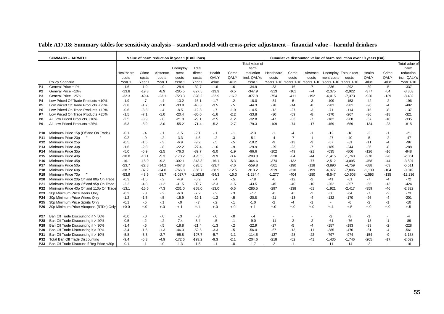|                   | <b>SUMMARY - HARMFUL</b>                                                                                          |                            |                          | Value of harm reduction in year 1 (£ millions) |                               |                                |                           |                            |                                |                                   |                        |                          |                                             | Cumulative discounted value of harm reduction over 10 years (£m) |                          |                |                               |
|-------------------|-------------------------------------------------------------------------------------------------------------------|----------------------------|--------------------------|------------------------------------------------|-------------------------------|--------------------------------|---------------------------|----------------------------|--------------------------------|-----------------------------------|------------------------|--------------------------|---------------------------------------------|------------------------------------------------------------------|--------------------------|----------------|-------------------------------|
|                   |                                                                                                                   |                            |                          |                                                |                               |                                |                           |                            | Total value of                 |                                   |                        |                          |                                             |                                                                  |                          |                | Total value of                |
|                   |                                                                                                                   |                            |                          |                                                | Unemploy                      | Total                          |                           |                            | harm                           |                                   |                        |                          |                                             |                                                                  |                          |                | harm                          |
|                   |                                                                                                                   | Healthcare                 | Crime                    | Absence                                        | ment                          | direct                         | Health                    | Crime                      | reduction                      | Healthcare                        | Crime                  | Absence                  |                                             | Unemploy Total direct                                            | Health                   | Crime          | reduction                     |
|                   |                                                                                                                   | costs                      | costs                    | costs                                          | costs                         | costs                          | QALY                      | QALY                       | incl. QALYs                    | costs                             | costs                  | costs                    | ment costs                                  | costs                                                            | QALY                     | QALY           | incl. QALYs                   |
|                   | Policy Scenario                                                                                                   | Year 1                     | Year 1                   | Year 1                                         | Year 1                        | Year 1                         | value                     | value                      | Year 1                         | Years 1-10                        |                        |                          | Years 1-10 Years 1-10 Years 1-10 Years 1-10 |                                                                  | value                    | value          | Year 1-10                     |
| P <sub>1</sub>    | General Price +1%                                                                                                 | $-1.6$                     | $-1.9$                   | $-9$                                           | $-28.4$                       | $-32.7$                        | $-1.6$                    | $-6$                       | $-34.9$                        | $-33$                             | $-16$                  | $-7$                     | $-236$                                      | $-292$                                                           | $-39$                    | $-5$           | $-337$                        |
| P <sub>2</sub>    | General Price +10%                                                                                                | $-13.8$                    | $-19.3$                  | $-8.9$                                         | $-285.5$                      | $-327.5$                       | $-13.9$                   | $-6.5$                     | $-347.9$                       | $-313$                            | $-161$                 | $-74$                    | $-2,375$                                    | $-2,922$                                                         | $-377$                   | -54            | $-3,353$                      |
| P <sub>3</sub>    | General Price +25%                                                                                                | $-32.3$                    | $-49.4$                  | $-23.1$                                        | $-723.3$                      | $-828.2$                       | $-32.9$                   | $-16.7$                    | $-877.8$                       | $-754$                            | $-411$                 | $-192$                   | $-6,015$                                    | $-7,373$                                                         | $-920$                   | $-139$         | $-8,432$                      |
| P <sub>4</sub>    | Low Priced Off Trade Products +10%                                                                                | $-1.9$                     | $-.7$                    | $-.4$                                          | $-13.2$                       | $-16.1$                        | $-1.7$                    | $-2$                       | $-18.0$                        | $-34$                             | $-5$                   | $-3$                     | $-109$                                      | $-153$                                                           | $-42$                    | $-2$           | $-196$                        |
| P <sub>5</sub>    | Low Priced Off Trade Products +25%                                                                                | $-3.8$                     | $-1.7$                   | $-1.0$                                         | $-33.8$                       | $-40.3$                        | $-3.5$                    | $-.5$                      | $-44.3$                        | $-78$                             | $-14$                  | -8                       | $-281$                                      | $-381$                                                           | -96                      | -4             | $-482$                        |
| P <sub>6</sub>    | Low Priced On Trade Products +10%                                                                                 | $-0.6$                     | $-3.3$                   | $-4$                                           | $-8.5$                        | $-12.8$                        | $-.7$                     | $-1.0$                     | $-14.5$                        | $-12$                             | $-27$                  | -3                       | $-71$                                       | $-114$                                                           | $-15$                    | -8             | $-137$                        |
| P7                | Low Priced On Trade Products +25%                                                                                 | $-1.5$                     | $-7.1$                   | $-1.0$                                         | $-20.4$                       | $-30.0$                        | $-1.6$                    | $-2.2$                     | $-33.8$                        | $-30$                             | $-59$                  | -8                       | $-170$                                      | $-267$                                                           | $-36$                    | $-18$          | $-321$                        |
| P8                | All Low Priced Products +10%                                                                                      | $-2.5$                     | $-3.9$                   | $-8$                                           | $-21.9$                       | $-29.1$                        | $-2.5$                    | $-1.2$                     | $-32.8$                        | $-47$                             | $-33$                  | $-7$                     | $-182$                                      | $-268$                                                           | $-57$                    | $-10$          | $-335$                        |
| P <sub>9</sub>    | All Low Priced Products +25%                                                                                      | $-5.3$                     | $-8.9$                   | $-2.0$                                         | $-55.2$                       | $-71.4$                        | $-5.2$                    | $-2.7$                     | $-79.3$                        | $-109$                            | $-74$                  | $-17$                    | $-459$                                      | $-659$                                                           | $-134$                   | $-23$          | $-815$                        |
|                   |                                                                                                                   |                            |                          |                                                |                               |                                |                           |                            |                                |                                   |                        |                          |                                             |                                                                  |                          |                |                               |
| P <sub>10</sub>   | Minimum Price 15p (Off and On Trade)                                                                              | $-0.1$                     | $-.4$                    | $-.1$                                          | $-1.5$                        | $-2.1$                         | $-.1$                     | $-.1$                      | $-2.3$                         | $-1$                              | -4                     | -1                       | $-12$                                       | -18                                                              | $-2$                     | $-1$           | $-21$                         |
| P <sub>11</sub>   | Minimum Price 20p                                                                                                 | $-0.2$                     | $-9$                     | $-2$                                           | $-3.3$                        | $-4.6$                         | $-2$                      | $-3$                       | $-5.1$                         | $-4$                              | $-7$                   | $-1$                     | $-27$                                       | $-40$                                                            | $-5$                     | $-2$           | $-47$                         |
| P12               | Minimum Price 25p                                                                                                 | $-0.5$                     | $-1.5$                   | $-3$                                           | $-6.9$                        | $-9.2$                         | $-5$                      | $-.5$                      | $-10.2$                        | -9                                | $-13$                  | -3                       | $-57$                                       | -81                                                              | $-11$                    | $-4$           | $-96$                         |
| P13               | Minimum Price 30p                                                                                                 | $-1.6$                     | $-2.8$                   | $-8$                                           | $-22.2$                       | $-27.4$                        | $-1.6$                    | $-9$                       | $-29.9$                        | $-29$                             | $-23$                  | $-7$                     | $-185$                                      | $-244$                                                           | $-36$                    | -8             | $-288$                        |
| P <sub>14</sub>   | Minimum Price 35p                                                                                                 | $-5.0$                     | $-5.9$                   | $-2.5$                                         | $-76.3$                       | $-89.7$                        | $-5.0$                    | $-1.9$                     | $-96.6$                        | $-102$                            | $-49$                  | $-21$                    | $-635$                                      | $-806$                                                           | $-126$                   | $-16$          | $-948$                        |
| P <sub>15</sub>   | Minimum Price 40p                                                                                                 | $-10.0$                    | $-10.1$                  | $-5.3$                                         | $-170.2$                      | $-195.5$                       | $-9.9$                    | $-3.4$                     | $-208.8$                       | $-220$                            | $-84$                  | $-44$                    | $-1,415$                                    | $-1,763$                                                         | $-270$                   | $-28$          | $-2,061$                      |
| P <sub>16</sub>   | Minimum Price 45p                                                                                                 | $-16.1$                    | $-15.9$                  | $-9.2$                                         | $-302.1$                      | $-343.3$                       | $-16.1$                   | $-5.3$                     | $-364.6$                       | $-374$                            | $-132$                 | $-77$                    | $-2,512$                                    | $-3,095$                                                         | $-458$                   | $-44$          | $-3,597$                      |
| P <sub>17</sub>   | Minimum Price 50p                                                                                                 | $-23.7$                    | $-22.8$                  | $-14.2$                                        | $-467.8$                      | $-528.5$                       | $-23.7$                   | $-7.6$                     | $-559.8$                       | $-561$                            | $-190$                 | $-118$                   | $-3,890$                                    | $-4,759$                                                         | $-688$                   | -63            | $-5,511$                      |
| P18               | Minimum Price 60p                                                                                                 | $-38.7$                    | $-37.2$                  | $-24.0$                                        | $-766.8$                      | $-866.7$                       | $-38.9$                   | $-12.5$                    | $-918.2$                       | $-919$                            | $-310$                 | $-199$                   | $-6,377$                                    | $-7,806$                                                         | $-1,139$                 | $-104$         | $-9,049$                      |
| P <sub>19</sub>   | Minimum Price 70p                                                                                                 | $-53.9$                    | $-48.5$                  | $-33.7$                                        | $-1,027.7$                    | $-1,163.8$                     | $-54.3$                   | $-16.3$                    | $-1,234.4$                     | $-1,277$                          | $-404$                 | $-280$                   | $-8,547$                                    | $-10,508$                                                        | $-1,593$                 | $-135$         | $-12,236$                     |
| P <sub>20</sub>   | Minimum Price 20p Off and 80p On Trade                                                                            | $-0.3$                     | $-1.5$                   | $-2$                                           | $-4.9$                        | $-6.9$                         | $-4$                      | $-5$                       | $-7.8$                         | -6                                | $-12$                  | $-2$                     | $-41$                                       | -61                                                              | $-7$                     | $-4$           | $-72$                         |
| P21               | Minimum Price 30p Off and 95p On Trade                                                                            | $-2.2$                     | $-4.8$                   | $-1.2$                                         | $-31.5$                       | $-39.7$                        | $-2.3$                    | $-1.5$                     | $-43.5$                        | $-45$                             | $-40$                  | $-10$                    | $-262$                                      | $-357$                                                           | $-55$                    | $-13$          | $-424$                        |
| P22               | Minimum Price 40p Off and 110p On Trade                                                                           | $-13.1$                    | $-16.6$                  | $-7.3$                                         | $-231.0$                      | $-268.0$                       | $-13.0$                   | $-5.5$                     | $-286.5$                       | $-297$                            | $-138$                 | $-61$                    | $-1,921$                                    | $-2,417$                                                         | $-359$                   | $-46$          | $-2,822$                      |
| P <sub>23</sub>   | 30p Minimum Price Beers Only                                                                                      | $-0.2$                     | $-8$                     | $-2$                                           | $-6.0$                        | $-7.2$                         | $-2$                      | $-3$                       | $-7.7$                         | -6                                | -6                     | -2                       | $-50$                                       | $-64$                                                            | $-7$                     | $-2$           | $-73$                         |
| P <sub>24</sub>   | 30p Minimum Price Wines Only                                                                                      | $-1.2$                     | $-1.5$                   | $-5$                                           | $-15.9$                       | $-19.1$                        | $-1.2$                    | $-5$                       | $-20.8$                        | $-21$                             | $-13$                  | $-4$                     | $-132$                                      | $-170$                                                           | $-26$                    | -4             | $-201$                        |
| P <sub>25</sub>   | 30p Minimum Price Spirits Only                                                                                    | $-0.1$                     | $-5$                     | $-.1$                                          | $-0.0$                        | $-.7$                          | $-2$                      | $-1$                       | $-1.0$                         | $-2$                              | -4                     | $-1$                     | $\sim$                                      | -6                                                               | $-2$                     | $-1$           | $-10$                         |
| P <sub>26</sub>   | 30p Minimum Price Alcopops (RTDs) Only                                                                            | $+0.0$                     | $+.0$                    | $+.0$                                          | $+.1$                         | $+.1$                          | $+.0$                     | $+.0$                      | $+.1$                          | $+.0$                             | $+.0$                  | $+.0$                    | $+.4$                                       | $+.5$                                                            | $+.0$                    | $+.0$          | $+.5$                         |
| P27               | Ban Off Trade Discounting if > 50%                                                                                | $-0.0$                     |                          |                                                |                               |                                |                           |                            |                                |                                   |                        |                          | $-2$                                        | -3                                                               |                          |                | -4                            |
| P28               | Ban Off Trade Discounting if > 40%                                                                                | $-0.5$                     | $-0$<br>$-2$             | $-0$<br>$-2$                                   | $-3$<br>$-7.4$                | $-3$<br>$-8.4$                 | $-0.0$<br>$-5$            | $-0.0$<br>$-1$             | - 4<br>$-9.0$                  | $\overline{\phantom{a}}$<br>$-11$ | $-2$                   | $-2$                     | $-61$                                       | $-76$                                                            | $-1$<br>$-13$            | $-1$           | $-89$                         |
| P <sub>29</sub>   | Ban Off Trade Discounting if > 30%                                                                                | $-1.4$                     | $-6$                     | $-5$                                           | $-18.8$                       | $-21.4$                        | $-1.3$                    | $-2$                       | $-22.9$                        | $-27$                             | $-5$                   | $-4$                     | $-157$                                      | $-193$                                                           | $-33$                    | $-2$           | $-228$                        |
| P30               | Ban Off Trade Discounting if > 20%                                                                                | $-3.4$                     | $-1.6$                   | $-1.3$                                         | $-46.3$                       | $-52.5$                        | $-3.3$                    | $-.5$                      | $-56.4$                        | $-67$                             | $-13$                  | $-11$                    | $-385$                                      | $-476$                                                           | -81                      | -4             | $-561$                        |
|                   |                                                                                                                   |                            |                          |                                                |                               |                                |                           |                            |                                |                                   |                        |                          |                                             |                                                                  |                          |                |                               |
|                   |                                                                                                                   |                            |                          |                                                |                               |                                |                           |                            |                                |                                   |                        |                          |                                             |                                                                  |                          |                |                               |
|                   |                                                                                                                   |                            |                          |                                                |                               |                                |                           |                            |                                |                                   |                        | $\overline{\phantom{a}}$ |                                             |                                                                  |                          | $\blacksquare$ |                               |
| P31<br>P32<br>P33 | Ban Off Trade Discounting if > 10%<br>Total Ban Off Trade Discounting<br>Ban Off Trade Discount if Reg Price <30p | $-5.8$<br>$-9.4$<br>$-0.1$ | $-3.3$<br>$-6.3$<br>$-1$ | $-2.7$<br>$-4.9$<br>$-.0$                      | $-95.8$<br>$-172.6$<br>$-1.3$ | $-107.7$<br>$-193.2$<br>$-1.5$ | $-5.7$<br>$-9.3$<br>$-.1$ | $-1.1$<br>$-2.1$<br>$-0.1$ | $-114.5$<br>$-204.6$<br>$-1.7$ | $-127$<br>$-218$<br>$-2$          | $-28$<br>$-52$<br>$-1$ | $-22$<br>$-41$           | $-797$<br>$-1,435$<br>$-11$                 | $-974$<br>$-1,746$<br>$-14$                                      | $-154$<br>$-265$<br>$-2$ | -9<br>$-17$    | $-1,138$<br>$-2,029$<br>$-16$ |

### **Table A17.18: Summary tables for sensitivity analysis – standard model with cross-price adjustment – financial value – harmful drinkers**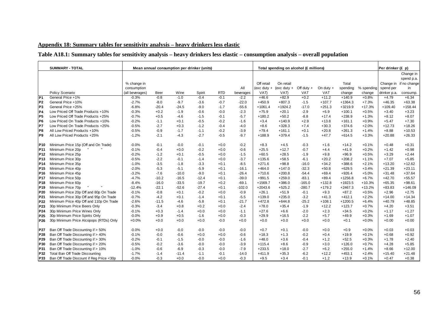# **Appendix 18: Summary tables for sensitivity analysis – heavy drinkers less elastic**

# **Table A18.1: Summary tables for sensitivity analysis – heavy drinkers less elastic – consumption analysis – overall population**

|                 | <b>SUMMARY - TOTAL</b>                   |                 |         |         | Mean annual consumption per drinker (units) |            |           |               | Total spending on alcohol (£ millions) |              |             |           |            | Per drinker (£ p) |              |
|-----------------|------------------------------------------|-----------------|---------|---------|---------------------------------------------|------------|-----------|---------------|----------------------------------------|--------------|-------------|-----------|------------|-------------------|--------------|
|                 |                                          |                 |         |         |                                             |            |           |               |                                        |              |             |           |            |                   | Change in    |
|                 |                                          |                 |         |         |                                             |            |           |               |                                        |              |             |           |            |                   | spend p.a.   |
|                 |                                          | % change in     |         |         |                                             |            |           | Off retail    | On retail                              |              |             | Total     |            | Change in         | if no change |
|                 |                                          | consumption     |         |         |                                             |            | All       | $(exc duty +$ | (exc duty $+$                          | Off duty $+$ | On duty $+$ | spending  | % spending | spend per         | in           |
|                 | Policy Scenario                          | (all beverages) | Beer    | Wine    | Spirit                                      | <b>RTD</b> | beverages | VAT)          | VAT)                                   | VAT          | VAT         | change    | change     | drinker p.a.      | consump.     |
| P <sub>1</sub>  | General Price +1%                        | $-0.3%$         | $-0.8$  | $-1.0$  | $-0.4$                                      | $-0.1$     | $-2.2$    | $+46.6$       | $+82.9$                                | $+0.2$       | $+11.2$     | $+140.9$  | $+0.8%$    | $+4.79$           | $+6.34$      |
| P <sub>2</sub>  | General Price +10%                       | $-2.7%$         | $-8.0$  | $-9.7$  | $-3.6$                                      | $-0.7$     | $-22.0$   | $+450.9$      | $+807.3$                               | $-1.5$       | $+107.7$    | $+1364.3$ | $+7.3%$    | $+46.35$          | $+63.38$     |
| P <sub>3</sub>  | General Price +25%                       | $-6.8%$         | $-20.4$ | $-24.5$ | $-9.0$                                      | $-1.7$     | $-55.6$   | $+1061.4$     | $+1924.2$                              | $-17.0$      | $+251.3$    | $+3219.9$ | $+17.3%$   | $+109.40$         | $+158.44$    |
| P <sub>4</sub>  | Low Priced Off Trade Products +10%       | $-0.3%$         | $+0.2$  | $-1.9$  | $-0.6$                                      | $-0.0$     | $-2.3$    | $+75.9$       | $+20.1$                                | $-2.9$       | $+6.9$      | $+100.1$  | $+0.5%$    | $+3.40$           | $+3.23$      |
| P5              | Low Priced Off Trade Products +25%       | $-0.7%$         | $+0.5$  | $-4.6$  | $-1.5$                                      | $-0.1$     | $-5.7$    | $+180.2$      | $+50.2$                                | $-8.8$       | $+17.4$     | $+238.9$  | $+1.3%$    | $+8.12$           | $+8.07$      |
| P <sub>6</sub>  | Low Priced On Trade Products +10%        | $-0.2%$         | $-1.1$  | $+0.1$  | $-0.5$                                      | $-0.2$     | $-1.6$    | $+3.4$        | $+140.9$                               | $+2.9$       | $+13.8$     | $+161.1$  | $+0.9%$    | $+5.47$           | $+7.30$      |
| P7              | Low Priced On Trade Products +25%        | $-0.5%$         | $-2.7$  | $+0.3$  | $-1.2$                                      | $-0.4$     | $-4.0$    | $+8.6$        | $+328.3$                               | $+7.4$       | $+30.3$     | $+374.6$  | $+2.0%$    | $+12.73$          | $+18.26$     |
| P8              | All Low Priced Products +10%             | $-0.5%$         | $-0.9$  | $-1.7$  | $-1.1$                                      | $-0.2$     | $-3.9$    | $+79.4$       | $+161.1$                               | $+0.1$       | $+20.8$     | $+261.3$  | $+1.4%$    | $+8.88$           | $+10.53$     |
| P <sub>9</sub>  | All Low Priced Products +25%             | $-1.2%$         | $-2.1$  | $-4.3$  | $-2.7$                                      | $-0.5$     | $-9.7$    | $+188.9$      | $+379.4$                               | $-1.5$       | $+47.7$     | $+614.5$  | $+3.3%$    | $+20.88$          | $+26.33$     |
|                 |                                          |                 |         |         |                                             |            |           |               |                                        |              |             |           |            |                   |              |
| P10             | Minimum Price 15p (Off and On Trade)     | $-0.0%$         | $-0.1$  | $-0.0$  | $-0.1$                                      | $+0.0$     | $-0.2$    | $+8.3$        | $+4.5$                                 | $-0.3$       | $+1.6$      | $+14.2$   | $+0.1%$    | $+0.48$           | $+0.31$      |
| <b>P11</b>      | Minimum Price 20p                        | $-0.1%$         | $-0.4$  | $+0.0$  | $-0.2$                                      | $+0.0$     | $-0.6$    | $+25.5$       | $+12.7$                                | $-0.7$       | $+4.4$      | $+41.9$   | $+0.2%$    | $+1.42$           | $+0.98$      |
| P <sub>12</sub> | Minimum Price 25p                        | $-0.2%$         | $-1.2$  | $+0.1$  | $-0.5$                                      | $+0.0$     | $-1.5$    | $+60.5$       | $+28.5$                                | $-1.9$       | $+9.8$      | $+96.9$   | $+0.5%$    | $+3.29$           | $+2.44$      |
| P <sub>13</sub> | Minimum Price 30p                        | $-0.5%$         | $-2.2$  | $-0.1$  | $-1.4$                                      | $+0.0$     | $-3.7$    | $+135.6$      | $+58.5$                                | $-6.1$       | $+20.2$     | $+208.2$  | $+1.1%$    | $+7.07$           | $+5.85$      |
| P <sub>14</sub> | Minimum Price 35p                        | $-1.0%$         | $-3.5$  | $-1.8$  | $-3.3$                                      | $+0.1$     | $-8.5$    | $+271.6$      | $+98.8$                                | $-16.0$      | $+34.2$     | $+388.6$  | $+2.1%$    | $+13.20$          | $+12.62$     |
| P <sub>15</sub> | Minimum Price 40p                        | $-2.0%$         | $-5.3$  | $-5.1$  | $-5.9$                                      | $+0.1$     | $-16.1$   | $+464.0$      | $+147.0$                               | $-32.3$      | $+50.8$     | $+629.5$  | $+3.4%$    | $+21.39$          | $+23.11$     |
| P <sub>16</sub> | Minimum Price 45p                        | $-3.2%$         | $-7.6$  | $-10.0$ | $-9.0$                                      | $+0.1$     | $-26.4$   | $+710.6$      | $+200.8$                               | $-54.4$      | $+69.4$     | $+926.4$  | $+5.0%$    | $+31.48$          | $+37.64$     |
| P <sub>17</sub> | Minimum Price 50p                        | $-4.7%$         | $-10.2$ | $-16.5$ | $-12.4$                                     | $+0.1$     | $-39.0$   | $+991.5$      | $+259.0$                               | $-83.1$      | $+89.4$     | $+1256.8$ | $+6.7%$    | $+42.70$          | $+55.57$     |
| P <sub>18</sub> | Minimum Price 60p                        | $-8.4%$         | $-16.0$ | $-33.5$ | $-19.7$                                     | $+0.2$     | $-69.1$   | $+1569.7$     | $+386.0$                               | $-165.0$     | $+132.8$    | $+1923.5$ | $+10.3%$   | $+65.35$          | $+98.61$     |
| P <sub>19</sub> | Minimum Price 70p                        | $-12.4%$        | $-22.1$ | $-52.6$ | $-27.4$                                     | $+0.1$     | $-102.0$  | $+2043.6$     | $+525.2$                               | $-280.7$     | $+179.2$    | $+2467.3$ | $+13.2%$   | $+83.83$          | $+146.09$    |
| P <sub>20</sub> | Minimum Price 20p Off and 80p On Trade   | $-0.1%$         | $-0.8$  | $+0.1$  | $-0.2$                                      | $+0.0$     | $-0.9$    | $+26.1$       | $+51.9$                                | $-0.1$       | $+9.3$      | $+87.2$   | $+0.5%$    | $+2.96$           | $+2.75$      |
| P21             | Minimum Price 30p Off and 95p On Trade   | $-0.7%$         | $-4.2$  | $+0.1$  | $-1.4$                                      | $+0.1$     | $-5.5$    | $+139.0$      | $+235.0$                               | $-3.2$       | $+41.3$     | $+412.1$  | $+2.2%$    | $+14.00$          | $+14.34$     |
| P22             | Minimum Price 40p Off and 110p On Trade  | $-2.6%$         | $-11.5$ | $-4.6$  | $-5.8$                                      | $+0.1$     | $-21.7$   | $+472.8$      | $+644.8$                               | $-25.2$      | $+108.1$    | $+1200.5$ | $+6.4%$    | $+40.79$          | $+48.85$     |
| P <sub>23</sub> | 30p Minimum Price Beers Only             | $-0.3%$         | $-3.4$  | $+0.8$  | $+0.2$                                      | $+0.0$     | $-2.4$    | $+78.0$       | $+35.4$                                | $-1.9$       | $+12.2$     | $+123.7$  | $+0.7%$    | $+4.20$           | $+3.51$      |
| P <sub>24</sub> | 30p Minimum Price Wines Only             | $-0.1%$         | $+0.3$  | $-1.4$  | $+0.0$                                      | $+0.0$     | $-1.1$    | $+27.6$       | $+6.6$                                 | $-2.0$       | $+2.3$      | $+34.5$   | $+0.2%$    | $+1.17$           | $+1.27$      |
| P <sub>25</sub> | 30p Minimum Price Spirits Only           | $-0.0%$         | $+0.9$  | $+0.5$  | $-1.6$                                      | $+0.0$     | $-0.3$    | $+29.9$       | $+16.5$                                | $-2.2$       | $+5.7$      | $+49.9$   | $+0.3%$    | $+1.69$           | $+1.07$      |
| P <sub>26</sub> | 30p Minimum Price Alcopops (RTDs) Only   | $+0.0%$         | $+0.0$  | $+0.0$  | $+0.0$                                      | $-0.0$     | $+0.0$    | $+0.0$        | $+0.0$                                 | $+0.0$       | $+0.0$      | $+0.1$    | $+0.0%$    | $+0.00$           | $+0.00$      |
|                 |                                          |                 |         |         |                                             |            |           |               |                                        |              |             |           |            |                   |              |
| P27             | Ban Off Trade Discounting if > 50%       | $-0.0%$         | $+0.0$  | $-0.0$  | $-0.0$                                      | $-0.0$     | $-0.0$    | $+0.7$        | $+0.1$                                 | $-0.0$       | $+0.0$      | $+0.9$    | $+0.0%$    | $+0.03$           | $+0.03$      |
| P28             | Ban Off Trade Discounting if > 40%       | $-0.1%$         | $-0.0$  | $-0.6$  | $+0.0$                                      | $+0.0$     | $-0.6$    | $+18.3$       | $+1.3$                                 | $-0.2$       | $+0.4$      | $+19.9$   | $+0.1%$    | $+0.68$           | $+0.92$      |
| P <sub>29</sub> | Ban Off Trade Discounting if > 30%       | $-0.2%$         | $-0.1$  | $-1.5$  | $-0.0$                                      | $-0.0$     | $-1.6$    | $+48.0$       | $+3.6$                                 | $-0.4$       | $+1.2$      | $+52.5$   | $+0.3%$    | $+1.78$           | $+2.40$      |
| P30             | Ban Off Trade Discounting if > 20%       | $-0.5%$         | $-0.2$  | $-3.6$  | $-0.0$                                      | $-0.0$     | $-3.9$    | $+115.4$      | $+8.6$                                 | $-0.9$       | $+3.0$      | $+126.0$  | $+0.7%$    | $+4.28$           | $+5.85$      |
| P31             | Ban Off Trade Discounting if > 10%       | $-1.0%$         | $-0.6$  | $-6.9$  | $-0.3$                                      | $-0.0$     | $-7.9$    | $+233.5$      | $+18.0$                                | $-2.7$       | $+6.2$      | $+255.0$  | $+1.4%$    | $+8.66$           | $+12.00$     |
| P32             | Total Ban Off Trade Discounting          | $-1.7%$         | $-1.4$  | $-11.4$ | $-1.1$                                      | $-0.1$     | $-14.0$   | $+411.9$      | $+35.3$                                | $-6.2$       | $+12.2$     | $+453.1$  | $+2.4%$    | $+15.40$          | $+21.48$     |
| P33             | Ban Off Trade Discount if Reg Price <30p | $-0.0%$         | $-0.3$  | $+0.0$  | $-0.0$                                      | $+0.0$     | $-0.3$    | $+9.5$        | $+3.4$                                 | $-0.1$       | $+1.2$      | $+13.9$   | $+0.1%$    | $+0.47$           | $+0.38$      |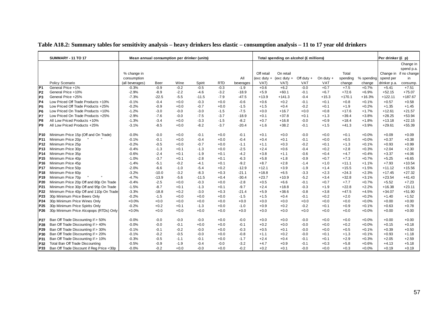|                 | <b>SUMMARY - 11 TO 17</b>                                 |                    |                    | Mean annual consumption per drinker (units) |                   |                  |                    |                    | Total spending on alcohol (£ millions) |                  |                  |                    |                    | Per drinker (£ p)    |                        |
|-----------------|-----------------------------------------------------------|--------------------|--------------------|---------------------------------------------|-------------------|------------------|--------------------|--------------------|----------------------------------------|------------------|------------------|--------------------|--------------------|----------------------|------------------------|
|                 |                                                           |                    |                    |                                             |                   |                  |                    |                    |                                        |                  |                  |                    |                    |                      | Change in              |
|                 |                                                           |                    |                    |                                             |                   |                  |                    |                    |                                        |                  |                  |                    |                    |                      | spend p.a.             |
|                 |                                                           | % change in        |                    |                                             |                   |                  |                    | Off retail         | On retail                              |                  |                  | Total              |                    |                      | Change in if no change |
|                 |                                                           | consumption        |                    |                                             |                   |                  | All                |                    | (exc duty + (exc duty +                | Off duty $+$     | On duty $+$      | spending           | % spending         | spend per            | in                     |
|                 | Policy Scenario                                           | (all beverages)    | Beer               | Wine                                        | Spirit            | <b>RTD</b>       | beverages          | VAT)               | VAT)                                   | <b>VAT</b>       | <b>VAT</b>       | change             | change             | drinker p.a.         | consump.               |
| P <sub>1</sub>  | General Price +1%                                         | $-0.3%$            | $-0.9$             | $-0.2$                                      | $-0.5$            | $-0.3$           | $-1.9$             | $+0.6$             | $+6.2$                                 | $-0.0$           | $+0.7$           | $+7.5$             | $+0.7%$            | $+5.41$              | $+7.51$                |
| P <sub>2</sub>  | General Price +10%                                        | $-2.9%$            | $-8.9$             | $-2.2$                                      | $-4.6$            | $-3.2$           | $-18.9$            | $+5.9$             | $+60.1$                                | $-0.1$           | $+6.7$           | $+72.6$            | $+6.9%$            | $+52.15$             | $+75.07$               |
| P3              | General Price +25%                                        | $-7.3%$            | $-22.5$            | $-5.5$                                      | $-11.5$           | $-7.9$           | $-47.5$            | $+13.9$            | $+141.3$                               | $-0.4$           | $+15.3$          | $+170.1$           | $+16.3%$           | $+122.11$            | $+187.67$              |
| P4              | Low Priced Off Trade Products +10%                        | $-0.1%$            | $-0.4$             | $+0.0$                                      | $-0.3$            | $+0.0$           | $-0.6$             | $+0.6$             | $+0.2$                                 | $-0.1$           | $+0.1$           | $+0.8$             | $+0.1%$            | $+0.57$              | $+0.58$                |
| P <sub>5</sub>  | Low Priced Off Trade Products +25%                        | $-0.2%$            | $-0.9$             | $+0.0$                                      | $-0.7$            | $+0.0$           | $-1.5$             | $+1.5$             | $+0.4$                                 | $-0.2$           | $+0.1$           | $+1.9$             | $+0.2%$            | $+1.35$              | $+1.45$                |
| P <sub>6</sub>  | Low Priced On Trade Products +10%                         | $-1.2%$            | $-3.0$             | $-0.0$                                      | $-3.0$            | $-1.5$           | $-7.5$             | $+0.0$             | $+16.7$                                | $+0.0$           | $+0.8$           | $+17.6$            | $+1.7%$            | $+12.61$             | $+21.57$               |
| P7              | Low Priced On Trade Products +25%                         | $-2.9%$            | $-7.6$             | $-0.0$                                      | $-7.5$            | $-3.7$           | $-18.9$            | $+0.1$             | $+37.8$                                | $+0.1$           | $+1.3$           | $+39.4$            | $+3.8%$            | $+28.25$             | $+53.94$               |
| P8              | All Low Priced Products +10%                              | $-1.3%$            | $-3.4$             | $+0.0$                                      | $-3.3$            | $-1.5$           | $-8.2$             | $+0.7$             | $+16.8$                                | $-0.0$           | $+0.9$           | $+18.4$            | $+1.8%$            | $+13.18$             | $+22.15$               |
| P9              | All Low Priced Products +25%                              | $-3.1%$            | $-8.5$             | $+0.0$                                      | $-8.2$            | $-3.7$           | $-20.4$            | $+1.6$             | $+38.2$                                | $-0.1$           | $+1.5$           | $+41.3$            | $+3.9%$            | $+29.61$             | $+55.39$               |
|                 |                                                           | $-0.0%$            | $-0.0$             | $+0.0$                                      |                   | $+0.0$           | $-0.1$             |                    | $+0.0$                                 | $-0.0$           | $+0.0$           | $+0.1$             | $+0.0%$            | $+0.09$              |                        |
| P10             | Minimum Price 15p (Off and On Trade)<br>Minimum Price 20p | $-0.1%$            | $-0.1$             |                                             | $-0.1$            |                  |                    | $+0.1$             |                                        | $-0.1$           | $+0.0$           | $+0.5$             | $+0.0%$            | $+0.37$              | $+0.09$                |
| P11             | Minimum Price 25p                                         | $-0.2%$            | $-0.5$             | $+0.0$<br>$+0.0$                            | $-0.4$<br>$-0.7$  | $+0.0$<br>$+0.0$ | $-0.4$<br>$-1.1$   | $+0.4$<br>$+1.1$   | $+0.1$<br>$+0.3$                       | $-0.2$           | $+0.1$           | $+1.3$             | $+0.1%$            | $+0.93$              | $+0.38$<br>$+0.99$     |
| P12             |                                                           |                    |                    |                                             |                   |                  |                    |                    |                                        |                  |                  |                    |                    |                      |                        |
| P <sub>13</sub> | Minimum Price 30p                                         | $-0.4%$<br>$-0.6%$ | $-1.3$<br>$-2.4$   | $+0.1$                                      | $-1.3$<br>$-1.9$  | $+0.0$           | $-2.5$<br>$-4.2$   | $+2.4$<br>$+3.8$   | $+0.6$                                 | $-0.4$           | $+0.2$<br>$+0.4$ | $+2.8$<br>$+4.7$   | $+0.3%$            | $+2.04$<br>$+3.37$   | $+2.30$                |
| <b>P14</b>      | Minimum Price 35p                                         |                    | $-3.7$             | $+0.1$                                      |                   | $+0.1$           |                    |                    | $+1.1$                                 | $-0.6$           |                  |                    | $+0.4%$            |                      | $+4.06$                |
| P15             | Minimum Price 40p<br>Minimum Price 45p                    | $-1.0%$<br>$-1.4%$ | $-5.1$             | $+0.1$<br>$-0.2$                            | $-2.8$<br>$-4.1$  | $+0.1$<br>$+0.1$ | $-6.3$<br>$-9.2$   | $+5.8$<br>$+8.7$   | $+1.8$<br>$+2.8$                       | $-0.9$<br>$-1.4$ | $+0.7$<br>$+1.0$ | $+7.3$<br>$+11.1$  | $+0.7%$<br>$+1.1%$ | $+5.25$<br>$+7.93$   | $+6.65$<br>$+10.54$    |
| P <sub>16</sub> | Minimum Price 50p                                         | $-2.0%$            | $-6.6$             |                                             |                   |                  |                    | $+12.1$            |                                        |                  |                  |                    |                    |                      | $+15.56$               |
| <b>P17</b>      |                                                           |                    |                    | $-1.0$<br>$-3.2$                            | $-5.4$            | $+0.2$<br>$+0.3$ | $-12.9$<br>$-21.1$ |                    | $+3.9$                                 | $-1.9$           | $+1.4$           | $+15.5$            | $+1.5%$            | $+11.12$             | $+27.32$               |
| P <sub>18</sub> | Minimum Price 60p<br>Minimum Price 70p                    | $-3.2%$<br>$-4.7%$ | $-10.0$<br>$-13.9$ | $-5.6$                                      | $-8.3$<br>$-11.5$ | $+0.4$           | $-30.4$            | $+18.8$<br>$+23.7$ | $+6.5$<br>$+10.9$                      | $-3.3$<br>$-5.2$ | $+2.3$<br>$+3.4$ | $+24.3$<br>$+32.8$ | $+2.3%$<br>$+3.1%$ | $+17.45$<br>$+23.54$ | $+41.43$               |
| P <sub>19</sub> | Minimum Price 20p Off and 80p On Trade                    | $-0.4%$            | $-2.5$             | $+0.0$                                      | $-0.3$            | $+0.0$           | $-2.8$             | $+0.5$             | $+6.6$                                 | $-0.1$           | $+0.7$           | $+7.7$             | $+0.7%$            | $+5.52$              | $+7.23$                |
| P <sub>20</sub> | Minimum Price 30p Off and 95p On Trade                    | $-1.5%$            | $-8.7$             | $+0.1$                                      | $-1.3$            | $+0.1$           | $-9.7$             | $+2.4$             | $+18.8$                                | $-0.3$           | $+1.9$           | $+22.8$            | $+2.2%$            | $+16.38$             | $+23.11$               |
| P21<br>P22      | Minimum Price 40p Off and 110p On Trade                   | $-3.3%$            | $-18.8$            | $+0.2$                                      | $-3.0$            | $+0.3$           | $-21.4$            | $+5.9$             | $+38.6$                                | $-0.8$           | $+3.8$           | $+47.5$            | $+4.5%$            | $+34.07$             | $+51.90$               |
| P <sub>23</sub> | 30p Minimum Price Beers Only                              | $-0.2%$            | $-1.5$             | $+0.0$                                      | $+0.0$            | $+0.0$           | $-1.5$             | $+1.5$             | $+0.4$                                 | $-0.1$           | $+0.2$           | $+2.0$             | $+0.2%$            | $+1.40$              | $+1.52$                |
| P24             | 30p Minimum Price Wines Only                              | $+0.0%$            | $+0.0$             | $+0.0$                                      | $+0.0$            | $+0.0$           | $+0.0$             | $+0.0$             | $+0.0$                                 | $+0.0$           | $+0.0$           | $+0.0$             | $+0.0%$            | $+0.00$              | $+0.00$                |
|                 | 30p Minimum Price Spirits Only                            | $-0.2%$            | $+0.2$             | $+0.1$                                      | $-1.3$            | $+0.0$           | $-1.0$             | $+0.9$             | $+0.2$                                 | $-0.2$           | $+0.1$           | $+0.9$             | $+0.1%$            | $+0.63$              | $+0.78$                |
| P <sub>25</sub> | 30p Minimum Price Alcopops (RTDs) Only                    | $+0.0%$            | $+0.0$             | $+0.0$                                      | $+0.0$            | $+0.0$           | $+0.0$             | $+0.0$             | $+0.0$                                 | $+0.0$           | $+0.0$           | $+0.0$             | $+0.0%$            | $+0.00$              | $+0.00$                |
| P26             |                                                           |                    |                    |                                             |                   |                  |                    |                    |                                        |                  |                  |                    |                    |                      |                        |
| <b>P27</b>      | Ban Off Trade Discounting if > 50%                        | $-0.0%$            | $-0.0$             | $-0.0$                                      | $-0.0$            | $+0.0$           | $-0.0$             | $+0.0$             | $+0.0$                                 | $-0.0$           | $+0.0$           | $+0.0$             | $+0.0%$            | $+0.00$              | $+0.00$                |
| P28             | Ban Off Trade Discounting if > 40%                        | $-0.0%$            | $-0.0$             | $-0.1$                                      | $+0.0$            | $+0.0$           | $-0.1$             | $+0.2$             | $+0.0$                                 | $-0.0$           | $+0.0$           | $+0.2$             | $+0.0%$            | $+0.15$              | $+0.18$                |
| P29             | Ban Off Trade Discounting if > 30%                        | $-0.1%$            | $-0.1$             | $-0.2$                                      | $-0.0$            | $+0.0$           | $-0.3$             | $+0.5$             | $+0.1$                                 | $-0.0$           | $+0.0$           | $+0.5$             | $+0.1%$            | $+0.39$              | $+0.50$                |
| P30             | Ban Off Trade Discounting if > 20%                        | $-0.1%$            | $-0.2$             | $-0.5$                                      | $-0.0$            | $+0.0$           | $-0.8$             | $+1.1$             | $+0.2$                                 | $-0.0$           | $+0.1$           | $+1.3$             | $+0.1%$            | $+0.93$              | $+1.18$                |
| P31             | Ban Off Trade Discounting if > 10%                        | $-0.3%$            | $-0.5$             | $-1.1$                                      | $-0.1$            | $+0.0$           | $-1.7$             | $+2.4$             | $+0.4$                                 | $-0.1$           | $+0.1$           | $+2.9$             | $+0.3%$            | $+2.05$              | $+2.59$                |
| <b>P32</b>      | Total Ban Off Trade Discounting                           | $-0.5%$            | $-0.9$             | $-1.9$                                      | $-0.4$            | $-0.0$           | $-3.2$             | $+4.7$             | $+0.9$                                 | $-0.1$           | $+0.3$           | $+5.8$             | $+0.6%$            | $+4.13$              | $+5.18$                |
| P33             | Ban Off Trade Discount if Reg Price <30p                  | $-0.0%$            | $-0.2$             | $+0.0$                                      | $-0.0$            | $+0.0$           | $-0.2$             | $+0.2$             | $+0.1$                                 | $-0.0$           | $+0.0$           | $+0.3$             | $+0.0%$            | $+0.19$              | $+0.19$                |

### **Table A18.2: Summary tables for sensitivity analysis – heavy drinkers less elastic – consumption analysis – 11 to 17 year old drinkers**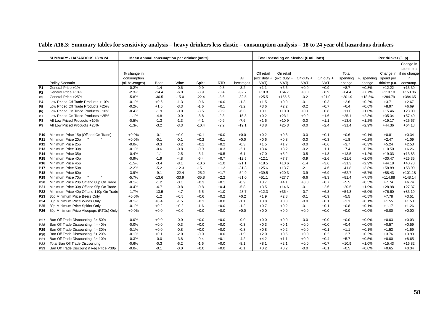|                 | SUMMARY - HAZARDOUS 18 to 24             | Mean annual consumption per drinker (units) |             |         |         |            |           |            | Total spending on alcohol (£ millions) |              |             |          |            | Per drinker (£ p) |                        |
|-----------------|------------------------------------------|---------------------------------------------|-------------|---------|---------|------------|-----------|------------|----------------------------------------|--------------|-------------|----------|------------|-------------------|------------------------|
|                 |                                          |                                             |             |         |         |            |           |            |                                        |              |             |          |            |                   | Change in              |
|                 |                                          |                                             |             |         |         |            |           |            |                                        |              |             |          |            |                   | spend p.a.             |
|                 |                                          | % change in                                 |             |         |         |            |           | Off retail | On retail                              |              |             | Total    |            |                   | Change in if no change |
|                 |                                          | consumption                                 |             |         |         |            | All       |            | (exc duty + (exc duty +                | Off duty $+$ | On duty $+$ | spending | % spending | spend per         | in                     |
|                 | Policy Scenario                          | (all beverages)                             | <b>Beer</b> | Wine    | Spirit  | <b>RTD</b> | beverages | VAT)       | VAT)                                   | <b>VAT</b>   | <b>VAT</b>  | change   | change     | drinker p.a.      | consump.               |
| P <sub>1</sub>  | General Price +1%                        | $-0.2%$                                     | $-1.4$      | $-0.6$  | $-0.9$  | $-0.3$     | $-3.2$    | $+1.1$     | $+6.6$                                 | $+0.0$       | $+0.9$      | $+8.7$   | $+0.8%$    | $+12.22$          | $+15.39$               |
| P <sub>2</sub>  | General Price +10%                       | $-2.3%$                                     | $-14.4$     | $-6.0$  | $-8.9$  | $-3.4$     | $-32.7$   | $+10.8$    | $+64.7$                                | $+0.0$       | $+8.9$      | $+84.4$  | $+7.7%$    | $+119.10$         | $+153.86$              |
| P3              | General Price +25%                       | $-5.8%$                                     | $-36.5$     | $-15.0$ | $-22.4$ | $-8.6$     | $-82.5$   | $+25.5$    | $+155.5$                               | $-0.2$       | $+21.0$     | $+201.9$ | $+18.5%$   | $+284.79$         | $+384.65$              |
| P4              | Low Priced Off Trade Products +10%       | $-0.1%$                                     | $+0.6$      | $-1.3$  | $-0.6$  | $+0.0$     | $-1.3$    | $+1.5$     | $+0.9$                                 | $-0.1$       | $+0.3$      | $+2.6$   | $+0.2%$    | $+3.71$           | $+2.67$                |
| P <sub>5</sub>  | Low Priced Off Trade Products +25%       | $-0.2%$                                     | $+1.6$      | $-3.3$  | $-1.6$  | $+0.1$     | $-3.2$    | $+3.6$     | $+2.2$                                 | $-0.2$       | $+0.7$      | $+6.4$   | $+0.6%$    | $+8.97$           | $+6.69$                |
| P <sub>6</sub>  | Low Priced On Trade Products +10%        | $-0.4%$                                     | $-1.9$      | $-0.0$  | $-3.5$  | $-0.9$     | $-6.3$    | $+0.1$     | $+10.0$                                | $+0.1$       | $+0.8$      | $+11.0$  | $+1.0%$    | $+15.46$          | $+23.00$               |
| P7              | Low Priced On Trade Products +25%        | $-1.1%$                                     | $-4.8$      | $-0.0$  | $-8.8$  | $-2.3$     | $-15.8$   | $+0.2$     | $+23.1$                                | $+0.2$       | $+1.6$      | $+25.1$  | $+2.3%$    | $+35.34$          | $+57.49$               |
| P8              | All Low Priced Products +10%             | $-0.5%$                                     | $-1.3$      | $-1.3$  | $-4.1$  | $-0.9$     | $-7.6$    | $+1.6$     | $+10.9$                                | $-0.0$       | $+1.1$      | $+13.6$  | $+1.2%$    | $+19.17$          | $+25.67$               |
| P9              | All Low Priced Products +25%             | $-1.3%$                                     | $-3.2$      | $-3.3$  | $-10.4$ | $-2.2$     | $-19.1$   | $+3.8$     | $+25.3$                                | $-0.0$       | $+2.4$      | $+31.4$  | $+2.9%$    | $+44.36$          | $+64.18$               |
| P10             | Minimum Price 15p (Off and On Trade)     | $+0.0%$                                     | $-0.1$      | $+0.0$  | $+0.1$  | $+0.0$     | $+0.0$    | $+0.2$     | $+0.3$                                 | $-0.0$       | $+0.1$      | $+0.6$   | $+0.1%$    | $+0.81$           | $+0.34$                |
| P11             | Minimum Price 20p                        | $+0.0%$                                     | $-0.1$      | $-0.1$  | $+0.2$  | $+0.1$     | $+0.0$    | $+0.6$     | $+0.8$                                 | $-0.0$       | $+0.3$      | $+1.8$   | $+0.2%$    | $+2.47$           | $+1.09$                |
| P12             | Minimum Price 25p                        | $-0.0%$                                     | $-0.3$      | $-0.2$  | $+0.1$  | $+0.2$     | $-0.3$    | $+1.5$     | $+1.7$                                 | $-0.0$       | $+0.6$      | $+3.7$   | $+0.3%$    | $+5.24$           | $+2.53$                |
| P <sub>13</sub> | Minimum Price 30p                        | $-0.1%$                                     | $-0.6$      | $-0.8$  | $-0.9$  | $+0.3$     | $-2.1$    | $+3.4$     | $+3.2$                                 | $-0.2$       | $+1.1$      | $+7.4$   | $+0.7%$    | $+10.50$          | $+6.26$                |
| <b>P14</b>      | Minimum Price 35p                        | $-0.4%$                                     | $-1.1$      | $-2.5$  | $-3.1$  | $+0.5$     | $-6.1$    | $+7.0$     | $+5.2$                                 | $-0.5$       | $+1.8$      | $+13.5$  | $+1.2%$    | $+19.03$          | $+13.83$               |
| P15             | Minimum Price 40p                        | $-0.9%$                                     | $-1.9$      | $-4.8$  | $-6.4$  | $+0.7$     | $-12.5$   | $+12.1$    | $+7.7$                                 | $-0.9$       | $+2.6$      | $+21.6$  | $+2.0%$    | $+30.47$          | $+25.35$               |
| P <sub>16</sub> | Minimum Price 45p                        | $-1.5%$                                     | $-3.4$      | $-8.1$  | $-10.6$ | $+1.0$     | $-21.1$   | $+18.5$    | $+10.6$                                | $-1.4$       | $+3.6$      | $+31.3$  | $+2.9%$    | $+44.18$          | $+40.78$               |
| P <sub>17</sub> | Minimum Price 50p                        | $-2.2%$                                     | $-5.2$      | $-12.3$ | $-15.1$ | $+1.2$     | $-31.3$   | $+25.6$    | $+13.7$                                | $-2.1$       | $+4.6$      | $+41.8$  | $+3.8%$    | $+58.89$          | $+58.99$               |
| P <sub>18</sub> | Minimum Price 60p                        | $-3.9%$                                     | $-9.1$      | $-22.4$ | $-25.2$ | $+1.7$     | $-54.9$   | $+39.5$    | $+20.3$                                | $-3.9$       | $+6.9$      | $+62.7$  | $+5.7%$    | $+88.43$          | $+101.18$              |
| P <sub>19</sub> | Minimum Price 70p                        | $-5.7%$                                     | $-13.6$     | $-33.9$ | $-35.8$ | $+2.2$     | $-81.0$   | $+51.1$    | $+27.7$                                | $-6.6$       | $+9.3$      | $+81.4$  | $+7.5%$    | $+114.88$         | $+148.14$              |
| P <sub>20</sub> | Minimum Price 20p Off and 80p On Trade   | $-0.1%$                                     | $-1.2$      | $-0.1$  | $+0.3$  | $+0.1$     | $-0.9$    | $+0.7$     | $+4.1$                                 | $+0.0$       | $+0.7$      | $+5.5$   | $+0.5%$    | $+7.74$           | $+6.74$                |
| P21             | Minimum Price 30p Off and 95p On Trade   | $-0.4%$                                     | $-4.7$      | $-0.8$  | $-0.8$  | $+0.4$     | $-5.8$    | $+3.5$     | $+14.6$                                | $-0.1$       | $+2.6$      | $+20.5$  | $+1.9%$    | $+28.98$          | $+27.37$               |
| P22             | Minimum Price 40p Off and 110p On Trade  | $-1.7%$                                     | $-13.5$     | $-4.7$  | $-6.5$  | $+1.0$     | $-23.7$   | $+12.3$    | $+36.4$                                | $-0.7$       | $+6.3$      | $+54.3$  | $+5.0%$    | $+76.60$          | $+83.19$               |
| P <sub>23</sub> | 30p Minimum Price Beers Only             | $+0.0%$                                     | $-1.2$      | $+0.5$  | $+0.6$  | $+0.2$     | $+0.2$    | $+1.9$     | $+2.8$                                 | $-0.1$       | $+0.9$      | $+5.5$   | $+0.5%$    | $+7.78$           | $+3.51$                |
| P24             | 30p Minimum Price Wines Only             | $-0.1%$                                     | $+0.4$      | $-1.5$  | $+0.1$  | $+0.0$     | $-1.1$    | $+0.8$     | $+0.3$                                 | $-0.0$       | $+0.1$      | $+1.1$   | $+0.1%$    | $+1.55$           | $+1.50$                |
| P <sub>25</sub> | 30p Minimum Price Spirits Only           | $-0.1%$                                     | $+0.2$      | $+0.2$  | $-1.6$  | $+0.0$     | $-1.2$    | $+0.7$     | $+0.2$                                 | $-0.1$       | $+0.1$      | $+0.8$   | $+0.1%$    | $+1.17$           | $+1.26$                |
| P26             | 30p Minimum Price Alcopops (RTDs) Only   | $+0.0%$                                     | $+0.0$      | $+0.0$  | $+0.0$  | $+0.0$     | $+0.0$    | $+0.0$     | $+0.0$                                 | $+0.0$       | $+0.0$      | $+0.0$   | $+0.0%$    | $+0.00$           | $+0.00$                |
|                 |                                          |                                             |             |         |         |            |           |            |                                        |              |             |          |            |                   |                        |
| <b>P27</b>      | Ban Off Trade Discounting if > 50%       | $-0.0%$                                     | $+0.0$      | $-0.0$  | $+0.0$  | $+0.0$     | $-0.0$    | $+0.0$     | $+0.0$                                 | $-0.0$       | $+0.0$      | $+0.0$   | $+0.0%$    | $+0.03$           | $+0.03$                |
| P28             | Ban Off Trade Discounting if > 40%       | $-0.0%$                                     | $+0.0$      | $-0.3$  | $+0.0$  | $+0.0$     | $-0.3$    | $+0.3$     | $+0.1$                                 | $+0.0$       | $+0.0$      | $+0.4$   | $+0.0%$    | $+0.57$           | $+0.59$                |
| P29             | Ban Off Trade Discounting if > 30%       | $-0.1%$                                     | $+0.0$      | $-0.8$  | $+0.0$  | $+0.0$     | $-0.8$    | $+0.8$     | $+0.2$                                 | $+0.0$       | $+0.1$      | $+1.1$   | $+0.1%$    | $+1.53$           | $+1.59$                |
| P30             | Ban Off Trade Discounting if > 20%       | $-0.1%$                                     | $+0.1$      | $-2.0$  | $-0.0$  | $+0.0$     | $-1.9$    | $+2.0$     | $+0.5$                                 | $+0.0$       | $+0.2$      | $+2.7$   | $+0.2%$    | $+3.76$           | $+3.99$                |
| P31             | Ban Off Trade Discounting if > 10%       | $-0.3%$                                     | $-0.0$      | $-3.8$  | $-0.4$  | $+0.1$     | $-4.2$    | $+4.2$     | $+1.1$                                 | $+0.0$       | $+0.4$      | $+5.7$   | $+0.5%$    | $+8.00$           | $+8.65$                |
| <b>P32</b>      | Total Ban Off Trade Discounting          | $-0.6%$                                     | $-0.3$      | $-6.2$  | $-1.6$  | $+0.0$     | $-8.1$    | $+8.1$     | $+2.1$                                 | $+0.0$       | $+0.7$      | $+10.9$  | $+1.0%$    | $+15.43$          | $+16.82$               |
| P33             | Ban Off Trade Discount if Reg Price <30p | $-0.0%$                                     | $-0.1$      | $-0.0$  | $+0.0$  | $+0.0$     | $-0.1$    | $+0.2$     | $+0.2$                                 | $-0.0$       | $+0.1$      | $+0.5$   | $+0.0%$    | $+0.65$           | $+0.34$                |

### **Table A18.3: Summary tables for sensitivity analysis – heavy drinkers less elastic – consumption analysis – 18 to 24 year old hazardous drinkers**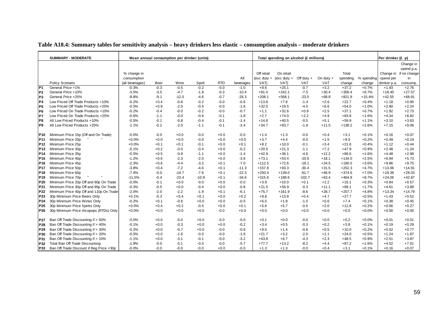|                 | <b>SUMMARY - MODERATE</b>                |                 |        | Mean annual consumption per drinker (units) |         |            |           |            | Total spending on alcohol (£ millions) |              |             |          |            | Per drinker (£ p) |                        |
|-----------------|------------------------------------------|-----------------|--------|---------------------------------------------|---------|------------|-----------|------------|----------------------------------------|--------------|-------------|----------|------------|-------------------|------------------------|
|                 |                                          |                 |        |                                             |         |            |           |            |                                        |              |             |          |            |                   | Change in              |
|                 |                                          |                 |        |                                             |         |            |           |            |                                        |              |             |          |            |                   | spend p.a.             |
|                 |                                          | % change in     |        |                                             |         |            |           | Off retail | On retail                              |              |             | Total    |            |                   | Change in if no change |
|                 |                                          | consumption     |        |                                             |         |            | All       |            | (exc duty + (exc duty +                | Off duty $+$ | On duty $+$ | spending | % spending | spend per         | in                     |
|                 | Policy Scenario                          | (all beverages) | Beer   | Wine                                        | Spirit  | <b>RTD</b> | beverages | VAT)       | VAT)                                   | VAT          | <b>VAT</b>  | change   | change     | drinker p.a.      | consump.               |
| P <sub>1</sub>  | General Price +1%                        | $-0.3%$         | $-0.3$ | $-0.5$                                      | $-0.2$  | $-0.0$     | $-1.0$    | $+9.6$     | $+25.1$                                | $-0.7$       | $+3.2$      | $+37.2$  | $+0.7%$    | $+1.93$           | $+2.76$                |
| P <sub>2</sub>  | General Price +10%                       | $-3.5%$         | $-3.5$ | $-4.7$                                      | $-1.8$  | $-0.3$     | $-10.4$   | $+91.4$    | $+242.1$                               | $-7.5$       | $+30.4$     | $+356.4$ | $+6.7%$    | $+18.45$          | $+27.57$               |
| P <sub>3</sub>  | General Price +25%                       | $-8.8%$         | $-9.1$ | $-12.0$                                     | $-4.6$  | $-0.7$     | $-26.3$   | $+208.1$   | $+568.1$                               | $-23.0$      | $+68.8$     | $+821.9$ | $+15.4%$   | $+42.55$          | $+68.91$               |
| P <sub>4</sub>  | Low Priced Off Trade Products +10%       | $-0.2%$         | $+0.4$ | $-0.8$                                      | $-0.2$  | $-0.0$     | $-0.6$    | $+13.8$    | $+7.8$                                 | $-1.4$       | $+2.6$      | $+22.7$  | $+0.4%$    | $+1.18$           | $+0.90$                |
| P <sub>5</sub>  | Low Priced Off Trade Products +25%       | $-0.5%$         | $+0.9$ | $-2.0$                                      | $-0.5$  | $-0.0$     | $-1.6$    | $+32.0$    | $+19.5$                                | $-4.0$       | $+6.6$      | $+54.0$  | $+1.0%$    | $+2.80$           | $+2.24$                |
| P <sub>6</sub>  | Low Priced On Trade Products +10%        | $-0.2%$         | $-0.4$ | $-0.0$                                      | $-0.2$  | $-0.0$     | $-0.7$    | $+1.1$     | $+32.6$                                | $+0.9$       | $+2.5$      | $+37.1$  | $+0.7%$    | $+1.92$           | $+2.73$                |
| P7              | Low Priced On Trade Products +25%        | $-0.6%$         | $-1.1$ | $-0.0$                                      | $-0.6$  | $-0.1$     | $-1.8$    | $+2.7$     | $+74.0$                                | $+2.2$       | $+4.9$      | $+83.8$  | $+1.6%$    | $+4.34$           | $+6.82$                |
| P8              | All Low Priced Products +10%             | $-0.5%$         | $-0.1$ | $-0.8$                                      | $-0.4$  | $-0.1$     | $-1.4$    | $+14.8$    | $+40.5$                                | $-0.5$       | $+5.1$      | $+59.9$  | $+1.1%$    | $+3.10$           | $+3.63$                |
| P <sub>9</sub>  | All Low Priced Products +25%             | $-1.1%$         | $-0.2$ | $-2.0$                                      | $-1.1$  | $-0.1$     | $-3.4$    | $+34.7$    | $+93.7$                                | $-1.8$       | $+11.5$     | $+138.2$ | $+2.6%$    | $+7.15$           | $+9.06$                |
| P10             | Minimum Price 15p (Off and On Trade)     | $-0.0%$         | $-0.0$ | $+0.0$                                      | $-0.0$  | $+0.0$     | $-0.0$    | $+1.4$     | $+1.3$                                 | $-0.0$       | $+0.4$      | $+3.1$   | $+0.1%$    | $+0.16$           | $+0.07$                |
| P11             | Minimum Price 20p                        | $+0.0%$         | $+0.0$ | $+0.0$                                      | $-0.0$  | $+0.0$     | $+0.0$    | $+3.7$     | $+4.4$                                 | $-0.0$       | $+1.5$      | $+9.5$   | $+0.2%$    | $+0.49$           | $+0.19$                |
| P <sub>12</sub> | Minimum Price 25p                        | $+0.0%$         | $+0.1$ | $+0.1$                                      | $-0.1$  | $+0.0$     | $+0.1$    | $+8.2$     | $+10.0$                                | $-0.1$       | $+3.4$      | $+21.6$  | $+0.4%$    | $+1.12$           | $+0.44$                |
| P <sub>13</sub> | Minimum Price 30p                        | $-0.1%$         | $+0.2$ | $-0.0$                                      | $-0.4$  | $+0.0$     | $-0.2$    | $+20.5$    | $+21.3$                                | $-1.1$       | $+7.2$      | $+47.9$  | $+0.9%$    | $+2.48$           | $+1.24$                |
| P <sub>14</sub> | Minimum Price 35p                        | $-0.5%$         | $+0.5$ | $-0.8$                                      | $-1.1$  | $+0.0$     | $-1.4$    | $+42.9$    | $+36.1$                                | $-4.6$       | $+12.2$     | $+86.6$  | $+1.6%$    | $+4.48$           | $+2.98$                |
| P <sub>15</sub> | Minimum Price 40p                        | $-1.2%$         | $+0.6$ | $-2.3$                                      | $-2.0$  | $+0.0$     | $-3.6$    | $+73.1$    | $+53.4$                                | $-10.6$      | $+18.1$     | $+134.0$ | $+2.5%$    | $+6.94$           | $+5.73$                |
| P16             | Minimum Price 45p                        | $-2.3%$         | $+0.6$ | $-4.4$                                      | $-3.2$  | $+0.1$     | $-7.0$    | $+112.5$   | $+72.6$                                | $-19.1$      | $+24.5$     | $+190.5$ | $+3.6%$    | $+9.86$           | $+9.75$                |
| P <sub>17</sub> | Minimum Price 50p                        | $-3.8%$         | $+0.4$ | $-7.2$                                      | $-4.6$  | $+0.1$     | $-11.3$   | $+157.8$   | $+93.3$                                | $-30.4$      | $+31.5$     | $+252.3$ | $+4.7%$    | $+13.06$          | $+14.91$               |
| P <sub>18</sub> | Minimum Price 60p                        | $-7.4%$         | $-0.0$ | $-14.7$                                     | $-7.6$  | $+0.1$     | $-22.3$   | $+250.4$   | $+139.0$                               | $-61.7$      | $+46.9$     | $+374.6$ | $+7.0%$    | $+19.39$          | $+28.03$               |
| P <sub>19</sub> | Minimum Price 70p                        | $-11.5%$        | $-0.4$ | $-23.4$                                     | $-10.9$ | $+0.1$     | $-34.6$   | $+315.6$   | $+188.6$                               | $-102.7$     | $+63.4$     | $+464.8$ | $+8.7%$    | $+24.06$          | $+42.87$               |
| P20             | Minimum Price 20p Off and 80p On Trade   | $-0.0%$         | $-0.1$ | $+0.0$                                      | $-0.0$  | $+0.0$     | $-0.0$    | $+3.9$     | $+10.0$                                | $+0.1$       | $+2.2$      | $+16.1$  | $+0.3%$    | $+0.84$           | $+0.57$                |
| P21             | Minimum Price 30p Off and 95p On Trade   | $-0.3%$         | $-0.5$ | $+0.0$                                      | $-0.4$  | $+0.0$     | $-0.8$    | $+21.5$    | $+56.9$                                | $-0.3$       | $+11.1$     | $+89.1$  | $+1.7%$    | $+4.61$           | $+3.88$                |
| P22             | Minimum Price 40p Off and 110p On Trade  | $-2.0%$         | $-2.0$ | $-2.2$                                      | $-1.9$  | $+0.1$     | $-6.1$    | $+75.7$    | $+161.9$                               | $-8.6$       | $+28.7$     | $+257.7$ | $+4.8%$    | $+13.34$          | $+14.79$               |
| P23             | 30p Minimum Price Beers Only             | $+0.1%$         | $-0.3$ | $+0.4$                                      | $+0.1$  | $+0.0$     | $+0.2$    | $+8.8$     | $+13.8$                                | $+0.4$       | $+4.7$      | $+27.7$  | $+0.5%$    | $+1.43$           | $+0.52$                |
| P <sub>24</sub> | 30p Minimum Price Wines Only             | $-0.2%$         | $+0.1$ | $-0.6$                                      | $+0.0$  | $+0.0$     | $-0.5$    | $+6.0$     | $+1.8$                                 | $-1.0$       | $+0.6$      | $+7.4$   | $+0.1%$    | $+0.38$           | $+0.45$                |
| P <sub>25</sub> | 30p Minimum Price Spirits Only           | $+0.0%$         | $+0.4$ | $+0.2$                                      | $-0.5$  | $+0.0$     | $+0.1$    | $+5.6$     | $+5.7$                                 | $-0.5$       | $+2.0$      | $+12.8$  | $+0.2%$    | $+0.66$           | $+0.27$                |
| P <sub>26</sub> | 30p Minimum Price Alcopops (RTDs) Only   | $+0.0%$         | $+0.0$ | $+0.0$                                      | $+0.0$  | $-0.0$     | $+0.0$    | $+0.0$     | $+0.0$                                 | $+0.0$       | $+0.0$      | $+0.0$   | $+0.0%$    | $+0.00$           | $+0.00$                |
| <b>P27</b>      | Ban Off Trade Discounting if > 50%       | $-0.0%$         | $+0.0$ | $-0.0$                                      | $+0.0$  | $-0.0$     | $-0.0$    | $+0.1$     | $+0.0$                                 | $-0.0$       | $+0.0$      | $+0.2$   | $+0.0%$    | $+0.01$           | $+0.01$                |
| P28             | Ban Off Trade Discounting if > 40%       | $-0.1%$         | $+0.0$ | $-0.3$                                      | $+0.0$  | $+0.0$     | $-0.2$    | $+3.4$     | $+0.5$                                 | $-0.3$       | $+0.2$      | $+3.8$   | $+0.1%$    | $+0.19$           | $+0.29$                |
| P29             | Ban Off Trade Discounting if > 30%       | $-0.2%$         | $+0.0$ | $-0.7$                                      | $+0.0$  | $-0.0$     | $-0.6$    | $+9.0$     | $+1.4$                                 | $-0.8$       | $+0.5$      | $+10.0$  | $+0.2%$    | $+0.52$           | $+0.77$                |
| P30             | Ban Off Trade Discounting if > 20%       | $-0.5%$         | $+0.0$ | $-1.6$                                      | $-0.0$  | $-0.0$     | $-1.6$    | $+21.7$    | $+3.2$                                 | $-2.0$       | $+1.1$      | $+24.0$  | $+0.5%$    | $+1.24$           | $+1.87$                |
| P31             | Ban Off Trade Discounting if > 10%       | $-1.1%$         | $+0.0$ | $-3.1$                                      | $-0.1$  | $-0.0$     | $-3.2$    | $+43.8$    | $+6.7$                                 | $-4.3$       | $+2.3$      | $+48.5$  | $+0.9%$    | $+2.51$           | $+3.87$                |
| P32             | Total Ban Off Trade Discounting          | $-1.9%$         | $-0.0$ | $-5.1$                                      | $-0.5$  | $-0.0$     | $-5.7$    | $+77.7$    | $+13.2$                                | $-8.2$       | $+4.4$      | $+87.2$  | $+1.6%$    | $+4.52$           | $+7.01$                |
| P33             | Ban Off Trade Discount if Reg Price <30p | $-0.0%$         | $-0.0$ | $-0.0$                                      | $-0.0$  | $+0.0$     | $-0.0$    | $+1.3$     | $+1.3$                                 | $-0.0$       | $+0.4$      | $+3.1$   | $+0.1%$    | $+0.16$           | $+0.07$                |

### **Table A18.4: Summary tables for sensitivity analysis – heavy drinkers less elastic – consumption analysis – moderate drinkers**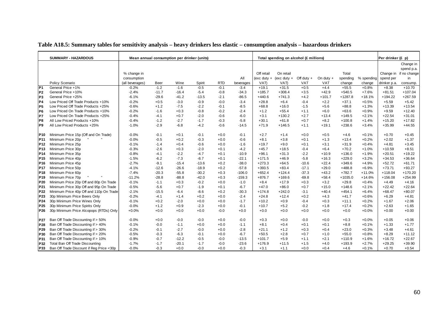|                 | <b>SUMMARY - HAZARDOUS</b>               | Mean annual consumption per drinker (units) |         |         |         |            |           |            | Total spending on alcohol (£ millions) |              |             |           |            | Per drinker (£ p) |                        |
|-----------------|------------------------------------------|---------------------------------------------|---------|---------|---------|------------|-----------|------------|----------------------------------------|--------------|-------------|-----------|------------|-------------------|------------------------|
|                 |                                          |                                             |         |         |         |            |           |            |                                        |              |             |           |            |                   | Change in              |
|                 |                                          |                                             |         |         |         |            |           |            |                                        |              |             |           |            |                   | spend p.a.             |
|                 |                                          | % change in                                 |         |         |         |            |           | Off retail | On retail                              |              |             | Total     |            |                   | Change in if no change |
|                 |                                          | consumption                                 |         |         |         |            | All       |            | (exc duty + (exc duty +                | Off duty $+$ | On duty $+$ | spending  | % spending | spend per         | in                     |
|                 | Policy Scenario                          | (all beverages)                             | Beer    | Wine    | Spirit  | <b>RTD</b> | beverages | VAT)       | VAT)                                   | VAT          | <b>VAT</b>  | change    | change     | drinker p.a.      | consump.               |
| P <sub>1</sub>  | General Price +1%                        | $-0.2%$                                     | $-1.2$  | $-1.6$  | $-0.5$  | $-0.1$     | $-3.4$    | $+19.1$    | $+31.5$                                | $+0.5$       | $+4.4$      | $+55.5$   | $+0.8%$    | $+8.38$           | $+10.70$               |
| P <sub>2</sub>  | General Price +10%                       | $-2.4%$                                     | $-11.7$ | $-16.4$ | $-5.4$  | $-0.8$     | $-34.3$   | $+185.7$   | $+308.4$                               | $+3.5$       | $+42.9$     | $+540.5$  | $+7.6%$    | $+81.51$          | $+107.04$              |
| P <sub>3</sub>  | General Price +25%                       | $-6.1%$                                     | $-29.6$ | $-41.2$ | $-13.5$ | $-2.1$     | $-86.5$   | $+440.6$   | $+741.3$                               | $+4.2$       | $+101.7$    | $+1287.8$ | $+18.1%$   | $+194.22$         | $+267.59$              |
| <b>P4</b>       | Low Priced Off Trade Products +10%       | $-0.2%$                                     | $+0.5$  | $-3.0$  | $-0.9$  | $-0.0$     | $-3.4$    | $+28.8$    | $+6.4$                                 | $-0.4$       | $+2.2$      | $+37.1$   | $+0.5%$    | $+5.59$           | $+5.42$                |
| P <sub>5</sub>  | Low Priced Off Trade Products +25%       | $-0.6%$                                     | $+1.2$  | $-7.5$  | $-2.2$  | $-0.1$     | $-8.5$    | $+68.8$    | $+16.0$                                | $-1.5$       | $+5.6$      | $+88.8$   | $+1.3%$    | $+13.39$          | $+13.54$               |
| P <sub>6</sub>  | Low Priced On Trade Products +10%        | $-0.2%$                                     | $-1.6$  | $+0.3$  | $-0.8$  | $-0.2$     | $-2.4$    | $+1.2$     | $+55.4$                                | $+1.1$       | $+6.0$      | $+63.6$   | $+0.9%$    | $+9.59$           | $+12.40$               |
| P7              | Low Priced On Trade Products +25%        | $-0.4%$                                     | $-4.1$  | $+0.7$  | $-2.0$  | $-0.6$     | $-6.0$    | $+3.1$     | $+130.2$                               | $+2.7$       | $+13.4$     | $+149.5$  | $+2.1%$    | $+22.54$          | $+31.01$               |
| P <sub>8</sub>  | All Low Priced Products +10%             | $-0.4%$                                     | $-1.2$  | $-2.7$  | $-1.7$  | $-0.3$     | $-5.8$    | $+30.1$    | $+61.8$                                | $+0.7$       | $+8.2$      | $+100.8$  | $+1.4%$    | $+15.20$          | $+17.82$               |
| P <sub>9</sub>  | All Low Priced Products +25%             | $-1.0%$                                     | $-2.9$  | $-6.8$  | $-4.2$  | $-0.6$     | $-14.5$   | $+71.9$    | $+146.5$                               | $+1.1$       | $+19.1$     | $+238.6$  | $+3.4%$    | $+35.99$          | $+44.55$               |
| P10             | Minimum Price 15p (Off and On Trade)     | $-0.0%$                                     | $-0.1$  | $+0.1$  | $-0.1$  | $+0.0$     | $-0.1$    | $+2.7$     | $+1.4$                                 | $+0.0$       | $+0.5$      | $+4.6$    | $+0.1%$    | $+0.70$           | $+0.45$                |
| P11             | Minimum Price 20p                        | $-0.0%$                                     | $-0.5$  | $+0.2$  | $-0.3$  | $+0.0$     | $-0.6$    | $+8.1$     | $+3.8$                                 | $+0.1$       | $+1.3$      | $+13.4$   | $+0.2%$    | $+2.02$           | $+1.37$                |
| P <sub>12</sub> | Minimum Price 25p                        | $-0.1%$                                     | $-1.4$  | $+0.4$  | $-0.6$  | $+0.0$     | $-1.6$    | $+19.7$    | $+9.0$                                 | $+0.1$       | $+3.1$      | $+31.9$   | $+0.4%$    | $+4.81$           | $+3.45$                |
| P <sub>13</sub> | Minimum Price 30p                        | $-0.3%$                                     | $-2.6$  | $+0.3$  | $-2.0$  | $+0.1$     | $-4.2$    | $+45.7$    | $+18.5$                                | $-0.4$       | $+6.4$      | $+70.2$   | $+1.0%$    | $+10.59$          | $+8.51$                |
| P <sub>14</sub> | Minimum Price 35p                        | $-0.8%$                                     | $-4.1$  | $-2.2$  | $-4.7$  | $+0.1$     | $-10.9$   | $+96.1$    | $+31.3$                                | $-2.2$       | $+10.9$     | $+136.0$  | $+1.9%$    | $+20.51$          | $+19.22$               |
| P <sub>15</sub> | Minimum Price 40p                        | $-1.5%$                                     | $-6.2$  | $-7.3$  | $-8.7$  | $+0.1$     | $-22.1$   | $+171.5$   | $+46.9$                                | $-5.8$       | $+16.3$     | $+229.0$  | $+3.2%$    | $+34.53$          | $+36.64$               |
| P <sub>16</sub> | Minimum Price 45p                        | $-2.7%$                                     | $-9.1$  | $-15.4$ | $-13.6$ | $+0.2$     | $-38.0$   | $+273.3$   | $+64.5$                                | $-10.6$      | $+22.4$     | $+349.6$  | $+4.9%$    | $+52.72$          | $+61.71$               |
| P <sub>17</sub> | Minimum Price 50p                        | $-4.1%$                                     | $-12.6$ | $-26.6$ | $-18.9$ | $+0.2$     | $-57.8$   | $+393.5$   | $+83.4$                                | $-17.1$      | $+29.0$     | $+488.8$  | $+6.9%$    | $+73.71$          | $+93.27$               |
| <b>P18</b>      | Minimum Price 60p                        | $-7.4%$                                     | $-20.3$ | $-55.8$ | $-30.2$ | $+0.3$     | $-106.0$  | $+652.4$   | $+124.4$                               | $-37.3$      | $+43.2$     | $+782.7$  | $+11.0%$   | $+118.04$         | $+170.20$              |
| P <sub>19</sub> | Minimum Price 70p                        | $-11.2%$                                    | $-28.8$ | $-88.8$ | $-42.0$ | $+0.3$     | $-159.3$  | $+876.7$   | $+169.6$                               | $-69.8$      | $+58.4$     | $+1035.0$ | $+14.6%$   | $+156.08$         | $+254.99$              |
| P20             | Minimum Price 20p Off and 80p On Trade   | $-0.1%$                                     | $-1.1$  | $+0.3$  | $-0.2$  | $+0.0$     | $-1.0$    | $+8.4$     | $+17.9$                                | $+0.3$       | $+3.2$      | $+29.8$   | $+0.4%$    | $+4.49$           | $+4.16$                |
| P21             | Minimum Price 30p Off and 95p On Trade   | $-0.5%$                                     | $-5.6$  | $+0.7$  | $-1.9$  | $+0.1$     | $-6.7$    | $+47.0$    | $+86.0$                                | $+0.7$       | $+15.0$     | $+148.6$  | $+2.1%$    | $+22.42$          | $+22.64$               |
| P22             | Minimum Price 40p Off and 110p On Trade  | $-2.1%$                                     | $-15.5$ | $-6.4$  | $-8.6$  | $+0.2$     | $-30.3$   | $+174.8$   | $+242.0$                               | $-3.1$       | $+40.4$     | $+454.1$  | $+6.4%$    | $+68.47$          | $+80.07$               |
| P23             | 30p Minimum Price Beers Only             | $-0.2%$                                     | $-4.1$  | $+1.4$  | $+0.2$  | $+0.0$     | $-2.4$    | $+24.8$    | $+12.4$                                | $+0.2$       | $+4.3$      | $+41.7$   | $+0.6%$    | $+6.29$           | $+4.81$                |
| P <sub>24</sub> | 30p Minimum Price Wines Only             | $-0.1%$                                     | $+0.2$  | $-2.0$  | $+0.0$  | $+0.0$     | $-1.7$    | $+10.2$    | $+0.9$                                 | $-0.4$       | $+0.3$      | $+11.1$   | $+0.2%$    | $+1.67$           | $+2.06$                |
| P <sub>25</sub> | 30p Minimum Price Spirits Only           | $-0.0%$                                     | $+1.2$  | $+0.9$  | $-2.3$  | $+0.0$     | $-0.1$    | $+10.7$    | $+5.2$                                 | $-0.2$       | $+1.8$      | $+17.4$   | $+0.2%$    | $+2.63$           | $+1.65$                |
| P <sub>26</sub> | 30p Minimum Price Alcopops (RTDs) Only   | $+0.0%$                                     | $+0.0$  | $+0.0$  | $+0.0$  | $-0.0$     | $+0.0$    | $+0.0$     | $+0.0$                                 | $+0.0$       | $+0.0$      | $+0.0$    | $+0.0%$    | $+0.00$           | $+0.00$                |
| <b>P27</b>      | Ban Off Trade Discounting if > 50%       | $-0.0%$                                     | $+0.0$  | $-0.0$  | $-0.0$  | $+0.0$     | $-0.0$    | $+0.3$     | $+0.0$                                 | $-0.0$       | $+0.0$      | $+0.3$    | $+0.0%$    | $+0.05$           | $+0.06$                |
| P28             | Ban Off Trade Discounting if > 40%       | $-0.1%$                                     | $-0.0$  | $-1.1$  | $+0.0$  | $+0.0$     | $-1.1$    | $+8.1$     | $+0.4$                                 | $+0.1$       | $+0.1$      | $+8.8$    | $+0.1%$    | $+1.33$           | $+1.77$                |
| P29             | Ban Off Trade Discounting if > 30%       | $-0.2%$                                     | $-0.1$  | $-2.7$  | $-0.0$  | $+0.0$     | $-2.8$    | $+21.1$    | $+1.2$                                 | $+0.3$       | $+0.4$      | $+23.0$   | $+0.3%$    | $+3.48$           | $+4.61$                |
| P30             | Ban Off Trade Discounting if > 20%       | $-0.5%$                                     | $-0.3$  | $-6.3$  | $-0.1$  | $+0.0$     | $-6.7$    | $+50.5$    | $+2.8$                                 | $+0.7$       | $+1.0$      | $+55.0$   | $+0.8%$    | $+8.29$           | $+11.12$               |
| P31             | Ban Off Trade Discounting if > 10%       | $-0.9%$                                     | $-0.7$  | $-12.2$ | $-0.5$  | $-0.0$     | $-13.5$   | $+101.7$   | $+5.9$                                 | $+1.1$       | $+2.1$      | $+110.9$  | $+1.6%$    | $+16.72$          | $+22.67$               |
| P32             | Total Ban Off Trade Discounting          | $-1.7%$                                     | $-1.7$  | $-20.1$ | $-1.7$  | $-0.0$     | $-23.6$   | $+176.9$   | $+11.5$                                | $+1.5$       | $+4.0$      | $+193.9$  | $+2.7%$    | $+29.25$          | $+39.90$               |
| P33             | Ban Off Trade Discount if Reg Price <30p | $-0.0%$                                     | $-0.3$  | $+0.0$  | $-0.0$  | $+0.0$     | $-0.3$    | $+3.1$     | $+1.1$                                 | $+0.0$       | $+0.4$      | $+4.6$    | $+0.1%$    | $+0.70$           | $+0.54$                |

### **Table A18.5: Summary tables for sensitivity analysis – heavy drinkers less elastic – consumption analysis – hazardous drinkers**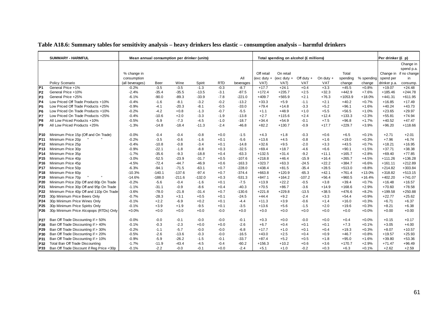|                 | <b>SUMMARY - HARMFUL</b>                 | Mean annual consumption per drinker (units) |             |          |          |            |           |            | Total spending on alcohol (£ millions) |              |             |           |            | Per drinker (£ p) |                        |
|-----------------|------------------------------------------|---------------------------------------------|-------------|----------|----------|------------|-----------|------------|----------------------------------------|--------------|-------------|-----------|------------|-------------------|------------------------|
|                 |                                          |                                             |             |          |          |            |           |            |                                        |              |             |           |            |                   | Change in              |
|                 |                                          |                                             |             |          |          |            |           |            |                                        |              |             |           |            |                   | spend p.a.             |
|                 |                                          | % change in                                 |             |          |          |            |           | Off retail | On retail                              |              |             | Total     |            |                   | Change in if no change |
|                 |                                          | consumption                                 |             |          |          |            | All       |            | (exc duty + (exc duty +                | Off duty $+$ | On duty $+$ | spending  | % spending | spend per         | in                     |
|                 | Policy Scenario                          | (all beverages)                             | <b>Beer</b> | Wine     | Spirit   | <b>RTD</b> | beverages | VAT)       | VAT)                                   | VAT          | <b>VAT</b>  | change    | change     | drinker p.a.      | consump.               |
| P <sub>1</sub>  | General Price +1%                        | $-0.2%$                                     | $-3.5$      | $-3.5$   | $-1.3$   | $-0.3$     | $-8.7$    | $+17.7$    | $+24.1$                                | $+0.4$       | $+3.3$      | $+45.5$   | $+0.8%$    | $+19.07$          | $+24.48$               |
| P <sub>2</sub>  | General Price +10%                       | $-2.4%$                                     | $-35.4$     | $-35.5$  | $-13.5$  | $-3.1$     | $-87.5$   | $+172.4$   | $+235.7$                               | $+2.5$       | $+32.3$     | $+442.9$  | $+7.6%$    | $+185.46$         | $+244.78$              |
| P <sub>3</sub>  | General Price +25%                       | $-6.1%$                                     | $-90.0$     | $-89.3$  | $-33.9$  | $-7.8$     | $-221.0$  | $+409.7$   | $+565.9$                               | $+2.1$       | $+76.3$     | $+1053.9$ | $+18.0%$   | $+441.31$         | $+611.95$              |
| <b>P4</b>       | Low Priced Off Trade Products +10%       | $-0.4%$                                     | $-1.6$      | $-8.1$   | $-3.2$   | $-0.2$     | $-13.2$   | $+33.3$    | $+5.9$                                 | $-1.1$       | $+2.1$      | $+40.2$   | $+0.7%$    | $+16.85$          | $+17.49$               |
| P <sub>5</sub>  | Low Priced Off Trade Products +25%       | $-0.9%$                                     | $-4.1$      | $-20.3$  | $-8.1$   | $-0.5$     | $-33.0$   | $+79.4$    | $+14.8$                                | $-3.3$       | $+5.2$      | $+96.1$   | $+1.6%$    | $+40.24$          | $+43.73$               |
| P <sub>6</sub>  | Low Priced On Trade Products +10%        | $-0.2%$                                     | $-4.2$      | $+0.8$   | $-1.3$   | $-0.7$     | $-5.5$    | $+1.1$     | $+48.9$                                | $+1.0$       | $+5.5$      | $+56.5$   | $+1.0%$    | $+23.65$          | $+29.97$               |
| P7              | Low Priced On Trade Products +25%        | $-0.4%$                                     | $-10.6$     | $+2.0$   | $-3.3$   | $-1.9$     | $-13.8$   | $+2.7$     | $+115.6$                               | $+2.4$       | $+12.4$     | $+133.3$  | $+2.3%$    | $+55.81$          | $+74.94$               |
| P8              | All Low Priced Products +10%             | $-0.5%$                                     | $-5.9$      | $-7.3$   | $-4.5$   | $-1.0$     | $-18.7$   | $+34.4$    | $+54.9$                                | $-0.1$       | $+7.5$      | $+96.8$   | $+1.7%$    | $+40.52$          | $+47.47$               |
| P <sub>9</sub>  | All Low Priced Products +25%             | $-1.3%$                                     | $-14.8$     | $-18.4$  | $-11.3$  | $-2.4$     | $-46.8$   | $+82.2$    | $+130.7$                               | $-0.9$       | $+17.7$     | $+229.7$  | $+3.9%$    | $+96.20$          | $+118.66$              |
|                 |                                          |                                             |             |          |          |            |           |            |                                        |              |             |           |            |                   |                        |
| P10             | Minimum Price 15p (Off and On Trade)     | $-0.0%$                                     | $-0.4$      | $-0.4$   | $-0.8$   | $+0.0$     | $-1.5$    | $+4.3$     | $+1.8$                                 | $-0.3$       | $+0.6$      | $+6.5$    | $+0.1%$    | $+2.71$           | $+2.01$                |
| P11             | Minimum Price 20p                        | $-0.2%$                                     | $-3.5$      | $-0.6$   | $-1.6$   | $+0.1$     | $-5.6$    | $+13.6$    | $+4.5$                                 | $-0.8$       | $+1.6$      | $+19.0$   | $+0.3%$    | $+7.96$           | $+6.74$                |
| P <sub>12</sub> | Minimum Price 25p                        | $-0.4%$                                     | $-10.8$     | $-0.8$   | $-3.4$   | $+0.1$     | $-14.8$   | $+32.6$    | $+9.5$                                 | $-2.0$       | $+3.3$      | $+43.5$   | $+0.7%$    | $+18.21$          | $+16.95$               |
| P <sub>13</sub> | Minimum Price 30p                        | $-0.9%$                                     | $-22.1$     | $-1.8$   | $-8.8$   | $+0.3$     | $-32.5$   | $+69.4$    | $+18.7$                                | $-4.6$       | $+6.6$      | $+90.1$   | $+1.5%$    | $+37.71$          | $+38.38$               |
| P <sub>14</sub> | Minimum Price 35p                        | $-1.7%$                                     | $-35.6$     | $-9.3$   | $-18.8$  | $+0.4$     | $-63.3$   | $+132.5$   | $+31.4$                                | $-9.2$       | $+11.1$     | $+165.7$  | $+2.8%$    | $+69.40$          | $+77.85$               |
| P <sub>15</sub> | Minimum Price 40p                        | $-3.0%$                                     | $-52.5$     | $-23.9$  | $-31.7$  | $+0.5$     | $-107.6$  | $+218.8$   | $+46.4$                                | $-15.9$      | $+16.4$     | $+265.7$  | $+4.5%$    | $+111.26$         | $+136.28$              |
| P <sub>16</sub> | Minimum Price 45p                        | $-4.5%$                                     | $-72.4$     | $-44.7$  | $-46.9$  | $+0.6$     | $-163.3$  | $+323.7$   | $+63.3$                                | $-24.5$      | $+22.2$     | $+384.7$  | $+6.6%$    | $+161.11$         | $+212.89$              |
| <b>P17</b>      | Minimum Price 50p                        | $-6.3%$                                     | $-94.1$     | $-71.5$  | $-63.1$  | $+0.7$     | $-228.0$  | $+438.4$   | $+81.5$                                | $-35.4$      | $+28.5$     | $+513.0$  | $+8.8%$    | $+214.82$         | $+303.84$              |
| P <sub>18</sub> | Minimum Price 60p                        | $-10.3%$                                    | $-140.1$    | $-137.6$ | $-97.4$  | $+0.7$     | $-374.4$  | $+663.8$   | $+120.9$                               | $-65.3$      | $+42.1$     | $+761.4$  | $+13.0%$   | $+318.82$         | $+513.15$              |
| P <sub>19</sub> | Minimum Price 70p                        | $-14.6%$                                    | $-188.0$    | $-211.6$ | $-132.0$ | $+0.3$     | $-531.3$  | $+847.1$   | $+164.2$                               | $-107.2$     | $+56.4$     | $+960.5$  | $+16.4%$   | $+402.20$         | $+741.07$              |
| P20             | Minimum Price 20p Off and 80p On Trade   | $-0.2%$                                     | $-5.6$      | $-0.4$   | $-1.6$   | $+0.1$     | $-7.5$    | $+13.9$    | $+22.2$                                | $-0.5$       | $+3.8$      | $+39.4$   | $+0.7%$    | $+16.48$          | $+16.57$               |
| P21             | Minimum Price 30p Off and 95p On Trade   | $-1.1%$                                     | $-31.1$     | $-0.9$   | $-8.6$   | $+0.4$     | $-40.3$   | $+70.5$    | $+86.7$                                | $-3.6$       | $+14.9$     | $+168.6$  | $+2.9%$    | $+70.60$          | $+78.58$               |
| P22             | Minimum Price 40p Off and 110p On Trade  | $-3.6%$                                     | $-78.0$     | $-21.8$  | $-31.4$  | $+0.7$     | $-130.6$  | $+221.8$   | $+229.8$                               | $-13.5$      | $+38.5$     | $+476.6$  | $+8.2%$    | $+199.58$         | $+250.88$              |
| P23             | 30p Minimum Price Beers Only             | $-0.7%$                                     | $-28.3$     | $+3.1$   | $+0.5$   | $+0.1$     | $-24.5$   | $+44.4$    | $+9.2$                                 | $-2.4$       | $+3.3$      | $+54.4$   | $+0.9%$    | $+22.77$          | $+25.62$               |
| P24             | 30p Minimum Price Wines Only             | $-0.1%$                                     | $+2.2$      | $-6.9$   | $+0.2$   | $+0.1$     | $-4.4$    | $+11.3$    | $+3.9$                                 | $-0.6$       | $+1.4$      | $+16.0$   | $+0.3%$    | $+6.71$           | $+6.37$                |
| P <sub>25</sub> | 30p Minimum Price Spirits Only           | $-0.1%$                                     | $+3.9$      | $+1.9$   | $-9.5$   | $+0.1$     | $-3.5$    | $+13.6$    | $+5.6$                                 | $-1.5$       | $+2.0$      | $+19.6$   | $+0.3%$    | $+8.21$           | $+6.38$                |
| P <sub>26</sub> | 30p Minimum Price Alcopops (RTDs) Only   | $+0.0%$                                     | $+0.0$      | $+0.0$   | $+0.0$   | $-0.0$     | $+0.0$    | $+0.0$     | $+0.0$                                 | $+0.0$       | $+0.0$      | $+0.0$    | $+0.0%$    | $+0.00$           | $+0.00$                |
|                 |                                          |                                             |             |          |          |            |           |            |                                        |              |             |           |            |                   |                        |
| <b>P27</b>      | Ban Off Trade Discounting if > 50%       | $-0.0%$                                     | $-0.0$      | $-0.1$   | $-0.0$   | $-0.0$     | $-0.1$    | $+0.3$     | $+0.0$                                 | $-0.0$       | $+0.0$      | $+0.4$    | $+0.0%$    | $+0.15$           | $+0.17$                |
| P28             | Ban Off Trade Discounting if > 40%       | $-0.1%$                                     | $-0.3$      | $-2.3$   | $+0.0$   | $+0.0$     | $-2.6$    | $+6.7$     | $+0.4$                                 | $+0.1$       | $+0.1$      | $+7.3$    | $+0.1%$    | $+3.05$           | $+4.00$                |
| P29             | Ban Off Trade Discounting if > 30%       | $-0.2%$                                     | $-1.1$      | $-5.7$   | $-0.0$   | $-0.0$     | $-6.8$    | $+17.7$    | $+1.0$                                 | $+0.1$       | $+0.4$      | $+19.3$   | $+0.3%$    | $+8.07$           | $+10.57$               |
| P30             | Ban Off Trade Discounting if > 20%       | $-0.5%$                                     | $-2.6$      | $-13.6$  | $-0.3$   | $-0.0$     | $-16.5$   | $+43.0$    | $+2.5$                                 | $+0.4$       | $+0.9$      | $+46.7$   | $+0.8%$    | $+19.57$          | $+25.93$               |
| P31             | Ban Off Trade Discounting if > 10%       | $-0.9%$                                     | $-5.9$      | $-26.2$  | $-1.5$   | $-0.1$     | $-33.7$   | $+87.4$    | $+5.2$                                 | $+0.5$       | $+1.8$      | $+95.0$   | $+1.6%$    | $+39.80$          | $+53.36$               |
| P32             | Total Ban Off Trade Discounting          | $-1.7%$                                     | $-11.9$     | $-43.4$  | $-4.5$   | $-0.4$     | $-60.2$   | $+156.3$   | $+10.2$                                | $+0.6$       | $+3.6$      | $+170.7$  | $+2.9%$    | $+71.47$          | $+96.49$               |
| P33             | Ban Off Trade Discount if Reg Price <30p | $-0.1%$                                     | $-2.2$      | $-0.0$   | $-0.1$   | $+0.0$     | $-2.4$    | $+5.1$     | $+1.0$                                 | $-0.2$       | $+0.3$      | $+6.3$    | $+0.1%$    | $+2.62$           | $+2.59$                |

### **Table A18.6: Summary tables for sensitivity analysis – heavy drinkers less elastic – consumption analysis – harmful drinkers**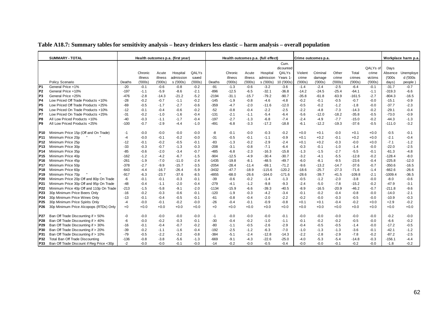|  | Table A18.7: Summary tables for sensitivity analysis – heavy drinkers less elastic – harm analysis – overall population |  |
|--|-------------------------------------------------------------------------------------------------------------------------|--|
|  |                                                                                                                         |  |

|                 | <b>SUMMARY - TOTAL</b>                   |        |         |         | Health outcomes p.a. (first year) |        |         |         |         | Health outcomes p.a. (full effect) |            |         | Crime outcomes p.a. |         |          |          |           | Workplace harm p.a. |
|-----------------|------------------------------------------|--------|---------|---------|-----------------------------------|--------|---------|---------|---------|------------------------------------|------------|---------|---------------------|---------|----------|----------|-----------|---------------------|
|                 |                                          |        |         |         |                                   |        |         |         |         |                                    | Cum.       |         |                     |         |          |          |           |                     |
|                 |                                          |        |         |         |                                   |        |         |         |         |                                    | dicounted  |         |                     |         |          | QALYs of | Days      |                     |
|                 |                                          |        | Chronic | Acute   | Hospital                          | QALYs  |         | Chronic | Acute   | Hospital                           | QALYs      | Violent | Criminal            | Other   | Total    | crime    | Absence   | Unemploye           |
|                 |                                          |        | illness | illness | admission                         | saved  |         | illness | illness | admission                          | Years 1-   | crime   | damage              | crime   | crimes   | victims  | (000s     | d ('000s            |
|                 | Policy Scenario                          | Deaths | (000s)  | (000s)  | s ('000s)                         | (000s) | Deaths  | (000s)  | (000s)  | s ('000s)                          | 10 ('000s) | (000s)  | (000s)              | ('000s  | (000s)   | (000s)   | days)     | people              |
| P1              | General Price +1%                        | $-20$  | $-0.1$  | $-0.6$  | $-0.8$                            | $-0.2$ | $-91$   | $-1.3$  | $-0.6$  | $-3.2$                             | $-3.6$     | $-1.4$  | $-2.4$              | $-2.5$  | $-6.4$   | $-0.1$   | $-31.7$   | $-0.7$              |
| IP <sub>2</sub> | General Price +10%                       | $-197$ | $-1.1$  | $-5.9$  | $-8.6$                            | $-2.1$ | $-896$  | $-12.5$ | $-6.5$  | $-32.1$                            | $-36.8$    | $-14.2$ | $-24.5$             | $-25.4$ | $-64.1$  | $-1.1$   | $-319.3$  | $-6.6$              |
| lР3             | General Price +25%                       | $-476$ | $-2.8$  | $-14.3$ | -21.2                             | $-5.2$ | $-2194$ | $-31.1$ | -15.7   | $-79.2$                            | $-90.7$    | $-35.8$ | $-61.8$             | $-63.9$ | $-161.5$ | $-2.7$   | $-804.3$  | $-16.5$             |
| IP4             | Low Priced Off Trade Products +10%       | -28    | $-0.2$  | $-0.7$  | $-1.1$                            | $-0.2$ | $-145$  | $-1.9$  | $-0.8$  | $-4.6$                             | $-4.8$     | $-0.2$  | $-0.1$              | $-0.5$  | $-0.7$   | $-0.0$   | $-15.1$   | $-0.9$              |
| P <sub>5</sub>  | Low Priced Off Trade Products +25%       | -69    | $-0.5$  | $-1.7$  | $-2.7$                            | $-0.6$ | $-359$  | $-4.7$  | $-2.0$  | $-11.6$                            | $-12.0$    | $-0.5$  | $-0.2$              | $-1.2$  | $-1.8$   | $-0.0$   | $-37.7$   | $-2.3$              |
| IP6             | Low Priced On Trade Products +10%        | $-12$  | $-0.1$  | $-0.4$  | $-0.6$                            | $-0.2$ | $-52$   | $-0.8$  | $-0.4$  | $-2.2$                             | $-2.5$     | $-2.2$  | $-4.8$              | $-7.3$  | $-14.3$  | $-0.2$   | $-29.1$   | $-0.4$              |
| P7              | Low Priced On Trade Products +25%        | $-31$  | $-0.2$  | $-1.0$  | $-1.6$                            | $-0.4$ | $-131$  | $-2.1$  | $-1.1$  | $-5.4$                             | $-6.4$     | $-5.6$  | $-12.0$             | $-18.2$ | $-35.8$  | $-0.5$   | $-73.0$   | $-0.9$              |
| IP8             | All Low Priced Products +10%             | $-40$  | $-0.3$  | $-1.1$  | $-1.7$                            | $-0.4$ | $-197$  | $-2.7$  | $-1.3$  | $-6.8$                             | $-7.4$     | $-2.4$  | $-4.9$              | $-7.7$  | $-15.0$  | $-0.2$   | $-44.3$   | $-1.3$              |
| P <sub>9</sub>  | All Low Priced Products +25%             | $-100$ | $-0.7$  | $-2.9$  | $-4.4$                            | $-1.0$ | $-491$  | $-6.8$  | $-3.3$  | $-17.2$                            | $-18.8$    | $-6.1$  | -12.2               | $-19.3$ | $-37.6$  | $-0.5$   | $-111.0$  | $-3.2$              |
| P10             | Minimum Price 15p (Off and On Trade)     | -1     | $-0.0$  | $-0.0$  | $-0.0$                            | $-0.0$ | -8      | $-0.1$  | $-0.0$  | $-0.3$                             | $-0.2$     | $+0.0$  | $+0.1$              | $-0.0$  | $+0.1$   | $+0.0$   | $-0.5$    | $-0.1$              |
| P <sub>11</sub> | Minimum Price 20p                        | -4     | $-0.0$  | $-0.1$  | $-0.2$                            | $-0.0$ | $-31$   | $-0.5$  | $-0.1$  | $-1.1$                             | $-0.9$     | $+0.1$  | $+0.2$              | $-0.1$  | $+0.2$   | $+0.0$   | $-2.1$    | $-0.4$              |
| P <sub>12</sub> | Minimum Price 25p                        | -12    | $-0.1$  | $-0.2$  | $-0.5$                            | $-0.1$ | $-83$   | $-1.3$  | $-0.2$  | $-2.9$                             | $-2.4$     | $+0.1$  | $+0.2$              | $-0.3$  | $-0.0$   | $+0.0$   | $-7.1$    | $-1.2$              |
| P <sub>13</sub> | Minimum Price 30p                        | $-33$  | $-0.3$  | $-0.7$  | $-1.3$                            | $-0.3$ | $-208$  | $-3.1$  | $-0.8$  | $-7.1$                             | $-6.4$     | $-0.3$  | $-0.1$              | $-1.0$  | $-1.4$   | $-0.0$   | $-22.0$   | $-2.5$              |
| P <sub>14</sub> | Minimum Price 35p                        | $-85$  | $-0.6$  | $-2.0$  | $-3.4$                            | $-0.7$ | $-485$  | $-6.8$  | $-2.3$  | $-16.3$                            | $-15.8$    | $-1.3$  | $-1.5$              | $-2.7$  | $-5.5$   | $-0.1$   | $-61.3$   | $-4.8$              |
| P <sub>15</sub> | Minimum Price 40p                        | $-162$ | $-1.2$  | $-4.2$  | $-6.7$                            | $-1.5$ | $-904$  | $-12.5$ | $-4.9$  | $-30.4$                            | $-30.7$    | $-3.2$  | $-4.1$              | $-5.5$  | $-12.8$  | $-0.2$   | $-128.4$  | $-8.0$              |
| P16             | Minimum Price 45p                        | -261   | $-1.9$  | $-7.0$  | $-11.0$                           | $-2.4$ | $-1435$ | $-19.8$ | $-8.1$  | $-48.5$                            | $-49.7$    | $-6.0$  | $-8.1$              | $-9.5$  | $-23.6$  | $-0.4$   | $-225.8$  | $-12.0$             |
| <b>P17</b>      | Minimum Price 50p                        | $-378$ | $-2.7$  | $-9.9$  | $-15.7$                           | $-3.5$ | $-2054$ | $-28.4$ | $-11.4$ | $-69.1$                            | $-71.2$    | $-9.6$  | -13.2               | $-14.7$ | $-37.6$  | $-0.7$   | $-350.6$  | $-16.5$             |
| P <sub>18</sub> | Minimum Price 60p                        | $-643$ | $-4.4$  | $-16.7$ | $-26.4$                           | $-5.9$ | $-3432$ | $-47.7$ | $-18.9$ | $-115.6$                           | $-120.2$   | $-18.6$ | $-25.7$             | $-27.3$ | $-71.6$  | $-1.4$   | $-662.6$  | $-26.6$             |
| P <sub>19</sub> | Minimum Price 70p                        | $-917$ | $-6.3$  | $-23.7$ | $-37.6$                           | $-8.5$ | $-4855$ | $-68.0$ | -26.6   | $-164.0$                           | $-171.6$   | $-28.6$ | -39.7               | $-41.5$ | $-109.8$ | $-2.1$   | $-1009.4$ | $-36.5$             |
| P20             | Minimum Price 20p Off and 80p On Trade   | -6     | $-0.1$  | $-0.1$  | $-0.3$                            | $-0.1$ | $-39$   | $-0.6$  | $-0.2$  | $-1.4$                             | $-1.3$     | $-0.5$  | $-1.2$              | $-2.0$  | $-3.8$   | $-0.0$   | $-8.0$    | $-0.6$              |
| P21             | Minimum Price 30p Off and 95p On Trade   | -48    | $-0.4$  | $-1.1$  | $-2.0$                            | $-0.4$ | $-279$  | $-4.1$  | $-1.2$  | $-9.8$                             | $-9.3$     | $-2.4$  | $-5.0$              | $-7.8$  | $-15.2$  | $-0.2$   | $-47.9$   | $-3.1$              |
| P22             | Minimum Price 40p Off and 110p On Trade  | $-213$ | $-1.5$  | $-5.8$  | $-9.1$                            | $-2.0$ | $-1134$ | $-15.9$ | $-6.6$  | $-39.3$                            | $-40.5$    | $-8.9$  | $-16.5$             | $-20.9$ | $-46.2$  | $-0.7$   | $-211.8$  | $-9.6$              |
| P <sub>23</sub> | 30p Minimum Price Beers Only             | $-16$  | $-0.2$  | $-0.3$  | $-0.6$                            | $-0.1$ | $-120$  | $-1.9$  | $-0.3$  | $-4.2$                             | $-3.4$     | $-0.1$  | $-0.2$              | $-0.4$  | $-0.8$   | $-0.0$   | $-14.0$   | $-2.1$              |
| P24             | 30p Minimum Price Wines Only             | -13    | $-0.1$  | $-0.4$  | $-0.5$                            | $-0.1$ | -61     | $-0.8$  | $-0.4$  | $-2.0$                             | $-2.2$     | $-0.2$  | $-0.0$              | $-0.3$  | $-0.5$   | $-0.0$   | $-10.9$   | $-0.3$              |
| P <sub>25</sub> | 30p Minimum Price Spirits Only           | $-4$   | -0.0    | $-0.1$  | $-0.2$                            | $-0.0$ | $-26$   | $-0.4$  | $-0.1$  | $-0.9$                             | $-0.8$     | $+0.1$  | $+0.1$              | $-0.4$  | $-0.2$   | $+0.0$   | $+2.9$    | $-0.2$              |
| P26             | 30p Minimum Price Alcopops (RTDs) Only   | $+0$   | $+0.0$  | $+0.0$  | $+0.0$                            | +0.0   | $+0$    | $+0.0$  | $+0.0$  | $+0.0$                             | $+0.0$     | $+0.0$  | $+0.0$              | $+0.0$  | $+0.0$   | $+0.0$   | $+0.0$    | $+0.0$              |
| P27             | Ban Off Trade Discounting if > 50%       | $-0$   | $-0.0$  | $-0.0$  | $-0.0$                            | $-0.0$ | $-1$    | $-0.0$  | $-0.0$  | $-0.0$                             | $-0.1$     | -0.0    | $-0.0$              | $-0.0$  | $-0.0$   | $-0.0$   | $-0.2$    | $-0.0$              |
| P28             | Ban Off Trade Discounting if > 40%       | -6     | $-0.0$  | $-0.2$  | $-0.3$                            | $-0.1$ | $-30$   | $-0.4$  | $-0.2$  | $-1.0$                             | $-1.1$     | $-0.1$  | $-0.2$              | $-0.2$  | $-0.5$   | $-0.0$   | $-6.6$    | $-0.2$              |
| P <sub>29</sub> | Ban Off Trade Discounting if > 30%       | $-16$  | $-0.1$  | $-0.4$  | $-0.7$                            | $-0.2$ | $-80$   | $-1.1$  | $-0.5$  | $-2.6$                             | $-2.9$     | $-0.4$  | $-0.5$              | $-0.5$  | $-1.4$   | $-0.0$   | $-17.2$   | $-0.5$              |
| P30             | Ban Off Trade Discounting if > 20%       | $-39$  | $-0.2$  | $-1.1$  | $-1.6$                            | $-0.4$ | $-192$  | $-2.5$  | $-1.2$  | $-6.3$                             | $-7.0$     | $-1.0$  | $-1.3$              | $-1.3$  | $-3.6$   | $-0.1$   | $-42.1$   | $-1.2$              |
| P31             | Ban Off Trade Discounting if > 10%       | $-79$  | $-0.5$  | $-2.2$  | $-3.2$                            | $-0.8$ | $-384$  | $-5.1$  | $-2.4$  | $-12.8$                            | $-14.3$    | $-2.2$  | $-2.8$              | $-2.9$  | $-7.8$   | $-0.2$   | $-87.2$   | $-2.5$              |
| P32             | <b>Total Ban Off Trade Discounting</b>   | $-136$ | $-0.8$  | $-3.8$  | $-5.6$                            | $-1.3$ | $-669$  | $-9.1$  | $-4.3$  | $-22.6$                            | $-25.0$    | -4.0    | $-5.3$              | $-5.4$  | $-14.8$  | $-0.3$   | $-156.1$  | $-4.4$              |
| P33             | Ban Off Trade Discount if Reg Price <30p | $-2$   | $-0.0$  | $-0.0$  | $-0.1$                            | $-0.0$ | $-14$   | $-0.2$  | $-0.0$  | $-0.5$                             | $-0.4$     | $-0.0$  | $-0.0$              | $-0.1$  | $-0.2$   | $-0.0$   | $-1.8$    | $-0.2$              |

┑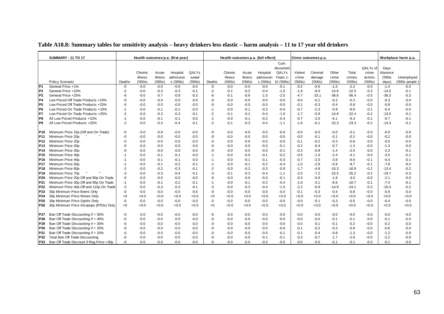|                 | <b>SUMMARY - 11 TO 17</b>                |        |                    |                  | Health outcomes p.a. (first year) |                 |        | Health outcomes p.a. (full effect) |                  |                        |                  |                 | Crime outcomes p.a. |                 |                  |                   |                 | Workplace harm p.a.           |
|-----------------|------------------------------------------|--------|--------------------|------------------|-----------------------------------|-----------------|--------|------------------------------------|------------------|------------------------|------------------|-----------------|---------------------|-----------------|------------------|-------------------|-----------------|-------------------------------|
|                 |                                          |        |                    |                  |                                   |                 |        |                                    |                  |                        | Cum.             |                 |                     |                 |                  |                   |                 |                               |
|                 |                                          |        |                    |                  |                                   |                 |        |                                    |                  |                        | dicounted        |                 |                     |                 |                  | QALYs of          | Days            |                               |
|                 |                                          |        | Chronic<br>illness | Acute<br>illness | Hospital<br>admission             | QALYs           |        | Chronic                            | Acute<br>illness | Hospital               | QALYs<br>Years 1 | Violent         | Criminal            | Other           | Total            | crime             | Absence         |                               |
|                 | Policy Scenario                          | Deaths | (000s)             | (000s)           | s ('000s)                         | saved<br>(000s) | Deaths | illness<br>(000s)                  | (000s)           | admission<br>s ('000s) | 10 ('000s)       | crime<br>(000s) | damage<br>(000s)    | crime<br>(000s) | crimes<br>(000s) | victims<br>(000s) | (000s)<br>days) | Unemployed<br>$(000s$ people) |
| P <sub>1</sub>  | General Price +1%                        | -0     | $-0.0$             | $-0.0$           | $-0.0$                            | $-0.0$          | -0     | $-0.0$                             | $-0.0$           | $-0.0$                 | $-0.1$           | $-0.2$          | $-0.6$              | $-1.5$          | $-2.2$           | $-0.0$            | $-1.4$          | $-0.0$                        |
| P <sub>2</sub>  | General Price +10%                       | $-2$   | $-0.0$             | $-0.3$           | $-0.3$                            | $-0.1$          | $-2$   | $-0.1$                             | $-0.2$           | $-0.4$                 | $-1.0$           | $-1.9$          | $-6.0$              | $-14.6$         | $-22.5$          | $-0.2$            | $-14.5$         | $-0.1$                        |
| P <sub>3</sub>  | General Price +25%                       | -6     | $-0.0$             | $-0.7$           | $-0.8$                            | $-0.3$          | -6     | $-0.1$                             | $-0.6$           | $-1.0$                 | $-2.5$           | $-4.7$          | $-15.1$             | $-36.6$         | $-56.4$          | $-0.5$            | $-36.3$         | $-0.3$                        |
| <b>P4</b>       | Low Priced Off Trade Products +10%       | -0     | $-0.0$             | $-0.0$           | $-0.0$                            | $-0.0$          | -0     | $-0.0$                             | $-0.0$           | -0.0                   | $-0.0$           | $-0.0$          | $-0.1$              | $-0.2$          | $-0.3$           | $-0.0$            | $-0.3$          | $-0.0$                        |
| P <sub>5</sub>  | Low Priced Off Trade Products +25%       | -0     | $-0.0$             | $-0.0$           | $-0.0$                            | $-0.0$          | -0     | $-0.0$                             | $-0.0$           | $-0.0$                 | $-0.0$           | $-0.1$          | $-0.3$              | $-0.4$          | $-0.8$           | $-0.0$            | $-0.8$          | $-0.0$                        |
| P <sub>6</sub>  | Low Priced On Trade Products +10%        | $-1$   | $-0.0$             | $-0.1$           | $-0.1$                            | $-0.0$          | $-1$   | $-0.0$                             | $-0.1$           | $-0.2$                 | $-0.4$           | $-0.7$          | $-2.3$              | $-5.9$          | $-9.0$           | $-0.1$            | $-5.4$          | $-0.0$                        |
| P7              | Low Priced On Trade Products +25%        | $-2$   | $-0.0$             | $-0.3$           | $-0.3$                            | $-0.1$          | $-2$   | $-0.1$                             | $-0.2$           | $-0.4$                 | $-1.0$           | $-1.7$          | $-5.9$              | $-14.8$         | $-22.4$          | $-0.2$            | $-13.5$         | $-0.1$                        |
| P8              | All Low Priced Products +10%             | $-1$   | $-0.0$             | $-0.1$           | $-0.1$                            | $-0.0$          | $-1$   | $-0.0$                             | $-0.1$           | $-0.2$                 | $-0.4$           | $-0.7$          | $-2.5$              | $-6.1$          | $-9.3$           | $-0.1$            | $-5.7$          | $-0.1$                        |
| P <sub>9</sub>  | All Low Priced Products +25%             | $-2$   | $-0.0$             | $-0.3$           | $-0.4$                            | $-0.1$          | $-2$   | $-0.1$                             | $-0.3$           | $-0.4$                 | $-1.1$           | $-1.8$          | $-6.1$              | $-15.3$         | $-23.3$          | $-0.2$            | $-14.3$         | $-0.1$                        |
|                 |                                          |        |                    |                  |                                   |                 |        |                                    |                  |                        |                  |                 |                     |                 |                  |                   |                 |                               |
| P10             | Minimum Price 15p (Off and On Trade)     | -0     | $-0.0$             | $-0.0$           | $-0.0$                            | $-0.0$          | -0     | $-0.0$                             | $-0.0$           | -0.0                   | $-0.0$           | $-0.0$          | $-0.0$              | $-0.0$          | $-0.1$           | $-0.0$            | $-0.0$          | $-0.0$                        |
| P11             | Minimum Price 20p                        | -0     | $-0.0$             | $-0.0$           | $-0.0$                            | $-0.0$          | -0     | $-0.0$                             | $-0.0$           | $-0.0$                 | $-0.0$           | $-0.0$          | $-0.1$              | $-0.1$          | $-0.2$           | $-0.0$            | $-0.2$          | $-0.0$                        |
| P12             | Minimum Price 25p                        | -0     | $-0.0$             | $-0.0$           | $-0.0$                            | $-0.0$          | -0     | $-0.0$                             | $-0.0$           | $-0.0$                 | $-0.0$           | $-0.1$          | $-0.2$              | $-0.3$          | $-0.6$           | $-0.0$            | $-0.5$          | $-0.0$                        |
| P <sub>13</sub> | Minimum Price 30p                        | -0     | $-0.0$             | $-0.0$           | $-0.0$                            | $-0.0$          | -0     | $-0.0$                             | $-0.0$           | -0.0                   | $-0.1$           | $-0.2$          | $-0.4$              | $-0.7$          | $-1.3$           | $-0.0$            | $-1.3$          | $-0.0$                        |
| P14             | Minimum Price 35p                        | -0     | $-0.0$             | $-0.0$           | $-0.0$                            | $-0.0$          | -0     | $-0.0$                             | $-0.0$           | $-0.0$                 | $-0.1$           | $-0.3$          | $-0.8$              | $-1.4$          | $-2.5$           | $-0.0$            | $-2.3$          | $-0.1$                        |
| P <sub>15</sub> | Minimum Price 40p                        | -1     | $-0.0$             | $-0.1$           | $-0.1$                            | $-0.0$          | $-1$   | $-0.0$                             | $-0.0$           | $-0.1$                 | $-0.2$           | $-0.5$          | $-1.3$              | $-2.4$          | $-4.1$           | $-0.0$            | $-3.5$          | $-0.1$                        |
| P <sub>16</sub> | Minimum Price 45p                        | $-1$   | $-0.0$             | $-0.1$           | $-0.1$                            | $-0.0$          | -1     | $-0.0$                             | $-0.1$           | $-0.1$                 | $-0.3$           | $-0.7$          | $-2.0$              | $-3.9$          | $-6.6$           | $-0.1$            | $-5.4$          | $-0.1$                        |
| <b>P17</b>      | Minimum Price 50p                        | $-1$   | $-0.0$             | $-0.1$           | $-0.2$                            | $-0.1$          | $-1$   | $-0.0$                             | $-0.1$           | $-0.2$                 | $-0.4$           | $-1.0$          | $-2.9$              | $-5.8$          | $-9.7$           | $-0.1$            | $-7.8$          | $-0.2$                        |
| P <sub>18</sub> | Minimum Price 60p                        | $-2$   | $-0.0$             | $-0.2$           | $-0.3$                            | $-0.1$          | $-2$   | $-0.0$                             | $-0.2$           | $-0.3$                 | $-0.8$           | $-1.7$          | $-4.9$              | $-10.3$         | $-16.9$          | $-0.2$            | $-13.4$         | $-0.2$                        |
| P <sub>19</sub> | Minimum Price 70p                        | $-3$   | $-0.0$             | $-0.3$           | $-0.4$                            | $-0.1$          | $-3$   | $-0.1$                             | $-0.3$           | $-0.4$                 | $-1.1$           | $-2.5$          | $-7.2$              | $-15.5$         | $-25.2$          | $-0.2$            | $-19.7$         | $-0.3$                        |
| P <sub>20</sub> | Minimum Price 20p Off and 80p On Trade   | -0     | $-0.0$             | $-0.0$           | $-0.0$                            | $-0.0$          | -0     | $-0.0$                             | $-0.0$           | -0.0                   | $-0.1$           | $-0.3$          | $-0.9$              | $-1.8$          | $-3.0$           | $-0.0$            | $-2.1$          | $-0.0$                        |
| P21             | Minimum Price 30p Off and 95p On Trade   | $-1$   | $-0.0$             | $-0.1$           | $-0.2$                            | $-0.1$          | $-1$   | $-0.0$                             | $-0.1$           | $-0.2$                 | $-0.4$           | $-1.0$          | $-3.1$              | $-6.6$          | $-10.7$          | $-0.1$            | $-7.4$          | $-0.1$                        |
| P22             | Minimum Price 40p Off and 110p On Trade  | -3     | $-0.0$             | $-0.3$           | $-0.3$                            | $-0.1$          | -3     | $-0.0$                             | $-0.3$           | $-0.4$                 | $-1.0$           | $-2.2$          | $-6.9$              | $-14.9$         | $-24.1$          | $-0.2$            | $-16.3$         | $-0.2$                        |
| P23             | 30p Minimum Price Beers Only             | -0     | $-0.0$             | $-0.0$           | $-0.0$                            | $-0.0$          | -0     | $-0.0$                             | $-0.0$           | $-0.0$                 | $-0.0$           | $-0.1$          | $-0.3$              | $-0.4$          | $-0.8$           | $-0.0$            | $-0.9$          | $-0.0$                        |
| P <sub>24</sub> | 30p Minimum Price Wines Only             | $+0$   | $+0.0$             | $+0.0$           | $+0.0$                            | $+0.0$          | $+0$   | $+0.0$                             | $+0.0$           | $+0.0$                 | $+0.0$           | $+0.0$          | $+0.0$              | $+0.0$          | $+0.0$           | $+0.0$            | $+0.0$          | $+0.0$                        |
| P <sub>25</sub> | 30p Minimum Price Spirits Only           | -0     | $-0.0$             | $-0.0$           | $-0.0$                            | $-0.0$          | -0     | $-0.0$                             | $-0.0$           | $-0.0$                 | $-0.0$           | $-0.0$          | $-0.1$              | $-0.3$          | $-0.5$           | $-0.0$            | $-0.4$          | $-0.0$                        |
| P <sub>26</sub> | 30p Minimum Price Alcopops (RTDs) Only   | $+0$   | $+0.0$             | $+0.0$           | $+0.0$                            | $+0.0$          | $+0$   | $+0.0$                             | $+0.0$           | $+0.0$                 | $+0.0$           | $+0.0$          | $+0.0$              | $+0.0$          | $+0.0$           | $+0.0$            | $+0.0$          | $+0.0$                        |
|                 |                                          |        |                    |                  |                                   |                 |        |                                    |                  |                        |                  |                 |                     |                 |                  |                   |                 |                               |
| <b>P27</b>      | Ban Off Trade Discounting if > 50%       | -0     | $-0.0$             | $-0.0$           | $-0.0$                            | $-0.0$          | -0     | $-0.0$                             | $-0.0$           | -0.0                   | $-0.0$           | $-0.0$          | $-0.0$              | $-0.0$          | $-0.0$           | $-0.0$            | $-0.0$          | $-0.0$                        |
| P28             | Ban Off Trade Discounting if > 40%       | -0     | $-0.0$             | $-0.0$           | $-0.0$                            | $-0.0$          | -0     | $-0.0$                             | $-0.0$           | $-0.0$                 | $-0.0$           | $-0.0$          | $-0.0$              | $-0.1$          | $-0.1$           | $-0.0$            | $-0.1$          | $-0.0$                        |
| P <sub>29</sub> | Ban Off Trade Discounting if > 30%       | -0     | $-0.0$             | $-0.0$           | $-0.0$                            | $-0.0$          | -0     | $-0.0$                             | $-0.0$           | $-0.0$                 | $-0.0$           | $-0.0$          | $-0.1$              | $-0.1$          | $-0.2$           | $-0.0$            | $-0.2$          | $-0.0$                        |
| P30             | Ban Off Trade Discounting if > 20%       | -0     | $-0.0$             | $-0.0$           | $-0.0$                            | $-0.0$          | -0     | $-0.0$                             | $-0.0$           | $-0.0$                 | $-0.0$           | $-0.1$          | $-0.2$              | $-0.3$          | $-0.6$           | $-0.0$            | $-0.6$          | $-0.0$                        |
| P31             | Ban Off Trade Discounting if > 10%       | -0     | $-0.0$             | $-0.0$           | $-0.0$                            | $-0.0$          | -0     | $-0.0$                             | $-0.0$           | $-0.0$                 | $-0.1$           | -0.1            | $-0.4$              | $-0.8$          | $-1.3$           | $-0.0$            | $-1.2$          | $-0.0$                        |
| P32             | Total Ban Off Trade Discounting          | -0     | $-0.0$             | $-0.0$           | $-0.0$                            | $-0.0$          | -0     | $-0.0$                             | $-0.0$           | $-0.1$                 | $-0.1$           | $-0.3$          | $-0.7$              | $-1.7$          | $-2.6$           | $-0.0$            | $-2.2$          | $-0.0$                        |
| P33             | Ban Off Trade Discount if Reg Price <30p | -0     | $-0.0$             | $-0.0$           | $-0.0$                            | $-0.0$          | -0     | $-0.0$                             | $-0.0$           | $-0.0$                 | $-0.0$           | $-0.0$          | $-0.0$              | $-0.1$          | $-0.1$           | $-0.0$            | $-0.1$          | $-0.0$                        |

**Table A18.8: Summary tables for sensitivity analysis – heavy drinkers less elastic – harm analysis – 11 to 17 year old drinkers**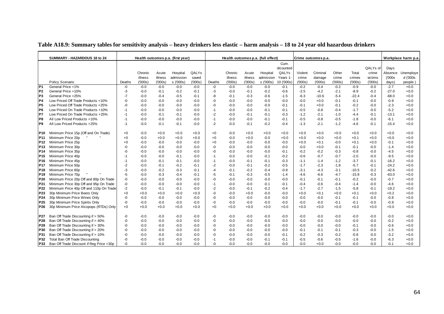|                 | SUMMARY - HAZARDOUS 18 to 24             |        |         |         | Health outcomes p.a. (first year) |        |        |         |         | Health outcomes p.a. (full effect) |            |         | Crime outcomes p.a. |        |         |          |         | Workplace harm p.a |
|-----------------|------------------------------------------|--------|---------|---------|-----------------------------------|--------|--------|---------|---------|------------------------------------|------------|---------|---------------------|--------|---------|----------|---------|--------------------|
|                 |                                          |        |         |         |                                   |        |        |         |         |                                    | Cum.       |         |                     |        |         |          |         |                    |
|                 |                                          |        |         |         |                                   |        |        |         |         |                                    | dicounted  |         |                     |        |         | QALYs of | Days    |                    |
|                 |                                          |        | Chronic | Acute   | Hospital                          | QALYs  |        | Chronic | Acute   | Hospital                           | QALYs      | Violent | Criminal            | Other  | Total   | crime    | Absence | Unemploye          |
|                 |                                          |        | illness | illness | admission                         | saved  |        | illness | illness | admission                          | Years 1    | crime   | damage              | crime  | crimes  | victims  | (000s   | d ('000s           |
|                 | Policy Scenario                          | Deaths | (000s)  | (000s)  | s ('000s)                         | (000s) | Deaths | (000s)  | (000s)  | s ('000s)                          | 10 ('000s) | (000s)  | (000s)              | (000s) | (000s)  | (000s)   | days)   | people             |
| P <sub>1</sub>  | General Price +1%                        | -0     | $-0.0$  | $-0.0$  | $-0.0$                            | $-0.0$ | -0     | $-0.0$  | $-0.0$  | $-0.0$                             | $-0.1$     | $-0.2$  | $-0.4$              | $-0.2$ | $-0.9$  | $-0.0$   | $-2.7$  | $+0.0$             |
| P <sub>2</sub>  | General Price +10%                       | -3     | $-0.0$  | $-0.1$  | $-0.2$                            | $-0.1$ | -3     | $-0.0$  | $-0.1$  | $-0.2$                             | $-0.6$     | $-2.5$  | $-4.2$              | $-2.1$ | $-8.9$  | $-0.2$   | $-27.0$ | $+0.0$             |
| P3              | General Price +25%                       | $-7$   | $-0.0$  | $-0.4$  | $-0.5$                            | $-0.1$ | -8     | $-0.1$  | $-0.3$  | $-0.6$                             | $-1.5$     | $-6.3$  | $-10.6$             | $-5.4$ | $-22.4$ | $-0.4$   | $-68.0$ | $+0.0$             |
| P4              | Low Priced Off Trade Products +10%       | -0     | $-0.0$  | $-0.0$  | $-0.0$                            | $-0.0$ | -0     | $-0.0$  | $-0.0$  | $-0.0$                             | $-0.0$     | $-0.0$  | $+0.0$              | $-0.1$ | $-0.1$  | $-0.0$   | $-0.9$  | $+0.0$             |
| P <sub>5</sub>  | Low Priced Off Trade Products +25%       | -0     | -0.0    | $-0.0$  | $-0.0$                            | $-0.0$ | -0     | $-0.0$  | $-0.0$  | $-0.0$                             | $-0.1$     | $-0.1$  | $+0.0$              | $-0.1$ | $-0.2$  | $-0.0$   | $-2.3$  | $+0.0$             |
| P <sub>6</sub>  | Low Priced On Trade Products +10%        | $-1$   | -0.0    | $-0.0$  | $-0.0$                            | $-0.0$ | -1     | $-0.0$  | $-0.0$  | $-0.1$                             | $-0.1$     | $-0.5$  | $-0.8$              | $-0.4$ | $-1.7$  | -0.0     | $-5.2$  | $+0.0$             |
| P7              | Low Priced On Trade Products +25%        | $-1$   | $-0.0$  | $-0.1$  | $-0.1$                            | $-0.0$ | $-2$   | $-0.0$  | $-0.1$  | $-0.1$                             | $-0.3$     | $-1.2$  | $-2.1$              | $-1.0$ | $-4.4$  | $-0.1$   | $-13.1$ | $+0.0$             |
| P8              | All Low Priced Products +10%             | $-1$   | $-0.0$  | $-0.0$  | $-0.0$                            | $-0.0$ | $-1$   | $-0.0$  | $-0.0$  | $-0.1$                             | $-0.1$     | $-0.5$  | $-0.8$              | $-0.5$ | $-1.8$  | -0.0     | $-6.1$  | $+0.0$             |
| P9              | All Low Priced Products +25%             | $-1$   | $-0.0$  | $-0.1$  | $-0.1$                            | $-0.0$ | $-2$   | $-0.0$  | $-0.1$  | $-0.2$                             | $-0.4$     | $-1.3$  | $-2.1$              | $-1.2$ | $-4.6$  | $-0.1$   | $-15.4$ | $+0.0$             |
| P10             | Minimum Price 15p (Off and On Trade)     | $+0$   | $-0.0$  | $+0.0$  | $+0.0$                            | $+0.0$ | $+0$   | $-0.0$  | $+0.0$  | $+0.0$                             | $+0.0$     | $+0.0$  | $+0.0$              | $+0.0$ | $+0.0$  | $+0.0$   | $+0.0$  | $+0.0$             |
| P <sub>11</sub> | Minimum Price 20p                        | +0     | $-0.0$  | $+0.0$  | $+0.0$                            | $+0.0$ | $+0$   | $-0.0$  | $+0.0$  | $-0.0$                             | $+0.0$     | $+0.0$  | $+0.0$              | $+0.0$ | $+0.1$  | $+0.0$   | $+0.0$  | $+0.0$             |
| P <sub>12</sub> | Minimum Price 25p                        | $+0$   | $-0.0$  | $-0.0$  | $-0.0$                            | $-0.0$ | $+0$   | $-0.0$  | $-0.0$  | $-0.0$                             | $-0.0$     | $+0.0$  | $+0.1$              | $-0.0$ | $+0.1$  | $+0.0$   | $-0.1$  | $+0.0$             |
| P <sub>13</sub> | Minimum Price 30p                        | -0     | -0.0    | $-0.0$  | $-0.0$                            | $-0.0$ | -0     | $-0.0$  | $-0.0$  | $-0.0$                             | $-0.0$     | -0.0    | $+0.0$              | $-0.1$ | $-0.1$  | $-0.0$   | $-1.4$  | $+0.0$             |
| P <sub>14</sub> | Minimum Price 35p                        | -0     | -0.0    | $-0.0$  | $-0.0$                            | $-0.0$ | -0     | $-0.0$  | $-0.0$  | $-0.0$                             | $-0.1$     | $-0.2$  | $-0.2$              | $-0.3$ | $-0.8$  | $-0.0$   | $-4.5$  | $+0.0$             |
| P <sub>15</sub> | Minimum Price 40p                        | $-1$   | $-0.0$  | $-0.0$  | $-0.1$                            | $-0.0$ | $-1$   | $-0.0$  | $-0.0$  | $-0.1$                             | $-0.2$     | $-0.6$  | $-0.7$              | $-0.7$ | $-2.0$  | $-0.0$   | $-9.5$  | $+0.0$             |
| P16             | Minimum Price 45p                        | $-1$   | -0.0    | $-0.1$  | $-0.1$                            | $-0.0$ | $-1$   | $-0.0$  | $-0.1$  | $-0.1$                             | $-0.3$     | $-1.1$  | $-1.4$              | $-1.2$ | $-3.7$  | -0.1     | $-16.2$ | $+0.0$             |
| P <sub>17</sub> | Minimum Price 50p                        | $-2$   | -0.0    | $-0.1$  | $-0.2$                            | $-0.1$ | -2     | $-0.0$  | $-0.1$  | $-0.2$                             | $-0.5$     | $-1.7$  | $-2.3$              | $-1.8$ | $-5.7$  | $-0.1$   | $-24.2$ | $+0.0$             |
| P <sub>18</sub> | Minimum Price 60p                        | -3     | $-0.0$  | $-0.2$  | $-0.3$                            | $-0.1$ | $-4$   | $-0.1$  | $-0.2$  | $-0.4$                             | $-0.9$     | $-3.1$  | $-4.3$              | $-3.1$ | $-10.5$ | $-0.2$   | $-42.6$ | $+0.0$             |
| P <sub>19</sub> | Minimum Price 70p                        | -5     | $-0.0$  | $-0.3$  | $-0.4$                            | $-0.1$ | -5     | $-0.1$  | $-0.3$  | $-0.5$                             | $-1.4$     | -4.6    | $-6.6$              | $-4.7$ | $-15.8$ | $-0.3$   | $-63.0$ | $+0.0$             |
| P20             | Minimum Price 20p Off and 80p On Trade   | $-0$   | $-0.0$  | $-0.0$  | $-0.0$                            | $-0.0$ | -0     | $-0.0$  | $-0.0$  | $-0.0$                             | $-0.0$     | $-0.1$  | $-0.1$              | $-0.1$ | $-0.2$  | $-0.0$   | $-0.7$  | $+0.0$             |
| P21             | Minimum Price 30p Off and 95p On Trade   | $-0$   | $-0.0$  | $-0.0$  | $-0.0$                            | $-0.0$ | $-1$   | $-0.0$  | $-0.0$  | $-0.1$                             | $-0.1$     | $-0.4$  | $-0.6$              | $-0.4$ | $-1.4$  | $-0.0$   | $-4.6$  | $+0.0$             |
| P22             | Minimum Price 40p Off and 110p On Trade  | $-2$   | -0.0    | $-0.1$  | $-0.1$                            | $-0.0$ | $-2$   | $-0.0$  | $-0.1$  | $-0.2$                             | $-0.4$     | $-1.7$  | $-2.7$              | $-1.5$ | $-5.8$  | $-0.1$   | $-19.2$ | $+0.0$             |
| P <sub>23</sub> | 30p Minimum Price Beers Only             | +0     | $+0.0$  | $+0.0$  | $+0.0$                            | $+0.0$ | -0     | $-0.0$  | $+0.0$  | $-0.0$                             | $-0.0$     | $+0.0$  | $+0.1$              | $+0.0$ | $+0.1$  | $+0.0$   | $+0.2$  | $+0.0$             |
| P <sub>24</sub> | 30p Minimum Price Wines Only             | -0     | $-0.0$  | $-0.0$  | $-0.0$                            | $-0.0$ | -0     | $-0.0$  | $-0.0$  | $-0.0$                             | $-0.0$     | $-0.0$  | $-0.0$              | $-0.1$ | $-0.1$  | $-0.0$   | $-0.8$  | $+0.0$             |
| P <sub>25</sub> | 30p Minimum Price Spirits Only           | -0     | $-0.0$  | $-0.0$  | $-0.0$                            | $-0.0$ | -0     | $-0.0$  | $-0.0$  | $-0.0$                             | $-0.0$     | $-0.0$  | $-0.0$              | $-0.1$ | $-0.1$  | $-0.0$   | $-0.9$  | $+0.0$             |
| P <sub>26</sub> | 30p Minimum Price Alcopops (RTDs) Only   | $+0$   | $+0.0$  | $+0.0$  | $+0.0$                            | $+0.0$ | $+0$   | $+0.0$  | $+0.0$  | $+0.0$                             | $+0.0$     | $+0.0$  | $+0.0$              | $+0.0$ | $+0.0$  | $+0.0$   | $+0.0$  | $+0.0$             |
| P27             | Ban Off Trade Discounting if > 50%       | -0     | $-0.0$  | $-0.0$  | $-0.0$                            | $-0.0$ | -0     | $-0.0$  | $-0.0$  | $-0.0$                             | $-0.0$     | $-0.0$  | $-0.0$              | $-0.0$ | $-0.0$  | $-0.0$   | $-0.0$  | $+0.0$             |
| P <sub>28</sub> | Ban Off Trade Discounting if > 40%       | -0     | -0.0    | $-0.0$  | $-0.0$                            | $-0.0$ | -0     | $-0.0$  | $-0.0$  | $-0.0$                             | $-0.0$     | -0.0    | $-0.0$              | $-0.0$ | $-0.0$  | $-0.0$   | $-0.2$  | $+0.0$             |
| P <sub>29</sub> | Ban Off Trade Discounting if > 30%       | -0     | $-0.0$  | $-0.0$  | $-0.0$                            | $-0.0$ | -0     | $-0.0$  | $-0.0$  | $-0.0$                             | $-0.0$     | $-0.0$  | $-0.0$              | $-0.0$ | $-0.1$  | $-0.0$   | $-0.6$  | $+0.0$             |
| P30             | Ban Off Trade Discounting if > 20%       | -0     | $-0.0$  | $-0.0$  | $-0.0$                            | $-0.0$ | $-0$   | $-0.0$  | $-0.0$  | $-0.0$                             | $-0.0$     | $-0.1$  | $-0.1$              | $-0.1$ | $-0.3$  | $-0.0$   | $-1.5$  | $+0.0$             |
| P31             | Ban Off Trade Discounting if > 10%       | -0     | $-0.0$  | $-0.0$  | $-0.0$                            | $-0.0$ | -0     | $-0.0$  | $-0.0$  | $-0.0$                             | $-0.1$     | $-0.2$  | $-0.3$              | $-0.2$ | $-0.8$  | $-0.0$   | $-3.2$  | $+0.0$             |
| P32             | Total Ban Off Trade Discounting          | -0     | $-0.0$  | $-0.0$  | $-0.0$                            | $-0.0$ | $-1$   | $-0.0$  | $-0.0$  | $-0.1$                             | $-0.1$     | $-0.5$  | $-0.6$              | $-0.5$ | $-1.6$  | $-0.0$   | $-6.3$  | $+0.0$             |
| P33             | Ban Off Trade Discount if Reg Price <30p | $-0$   | $-0.0$  | $-0.0$  | $-0.0$                            | $-0.0$ | -0     | $-0.0$  | $-0.0$  | $-0.0$                             | $-0.0$     | $-0.0$  | $+0.0$              | $-0.0$ | $-0.0$  | $-0.0$   | $-0.1$  | $+0.0$             |

### **Table A18.9: Summary tables for sensitivity analysis – heavy drinkers less elastic – harm analysis – 18 to 24 year old hazardous drinkers**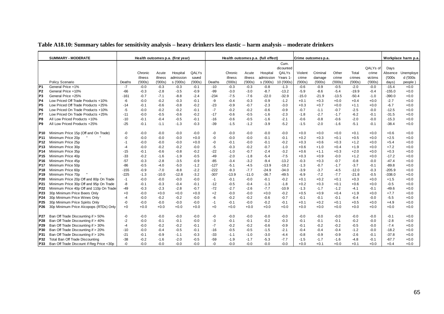|                 | <b>SUMMARY - MODERATE</b>                |        |         |         | Health outcomes p.a. (first year) |        |        |         |         | Health outcomes p.a. (full effect) |            |         | Crime outcomes p.a. |         |         |          |          | Workplace harm p.a. |
|-----------------|------------------------------------------|--------|---------|---------|-----------------------------------|--------|--------|---------|---------|------------------------------------|------------|---------|---------------------|---------|---------|----------|----------|---------------------|
|                 |                                          |        |         |         |                                   |        |        |         |         |                                    | Cum.       |         |                     |         |         |          |          |                     |
|                 |                                          |        |         |         |                                   |        |        |         |         |                                    | dicounted  |         |                     |         |         | QALYs of | Days     |                     |
|                 |                                          |        | Chronic | Acute   | Hospital                          | QALYs  |        | Chronic | Acute   | Hospital                           | QALYs      | Violent | Criminal            | Other   | Total   | crime    | Absence  | Unemploye           |
|                 |                                          |        | illness | illness | admission                         | saved  |        | illness | illness | admission                          | Years 1    | crime   | damage              | crime   | crimes  | victims  | (000s)   | d ('000s            |
|                 | Policy Scenario                          | Deaths | (000s)  | (000s)  | s ('000s)                         | (000s) | Deaths | (000s)  | (000s)  | s ('000s)                          | 10 ('000s) | (000s)  | (000s)              | ('000s) | (000s)  | (000s)   | days)    | people)             |
| P <sub>1</sub>  | General Price +1%                        | $-7$   | $-0.0$  | $-0.3$  | $-0.3$                            | $-0.1$ | $-10$  | $-0.3$  | $-0.3$  | $-0.8$                             | $-1.3$     | $-0.6$  | $-0.9$              | $-0.5$  | $-2.0$  | $-0.0$   | $-15.4$  | $+0.0$              |
| P <sub>2</sub>  | General Price +10%                       | $-66$  | $-0.3$  | $-2.8$  | $-3.5$                            | $-0.9$ | $-99$  | $-3.0$  | $-3.0$  | $-8.7$                             | $-13.2$    | $-5.9$  | $-8.6$              | $-5.4$  | $-19.9$ | $-0.4$   | $-155.0$ | $+0.0$              |
| P <sub>3</sub>  | General Price +25%                       | $-161$ | $-0.7$  | $-7.1$  | $-8.8$                            | $-2.4$ | $-234$ | $-7.5$  | $-7.6$  | $-22.0$                            | $-32.9$    | $-15.0$ | $-21.9$             | $-13.5$ | $-50.4$ | $-1.0$   | $-390.0$ | $+0.0$              |
| P <sub>4</sub>  | Low Priced Off Trade Products +10%       | -6     | $-0.0$  | $-0.2$  | $-0.3$                            | $-0.1$ | -9     | $-0.4$  | $-0.3$  | $-0.9$                             | $-1.2$     | $+0.1$  | $+0.3$              | $+0.0$  | $+0.4$  | $+0.0$   | $-2.7$   | $+0.0$              |
| P <sub>5</sub>  | Low Priced Off Trade Products +25%       | $-14$  | $-0.1$  | $-0.6$  | $-0.8$                            | $-0.2$ | $-23$  | $-0.9$  | $-0.7$  | $-2.3$                             | $-3.0$     | $+0.3$  | $+0.7$              | $+0.0$  | $+1.1$  | $+0.0$   | $-6.7$   | $+0.0$              |
| P <sub>6</sub>  | Low Priced On Trade Products +10%        | $-5$   | $-0.0$  | $-0.2$  | $-0.2$                            | $-0.1$ | $-7$   | $-0.2$  | $-0.2$  | $-0.6$                             | $-0.9$     | $-0.7$  | $-1.1$              | $-0.7$  | $-2.5$  | $-0.0$   | $-12.5$  | $+0.0$              |
| <b>P7</b>       | Low Priced On Trade Products +25%        | $-11$  | $-0.0$  | $-0.5$  | $-0.6$                            | $-0.2$ | $-17$  | $-0.6$  | $-0.5$  | $-1.6$                             | $-2.3$     | $-1.8$  | $-2.7$              | $-1.7$  | $-6.2$  | $-0.1$   | $-31.5$  | $+0.0$              |
| IP8             | All Low Priced Products +10%             | $-10$  | $-0.1$  | $-0.4$  | $-0.5$                            | $-0.1$ | $-16$  | $-0.6$  | $-0.5$  | $-1.6$                             | $-2.1$     | $-0.6$  | $-0.8$              | $-0.6$  | $-2.0$  | $-0.0$   | $-15.3$  | $+0.0$              |
| P <sub>9</sub>  | All Low Priced Products +25%             | $-25$  | $-0.1$  | $-1.1$  | $-1.3$                            | $-0.3$ | $-39$  | $-1.5$  | $-1.2$  | $-3.9$                             | $-5.2$     | $-1.5$  | $-2.0$              | $-1.6$  | $-5.1$  | $-0.1$   | $-38.4$  | $+0.0$              |
|                 |                                          |        |         |         |                                   |        |        |         |         |                                    |            |         |                     |         |         |          |          |                     |
| <b>P10</b>      | Minimum Price 15p (Off and On Trade)     | -0     | $-0.0$  | $-0.0$  | $-0.0$                            | $-0.0$ | -0     | $-0.0$  | $-0.0$  | $-0.0$                             | $-0.0$     | $+0.0$  | $+0.0$              | $+0.0$  | $+0.1$  | $+0.0$   | $+0.6$   | $+0.0$              |
| P <sub>11</sub> | Minimum Price 20p                        | -0     | $-0.0$  | $-0.0$  | $-0.0$                            | $+0.0$ | -0     | $-0.0$  | $-0.0$  | $-0.1$                             | $-0.1$     | $+0.2$  | $+0.3$              | $+0.1$  | $+0.5$  | $+0.0$   | $+2.5$   | $+0.0$              |
| P <sub>12</sub> | Minimum Price 25p                        | $-1$   | $-0.0$  | $-0.0$  | $-0.0$                            | $+0.0$ | -0     | $-0.1$  | -0.0    | $-0.1$                             | $-0.2$     | $+0.3$  | $+0.6$              | $+0.3$  | $+1.2$  | $+0.0$   | $+5.4$   | $+0.0$              |
| P <sub>13</sub> | Minimum Price 30p                        | -4     | $-0.0$  | $-0.2$  | $-0.2$                            | $-0.0$ | -5     | $-0.3$  | $-0.2$  | $-0.7$                             | $-1.0$     | $+0.6$  | $+1.0$              | $+0.4$  | $+1.9$  | $+0.0$   | $+7.2$   | $+0.0$              |
| P <sub>14</sub> | Minimum Price 35p                        | $-15$  | $-0.1$  | $-0.6$  | $-0.8$                            | $-0.2$ | $-22$  | $-1.0$  | $-0.7$  | $-2.4$                             | $-3.2$     | $+0.6$  | $+1.1$              | $+0.3$  | $+2.0$  | $+0.0$   | $+0.3$   | $+0.0$              |
| P <sub>15</sub> | Minimum Price 40p                        | -33    | $-0.2$  | $-1.6$  | $-1.9$                            | $-0.5$ | $-49$  | $-2.0$  | $-1.8$  | $-5.4$                             | $-7.5$     | $+0.3$  | $+0.9$              | $-0.0$  | $+1.2$  | $+0.0$   | $-17.2$  | $+0.0$              |
| P <sub>16</sub> | Minimum Price 45p                        | $-57$  | $-0.3$  | $-2.8$  | $-3.5$                            | $-0.9$ | $-85$  | $-3.4$  | $-3.2$  | $-9.4$                             | $-13.2$    | $-0.3$  | $+0.3$              | $-0.7$  | $-0.8$  | $-0.0$   | $-47.4$  | $+0.0$              |
| P <sub>17</sub> | Minimum Price 50p                        | $-86$  | $-0.5$  | $-4.0$  | $-5.0$                            | $-1.2$ | $-127$ | $-5.1$  | $-4.5$  | $-13.9$                            | $-19.2$    | $-1.3$  | $-0.7$              | $-1.7$  | $-3.7$  | $-0.1$   | $-89.8$  | $+0.0$              |
| P18             | Minimum Price 60p                        | $-155$ | $-0.9$  | $-7.0$  | $-8.8$                            | $-2.2$ | $-222$ | $-9.3$  | $-7.7$  | $-24.9$                            | $-34.0$    | $-3.9$  | $-3.7$              | $-4.5$  | $-12.0$ | $-0.3$   | $-205.9$ | $+0.0$              |
| P <sub>19</sub> | Minimum Price 70p                        | $-225$ | $-1.3$  | $-10.0$ | $-12.8$                           | $-3.2$ | $-307$ | $-13.9$ | $-11.0$ | $-36.7$                            | $-49.5$    | $-6.9$  | $-7.2$              | $-7.7$  | $-21.8$ | $-0.5$   | $-338.0$ | $+0.0$              |
| P <sub>20</sub> | Minimum Price 20p Off and 80p On Trade   | $-1$   | $-0.0$  | $-0.0$  | $-0.0$                            | $-0.0$ | $-1$   | $-0.1$  | $-0.0$  | $-0.1$                             | $-0.2$     | $+0.1$  | $+0.2$              | $+0.1$  | $+0.3$  | $+0.0$   | $+1.5$   | $+0.0$              |
| P21             | Minimum Price 30p Off and 95p On Trade   | -8     | $-0.1$  | $-0.3$  | $-0.4$                            | $-0.1$ | $-12$  | $-0.5$  | $-0.4$  | $-1.3$                             | $-1.8$     | $+0.2$  | $+0.3$              | $+0.1$  | $+0.6$  | $+0.0$   | $-0.5$   | $+0.0$              |
| P <sub>22</sub> | Minimum Price 40p Off and 110p On Trade  | $-49$  | $-0.3$  | $-2.3$  | $-2.8$                            | $-0.7$ | $-72$  | $-2.7$  | $-2.6$  | $-7.7$                             | $-10.9$    | $-1.3$  | $-1.7$              | $-1.2$  | $-4.1$  | $-0.1$   | $-49.6$  | $+0.0$              |
| P23             | 30p Minimum Price Beers Only             | +0     | $-0.0$  | $+0.0$  | $+0.0$                            | $+0.0$ | $+2$   | $-0.0$  | $-0.0$  | $+0.0$                             | $-0.2$     | $+0.5$  | $+0.9$              | $+0.4$  | $+1.9$  | $+0.0$   | $+7.7$   | $+0.0$              |
| P <sub>24</sub> | 30p Minimum Price Wines Only             | $-4$   | $-0.0$  | $-0.2$  | $-0.2$                            | $-0.0$ | -6     | $-0.2$  | $-0.2$  | $-0.6$                             | $-0.7$     | $-0.1$  | $-0.1$              | $-0.1$  | $-0.4$  | $-0.0$   | $-5.5$   | $+0.0$              |
| P <sub>25</sub> | 30p Minimum Price Spirits Only           | -0     | $-0.0$  | $-0.0$  | $-0.0$                            | $-0.0$ | $-1$   | $-0.1$  | -0.0    | $-0.2$                             | $-0.1$     | $+0.1$  | $+0.2$              | $+0.1$  | $+0.5$  | $+0.0$   | $+4.9$   | $+0.0$              |
| P <sub>26</sub> | 30p Minimum Price Alcopops (RTDs) Only   | $+0$   | $+0.0$  | $+0.0$  | $+0.0$                            | $+0.0$ | $+0$   | $+0.0$  | $+0.0$  | $+0.0$                             | $+0.0$     | $+0.0$  | $+0.0$              | $+0.0$  | $+0.0$  | $+0.0$   | $+0.0$   | $+0.0$              |
|                 |                                          |        |         |         |                                   |        |        |         |         |                                    |            |         |                     |         |         |          |          |                     |
| P27             | Ban Off Trade Discounting if > 50%       | -0     | $-0.0$  | $-0.0$  | $-0.0$                            | $-0.0$ | -0     | $-0.0$  | $-0.0$  | $-0.0$                             | $-0.0$     | $-0.0$  | $-0.0$              | $-0.0$  | $-0.0$  | $-0.0$   | $-0.1$   | $+0.0$              |
| P28             | Ban Off Trade Discounting if > 40%       | $-2$   | $-0.0$  | $-0.1$  | $-0.1$                            | $-0.0$ | -3     | $-0.1$  | -0.1    | $-0.2$                             | $-0.3$     | $-0.1$  | $-0.1$              | $-0.1$  | $-0.2$  | $-0.0$   | $-2.8$   | $+0.0$              |
| P29             | Ban Off Trade Discounting if > 30%       | $-4$   | $-0.0$  | $-0.2$  | $-0.2$                            | $-0.1$ | $-7$   | $-0.2$  | $-0.2$  | $-0.6$                             | $-0.9$     | $-0.1$  | $-0.2$              | $-0.2$  | $-0.5$  | $-0.0$   | $-7.4$   | $+0.0$              |
| P30             | Ban Off Trade Discounting if > 20%       | $-10$  | $-0.0$  | $-0.4$  | $-0.5$                            | $-0.1$ | $-16$  | $-0.5$  | $-0.5$  | $-1.5$                             | $-2.1$     | $-0.4$  | $-0.4$              | $-0.4$  | $-1.2$  | $-0.0$   | $-18.2$  | $+0.0$              |
| P31             | Ban Off Trade Discounting if > 10%       | $-21$  | $-0.1$  | $-0.9$  | $-1.1$                            | $-0.3$ | $-33$  | $-1.1$  | $-1.0$  | $-3.0$                             | $-4.4$     | $-0.8$  | $-0.9$              | $-0.9$  | $-2.6$  | $-0.1$   | $-37.8$  | $+0.0$              |
| P32             | Total Ban Off Trade Discounting          | $-38$  | $-0.2$  | $-1.6$  | $-2.0$                            | $-0.5$ | $-59$  | $-1.9$  | $-1.7$  | $-5.3$                             | $-7.7$     | $-1.5$  | $-1.7$              | $-1.6$  | $-4.8$  | $-0.1$   | $-67.7$  | $+0.0$              |
| P33             | Ban Off Trade Discount if Reg Price <30p | -0     | $-0.0$  | $-0.0$  | $-0.0$                            | $-0.0$ | $-0$   | $-0.0$  | $-0.0$  | $-0.0$                             | $-0.0$     | $+0.0$  | $+0.1$              | $+0.0$  | $+0.1$  | $+0.0$   | $+0.4$   | $+0.0$              |

### **Table A18.10: Summary tables for sensitivity analysis – heavy drinkers less elastic – harm analysis – moderate drinkers**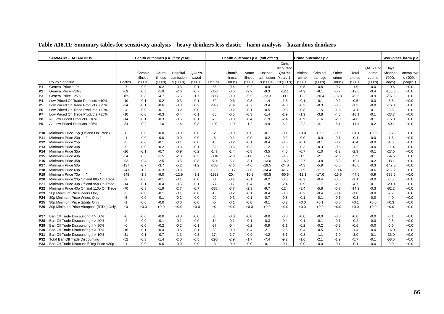|                 | <b>SUMMARY - HAZARDOUS</b>               |        |         |         | Health outcomes p.a. (first year) |        |         |         |         | Health outcomes p.a. (full effect) |            |         | Crime outcomes p.a. |         |         |          |          | Workplace harm p.a |
|-----------------|------------------------------------------|--------|---------|---------|-----------------------------------|--------|---------|---------|---------|------------------------------------|------------|---------|---------------------|---------|---------|----------|----------|--------------------|
|                 |                                          |        |         |         |                                   |        |         |         |         |                                    | Cum.       |         |                     |         |         |          |          |                    |
|                 |                                          |        |         |         |                                   |        |         |         |         |                                    | dicounted  |         |                     |         |         | QALYs of | Days     |                    |
|                 |                                          |        | Chronic | Acute   | Hospital                          | QALYs  |         | Chronic | Acute   | Hospital                           | QALYs      | Violent | Criminal            | Other   | Total   | crime    | Absence  | Unemploye          |
|                 |                                          |        | illness | illness | admission                         | saved  |         | illness | illness | admission                          | Years 1    | crime   | damage              | crime   | crimes  | victims  | (000s    | d ('000s           |
|                 | Policy Scenario                          | Deaths | (000s)  | (000s)  | s ('000s)                         | (000s) | Deaths  | (000s)  | (000s)  | s ('000s)                          | 10 ('000s) | (000s)  | (000s)              | (000s)  | (000s)  | (000s)   | days)    | people)            |
| P <sub>1</sub>  | General Price +1%                        | $-7$   | $-0.0$  | $-0.2$  | $-0.3$                            | $-0.1$ | $-38$   | $-0.4$  | $-0.2$  | $-0.9$                             | $-1.2$     | $-0.5$  | $-0.8$              | $-0.7$  | $-1.9$  | $-0.0$   | $-10.6$  | $+0.0$             |
| P <sub>2</sub>  | General Price +10%                       | $-69$  | $-0.3$  | $-1.9$  | $-2.6$                            | $-0.7$ | $-368$  | $-3.6$  | $-2.2$  | $-9.3$                             | $-12.1$    | $-4.9$  | $-8.1$              | $-6.7$  | $-19.6$ | $-0.4$   | $-106.0$ | $+0.0$             |
| P <sub>3</sub>  | General Price +25%                       | $-169$ | $-0.8$  | $-4.7$  | $-6.6$                            | $-1.7$ | $-898$  | $-9.0$  | $-5.5$  | $-23.3$                            | $-30.1$    | $-12.3$ | $-20.4$             | $-16.8$ | $-49.5$ | $-0.9$   | $-267.5$ | $+0.0$             |
| P4              | Low Priced Off Trade Products +10%       | $-10$  | $-0.1$  | $-0.2$  | $-0.3$                            | $-0.1$ | $-59$   | $-0.6$  | $-0.3$  | $-1.4$                             | $-1.6$     | $-0.1$  | $-0.1$              | $-0.2$  | $-0.5$  | $-0.0$   | $-6.5$   | $+0.0$             |
| P5              | Low Priced Off Trade Products +25%       | $-24$  | $-0.1$  | $-0.6$  | $-0.8$                            | $-0.2$ | $-143$  | $-1.4$  | $-0.7$  | $-3.4$                             | $-4.0$     | $-0.3$  | $-0.3$              | $-0.6$  | $-1.3$  | $-0.0$   | $-16.3$  | $+0.0$             |
| P <sub>6</sub>  | Low Priced On Trade Products +10%        | $-4$   | $-0.0$  | $-0.1$  | $-0.2$                            | $-0.0$ | $-20$   | $-0.2$  | $-0.1$  | $-0.5$                             | $-0.8$     | $-0.8$  | $-1.5$              | $-1.8$  | $-4.1$  | $-0.1$   | $-9.5$   | $+0.0$             |
| <b>P7</b>       | Low Priced On Trade Products +25%        | $-10$  | $-0.0$  | $-0.3$  | $-0.4$                            | $-0.1$ | $-50$   | $-0.5$  | $-0.3$  | $-1.4$                             | $-1.9$     | $-1.9$  | $-3.8$              | $-4.5$  | $-10.1$ | $-0.1$   | $-23.7$  | $+0.0$             |
| P8              | All Low Priced Products +10%             | -14    | $-0.1$  | $-0.3$  | $-0.5$                            | $-0.1$ | $-78$   | $-0.8$  | $-0.4$  | $-1.9$                             | $-2.4$     | $-0.9$  | $-1.6$              | $-2.0$  | $-4.6$  | $-0.1$   | $-16.0$  | $+0.0$             |
| P <sub>9</sub>  | All Low Priced Products +25%             | $-34$  | $-0.2$  | $-1.0$  | $-1.4$                            | $-0.3$ | $-192$  | $-1.9$  | $-1.2$  | $-4.9$                             | $-6.2$     | $-2.2$  | $-4.1$              | $-5.1$  | $-11.4$ | $-0.2$   | $-40.1$  | $+0.0$             |
|                 |                                          |        |         |         |                                   |        |         |         |         |                                    |            |         |                     |         |         |          |          |                    |
| P <sub>10</sub> | Minimum Price 15p (Off and On Trade)     | -0     | $-0.0$  | $-0.0$  | $-0.0$                            | $-0.0$ | $-2$    | $-0.0$  | $-0.0$  | $-0.1$                             | $-0.1$     | $+0.0$  | $+0.0$              | $-0.0$  | $+0.0$  | $+0.0$   | $-0.2$   | $+0.0$             |
| P <sub>11</sub> | Minimum Price 20p                        | $-1$   | $-0.0$  | $-0.0$  | $-0.0$                            | $-0.0$ | -6      | $-0.1$  | $-0.0$  | $-0.2$                             | $-0.2$     | $-0.0$  | $-0.0$              | $-0.1$  | $-0.1$  | $-0.0$   | $-1.5$   | $+0.0$             |
| <b>P12</b>      | Minimum Price 25p                        | -3     | $-0.0$  | $-0.1$  | $-0.1$                            | $-0.0$ | $-18$   | $-0.2$  | $-0.1$  | $-0.4$                             | $-0.6$     | $-0.1$  | $-0.1$              | $-0.2$  | $-0.4$  | $-0.0$   | $-4.3$   | $+0.0$             |
| P <sub>13</sub> | Minimum Price 30p                        | -9     | $-0.0$  | $-0.2$  | $-0.3$                            | $-0.1$ | $-52$   | $-0.5$  | $-0.3$  | $-1.2$                             | $-1.6$     | $-0.3$  | $-0.3$              | $-0.6$  | $-1.2$  | $-0.0$   | $-11.4$  | $+0.0$             |
| P <sub>14</sub> | Minimum Price 35p                        | $-26$  | $-0.1$  | $-0.7$  | $-0.9$                            | $-0.2$ | $-147$  | $-1.4$  | $-0.8$  | $-3.5$                             | $-4.5$     | $-0.7$  | $-1.0$              | $-1.2$  | $-2.9$  | $-0.1$   | $-27.6$  | $+0.0$             |
| P <sub>15</sub> | Minimum Price 40p                        | $-54$  | $-0.3$  | $-1.5$  | $-2.0$                            | $-0.5$ | $-304$  | $-2.9$  | $-1.8$  | $-7.6$                             | $-9.6$     | $-1.5$  | $-2.1$              | $-2.3$  | $-5.9$  | $-0.1$   | $-54.5$  | $+0.0$             |
| P <sub>16</sub> | Minimum Price 45p                        | $-92$  | $-0.4$  | $-2.5$  | $-3.5$                            | $-0.8$ | $-514$  | $-5.1$  | $-3.1$  | $-13.0$                            | $-16.2$    | $-2.7$  | $-3.8$              | $-3.9$  | $-10.4$ | $-0.2$   | $-93.1$  | $+0.0$             |
| P <sub>17</sub> | Minimum Price 50p                        | $-137$ | $-0.7$  | $-3.7$  | $-5.2$                            | $-1.2$ | $-766$  | $-7.6$  | $-4.6$  | $-19.5$                            | $-24.0$    | $-4.3$  | $-5.9$              | $-5.8$  | $-16.0$ | $-0.3$   | $-142.0$ | $+0.0$             |
| P18             | Minimum Price 60p                        | -241   | $-1.2$  | $-6.3$  | $-8.9$                            | $-2.2$ | $-1339$ | $-13.7$ | $-7.6$  | $-34.4$                            | $-41.7$    | $-7.9$  | $-11.1$             | $-10.4$ | $-29.5$ | $-0.6$   | $-262.2$ | $+0.0$             |
| P <sub>19</sub> | Minimum Price 70p                        | $-348$ | $-1.8$  | $-9.0$  | $-12.9$                           | $-3.1$ | $-1933$ | $-20.4$ | -10.9   | $-50.5$                            | $-60.6$    | $-12.1$ | $-17.0$             | $-15.5$ | $-44.6$ | $-0.9$   | $-396.6$ | $+0.0$             |
| P20             | Minimum Price 20p Off and 80p On Trade   | $-2$   | $-0.0$  | $-0.1$  | $-0.1$                            | $-0.0$ | -8      | $-0.1$  | $-0.1$  | $-0.2$                             | $-0.3$     | $-0.2$  | $-0.4$              | $-0.5$  | $-1.1$  | $-0.0$   | $-3.5$   | $+0.0$             |
| P21             | Minimum Price 30p Off and 95p On Trade   | $-14$  | $-0.1$  | $-0.4$  | $-0.5$                            | $-0.1$ | $-77$   | $-0.7$  | $-0.4$  | $-1.8$                             | $-2.4$     | -0.9    | $-1.7$              | $-2.0$  | $-4.7$  | $-0.1$   | $-20.0$  | $+0.0$             |
| P22             | Minimum Price 40p Off and 110p On Trade  | -70    | $-0.3$  | $-1.9$  | $-2.7$                            | $-0.7$ | $-388$  | $-3.7$  | $-2.3$  | $-9.7$                             | $-12.4$    | -3.4    | $-5.8$              | $-5.7$  | $-14.9$ | $-0.3$   | $-82.2$  | $+0.0$             |
| P23             | 30p Minimum Price Beers Only             | -3     | $-0.0$  | $-0.1$  | $-0.1$                            | $-0.0$ | $-16$   | $-0.2$  | $-0.1$  | $-0.4$                             | $-0.6$     | $-0.2$  | $-0.4$              | $-0.4$  | $-1.0$  | $-0.0$   | $-7.7$   | $+0.0$             |
| P24             | 30p Minimum Price Wines Only             | $-5$   | $-0.0$  | $-0.1$  | $-0.2$                            | $-0.0$ | $-29$   | $-0.3$  | $-0.1$  | $-0.7$                             | $-0.8$     | $-0.1$  | $-0.1$              | $-0.1$  | $-0.3$  | $-0.0$   | $-4.0$   | $+0.0$             |
| P <sub>25</sub> | 30p Minimum Price Spirits Only           | $-1$   | $-0.0$  | $-0.0$  | $-0.0$                            | $-0.0$ | -6      | $-0.1$  | $-0.0$  | $-0.1$                             | $-0.2$     | $+0.0$  | $+0.1$              | $-0.0$  | $+0.1$  | $+0.0$   | $+0.3$   | $+0.0$             |
| P <sub>26</sub> | 30p Minimum Price Alcopops (RTDs) Only   | $+0$   | $+0.0$  | $+0.0$  | $+0.0$                            | $+0.0$ | $+0$    | $+0.0$  | $+0.0$  | $+0.0$                             | $+0.0$     | $+0.0$  | $+0.0$              | $+0.0$  | $+0.0$  | $+0.0$   | $+0.0$   | $+0.0$             |
|                 |                                          |        |         |         |                                   |        |         |         |         |                                    |            |         |                     |         |         |          |          |                    |
| P27             | Ban Off Trade Discounting if > 50%       | -0     | $-0.0$  | $-0.0$  | $-0.0$                            | $-0.0$ | $-1$    | $-0.0$  | $-0.0$  | $-0.0$                             | $-0.0$     | -0.0    | $-0.0$              | $-0.0$  | $-0.0$  | $-0.0$   | $-0.1$   | $+0.0$             |
| P28             | Ban Off Trade Discounting if > 40%       | $-2$   | $-0.0$  | $-0.1$  | $-0.1$                            | $-0.0$ | $-14$   | $-0.1$  | $-0.1$  | $-0.3$                             | $-0.4$     | $-0.1$  | $-0.1$              | $-0.1$  | $-0.2$  | $-0.0$   | $-2.5$   | $+0.0$             |
| P29             | Ban Off Trade Discounting if > 30%       | -6     | $-0.0$  | $-0.2$  | $-0.2$                            | $-0.1$ | $-37$   | $-0.4$  | $-0.2$  | $-0.9$                             | $-1.1$     | $-0.2$  | $-0.2$              | $-0.2$  | $-0.6$  | $-0.0$   | $-6.6$   | $+0.0$             |
| P30             | Ban Off Trade Discounting if > 20%       | $-15$  | $-0.1$  | $-0.4$  | $-0.5$                            | $-0.1$ | $-89$   | $-0.9$  | $-0.4$  | $-2.1$                             | $-2.6$     | $-0.4$  | $-0.5$              | $-0.5$  | $-1.4$  | $-0.0$   | $-16.0$  | $+0.0$             |
| P31             | Ban Off Trade Discounting if > 10%       | $-31$  | $-0.1$  | $-0.7$  | $-1.1$                            | $-0.3$ | $-174$  | $-1.7$  | $-0.9$  | $-4.2$                             | $-5.1$     | $-0.8$  | $-1.1$              | $-1.0$  | $-3.0$  | $-0.1$   | $-33.0$  | $+0.0$             |
| P32             | Total Ban Off Trade Discounting          | $-52$  | $-0.3$  | $-1.4$  | $-2.0$                            | $-0.5$ | $-296$  | $-2.9$  | $-1.7$  | $-7.4$                             | $-9.2$     | $-1.6$  | $-2.1$              | $-1.9$  | $-5.7$  | $-0.1$   | $-58.5$  | $+0.0$             |
| P33             | Ban Off Trade Discount if Reg Price <30p | $-1$   | $-0.0$  | $-0.0$  | $-0.0$                            | $-0.0$ | $-3$    | $-0.0$  | $-0.0$  | $-0.1$                             | $-0.1$     | $-0.0$  | $-0.0$              | $-0.1$  | $-0.1$  | $-0.0$   | $-0.9$   | $+0.0$             |

### **Table A18.11: Summary tables for sensitivity analysis – heavy drinkers less elastic – harm analysis – hazardous drinkers**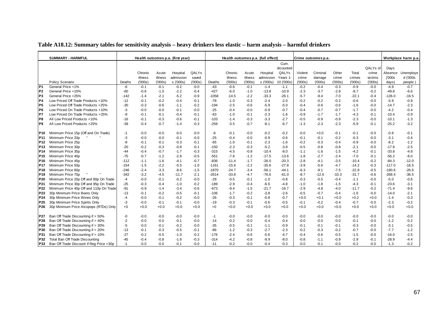|                 | <b>SUMMARY - HARMFUL</b>                 |        |         |         | Health outcomes p.a. (first year) |        |         |         |         | Health outcomes p.a. (full effect) |            |         | Crime outcomes p.a. |         |         |          |          | Workplace harm p.a |
|-----------------|------------------------------------------|--------|---------|---------|-----------------------------------|--------|---------|---------|---------|------------------------------------|------------|---------|---------------------|---------|---------|----------|----------|--------------------|
|                 |                                          |        |         |         |                                   |        |         |         |         |                                    | Cum.       |         |                     |         |         |          |          |                    |
|                 |                                          |        |         |         |                                   |        |         |         |         |                                    | dicounted  |         |                     |         |         | QALYs of | Days     |                    |
|                 |                                          |        | Chronic | Acute   | Hospital                          | QALYs  |         | Chronic | Acute   | Hospital                           | QALYs      | Violent | Criminal            | Other   | Total   | crime    | Absence  | Unemploye          |
|                 |                                          |        | illness | illness | admission                         | saved  |         | illness | illness | admission                          | Years 1    | crime   | damage              | crime   | crimes  | victims  | (000s    | d ('000s           |
|                 | Policy Scenario                          | Deaths | (000s)  | (000s)  | s ('000s)                         | (000s) | Deaths  | (000s)  | (000s)  | s ('000s)                          | 10 ('000s) | (000s)  | (000s)              | (000s)  | (000s)  | (000s)   | days)    | people)            |
| P <sub>1</sub>  | General Price +1%                        | -6     | $-0.1$  | $-0.1$  | $-0.2$                            | $-0.0$ | $-43$   | $-0.6$  | $-0.1$  | $-1.4$                             | $-1.1$     | $-0.2$  | $-0.4$              | $-0.3$  | $-0.9$  | $-0.0$   | $-4.9$   | $-0.7$             |
| P <sub>2</sub>  | General Price +10%                       | $-60$  | $-0.6$  | $-1.0$  | $-2.2$                            | $-0.4$ | $-427$  | $-6.0$  | $-1.0$  | $-13.8$                            | $-10.9$    | $-2.3$  | $-3.7$              | $-2.8$  | $-8.7$  | $-0.2$   | $-49.8$  | $-6.6$             |
| P <sub>3</sub>  | General Price +25%                       | $-142$ | $-1.4$  | $-2.1$  | $-5.2$                            | $-0.9$ | $-1058$ | $-14.5$ | $-2.2$  | $-33.3$                            | $-26.1$    | $-5.7$  | $-9.4$              | $-7.0$  | $-22.1$ | $-0.4$   | $-126.0$ | $-16.5$            |
| P4              | Low Priced Off Trade Products +10%       | $-12$  | $-0.1$  | $-0.2$  | $-0.4$                            | $-0.1$ | $-78$   | $-1.0$  | $-0.3$  | $-2.4$                             | $-2.0$     | $-0.2$  | $-0.2$              | $-0.2$  | $-0.6$  | $-0.0$   | $-5.9$   | $-0.9$             |
| P5              | Low Priced Off Trade Products +25%       | $-30$  | $-0.3$  | $-0.6$  | $-1.1$                            | $-0.2$ | $-194$  | $-2.5$  | $-0.6$  | $-5.9$                             | $-5.0$     | $-0.4$  | $-0.6$              | $-0.6$  | $-1.6$  | $-0.0$   | $-14.7$  | $-2.3$             |
| P <sub>6</sub>  | Low Priced On Trade Products +10%        | -3     | $-0.0$  | $-0.0$  | $-0.1$                            | $-0.0$ | $-25$   | $-0.4$  | $-0.0$  | $-0.9$                             | $-0.7$     | $-0.4$  | $-0.7$              | $-0.7$  | $-1.7$  | $-0.0$   | $-4.2$   | $-0.4$             |
| P7              | Low Priced On Trade Products +25%        | -8     | $-0.1$  | $-0.1$  | $-0.4$                            | $-0.1$ | $-63$   | $-1.0$  | $-0.1$  | $-2.3$                             | $-1.6$     | $-0.9$  | $-1.7$              | $-1.7$  | $-4.3$  | $-0.1$   | $-10.4$  | $-0.9$             |
| P8              | All Low Priced Products +10%             | $-16$  | $-0.1$  | $-0.3$  | $-0.6$                            | $-0.1$ | $-103$  | $-1.4$  | $-0.3$  | $-3.3$                             | $-2.7$     | $-0.5$  | $-0.9$              | $-0.9$  | $-2.3$  | $-0.0$   | $-10.1$  | $-1.3$             |
| P <sub>9</sub>  | All Low Priced Products +25%             | $-39$  | $-0.4$  | $-0.7$  | $-1.4$                            | $-0.3$ | $-259$  | $-3.5$  | $-0.7$  | $-8.1$                             | $-6.7$     | $-1.3$  | $-2.3$              | $-2.3$  | $-5.9$  | $-0.1$   | $-25.2$  | $-3.2$             |
|                 |                                          |        |         |         |                                   |        |         |         |         |                                    |            |         |                     |         |         |          |          |                    |
| P <sub>10</sub> | Minimum Price 15p (Off and On Trade)     | -1     | $-0.0$  | $-0.0$  | $-0.0$                            | $-0.0$ | -6      | $-0.1$  | $-0.0$  | $-0.2$                             | $-0.2$     | -0.0    | $+0.0$              | $-0.1$  | $-0.1$  | $-0.0$   | $-0.8$   | $-0.1$             |
| P <sub>11</sub> | Minimum Price 20p                        | -3     | $-0.0$  | $-0.0$  | $-0.1$                            | $-0.0$ | $-25$   | $-0.4$  | $-0.0$  | $-0.9$                             | $-0.6$     | $-0.1$  | $-0.1$              | $-0.2$  | $-0.3$  | $-0.0$   | $-3.1$   | $-0.4$             |
| <b>P12</b>      | Minimum Price 25p                        | -8     | $-0.1$  | $-0.1$  | $-0.3$                            | $-0.1$ | $-65$   | $-1.0$  | $-0.1$  | $-2.3$                             | $-1.6$     | $-0.2$  | $-0.3$              | $-0.4$  | $-0.9$  | $-0.0$   | $-8.2$   | $-1.2$             |
| P <sub>13</sub> | Minimum Price 30p                        | $-20$  | $-0.2$  | $-0.3$  | $-0.8$                            | $-0.1$ | $-150$  | $-2.3$  | $-0.3$  | $-5.2$                             | $-3.8$     | $-0.5$  | -0.8                | $-0.8$  | $-2.1$  | $-0.0$   | $-17.8$  | $-2.5$             |
| P <sub>14</sub> | Minimum Price 35p                        | $-44$  | $-0.4$  | $-0.7$  | $-1.7$                            | $-0.3$ | $-315$  | $-4.5$  | $-0.8$  | $-10.4$                            | $-8.0$     | $-1.1$  | $-1.6$              | $-1.5$  | $-4.2$  | $-0.1$   | $-33.8$  | $-4.8$             |
| P <sub>15</sub> | Minimum Price 40p                        | $-75$  | $-0.7$  | $-1.2$  | $-2.8$                            | $-0.5$ | $-551$  | $-7.6$  | $-1.2$  | $-17.5$                            | $-13.6$    | $-1.8$  | $-2.7$              | $-2.4$  | $-7.0$  | $-0.1$   | $-56.2$  | $-8.0$             |
| P <sub>16</sub> | Minimum Price 45p                        | $-112$ | $-1.1$  | $-1.6$  | $-4.1$                            | $-0.7$ | $-836$  | $-11.4$ | $-1.7$  | $-26.0$                            | $-20.3$    | $-2.8$  | $-4.1$              | $-3.5$  | $-10.4$ | $-0.2$   | $-84.3$  | $-12.0$            |
| P <sub>17</sub> | Minimum Price 50p                        | $-154$ | $-1.5$  | $-2.2$  | $-5.5$                            | $-1.0$ | -1161   | $-15.6$ | $-2.2$  | -35.6                              | $-27.8$    | $-3.9$  | $-5.6$              | $-4.7$  | $-14.2$ | $-0.3$   | $-117.0$ | $-16.5$            |
| P18             | Minimum Price 60p                        | $-246$ | $-2.4$  | $-3.3$  | $-8.6$                            | $-1.5$ | $-1870$ | $-24.7$ | $-3.4$  | $-56.1$                            | $-44.1$    | $-6.3$  | $-9.1$              | $-7.5$  | $-22.9$ | $-0.5$   | $-190.6$ | $-26.6$            |
| P <sub>19</sub> | Minimum Price 70p                        | $-342$ | $-3.2$  | $-4.5$  | -11.7                             | $-2.1$ | $-2614$ | $-33.8$ | -4.7    | $-76.6$                            | $-61.0$    | $-8.7$  | $-12.6$             | $-10.3$ | $-31.7$ | $-0.6$   | $-268.4$ | $-36.5$            |
| P <sub>20</sub> | Minimum Price 20p Off and 80p On Trade   | -4     | $-0.0$  | $-0.1$  | $-0.2$                            | $-0.0$ | $-29$   | $-0.5$  | $-0.1$  | $-1.0$                             | $-0.8$     | -0.3    | $-0.5$              | $-0.4$  | $-1.1$  | $-0.0$   | $-5.0$   | $-0.6$             |
| P21             | Minimum Price 30p Off and 95p On Trade   | $-25$  | $-0.3$  | $-0.4$  | $-1.0$                            | $-0.2$ | $-189$  | $-2.9$  | $-0.4$  | $-6.6$                             | -4.8       | $-1.0$  | $-1.8$              | $-1.5$  | $-4.3$  | $-0.1$   | $-23.6$  | $-3.1$             |
| P22             | Minimum Price 40p Off and 110p On Trade  | $-91$  | $-0.9$  | $-1.4$  | $-3.4$                            | $-0.6$ | $-673$  | $-9.4$  | $-1.5$  | $-21.7$                            | $-16.7$    | $-2.9$  | $-4.8$              | $-4.0$  | $-11.7$ | $-0.2$   | $-71.4$  | $-9.6$             |
| P <sub>23</sub> | 30p Minimum Price Beers Only             | $-13$  | $-0.1$  | $-0.2$  | $-0.5$                            | $-0.1$ | $-106$  | $-1.7$  | $-0.2$  | $-3.8$                             | $-2.6$     | $-0.5$  | $-0.7$              | $-0.4$  | $-1.6$  | $-0.0$   | $-14.0$  | $-2.1$             |
| P24             | 30p Minimum Price Wines Only             | -4     | $-0.0$  | $-0.1$  | $-0.2$                            | $-0.0$ | $-26$   | $-0.3$  | $-0.1$  | $-0.8$                             | $-0.7$     | $+0.0$  | $+0.1$              | $+0.0$  | $+0.2$  | $+0.0$   | $-1.4$   | $-0.3$             |
| P <sub>25</sub> | 30p Minimum Price Spirits Only           | -3     | $-0.0$  | $-0.1$  | $-0.1$                            | $-0.0$ | $-19$   | $-0.3$  | $-0.1$  | $-0.6$                             | $-0.5$     | $-0.1$  | $-0.2$              | $-0.4$  | $-0.7$  | $-0.0$   | $-2.3$   | $-0.2$             |
| P <sub>26</sub> | 30p Minimum Price Alcopops (RTDs) Only   | $+0$   | $+0.0$  | $+0.0$  | $+0.0$                            | $+0.0$ | $+0$    | $+0.0$  | $+0.0$  | $+0.0$                             | $+0.0$     | $+0.0$  | $+0.0$              | $+0.0$  | $+0.0$  | $+0.0$   | $+0.0$   | $+0.0$             |
|                 |                                          |        |         |         |                                   |        |         |         |         |                                    |            |         |                     |         |         |          |          |                    |
| P27             | Ban Off Trade Discounting if > 50%       | -0     | $-0.0$  | $-0.0$  | $-0.0$                            | $-0.0$ | $-1$    | $-0.0$  | $-0.0$  | $-0.0$                             | $-0.0$     | $-0.0$  | $-0.0$              | $-0.0$  | $-0.0$  | $-0.0$   | $-0.0$   | $-0.0$             |
| P28             | Ban Off Trade Discounting if > 40%       | $-2$   | $-0.0$  | $-0.0$  | $-0.1$                            | $-0.0$ | $-14$   | $-0.2$  | $-0.0$  | $-0.4$                             | $-0.4$     | $-0.0$  | $-0.0$              | $-0.0$  | $-0.1$  | $-0.0$   | $-1.2$   | $-0.2$             |
| P29             | Ban Off Trade Discounting if > 30%       | $-5$   | $-0.0$  | $-0.1$  | $-0.2$                            | $-0.0$ | $-35$   | $-0.5$  | $-0.1$  | $-1.1$                             | $-0.9$     | -0.1    | $-0.1$              | $-0.1$  | $-0.3$  | $-0.0$   | $-3.1$   | $-0.5$             |
| P30             | Ban Off Trade Discounting if > 20%       | $-13$  | $-0.1$  | $-0.3$  | $-0.5$                            | $-0.1$ | $-86$   | $-1.2$  | $-0.3$  | $-2.7$                             | $-2.3$     | $-0.2$  | $-0.3$              | $-0.2$  | $-0.7$  | $-0.0$   | $-7.7$   | $-1.2$             |
| P31             | Ban Off Trade Discounting if > 10%       | $-27$  | $-0.2$  | $-0.5$  | $-1.0$                            | $-0.2$ | $-176$  | $-2.4$  | $-0.6$  | $-5.6$                             | $-4.7$     | $-0.4$  | $-0.6$              | $-0.5$  | $-1.5$  | $-0.0$   | $-16.0$  | $-2.5$             |
| P32             | Total Ban Off Trade Discounting          | $-45$  | $-0.4$  | $-0.8$  | $-1.6$                            | $-0.3$ | $-314$  | $-4.2$  | $-0.8$  | $-9.9$                             | $-8.0$     | $-0.8$  | $-1.1$              | $-0.9$  | $-2.9$  | $-0.1$   | $-28.9$  | $-4.4$             |
| P33             | Ban Off Trade Discount if Reg Price <30p | $-1$   | $-0.0$  | $-0.0$  | $-0.1$                            | $-0.0$ | $-11$   | $-0.2$  | $-0.0$  | $-0.4$                             | $-0.3$     | $-0.0$  | $-0.1$              | $-0.0$  | $-0.2$  | $-0.0$   | $-1.3$   | $-0.2$             |

### **Table A18.12: Summary tables for sensitivity analysis – heavy drinkers less elastic – harm analysis – harmful drinkers**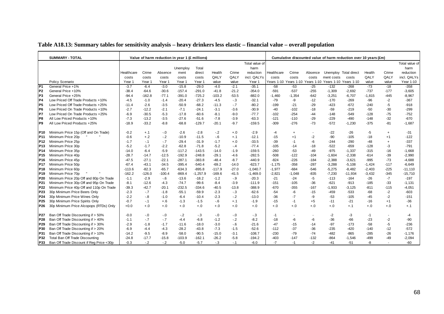|                 | <b>SUMMARY - TOTAL</b>                   |            |          | Value of harm reduction in year 1 (£ millions) |          |            |          |         |                |            |                          |         |                                                        | Cumulative discounted value of harm reduction over 10 years (£m) |          |                          |                |
|-----------------|------------------------------------------|------------|----------|------------------------------------------------|----------|------------|----------|---------|----------------|------------|--------------------------|---------|--------------------------------------------------------|------------------------------------------------------------------|----------|--------------------------|----------------|
|                 |                                          |            |          |                                                |          |            |          |         | Total value of |            |                          |         |                                                        |                                                                  |          |                          | Total value of |
|                 |                                          |            |          |                                                | Unemploy | Total      |          |         | harm           |            |                          |         |                                                        |                                                                  |          |                          | harm           |
|                 |                                          | Healthcare | Crime    | Absence                                        | ment     | direct     | Health   | Crime   | reduction      | Healthcare | Crime                    | Absence |                                                        | Unemploy Total direct                                            | Health   | Crime                    | reduction      |
|                 |                                          | costs      | costs    | costs                                          | costs    | costs      | QALY     | QALY    | incl. QALYs    | costs      | costs                    | costs   | ment costs                                             | costs                                                            | QALY     | QALY                     | incl. QALYs    |
|                 | Policy Scenario                          | Year 1     | Year 1   | Year 1                                         | Year 1   | Year 1     | value    | value   | Year 1         |            |                          |         | Years 1-10 Years 1-10 Years 1-10 Years 1-10 Years 1-10 |                                                                  | value    | value                    | Year 1-10      |
| $\overline{P1}$ | General Price +1%                        | $-3.7$     | $-6.4$   | $-3.0$                                         | $-15.8$  | $-29.0$    | $-4.0$   | $-2.1$  | $-35.1$        | $-58$      | $-53$                    | $-25$   | $-132$                                                 | $-268$                                                           | $-73$    | $-18$                    | $-358$         |
| P <sub>2</sub>  | General Price +10%                       | $-38.4$    | $-64.6$  | $-30.6$                                        | $-157.4$ | $-291.0$   | $-41.8$  | $-21.2$ | $-354.0$       | $-591$     | $-537$                   | $-255$  | $-1,309$                                               | $-2,692$                                                         | $-737$   | $-177$                   | $-3,605$       |
| P <sub>3</sub>  | General Price +25%                       | $-94.4$    | $-162.8$ | $-77.1$                                        | $-391.0$ | $-725.2$   | $-103.2$ | $-53.5$ | $-882.0$       | $-1,460$   | $-1,354$                 | $-642$  | $-3,251$                                               | $-6,707$                                                         | $-1,815$ | $-445$                   | $-8,967$       |
| P <sub>4</sub>  | Low Priced Off Trade Products +10%       | $-4.5$     | $-1.0$   | $-1.4$                                         | $-20.4$  | $-27.3$    | $-4.5$   | $-.3$   | $-32.1$        | $-79$      | -9                       | $-12$   | $-170$                                                 | $-269$                                                           | $-96$    | $-2$                     | $-367$         |
| IP <sub>5</sub> | Low Priced Off Trade Products +25%       | $-11.4$    | $-2.6$   | $-3.5$                                         | $-50.9$  | $-68.2$    | $-11.3$  | $-7$    | $-80.2$        | $-199$     | $-21$                    | $-29$   | $-423$                                                 | $-672$                                                           | $-240$   | -5                       | $-918$         |
| IP <sub>6</sub> | Low Priced On Trade Products +10%        | $-2.7$     | $-12.2$  | $-2.1$                                         | $-7.1$   | $-24.1$    | $-3.1$   | $-3.6$  | $-30.9$        | $-40$      | $-102$                   | $-18$   | $-59$                                                  | $-219$                                                           | $-50$    | $-30$                    | $-299$         |
| P7              | Low Priced On Trade Products +25%        | $-6.9$     | $-30.5$  | $-5.3$                                         | $-17.8$  | $-60.6$    | $-8.1$   | $-9.0$  | $-77.7$        | $-102$     | $-254$                   | $-44$   | $-148$                                                 | $-549$                                                           | $-128$   | $-75$                    | $-752$         |
| P8              | All Low Priced Products +10%             | $-7.3$     | $-13.2$  | $-3.5$                                         | $-27.6$  | $-51.6$    | $-7.8$   | $-3.9$  | $-63.3$        | $-121$     | $-110$                   | $-29$   | $-229$                                                 | $-490$                                                           | $-148$   | $-32$                    | $-670$         |
| P <sub>9</sub>  | All Low Priced Products +25%             | $-18.9$    | $-33.2$  | $-8.8$                                         | $-68.8$  | $-129.7$   | $-20.1$  | $-9.7$  | $-159.5$       | $-309$     | $-276$                   | $-73$   | $-572$                                                 | $-1,230$                                                         | $-375$   | $-81$                    | $-1,687$       |
|                 |                                          |            |          |                                                |          |            |          |         |                |            |                          |         |                                                        |                                                                  |          |                          |                |
| P10             | Minimum Price 15p (Off and On Trade)     | $-0.2$     | $+.1$    | $-0$                                           | $-2.6$   | $-2.8$     | $-.2$    | $+.0$   | $-2.9$         | $-4$       | $\ddot{}$                | $\sim$  | $-22$                                                  | -26                                                              | -5       | $^{+}$                   | $-31$          |
| P <sub>11</sub> | Minimum Price 20p                        | $-0.6$     | $+.2$    | $-.2$                                          | $-10.9$  | $-11.5$    | $-6$     | $+.1$   | $-12.1$        | $-15$      | $+1$                     | $-2$    | $-90$                                                  | $-105$                                                           | $-18$    | $+1$                     | $-122$         |
| P <sub>12</sub> | Minimum Price 25p                        | $-1.7$     | $-.1$    | $-.7$                                          | $-29.4$  | $-31.9$    | $-1.7$   | $+.0$   | $-33.5$        | $-39$      | $-1$                     | -6      | $-244$                                                 | $-290$                                                           | $-48$    | $\ddot{}$                | $-337$         |
| P <sub>13</sub> | Minimum Price 30p                        | $-5.2$     | $-1.7$   | $-2.2$                                         | $-62.8$  | $-71.8$    | $-5.2$   | $-4$    | $-77.4$        | $-105$     | $-14$                    | $-18$   | $-522$                                                 | $-659$                                                           | $-128$   | -3                       | $-791$         |
| P14             | Minimum Price 35p                        | $-14.0$    | $-6.4$   | $-5.9$                                         | $-117.2$ | $-143.5$   | $-14.0$  | $-1.9$  | $-159.5$       | $-260$     | $-53$                    | $-49$   | $-975$                                                 | $-1,337$                                                         | -315     | $-16$                    | $-1,668$       |
| P <sub>15</sub> | Minimum Price 40p                        | $-28.7$    | $-14.7$  | $-12.5$                                        | $-192.9$ | $-248.8$   | $-29.1$  | $-4.6$  | $-282.5$       | $-508$     | $-122$                   | $-104$  | $-1,604$                                               | $-2,338$                                                         | $-614$   | $-39$                    | $-2,990$       |
| P <sub>16</sub> | Minimum Price 45p                        | $-47.5$    | $-27.1$  | $-22.1$                                        | $-287.1$ | $-383.8$   | $-48.4$  | $-8.7$  | $-440.9$       | $-824$     | $-226$                   | $-184$  | $-2,388$                                               | $-3,621$                                                         | $-995$   | $-73$                    | $-4,688$       |
| P <sub>17</sub> | Minimum Price 50p                        | $-67.4$    | $-43.1$  | $-34.5$                                        | $-395.4$ | $-540.4$   | $-69.2$  | $-14.0$ | $-623.7$       | $-1,175$   | $-358$                   | $-287$  | $-3,288$                                               | $-5,108$                                                         | $-1,424$ | $-117$                   | $-6,649$       |
| P <sub>18</sub> | Minimum Price 60p                        | $-113.6$   | $-82.3$  | $-65.7$                                        | $-634.3$ | $-895.8$   | $-117.9$ | $-27.0$ | $-1,040.7$     | $-1,977$   | $-684$                   | $-546$  | $-5,275$                                               | $-8,482$                                                         | $-2,403$ | $-225$                   | -11,110        |
| P <sub>19</sub> | Minimum Price 70p                        | $-162.2$   | $-126.0$ | $-100.4$                                       | $-869.4$ | $-1,257.9$ | $-169.6$ | $-41.5$ | $-1,469.0$     | $-2,821$   | $-1,048$                 | $-835$  | $-7,230$                                               | $-11,934$                                                        | $-3,432$ | $-345$                   | $-15,710$      |
| P <sub>20</sub> | Minimum Price 20p Off and 80p On Trade   | $-1.1$     | $-2.9$   | $-6$                                           | $-13.6$  | $-18.2$    | $-1.2$   | $-9$    | $-20.3$        | $-21$      | $-24$                    | -5      | $-113$                                                 | $-164$                                                           | $-26$    | $-7$                     | $-197$         |
| P21             | Minimum Price 30p Off and 95p On Trade   | $-8.1$     | $-12.6$  | $-4.3$                                         | $-74.7$  | $-99.6$    | $-8.4$   | $-3.9$  | $-111.9$       | $-151$     | $-105$                   | $-36$   | $-621$                                                 | $-913$                                                           | -185     | $-33$                    | $-1,131$       |
| P <sub>22</sub> | Minimum Price 40p Off and 110p On Trade  | $-39.3$    | $-42.7$  | $-20.1$                                        | $-232.5$ | $-334.6$   | $-40.5$  | $-13.8$ | $-388.9$       | $-670$     | $-355$                   | $-167$  | $-1,933$                                               | $-3,125$                                                         | $-811$   | $-115$                   | $-4,051$       |
| P23             | 30p Minimum Price Beers Only             | $-2.3$     | $-.7$    | $-1.8$                                         | $-55.1$  | $-59.9$    | $-2.3$   | $-3$    | $-62.6$        | $-54$      | -6                       | $-15$   | $-459$                                                 | $-533$                                                           | -68      | $-2$                     | $-603$         |
| P24             | 30p Minimum Price Wines Only             | $-2.2$     | $-0.8$   | $-1.0$                                         | $-6.4$   | $-10.4$    | $-2.3$   | $-2$    | $-13.0$        | $-36$      | $-7$                     | -9      | $-53$                                                  | $-105$                                                           | $-45$    | $-2$                     | $-151$         |
| P <sub>25</sub> | 30p Minimum Price Spirits Only           | $-0.7$     | $-.1$    | $+.6$                                          | $-1.3$   | $-1.5$     | $-6$     | $+.1$   | $-1.9$         | $-15$      | $-1$                     | $+5$    | $-11$                                                  | $-21$                                                            | $-16$    | $+1$                     | $-36$          |
| P <sub>26</sub> | 30p Minimum Price Alcopops (RTDs) Only   | $+0.0$     | $+.0$    | $+.0$                                          | $+.0$    | $+.0$      | $+.0$    | $+.0$   | $+.0$          | $+.0$      | $+.0$                    | $+.0$   | $+.0$                                                  | $+.1$                                                            | $+.0$    | $+.0$                    | $+.1$          |
| P27             | Ban Off Trade Discounting if > 50%       | $-0.0$     | $-.0$    | $-.0$                                          | $-.2$    | $-.3$      | $-0$     | $-0$    | $-.3$          | $-1$       | $\overline{\phantom{a}}$ |         | $-2$                                                   | -3                                                               | $-1$     | $\overline{\phantom{a}}$ | $-4$           |
| P28             | Ban Off Trade Discounting if > 40%       | $-1.1$     | $-.7$    | $-7$                                           | $-4.4$   | $-6.8$     | $-1.2$   | $-2$    | $-8.2$         | $-18$      | -6                       | -6      | $-36$                                                  | $-66$                                                            | $-23$    | $-2$                     | $-90$          |
| P <sub>29</sub> | Ban Off Trade Discounting if > 30%       | $-2.9$     | $-1.8$   | $-1.7$                                         | $-11.6$  | $-18.0$    | $-3.0$   | $-6$    | $-21.6$        | $-47$      | $-15$                    | $-14$   | $-97$                                                  | $-173$                                                           | $-58$    | $-5$                     | $-236$         |
| P30             | Ban Off Trade Discounting if > 20%       | $-6.9$     | $-4.4$   | $-4.3$                                         | $-28.2$  | $-43.8$    | $-7.3$   | $-1.5$  | $-52.6$        | $-112$     | $-37$                    | $-36$   | $-235$                                                 | $-420$                                                           | $-140$   | $-12$                    | $-572$         |
| P31             | Ban Off Trade Discounting if > 10%       | $-14.2$    | $-9.5$   | $-8.9$                                         | $-58.0$  | $-90.5$    | $-15.0$  | $-3.1$  | $-108.7$       | $-230$     | $-79$                    | $-74$   | $-482$                                                 | $-865$                                                           | $-285$   | $-26$                    | $-1,176$       |
| P32             | Total Ban Off Trade Discounting          | $-24.8$    | $-17.7$  | $-15.8$                                        | $-103.9$ | $-162.1$   | $-26.2$  | $-5.8$  | $-194.2$       | $-403$     | $-147$                   | $-132$  | $-864$                                                 | $-1,546$                                                         | $-499$   | $-49$                    | $-2,094$       |
| P33             | Ban Off Trade Discount if Reg Price <30p | $-0.3$     | $-.2$    | $-.2$                                          | $-5.0$   | $-5.7$     | $-.3$    | $-1$    | $-6.0$         | $-7$       | $-1$                     | $-2$    | $-41$                                                  | $-51$                                                            | -8       |                          | -60            |

### **Table A18.13: Summary tables for sensitivity analysis – heavy drinkers less elastic – financial value – overall population**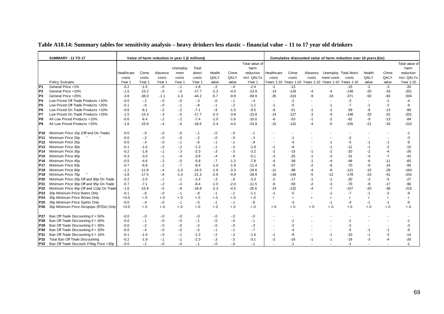|  | Table A18.14: Summary tables for sensitivity analysis – heavy drinkers less elastic – financial value – 11 to 17 year old drinkers |  |
|--|------------------------------------------------------------------------------------------------------------------------------------|--|
|  |                                                                                                                                    |  |

|                 | <b>SUMMARY - 11 TO 17</b>                |            |         | Value of harm reduction in year 1 (£ millions) |          |         |        |        |                |                          |           |           |                                             | Cumulative discounted value of harm reduction over 10 years (£m) |                |           |                |
|-----------------|------------------------------------------|------------|---------|------------------------------------------------|----------|---------|--------|--------|----------------|--------------------------|-----------|-----------|---------------------------------------------|------------------------------------------------------------------|----------------|-----------|----------------|
|                 |                                          |            |         |                                                |          |         |        |        | Total value of |                          |           |           |                                             |                                                                  |                |           | Total value of |
|                 |                                          |            |         |                                                | Unemploy | Total   |        |        | harm           |                          |           |           |                                             |                                                                  |                |           | harm           |
|                 |                                          | Healthcare | Crime   | Absence                                        | ment     | direct  | Health | Crime  | reduction      | Healthcare               | Crime     | Absence   | Unemploy Total direct                       |                                                                  | Health         | Crime     | reduction      |
|                 |                                          | costs      | costs   | costs                                          | costs    | costs   | QALY   | QALY   | incl. QALYs    | costs                    | costs     | costs     | ment costs                                  | costs                                                            | QALY           | QALY      | incl. QALYs    |
|                 | Policy Scenario                          | Year 1     | Year 1  | Year 1                                         | Year 1   | Year 1  | value  | value  | Year 1         | Years 1-10               |           |           | Years 1-10 Years 1-10 Years 1-10 Years 1-10 |                                                                  | value          | value     | Year 1-10      |
| P <sub>1</sub>  | General Price +1%                        | $-0.2$     | $-1.5$  | $-0$                                           | $-.1$    | $-1.8$  | $-.2$  | $-.4$  | $-2.4$         | $-1$                     | $-13$     |           |                                             | $-15$                                                            | $-2$           | $-3$      | $-20$          |
| IP <sub>2</sub> | General Price +10%                       | $-1.5$     | $-15.2$ | $-.5$                                          | $-5$     | $-17.7$ | $-2.3$ | $-4.0$ | $-23.9$        | $-14$                    | $-126$    | $-4$      | $-4$                                        | $-148$                                                           | $-20$          | $-33$     | $-201$         |
| P <sub>3</sub>  | General Price +25%                       | $-3.8$     | $-38.0$ | $-1.1$                                         | $-1.3$   | $-44.2$ | $-5.7$ | $-9.9$ | $-59.9$        | $-35$                    | $-316$    | -9        | $-10$                                       | $-371$                                                           | $-50$          | $-83$     | $-504$         |
| P4              | Low Priced Off Trade Products +10%       | $-0.0$     | $-.2$   | $-.0$                                          | $-0.0$   | $-3$    | $-0.0$ | $-1$   | $-4$           |                          | $-2$      |           |                                             | $-3$                                                             |                | $-1$      | -4             |
| P5              | Low Priced Off Trade Products +25%       | $-0.1$     | $-6$    | $-0$                                           | $-.1$    | $-8$    | $-.1$  | $-2$   | $-1.1$         | -1                       | $-5$      |           | $-1$                                        | $-7$                                                             | -1             | $-2$      | -9             |
| P6              | Low Priced On Trade Products +10%        | $-0.6$     | $-6.1$  | $-2$                                           | $-2$     | $-7.1$  | $-9$   | $-1.5$ | $-9.5$         | $-6$                     | $-51$     | -1        | $-2$                                        | $-59$                                                            | -8             | $-13$     | $-80$          |
| <b>P7</b>       | Low Priced On Trade Products +25%        | $-1.5$     | $-15.3$ | $-.4$                                          | $-5$     | $-17.7$ | $-2.3$ | $-3.8$ | $-23.8$        | $-14$                    | $-127$    | $-3$      | $-4$                                        | $-148$                                                           | $-20$          | $-32$     | $-201$         |
| IP8             | All Low Priced Products +10%             | $-0.6$     | $-6.4$  | $-2$                                           | $-2$     | $-7.4$  | $-1.0$ | $-1.6$ | $-10.0$        | $-6$                     | $-53$     | $-1$      | $-2$                                        | $-62$                                                            | -9             | $-13$     | $-84$          |
| P9              | All Low Priced Products +25%             | $-1.6$     | $-15.9$ | $-.4$                                          | $-6$     | $-18.5$ | $-2.4$ | $-4.0$ | $-24.9$        | $-15$                    | $-132$    | -4        | $-5$                                        | $-155$                                                           | $-21$          | $-33$     | $-210$         |
| P10             | Minimum Price 15p (Off and On Trade)     | $-0.0$     | $-.0$   | $-.0$                                          | $-0.0$   | $-1$    | $-0.0$ | $-0.0$ | $-1$           |                          |           |           |                                             |                                                                  |                |           | $-1$           |
| P11             | Minimum Price 20p                        | $-0.0$     | $-.2$   | $-.0$                                          | $-0.0$   | $-2$    | $-0.0$ | $-0.0$ | $-3$           |                          | $-1$      |           |                                             | $-2$                                                             |                |           | -3             |
| P <sub>12</sub> | Minimum Price 25p                        | $-0.0$     | $-.4$   | $-.0$                                          | $-.1$    | $-6$    | -. 1   | $-1$   | $-8$           |                          | -4        |           | $-1$                                        | -5                                                               | -1             | $-1$      | -6             |
| P13             | Minimum Price 30p                        | $-0.1$     | $-1.0$  | $-0$                                           | $-2$     | $-1.3$  | -. 1   | $-3$   | $-1.8$         | $-1$                     | -8        |           | $-1$                                        | $-11$                                                            | $-1$           | -2        | $-15$          |
| P14             | Minimum Price 35p                        | $-0.2$     | $-1.8$  | $-.1$                                          | $-3$     | $-2.3$  | $-3$   | $-5$   | $-3.2$         | $-2$                     | $-15$     | -1        | $-2$                                        | $-20$                                                            | $-2$           | -4        | $-26$          |
| P <sub>15</sub> | Minimum Price 40p                        | $-0.3$     | $-3.0$  | $-.1$                                          | $-.4$    | $-3.8$  | $-.4$  | $-9$   | $-5.1$         | -3                       | $-25$     | -1        | -3                                          | $-31$                                                            | $-4$           | $-7$      | $-42$          |
| P16             | Minimum Price 45p                        | $-0.5$     | $-4.6$  | $-.2$                                          | $-5$     | $-5.8$  | $-7$   | $-1.3$ | $-7.8$         | -4                       | $-39$     | $-1$      | -4                                          | -48                                                              | -6             | $-11$     | $-65$          |
| P17             | Minimum Price 50p                        | $-0.7$     | $-6.8$  | $-.2$                                          | $-.7$    | $-8.4$  | $-1.0$ | $-1.9$ | $-11.4$        | -6                       | $-57$     | $-2$      | -6                                          | $-70$                                                            | -9             | $-16$     | $-95$          |
| P18             | Minimum Price 60p                        | $-1.2$     | $-11.8$ | $-4$                                           | $-1.0$   | $-14.5$ | $-1.8$ | $-3.3$ | $-19.6$        | $-11$                    | $-98$     | -4        | -8                                          | $-121$                                                           | $-15$          | $-28$     | $-164$         |
| P19             | Minimum Price 70p                        | $-1.8$     | $-17.5$ | $-6$                                           | $-1.4$   | $-21.3$ | $-2.6$ | $-4.9$ | $-28.9$        | $-16$                    | $-146$    | -5        | $-12$                                       | $-178$                                                           | $-23$          | $-41$     | $-242$         |
| P20             | Minimum Price 20p Off and 80p On Trade   | $-0.2$     | $-2.0$  | $-1$                                           | $-.1$    | $-2.4$  | $-3$   | $-6$   | $-3.3$         | $-2$                     | $-17$     | $-1$      | $-1$                                        | $-20$                                                            | $-3$           | $-5$      | $-27$          |
| P21             | Minimum Price 30p Off and 95p On Trade   | $-0.7$     | $-7.1$  | $-2$                                           | $-.4$    | $-8.4$  | $-1.0$ | $-2.0$ | $-11.5$        | $-6$                     | $-59$     | $-2$      | -3                                          | $-70$                                                            | -9             | $-17$     | $-96$          |
| P22             | Minimum Price 40p Off and 110p On Trade  | $-1.6$     | $-15.9$ | $-.5$                                          | $-8$     | $-18.8$ | $-2.3$ | $-4.5$ | $-25.6$        | $-14$                    | $-132$    | -4        | $-7$                                        | $-157$                                                           | $-20$          | $-38$     | $-215$         |
| P <sub>23</sub> | 30p Minimum Price Beers Only             | $-0.1$     | $-6$    | $-.0$                                          | $-1$     | $-8$    | $-1$   | $-2$   | $-1.1$         | $-1$                     | $-5$      |           | $-1$                                        | $-7$                                                             | $-1$           | $-2$      | -9             |
| P24             | 30p Minimum Price Wines Only             | $+0.0$     | $+.0$   | $+.0$                                          | $+.0$    | $+.0$   | $+.0$  | $+.0$  | $+.0$          | $\ddot{}$                | $\ddot{}$ | $\ddot{}$ |                                             |                                                                  | $\overline{+}$ | $\ddot{}$ | $\ddot{}$      |
| P <sub>25</sub> | 30p Minimum Price Spirits Only           | $-0.0$     | $-.4$   | $-.0$                                          | $-.1$    | $-.5$   | $-.1$  | $-1$   | $-6$           | $\overline{\phantom{a}}$ | -3        | $\sim$    | $-1$                                        | -4                                                               | $-1$           | $-1$      | -5             |
| P26             | 30p Minimum Price Alcopops (RTDs) Only   | $+0.0$     | $+.0$   | $+.0$                                          | $+.0$    | $+.0$   | $+.0$  | $+.0$  | $+.0$          | $+.0$                    | $+.0$     | $+.0$     | $+.0$                                       | $+.0$                                                            | $+.0$          | $+.0$     | $+.0$          |
| P27             | Ban Off Trade Discounting if > 50%       | $-0.0$     | $-.0$   | $-0$                                           | $-0.0$   | $-0.0$  | $-0.$  | $-0$   | $-0$           |                          |           |           |                                             |                                                                  |                |           |                |
| P <sub>28</sub> | Ban Off Trade Discounting if > 40%       | $-0.0$     | $-1$    | $-0$                                           | $-0.0$   | $-.1$   | $-0.0$ | $-0$   | $-.1$          |                          | $-1$      |           |                                             | $-1$                                                             |                |           | -1             |
| P <sub>29</sub> | Ban Off Trade Discounting if > 30%       | $-0.0$     | $-.2$   | $-0$                                           | $-0.0$   | $-2$    | $-0.0$ | $-0$   | $-3$           |                          | $-2$      |           |                                             | -2                                                               |                |           | -3             |
| P30             | Ban Off Trade Discounting if > 20%       | $-0.0$     | $-.4$   | $-0$                                           | $-0.0$   | $-5$    | -. 1   | $-.1$  | $-7$           |                          | -4        |           |                                             | -5                                                               | -1             | $-1$      | -6             |
| P31             | Ban Off Trade Discounting if > 10%       | $-0.1$     | $-1.0$  | $-0$                                           | $-.1$    | $-1.2$  | $-2$   | $-3$   | $-1.6$         | -1                       | -8        |           | $-1$                                        | $-10$                                                            | $-1$           | -2        | $-14$          |
| P32             | Total Ban Off Trade Discounting          | $-0.2$     | $-1.9$  | $-.1$                                          | $-.1$    | $-2.3$  | $-3$   | $-5$   | $-3.1$         | $-2$                     | $-16$     | -1        | $-1$                                        | $-19$                                                            | -3             | -4        | $-26$          |
| P33             | Ban Off Trade Discount if Reg Price <30p | $-0.0$     | $-.1$   | $-0$                                           | $-0.0$   | $-.1$   | $-0.0$ | $-0$   | $-.1$          | $\overline{\phantom{a}}$ | -1        | $\sim$    | $\sim$                                      | -1                                                               |                |           | $-1$           |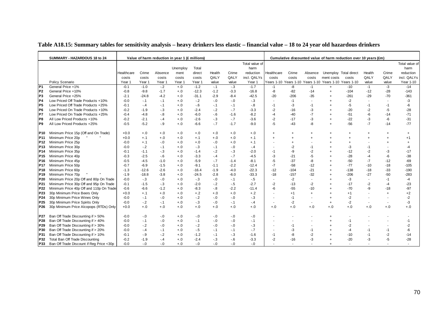|                        | SUMMARY - HAZARDOUS 18 to 24                             |            |                 | Value of harm reduction in year 1 (£ millions) |                |                  |                  |                |                   |                                  |                        |             |                                                        | Cumulative discounted value of harm reduction over 10 years (£m) |            |                          |                                          |
|------------------------|----------------------------------------------------------|------------|-----------------|------------------------------------------------|----------------|------------------|------------------|----------------|-------------------|----------------------------------|------------------------|-------------|--------------------------------------------------------|------------------------------------------------------------------|------------|--------------------------|------------------------------------------|
|                        |                                                          |            |                 |                                                |                |                  |                  |                |                   |                                  |                        |             |                                                        |                                                                  |            |                          |                                          |
|                        |                                                          |            |                 |                                                |                |                  |                  |                | Total value of    |                                  |                        |             |                                                        |                                                                  |            |                          | Total value of                           |
|                        |                                                          |            |                 |                                                | Unemploy       | Total            |                  |                | harm              |                                  |                        |             |                                                        |                                                                  |            |                          | harm                                     |
|                        |                                                          | Healthcare | Crime           | Absence                                        | ment           | direct           | Health           | Crime          | reduction         | Healthcare                       | Crime                  | Absence     | Unemploy Total direct                                  |                                                                  | Health     | Crime                    | reduction                                |
|                        |                                                          | costs      | costs           | costs                                          | costs          | costs            | QALY             | QALY           | incl. QALYs       | costs                            | costs                  | costs       | ment costs                                             | costs                                                            | QALY       | QALY                     | incl. QALYs                              |
| P <sub>1</sub>         | Policy Scenario<br>General Price +1%                     | Year 1     | Year 1          | Year 1                                         | Year 1         | Year 1           | value            | value          | Year 1            |                                  |                        |             | Years 1-10 Years 1-10 Years 1-10 Years 1-10 Years 1-10 |                                                                  | value      | value                    | Year 1-10                                |
|                        |                                                          | $-0.1$     | $-1.0$          | $-.2$                                          | $+.0$          | $-1.2$           | $-.1$            | $-3$           | $-1.7$            | $-1$                             | -8                     | $-1$        | $\ddot{}$                                              | -10                                                              | $-1$       | $-3$                     | $-14$                                    |
| P <sub>2</sub>         | General Price +10%                                       | $-0.8$     | $-9.8$          | $-1.7$                                         | $+.0$          | $-12.3$          | $-1.2$           | $-3.3$         | $-16.8$           | -8                               | $-82$                  | $-14$       | $\ddot{}$                                              | $-104$                                                           | $-12$      | $-28$                    | $-143$                                   |
| P <sub>3</sub><br>IP4  | General Price +25%<br>Low Priced Off Trade Products +10% | $-2.1$     | $-24.8$         | $-4.2$                                         | $+.0$          | $-31.1$          | $-2.9$<br>$-0.0$ | $-8.4$         | $-42.5$           | $-20$                            | $-206$                 | $-35$       |                                                        | $-261$                                                           | $-29$      | -70                      | $-361$                                   |
|                        |                                                          | $-0.0$     | $-.1$           | $-.1$                                          | $^{+.0}$       | $-2$             |                  | $-0.0$         | $-3$              | $\overline{\phantom{a}}$         | $-1$                   |             |                                                        | $-2$                                                             |            |                          | -3                                       |
| P5                     | Low Priced Off Trade Products +25%                       | -0.1       | $-.4$           | $-.1$                                          | $+.0$          | $-6$             | $-.1$            | -. 1           | $-8$              | $-1$                             | -3                     | -1          |                                                        | -5                                                               | -1         | -1                       | -6                                       |
| P6                     | Low Priced On Trade Products +10%                        | $-0.2$     | $-1.9$          | $-.3$                                          | $+.0$          | $-2.4$           | $-2$             | $-7$           | $-3.3$            | $-2$                             | $-16$                  | -3          |                                                        | $-20$                                                            | $-2$       | $-5$                     | $-28$                                    |
| P7                     | Low Priced On Trade Products +25%                        | -0.4       | $-4.8$          | $-8$                                           | $+.0$          | $-6.0$           | $-6$             | $-1.6$         | $-8.2$            | -4                               | $-40$                  | $-7$        |                                                        | $-51$                                                            | -6         | $-14$                    | $-71$                                    |
| P8                     | All Low Priced Products +10%                             | $-0.2$     | $-2.1$          | $-4$                                           | $+.0$          | $-2.6$           | $-3$             | $-7$           | $-3.6$            | $-2$                             | $-17$                  | $-3$        |                                                        | $-22$                                                            | -3         | -6                       | $-31$                                    |
| P9                     | All Low Priced Products +25%                             | $-0.5$     | $-5.2$          | $-9$                                           | $+.0$          | $-6.6$           | $-7$             | $-1.7$         | $-9.0$            | $-5$                             | $-43$                  | -8          |                                                        | $-56$                                                            | $-7$       | $-14$                    | $-77$                                    |
| P <sub>10</sub>        | Minimum Price 15p (Off and On Trade)                     | $+0.0$     | $+.0$           | $+.0$                                          |                |                  | $+.0$            |                |                   | $\ddot{}$                        |                        |             |                                                        |                                                                  |            | $\ddot{}$                |                                          |
| P <sub>11</sub>        | Minimum Price 20p                                        | $+0.0$     | $+.1$           | $+.0$                                          | $+.0$<br>$+.0$ | $+.0$<br>$+.1$   | $+.0$            | $+.0$<br>$+.0$ | $+.0$<br>$+.1$    | $\ddot{}$                        | $\ddot{}$<br>$\ddot{}$ |             |                                                        |                                                                  |            |                          | $\begin{array}{c} + \end{array}$<br>$+1$ |
|                        | Minimum Price 25p                                        | $-0.0$     | $+.1$           | $-.0$                                          | $^{+.0}$       | $+.0$            | $-0.0$           | $+.0$          |                   |                                  |                        |             |                                                        |                                                                  |            |                          |                                          |
| P12<br>P <sub>13</sub> | Minimum Price 30p                                        | $-0.0$     | $-.2$           |                                                |                |                  |                  | $-0.0$         | $+.1$             |                                  |                        | -1          |                                                        | -3                                                               |            |                          | $-4$                                     |
| P <sub>14</sub>        | Minimum Price 35p                                        | $-0.1$     | $-1.1$          | $-1$<br>$-3$                                   | $+.0$          | $-3$<br>$-1.4$   | $-.1$            | $-.3$          | $-4$<br>$-2.0$    | $\overline{\phantom{a}}$<br>$-1$ | -2<br>-9               | $-2$        |                                                        | $-12$                                                            | -1<br>$-2$ | -3                       | $-17$                                    |
| P <sub>15</sub>        | Minimum Price 40p                                        | $-0.3$     | $-2.5$          |                                                | $+.0$          |                  | $-2$             | $-7$           |                   |                                  |                        |             |                                                        |                                                                  |            | -6                       | $-38$                                    |
| P <sub>16</sub>        | Minimum Price 45p                                        | $-0.5$     | $-4.5$          | $-6$<br>$-1.0$                                 | $+.0$          | $-3.3$<br>$-5.9$ | -.4<br>$-.7$     | $-1.4$         | $-4.5$            | -3<br>$-5$                       | $-21$<br>$-37$         | $-5$        |                                                        | $-28$<br>$-50$                                                   | -4<br>$-7$ | $-12$                    | $-69$                                    |
| P <sub>17</sub>        | Minimum Price 50p                                        | $-0.7$     | $-6.9$          | $-1.5$                                         | $+.0$          | $-9.1$           | $-1.1$           | $-2.2$         | $-8.1$<br>$-12.4$ | $-7$                             | $-58$                  | -8<br>$-12$ |                                                        | $-77$                                                            | $-10$      | $-18$                    | $-105$                                   |
|                        |                                                          |            |                 | $-2.6$                                         | $+.0$          |                  |                  |                |                   | $-12$                            |                        |             |                                                        |                                                                  |            |                          |                                          |
| P18                    | Minimum Price 60p                                        | $-1.3$     | $-12.6$         |                                                | $+.0$          | $-16.4$          | $-1.9$           | $-4.0$         | $-22.3$           |                                  | $-104$                 | $-21$       |                                                        | $-138$                                                           | $-18$      | $-33$                    | $-190$                                   |
| P <sub>19</sub>        | Minimum Price 70p                                        | $-1.9$     | $-18.8$         | $-3.8$                                         | $+.0$          | $-24.5$          | $-2.8$           | $-6.0$         | $-33.3$           | $-18$                            | $-157$                 | $-32$       |                                                        | $-206$                                                           | $-27$      | $-50$                    | $-283$                                   |
| P <sub>20</sub>        | Minimum Price 20p Off and 80p On Trade                   | $-0.0$     | $-.3$<br>$-1.5$ | $-.0$                                          | $+.0$          | $-3$             | $-0.0$           | $-1$           | $-5$              | $\overline{\phantom{a}}$         | $-2$                   |             |                                                        | -3                                                               |            | $-1$                     | -4                                       |
| P21                    | Minimum Price 30p Off and 95p On Trade                   | $-0.1$     |                 | $-3$                                           | $+.0$          | $-2.0$           | $-2$             | $-5$           | $-2.7$            | $-2$<br>$-6$                     | $-13$                  | -2          |                                                        | $-17$<br>$-70$                                                   | $-2$<br>-9 | -4                       | $-23$                                    |
| P22                    | Minimum Price 40p Off and 110p On Trade                  | $-0.6$     | $-6.6$          | $-1.2$                                         | $+.0$          | $-8.3$           | $-8$             | $-2.2$         | $-11.4$           |                                  | $-55$                  | $-10$       |                                                        |                                                                  |            | -18                      | $-97$                                    |
| P23                    | 30p Minimum Price Beers Only                             | $+0.0$     | $+.1$           | $+.0$                                          | $+.0$          | $+.2$            | $+.0$            | $+.0$          | $+.2$             |                                  | $+1$                   | $\ddot{}$   |                                                        | $+1$                                                             |            | $+$                      | $+2$                                     |
| P24                    | 30p Minimum Price Wines Only                             | $-0.0$     | $-.1$           | $-.0$                                          | $+.0$          | $-2$             | $-0.0$           | $-0.0$         | $-.3$             | $\blacksquare$                   | $-1$                   |             |                                                        | $-2$                                                             |            |                          | $-2$                                     |
| P <sub>25</sub>        | 30p Minimum Price Spirits Only                           | $-0.0$     | $-2$            | $-.1$                                          | $^{+.0}$       | $-.3$            | $-0.0$           | $-1$           | $-.4$             | $\overline{\phantom{a}}$         | $-2$                   |             |                                                        | $-2$                                                             |            | $\overline{\phantom{a}}$ | $-3$                                     |
| P <sub>26</sub>        | 30p Minimum Price Alcopops (RTDs) Only                   | $+0.0$     | $+.0$           | $+.0$                                          | $^{+.0}$       | $+.0$            | $+.0$            | $+.0$          | $+.0$             | $+.0$                            | $+.0$                  | $+.0$       | $+.0$                                                  | $^{+.0}$                                                         | $+.0$      | $+.0$                    | $+.0$                                    |
| P27                    | Ban Off Trade Discounting if > 50%                       | $-0.0$     |                 |                                                |                |                  |                  |                |                   |                                  |                        |             |                                                        |                                                                  |            |                          |                                          |
|                        | Ban Off Trade Discounting if > 40%                       |            | $-.0$           | $-0$                                           | $+.0$          | $-0.0$           | $-0$             | $-0$           | $-0.0$            |                                  |                        |             |                                                        | -1                                                               |            |                          |                                          |
| P28                    |                                                          | $-0.0$     | $-.1$           | $-0$                                           | $+.0$          | $-1$             | $-0.0$           | $-0.0$         | $-.1$             |                                  |                        |             |                                                        |                                                                  |            |                          | -1                                       |
| P29                    | Ban Off Trade Discounting if > 30%                       | $-0.0$     | $-2$            | $-.0$                                          | $+.0$          | $-2$             | $-0.0$           | $-0.0$         | $-3$              |                                  | -1                     |             |                                                        | $-2$                                                             |            |                          | -2                                       |
| P30                    | Ban Off Trade Discounting if > 20%                       | $-0.0$     | $-.4$           | $-1$                                           | $+.0$          | $-5$             | $-.1$            | -. 1           | $-7$              | $\blacksquare$                   | -3                     | -1          |                                                        | -4                                                               | -1         | $-1$                     | -6                                       |
| P31                    | Ban Off Trade Discounting if > 10%                       | $-0.1$     | $-.9$           | $-2$                                           | $+.0$          | $-1.2$           | $-.1$            | $-3$           | $-1.6$            | $-1$                             | -8                     | $-2$        |                                                        | $-10$                                                            | -1         | $-2$                     | $-14$                                    |
| P32                    | Total Ban Off Trade Discounting                          | $-0.2$     | $-1.9$          | $-4$                                           | $+.0$          | $-2.4$           | $-3$             | $-6$           | $-3.3$            | -2                               | $-16$                  | -3          |                                                        | $-20$                                                            | $-3$       | -5                       | $-28$                                    |
| P33                    | Ban Off Trade Discount if Reg Price <30p                 | $-0.0$     | $-0$            | $-0$                                           | $+.0$          | $-0.0$           | $-0.0$           | $-0.1$         | $-0.0$            |                                  |                        |             |                                                        |                                                                  |            |                          |                                          |

### **Table A18.15: Summary tables for sensitivity analysis – heavy drinkers less elastic – financial value – 18 to 24 year old hazardous drinkers**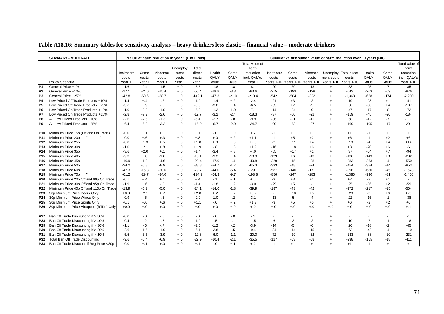| Table A18.16: Summary tables for sensitivity analysis - heavy drinkers less elastic - financial value - moderate drinkers |
|---------------------------------------------------------------------------------------------------------------------------|
|---------------------------------------------------------------------------------------------------------------------------|

|                 | <b>SUMMARY - MODERATE</b>                | Value of harm reduction in year 1 (£ millions) |          |         |          |          |         |         |                  |                          | Cumulative discounted value of harm reduction over 10 years (£m) |         |                                                        |                  |        |           |             |  |  |
|-----------------|------------------------------------------|------------------------------------------------|----------|---------|----------|----------|---------|---------|------------------|--------------------------|------------------------------------------------------------------|---------|--------------------------------------------------------|------------------|--------|-----------|-------------|--|--|
|                 |                                          | Total value of                                 |          |         |          |          |         |         |                  | Total value of           |                                                                  |         |                                                        |                  |        |           |             |  |  |
|                 |                                          |                                                |          |         | Unemploy | Total    |         |         | harm             |                          |                                                                  |         |                                                        |                  |        |           | harm        |  |  |
|                 |                                          | Healthcare                                     | Crime    | Absence | ment     | direct   | Health  | Crime   | reduction        | Healthcare               | Crime                                                            | Absence | Unemploy Total direct                                  |                  | Health | Crime     | reduction   |  |  |
|                 |                                          | costs                                          | costs    | costs   | costs    | costs    | QALY    | QALY    | incl. QALYs      | costs                    | costs                                                            | costs   | ment costs                                             | costs            | QALY   | QALY      | incl. QALYs |  |  |
|                 | Policy Scenario                          | Year 1                                         | Year 1   | Year 1  | Year 1   | Year 1   | value   | value   | Year 1           |                          |                                                                  |         | Years 1-10 Years 1-10 Years 1-10 Years 1-10 Years 1-10 |                  | value  | value     | Year 1-10   |  |  |
| P <sub>1</sub>  | General Price +1%                        | $-1.6$                                         | $-2.4$   | $-1.5$  | $+.0$    | $-5.5$   | $-1.8$  | $-.8$   | $-8.1$           | $-20$                    | $-20$                                                            | $-13$   | $\ddot{+}$                                             | $-53$            | $-25$  | $-7$      | $-85$       |  |  |
| P <sub>2</sub>  | General Price +10%                       | $-17.1$                                        | $-24.0$  | $-15.4$ | $+.0$    | $-56.4$  | $-18.8$ | $-8.3$  | $-83.6$          | $-215$                   | $-199$                                                           | $-128$  | $+$                                                    | $-543$           | $-263$ | -69       | $-876$      |  |  |
| P3              | General Price +25%                       | $-42.8$                                        | $-60.6$  | $-38.7$ | $+.0$    | $-142.1$ | $-47.3$ | $-21.0$ | $-210.4$         | $-542$                   | $-504$                                                           | $-322$  |                                                        | $-1,368$         | $-658$ | $-174$    | $-2,200$    |  |  |
| P <sub>4</sub>  | Low Priced Off Trade Products +10%       | $-1.4$                                         | $+.4$    | $-2$    | $+.0$    | $-1.2$   | $-1.4$  | $+.2$   | $-2.4$           | $-21$                    | $+3$                                                             | $-2$    |                                                        | $-19$            | $-23$  | $+1$      | $-41$       |  |  |
| P5              | Low Priced Off Trade Products +25%       | -3.6                                           | $+.9$    | $-5$    | $+.0$    | $-3.3$   | $-3.6$  | $+.4$   | $-6.5$           | $-53$                    | $+7$                                                             | -5      |                                                        | $-50$            | $-60$  | $+4$      | $-107$      |  |  |
| IP6             | Low Priced On Trade Products +10%        | $-1.0$                                         | $-2.9$   | $-1.0$  | $+.0$    | $-5.0$   | $-1.2$  | $-1.0$  | $-7.1$           | $-14$                    | $-24$                                                            | -9      |                                                        | $-47$            | $-17$  | -8        | $-72$       |  |  |
| <b>P7</b>       | Low Priced On Trade Products +25%        | $-2.8$                                         | $-7.2$   | $-2.6$  | $+.0$    | $-12.7$  | $-3.2$  | $-2.4$  | $-18.3$          | $-37$                    | $-60$                                                            | $-22$   |                                                        | $-119$           | -45    | $-20$     | $-184$      |  |  |
| P8              | All Low Priced Products +10%             | $-2.6$                                         | $-2.5$   | $-1.3$  | $+.0$    | $-6.4$   | $-2.7$  | $-8$    | $-9.9$           | $-36$                    | $-21$                                                            | $-11$   | $\overline{+}$                                         | $-68$            | $-42$  | $-7$      | $-117$      |  |  |
| P9              | All Low Priced Products +25%             | $-6.4$                                         | $-6.3$   | $-3.2$  | $+.0$    | $-15.9$  | $-6.7$  | $-2.0$  | $-24.7$          | $-90$                    | $-53$                                                            | $-27$   | $\overline{+}$                                         | $-169$           | $-105$ | $-17$     | $-291$      |  |  |
|                 |                                          |                                                |          |         |          |          |         |         |                  |                          |                                                                  |         |                                                        |                  |        |           |             |  |  |
| P10.            | Minimum Price 15p (Off and On Trade)     | $-0.0$                                         | $+.1$    | $+.1$   | $+.0$    | $+.1$    | $-.0$   | $+.0$   | $+.2$            | -1                       | $+1$                                                             | $+1$    | $\overline{+}$                                         | $+1$             | $-1$   | $\ddot{}$ | $\ddot{}$   |  |  |
| P11             | Minimum Price 20p                        | $-0.0$                                         | $+.6$    | $+.3$   | $+.0$    | $+.8$    | $+.0$   | $+.2$   | $+1.1$           | $-1$                     | $+5$                                                             | $+2$    |                                                        | $+6$             | $-1$   | $+2$      | $+6$        |  |  |
| P12             | Minimum Price 25p                        | $-0.0$                                         | $+1.3$   | $+.5$   | $+.0$    | $+1.8$   | $+.0$   | $+.5$   | $+2.3$           | $-2$                     | $+11$                                                            | $+4$    |                                                        | $+13$            | $-4$   | $+4$      | $+14$       |  |  |
| P13             | Minimum Price 30p                        | $-1.0$                                         | $+2.1$   | $+.8$   | $+.0$    | $+1.9$   | $-.8$   | $+.8$   | $+1.9$           | $-16$                    | $+18$                                                            | $+6$    |                                                        | $+8$             | -20    | $+6$      | -6          |  |  |
| P14             | Minimum Price 35p                        | -3.6                                           | $+2.0$   | $+.1$   | $+.0$    | $-1.4$   | $-3.4$  | $+.8$   | $-4.0$           | $-55$                    | $+17$                                                            | $+1$    |                                                        | $-37$            | $-64$  | $+7$      | $-94$       |  |  |
| P15             | Minimum Price 40p                        | $-9.3$                                         | $+.8$    | $-1.6$  | $+.0$    | $-10.1$  | $-9.2$  | $+.4$   | $-18.9$          | $-129$                   | $+6$                                                             | $-13$   | $\overline{+}$                                         | $-136$           | $-149$ | $+3$      | $-282$      |  |  |
| P16             | Minimum Price 45p                        | $-16.9$                                        | $-1.9$   | $-4.6$  | $+.0$    | $-23.4$  | $-17.0$ | $-.4$   | $-40.8$          | $-229$                   | $-15$                                                            | $-38$   | $\overline{+}$                                         | $-283$           | $-263$ | $-4$      | $-550$      |  |  |
| P17             | Minimum Price 50p                        | $-24.2$                                        | $-5.8$   | $-8.9$  | $+.0$    | $-38.8$  | $-24.7$ | $-1.7$  | $-65.3$          | $-333$                   | -48                                                              | $-74$   | $\overline{+}$                                         | $-454$           | $-384$ | $-14$     | $-853$      |  |  |
| P18             | Minimum Price 60p                        | $-42.3$                                        | $-16.8$  | $-20.6$ | $+.0$    | $-79.7$  | $-44.0$ | $-5.4$  | $-129.1$         | $-587$                   | $-140$                                                           | $-171$  | $\overline{+}$                                         | -898             | $-680$ | $-45$     | $-1,623$    |  |  |
| P19             | Minimum Price 70p                        | $-61.2$                                        | $-29.7$  | $-34.0$ | $+.0$    | $-124.9$ | $-64.3$ | $-9.7$  | $-198.8$         | $-856$                   | $-247$                                                           | $-283$  | $\overline{+}$                                         | $-1,386$         | $-990$ | $-81$     | $-2,456$    |  |  |
| P20             | Minimum Price 20p Off and 80p On Trade   | $-0.1$                                         | $+.4$    | $+.1$   | $+.0$    | $+.4$    | $-.1$   | $+.1$   | $+.5$            | $-3$                     | $+3$                                                             | $+1$    |                                                        | $+2$             | -3     | $+1$      | ٠           |  |  |
| P21             | Minimum Price 30p Off and 95p On Trade   | $-1.9$                                         | $+.6$    | $-0$    | $+.0$    | $-1.4$   | $-1.8$  | $+.2$   | $-3.0$           | $-29$                    | $+5$                                                             |         |                                                        | $-25$            | $-36$  | $+2$      | $-59$       |  |  |
| P22             | Minimum Price 40p Off and 110p On Trade  | $-13.9$                                        | $-5.2$   | $-5.0$  | $+.0$    | $-24.1$  | $-14.0$ | $-1.8$  | $-39.9$          | $-187$                   | $-43$                                                            | $-42$   |                                                        | $-272$           | $-217$ | $-15$     | $-504$      |  |  |
| P23             | 30p Minimum Price Beers Only             | $+0.0$                                         | $+2.1$   | $+.7$   | $+.0$    | $+2.8$   | $+.2$   | $+.7$   | $+3.7$           | $\overline{\phantom{a}}$ | $+18$                                                            | $+5$    | $\overline{+}$                                         | $+23$            | -3     | $+6$      | $+26$       |  |  |
| P24             | 30p Minimum Price Wines Only             | $-0.9$                                         | $-5$     | $-.5$   | $+.0$    | $-2.0$   | $-1.0$  | $-2$    | $-3.1$           | $-13$                    | $-5$                                                             | $-4$    |                                                        | $-22$            | $-15$  | $-1$      | $-38$       |  |  |
| P <sub>25</sub> | 30p Minimum Price Spirits Only           | $-0.1$                                         | $+.6$    | $+.6$   | $+.0$    | $+1.1$   | $-0.0$  | $+.2$   | $+1.3$           | $-3$                     | $+5$                                                             | $+5$    | $+$                                                    | $+6$             | $-2$   | $+2$      | $+6$        |  |  |
| P26             | 30p Minimum Price Alcopops (RTDs) Only   | $+0.0$                                         | $^{+.0}$ | $+.0$   | $+.0$    | $+.0$    | $+.0$   | $+.0$   | $+.0$            | $+.0$                    | $+.0$                                                            | $+.0$   | $+.0$                                                  | $+.0$            | $+.0$  | $+.0$     | $+.1$       |  |  |
|                 |                                          |                                                |          |         |          |          |         |         |                  |                          |                                                                  |         |                                                        |                  |        |           |             |  |  |
| P27             | Ban Off Trade Discounting if > 50%       | $-0.0$                                         | $-.0$    | $-.0$   | $+.0$    | -.0      | $-.0$   | $-0$    | $-.1$            |                          |                                                                  |         |                                                        |                  |        |           | $-1$        |  |  |
| P28             | Ban Off Trade Discounting if > 40%       | $-0.4$                                         | $-.2$    | $-3$    | $+.0$    | $-1.0$   | $-5$    | $-.1$   | $-1.5$           | -6                       | $-2$                                                             | $-2$    |                                                        | $-10$            | $-7$   | $-1$      | $-18$       |  |  |
| P <sub>29</sub> | Ban Off Trade Discounting if > 30%       | $-1.1$                                         | $-6$     | $-7$    | $+.0$    | $-2.5$   | $-1.2$  | $-.2$   | $-3.9$           | $-14$                    | $-5$                                                             | -6      |                                                        | $-26$            | $-18$  | $-2$      | $-45$       |  |  |
| P30             | Ban Off Trade Discounting if > 20%       | $-2.6$                                         | $-1.6$   | $-1.9$  | $+.0$    | $-6.1$   | $-2.8$  | $-5$    | $-9.4$           | $-34$                    | $-14$                                                            | $-15$   | $\overline{+}$                                         | $-63$            | $-42$  | $-4$      | $-110$      |  |  |
| P31             | Ban Off Trade Discounting if > 10%       | $-5.5$<br>$-9.6$                               | $-3.5$   | $-3.9$  | $+.0$    | $-12.8$  | $-6.0$  | $-1.1$  | $-20.0$          | $-72$                    | $-29$                                                            | $-32$   |                                                        | $-133$<br>$-238$ | $-88$  | $-10$     | $-231$      |  |  |
| P32             | Total Ban Off Trade Discounting          |                                                | $-6.4$   | $-6.9$  | $+.0$    | $-22.9$  | $-10.4$ | $-2.1$  | $-35.5$<br>$+.2$ | $-127$                   | $-53$                                                            | $-58$   |                                                        |                  | $-155$ | $-18$     | $-411$      |  |  |
| <b>P33</b>      | Ban Off Trade Discount if Reg Price <30p | $-0.0$                                         | $+.1$    | $+.0$   | $+.0$    | $+.1$    | $-0$    | $+.1$   |                  | $-1$                     | $+1$                                                             | $+$     | $\ddot{}$                                              | $+1$             | $-1$   | $+$       | $\ddot{}$   |  |  |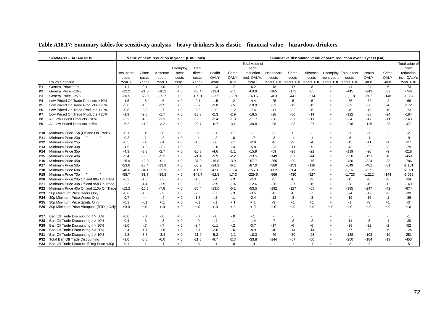|                 | <b>SUMMARY - HAZARDOUS</b>              | Value of harm reduction in year 1 (£ millions) |         |         |          |          |         |         |                | Cumulative discounted value of harm reduction over 10 years (£m) |                          |         |                                                        |                       |          |           |                |  |
|-----------------|-----------------------------------------|------------------------------------------------|---------|---------|----------|----------|---------|---------|----------------|------------------------------------------------------------------|--------------------------|---------|--------------------------------------------------------|-----------------------|----------|-----------|----------------|--|
|                 |                                         |                                                |         |         |          |          |         |         | Total value of |                                                                  |                          |         |                                                        |                       |          |           | Total value of |  |
|                 |                                         |                                                |         |         | Unemploy | Total    |         |         | harm           |                                                                  |                          |         |                                                        |                       |          |           | harm           |  |
|                 |                                         | Healthcare                                     | Crime   | Absence | ment     | direct   | Health  | Crime   | reduction      | Healthcare                                                       | Crime                    | Absence |                                                        | Unemploy Total direct | Health   | Crime     | reduction      |  |
|                 |                                         | costs                                          | costs   | costs   | costs    | costs    | QALY    | QALY    | incl. QALYs    | costs                                                            | costs                    | costs   | ment costs                                             | costs                 | QALY     | QALY      | incl. QALYs    |  |
|                 | Policy Scenario                         | Year 1                                         | Year 1  | Year 1  | Year 1   | Year 1   | value   | value   | Year 1         |                                                                  |                          |         | Years 1-10 Years 1-10 Years 1-10 Years 1-10 Years 1-10 |                       | value    | value     | Year 1-10      |  |
| P <sub>1</sub>  | General Price +1%                       | $-1.1$                                         | $-2.1$  | $-1.0$  | $+.0$    | $-4.2$   | $-1.3$  | $-7$    | $-6.2$         | $-18$                                                            | $-17$                    | -8      | $+$                                                    | $-44$                 | $-24$    | -6        | $-73$          |  |
| P <sub>2</sub>  | General Price +10%                      | $-12.2$                                        | $-21.0$ | $-10.2$ | $+.0$    | $-43.4$  | $-13.4$ | $-7.1$  | $-63.9$        | $-185$                                                           | $-175$                   | -85     | $+$                                                    | $-445$                | $-243$   | $-59$     | $-746$         |  |
| P <sub>3</sub>  | General Price +25%                      | $-30.5$                                        | $-53.0$ | $-25.7$ | $+.0$    | $-109.1$ | $-33.5$ | $-17.8$ | $-160.5$       | $-463$                                                           | $-441$                   | $-214$  |                                                        | $-1,118$              | $-602$   | $-148$    | $-1,867$       |  |
| P4              | Low Priced Off Trade Products +10%      | $-1.5$                                         | $-6$    | $-6$    | $+.0$    | $-2.7$   | $-1.5$  | $-2$    | $-4.4$         | $-25$                                                            | $-5$                     | $-5$    |                                                        | $-36$                 | $-32$    | $-2$      | $-69$          |  |
| P <sub>5</sub>  | Low Priced Off Trade Products +25%      | $-3.6$                                         | $-1.6$  | $-1.5$  | $+.0$    | $-6.7$   | $-3.8$  | $-5$    | $-10.9$        | $-63$                                                            | $-13$                    | $-12$   |                                                        | $-89$                 | $-80$    | $-4$      | $-172$         |  |
| IP6             | Low Priced On Trade Products +10%       | $-0.8$                                         | $-3.8$  | $-7$    | $+.0$    | $-5.3$   | $-9$    | $-1.2$  | $-7.4$         | $-11$                                                            | $-32$                    | -6      |                                                        | -49                   | $-15$    | $-10$     | $-73$          |  |
| IP7             | Low Priced On Trade Products +25%       | $-1.9$                                         | $-9.6$  | $-1.7$  | $+.0$    | $-13.3$  | $-2.3$  | $-2.9$  | $-18.5$        | $-28$                                                            | $-80$                    | $-14$   |                                                        | $-122$                | $-38$    | $-24$     | $-184$         |  |
| IP8             | All Low Priced Products +10%            | $-2.2$                                         | $-4.5$  | $-1.3$  | $+.0$    | $-8.0$   | $-2.4$  | $-1.3$  | $-11.7$        | $-36$                                                            | $-37$                    | $-11$   |                                                        | $-84$                 | $-47$    | $-11$     | $-143$         |  |
| P9              | All Low Priced Products +25%            | $-6.2$                                         | $-11.2$ | $-3.2$  | $+.0$    | $-20.7$  | $-6.7$  | $-3.4$  | $-30.8$        | $-98$                                                            | $-93$                    | $-27$   | $+$                                                    | $-218$                | $-125$   | $-28$     | $-371$         |  |
| P10             | Minimum Price 15p (Off and On Trade)    | $-0.1$                                         | $+.0$   | $-0.0$  | $+.0$    | $-.1$    | $-.1$   | $+.0$   | $-.1$          | $-1$                                                             | $\ddot{}$                |         |                                                        | -1                    | -1       | $\ddot{}$ | $-2$           |  |
| P <sub>11</sub> | Minimum Price 20p                       | $-0.2$                                         | -.1     | $-2$    | $+.0$    | $-.4$    | $-2$    | $-0.0$  | $-.7$          | -3                                                               | $-1$                     | $-1$    |                                                        | $-5$                  | $-4$     |           | -9             |  |
| P <sub>12</sub> | Minimum Price 25p                       | $-0.5$                                         | $-.4$   | $-.4$   | $+.0$    | $-1.3$   | $-6$    | $-1$    | $-2.0$         | -8                                                               | -3                       | $-4$    |                                                        | $-15$                 | $-11$    | $-1$      | $-27$          |  |
| P <sub>13</sub> | Minimum Price 30p                       | $-1.5$                                         | $-1.3$  | $-1.1$  | $+.0$    | $-3.9$   | $-1.6$  | $-.4$   | $-5.8$         | $-23$                                                            | $-11$                    | -9      |                                                        | -43                   | $-32$    | -3        | $-79$          |  |
| P <sub>14</sub> | Minimum Price 35p                       | $-4.3$                                         | $-3.3$  | $-2.7$  | $+.0$    | $-10.3$  | $-4.6$  | $-1.1$  | $-15.9$        | $-69$                                                            | $-28$                    | $-22$   |                                                        | $-119$                | $-90$    | -9        | $-218$         |  |
| P <sub>15</sub> | Minimum Price 40p                       | $-9.4$                                         | $-6.8$  | $-5.3$  | $+.0$    | $-21.4$  | $-9.9$  | $-2.2$  | $-33.5$        | $-149$                                                           | $-57$                    | -44     |                                                        | $-250$                | -191     | $-18$     | $-459$         |  |
| P16             | Minimum Price 45p                       | $-15.9$                                        | $-12.0$ | $-9.1$  | $+.0$    | $-37.0$  | $-16.8$ | $-3.9$  | $-57.7$        | $-255$                                                           | $-99$                    | $-75$   |                                                        | $-430$                | $-324$   | $-33$     | $-786$         |  |
| P <sub>17</sub> | Minimum Price 50p                       | $-23.6$                                        | $-18.4$ | $-13.9$ | $+.0$    | $-55.9$  | $-24.9$ | $-6.1$  | $-87.0$        | $-380$                                                           | $-153$                   | $-116$  |                                                        | $-649$                | $-481$   | $-51$     | $-1,181$       |  |
| P <sub>18</sub> | Minimum Price 60p                       | $-40.6$                                        | $-34.1$ | $-25.9$ | $+.0$    | $-100.6$ | $-43.0$ | $-11.4$ | $-155.0$       | $-662$                                                           | $-284$                   | $-215$  |                                                        | $-1,161$              | $-835$   | $-95$     | $-2,091$       |  |
| P19             | Minimum Price 70p                       | $-58.7$                                        | $-51.7$ | $-39.3$ | $+.0$    | $-149.7$ | $-62.5$ | $-17.3$ | $-229.6$       | $-966$                                                           | $-430$                   | $-327$  |                                                        | $-1,723$              | $-1,212$ | $-144$    | $-3,079$       |  |
| P <sub>20</sub> | Minimum Price 20p Off and 80p On Trade  | $-0.3$                                         | $-1.0$  | $-3$    | $+.0$    | $-1.6$   | $-.4$   | $-.3$   | $-2.3$         | $-5$                                                             | -8                       | $-3$    |                                                        | $-15$                 | -6       | -3        | $-24$          |  |
| P21             | Minimum Price 30p Off and 95p On Trade  | $-2.3$                                         | $-4.4$  | $-1.9$  | $+.0$    | $-8.6$   | $-2.5$  | $-1.4$  | $-12.6$        | $-36$                                                            | $-37$                    | $-15$   |                                                        | $-88$                 | $-49$    | $-12$     | $-149$         |  |
| P <sub>22</sub> | Minimum Price 40p Off and 110p On Trade | $-12.2$                                        | $-15.3$ | $-7.8$  | $+.0$    | $-35.4$  | $-13.0$ | $-5.1$  | $-53.5$        | $-192$                                                           | $-127$                   | -65     |                                                        | $-385$                | $-247$   | $-42$     | $-674$         |  |
| P <sub>23</sub> | 30p Minimum Price Beers Only            | $-0.6$                                         | $-1.0$  | $-9$    | $+.0$    | $-2.5$   | $-.7$   | $-3$    | $-3.5$         | -8                                                               | -8                       | $-7$    |                                                        | $-24$                 | $-12$    | -3        | $-39$          |  |
| P <sub>24</sub> | 30p Minimum Price Wines Only            | $-0.7$                                         | $-.4$   | $-.4$   | $+.0$    | $-1.5$   | $-.8$   | $-1$    | $-2.4$         | $-13$                                                            | -3                       | $-3$    |                                                        | $-19$                 | $-16$    | -1        | $-36$          |  |
| P <sub>25</sub> | 30p Minimum Price Spirits Only          | $-0.1$                                         | $+.1$   | $+.1$   | $+.0$    | $+.1$    | $-.1$   | $+.1$   | $+.1$          | -3                                                               | $+1$                     | $+1$    | $+$                                                    | $-1$                  | $-3$     | $+1$      | -3             |  |
| P26             | 30p Minimum Price Alcopops (RTDs) Only  | $+0.0$                                         | $+.0$   | $+.0$   | $+.0$    | $+.0$    | $+.0$   | $+.0$   | $+.0$          | $+.0$                                                            | $+.0$                    | $+.0$   | $+.0$                                                  | $+.0$                 | $+.0$    | $+.0$     | $+.0$          |  |
| P27             | Ban Off Trade Discounting if > 50%      | $-0.0$                                         | $-0.0$  | $-0.0$  | $+.0$    | $-0$     | $-.0$   | $-0.0$  | $-.1$          | ٠                                                                | $\overline{\phantom{a}}$ |         |                                                        |                       |          |           | -1             |  |
| P28             | Ban Off Trade Discounting if > 40%      | $-0.4$                                         | $-3$    | $-3$    | $+.0$    | -.9      | $-.4$   | $-.1$   | $-1.4$         | $-7$                                                             | -2                       | -2      |                                                        | $-11$                 | -8       | -1        | $-20$          |  |
| P <sub>29</sub> | Ban Off Trade Discounting if > 30%      | $-1.0$                                         | $-7$    | $-7$    | $+.0$    | $-2.4$   | $-1.1$  | $-2$    | $-3.7$         | $-17$                                                            | -6                       | -6      |                                                        | -28                   | $-22$    | -2        | $-52$          |  |
| P30             | Ban Off Trade Discounting if > 20%      | $-2.4$                                         | $-1.7$  | $-1.6$  | $+.0$    | $-5.7$   | $-2.6$  | $-6$    | $-8.9$         | $-40$                                                            | $-14$                    | $-14$   | $\ddot{}$                                              | $-67$                 | $-52$    | $-5$      | $-124$         |  |

**P31** Ban Off Trade Discounting if > 10% -4.8 -3.7 -3.4 +.0 -11.9 -5.2 -1.2 -18.3 -79 -30 -28 <sup>+</sup> -138 -103 -10 -251 **P32** Total Ban Off Trade Discounting -9.0 -6.8 -6.0 +.0 -21.8 -9.7 -2.3 -33.8 -144 -57 -50 <sup>+</sup> -250 -184 -19 -453 **P33** Ban Off Trade Discount if Reg Price <30p | -0.1 -.1 -.1 +.0 -.3 -.1 -.0 -.4 | -1 -1 -1 -1 + -3 -2 - - -5

## **Table A18.17: Summary tables for sensitivity analysis – heavy drinkers less elastic – financial value – hazardous drinkers**

 $\Gamma$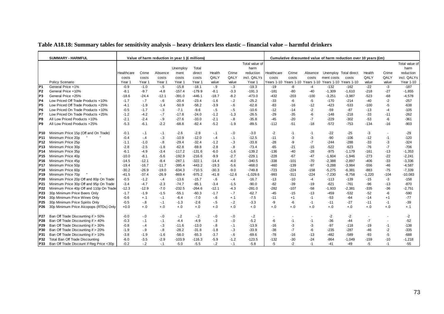| Table A18.18: Summary tables for sensitivity analysis – heavy drinkers less elastic – financial value – harmful drinkers |  |  |  |  |  |
|--------------------------------------------------------------------------------------------------------------------------|--|--|--|--|--|
|--------------------------------------------------------------------------------------------------------------------------|--|--|--|--|--|

|                 | <b>SUMMARY - HARMFUL</b>                 |            |         | Value of harm reduction in year 1 (£ millions) |          |          |         |         |                |            |                       |         |            | Cumulative discounted value of harm reduction over 10 years (£m) |          |                          |                |
|-----------------|------------------------------------------|------------|---------|------------------------------------------------|----------|----------|---------|---------|----------------|------------|-----------------------|---------|------------|------------------------------------------------------------------|----------|--------------------------|----------------|
|                 |                                          |            |         |                                                |          |          |         |         | Total value of |            |                       |         |            |                                                                  |          |                          | Total value of |
|                 |                                          |            |         |                                                | Unemploy | Total    |         |         | harm           |            |                       |         |            |                                                                  |          |                          | harm           |
|                 |                                          | Healthcare | Crime   | Absence                                        | ment     | direct   | Health  | Crime   | reduction      | Healthcare | Crime                 | Absence |            | Unemploy Total direct                                            | Health   | Crime                    | reduction      |
|                 |                                          | costs      | costs   | costs                                          | costs    | costs    | QALY    | QALY    | incl. QALYs    | costs      | costs                 | costs   | ment costs | costs                                                            | QALY     | QALY                     | incl. QALYs    |
|                 | Policy Scenario                          | Year 1     | Year 1  | Year *                                         | Year 1   | Year 1   | value   | value   | Year 1         | Years 1-10 | Years 1-10 Years 1-10 |         | Years 1-10 | Years 1-10                                                       | value    | value                    | Year 1-10      |
| P <sub>1</sub>  | General Price +1%                        | $-0.9$     | $-1.0$  | $-.5$                                          | $-15.8$  | $-18.1$  | $-.9$   | $-.3$   | $-19.3$        | $-19$      | -8                    | $-4$    | $-132$     | $-162$                                                           | $-22$    | $-3$                     | $-187$         |
| P <sub>2</sub>  | General Price +10%                       | $-8.1$     | $-9.7$  | $-4.8$                                         | $-157.4$ | $-179.9$ | $-8.1$  | $-3.3$  | $-191.3$       | $-181$     | $-80$                 | $-40$   | $-1,309$   | $-1,610$                                                         | $-218$   | $-27$                    | $-1,855$       |
| P <sub>3</sub>  | General Price +25%                       | $-18.6$    | $-24.4$ | $-12.1$                                        | $-391.0$ | $-446.1$ | $-18.7$ | $-8.2$  | $-473.0$       | $-432$     | $-203$                | $-100$  | $-3,251$   | $-3,987$                                                         | $-523$   | $-68$                    | $-4,578$       |
| P <sub>4</sub>  | Low Priced Off Trade Products +10%       | $-1.7$     | $-.7$   | $-6$                                           | $-20.4$  | $-23.4$  | $-1.6$  | $-2$    | $-25.2$        | $-33$      | -6                    | -5      | $-170$     | $-214$                                                           | $-40$    | $-2$                     | $-257$         |
| P5              | Low Priced Off Trade Products +25%       | $-4.1$     | $-1.9$  | $-1.4$                                         | $-50.9$  | $-58.2$  | $-3.9$  | $-6$    | $-62.8$        | $-83$      | -16                   | $-12$   | -423       | -533                                                             | $-100$   | $-5$                     | $-638$         |
| P <sub>6</sub>  | Low Priced On Trade Products +10%        | $-0.5$     | $-1.7$  | $-3$                                           | $-7.1$   | $-9.6$   | $-5$    | $-5$    | $-10.6$        | $-12$      | $-14$                 | $-2$    | $-59$      | $-87$                                                            | $-13$    | $-4$                     | $-105$         |
| P7              | Low Priced On Trade Products +25%        | $-1.2$     | $-4.2$  | $-7$                                           | $-17.8$  | $-24.0$  | $-1.2$  | $-1.3$  | $-26.5$        | -29        | $-35$                 | $-6$    | $-148$     | $-218$                                                           | -33      | $-11$                    | $-262$         |
| P8              | All Low Priced Products +10%             | $-2.1$     | $-2.4$  | $-9$                                           | $-27.6$  | $-33.0$  | $-2.1$  | $-8$    | $-35.8$        | $-45$      | $-20$                 | $-7$    | $-229$     | $-302$                                                           | $-53$    | -6                       | $-361$         |
| P9              | All Low Priced Products +25%             | $-5.3$     | $-6.1$  | $-2.2$                                         | $-68.8$  | $-82.4$  | $-5.2$  | $-1.9$  | $-89.5$        | $-112$     | $-51$                 | $-18$   | $-572$     | $-753$                                                           | $-134$   | $-16$                    | $-903$         |
| P10             | Minimum Price 15p (Off and On Trade)     | $-0.1$     | $-1$    | $-.1$                                          | $-2.6$   | $-2.9$   | $-.1$   | $-.0$   | $-3.0$         | -2         | $-1$                  | $-1$    | $-22$      | $-25$                                                            | $-3$     | $\blacksquare$           | $-29$          |
| P11             | Minimum Price 20p                        | $-0.4$     | $-.4$   | $-3$                                           | $-10.9$  | $-12.0$  | $-.4$   | $-1$    | $-12.5$        | $-11$      | $-3$                  | -3      | -90        | $-106$                                                           | $-12$    | $-1$                     | $-120$         |
| P12             | Minimum Price 25p                        | $-1.1$     | $-1.0$  | $-8$                                           | $-29.4$  | $-32.4$  | $-1.2$  | $-3$    | $-33.8$        | $-28$      | -9                    | $-7$    | $-244$     | $-288$                                                           | -33      | $-3$                     | $-324$         |
| P13             | Minimum Price 30p                        | $-2.8$     | $-2.5$  | $-1.8$                                         | $-62.8$  | $-69.8$  | $-2.8$  | $-.8$   | $-73.4$        | $-65$      | $-21$                 | $-15$   | $-522$     | $-623$                                                           | $-76$    | $-7$                     | $-706$         |
| P14             | Minimum Price 35p                        | $-6.1$     | $-4.9$  | $-3.4$                                         | $-117.2$ | $-131.6$ | $-6.0$  | $-1.6$  | $-139.2$       | $-136$     | $-40$                 | $-28$   | $-975$     | $-1.179$                                                         | $-161$   | $-13$                    | $-1,353$       |
| P <sub>15</sub> | Minimum Price 40p                        | $-10.0$    | $-8.1$  | $-5.6$                                         | $-192.9$ | $-216.6$ | $-9.9$  | $-2.7$  | $-229.1$       | $-228$     | $-67$                 | $-47$   | $-1.604$   | $-1,946$                                                         | $-273$   | $-22$                    | $-2,241$       |
| P16             | Minimum Price 45p                        | $-14.5$    | $-12.1$ | $-8.4$                                         | $-287.1$ | $-322.1$ | $-14.4$ | $-4.0$  | $-340.5$       | $-338$     | $-101$                | $-70$   | $-2,388$   | $-2,897$                                                         | $-406$   | $-33$                    | $-3,336$       |
| <b>P17</b>      | Minimum Price 50p                        | $-19.4$    | $-16.7$ | $-11.7$                                        | $-395.4$ | $-443.2$ | $-19.3$ | $-5.6$  | $-468.0$       | $-460$     | $-139$                | $-97$   | $-3.288$   | $-3.984$                                                         | -556     | $-46$                    | $-4,587$       |
| P18             | Minimum Price 60p                        | $-30.2$    | $-26.9$ | $-19.0$                                        | $-634.3$ | $-710.5$ | $-30.3$ | $-9.0$  | $-749.8$       | $-723$     | $-224$                | $-158$  | $-5,275$   | $-6,381$                                                         | $-883$   | $-75$                    | $-7,339$       |
| P19             | Minimum Price 70p                        | $-41.5$    | $-37.4$ | $-26.9$                                        | $-869.4$ | $-975.2$ | $-41.8$ | $-12.6$ | $-1,029.6$     | $-993$     | $-311$                | $-224$  | $-7,230$   | $-8,758$                                                         | $-1,220$ | $-104$                   | $-10,083$      |
| P <sub>20</sub> | Minimum Price 20p Off and 80p On Trade   | $-0.5$     | $-1.2$  | $-.4$                                          | $-13.6$  | $-15.7$  | $-6$    | $-.4$   | $-16.7$        | $-13$      | $-10$                 | $-4$    | $-113$     | $-139$                                                           | $-15$    | $-3$                     | $-158$         |
| P <sub>21</sub> | Minimum Price 30p Off and 95p On Trade   | $-3.4$     | $-4.7$  | $-2.3$                                         | $-74.7$  | $-85.1$  | $-3.4$  | $-1.5$  | $-90.0$        | $-82$      | $-39$                 | $-19$   | $-621$     | $-761$                                                           | $-96$    | $-13$                    | $-870$         |
| P22             | Minimum Price 40p Off and 110p On Trade  | $-12.3$    | $-12.9$ | $-7.0$                                         | $-232.5$ | $-264.6$ | $-12.1$ | $-4.3$  | $-281.0$       | $-282$     | $-107$                | $-58$   | $-1,933$   | $-2,381$                                                         | $-335$   | $-36$                    | $-2,751$       |
| P <sub>23</sub> | 30p Minimum Price Beers Only             | $-1.7$     | $-1.9$  | $-1.5$                                         | $-55.1$  | $-60.3$  | $-1.7$  | $-.7$   | $-62.7$        | $-45$      | $-15$                 | $-13$   | $-459$     | $-532$                                                           | $-52$    | $-6$                     | $-590$         |
| P <sub>24</sub> | 30p Minimum Price Wines Only             | $-0.6$     | $+.1$   | $-.1$                                          | $-6.4$   | $-7.0$   | $-6$    | $+.1$   | $-7.5$         | $-11$      | $+1$                  | $-1$    | $-53$      | $-64$                                                            | $-14$    | $+1$                     | $-77$          |
| P <sub>25</sub> | 30p Minimum Price Spirits Only           | $-0.5$     | $-8$    | $-.1$                                          | $-1.3$   | $-2.6$   | $-5$    | $-2$    | $-3.3$         | -9         | -6                    | $-1$    | $-11$      | $-27$                                                            | $-11$    | $-1$                     | $-39$          |
| P <sub>26</sub> | 30p Minimum Price Alcopops (RTDs) Only   | $+0.0$     | $+.0$   | $+.0$                                          | $+.0$    | $+.0$    | $+.0$   | $+.0$   | $+.0$          | $+.0$      | $+.0$                 | $+.0$   | $+.0$      | $+.0$                                                            | $+.0$    | $+.0$                    | $+.1$          |
| P27             | Ban Off Trade Discounting if > 50%       | $-0.0$     | $-0$    | $-0$                                           | $-2$     | $-2$     | $-0$    | $-0.5$  | $-2$           |            |                       |         | $-2$       | $-2$                                                             |          | $\overline{\phantom{a}}$ | $-2$           |
| P28             | Ban Off Trade Discounting if > 40%       | $-0.3$     | $-.1$   | $-.1$                                          | $-4.4$   | $-4.9$   | $-.3$   | $-0.5$  | $-5.2$         | -6         | $-1$                  | $-1$    | $-36$      | $-44$                                                            | $-7$     | $\sim$                   | $-52$          |
| P <sub>29</sub> | Ban Off Trade Discounting if > 30%       | $-0.8$     | $-.4$   | $-3$                                           | $-11.6$  | $-13.0$  | $-8$    | $-.1$   | $-13.9$        | $-16$      | -3                    | -3      | $-97$      | $-118$                                                           | $-19$    | $-1$                     | $-138$         |
| P30             | Ban Off Trade Discounting if > 20%       | $-1.9$     | $-9$    | $-8$                                           | $-28.2$  | $-31.8$  | $-1.8$  | $-3$    | $-33.9$        | -38        | $-7$                  | -6      | -235       | -287                                                             | -46      | $-2$                     | $-335$         |
| P31             | Ban Off Trade Discounting if > 10%       | $-3.8$     | $-1.9$  | $-1.6$                                         | $-58.0$  | $-65.3$  | $-3.7$  | $-6$    | $-69.6$        | $-78$      | $-16$                 | $-13$   | $-482$     | -589                                                             | $-93$    | $-5$                     | $-688$         |
| P32             | Total Ban Off Trade Discounting          | $-6.0$     | $-3.5$  | $-2.9$                                         | $-103.9$ | $-116.3$ | $-5.9$  | $-1.2$  | $-123.5$       | $-132$     | $-30$                 | $-24$   | $-864$     | $-1,049$                                                         | $-159$   | $-10$                    | $-1,218$       |
| <b>P33</b>      | Ban Off Trade Discount if Reg Price <30p | $-0.2$     | $-2$    | $-.1$                                          | $-5.0$   | $-5.5$   | $-2$    | $-.1$   | $-5.8$         | $-5$       | $-2$                  | $-1$    | $-41$      | $-49$                                                            | -5       | $-1$                     | $-55$          |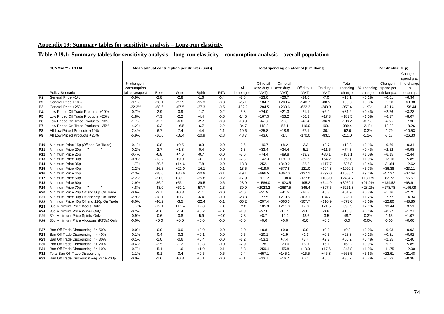# **Appendix 19: Summary tables for sensitivity analysis – Long-run elasticity**

# **Table A19.1: Summary tables for sensitivity analysis – long-run elasticity – consumption analysis – overall population**

|                 | <b>SUMMARY - TOTAL</b>                   |                 |         |         | Mean annual consumption per drinker (units) |            |           |               | Total spending on alcohol (£ millions) |              |             |           |            | Per drinker (£ p) |              |
|-----------------|------------------------------------------|-----------------|---------|---------|---------------------------------------------|------------|-----------|---------------|----------------------------------------|--------------|-------------|-----------|------------|-------------------|--------------|
|                 |                                          |                 |         |         |                                             |            |           |               |                                        |              |             |           |            |                   | Change in    |
|                 |                                          |                 |         |         |                                             |            |           |               |                                        |              |             |           |            |                   | spend p.a.   |
|                 |                                          | % change in     |         |         |                                             |            |           | Off retail    | On retail                              |              |             | Total     |            | Change in         | if no change |
|                 |                                          | consumption     |         |         |                                             |            | All       | $(exc duty +$ | (exc duty $+$                          | Off duty $+$ | On duty $+$ | spending  | % spending | spend per         | in           |
|                 | Policy Scenario                          | (all beverages) | Beer    | Wine    | Spirit                                      | <b>RTD</b> | beverages | VAT)          | VAT)                                   | <b>VAT</b>   | <b>VAT</b>  | change    | change     | drinker p.a.      | consump.     |
| P <sub>1</sub>  | General Price +1%                        | $-0.9%$         | $-2.8$  | $-2.8$  | $-1.6$                                      | $-0.4$     | $-7.6$    | $+23.0$       | $+26.7$                                | $-24.6$      | $-7.0$      | $+18.1$   | $+0.1%$    | $+0.61$           | $+6.34$      |
| P <sub>2</sub>  | General Price +10%                       | $-9.1%$         | $-28.1$ | $-27.9$ | $-15.3$                                     | $-3.8$     | $-75.1$   | $+184.7$      | $+200.4$                               | $-248.7$     | $-80.5$     | $+56.0$   | $+0.3%$    | $+1.90$           | $+63.38$     |
| P <sub>3</sub>  | General Price +25%                       | $-22.2%$        | $-68.6$ | $-67.5$ | $-37.3$                                     | $-9.5$     | $-182.9$  | $+284.5$      | $+233.6$                               | $-632.3$     | $-243.3$    | $-357.4$  | $-1.9%$    | $-12.14$          | $+158.44$    |
| P <sub>4</sub>  | Low Priced Off Trade Products +10%       | $-0.7%$         | $-2.9$  | $-0.9$  | $-1.7$                                      | $-0.2$     | $-5.8$    | $+74.0$       | $+21.3$                                | $-21.1$      | $+6.9$      | $+81.2$   | $+0.4%$    | $+2.76$           | $+3.23$      |
| P <sub>5</sub>  | Low Priced Off Trade Products +25%       | $-1.8%$         | $-7.3$  | $-2.2$  | $-4.4$                                      | $-0.6$     | $-14.5$   | $+167.3$      | $+53.2$                                | $-56.3$      | $+17.3$     | $+181.5$  | $+1.0%$    | $+6.17$           | $+8.07$      |
| P <sub>6</sub>  | Low Priced On Trade Products +10%        | $-1.7%$         | $-3.7$  | $-6.6$  | $-2.7$                                      | $-0.9$     | $-13.9$   | $-47.3$       | $-2.6$                                 | $-46.4$      | $-36.9$     | $-133.2$  | $-0.7%$    | $-4.53$           | $+7.30$      |
| P7              | Low Priced On Trade Products +25%        | $-4.2%$         | $-9.3$  | $-16.5$ | $-6.7$                                      | $-2.2$     | $-34.7$   | $-118.2$      | $-55.1$                                | $-116.0$     | $-100.1$    | $-389.4$  | $-2.1%$    | $-13.23$          | $+18.26$     |
| P8              | All Low Priced Products +10%             | $-2.4%$         | $-6.7$  | $-7.4$  | $-4.4$                                      | $-1.1$     | $-19.6$   | $+25.8$       | $+18.8$                                | $-67.1$      | $-30.1$     | $-52.6$   | $-0.3%$    | $-1.79$           | $+10.53$     |
| P <sub>9</sub>  | All Low Priced Products +25%             | $-5.9%$         | $-16.6$ | $-18.4$ | $-10.9$                                     | $-2.8$     | $-48.7$   | $+43.6$       | $-1.5$                                 | $-170.0$     | $-83.1$     | $-211.0$  | $-1.1%$    | $-7.17$           | $+26.33$     |
|                 |                                          |                 |         |         |                                             |            |           |               |                                        |              |             |           |            |                   |              |
| P10             | Minimum Price 15p (Off and On Trade)     | $-0.1%$         | $-0.8$  | $+0.5$  | $-0.3$                                      | $-0.0$     | $-0.6$    | $+10.7$       | $+8.2$                                 | $-2.3$       | $+2.7$      | $+19.3$   | $+0.1%$    | $+0.66$           | $+0.31$      |
| P <sub>11</sub> | Minimum Price 20p                        | $-0.2%$         | $-2.7$  | $+1.8$  | $-0.4$                                      | $-0.0$     | $-1.3$    | $+33.4$       | $+34.4$                                | $-5.1$       | $+11.5$     | $+74.3$   | $+0.4%$    | $+2.52$           | $+0.98$      |
| P <sub>12</sub> | Minimum Price 25p                        | $-0.4%$         | $-6.8$  | $+4.6$  | $-0.7$                                      | $-0.0$     | $-3.0$    | $+74.4$       | $+89.8$                                | $-13.3$      | $+30.1$     | $+181.1$  | $+1.0%$    | $+6.15$           | $+2.44$      |
| P <sub>13</sub> | Minimum Price 30p                        | $-0.9%$         | $-13.2$ | $+9.0$  | $-3.1$                                      | $-0.0$     | $-7.3$    | $+142.3$      | $+191.0$                               | $-39.6$      | $+64.2$     | $+358.0$  | $+1.9%$    | $+12.16$          | $+5.85$      |
| P <sub>14</sub> | Minimum Price 35p                        | $-1.7%$         | $-20.6$ | $+14.6$ | $-7.8$                                      | $-0.0$     | $-13.8$   | $+252.1$      | $+349.2$                               | $-82.2$      | $+117.7$    | $+636.8$  | $+3.4%$    | $+21.64$          | $+12.62$     |
| P <sub>15</sub> | Minimum Price 40p                        | $-2.2%$         | $-26.3$ | $+22.0$ | $-14.1$                                     | $-0.1$     | $-18.5$   | $+419.0$      | $+577.8$                               | $-121.0$     | $+194.8$    | $+1070.6$ | $+5.7%$    | $+36.38$          | $+23.11$     |
| P <sub>16</sub> | Minimum Price 45p                        | $-2.3%$         | $-28.6$ | $+30.6$ | $-20.9$                                     | $-0.1$     | $-19.1$   | $+666.5$      | $+867.0$                               | $-137.1$     | $+292.0$    | $+1688.4$ | $+9.1%$    | $+57.37$          | $+37.64$     |
| P <sub>17</sub> | Minimum Price 50p                        | $-2.2%$         | $-31.0$ | $+39.1$ | $-25.8$                                     | $-0.2$     | $-17.9$   | $+971.2$      | $+1198.4$                              | $-137.8$     | $+403.0$    | $+2434.7$ | $+13.1%$   | $+82.72$          | $+55.57$     |
| P <sub>18</sub> | Minimum Price 60p                        | $-2.9%$         | $-36.9$ | $+53.1$ | $-39.5$                                     | $-0.6$     | $-23.9$   | $+1586.0$     | $+1923.5$                              | $-195.2$     | $+644.9$    | $+3959.1$ | $+21.2%$   | $+134.52$         | $+98.61$     |
| P <sub>19</sub> | Minimum Price 70p                        | $-4.8%$         | $-43.0$ | $+62.1$ | $-57.7$                                     | $-1.3$     | $-39.9$   | $+2023.2$     | $+2687.5$                              | $-346.4$     | $+897.5$    | $+5261.8$ | $+28.2%$   | $+178.78$         | $+146.09$    |
| P <sub>20</sub> | Minimum Price 20p Off and 80p On Trade   | $-0.6%$         | $-3.7$  | $+0.3$  | $-1.1$                                      | $-0.0$     | $-4.6$    | $+21.9$       | $+41.5$                                | $-16.8$      | $+5.3$      | $+51.9$   | $+0.3%$    | $+1.76$           | $+2.75$      |
| P21             | Minimum Price 30p Off and 95p On Trade   | $-2.9%$         | $-18.1$ | $+0.7$  | $-6.4$                                      | $-0.0$     | $-23.8$   | $+77.5$       | $+219.5$                               | $-103.1$     | $+34.7$     | $+228.7$  | $+1.2%$    | $+7.77$           | $+14.34$     |
| P <sub>22</sub> | Minimum Price 40p Off and 110p On Trade  | $-8.0%$         | $-40.2$ | $-3.5$  | $-22.4$                                     | $-0.1$     | $-66.2$   | $+207.4$      | $+660.3$                               | $-307.7$     | $+110.9$    | $+671.0$  | $+3.6%$    | $+22.80$          | $+48.85$     |
| P23             | 30p Minimum Price Beers Only             | $+0.2%$         | $-12.1$ | $+11.4$ | $+2.8$                                      | $+0.0$     | $+2.0$    | $+105.3$      | $+211.8$                               | $+7.0$       | $+71.5$     | $+395.5$  | $+2.1%$    | $+13.44$          | $+3.51$      |
| P <sub>24</sub> | 30p Minimum Price Wines Only             | $-0.2%$         | $-0.6$  | $-1.4$  | $+0.2$                                      | $+0.0$     | $-1.8$    | $+27.0$       | $-10.4$                                | $-2.0$       | $-3.8$      | $+10.8$   | $+0.1%$    | $+0.37$           | $+1.27$      |
| P <sub>25</sub> | 30p Minimum Price Spirits Only           | $-0.9%$         | $-0.6$  | $-0.8$  | $-5.9$                                      | $+0.0$     | $-7.3$    | $+8.7$        | $-10.4$                                | $-43.6$      | $-3.5$      | $-48.7$   | $-0.3%$    | $-1.65$           | $+1.07$      |
| P <sub>26</sub> | 30p Minimum Price Alcopops (RTDs) Only   | $-0.0%$         | $+0.0$  | $+0.0$  | $+0.0$                                      | $-0.0$     | $-0.0$    | $+0.0$        | $+0.0$                                 | $-0.0$       | $+0.0$      | $-0.0$    | $-0.0%$    | $-0.00$           | $+0.00$      |
|                 |                                          |                 |         |         |                                             |            |           |               |                                        |              |             |           |            |                   |              |
| P27             | Ban Off Trade Discounting if > 50%       | $-0.0%$         | $-0.0$  | $-0.0$  | $+0.0$                                      | $-0.0$     | $-0.0$    | $+0.8$        | $+0.0$                                 | $-0.0$       | $+0.0$      | $+0.8$    | $+0.0%$    | $+0.03$           | $+0.03$      |
| P <sub>28</sub> | Ban Off Trade Discounting if > 40%       | $-0.1%$         | $-0.4$  | $-0.3$  | $+0.1$                                      | $-0.0$     | $-0.5$    | $+20.1$       | $+1.9$                                 | $+1.3$       | $+0.5$      | $+23.8$   | $+0.1%$    | $+0.81$           | $+0.92$      |
| P29             | Ban Off Trade Discounting if > 30%       | $-0.1%$         | $-1.0$  | $-0.6$  | $+0.4$                                      | $-0.0$     | $-1.2$    | $+53.1$       | $+7.4$                                 | $+3.4$       | $+2.2$      | $+66.2$   | $+0.4%$    | $+2.25$           | $+2.40$      |
| P30             | Ban Off Trade Discounting if > 20%       | $-0.4%$         | $-2.5$  | $-1.2$  | $+0.8$                                      | $-0.0$     | $-2.9$    | $+128.1$      | $+20.0$                                | $+8.0$       | $+6.1$      | $+162.2$  | $+0.9%$    | $+5.51$           | $+5.85$      |
| P31             | Ban Off Trade Discounting if > 10%       | $-0.7%$         | $-5.1$  | $-1.6$  | $+1.0$                                      | $-0.1$     | $-5.8$    | $+259.4$      | $+55.8$                                | $+13.0$      | $+17.6$     | $+345.8$  | $+1.9%$    | $+11.75$          | $+12.00$     |
| P32             | Total Ban Off Trade Discounting          | $-1.1%$         | $-9.1$  | $-0.4$  | $+0.5$                                      | $-0.5$     | $-9.4$    | $+457.1$      | $+145.1$                               | $+16.5$      | $+46.8$     | $+665.5$  | $+3.6%$    | $+22.61$          | $+21.48$     |
| P33             | Ban Off Trade Discount if Reg Price <30p | $-0.0%$         | $-1.0$  | $+0.8$  | $+0.1$                                      | $-0.0$     | $-0.1$    | $+13.7$       | $+16.7$                                | $+0.1$       | $+5.6$      | $+36.2$   | $+0.2%$    | $+1.23$           | $+0.38$      |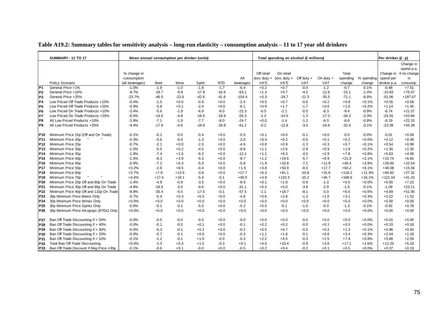|                 | <b>SUMMARY - 11 TO 17</b>                | Mean annual consumption per drinker (units) |         |         |         |            |           |            | Total spending on alcohol (£ millions) |              |             |          |            | Per drinker (£ p) |                        |
|-----------------|------------------------------------------|---------------------------------------------|---------|---------|---------|------------|-----------|------------|----------------------------------------|--------------|-------------|----------|------------|-------------------|------------------------|
|                 |                                          |                                             |         |         |         |            |           |            |                                        |              |             |          |            |                   | Change in              |
|                 |                                          |                                             |         |         |         |            |           |            |                                        |              |             |          |            |                   | spend p.a.             |
|                 |                                          | % change in                                 |         |         |         |            |           | Off retail | On retail                              |              |             | Total    |            |                   | Change in if no change |
|                 |                                          | consumption                                 |         |         |         |            | All       |            | (exc duty + (exc duty +                | Off duty $+$ | On duty $+$ | spending | % spending | spend per         | in                     |
|                 | Policy Scenario                          | (all beverages)                             | Beer    | Wine    | Spirit  | <b>RTD</b> | beverages | VAT)       | VAT)                                   | VAT          | <b>VAT</b>  | change   | change     | drinker p.a.      | consump.               |
| P <sub>1</sub>  | General Price +1%                        | $-1.0%$                                     | $-1.9$  | $-1.0$  | $-1.8$  | $-1.7$     | $-6.4$    | $+0.2$     | $+0.7$                                 | $-0.4$       | $-1.2$      | $-0.7$   | $-0.1%$    | $-0.48$           | $+7.51$                |
| P <sub>2</sub>  | General Price +10%                       | $-9.7%$                                     | $-18.7$ | $-9.8$  | $-17.9$ | $-16.6$    | $-63.1$   | $+1.3$     | $+0.7$                                 | $-4.5$       | $-12.6$     | $-15.1$  | $-1.4%$    | $-10.83$          | $+75.07$               |
| P <sub>3</sub>  | General Price +25%                       | $-23.7%$                                    | $-46.5$ | $-23.6$ | $-42.6$ | $-41.6$    | $-154.4$  | $+0.3$     | $-24.7$                                | $-11.3$      | $-35.5$     | $-71.1$  | $-6.8%$    | $-51.06$          | $+187.67$              |
| P4              | Low Priced Off Trade Products +10%       | $-0.4%$                                     | $-1.5$  | $+0.0$  | $-0.9$  | $+0.0$     | $-2.4$    | $+0.5$     | $+0.7$                                 | $-0.6$       | $+0.2$      | $+0.8$   | $+0.1%$    | $+0.55$           | $+0.58$                |
| P <sub>5</sub>  | Low Priced Off Trade Products +25%       | $-0.9%$                                     | $-3.8$  | $+0.1$  | $-2.4$  | $+0.0$     | $-6.1$    | $+0.9$     | $+1.7$                                 | $-1.7$       | $+0.6$      | $+1.6$   | $+0.2%$    | $+1.14$           | $+1.45$                |
| P <sub>6</sub>  | Low Priced On Trade Products +10%        | $-3.4%$                                     | $-5.6$  | $-1.9$  | $-6.8$  | $-8.0$     | $-22.3$   | $-0.5$     | $-2.1$                                 | $-0.5$       | $-6.3$      | $-9.4$   | $-0.9%$    | $-6.74$           | $+21.57$               |
| P7              | Low Priced On Trade Products +25%        | $-8.5%$                                     | $-14.0$ | $-4.8$  | $-16.6$ | $-19.9$    | $-55.3$   | $-1.2$     | $-14.5$                                | $-1.3$       | $-17.2$     | $-34.2$  | $-3.3%$    | $-24.55$          | $+53.94$               |
| P <sub>8</sub>  | All Low Priced Products +10%             | $-3.8%$                                     | $-7.1$  | $-1.9$  | $-7.7$  | $-8.0$     | $-24.7$   | $+0.0$     | $-1.4$                                 | $-1.2$       | $-6.0$      | $-8.6$   | $-0.8%$    | $-6.19$           | $+22.15$               |
| P <sub>9</sub>  | All Low Priced Products +25%             | $-9.4%$                                     | $-17.8$ | $-4.6$  | $-18.9$ | $-19.9$    | $-61.2$   | $-0.2$     | $-12.8$                                | $-3.0$       | $-16.6$     | $-32.6$  | $-3.1%$    | $-23.39$          | $+55.39$               |
| P10             | Minimum Price 15p (Off and On Trade)     | $-0.1%$                                     | $-0.1$  | $-0.0$  | $-0.4$  | $+0.0$     | $-0.5$    | $+0.1$     | $+0.0$                                 | $-0.1$       | $+0.0$      | $-0.0$   | $-0.0%$    | $-0.01$           | $+0.09$                |
| P11             | Minimum Price 20p                        | $-0.3%$                                     | $-0.6$  | $-0.0$  | $-1.3$  | $+0.0$     | $-2.0$    | $+0.4$     | $+0.2$                                 | $-0.5$       | $+0.1$      | $+0.2$   | $+0.0%$    | $+0.12$           | $+0.38$                |
| P <sub>12</sub> | Minimum Price 25p                        | $-0.7%$                                     | $-2.1$  | $+0.0$  | $-2.5$  | $+0.0$     | $-4.6$    | $+0.8$     | $+0.9$                                 | $-1.3$       | $+0.3$      | $+0.7$   | $+0.1%$    | $+0.54$           | $+0.99$                |
| P <sub>13</sub> | Minimum Price 30p                        | $-1.5%$                                     | $-5.5$  | $+0.2$  | $-4.5$  | $+0.0$     | $-9.8$    | $+1.1$     | $+2.6$                                 | $-2.8$       | $+0.9$      | $+1.8$   | $+0.2%$    | $+1.30$           | $+2.30$                |
| P <sub>14</sub> | Minimum Price 35p                        | $-1.9%$                                     | $-7.4$  | $+1.5$  | $-6.2$  | $+0.0$     | $-12.1$   | $+1.1$     | $+8.3$                                 | $-4.5$       | $+2.9$      | $+7.8$   | $+0.8%$    | $+5.63$           | $+4.06$                |
| P <sub>15</sub> | Minimum Price 40p                        | $-1.5%$                                     | $-8.3$  | $+3.9$  | $-5.3$  | $+0.0$     | $-9.7$    | $+1.2$     | $+19.6$                                | $-5.7$       | $+6.9$      | $+21.9$  | $+2.1%$    | $+15.74$          | $+6.65$                |
| P <sub>16</sub> | Minimum Price 45p                        | $-0.9%$                                     | $-7.2$  | $+6.3$  | $-5.0$  | $+0.0$     | $-5.8$    | $+1.9$     | $+33.8$                                | $-7.1$       | $+11.8$     | $+40.4$  | $+3.9%$    | $+29.00$          | $+10.54$               |
| P <sub>17</sub> | Minimum Price 50p                        | $+0.2%$                                     | $-2.6$  | $+8.5$  | $-4.4$  | $+0.0$     | $+1.5$    | $+3.8$     | $+50.8$                                | $-8.0$       | $+17.7$     | $+64.2$  | $+6.1%$    | $+46.08$          | $+15.56$               |
| <b>P18</b>      | Minimum Price 60p                        | $+2.7%$                                     | $+7.9$  | $+13.6$ | $-3.8$  | $+0.0$     | $+17.7$   | $+6.3$     | $+91.1$                                | $-10.8$      | $+31.6$     | $+118.2$ | $+11.3%$   | $+84.82$          | $+27.32$               |
| P <sub>19</sub> | Minimum Price 70p                        | $+4.6%$                                     | $+17.4$ | $+18.1$ | $-5.4$  | $-0.1$     | $+30.0$   | $+4.9$     | $+133.3$                               | $-15.2$      | $+45.7$     | $+168.6$ | $+16.1%$   | $+121.04$         | $+41.43$               |
| P20             | Minimum Price 20p Off and 80p On Trade   | $-1.4%$                                     | $-4.9$  | $-0.9$  | $-3.0$  | $+0.0$     | $-8.9$    | $+0.1$     | $+1.8$                                 | $-0.9$       | $-1.0$      | $+0.0$   | $+0.0%$    | $+0.00$           | $+7.23$                |
| P21             | Minimum Price 30p Off and 95p On Trade   | $-4.8%$                                     | $-18.5$ | $-3.0$  | $-9.6$  | $+0.0$     | $-31.1$   | $+0.2$     | $+5.0$                                 | $-3.8$       | $-2.9$      | $-1.5$   | $-0.1%$    | $-1.09$           | $+23.11$               |
| P22             | Minimum Price 40p Off and 110p On Trade  | $-8.8%$                                     | $-35.4$ | $-4.5$  | $-17.5$ | $-0.1$     | $-57.5$   | $-1.1$     | $+18.7$                                | $-8.1$       | $-3.0$      | $+6.5$   | $+0.6%$    | $+4.69$           | $+51.90$               |
| P23             | 30p Minimum Price Beers Only             | $-0.7%$                                     | $-5.4$  | $+0.3$  | $+0.5$  | $+0.0$     | $-4.6$    | $+0.6$     | $+2.8$                                 | $-1.3$       | $+1.0$      | $+3.1$   | $+0.3%$    | $+2.22$           | $+1.52$                |
| P <sub>24</sub> | 30p Minimum Price Wines Only             | $+0.0%$                                     | $+0.0$  | $+0.0$  | $+0.0$  | $+0.0$     | $+0.0$    | $+0.0$     | $+0.0$                                 | $+0.0$       | $+0.0$      | $+0.0$   | $+0.0%$    | $+0.00$           | $+0.00$                |
| P <sub>25</sub> | 30p Minimum Price Spirits Only           | $-0.8%$                                     | $-0.1$  | $-0.1$  | $-5.0$  | $+0.0$     | $-5.2$    | $+0.5$     | $-0.1$                                 | $-1.6$       | $-0.0$      | $-1.3$   | $-0.1%$    | $-0.92$           | $+0.78$                |
| P <sub>26</sub> | 30p Minimum Price Alcopops (RTDs) Only   | $+0.0%$                                     | $+0.0$  | $+0.0$  | $+0.0$  | $+0.0$     | $+0.0$    | $+0.0$     | $+0.0$                                 | $+0.0$       | $+0.0$      | $+0.0$   | $+0.0%$    | $+0.00$           | $+0.00$                |
| P27             | Ban Off Trade Discounting if > 50%       | $-0.0%$                                     | $-0.0$  | $-0.0$  | $-0.0$  | $+0.0$     | $-0.0$    | $+0.0$     | $+0.0$                                 | $-0.0$       | $+0.0$      | $+0.0$   | $+0.0%$    | $+0.01$           | $+0.00$                |
| P28             | Ban Off Trade Discounting if > 40%       | $-0.0%$                                     | $-0.1$  | $-0.0$  | $+0.1$  | $+0.0$     | $-0.1$    | $+0.2$     | $+0.2$                                 | $-0.0$       | $+0.1$      | $+0.5$   | $+0.0%$    | $+0.33$           | $+0.18$                |
| P29             | Ban Off Trade Discounting if > 30%       | $-0.0%$                                     | $-0.3$  | $-0.1$  | $+0.2$  | $+0.0$     | $-0.2$    | $+0.5$     | $+0.7$                                 | $-0.0$       | $+0.2$      | $+1.3$   | $+0.1%$    | $+0.96$           | $+0.50$                |
| P30             | Ban Off Trade Discounting if > 20%       | $-0.0%$                                     | $-0.7$  | $-0.1$  | $+0.6$  | $+0.0$     | $-0.3$    | $+1.1$     | $+1.8$                                 | $-0.1$       | $+0.6$      | $+3.4$   | $+0.3%$    | $+2.44$           | $+1.18$                |
| P31             | Ban Off Trade Discounting if > 10%       | $-0.1%$                                     | $-1.2$  | $-0.1$  | $+1.0$  | $-0.0$     | $-0.3$    | $+2.2$     | $+4.5$                                 | $-0.3$       | $+1.5$      | $+7.9$   | $+0.8%$    | $+5.68$           | $+2.59$                |
| P32             | Total Ban Off Trade Discounting          | $+0.0%$                                     | $-1.3$  | $+0.3$  | $+1.5$  | $-0.3$     | $+0.1$    | $+4.0$     | $+10.4$                                | $-0.9$       | $+3.6$      | $+17.1$  | $+1.6%$    | $+12.25$          | $+5.18$                |
| P33             | Ban Off Trade Discount if Reg Price <30p | $-0.1%$                                     | $-0.6$  | $+0.1$  | $-0.0$  | $+0.0$     | $-0.5$    | $+0.2$     | $+0.4$                                 | $-0.2$       | $+0.1$      | $+0.5$   | $+0.0%$    | $+0.37$           | $+0.19$                |

### **Table A19.2: Summary tables for sensitivity analysis – long-run elasticity – consumption analysis – 11 to 17 year old drinkers**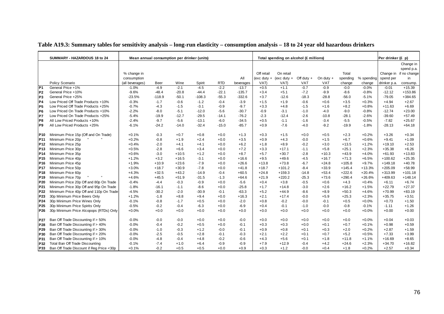|                 | SUMMARY - HAZARDOUS 18 to 24             | Mean annual consumption per drinker (units) |             |         |          |            |           |            | Total spending on alcohol (£ millions) |              |             |          |            | Per drinker (£ p) |                        |
|-----------------|------------------------------------------|---------------------------------------------|-------------|---------|----------|------------|-----------|------------|----------------------------------------|--------------|-------------|----------|------------|-------------------|------------------------|
|                 |                                          |                                             |             |         |          |            |           |            |                                        |              |             |          |            |                   | Change in              |
|                 |                                          |                                             |             |         |          |            |           |            |                                        |              |             |          |            |                   | spend p.a.             |
|                 |                                          | % change in                                 |             |         |          |            |           | Off retail | On retail                              |              |             | Total    |            |                   | Change in if no change |
|                 |                                          | consumption                                 |             |         |          |            | All       |            | (exc duty + (exc duty +                | Off duty $+$ | On duty $+$ | spending | % spending | spend per         | in                     |
|                 | Policy Scenario                          | (all beverages)                             | <b>Beer</b> | Wine    | Spirit   | <b>RTD</b> | beverages | VAT)       | VAT)                                   | <b>VAT</b>   | <b>VAT</b>  | change   | change     | drinker p.a.      | consump.               |
| P <sub>1</sub>  | General Price +1%                        | $-1.0%$                                     | $-4.9$      | $-2.1$  | $-4.5$   | $-2.2$     | $-13.7$   | $+0.5$     | $+1.1$                                 | $-0.7$       | $-0.9$      | $-0.0$   | $-0.0%$    | $-0.01$           | $+15.39$               |
| P <sub>2</sub>  | General Price +10%                       | $-9.6%$                                     | $-48.4$     | $-20.8$ | $-44.4$  | $-22.1$    | $-135.7$  | $+3.4$     | $+5.1$                                 | $-7.2$       | $-9.9$      | $-8.6$   | $-0.8%$    | $-12.12$          | $+153.86$              |
| P3              | General Price +25%                       | $-23.5%$                                    | $-118.9$    | $-50.1$ | $-108.3$ | $-55.3$    | $-332.6$  | $+3.7$     | $-12.6$                                | $-18.3$      | $-28.8$     | $-56.0$  | $-5.1%$    | $-79.05$          | $+384.65$              |
| P4              | Low Priced Off Trade Products +10%       | $-0.3%$                                     | $-1.7$      | $-0.6$  | $-1.2$   | $-0.4$     | $-3.9$    | $+1.5$     | $+1.9$                                 | $-0.6$       | $+0.6$      | $+3.5$   | $+0.3%$    | $+4.94$           | $+2.67$                |
| P <sub>5</sub>  | Low Priced Off Trade Products +25%       | $-0.7%$                                     | $-4.3$      | $-1.5$  | $-3.1$   | $-0.9$     | $-9.7$    | $+3.3$     | $+4.8$                                 | $-1.5$       | $+1.6$      | $+8.2$   | $+0.8%$    | $+11.63$          | $+6.69$                |
| P <sub>6</sub>  | Low Priced On Trade Products +10%        | $-2.2%$                                     | $-8.0$      | $-5.1$  | $-12.0$  | $-5.6$     | $-30.7$   | $-0.9$     | $-3.1$                                 | $-1.0$       | $-4.0$      | $-9.0$   | $-0.8%$    | $-12.74$          | $+23.00$               |
| P7              | Low Priced On Trade Products +25%        | $-5.4%$                                     | $-19.9$     | $-12.7$ | $-29.5$  | $-14.1$    | $-76.2$   | $-2.3$     | $-12.4$                                | $-2.6$       | $-10.8$     | $-28.1$  | $-2.6%$    | $-39.60$          | $+57.49$               |
| P8              | All Low Priced Products +10%             | $-2.4%$                                     | $-9.7$      | $-5.6$  | $-13.1$  | $-6.0$     | $-34.5$   | $+0.5$     | $-1.1$                                 | $-1.6$       | $-3.4$      | $-5.5$   | $-0.5%$    | $-7.82$           | $+25.67$               |
| P9              | All Low Priced Products +25%             | $-6.1%$                                     | $-24.2$     | $-14.0$ | $-32.4$  | $-15.0$    | $-85.7$   | $+0.9$     | $-7.6$                                 | $-4.0$       | $-9.2$      | $-19.9$  | $-1.8%$    | $-28.13$          | $+64.18$               |
|                 |                                          |                                             |             |         |          |            |           |            |                                        |              |             |          |            |                   |                        |
| P10             | Minimum Price 15p (Off and On Trade)     | $+0.1%$                                     | $-0.3$      | $+0.7$  | $+0.8$   | $+0.0$     | $+1.3$    | $+0.3$     | $+1.5$                                 | $+0.0$       | $+0.5$      | $+2.3$   | $+0.2%$    | $+3.26$           | $+0.34$                |
| P11             | Minimum Price 20p                        | $+0.2%$                                     | $-0.8$      | $+1.9$  | $+2.4$   | $+0.0$     | $+3.5$    | $+0.9$     | $+4.3$                                 | $-0.0$       | $+1.5$      | $+6.7$   | $+0.6%$    | $+9.41$           | $+1.09$                |
| P12             | Minimum Price 25p                        | $+0.4%$                                     | $-2.0$      | $+4.1$  | $+4.1$   | $+0.0$     | $+6.2$    | $+1.8$     | $+8.9$                                 | $-0.2$       | $+3.0$      | $+13.5$  | $+1.2%$    | $+19.10$          | $+2.53$                |
| P <sub>13</sub> | Minimum Price 30p                        | $+0.5%$                                     | $-2.8$      | $+6.6$  | $+3.4$   | $+0.0$     | $+7.2$    | $+3.3$     | $+17.1$                                | $-1.1$       | $+5.8$      | $+25.1$  | $+2.3%$    | $+35.38$          | $+6.26$                |
| <b>P14</b>      | Minimum Price 35p                        | $+0.6%$                                     | $-3.0$      | $+10.5$ | $+1.2$   | $+0.0$     | $+8.7$    | $+5.7$     | $+30.7$                                | $-2.8$       | $+10.3$     | $+43.9$  | $+4.0%$    | $+61.93$          | $+13.83$               |
| P15             | Minimum Price 40p                        | $+1.2%$                                     | $+3.2$      | $+16.5$ | $-3.1$   | $+0.0$     | $+16.6$   | $+9.5$     | $+49.6$                                | $-4.5$       | $+16.7$     | $+71.3$  | $+6.5%$    | $+100.62$         | $+25.35$               |
| P <sub>16</sub> | Minimum Price 45p                        | $+1.9%$                                     | $+10.9$     | $+23.6$ | $-7.9$   | $+0.0$     | $+26.6$   | $+13.8$    | $+73.8$                                | $-6.7$       | $+24.8$     | $+105.8$ | $+9.7%$    | $+149.18$         | $+40.78$               |
| P <sub>17</sub> | Minimum Price 50p                        | $+3.0%$                                     | $+18.7$     | $+30.9$ | $-7.8$   | $+0.0$     | $+41.8$   | $+18.7$    | $+101.2$                               | $-8.4$       | $+33.9$     | $+145.4$ | $+13.3%$   | $+205.09$         | $+58.99$               |
| P <sub>18</sub> | Minimum Price 60p                        | $+4.3%$                                     | $+32.5$     | $+43.2$ | $-14.9$  | $-0.4$     | $+60.5$   | $+24.8$    | $+159.3$                               | $-14.8$      | $+53.4$     | $+222.6$ | $+20.4%$   | $+313.99$         | $+101.18$              |
| P <sub>19</sub> | Minimum Price 70p                        | $+4.6%$                                     | $+45.5$     | $+51.9$ | $-31.5$  | $-1.3$     | $+64.6$   | $+21.9$    | $+220.2$                               | $-25.3$      | $+73.6$     | $+290.4$ | $+26.6%$   | $+409.63$         | $+148.14$              |
| P <sub>20</sub> | Minimum Price 20p Off and 80p On Trade   | $-0.4%$                                     | $-4.4$      | $-0.3$  | $-0.9$   | $+0.0$     | $-5.6$    | $+0.4$     | $+3.8$                                 | $-0.5$       | $+0.6$      | $+4.3$   | $+0.4%$    | $+6.11$           | $+6.74$                |
| P21             | Minimum Price 30p Off and 95p On Trade   | $-1.8%$                                     | $-16.1$     | $-1.1$  | $-8.6$   | $+0.0$     | $-25.8$   | $+1.7$     | $+14.8$                                | $-3.0$       | $+2.6$      | $+16.2$  | $+1.5%$    | $+22.79$          | $+27.37$               |
| P22             | Minimum Price 40p Off and 110p On Trade  | $-4.5%$                                     | $-30.2$     | $-2.0$  | $-30.9$  | $-0.1$     | $-63.3$   | $+5.2$     | $+44.9$                                | $-8.6$       | $+8.9$      | $+50.3$  | $+4.6%$    | $+70.99$          | $+83.19$               |
| P <sub>23</sub> | 30p Minimum Price Beers Only             | $+1.2%$                                     | $-1.8$      | $+8.8$  | $+9.4$   | $+0.0$     | $+16.3$   | $+2.1$     | $+17.4$                                | $-0.0$       | $+5.9$      | $+25.3$  | $+2.3%$    | $+35.75$          | $+3.51$                |
| P24             | 30p Minimum Price Wines Only             | $-0.1%$                                     | $-0.8$      | $-1.7$  | $+0.5$   | $+0.0$     | $-2.0$    | $+0.8$     | $-0.2$                                 | $-0.0$       | $-0.1$      | $+0.5$   | $+0.0%$    | $+0.73$           | $+1.50$                |
| P <sub>25</sub> | 30p Minimum Price Spirits Only           | $-0.5%$                                     | $-0.2$      | $-0.4$  | $-6.3$   | $+0.0$     | $-6.9$    | $+0.4$     | $-0.1$                                 | $-1.0$       | $-0.0$      | $-0.8$   | $-0.1%$    | $-1.11$           | $+1.26$                |
| P26             | 30p Minimum Price Alcopops (RTDs) Only   | $+0.0%$                                     | $+0.0$      | $+0.0$  | $+0.0$   | $+0.0$     | $+0.0$    | $+0.0$     | $+0.0$                                 | $+0.0$       | $+0.0$      | $+0.0$   | $+0.0%$    | $+0.00$           | $+0.00$                |
|                 |                                          |                                             |             |         |          |            |           |            |                                        |              |             |          |            |                   |                        |
| P27             | Ban Off Trade Discounting if > 50%       | $-0.0%$                                     | $-0.0$      | $-0.0$  | $+0.0$   | $+0.0$     | $-0.0$    | $+0.0$     | $+0.0$                                 | $+0.0$       | $+0.0$      | $+0.0$   | $+0.0%$    | $+0.04$           | $+0.03$                |
| P28             | Ban Off Trade Discounting if > 40%       | $-0.0%$                                     | $-0.4$      | $-0.2$  | $+0.5$   | $+0.0$     | $-0.1$    | $+0.3$     | $+0.3$                                 | $+0.0$       | $+0.1$      | $+0.7$   | $+0.1%$    | $+0.98$           | $+0.59$                |
| P29             | Ban Off Trade Discounting if > 30%       | $-0.0%$                                     | $-1.0$      | $-0.3$  | $+1.2$   | $-0.0$     | $-0.1$    | $+0.9$     | $+0.8$                                 | $+0.1$       | $+0.3$      | $+2.0$   | $+0.2%$    | $+2.87$           | $+1.59$                |
| P30             | Ban Off Trade Discounting if > 20%       | $-0.0%$                                     | $-2.5$      | $-0.5$  | $+2.8$   | $-0.1$     | $-0.3$    | $+2.1$     | $+2.2$                                 | $+0.1$       | $+0.7$      | $+5.2$   | $+0.5%$    | $+7.33$           | $+3.99$                |
| P31             | Ban Off Trade Discounting if > 10%       | $-0.0%$                                     | $-4.8$      | $-0.4$  | $+4.8$   | $-0.2$     | $-0.6$    | $+4.3$     | $+5.6$                                 | $+0.1$       | $+1.8$      | $+11.8$  | $+1.1%$    | $+16.69$          | $+8.65$                |
| P32             | Total Ban Off Trade Discounting          | $-0.1%$                                     | $-7.4$      | $+1.0$  | $+6.4$   | $-0.9$     | $-0.9$    | $+7.9$     | $+12.9$                                | $-0.4$       | $+4.2$      | $+24.6$  | $+2.3%$    | $+34.70$          | $+16.82$               |
| P33             | Ban Off Trade Discount if Reg Price <30p | $+0.1%$                                     | $-0.2$      | $+0.5$  | $+0.5$   | $+0.0$     | $+0.9$    | $+0.3$     | $+1.2$                                 | $-0.0$       | $+0.4$      | $+1.8$   | $+0.2%$    | $+2.57$           | $+0.34$                |

### **Table A19.3: Summary tables for sensitivity analysis – long-run elasticity – consumption analysis – 18 to 24 year old hazardous drinkers**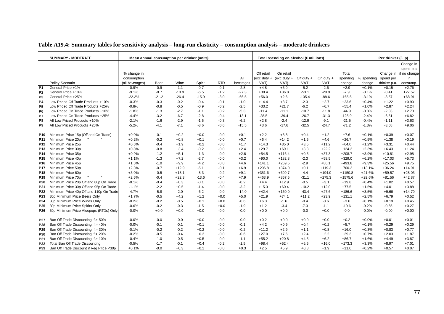|                 | <b>SUMMARY - MODERATE</b>                |                 |             | Mean annual consumption per drinker (units) |         |            |           |               | Total spending on alcohol (£ millions) |              |             |           |            | Per drinker (£ p) |                        |
|-----------------|------------------------------------------|-----------------|-------------|---------------------------------------------|---------|------------|-----------|---------------|----------------------------------------|--------------|-------------|-----------|------------|-------------------|------------------------|
|                 |                                          |                 |             |                                             |         |            |           |               |                                        |              |             |           |            |                   | Change in              |
|                 |                                          |                 |             |                                             |         |            |           |               |                                        |              |             |           |            |                   | spend p.a.             |
|                 |                                          | % change in     |             |                                             |         |            |           | Off retail    | On retail                              |              |             | Total     |            |                   | Change in if no change |
|                 |                                          | consumption     |             |                                             |         |            | All       | $(exc duty +$ | (exc duty $+$                          | Off duty $+$ | On duty $+$ | spending  | % spending | spend per         | in                     |
|                 | Policy Scenario                          | (all beverages) | <b>Beer</b> | Wine                                        | Spirit  | <b>RTD</b> | beverages | VAT)          | VAT)                                   | <b>VAT</b>   | VAT         | change    | change     | drinker p.a.      | consump.               |
| P <sub>1</sub>  | General Price +1%                        | $-0.9%$         | $-0.9$      | $-1.1$                                      | $-0.7$  | $-0.1$     | $-2.8$    | $+4.8$        | $+5.9$                                 | $-5.2$       | $-2.6$      | $+2.9$    | $+0.1%$    | $+0.15$           | $+2.76$                |
| P <sub>2</sub>  | General Price +10%                       | $-9.1%$         | $-8.7$      | $-10.9$                                     | $-6.5$  | $-1.2$     | $-27.3$   | $+38.4$       | $+36.8$                                | $-53.1$      | $-29.9$     | $-7.9$    | $-0.1%$    | $-0.41$           | $+27.57$               |
| P <sub>3</sub>  | General Price +25%                       | $-22.2%$        | $-21.2$     | $-26.4$                                     | $-15.9$ | $-3.0$     | $-66.5$   | $+56.0$       | $+2.6$                                 | $-135.4$     | $-88.6$     | $-165.5$  | $-3.1%$    | $-8.57$           | $+68.91$               |
| P4              | Low Priced Off Trade Products +10%       | $-0.3%$         | $-0.3$      | $-0.2$                                      | $-0.4$  | $-0.1$     | $-1.0$    | $+14.4$       | $+8.7$                                 | $-2.3$       | $+2.7$      | $+23.6$   | $+0.4%$    | $+1.22$           | $+0.90$                |
| P <sub>5</sub>  | Low Priced Off Trade Products +25%       | $-0.8%$         | $-0.8$      | $-0.5$                                      | $-0.9$  | $-0.2$     | $-2.5$    | $+33.2$       | $+21.7$                                | $-6.2$       | $+6.7$      | $+55.4$   | $+1.0%$    | $+2.87$           | $+2.24$                |
| P <sub>6</sub>  | Low Priced On Trade Products +10%        | $-1.8%$         | $-1.3$      | $-2.7$                                      | $-1.1$  | $-0.2$     | $-5.3$    | $-11.4$       | $-11.1$                                | $-10.7$      | $-11.8$     | $-44.9$   | $-0.8%$    | $-2.33$           | $+2.73$                |
| P7              | Low Priced On Trade Products +25%        | $-4.4%$         | $-3.2$      | $-6.7$                                      | $-2.8$  | $-0.4$     | $-13.1$   | $-28.5$       | $-39.4$                                | $-26.7$      | $-31.3$     | $-125.9$  | $-2.4%$    | $-6.51$           | $+6.82$                |
| P8              | All Low Priced Products +10%             | $-2.1%$         | $-1.6$      | $-2.9$                                      | $-1.5$  | $-0.3$     | $-6.2$    | $+2.8$        | $-2.4$                                 | $-12.9$      | $-9.1$      | $-21.5$   | $-0.4%$    | $-1.11$           | $+3.63$                |
| P9              | All Low Priced Products +25%             | $-5.2%$         | $-4.1$      | $-7.1$                                      | $-3.6$  | $-0.6$     | $-15.5$   | $+3.6$        | $-17.6$                                | $-32.5$      | $-24.7$     | $-71.2$   | $-1.3%$    | $-3.68$           | $+9.06$                |
|                 |                                          |                 |             |                                             |         |            |           |               |                                        |              |             |           |            |                   |                        |
| P10             | Minimum Price 15p (Off and On Trade)     | $+0.0%$         | $-0.1$      | $+0.2$                                      | $+0.0$  | $-0.0$     | $+0.1$    | $+2.2$        | $+3.8$                                 | $+0.4$       | $+1.2$      | $+7.6$    | $+0.1%$    | $+0.39$           | $+0.07$                |
| P11             | Minimum Price 20p                        | $+0.2%$         | $-0.2$      | $+0.8$                                      | $+0.1$  | $-0.0$     | $+0.7$    | $+6.4$        | $+14.2$                                | $+1.5$       | $+4.6$      | $+26.7$   | $+0.5%$    | $+1.38$           | $+0.19$                |
| P12             | Minimum Price 25p                        | $+0.6%$         | $-0.4$      | $+1.9$                                      | $+0.2$  | $-0.0$     | $+1.7$    | $+14.3$       | $+35.0$                                | $+3.5$       | $+11.2$     | $+64.0$   | $+1.2%$    | $+3.31$           | $+0.44$                |
| P <sub>13</sub> | Minimum Price 30p                        | $+0.8%$         | $-0.8$      | $+3.4$                                      | $-0.2$  | $-0.0$     | $+2.4$    | $+29.7$       | $+69.1$                                | $+3.3$       | $+22.2$     | $+124.2$  | $+2.3%$    | $+6.43$           | $+1.24$                |
| P <sub>14</sub> | Minimum Price 35p                        | $+0.9%$         | $-1.2$      | $+5.1$                                      | $-1.3$  | $-0.0$     | $+2.6$    | $+54.5$       | $+116.4$                               | $+0.5$       | $+37.3$     | $+208.7$  | $+3.9%$    | $+10.81$          | $+2.98$                |
| P <sub>15</sub> | Minimum Price 40p                        | $+1.1%$         | $-1.3$      | $+7.2$                                      | $-2.7$  | $-0.0$     | $+3.2$    | $+90.0$       | $+182.8$                               | $-2.3$       | $+58.5$     | $+329.0$  | $+6.2%$    | $+17.03$          | $+5.73$                |
| P <sub>16</sub> | Minimum Price 45p                        | $+1.5%$         | $-1.0$      | $+9.9$                                      | $-4.2$  | $-0.0$     | $+4.6$    | $+141.1$      | $+269.5$                               | $-2.9$       | $+86.1$     | $+493.8$  | $+9.3%$    | $+25.56$          | $+9.75$                |
| P <sub>17</sub> | Minimum Price 50p                        | $+2.3%$         | $-0.7$      | $+12.9$                                     | $-5.1$  | $-0.1$     | $+6.9$    | $+206.8$      | $+374.0$                               | $+0.1$       | $+119.3$    | $+700.2$  | $+13.1%$   | $+36.24$          | $+14.91$               |
| P <sub>18</sub> | Minimum Price 60p                        | $+3.0%$         | $-0.5$      | $+18.1$                                     | $-8.3$  | $-0.2$     | $+9.1$    | $+351.6$      | $+609.7$                               | $-4.4$       | $+194.0$    | $+1150.8$ | $+21.6%$   | $+59.57$          | $+28.03$               |
| <b>P19</b>      | Minimum Price 70p                        | $+2.6%$         | $-0.4$      | $+22.3$                                     | $-13.6$ | $-0.4$     | $+7.9$    | $+463.9$      | $+867.5$                               | $-31.1$      | $+275.3$    | $+1575.6$ | $+29.6%$   | $+81.56$          | $+42.87$               |
| P20             | Minimum Price 20p Off and 80p On Trade   | $-0.1%$         | $-0.4$      | $+0.3$                                      | $-0.1$  | $-0.0$     | $-0.2$    | $+4.4$        | $+12.9$                                | $-0.5$       | $+3.1$      | $+19.8$   | $+0.4%$    | $+1.02$           | $+0.57$                |
| P <sub>21</sub> | Minimum Price 30p Off and 95p On Trade   | $-1.1%$         | $-2.2$      | $+0.5$                                      | $-1.4$  | $-0.0$     | $-3.2$    | $+15.3$       | $+60.4$                                | $-10.2$      | $+12.0$     | $+77.5$   | $+1.5%$    | $+4.01$           | $+3.88$                |
| P <sub>22</sub> | Minimum Price 40p Off and 110p On Trade  | $-4.7%$         | $-5.8$      | $-2.0$                                      | $-6.2$  | $-0.0$     | $-14.0$   | $+42.4$       | $+160.0$                               | $-43.4$      | $+27.6$     | $+186.6$  | $+3.5%$    | $+9.66$           | $+14.79$               |
| P23             | 30p Minimum Price Beers Only             | $+1.7%$         | $-0.5$      | $+4.2$                                      | $+1.2$  | $+0.0$     | $+5.0$    | $+21.9$       | $+74.1$                                | $+11.2$      | $+23.9$     | $+131.1$  | $+2.5%$    | $+6.79$           | $+0.52$                |
| P <sub>24</sub> | 30p Minimum Price Wines Only             | $-0.2%$         | $-0.2$      | $-0.5$                                      | $+0.1$  | $+0.0$     | $-0.6$    | $+6.3$        | $-1.6$                                 | $-0.4$       | $-0.6$      | $+3.6$    | $+0.1%$    | $+0.19$           | $+0.45$                |
| P <sub>25</sub> | 30p Minimum Price Spirits Only           | $-0.6%$         | $-0.2$      | $-0.3$                                      | $-1.5$  | $+0.0$     | $-1.9$    | $+1.2$        | $-3.4$                                 | $-7.3$       | $-1.1$      | $-10.6$   | $-0.2%$    | $-0.55$           | $+0.27$                |
| P <sub>26</sub> | 30p Minimum Price Alcopops (RTDs) Only   | $-0.0%$         | $+0.0$      | $+0.0$                                      | $+0.0$  | $-0.0$     | $-0.0$    | $+0.0$        | $+0.0$                                 | $-0.0$       | $+0.0$      | $-0.0$    | $-0.0%$    | $-0.00$           | $+0.00$                |
|                 |                                          |                 |             |                                             |         |            |           |               |                                        |              |             |           |            |                   |                        |
| P27             | Ban Off Trade Discounting if > 50%       | $-0.0%$         | $-0.0$      | $-0.0$                                      | $+0.0$  | $-0.0$     | $-0.0$    | $+0.2$        | $+0.0$                                 | $+0.0$       | $+0.0$      | $+0.2$    | $+0.0%$    | $+0.01$           | $+0.01$                |
| P28             | Ban Off Trade Discounting if > 40%       | $-0.0%$         | $-0.1$      | $-0.1$                                      | $+0.1$  | $-0.0$     | $-0.1$    | $+4.2$        | $+0.9$                                 | $+0.4$       | $+0.2$      | $+5.7$    | $+0.1%$    | $+0.29$           | $+0.29$                |
| P29             | Ban Off Trade Discounting if > 30%       | $-0.1%$         | $-0.2$      | $-0.2$                                      | $+0.2$  | $-0.0$     | $-0.2$    | $+11.2$       | $+2.9$                                 | $+1.1$       | $+0.8$      | $+16.0$   | $+0.3%$    | $+0.83$           | $+0.77$                |
| P30             | Ban Off Trade Discounting if > 20%       | $-0.2%$         | $-0.5$      | $-0.4$                                      | $+0.3$  | $-0.0$     | $-0.6$    | $+27.0$       | $+7.6$                                 | $+2.4$       | $+2.2$      | $+39.3$   | $+0.7%$    | $+2.03$           | $+1.87$                |
| P31             | Ban Off Trade Discounting if > 10%       | $-0.4%$         | $-1.0$      | $-0.5$                                      | $+0.5$  | $-0.0$     | $-1.1$    | $+55.2$       | $+20.8$                                | $+4.5$       | $+6.2$      | $+86.7$   | $+1.6%$    | $+4.49$           | $+3.87$                |
| P32             | Total Ban Off Trade Discounting          | $-0.5%$         | $-1.7$      | $-0.1$                                      | $+0.4$  | $-0.2$     | $-1.5$    | $+98.4$       | $+52.4$                                | $+6.5$       | $+16.0$     | $+173.3$  | $+3.3%$    | $+8.97$           | $+7.01$                |
| P33             | Ban Off Trade Discount if Reg Price <30p | $+0.1%$         | $-0.0$      | $+0.3$                                      | $+0.1$  | $-0.0$     | $+0.3$    | $+2.5$        | $+5.9$                                 | $+0.8$       | $+1.9$      | $+11.0$   | $+0.2%$    | $+0.57$           | $+0.07$                |

#### **Table A19.4: Summary tables for sensitivity analysis – long-run elasticity – consumption analysis – moderate drinkers**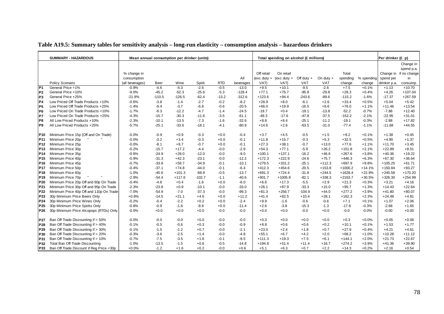|                 | <b>SUMMARY - HAZARDOUS</b>               |                 |             | Mean annual consumption per drinker (units) |          |            |           |               | Total spending on alcohol (£ millions) |              |             |           |            | Per drinker (£ p) |                        |
|-----------------|------------------------------------------|-----------------|-------------|---------------------------------------------|----------|------------|-----------|---------------|----------------------------------------|--------------|-------------|-----------|------------|-------------------|------------------------|
|                 |                                          |                 |             |                                             |          |            |           |               |                                        |              |             |           |            |                   | Change in              |
|                 |                                          |                 |             |                                             |          |            |           |               |                                        |              |             |           |            |                   | spend p.a.             |
|                 |                                          | % change in     |             |                                             |          |            |           | Off retail    | On retail                              |              |             | Total     |            |                   | Change in if no change |
|                 |                                          | consumption     |             |                                             |          |            | All       | $(exc duty +$ | (exc duty $+$                          | Off duty $+$ | On duty $+$ | spending  | % spending | spend per         | in                     |
|                 | Policy Scenario                          | (all beverages) | <b>Beer</b> | Wine                                        | Spirit   | <b>RTD</b> | beverages | VAT)          | VAT)                                   | VAT          | VAT         | change    | change     | drinker p.a.      | consump.               |
| P1              | General Price +1%                        | $-0.9%$         | $-4.6$      | $-5.3$                                      | $-2.6$   | $-0.5$     | $-13.0$   | $+9.5$        | $+10.1$                                | $-9.5$       | $-2.6$      | $+7.5$    | $+0.1%$    | $+1.13$           | $+10.70$               |
| P <sub>2</sub>  | General Price +10%                       | $-9.0%$         | $-45.2$     | $-52.3$                                     | $-25.6$  | $-5.3$     | $-128.4$  | $+77.1$       | $+76.7$                                | $-95.8$      | $-29.8$     | $+28.3$   | $+0.4%$    | $+4.26$           | $+107.04$              |
| P3              | General Price +25%                       | $-21.9%$        | $-110.5$    | $-126.5$                                    | $-62.4$  | $-13.2$    | $-312.6$  | $+123.6$      | $+94.4$                                | $-243.6$     | $-89.6$     | $-115.2$  | $-1.6%$    | $-17.37$          | $+267.59$              |
| P4              | Low Priced Off Trade Products +10%       | $-0.6%$         | $-3.8$      | $-1.4$                                      | $-2.7$   | $-0.2$     | $-8.2$    | $+28.9$       | $+8.0$                                 | $-6.1$       | $+2.6$      | $+33.4$   | $+0.5%$    | $+5.04$           | $+5.42$                |
| P <sub>5</sub>  | Low Priced Off Trade Products +25%       | $-1.4%$         | $-9.4$      | $-3.7$                                      | $-6.8$   | $-0.6$     | $-20.5$   | $+66.0$       | $+19.9$                                | $-16.5$      | $+6.6$      | $+76.0$   | $+1.1%$    | $+11.46$          | $+13.54$               |
| P <sub>6</sub>  | Low Priced On Trade Products +10%        | $-1.7%$         | $-6.3$      | $-12.2$                                     | $-4.7$   | $-1.4$     | $-24.5$   | $-19.7$       | $+0.4$                                 | $-19.1$      | $-13.8$     | $-52.2$   | $-0.7%$    | $-7.88$           | $+12.40$               |
| lP7             | Low Priced On Trade Products +25%        | $-4.3%$         | $-15.7$     | $-30.3$                                     | $-11.6$  | $-3.5$     | $-61.1$   | $-49.3$       | $-17.6$                                | $-47.8$      | $-37.5$     | $-152.2$  | $-2.1%$    | $-22.95$          | $+31.01$               |
| P8              | All Low Priced Products +10%             | $-2.3%$         | $-10.1$     | $-13.5$                                     | $-7.3$   | $-1.6$     | $-32.6$   | $+8.8$        | $+8.4$                                 | $-25.1$      | $-11.2$     | $-19.1$   | $-0.3%$    | $-2.88$           | $+17.82$               |
| P9              | All Low Priced Products +25%             | $-5.7%$         | $-25.1$     | $-33.6$                                     | $-18.1$  | $-4.1$     | $-80.9$   | $+14.6$       | $+2.6$                                 | $-63.5$      | $-31.0$     | $-77.4$   | $-1.1%$    | $-11.68$          | $+44.55$               |
| P10             | Minimum Price 15p (Off and On Trade)     | $-0.0%$         | $-0.9$      | $+0.9$                                      | $-0.3$   | $+0.0$     | $-0.4$    | $+3.7$        | $+4.5$                                 | $-0.5$       | $+1.5$      | $+9.2$    | $+0.1%$    | $+1.38$           | $+0.45$                |
| P <sub>11</sub> | Minimum Price 20p                        | $-0.0%$         | $-3.2$      | $+3.4$                                      | $-0.3$   | $+0.0$     | $-0.1$    | $+11.8$       | $+15.7$                                | $-0.3$       | $+5.3$      | $+32.5$   | $+0.5%$    | $+4.90$           | $+1.37$                |
| P <sub>12</sub> | Minimum Price 25p                        | $-0.0%$         | $-8.1$      | $+8.7$                                      | $-0.7$   | $+0.0$     | $-0.1$    | $+27.3$       | $+38.1$                                | $-0.7$       | $+13.0$     | $+77.6$   | $+1.1%$    | $+11.70$          | $+3.45$                |
| P <sub>13</sub> | Minimum Price 30p                        | $-0.2%$         | $-15.7$     | $+17.2$                                     | $-4.4$   | $-0.0$     | $-2.9$    | $+54.3$       | $+77.1$                                | $-5.9$       | $+26.2$     | $+151.8$  | $+2.1%$    | $+22.89$          | $+8.51$                |
| P <sub>14</sub> | Minimum Price 35p                        | $-0.6%$         | $-24.9$     | $+28.0$                                     | $-12.0$  | $-0.0$     | $-9.0$    | $+100.1$      | $+137.1$                               | $-16.2$      | $+46.6$     | $+267.6$  | $+3.8%$    | $+40.36$          | $+19.22$               |
| P <sub>15</sub> | Minimum Price 40p                        | $-0.9%$         | $-31.3$     | $+42.3$                                     | $-23.1$  | $-0.0$     | $-12.2$   | $+172.3$      | $+222.9$                               | $-24.6$      | $+75.7$     | $+446.3$  | $+6.3%$    | $+67.30$          | $+36.64$               |
| P <sub>16</sub> | Minimum Price 45p                        | $-0.7%$         | $-33.8$     | $+58.7$                                     | $-34.9$  | $-0.1$     | $-10.1$   | $+279.5$      | $+331.2$                               | $-25.1$      | $+112.3$    | $+697.9$  | $+9.8%$    | $+105.25$         | $+61.71$               |
| <b>P17</b>      | Minimum Price 50p                        | $-0.4%$         | $-37.1$     | $+74.8$                                     | $-44.0$  | $-0.1$     | $-6.4$    | $+412.3$      | $+454.6$                               | $-20.5$      | $+153.8$    | $+1000.2$ | $+14.1%$   | $+150.84$         | $+93.27$               |
| <b>P18</b>      | Minimum Price 60p                        | $-1.0%$         | $-45.6$     | $+101.3$                                    | $-68.9$  | $-0.5$     | $-13.7$   | $+691.3$      | $+724.4$                               | $-31.8$      | $+244.5$    | $+1628.4$ | $+22.9%$   | $+245.58$         | $+170.20$              |
| P <sub>19</sub> | Minimum Price 70p                        | $-2.9%$         | $-54.4$     | $+117.6$                                    | $-102.7$ | $-1.1$     | $-40.6$   | $+901.7$      | $+1005.8$                              | $-82.1$      | $+338.3$    | $+2163.7$ | $+30.5%$   | $+326.30$         | $+254.99$              |
| P <sub>20</sub> | Minimum Price 20p Off and 80p On Trade   | $-0.4%$         | $-4.8$      | $+0.4$                                      | $-1.6$   | $+0.0$     | $-6.0$    | $+6.6$        | $+17.3$                                | $-5.5$       | $+2.9$      | $+21.3$   | $+0.3%$    | $+3.21$           | $+4.16$                |
| P21             | Minimum Price 30p Off and 95p On Trade   | $-2.3%$         | $-23.8$     | $+0.9$                                      | $-10.1$  | $-0.0$     | $-33.0$   | $+26.1$       | $+87.9$                                | $-33.3$      | $+15.0$     | $+95.7$   | $+1.3%$    | $+14.43$          | $+22.64$               |
| P22             | Minimum Price 40p Off and 110p On Trade  | $-7.0%$         | $-54.9$     | $-7.0$                                      | $-37.3$  | $-0.0$     | $-99.3$   | $+81.3$       | $+256.7$                               | $-104.9$     | $+44.0$     | $+277.2$  | $+3.9%$    | $+41.80$          | $+80.07$               |
| P23             | 30p Minimum Price Beers Only             | $+0.8%$         | $-14.5$     | $+21.1$                                     | $+4.6$   | $+0.0$     | $+11.2$   | $+41.4$       | $+82.5$                                | $+10.4$      | $+28.1$     | $+162.3$  | $+2.3%$    | $+24.48$          | $+4.81$                |
| P24             | 30p Minimum Price Wines Only             | $-0.2%$         | $-0.4$      | $-2.2$                                      | $+0.2$   | $+0.0$     | $-2.4$    | $+9.9$        | $-1.6$                                 | $-0.6$       | $-0.6$      | $+7.1$    | $+0.1%$    | $+1.07$           | $+2.06$                |
| P <sub>25</sub> | 30p Minimum Price Spirits Only           | $-0.8%$         | $-0.9$      | $-1.6$                                      | $-8.9$   | $+0.0$     | $-11.4$   | $+2.6$        | $-3.8$                                 | $-15.3$      | $-1.3$      | $-17.8$   | $-0.3%$    | $-2.68$           | $+1.65$                |
| P <sub>26</sub> | 30p Minimum Price Alcopops (RTDs) Only   | $-0.0%$         | $+0.0$      | $+0.0$                                      | $+0.0$   | $-0.0$     | $-0.0$    | $+0.0$        | $+0.0$                                 | $-0.0$       | $+0.0$      | $-0.0$    | $-0.0%$    | $-0.00$           | $+0.00$                |
| P27             | Ban Off Trade Discounting if > 50%       | $-0.0%$         | $-0.0$      | $-0.0$                                      | $+0.0$   | $-0.0$     | $-0.0$    | $+0.3$        | $+0.0$                                 | $+0.0$       | $+0.0$      | $+0.3$    | $+0.0%$    | $+0.05$           | $+0.06$                |
| P28             | Ban Off Trade Discounting if > 40%       | $-0.1%$         | $-0.5$      | $-0.6$                                      | $+0.3$   | $-0.0$     | $-0.9$    | $+8.8$        | $+0.6$                                 | $+0.6$       | $+0.2$      | $+10.1$   | $+0.1%$    | $+1.53$           | $+1.77$                |
| P <sub>29</sub> | Ban Off Trade Discounting if > 30%       | $-0.1%$         | $-1.5$      | $-1.2$                                      | $+0.7$   | $-0.0$     | $-2.1$    | $+23.0$       | $+2.4$                                 | $+1.8$       | $+0.7$      | $+27.9$   | $+0.4%$    | $+4.21$           | $+4.61$                |
| P30             | Ban Off Trade Discounting if > 20%       | $-0.3%$         | $-3.6$      | $-2.5$                                      | $+1.4$   | $-0.0$     | $-4.8$    | $+55.1$       | $+6.7$                                 | $+4.2$       | $+2.0$      | $+68.2$   | $+1.0%$    | $+10.28$          | $+11.12$               |
| P31             | Ban Off Trade Discounting if > 10%       | $-0.7%$         | $-7.5$      | $-3.5$                                      | $+1.6$   | $-0.1$     | $-9.5$    | $+111.3$      | $+19.3$                                | $+7.5$       | $+6.1$      | $+144.1$  | $+2.0%$    | $+21.73$          | $+22.67$               |
| P32             | Total Ban Off Trade Discounting          | $-1.0%$         | $-13.5$     | $-1.5$                                      | $+0.6$   | $-0.5$     | $-14.8$   | $+194.8$      | $+51.4$                                | $+11.4$      | $+16.7$     | $+274.2$  | $+3.9%$    | $+41.36$          | $+39.90$               |
| P33             | Ban Off Trade Discount if Reg Price <30p | $+0.0%$         | $-1.2$      | $+1.6$                                      | $+0.2$   | $-0.0$     | $+0.6$    | $+5.1$        | $+6.3$                                 | $+0.7$       | $+2.2$      | $+14.3$   | $+0.2%$    | $+2.16$           | $+0.54$                |

#### **Table A19.5: Summary tables for sensitivity analysis – long-run elasticity – consumption analysis – hazardous drinkers**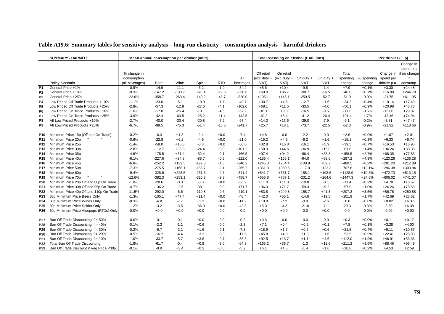|                 | <b>SUMMARY - HARMFUL</b>                 |                 |          | Mean annual consumption per drinker (units) |          |            |           |            | Total spending on alcohol (£ millions) |              |             |           |            | Per drinker (£ p) |                        |
|-----------------|------------------------------------------|-----------------|----------|---------------------------------------------|----------|------------|-----------|------------|----------------------------------------|--------------|-------------|-----------|------------|-------------------|------------------------|
|                 |                                          |                 |          |                                             |          |            |           |            |                                        |              |             |           |            |                   | Change in              |
|                 |                                          |                 |          |                                             |          |            |           |            |                                        |              |             |           |            |                   | spend p.a.             |
|                 |                                          | % change in     |          |                                             |          |            |           | Off retail | On retail                              |              |             | Total     |            |                   | Change in if no change |
|                 |                                          | consumption     |          |                                             |          |            | All       |            | (exc duty + (exc duty +                | Off duty $+$ | On duty $+$ | spending  | % spending | spend per         | in                     |
|                 | Policy Scenario                          | (all beverages) | Beer     | Wine                                        | Spirit   | <b>RTD</b> | beverages | VAT)       | VAT)                                   | VAT          | <b>VAT</b>  | change    | change     | drinker p.a.      | consump.               |
| P <sub>1</sub>  | General Price +1%                        | $-0.9%$         | $-14.9$  | $-11.1$                                     | $-6.2$   | $-1.9$     | $-34.2$   | $+8.6$     | $+10.4$                                | $-9.8$       | $-1.4$      | $+7.9$    | $+0.1%$    | $+3.30$           | $+24.48$               |
| P <sub>2</sub>  | General Price +10%                       | $-9.3%$         | $-147.2$ | $-108.7$                                    | $-61.3$  | $-19.5$    | $-336.6$  | $+69.0$    | $+86.7$                                | $-98.7$      | $-16.5$     | $+40.6$   | $+0.7%$    | $+16.98$          | $+244.78$              |
| P <sub>3</sub>  | General Price +25%                       | $-22.6%$        | $-358.7$ | $-263.4$                                    | $-149.2$ | $-48.7$    | $-820.0$  | $+105.1$   | $+146.1$                               | $-250.5$     | $-52.7$     | $-51.9$   | $-0.9%$    | $-21.75$          | $+611.95$              |
| P4              | Low Priced Off Trade Products +10%       | $-1.1%$         | $-23.0$  | $-5.1$                                      | $-10.9$  | $-1.7$     | $-40.7$   | $+30.7$    | $+4.6$                                 | $-12.7$      | $+1.6$      | $+24.2$   | $+0.4%$    | $+10.14$          | $+17.49$               |
| P <sub>5</sub>  | Low Priced Off Trade Products +25%       | $-2.8%$         | $-57.3$  | $-12.9$                                     | $-27.6$  | $-4.1$     | $-102.0$  | $+68.1$    | $+11.5$                                | $-33.5$      | $+4.0$      | $+50.1$   | $+0.9%$    | $+20.98$          | $+43.73$               |
| P <sub>6</sub>  | Low Priced On Trade Products +10%        | $-1.6%$         | $-17.0$  | $-25.4$                                     | $-10.1$  | $-4.5$     | $-57.2$   | $-16.1$    | $+9.0$                                 | $-16.5$      | $-9.5$      | $-33.1$   | $-0.6%$    | $-13.86$          | $+29.97$               |
| P7              | Low Priced On Trade Products +25%        | $-3.9%$         | $-42.4$  | $-63.5$                                     | $-25.2$  | $-11.4$    | $-142.5$  | $-40.2$    | $+6.4$                                 | $-41.2$      | $-26.4$     | $-101.4$  | $-1.7%$    | $-42.46$          | $+74.94$               |
| P <sub>8</sub>  | All Low Priced Products +10%             | $-2.7%$         | $-40.0$  | $-30.4$                                     | $-20.8$  | $-6.2$     | $-97.4$   | $+14.3$    | $+13.6$                                | $-29.0$      | $-7.9$      | $-9.1$    | $-0.2%$    | $-3.81$           | $+47.47$               |
| P <sub>9</sub>  | All Low Priced Products +25%             | $-6.7%$         | $-99.5$  | $-75.3$                                     | $-51.4$  | $-15.5$    | $-241.7$  | $+25.7$    | $+18.1$                                | $-73.7$      | $-22.5$     | $-52.3$   | $-0.9%$    | $-21.92$          | $+118.66$              |
|                 |                                          |                 |          |                                             |          |            |           |            |                                        |              |             |           |            |                   |                        |
| P10             | Minimum Price 15p (Off and On Trade)     | $-0.2%$         | $-6.3$   | $+1.3$                                      | $-2.4$   | $+0.0$     | $-7.4$    | $+4.8$     | $-0.0$                                 | $-2.2$       | $-0.0$      | $+2.6$    | $+0.0%$    | $+1.07$           | $+2.01$                |
| P11             | Minimum Price 20p                        | $-0.6%$         | $-22.8$  | $+6.2$                                      | $-4.5$   | $+0.0$     | $-21.0$   | $+15.2$    | $+4.5$                                 | $-6.2$       | $+1.6$      | $+15.1$   | $+0.3%$    | $+6.33$           | $+6.74$                |
| P <sub>12</sub> | Minimum Price 25p                        | $-1.4%$         | $-58.0$  | $+16.8$                                     | $-8.8$   | $+0.0$     | $-50.0$   | $+32.8$    | $+16.8$                                | $-16.1$      | $+5.9$      | $+39.5$   | $+0.7%$    | $+16.53$          | $+16.95$               |
| P <sub>13</sub> | Minimum Price 30p                        | $-2.8%$         | $-112.7$ | $+35.9$                                     | $-24.4$  | $-0.0$     | $-101.2$  | $+58.3$    | $+44.6$                                | $-36.9$      | $+15.8$     | $+81.8$   | $+1.4%$    | $+34.24$          | $+38.38$               |
| P <sub>14</sub> | Minimum Price 35p                        | $-4.6%$         | $-175.5$ | $+61.4$                                     | $-52.4$  | $-0.1$     | $-166.5$  | $+97.4$    | $+94.2$                                | $-66.4$      | $+33.3$     | $+158.5$  | $+2.7%$    | $+66.35$          | $+77.85$               |
| P <sub>15</sub> | Minimum Price 40p                        | $-6.1%$         | $-227.6$ | $+94.8$                                     | $-88.7$  | $-0.5$     | $-222.0$  | $+156.4$   | $+166.1$                               | $-94.0$      | $+58.6$     | $+287.2$  | $+4.9%$    | $+120.26$         | $+136.28$              |
| P <sub>16</sub> | Minimum Price 45p                        | $-6.8%$         | $-252.2$ | $+132.5$                                    | $-127.3$ | $-1.3$     | $-248.2$  | $+245.3$   | $+254.4$                               | $-108.9$     | $+89.7$     | $+480.5$  | $+8.2%$    | $+201.20$         | $+212.89$              |
| <b>P17</b>      | Minimum Price 50p                        | $-7.3%$         | $-275.5$ | $+168.1$                                    | $-155.7$ | $-2.1$     | $-265.2$  | $+351.0$   | $+350.5$                               | $-117.0$     | $+123.3$    | $+707.8$  | $+12.1%$   | $+296.38$         | $+303.84$              |
| P <sub>18</sub> | Minimum Price 60p                        | $-9.4%$         | $-328.6$ | $+223.5$                                    | $-231.6$ | $-4.7$     | $-341.4$  | $+541.7$   | $+551.7$                               | $-158.1$     | $+193.6$    | $+1128.9$ | $+19.3%$   | $+472.73$         | $+513.15$              |
| P <sub>19</sub> | Minimum Price 70p                        | $-12.6%$        | $-382.3$ | $+253.1$                                    | $-320.3$ | $-9.3$     | $-458.7$  | $+656.8$   | $+757.1$                               | $-231.2$     | $+264.6$    | $+1447.3$ | $+24.8%$   | $+606.02$         | $+741.07$              |
| P20             | Minimum Price 20p Off and 80p On Trade   | $-1.0%$         | $-28.6$  | $-0.3$                                      | $-8.0$   | $+0.0$     | $-36.9$   | $+11.0$    | $+11.3$                                | $-10.8$      | $-0.1$      | $+11.4$   | $+0.2%$    | $+4.78$           | $+16.57$               |
| P21             | Minimum Price 30p Off and 95p On Trade   | $-4.7%$         | $-136.2$ | $+2.6$                                      | $-38.1$  | $-0.0$     | $-171.7$  | $+36.3$    | $+71.7$                                | $-59.3$      | $+9.2$      | $+57.9$   | $+1.0%$    | $+24.26$          | $+78.58$               |
| P22             | Minimum Price 40p Off and 110p On Trade  | $-11.5%$        | $-292.0$ | $-6.6$                                      | $-119.8$ | $-0.6$     | $-419.1$  | $+83.8$    | $+240.8$                               | $-158.7$     | $+41.3$     | $+207.2$  | $+3.5%$    | $+86.76$          | $+250.88$              |
| P23             | 30p Minimum Price Beers Only             | $-1.3%$         | $-105.1$ | $+47.4$                                     | $+11.4$  | $+0.0$     | $-46.4$   | $+42.0$    | $+55.1$                                | $-14.6$      | $+19.5$     | $+101.9$  | $+1.7%$    | $+42.69$          | $+25.62$               |
| P24             | 30p Minimum Price Wines Only             | $-0.3%$         | $-4.8$   | $-7.7$                                      | $+1.3$   | $+0.0$     | $-11.2$   | $+10.8$    | $-7.2$                                 | $-0.9$       | $-2.6$      | $+0.0$    | $+0.0%$    | $+0.02$           | $+6.37$                |
| P <sub>25</sub> | 30p Minimum Price Spirits Only           | $-1.2%$         | $-3.2$   | $-3.5$                                      | $-36.0$  | $+0.0$     | $-42.8$   | $+5.0$     | $-3.2$                                 | $-21.0$      | $-1.1$      | $-20.3$   | $-0.3%$    | $-8.50$           | $+6.38$                |
| P <sub>26</sub> | 30p Minimum Price Alcopops (RTDs) Only   | $-0.0%$         | $+0.0$   | $+0.0$                                      | $+0.0$   | $-0.0$     | $-0.0$    | $+0.0$     | $+0.0$                                 | $-0.0$       | $+0.0$      | $-0.0$    | $-0.0%$    | $-0.00$           | $+0.00$                |
| P27             | Ban Off Trade Discounting if > 50%       | $-0.0%$         | $-0.1$   | $-0.1$                                      | $+0.0$   | $-0.0$     | $-0.2$    | $+0.3$     | $-0.0$                                 | $-0.0$       | $-0.0$      | $+0.3$    | $+0.0%$    | $+0.11$           | $+0.17$                |
| P28             | Ban Off Trade Discounting if > 40%       | $-0.1%$         | $-2.3$   | $-1.1$                                      | $+0.6$   | $-0.0$     | $-2.8$    | $+7.1$     | $+0.4$                                 | $+0.2$       | $+0.1$      | $+7.8$    | $+0.1%$    | $+3.28$           | $+4.00$                |
| P29             | Ban Off Trade Discounting if > 30%       | $-0.2%$         | $-6.7$   | $-2.1$                                      | $+1.6$   | $-0.1$     | $-7.3$    | $+18.9$    | $+1.7$                                 | $+0.6$       | $+0.6$      | $+21.8$   | $+0.4%$    | $+9.11$           | $+10.57$               |
| P30             | Ban Off Trade Discounting if > 20%       | $-0.5%$         | $-16.2$  | $-4.4$                                      | $+3.3$   | $-0.3$     | $-17.5$   | $+45.8$    | $+4.9$                                 | $+1.3$       | $+1.6$      | $+53.5$   | $+0.9%$    | $+22.41$          | $+25.93$               |
| P31             | Ban Off Trade Discounting if > 10%       | $-1.0%$         | $-33.7$  | $-5.7$                                      | $+3.8$   | $-0.7$     | $-36.3$   | $+92.5$    | $+13.7$                                | $+1.1$       | $+4.6$      | $+112.0$  | $+1.9%$    | $+46.91$          | $+53.36$               |
| P32             | Total Ban Off Trade Discounting          | $-1.8%$         | $-61.7$  | $-0.4$                                      | $+0.8$   | $-3.0$     | $-64.3$   | $+163.2$   | $+36.7$                                | $-1.3$       | $+12.6$     | $+211.2$  | $+3.6%$    | $+88.46$          | $+96.49$               |
| P33             | Ban Off Trade Discount if Reg Price <30p | $-0.1%$         | $-8.9$   | $+3.4$                                      | $+0.3$   | $-0.0$     | $-5.2$    | $+6.1$     | $+4.5$                                 | $-1.4$       | $+1.6$      | $+10.8$   | $+0.2%$    | $+4.53$           | $+2.59$                |
|                 |                                          |                 |          |                                             |          |            |           |            |                                        |              |             |           |            |                   |                        |

#### **Table A19.6: Summary tables for sensitivity analysis – long-run elasticity – consumption analysis – harmful drinkers**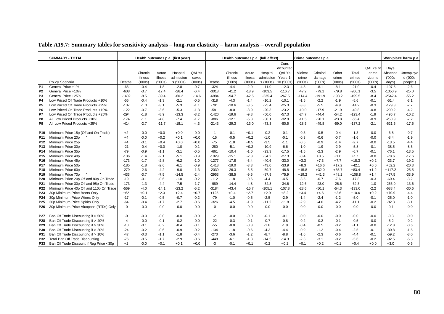| Table A19.7: Summary tables for sensitivity analysis - long-run elasticity - harm analysis - overall population |  |  |  |
|-----------------------------------------------------------------------------------------------------------------|--|--|--|
|                                                                                                                 |  |  |  |

|                 | <b>SUMMARY - TOTAL</b>                   |         |         |         | Health outcomes p.a. (first year) |         |         |         |         | Health outcomes p.a. (full effect) |            |          | Crime outcomes p.a. |          |          |          |           | Workplace harm p.a. |
|-----------------|------------------------------------------|---------|---------|---------|-----------------------------------|---------|---------|---------|---------|------------------------------------|------------|----------|---------------------|----------|----------|----------|-----------|---------------------|
|                 |                                          |         |         |         |                                   |         |         |         |         |                                    | Cum.       |          |                     |          |          |          |           |                     |
|                 |                                          |         |         |         |                                   |         |         |         |         |                                    | dicounted  |          |                     |          |          | QALYs of | Days      |                     |
|                 |                                          |         | Chronic | Acute   | Hospital                          | QALYs   |         | Chronic | Acute   | Hospital                           | QALYs      | Violent  | Criminal            | Other    | Total    | crime    | Absence   | Unemploye           |
|                 |                                          |         | illness | illness | admission                         | saved   |         | illness | illness | admission                          | Years 1-   | crime    | damage              | crime    | crimes   | victims  | (000s     | d ('000s            |
|                 | Policy Scenario                          | Deaths  | (000s)  | (000s)  | s ('000s)                         | (000s)  | Deaths  | (000s)  | (000s)  | s ('000s)                          | 10 ('000s) | (000s)   | (000s)              | (000s)   | (000s)   | (000s)   | days)     | people)             |
| P <sub>1</sub>  | General Price +1%                        | $-66$   | $-0.4$  | $-1.8$  | $-2.8$                            | $-0.7$  | $-324$  | $-4.4$  | $-2.0$  | $-11.0$                            | $-12.3$    | $-4.8$   | $-8.1$              | $-8.1$   | $-21.0$  | $-0.4$   | $-107.5$  | $-2.6$              |
| IP <sub>2</sub> | General Price +10%                       | $-608$  | $-3.7$  | $-17.4$ | $-26.4$                           | $-6.4$  | $-3018$ | $-41.2$ | $-18.9$ | $-103.5$                           | $-116.7$   | $-47.2$  | $-79.1$             | $-79.8$  | $-206.1$ | $-3.5$   | $-1050.9$ | $-25.0$             |
| lP3             | General Price +25%                       | $-1402$ | $-8.5$  | $-39.4$ | $-60.2$                           | $-14.6$ | $-6884$ | $-94.7$ | $-42.5$ | $-235.4$                           | $-267.5$   | $-114.4$ | $-191.9$            | $-193.2$ | $-499.5$ | $-8.4$   | $-2542.4$ | $-55.2$             |
| IP4             | Low Priced Off Trade Products +10%       | $-55$   | $-0.4$  | $-1.3$  | $-2.1$                            | $-0.5$  | $-318$  | $-4.3$  | $-1.4$  | $-10.2$                            | $-10.1$    | $-1.5$   | $-2.2$              | $-1.9$   | $-5.6$   | $-0.1$   | $-51.4$   | $-3.1$              |
| P <sub>5</sub>  | Low Priced Off Trade Products +25%       | -137    | $-1.0$  | $-3.1$  | $-5.3$                            | $-1.1$  | $-791$  | $-10.6$ | $-3.5$  | $-25.4$                            | $-25.3$    | $-3.8$   | $-5.5$              | $-4.9$   | $-14.2$  | $-0.3$   | $-129.3$  | $-7.7$              |
| IP <sub>6</sub> | Low Priced On Trade Products +10%        | $-122$  | $-0.7$  | $-3.6$  | $-5.3$                            | $-1.3$  | $-581$  | $-8.0$  | $-3.9$  | $-20.3$                            | $-23.2$    | $-10.0$  | $-17.9$             | $-21.9$  | $-49.8$  | $-0.8$   | $-200.2$  | $-4.2$              |
| IP7             | Low Priced On Trade Products +25%        | $-294$  | $-1.8$  | $-8.9$  | $-13.3$                           | $-3.2$  | $-1420$ | $-19.6$ | $-9.8$  | $-50.0$                            | $-57.3$    | $-24.7$  | -44.4               | $-54.2$  | $-123.4$ | $-1.9$   | -496.7    | $-10.2$             |
| P8              | All Low Priced Products +10%             | $-174$  | $-1.1$  | $-4.8$  | $-7.4$                            | $-1.7$  | $-886$  | $-12.1$ | $-5.3$  | $-30.1$                            | $-32.9$    | $-11.5$  | $-20.1$             | $-23.8$  | $-55.4$  | $-0.9$   | $-250.9$  | $-7.2$              |
| P <sub>9</sub>  | All Low Priced Products +25%             | $-414$  | $-2.7$  | $-11.7$ | $-18.1$                           | $-4.3$  | $-2143$ | $-29.3$ | $-13.0$ | $-73.3$                            | $-80.5$    | $-28.5$  | $-49.8$             | $-59.0$  | $-137.2$ | $-2.1$   | $-621.5$  | $-17.5$             |
|                 |                                          |         |         |         |                                   |         |         |         |         |                                    |            |          |                     |          |          |          |           |                     |
| P10             | Minimum Price 15p (Off and On Trade)     | $+2$    | -0.0    | $+0.0$  | $+0.0$                            | $-0.0$  | $-1$    | $-0.1$  | $+0.1$  | $-0.2$                             | $-0.1$     | -0.3     | $-0.5$              | $-0.4$   | $-1.3$   | $-0.0$   | $-6.8$    | $-0.7$              |
| P <sub>11</sub> | Minimum Price 20p                        | $+4$    | $-0.0$  | $+0.2$  | $+0.1$                            | $+0.0$  | $-15$   | $-0.5$  | $+0.2$  | $-1.0$                             | $-0.1$     | $-0.3$   | $-0.6$              | $-0.7$   | $-1.6$   | $-0.0$   | $-8.4$    | $-1.9$              |
| P <sub>12</sub> | Minimum Price 25p                        | $+4$    | $-0.1$  | $+0.4$  | $+0.0$                            | $+0.0$  | $-75$   | $-1.8$  | $+0.5$  | $-3.5$                             | $-1.1$     | $-0.5$   | $-0.9$              | $-1.4$   | $-2.7$   | $-0.0$   | $-13.5$   | $-4.4$              |
| P <sub>13</sub> | Minimum Price 30p                        | $-21$   | $-0.4$  | $+0.0$  | $-1.0$                            | $-0.1$  | $-280$  | $-5.1$  | $+0.2$  | $-10.9$                            | $-6.6$     | $-1.0$   | $-1.9$              | $-2.9$   | $-5.8$   | $-0.1$   | $-38.5$   | $-8.5$              |
| P <sub>14</sub> | Minimum Price 35p                        | $-79$   | $-0.9$  | $-1.1$  | $-3.1$                            | $-0.5$  | $-661$  | $-10.4$ | $-1.0$  | $-23.3$                            | $-17.5$    | $-1.5$   | $-2.3$              | $-2.9$   | $-6.7$   | $-0.1$   | $-76.1$   | $-13.5$             |
| P <sub>15</sub> | Minimum Price 40p                        | $-136$  | $-1.4$  | $-2.1$  | $-5.1$                            | $-0.9$  | $-1029$ | $-15.1$ | $-2.3$  | $-34.2$                            | $-27.3$    | $-0.4$   | $+0.5$              | $+1.0$   | $+1.1$   | $-0.0$   | $-78.6$   | $-17.6$             |
| P <sub>16</sub> | Minimum Price 45p                        | $-173$  | $-1.7$  | $-2.8$  | $-6.2$                            | $-1.0$  | $-1277$ | $-17.8$ | $-3.4$  | $-40.6$                            | $-33.0$    | $+3.3$   | $+7.3$              | $+7.7$   | $+18.3$  | $+0.2$   | $-23.7$   | $-19.2$             |
| <b>P17</b>      | Minimum Price 50p                        | $-185$  | $-1.8$  | $-2.6$  | $-6.1$                            | $-0.9$  | $-1418$ | $-19.0$ | $-3.3$  | $-43.0$                            | $-33.9$    | $+8.3$   | $+16.6$             | $+17.2$  | $+42.1$  | $+0.6$   | $+52.2$   | $-20.3$             |
| P18             | Minimum Price 60p                        | $-279$  | $-2.6$  | $-4.2$  | $-9.0$                            | $-1.3$  | $-2039$ | $-26.3$ | $-5.5$  | $-59.7$                            | $-48.8$    | $+15.8$  | $+32.0$             | $+35.7$  | $+83.4$  | $+1.2$   | $+117.2$  | $-25.5$             |
| P <sub>19</sub> | Minimum Price 70p                        | $-433$  | $-3.7$  | $-7.5$  | $-14.5$                           | $-2.4$  | $-2953$ | $-38.5$ | $-9.5$  | $-87.9$                            | $-75.9$    | $+19.2$  | $+41.3$             | $+48.2$  | $+108.8$ | $+1.4$   | $+67.5$   | $-33.9$             |
| P20             | Minimum Price 20p Off and 80p On Trade   | $-19$   | $-0.1$  | $-0.6$  | $-1.0$                            | $-0.2$  | $-112$  | $-1.8$  | $-0.6$  | $-4.4$                             | $-4.5$     | $-3.5$   | $-6.7$              | $-7.6$   | $-17.8$  | $-0.3$   | $-60.4$   | $-3.2$              |
| P21             | Minimum Price 30p Off and 95p On Trade   | $-173$  | $-1.3$  | $-4.4$  | $-7.5$                            | $-1.7$  | $-989$  | $-14.4$ | $-4.8$  | $-34.8$                            | $-34.6$    | $-12.6$  | $-23.0$             | $-26.6$  | $-62.3$  | $-1.0$   | $-266.0$  | $-13.6$             |
| P22             | Minimum Price 40p Off and 110p On Trade  | -569    | -4.0    | $-14.1$ | -23.2                             | $-5.2$  | $-3184$ | $-43.4$ | $-15.7$ | -105.1                             | $-107.8$   | $-28.6$  | -50.1               | $-54.3$  | $-133.0$ | $-2.2$   | $-688.4$  | $-30.6$             |
| P <sub>23</sub> | 30p Minimum Price Beers Only             | $+62$   | $+0.1$  | $+2.3$  | $+2.4$                            | $+0.7$  | $+125$  | $+0.4$  | $+2.7$  | $+2.9$                             | $+8.2$     | $+3.4$   | $+4.6$              | $+2.6$   | $+10.6$  | $+0.2$   | $+70.9$   | $-4.4$              |
| P <sub>24</sub> | 30p Minimum Price Wines Only             | $-17$   | $-0.1$  | $-0.5$  | $-0.7$                            | $-0.2$  | $-79$   | $-1.0$  | $-0.5$  | $-2.5$                             | $-2.9$     | $-1.4$   | $-2.4$              | $-1.2$   | $-5.0$   | $-0.1$   | -25.0     | $-1.0$              |
| P <sub>25</sub> | 30p Minimum Price Spirits Only           | $-64$   | $-0.4$  | $-1.7$  | $-2.7$                            | $-0.6$  | $-326$  | $-4.5$  | $-1.9$  | $-11.2$                            | $-11.8$    | $-2.9$   | $-4.0$              | $-4.2$   | $-11.1$  | $-0.2$   | $-82.3$   | $-3.1$              |
| P26             | 30p Minimum Price Alcopops (RTDs) Only   | -0      | $-0.0$  | $-0.0$  | $-0.0$                            | $-0.0$  | $-0$    | $-0.0$  | $-0.0$  | $-0.0$                             | $-0.0$     | $-0.0$   | $-0.0$              | $-0.0$   | $-0.0$   | $-0.0$   | $-0.1$    | $-0.0$              |
|                 |                                          |         |         |         |                                   |         |         |         |         |                                    |            |          |                     |          |          |          |           |                     |
| P27             | Ban Off Trade Discounting if > 50%       | -0      | $-0.0$  | $-0.0$  | $-0.0$                            | $-0.0$  | $-2$    | $-0.0$  | $-0.0$  | $-0.1$                             | $-0.1$     | $-0.0$   | $-0.0$              | $-0.0$   | $-0.0$   | $-0.0$   | $-0.3$    | $-0.0$              |
| P28             | Ban Off Trade Discounting if > 40%       | $-4$    | $-0.0$  | $-0.1$  | $-0.2$                            | $-0.0$  | $-22$   | $-0.3$  | $-0.1$  | $-0.7$                             | $-0.8$     | $-0.2$   | $-0.2$              | $-0.1$   | $-0.5$   | $-0.0$   | $-5.2$    | $-0.2$              |
| P29             | Ban Off Trade Discounting if > 30%       | -10     | $-0.1$  | $-0.2$  | $-0.4$                            | $-0.1$  | $-55$   | $-0.8$  | $-0.3$  | $-1.8$                             | $-1.9$     | $-0.4$   | $-0.5$              | $-0.2$   | $-1.1$   | $-0.0$   | $-12.8$   | $-0.6$              |
| P30             | Ban Off Trade Discounting if > 20%       | $-24$   | $-0.2$  | $-0.6$  | $-0.9$                            | $-0.2$  | $-134$  | $-1.8$  | $-0.6$  | $-4.3$                             | $-4.4$     | $-0.9$   | $-1.2$              | $-0.4$   | $-2.5$   | $-0.1$   | $-30.8$   | $-1.5$              |
| P31             | Ban Off Trade Discounting if > 10%       | $-47$   | $-0.3$  | $-1.1$  | $-1.8$                            | $-0.4$  | $-270$  | $-3.6$  | $-1.2$  | $-8.7$                             | $-8.8$     | $-1.6$   | $-2.3$              | $-0.6$   | $-4.4$   | $-0.1$   | $-59.2$   | $-3.0$              |
| P32             | Total Ban Off Trade Discounting          | $-76$   | $-0.5$  | $-1.7$  | $-2.9$                            | $-0.6$  | $-448$  | $-6.1$  | $-1.8$  | $-14.5$                            | $-14.3$    | $-2.3$   | $-3.1$              | $-0.2$   | $-5.6$   | $-0.2$   | $-92.5$   | $-5.3$              |
| P33             | Ban Off Trade Discount if Reg Price <30p | $+2$    | $-0.0$  | $+0.1$  | $+0.1$                            | $+0.0$  | -3      | $-0.1$  | $+0.1$  | $-0.2$                             | $+0.2$     | $+0.1$   | $+0.2$              | $+0.1$   | $+0.4$   | $+0.0$   | $+3.0$    | $-0.5$              |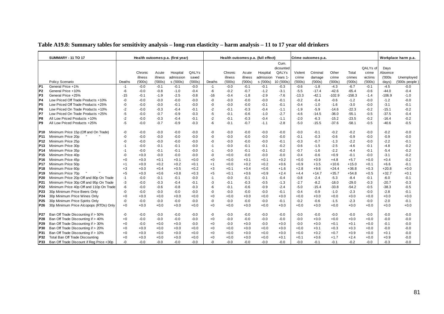| Table A19.8: Summary tables for sensitivity analysis – long-run elasticity – harm analysis – 11 to 17 year old drinkers |  |  |  |
|-------------------------------------------------------------------------------------------------------------------------|--|--|--|
|                                                                                                                         |  |  |  |

|                 | <b>SUMMARY - 11 TO 17</b>                |        |         |         | Health outcomes p.a. (first year) |        |        | Health outcomes p.a. (full effect) |         |           |                   |         | Crime outcomes p.a. |          |          |          |          | Workplace harm p.a. |
|-----------------|------------------------------------------|--------|---------|---------|-----------------------------------|--------|--------|------------------------------------|---------|-----------|-------------------|---------|---------------------|----------|----------|----------|----------|---------------------|
|                 |                                          |        |         |         |                                   |        |        |                                    |         |           | Cum.<br>dicounted |         |                     |          |          | QALYs of | Days     |                     |
|                 |                                          |        | Chronic | Acute   | Hospital                          | QALYs  |        | Chronic                            | Acute   | Hospital  | QALYs             | Violent | Criminal            | Other    | Total    | crime    | Absence  |                     |
|                 |                                          |        | illness | illness | admission                         | saved  |        | illness                            | illness | admission | Years 1           | crime   | damage              | crime    | crimes   | victims  | (000s    | Unemployed          |
|                 | Policy Scenario                          | Deaths | (000s)  | (000s)  | s ('000s)                         | (000s) | Deaths | (000s)                             | (000s)  | s ('000s) | 10 ('000s)        | (000s)  | (000s)              | (000s)   | (000s)   | (000s)   | days)    | ('000s people )     |
| P <sub>1</sub>  | General Price +1%                        | -1     | $-0.0$  | $-0.1$  | $-0.1$                            | $-0.0$ | -1     | $-0.0$                             | $-0.1$  | $-0.1$    | $-0.3$            | $-0.6$  | $-1.8$              | $-4.3$   | $-6.7$   | $-0.1$   | $-4.5$   | $-0.0$              |
| P <sub>2</sub>  | General Price +10%                       | -6     | $-0.0$  | $-0.8$  | $-1.0$                            | $-0.4$ | -6     | $-0.2$                             | $-0.7$  | $-1.2$    | $-3.1$            | $-5.5$  | $-17.4$             | $-42.6$  | $-65.4$  | $-0.6$   | $-44.0$  | -0.4                |
| P <sub>3</sub>  | General Price +25%                       | -15    | $-0.1$  | $-1.9$  | $-2.5$                            | $-0.8$ | $-16$  | $-0.4$                             | $-1.8$  | $-2.9$    | $-7.6$            | $-13.3$ | $-42.1$             | $-102.9$ | $-158.3$ | $-1.4$   | $-106.9$ | $-1.0$              |
| <b>P4</b>       | Low Priced Off Trade Products +10%       | $-0$   | $-0.0$  | $-0.0$  | $-0.0$                            | $-0.0$ | -0     | $-0.0$                             | $-0.0$  | $-0.0$    | $-0.1$            | $-0.2$  | $-0.4$              | $-0.6$   | $-1.2$   | $-0.0$   | $-1.2$   | $-0.0$              |
| P <sub>5</sub>  | Low Priced Off Trade Products +25%       | -0     | $-0.0$  | $-0.0$  | $-0.1$                            | $-0.0$ | -0     | $-0.0$                             | $-0.0$  | $-0.1$    | $-0.1$            | $-0.4$  | $-1.0$              | $-1.6$   | $-3.0$   | $-0.0$   | $-3.1$   | $-0.1$              |
| P <sub>6</sub>  | Low Priced On Trade Products +10%        | -2     | $-0.0$  | $-0.3$  | $-0.4$                            | $-0.1$ | $-2$   | $-0.1$                             | $-0.3$  | $-0.4$    | $-1.1$            | $-1.9$  | $-5.9$              | $-14.6$  | $-22.3$  | $-0.2$   | $-15.1$  | $-0.2$              |
| P7              | Low Priced On Trade Products +25%        | -5     | $-0.0$  | $-0.7$  | $-0.9$                            | $-0.3$ | -5     | $-0.1$                             | $-0.6$  | $-1.0$    | $-2.7$            | $-4.6$  | $-14.5$             | $-36.0$  | $-55.1$  | $-0.5$   | $-37.5$  | $-0.4$              |
| P <sub>8</sub>  | All Low Priced Products +10%             | $-2$   | $-0.0$  | $-0.3$  | $-0.4$                            | $-0.1$ | $-2$   | $-0.1$                             | $-0.3$  | $-0.4$    | $-1.1$            | $-2.0$  | $-6.3$              | $-15.2$  | $-23.5$  | $-0.2$   | $-16.4$  | $-0.2$              |
| P <sub>9</sub>  | All Low Priced Products +25%             | -5     | $-0.0$  | $-0.7$  | $-0.9$                            | $-0.3$ | -6     | $-0.1$                             | $-0.7$  | $-1.1$    | $-2.8$            | $-5.0$  | $-15.5$             | $-37.6$  | $-58.1$  | $-0.5$   | $-40.6$  | $-0.5$              |
| P10             | Minimum Price 15p (Off and On Trade)     | -0     | $-0.0$  | $-0.0$  | $-0.0$                            | $-0.0$ | -0     | $-0.0$                             | $-0.0$  | $-0.0$    | $-0.0$            | $-0.0$  | $-0.1$              | $-0.2$   | $-0.2$   | $-0.0$   | $-0.2$   | $-0.0$              |
| <b>P11</b>      | Minimum Price 20p                        | -0     | $-0.0$  | $-0.0$  | $-0.0$                            | $-0.0$ | -0     | $-0.0$                             | $-0.0$  | $-0.0$    | $-0.0$            | $-0.1$  | $-0.3$              | $-0.6$   | $-0.9$   | $-0.0$   | $-0.9$   | $-0.0$              |
| P12             | Minimum Price 25p                        | -ሰ     | $-0.0$  | $-0.0$  | $-0.0$                            | $-0.0$ | -0     | $-0.0$                             | $-0.0$  | $-0.0$    | $-0.1$            | $-0.3$  | $-0.7$              | $-1.3$   | $-2.2$   | $-0.0$   | $-2.2$   | $-0.1$              |
| P13             | Minimum Price 30p                        | -1     | $-0.0$  | $-0.1$  | $-0.1$                            | $-0.0$ | $-1$   | $-0.0$                             | $-0.1$  | $-0.1$    | $-0.2$            | $-0.6$  | $-1.5$              | $-2.5$   | -4.6     | $-0.1$   | $-4.8$   | $-0.2$              |
| P14             | Minimum Price 35p                        | -1     | $-0.0$  | $-0.1$  | $-0.1$                            | $-0.0$ | -1     | $-0.0$                             | $-0.1$  | $-0.1$    | $-0.2$            | $-0.7$  | $-1.6$              | $-2.2$   | $-4.4$   | $-0.1$   | $-5.4$   | $-0.2$              |
| P <sub>15</sub> | Minimum Price 40p                        | -0     | $+0.0$  | $-0.0$  | $-0.0$                            | $-0.0$ | -0     | $+0.0$                             | $-0.0$  | $-0.0$    | $-0.0$            | $-0.4$  | $-0.6$              | $+0.9$   | $-0.1$   | $-0.0$   | $-3.1$   | $-0.2$              |
| P16             | Minimum Price 45p                        | $+0$   | $+0.0$  | $+0.1$  | $+0.1$                            | $+0.0$ | $+0$   | $+0.0$                             | $+0.1$  | $+0.1$    | $+0.2$            | $+0.0$  | $+0.9$              | $+4.8$   | $+5.7$   | $+0.0$   | $+0.4$   | $-0.2$              |
| P17             | Minimum Price 50p                        | $+1$   | $+0.0$  | $+0.2$  | $+0.2$                            | $+0.1$ | $+1$   | $+0.0$                             | $+0.2$  | $+0.2$    | $+0.6$            | $+0.9$  | $+3.5$              | $+10.6$  | $+15.0$  | $+0.1$   | $+6.6$   | $-0.1$              |
| P18             | Minimum Price 60p                        | $+3$   | $+0.0$  | $+0.4$  | $+0.5$                            | $+0.2$ | $+3$   | $+0.1$                             | $+0.4$  | $+0.6$    | $+1.6$            | $+2.8$  | $+9.6$              | $+24.4$  | $+36.8$  | $+0.3$   | $+20.8$  | $+0.0$              |
| P19             | Minimum Price 70p                        | $+5$   | $+0.0$  | $+0.6$  | $+0.8$                            | $+0.3$ | $+5$   | $+0.1$                             | $+0.6$  | $+0.9$    | $+2.4$            | $+4.4$  | $+14.7$             | $+35.7$  | $+54.8$  | $+0.5$   | $+32.7$  | $+0.1$              |
| P <sub>20</sub> | Minimum Price 20p Off and 80p On Trade   | -1     | $-0.0$  | $-0.1$  | $-0.1$                            | $-0.0$ | $-1$   | $-0.0$                             | $-0.1$  | $-0.1$    | $-0.4$            | $-0.8$  | $-2.4$              | $-5.3$   | $-8.4$   | $-0.1$   | $-6.0$   | $-0.1$              |
| P21             | Minimum Price 30p Off and 95p On Trade   | -3     | $-0.0$  | $-0.3$  | $-0.4$                            | $-0.1$ | -3     | $-0.1$                             | $-0.3$  | $-0.5$    | $-1.3$            | $-2.7$  | $-8.2$              | $-18.0$  | $-29.0$  | $-0.3$   | $-20.7$  | $-0.3$              |
| P22             | Minimum Price 40p Off and 110p On Trade  | -6     | $-0.0$  | $-0.6$  | $-0.8$                            | $-0.3$ | -6     | $-0.1$                             | $-0.6$  | $-0.9$    | $-2.4$            | $-5.0$  | $-15.4$             | $-33.8$  | $-54.2$  | $-0.5$   | $-38.3$  | $-0.5$              |
| P <sub>23</sub> | 30p Minimum Price Beers Only             | $-0$   | $-0.0$  | $-0.0$  | $-0.0$                            | $-0.0$ | -0     | $-0.0$                             | $-0.0$  | $-0.0$    | $-0.1$            | $-0.4$  | $-0.9$              | $-1.0$   | $-2.3$   | $-0.0$   | $-2.8$   | $-0.1$              |
| P24             | 30p Minimum Price Wines Only             | $+0$   | $+0.0$  | $+0.0$  | $+0.0$                            | $+0.0$ | $+0$   | $+0.0$                             | $+0.0$  | $+0.0$    | $+0.0$            | $+0.0$  | $+0.0$              | $+0.0$   | $+0.0$   | $+0.0$   | $+0.0$   | $+0.0$              |
| P <sub>25</sub> | 30p Minimum Price Spirits Only           | -0     | $-0.0$  | $-0.0$  | $-0.0$                            | $-0.0$ | -0     | $-0.0$                             | $-0.0$  | $-0.0$    | $-0.1$            | $-0.2$  | $-0.6$              | $-1.5$   | $-2.3$   | $-0.0$   | $-2.0$   | $-0.1$              |
| P26             | 30p Minimum Price Alcopops (RTDs) Only   | $+0$   | $+0.0$  | $+0.0$  | $+0.0$                            | $+0.0$ | $+0$   | $+0.0$                             | $+0.0$  | $+0.0$    | $+0.0$            | $+0.0$  | $+0.0$              | $+0.0$   | $+0.0$   | $+0.0$   | $+0.0$   | $+0.0$              |
| P27             | Ban Off Trade Discounting if > 50%       | -0     | $-0.0$  | $-0.0$  | $-0.0$                            | $-0.0$ | -0     | $-0.0$                             | $-0.0$  | $-0.0$    | $-0.0$            | $-0.0$  | $-0.0$              | $-0.0$   | $-0.0$   | $-0.0$   | $-0.0$   | $-0.0$              |
| <b>P28</b>      | Ban Off Trade Discounting if > 40%       | $+0$   | $-0.0$  | $-0.0$  | $-0.0$                            | $-0.0$ | $+0$   | $-0.0$                             | $-0.0$  | $-0.0$    | $-0.0$            | $-0.0$  | $+0.0$              | $+0.0$   | $+0.0$   | $+0.0$   | $-0.0$   | $-0.0$              |
| P29             | Ban Off Trade Discounting if > 30%       | $+0$   | $-0.0$  | $+0.0$  | $+0.0$                            | $-0.0$ | $+0$   | $-0.0$                             | $+0.0$  | $-0.0$    | $+0.0$            | $-0.0$  | $+0.0$              | $+0.1$   | $+0.1$   | $+0.0$   | $-0.1$   | $-0.0$              |
| P30             | Ban Off Trade Discounting if > 20%       | $+0$   | $+0.0$  | $+0.0$  | $+0.0$                            | $+0.0$ | $+0$   | $+0.0$                             | $+0.0$  | $+0.0$    | $+0.0$            | $+0.0$  | $+0.1$              | $+0.3$   | $+0.3$   | $+0.0$   | $-0.0$   | $-0.0$              |
| P31             | Ban Off Trade Discounting if > 10%       | $+0$   | $+0.0$  | $+0.0$  | $+0.0$                            | $+0.0$ | $+0$   | $+0.0$                             | $+0.0$  | $+0.0$    | $+0.0$            | $+0.0$  | $+0.2$              | $+0.7$   | $+0.9$   | $+0.0$   | $+0.1$   | $-0.0$              |
| P32             | Total Ban Off Trade Discounting          | $+0$   | $+0.0$  | $+0.0$  | $+0.0$                            | $+0.0$ | $+0$   | $+0.0$                             | $+0.0$  | $+0.0$    | $+0.1$            | $+0.1$  | $+0.6$              | $+1.7$   | $+2.4$   | $+0.0$   | $+0.9$   | $-0.0$              |
| P33             | Ban Off Trade Discount if Reg Price <30p | $-0$   | $-0.0$  | $-0.0$  | $-0.0$                            | $-0.0$ | -0     | $-0.0$                             | $-0.0$  | $-0.0$    | $-0.0$            | $-0.0$  | $-0.1$              | $-0.1$   | $-0.2$   | $-0.0$   | $-0.3$   | $-0.0$              |
|                 |                                          |        |         |         |                                   |        |        |                                    |         |           |                   |         |                     |          |          |          |          |                     |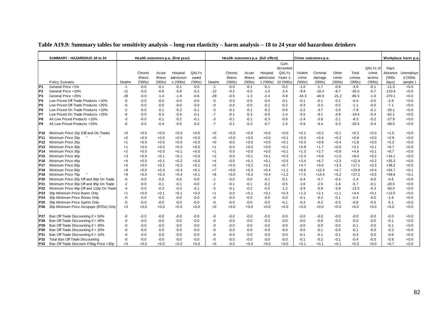|                 | SUMMARY - HAZARDOUS 18 to 24             |        |         |         | Health outcomes p.a. (first year) |        |        |         |         | Health outcomes p.a. (full effect) |           |         | Crime outcomes p.a. |         |         |          |          | Workplace harm p.a |
|-----------------|------------------------------------------|--------|---------|---------|-----------------------------------|--------|--------|---------|---------|------------------------------------|-----------|---------|---------------------|---------|---------|----------|----------|--------------------|
|                 |                                          |        |         |         |                                   |        |        |         |         |                                    | Cum.      |         |                     |         |         |          |          |                    |
|                 |                                          |        |         |         |                                   |        |        |         |         |                                    | dicounted |         |                     |         |         | QALYs of | Days     |                    |
|                 |                                          |        | Chronic | Acute   | Hospital                          | QALYs  |        | Chronic | Acute   | Hospital                           | QALYs     | Violent | Criminal            | Other   | Total   | crime    | Absence  | Unemploye          |
|                 |                                          |        | illness | illness | admission                         | saved  |        | illness | illness | admission                          | Years 1   | crime   | damage              | crime   | crimes  | victims  | (000s    | d ('000s           |
|                 | Policy Scenario                          | Deaths | (000s)  | (000s)  | s ('000s)                         | (000s) | Deaths | (000s)  | (000s)  | s ('000s)                          | 10 ('000s | (000s)  | (000s)              | (000s)  | (000s)  | (000s)   | days)    | people             |
| P <sub>1</sub>  | General Price +1%                        | $-1$   | $-0.0$  | $-0.1$  | $-0.1$                            | $-0.0$ | $-1$   | $-0.0$  | $-0.1$  | $-0.1$                             | $-0.2$    | $-1.0$  | $-1.7$              | $-0.9$  | $-3.6$  | $-0.1$   | $-11.3$  | $+0.0$             |
| P <sub>2</sub>  | General Price +10%                       | $-11$  | $-0.0$  | $-0.6$  | $-0.8$                            | $-0.2$ | $-12$  | $-0.2$  | $-0.5$  | $-1.0$                             | $-2.4$    | $-9.9$  | $-16.4$             | $-8.7$  | $-35.0$ | $-0.7$   | $-110.6$ | $+0.0$             |
| P <sub>3</sub>  | General Price +25%                       | $-26$  | $-0.0$  | $-1.4$  | $-1.9$                            | $-0.6$ | $-29$  | $-0.5$  | $-1.3$  | $-2.4$                             | $-5.8$    | $-24.3$ | $-40.0$             | $-21.2$ | $-85.5$ | $-1.6$   | $-270.1$ | $+0.0$             |
| <b>P4</b>       | Low Priced Off Trade Products +10%       | -0     | $-0.0$  | $-0.0$  | $-0.0$                            | $-0.0$ | -0     | $-0.0$  | $-0.0$  | $-0.0$                             | $-0.1$    | -0.1    | $-0.1$              | $-0.2$  | $-0.4$  | $-0.0$   | $-2.8$   | $+0.0$             |
| P <sub>5</sub>  | Low Priced Off Trade Products +25%       | -0     | $-0.0$  | $-0.0$  | $-0.0$                            | $-0.0$ | -0     | $-0.0$  | $-0.0$  | $-0.1$                             | $-0.2$    | -0.3    | $-0.3$              | $-0.5$  | $-1.1$  | $-0.0$   | $-7.1$   | $+0.0$             |
| P <sub>6</sub>  | Low Priced On Trade Products +10%        | $-2$   | $-0.0$  | $-0.1$  | $-0.2$                            | $-0.1$ | -3     | $-0.1$  | $-0.1$  | $-0.2$                             | $-0.6$    | $-2.2$  | $-3.7$              | $-2.0$  | $-7.9$  | $-0.1$   | $-25.1$  | $+0.0$             |
| P7              | Low Priced On Trade Products +25%        | -6     | $-0.0$  | $-0.3$  | $-0.4$                            | $-0.1$ | $-7$   | $-0.1$  | $-0.3$  | $-0.6$                             | $-1.4$    | $-5.5$  | $-9.1$              | $-4.9$  | $-19.4$ | $-0.4$   | $-62.1$  | $+0.0$             |
| P8              | All Low Priced Products +10%             | -3     | $-0.0$  | $-0.1$  | $-0.2$                            | $-0.1$ | -3     | $-0.1$  | $-0.1$  | $-0.3$                             | $-0.6$    | $-2.4$  | $-3.8$              | $-2.1$  | $-8.3$  | $-0.2$   | $-27.9$  | $+0.0$             |
| P <sub>9</sub>  | All Low Priced Products +25%             | -6     | $-0.0$  | $-0.4$  | $-0.5$                            | $-0.2$ | $-7$   | $-0.1$  | $-0.3$  | $-0.7$                             | $-1.5$    | $-5.9$  | $-9.4$              | $-5.3$  | $-20.5$ | $-0.4$   | $-69.0$  | $+0.0$             |
| <b>P10</b>      | Minimum Price 15p (Off and On Trade)     | $+0$   | $+0.0$  | $+0.0$  | $+0.0$                            | $+0.0$ | $+0$   | $+0.0$  | $+0.0$  | $+0.0$                             | $+0.0$    | $+0.1$  | $+0.2$              | $+0.1$  | $+0.3$  | $+0.0$   | $+1.0$   | $+0.0$             |
| P <sub>11</sub> | Minimum Price 20p                        | $+0$   | $+0.0$  | $+0.0$  | $+0.0$                            | $+0.0$ | $+0$   | $+0.0$  | $+0.0$  | $+0.0$                             | $+0.1$    | $+0.3$  | $+0.4$              | $+0.2$  | $+0.9$  | $+0.0$   | $+2.9$   | $+0.0$             |
| P <sub>12</sub> | Minimum Price 25p                        | $+1$   | $+0.0$  | $+0.0$  | $+0.0$                            | $+0.0$ | $+0$   | $-0.0$  | $+0.0$  | $+0.0$                             | $+0.1$    | $+0.5$  | $+0.9$              | $+0.4$  | $+1.8$  | $+0.0$   | $+5.2$   | $+0.0$             |
| P <sub>13</sub> | Minimum Price 30p                        | $+1$   | $+0.0$  | $+0.0$  | $+0.0$                            | $+0.0$ | $+1$   | $-0.0$  | $+0.0$  | $+0.0$                             | $+0.1$    | $+0.9$  | $+1.7$              | $+0.6$  | $+3.1$  | $+0.1$   | $+6.7$   | $+0.0$             |
| <b>P14</b>      | Minimum Price 35p                        | $+2$   | $+0.0$  | $+0.0$  | $+0.1$                            | $+0.0$ | $+1$   | $-0.0$  | $+0.0$  | $+0.0$                             | $+0.1$    | $+1.3$  | $+2.7$              | $+0.8$  | $+4.9$  | $+0.1$   | $+8.7$   | $+0.0$             |
| P <sub>15</sub> | Minimum Price 40p                        | +3     | $+0.0$  | $+0.1$  | $+0.1$                            | $+0.0$ | $+2$   | $-0.0$  | $+0.1$  | $+0.1$                             | $+0.3$    | $+2.3$  | $+4.6$              | $+1.5$  | $+8.4$  | $+0.2$   | $+16.1$  | $+0.0$             |
| P <sub>16</sub> | Minimum Price 45p                        | $+4$   | $+0.0$  | $+0.1$  | $+0.2$                            | $+0.0$ | $+4$   | $-0.0$  | $+0.1$  | $+0.1$                             | $+0.5$    | $+3.4$  | $+6.7$              | $+2.3$  | $+12.4$ | $+0.2$   | $+25.3$  | $+0.0$             |
| P <sub>17</sub> | Minimum Price 50p                        | $+5$   | $+0.0$  | $+0.2$  | $+0.3$                            | $+0.1$ | $+5$   | $+0.0$  | $+0.2$  | $+0.2$                             | $+0.7$    | $+4.7$  | $+9.0$              | $+3.3$  | $+17.1$ | $+0.3$   | $+38.2$  | $+0.0$             |
| P <sub>18</sub> | Minimum Price 60p                        | $+8$   | $+0.0$  | $+0.3$  | $+0.4$                            | $+0.1$ | $+7$   | $+0.0$  | $+0.3$  | $+0.4$                             | $+1.1$    | $+6.6$  | $+12.5$             | $+4.7$  | $+23.9$ | $+0.4$   | $+54.7$  | $+0.1$             |
| P <sub>19</sub> | Minimum Price 70p                        | $+9$   | $+0.0$  | $+0.3$  | $+0.4$                            | $+0.1$ | $+8$   | $+0.0$  | $+0.3$  | $+0.4$                             | $+1.2$    | $+7.5$  | $+14.4$             | $+5.2$  | $+27.2$ | $+0.5$   | $+59.6$  | $+0.1$             |
| P20             | Minimum Price 20p Off and 80p On Trade   | -0     | $-0.0$  | $-0.0$  | $-0.0$                            | $-0.0$ | $-1$   | $-0.0$  | $-0.0$  | $-0.1$                             | $-0.1$    | -0.4    | $-0.7$              | $-0.4$  | $-1.4$  | $-0.0$   | $-4.6$   | $+0.0$             |
| P21             | Minimum Price 30p Off and 95p On Trade   | $-2$   | $-0.0$  | $-0.1$  | $-0.1$                            | $-0.0$ | $-2$   | $-0.1$  | $-0.1$  | $-0.2$                             | $-0.5$    | $-1.6$  | $-2.5$              | $-1.6$  | $-5.7$  | $-0.1$   | $-20.5$  | $+0.0$             |
| P <sub>22</sub> | Minimum Price 40p Off and 110p On Trade  | $-4$   | $-0.0$  | $-0.3$  | $-0.3$                            | $-0.1$ | $-5$   | $-0.1$  | $-0.2$  | $-0.5$                             | $-1.2$    | $-3.9$  | $-5.9$              | $-3.8$  | $-13.5$ | $-0.3$   | $-50.0$  | $+0.0$             |
| P23             | 30p Minimum Price Beers Only             | $+1$   | $+0.0$  | $+0.1$  | $+0.1$                            | $+0.0$ | $+1$   | $-0.0$  | $+0.1$  | $+0.1$                             | $+0.3$    | $+1.2$  | $+2.1$              | $+1.1$  | $+4.4$  | $+0.1$   | $+13.5$  | $+0.0$             |
| P24             | 30p Minimum Price Wines Only             | -0     | $-0.0$  | $-0.0$  | $-0.0$                            | $-0.0$ | -0     | $-0.0$  | $-0.0$  | $-0.0$                             | $-0.0$    | -0.1    | $-0.2$              | $-0.1$  | $-0.4$  | $-0.0$   | $-1.6$   | $+0.0$             |
| P <sub>25</sub> | 30p Minimum Price Spirits Only           | -0     | $-0.0$  | $-0.0$  | $-0.0$                            | $-0.0$ | -0     | $-0.0$  | $-0.0$  | $-0.0$                             | $-0.1$    | $-0.3$  | $-0.2$              | $-0.3$  | $-0.8$  | $-0.0$   | $-5.1$   | $+0.0$             |
| P <sub>26</sub> | 30p Minimum Price Alcopops (RTDs) Only   | $+0$   | $+0.0$  | $+0.0$  | $+0.0$                            | $+0.0$ | $+0$   | $+0.0$  | $+0.0$  | $+0.0$                             | $+0.0$    | $+0.0$  | $+0.0$              | $+0.0$  | $+0.0$  | $+0.0$   | $+0.0$   | $+0.0$             |
| P27             | Ban Off Trade Discounting if > 50%       | -0     | $-0.0$  | $-0.0$  | $-0.0$                            | $-0.0$ | -0     | $-0.0$  | $-0.0$  | $-0.0$                             | $-0.0$    | -0.0    | $-0.0$              | $-0.0$  | $-0.0$  | $-0.0$   | $-0.0$   | $+0.0$             |
| P28             | Ban Off Trade Discounting if > 40%       | -0     | $-0.0$  | $-0.0$  | $-0.0$                            | $-0.0$ | -0     | $-0.0$  | $-0.0$  | $-0.0$                             | $-0.0$    | -0.0    | $-0.0$              | $-0.0$  | $-0.0$  | $-0.0$   | $-0.1$   | $+0.0$             |
| P29             | Ban Off Trade Discounting if > 30%       | -0     | $-0.0$  | $-0.0$  | $-0.0$                            | $-0.0$ | -0     | $-0.0$  | $-0.0$  | $-0.0$                             | $-0.0$    | $-0.0$  | $-0.0$              | $-0.0$  | $-0.1$  | $-0.0$   | $-0.1$   | $+0.0$             |
| P30             | Ban Off Trade Discounting if > 20%       | -0     | $-0.0$  | $-0.0$  | $-0.0$                            | $-0.0$ | -0     | $-0.0$  | $-0.0$  | $-0.0$                             | $-0.0$    | -0.0    | -0.1                | $-0.0$  | $-0.1$  | $-0.0$   | $-0.3$   | $+0.0$             |
| P31             | Ban Off Trade Discounting if > 10%       | -0     | $-0.0$  | $-0.0$  | $-0.0$                            | $-0.0$ | -0     | $-0.0$  | $-0.0$  | $-0.0$                             | $-0.0$    | $-0.1$  | $-0.1$              | $-0.1$  | $-0.3$  | $-0.0$   | $-0.6$   | $+0.0$             |
| P32             | Total Ban Off Trade Discounting          | $-0$   | $-0.0$  | $-0.0$  | $-0.0$                            | $-0.0$ | -0     | $-0.0$  | $-0.0$  | $-0.0$                             | $-0.0$    | $-0.1$  | $-0.2$              | $-0.1$  | $-0.4$  | $-0.0$   | $-0.8$   | $+0.0$             |
| P33             | Ban Off Trade Discount if Reg Price <30p | $+0$   | $+0.0$  | $+0.0$  | $+0.0$                            | $+0.0$ | $+0$   | $-0.0$  | $+0.0$  | $+0.0$                             | $+0.0$    | $+0.1$  | $+0.1$              | $+0.1$  | $+0.3$  | $+0.0$   | $+0.7$   | $+0.0$             |

### **Table A19.9: Summary tables for sensitivity analysis – long-run elasticity – harm analysis – 18 to 24 year old hazardous drinkers**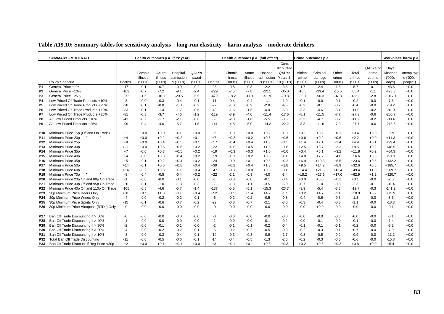|                 | <b>SUMMARY - MODERATE</b>                |        |         |         | Health outcomes p.a. (first year) |        |        |         |         | Health outcomes p.a. (full effect) |            |         | Crime outcomes p.a. |         |          |          |           | Workplace harm p.a. |
|-----------------|------------------------------------------|--------|---------|---------|-----------------------------------|--------|--------|---------|---------|------------------------------------|------------|---------|---------------------|---------|----------|----------|-----------|---------------------|
|                 |                                          |        |         |         |                                   |        |        |         |         |                                    | Cum.       |         |                     |         |          |          |           |                     |
|                 |                                          |        |         |         |                                   |        |        |         |         |                                    | dicounted  |         |                     |         |          | QALYs of | Days      |                     |
|                 |                                          |        | Chronic | Acute   | Hospital                          | QALYs  |        | Chronic | Acute   | Hospital                           | QALYs      | Violent | Criminal            | Other   | Total    | crime    | Absence   | Unemploye           |
|                 |                                          |        | illness | illness | admission                         | saved  |        | illness | illness | admission                          | Years 1    | crime   | damage              | crime   | crimes   | victims  | (000s)    | d ('000s            |
|                 | Policy Scenario                          | Deaths | ('000s) | (000s)  | s ('000s)                         | (000s) | Deaths | (000s)  | (000s)  | s ('000s)                          | 10 ('000s) | (000s)  | (000s)              | (000s)  | (000s)   | (000s)   | days)     | people)             |
| P <sub>1</sub>  | General Price +1%                        | $-17$  | $-0.1$  | $-0.7$  | $-0.9$                            | $-0.2$ | $-25$  | $-0.8$  | $-0.8$  | $-2.2$                             | $-3.6$     | $-1.7$  | $-2.4$              | $-1.6$  | $-5.7$   | $-0.1$   | $-43.6$   | $+0.0$              |
| P <sub>2</sub>  | General Price +10%                       | $-163$ | $-0.7$  | $-7.2$  | $-9.1$                            | $-2.4$ | $-229$ | $-7.5$  | $-7.8$  | $-22.1$                            | $-35.0$    | $-16.5$ | $-23.4$             | $-15.5$ | $-55.4$  | $-1.1$   | $-423.3$  | $+0.0$              |
| P <sub>3</sub>  | General Price +25%                       | $-372$ | $-1.6$  | $-16.1$ | $-20.5$                           | $-5.5$ | $-479$ | $-18.2$ | $-17.1$ | $-51.9$                            | $-79.8$    | $-39.7$ | $-56.3$             | $-37.3$ | $-133.2$ | $-2.8$   | $-1017.1$ | $+0.0$              |
| P <sub>4</sub>  | Low Priced Off Trade Products +10%       | -8     | $-0.0$  | $-0.3$  | $-0.4$                            | $-0.1$ | $-11$  | $-0.4$  | $-0.4$  | $-1.1$                             | $-1.9$     | $-0.1$  | $-0.0$              | $-0.1$  | $-0.2$   | $-0.0$   | $-7.6$    | $+0.0$              |
| P <sub>5</sub>  | Low Priced Off Trade Products +25%       | $-20$  | $-0.1$  | $-0.8$  | $-1.0$                            | $-0.2$ | $-27$  | $-1.0$  | $-0.9$  | $-2.8$                             | $-4.5$     | $-0.2$  | $-0.1$              | $-0.2$  | $-0.4$   | $-0.0$   | $-19.2$   | $+0.0$              |
| P <sub>6</sub>  | Low Priced On Trade Products +10%        | $-33$  | $-0.1$  | $-1.4$  | $-1.7$                            | $-0.5$ | $-49$  | $-1.6$  | $-1.5$  | $-4.4$                             | $-6.8$     | $-3.3$  | $-4.6$              | $-3.1$  | $-11.0$  | $-0.2$   | $-81.0$   | $+0.0$              |
| P7              | Low Priced On Trade Products +25%        | $-81$  | $-0.3$  | $-3.7$  | $-4.6$                            | $-1.2$ | $-119$ | $-3.9$  | $-4.0$  | $-11.4$                            | $-17.6$    | $-8.1$  | $-11.5$             | $-7.7$  | $-27.3$  | $-0.6$   | $-200.7$  | $+0.0$              |
| P8              | All Low Priced Products +10%             | $-41$  | $-0.2$  | $-1.7$  | $-2.1$                            | $-0.6$ | $-59$  | $-2.0$  | $-1.8$  | $-5.5$                             | $-8.6$     | $-3.3$  | $-4.7$              | $-3.2$  | $-11.2$  | $-0.2$   | $-88.4$   | $+0.0$              |
| P <sub>9</sub>  | All Low Priced Products +25%             | $-99$  | $-0.4$  | $-4.6$  | $-5.7$                            | $-1.5$ | $-141$ | $-4.8$  | $-5.0$  | $-14.2$                            | $-22.2$    | $-8.3$  | $-11.6$             | $-7.9$  | $-27.7$  | $-0.6$   | $-218.6$  | $+0.0$              |
|                 |                                          |        |         |         |                                   |        |        |         |         |                                    |            |         |                     |         |          |          |           |                     |
| <b>P10</b>      | Minimum Price 15p (Off and On Trade)     | $+1$   | $+0.0$  | $+0.0$  | $+0.0$                            | $+0.0$ | $+2$   | $+0.1$  | $+0.0$  | $+0.2$                             | $+0.1$     | $+0.1$  | $+0.2$              | $+0.1$  | $+0.4$   | $+0.0$   | $+1.9$    | $+0.0$              |
| P11             | Minimum Price 20p                        | $+4$   | $+0.0$  | $+0.2$  | $+0.2$                            | $+0.1$ | $+7$   | $+0.2$  | $+0.2$  | $+0.6$                             | $+0.6$     | $+0.6$  | $+0.9$              | $+0.6$  | $+2.2$   | $+0.0$   | +11.3     | $+0.0$              |
| P12             | Minimum Price 25p                        | $+9$   | $+0.0$  | $+0.4$  | $+0.5$                            | $+0.1$ | $+17$  | $+0.4$  | $+0.4$  | $+1.3$                             | $+1.5$     | $+1.4$  | $+2.1$              | $+1.4$  | $+4.9$   | $+0.1$   | $+29.4$   | $+0.0$              |
| P <sub>13</sub> | Minimum Price 30p                        | $+11$  | $+0.0$  | $+0.5$  | $+0.6$                            | $+0.2$ | $+22$  | $+0.5$  | $+0.5$  | $+1.5$                             | $+1.6$     | $+2.5$  | $+3.7$              | $+2.3$  | $+8.5$   | $+0.2$   | $+48.5$   | $+0.0$              |
| P14             | Minimum Price 35p                        | $+7$   | $-0.0$  | $+0.3$  | $+0.5$                            | $+0.2$ | $+19$  | $+0.3$  | $+0.3$  | $+1.0$                             | $+0.6$     | $+3.4$  | $+5.1$              | $+3.2$  | $+11.8$  | $+0.2$   | $+64.3$   | $+0.0$              |
| P <sub>15</sub> | Minimum Price 40p                        | $+4$   | $-0.0$  | $+0.3$  | $+0.4$                            | $+0.2$ | $+19$  | $+0.1$  | $+0.2$  | $+0.6$                             | $+0.0$     | $+4.8$  | $+7.2$              | $+4.6$  | $+16.6$  | $+0.3$   | +91.1     | $+0.0$              |
| P <sub>16</sub> | Minimum Price 45p                        | $+5$   | $-0.1$  | $+0.2$  | $+0.4$                            | $+0.2$ | $+24$  | $-0.0$  | $+0.1$  | $+0.5$                             | $+0.2$     | $+6.9$  | $+10.3$             | $+6.5$  | $+23.6$  | $+0.5$   | $+132.2$  | $+0.0$              |
| P <sub>17</sub> | Minimum Price 50p                        | $+14$  | $-0.1$  | $+0.6$  | $+0.8$                            | $+0.4$ | $+39$  | $+0.2$  | $+0.4$  | $+1.3$                             | $+1.8$     | $+9.5$  | $+14.2$             | $+8.9$  | $+32.6$  | $+0.6$   | $+185.7$  | $+0.0$              |
| P18             | Minimum Price 60p                        | $+14$  | $-0.2$  | $+0.3$  | $+0.6$                            | $+0.4$ | $+47$  | $-0.3$  | $+0.0$  | $+0.3$                             | $+1.0$     | $+14.4$ | $+21.6$             | $+13.4$ | $+49.4$  | $+1.0$   | $+269.7$  | $+0.0$              |
| P <sub>19</sub> | Minimum Price 70p                        | -8     | $-0.4$  | $-0.5$  | $-0.4$                            | $+0.2$ | $+22$  | $-2.1$  | $-0.9$  | $-4.0$                             | $-3.4$     | $+18.2$ | $+27.6$             | $+17.0$ | $+62.9$  | $+1.2$   | $+320.7$  | $+0.0$              |
| P <sub>20</sub> | Minimum Price 20p Off and 80p On Trade   | -1     | $-0.0$  | $-0.0$  | $-0.1$                            | $-0.0$ | $-1$   | $-0.0$  | $-0.0$  | $-0.1$                             | $-0.4$     | $+0.0$  | $+0.0$              | $+0.1$  | $+0.1$   | $-0.0$   | $-2.0$    | $+0.0$              |
| P <sub>21</sub> | Minimum Price 30p Off and 95p On Trade   | $-26$  | $-0.1$  | $-1.0$  | $-1.3$                            | $-0.3$ | $-33$  | $-1.3$  | $-1.1$  | $-3.5$                             | $-6.0$     | $-0.7$  | $-1.0$              | $-0.6$  | $-2.3$   | $-0.1$   | $-31.4$   | $+0.0$              |
| P <sub>22</sub> | Minimum Price 40p Off and 110p On Trade  | $-105$ | $-0.5$  | $-4.6$  | $-5.7$                            | $-1.4$ | $-137$ | $-5.5$  | $-5.1$  | $-15.3$                            | $-23.7$    | $-3.9$  | $-5.4$              | $-3.3$  | $-12.7$  | $-0.3$   | $-141.2$  | $+0.0$              |
| P23             | 30p Minimum Price Beers Only             | $+31$  | $+0.1$  | $+1.3$  | $+1.6$                            | $+0.4$ | $+52$  | $+1.5$  | $+1.4$  | $+4.2$                             | $+5.5$     | $+3.2$  | $+4.7$              | $+3.0$  | $+10.9$  | $+0.2$   | +75.9     | $+0.0$              |
| P <sub>24</sub> | 30p Minimum Price Wines Only             | $-4$   | $-0.0$  | $-0.2$  | $-0.2$                            | $-0.1$ | -6     | $-0.2$  | $-0.2$  | $-0.5$                             | $-0.8$     | $-0.4$  | $-0.6$              | $-0.3$  | $-1.3$   | $-0.0$   | $-8.6$    | $+0.0$              |
| P25             | 30p Minimum Price Spirits Only           | $-15$  | $-0.1$  | $-0.6$  | $-0.7$                            | $-0.2$ | $-22$  | $-0.8$  | $-0.7$  | $-2.1$                             | $-3.0$     | $-0.3$  | $-0.4$              | $-0.3$  | $-1.1$   | $-0.0$   | $-18.3$   | $+0.0$              |
| P <sub>26</sub> | 30p Minimum Price Alcopops (RTDs) Only   | -0     | $-0.0$  | $-0.0$  | $-0.0$                            | $-0.0$ | -0     | $-0.0$  | $-0.0$  | $-0.0$                             | $-0.0$     | $-0.0$  | $+0.0$              | $-0.0$  | $-0.0$   | $-0.0$   | $-0.1$    | $+0.0$              |
|                 |                                          |        |         |         |                                   |        |        |         |         |                                    |            |         |                     |         |          |          |           |                     |
| P27             | Ban Off Trade Discounting if > 50%       | -0     | $-0.0$  | $-0.0$  | $-0.0$                            | $-0.0$ | -0     | $-0.0$  | $-0.0$  | $-0.0$                             | $-0.0$     | $-0.0$  | $-0.0$              | $-0.0$  | $-0.0$   | $-0.0$   | $-0.1$    | $+0.0$              |
| P28             | Ban Off Trade Discounting if > 40%       | $-1$   | $-0.0$  | $-0.0$  | $-0.0$                            | $-0.0$ | $-1$   | $-0.0$  | $-0.0$  | $-0.1$                             | $-0.2$     | $-0.0$  | $-0.1$              | $-0.0$  | $-0.1$   | $-0.0$   | $-1.4$    | $+0.0$              |
| P <sub>29</sub> | Ban Off Trade Discounting if > 30%       | $-2$   | $-0.0$  | $-0.1$  | $-0.1$                            | $-0.0$ | $-2$   | $-0.1$  | $-0.1$  | $-0.2$                             | $-0.4$     | $-0.1$  | $-0.1$              | $-0.1$  | $-0.2$   | $-0.0$   | $-3.2$    | $+0.0$              |
| P30             | Ban Off Trade Discounting if > 20%       | $-4$   | $-0.0$  | $-0.2$  | $-0.2$                            | $-0.1$ | $-5$   | $-0.2$  | $-0.2$  | $-0.5$                             | $-0.9$     | $-0.2$  | $-0.3$              | $-0.1$  | $-0.7$   | $-0.0$   | $-7.9$    | $+0.0$              |
| P31             | Ban Off Trade Discounting if > 10%       | -8     | $-0.0$  | $-0.3$  | $-0.4$                            | $-0.1$ | $-10$  | $-0.3$  | $-0.3$  | $-0.9$                             | $-1.7$     | $-0.3$  | $-0.5$              | $-0.2$  | $-0.9$   | $-0.0$   | $-13.1$   | $+0.0$              |
| P32             | Total Ban Off Trade Discounting          | $-11$  | $-0.0$  | $-0.5$  | $-0.6$                            | $-0.1$ | $-14$  | $-0.4$  | $-0.5$  | $-1.3$                             | $-2.6$     | $-0.2$  | $-0.3$              | $-0.0$  | $-0.6$   | $-0.0$   | $-15.8$   | $+0.0$              |
| P33             | Ban Off Trade Discount if Reg Price <30p | $+2$   | $+0.0$  | $+0.1$  | $+0.1$                            | $+0.0$ | $+3$   | $+0.1$  | $+0.1$  | $+0.3$                             | $+0.3$     | $+0.2$  | $+0.3$              | $+0.2$  | $+0.8$   | $+0.0$   | $+5.4$    | $+0.0$              |

**Table A19.10: Summary tables for sensitivity analysis – long-run elasticity – harm analysis – moderate drinkers**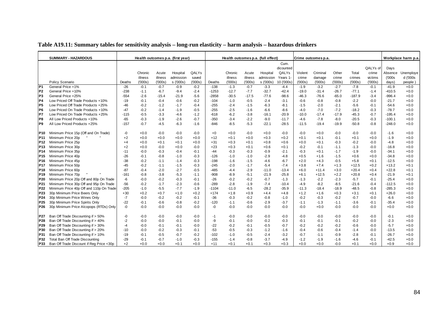|                 | <b>SUMMARY - HAZARDOUS</b>               |        |         |         | Health outcomes p.a. (first year) |        |         |         |         | Health outcomes p.a. (full effect) |            |         | Crime outcomes p.a. |         |          |          |          | Workplace harm p.a |
|-----------------|------------------------------------------|--------|---------|---------|-----------------------------------|--------|---------|---------|---------|------------------------------------|------------|---------|---------------------|---------|----------|----------|----------|--------------------|
|                 |                                          |        |         |         |                                   |        |         |         |         |                                    | Cum.       |         |                     |         |          |          |          |                    |
|                 |                                          |        |         |         |                                   |        |         |         |         |                                    | dicounted  |         |                     |         |          | QALYs of | Days     |                    |
|                 |                                          |        | Chronic | Acute   | Hospital                          | QALYs  |         | Chronic | Acute   | Hospital                           | QALYs      | Violent | Criminal            | Other   | Total    | crime    | Absence  | Unemploye          |
|                 |                                          |        | illness | illness | admission                         | saved  |         | illness | illness | admission                          | Years 1    | crime   | damage              | crime   | crimes   | victims  | (000s    | d ('000s           |
|                 | Policy Scenario                          | Deaths | (000s)  | (000s)  | s ('000s)                         | (000s) | Deaths  | (000s)  | (000s)  | s ('000s)                          | 10 ('000s) | (000s)  | (000s)              | (000s)  | (000s)   | (000s)   | days)    | people             |
| P <sub>1</sub>  | General Price +1%                        | $-26$  | $-0.1$  | $-0.7$  | $-0.9$                            | $-0.2$ | $-138$  | $-1.3$  | $-0.7$  | $-3.3$                             | $-4.4$     | $-1.9$  | $-3.2$              | $-2.7$  | $-7.8$   | $-0.1$   | $-41.9$  | $+0.0$             |
| P <sub>2</sub>  | General Price +10%                       | -238   | $-1.1$  | $-6.7$  | $-9.4$                            | $-2.4$ | $-1253$ | $-12.7$ | $-7.7$  | $-32.7$                            | $-42.4$    | $-19.0$ | $-31.4$             | $-26.7$ | $-77.1$  | $-1.4$   | $-410.5$ | $+0.0$             |
| P <sub>3</sub>  | General Price +25%                       | $-554$ | $-2.6$  | $-15.4$ | -21.9                             | $-5.6$ | $-2858$ | $-30.5$ | $-17.5$ | $-77.6$                            | $-98.6$    | $-46.3$ | $-76.6$             | $-65.0$ | $-187.9$ | $-3.4$   | $-996.4$ | $+0.0$             |
| P4              | Low Priced Off Trade Products +10%       | $-19$  | $-0.1$  | $-0.4$  | $-0.6$                            | $-0.2$ | $-104$  | $-1.0$  | $-0.5$  | $-2.4$                             | $-3.1$     | -0.6    | $-0.8$              | $-0.8$  | $-2.2$   | $-0.0$   | $-21.7$  | $+0.0$             |
| P5              | Low Priced Off Trade Products +25%       | -46    | $-0.2$  | $-1.2$  | $-1.7$                            | $-0.4$ | $-255$  | $-2.4$  | $-1.5$  | $-6.3$                             | $-8.1$     | $-1.5$  | $-2.0$              | $-2.1$  | $-5.6$   | $-0.1$   | $-54.6$  | $+0.0$             |
| P6              | Low Priced On Trade Products +10%        | $-47$  | $-0.2$  | $-1.4$  | $-1.9$                            | $-0.5$ | $-255$  | $-2.5$  | $-1.6$  | $-6.6$                             | -8.6       | -4.0    | $-7.0$              | $-7.2$  | $-18.2$  | $-0.3$   | $-78.7$  | $+0.0$             |
| P7              | Low Priced On Trade Products +25%        | $-115$ | $-0.5$  | $-3.3$  | $-4.6$                            | $-1.2$ | $-618$  | $-6.2$  | $-3.8$  | $-16.1$                            | $-20.9$    | $-10.0$ | $-17.4$             | $-17.9$ | $-45.3$  | $-0.7$   | $-195.4$ | $+0.0$             |
| P <sub>8</sub>  | All Low Priced Products +10%             | $-65$  | $-0.3$  | $-1.9$  | $-2.6$                            | $-0.7$ | $-350$  | $-3.4$  | $-2.2$  | $-9.0$                             | $-11.7$    | $-4.6$  | $-7.8$              | $-8.0$  | $-20.5$  | $-0.3$   | $-100.1$ | $+0.0$             |
| P <sub>9</sub>  | All Low Priced Products +25%             | $-157$ | $-0.7$  | $-4.5$  | $-6.3$                            | $-1.6$ | $-846$  | $-8.5$  | $-5.3$  | $-22.1$                            | $-28.5$    | $-11.5$ | $-19.4$             | $-19.9$ | $-50.8$  | $-0.8$   | $-248.0$ | $+0.0$             |
| P <sub>10</sub> | Minimum Price 15p (Off and On Trade)     | -0     | $+0.0$  | $-0.0$  | $-0.0$                            | $-0.0$ | $+0$    | $+0.0$  | $-0.0$  | $+0.0$                             | $-0.0$     | $-0.0$  | $+0.0$              | $-0.0$  | $-0.0$   | $-0.0$   | $-1.6$   | $+0.0$             |
| P <sub>11</sub> | Minimum Price 20p                        | $+2$   | $+0.0$  | $+0.0$  | $+0.0$                            | $+0.0$ | $+12$   | $+0.1$  | $+0.0$  | $+0.3$                             | $+0.2$     | $+0.1$  | $+0.1$              | $-0.1$  | $+0.1$   | $+0.0$   | $-1.9$   | $+0.0$             |
| P <sub>12</sub> | Minimum Price 25p                        | $+4$   | $+0.0$  | $+0.1$  | $+0.1$                            | $+0.0$ | $+31$   | $+0.3$  | $+0.1$  | $+0.8$                             | $+0.6$     | $+0.0$  | $+0.1$              | $-0.3$  | $-0.2$   | $-0.0$   | $-4.8$   | $+0.0$             |
| P <sub>13</sub> | Minimum Price 30p                        | $+2$   | $+0.0$  | $-0.0$  | $+0.0$                            | $-0.0$ | $+23$   | $+0.3$  | $+0.1$  | $+0.6$                             | $+0.1$     | -0.2    | $-0.1$              | $-1.1$  | $-1.3$   | $-0.0$   | $-16.8$  | $+0.0$             |
| P <sub>14</sub> | Minimum Price 35p                        | $-11$  | $-0.0$  | $-0.3$  | $-0.4$                            | $-0.1$ | $-44$   | $-0.3$  | $-0.3$  | $-0.9$                             | $-2.1$     | -0.3    | $+0.1$              | $-1.7$  | $-1.9$   | $-0.0$   | $-34.1$  | $+0.0$             |
| P <sub>15</sub> | Minimum Price 40p                        | $-26$  | $-0.1$  | $-0.8$  | $-1.0$                            | $-0.3$ | $-126$  | $-1.0$  | $-1.0$  | $-2.9$                             | -4.8       | $+0.5$  | $+1.6$              | $-1.5$  | $+0.6$   | $+0.0$   | $-34.8$  | $+0.0$             |
| P <sub>16</sub> | Minimum Price 45p                        | $-38$  | $-0.2$  | $-1.1$  | $-1.4$                            | $-0.3$ | $-198$  | $-1.6$  | $-1.5$  | $-4.6$                             | $-6.7$     | $+2.0$  | $+4.3$              | $-0.5$  | $+5.8$   | $+0.1$   | $-12.5$  | $+0.0$             |
| P <sub>17</sub> | Minimum Price 50p                        | -45    | $-0.2$  | $-1.1$  | $-1.5$                            | $-0.3$ | $-245$  | $-2.0$  | $-1.7$  | $-5.4$                             | $-7.4$     | $+3.8$  | $+7.4$              | $+1.3$  | $+12.5$  | $+0.2$   | $+13.2$  | $+0.1$             |
| P18             | Minimum Price 60p                        | $-87$  | $-0.4$  | $-2.0$  | $-2.7$                            | $-0.5$ | $-485$  | -4.4    | $-2.9$  | $-11.0$                            | $-13.4$    | $+6.0$  | $+11.4$             | $+3.0$  | $+20.4$  | $+0.4$   | $+22.8$  | $+0.1$             |
| P <sub>19</sub> | Minimum Price 70p                        | $-161$ | $-0.8$  | $-3.8$  | $-5.3$                            | $-1.1$ | $-908$  | $-8.9$  | $-5.1$  | $-21.9$                            | $-25.8$    | $+6.1$  | $+12.5$             | $+2.2$  | $+20.8$  | $+0.4$   | $-21.9$  | $+0.1$             |
| P <sub>20</sub> | Minimum Price 20p Off and 80p On Trade   | -6     | $-0.0$  | $-0.2$  | $-0.3$                            | $-0.1$ | $-26$   | $-0.2$  | $-0.2$  | $-0.7$                             | $-1.3$     | $-1.3$  | $-2.2$              | $-2.3$  | $-5.7$   | $-0.1$   | $-25.4$  | $+0.0$             |
| P21             | Minimum Price 30p Off and 95p On Trade   | $-56$  | $-0.2$  | $-1.7$  | $-2.3$                            | $-0.6$ | $-289$  | $-2.8$  | $-1.9$  | $-7.4$                             | $-10.4$    | $-4.9$  | $-8.2$              | $-8.5$  | $-21.6$  | $-0.4$   | $-112.5$ | $+0.0$             |
| P22             | Minimum Price 40p Off and 110p On Trade  | $-205$ | $-1.0$  | $-5.5$  | $-7.7$                            | $-1.9$ | $-1104$ | $-11.0$ | $-6.5$  | $-28.2$                            | $-35.9$    | $-11.3$ | $-18.4$             | $-18.9$ | $-48.5$  | $-0.8$   | $-285.3$ | $+0.0$             |
| P <sub>23</sub> | 30p Minimum Price Beers Only             | $+30$  | $+0.2$  | $+0.7$  | $+1.0$                            | $+0.2$ | $+174$  | $+1.8$  | $+0.9$  | $+4.4$                             | $+4.8$     | $+1.2$  | $+1.6$              | $+0.3$  | $+3.1$   | $+0.1$   | $+26.0$  | $+0.0$             |
| P24             | 30p Minimum Price Wines Only             | $-7$   | $-0.0$  | $-0.2$  | $-0.2$                            | $-0.1$ | $-36$   | $-0.3$  | $-0.2$  | $-0.8$                             | $-1.0$     | $-0.2$  | $-0.3$              | $-0.2$  | $-0.7$   | $-0.0$   | $-6.6$   | $+0.0$             |
| P <sub>25</sub> | 30p Minimum Price Spirits Only           | $-22$  | $-0.1$  | $-0.6$  | $-0.8$                            | $-0.2$ | $-120$  | $-1.1$  | $-0.6$  | $-2.9$                             | $-3.7$     | $-1.1$  | $-1.3$              | $-1.1$  | $-3.6$   | $-0.1$   | $-35.4$  | $+0.0$             |
| P <sub>26</sub> | 30p Minimum Price Alcopops (RTDs) Only   | $-0$   | $-0.0$  | $-0.0$  | $-0.0$                            | $-0.0$ | -0      | $-0.0$  | $-0.0$  | $-0.0$                             | $-0.0$     | $-0.0$  | $+0.0$              | $-0.0$  | $-0.0$   | $-0.0$   | $+0.0$   | $+0.0$             |
| P27             | Ban Off Trade Discounting if > 50%       | -0     | $-0.0$  | $-0.0$  | $-0.0$                            | $-0.0$ | $-1$    | $-0.0$  | $-0.0$  | $-0.0$                             | $-0.0$     | -0.0    | $-0.0$              | $-0.0$  | $-0.0$   | $-0.0$   | $-0.1$   | $+0.0$             |
| <b>P28</b>      | Ban Off Trade Discounting if > 40%       | $-2$   | $-0.0$  | $-0.0$  | $-0.1$                            | $-0.0$ | -9      | $-0.1$  | $-0.0$  | $-0.2$                             | $-0.3$     | $-0.1$  | $-0.1$              | $-0.1$  | $-0.2$   | $-0.0$   | $-2.3$   | $+0.0$             |
| P29             | Ban Off Trade Discounting if > 30%       | $-4$   | $-0.0$  | $-0.1$  | $-0.1$                            | $-0.0$ | $-22$   | $-0.2$  | $-0.1$  | $-0.5$                             | $-0.7$     | $-0.2$  | $-0.2$              | $-0.2$  | $-0.6$   | $-0.0$   | $-5.7$   | $+0.0$             |
| P30             | Ban Off Trade Discounting if > 20%       | $-10$  | $-0.0$  | $-0.2$  | $-0.3$                            | $-0.1$ | $-53$   | $-0.5$  | $-0.3$  | $-1.2$                             | $-1.6$     | $-0.4$  | $-0.6$              | $-0.4$  | $-1.4$   | $-0.0$   | $-13.5$  | $+0.0$             |
| P31             | Ban Off Trade Discounting if > 10%       | $-19$  | $-0.1$  | $-0.5$  | $-0.7$                            | $-0.2$ | $-102$  | $-1.0$  | $-0.5$  | $-2.4$                             | $-3.2$     | $-0.7$  | $-1.1$              | $-0.9$  | $-2.8$   | $-0.1$   | $-26.7$  | $+0.0$             |
| P32             | Total Ban Off Trade Discounting          | $-29$  | $-0.1$  | $-0.7$  | $-1.0$                            | $-0.3$ | $-155$  | $-1.4$  | $-0.8$  | $-3.7$                             | $-4.9$     | $-1.2$  | $-1.9$              | $-1.6$  | $-4.6$   | $-0.1$   | $-42.5$  | $+0.0$             |
| P33             | Ban Off Trade Discount if Reg Price <30p | $+2$   | $+0.0$  | $+0.0$  | $+0.1$                            | $+0.0$ | $+11$   | $+0.1$  | $+0.1$  | $+0.3$                             | $+0.3$     | $+0.0$  | $+0.0$              | $-0.0$  | $+0.1$   | $+0.0$   | $+0.9$   | $+0.0$             |

**Table A19.11: Summary tables for sensitivity analysis – long-run elasticity – harm analysis – hazardous drinkers**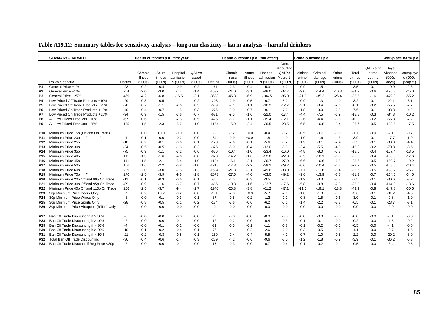|                 | <b>SUMMARY - HARMFUL</b>                 |        |         |         | Health outcomes p.a. (first year) |        |         |         |         | Health outcomes p.a. (full effect) |            |         | Crime outcomes p.a. |         |         |          |          | Workplace harm p.a. |
|-----------------|------------------------------------------|--------|---------|---------|-----------------------------------|--------|---------|---------|---------|------------------------------------|------------|---------|---------------------|---------|---------|----------|----------|---------------------|
|                 |                                          |        |         |         |                                   |        |         |         |         |                                    | Cum.       |         |                     |         |         |          |          |                     |
|                 |                                          |        |         |         |                                   |        |         |         |         |                                    | dicounted  |         |                     |         |         | QALYs of | Days     |                     |
|                 |                                          |        | Chronic | Acute   | Hospital                          | QALYs  |         | Chronic | Acute   | Hospital                           | QALYs      | Violent | Criminal            | Other   | Total   | crime    | Absence  | Unemploye           |
|                 |                                          |        | illness | illness | admission                         | saved  |         | illness | illness | admission                          | Years 1    | crime   | damage              | crime   | crimes  | victims  | (000s)   | d ('000s            |
|                 | Policy Scenario                          | Deaths | ('000s) | (000s)  | s ('000s)                         | (000s) | Deaths  | (000s)  | (000s)  | s ('000s)                          | 10 ('000s) | (000s)  | (000s)              | (000s)  | (000s)  | (000s)   | days)    | people)             |
| $\overline{P1}$ | General Price +1%                        | $-23$  | $-0.2$  | $-0.4$  | $-0.9$                            | $-0.2$ | $-161$  | $-2.3$  | $-0.4$  | $-5.3$                             | $-4.2$     | $-0.9$  | $-1.5$              | $-1.1$  | $-3.5$  | $-0.1$   | $-19.9$  | $-2.6$              |
| P <sub>2</sub>  | General Price +10%                       | $-204$ | $-2.0$  | $-3.0$  | $-7.4$                            | $-1.4$ | $-1532$ | $-21.0$ | $-3.1$  | $-48.0$                            | $-37.7$    | $-9.0$  | $-14.4$             | $-10.8$ | $-34.2$ | $-0.6$   | $-196.8$ | $-25.0$             |
| P <sub>3</sub>  | General Price +25%                       | -469   | $-4.2$  | $-6.8$  | $-16.5$                           | $-3.1$ | $-3538$ | $-45.8$ | $-6.9$  | $-104.5$                           | $-85.0$    | $-21.9$ | $-35.3$             | $-26.4$ | $-83.5$ | $-1.6$   | $-479.8$ | $-55.2$             |
| P <sub>4</sub>  | Low Priced Off Trade Products +10%       | $-29$  | $-0.3$  | $-0.5$  | $-1.1$                            | $-0.2$ | $-203$  | $-2.9$  | $-0.5$  | $-6.7$                             | $-5.2$     | $-0.9$  | $-1.3$              | $-1.0$  | $-3.2$  | $-0.1$   | $-22.1$  | $-3.1$              |
| P <sub>5</sub>  | Low Priced Off Trade Products +25%       | $-70$  | $-0.7$  | $-1.1$  | $-2.6$                            | $-0.5$ | $-509$  | $-7.1$  | $-1.1$  | $-16.3$                            | $-12.7$    | $-2.1$  | $-3.4$              | $-2.6$  | $-8.1$  | $-0.2$   | $-55.5$  | $-7.7$              |
| P <sub>6</sub>  | Low Priced On Trade Products +10%        | $-40$  | $-0.4$  | $-0.7$  | $-1.5$                            | $-0.3$ | $-276$  | $-3.9$  | $-0.7$  | $-9.1$                             | $-7.2$     | $-1.8$  | $-3.0$              | $-2.8$  | $-7.6$  | $-0.1$   | $-33.8$  | $-4.2$              |
| P7              | Low Priced On Trade Products +25%        | $-94$  | $-0.9$  | $-1.5$  | $-3.6$                            | $-0.7$ | $-681$  | $-9.5$  | $-1.6$  | $-22.0$                            | $-17.4$    | $-4.4$  | $-7.5$              | $-6.9$  | $-18.8$ | $-0.3$   | $-84.3$  | $-10.2$             |
| P8              | All Low Priced Products +10%             | $-67$  | $-0.6$  | $-1.1$  | $-2.5$                            | $-0.5$ | $-475$  | $-6.7$  | $-1.1$  | $-15.4$                            | $-12.1$    | $-2.6$  | $-4.4$              | $-3.8$  | $-10.8$ | $-0.2$   | $-55.8$  | $-7.2$              |
| P <sub>9</sub>  | All Low Priced Products +25%             | $-155$ | $-1.5$  | $-2.3$  | $-5.7$                            | $-1.0$ | $-1154$ | $-15.9$ | $-2.4$  | $-36.5$                            | $-28.5$    | $-6.5$  | $-10.8$             | $-9.4$  | $-26.7$ | $-0.5$   | $-138.5$ | $-17.5$             |
|                 |                                          |        |         |         |                                   |        |         |         |         |                                    |            |         |                     |         |         |          |          |                     |
| <b>P10</b>      | Minimum Price 15p (Off and On Trade)     | $+1$   | $-0.0$  | $+0.0$  | $-0.0$                            | $-0.0$ | -3      | $-0.2$  | $+0.0$  | $-0.4$                             | $-0.2$     | $-0.5$  | $-0.7$              | $-0.5$  | $-1.7$  | $-0.0$   | $-7.1$   | $-0.7$              |
| P11             | Minimum Price 20p                        | -1     | $-0.1$  | $-0.0$  | $-0.2$                            | $-0.0$ | $-34$   | $-0.9$  | $+0.0$  | $-1.8$                             | $-1.0$     | $-1.0$  | $-1.6$              | $-1.3$  | $-3.9$  | $-0.1$   | $-17.7$  | $-1.9$              |
| P12             | Minimum Price 25p                        | $-10$  | $-0.2$  | $-0.1$  | $-0.6$                            | $-0.1$ | $-123$  | $-2.6$  | $-0.1$  | $-5.6$                             | $-3.2$     | $-1.9$  | $-3.1$              | $-2.4$  | $-7.5$  | $-0.1$   | $-38.0$  | -4.4                |
| P <sub>13</sub> | Minimum Price 30p                        | $-34$  | $-0.5$  | $-0.5$  | $-1.6$                            | $-0.3$ | $-325$  | $-5.9$  | $-0.4$  | $-13.0$                            | $-8.3$     | $-3.4$  | $-5.5$              | $-4.3$  | $-13.2$ | $-0.2$   | $-70.3$  | $-8.5$              |
| P14             | Minimum Price 35p                        | $-75$  | $-0.9$  | $-1.1$  | $-3.2$                            | $-0.6$ | $-636$  | $-10.4$ | $-1.0$  | $-23.4$                            | $-16.0$    | $-4.8$  | $-8.0$              | $-5.8$  | $-18.6$ | $-0.4$   | $-107.4$ | $-13.5$             |
| P <sub>15</sub> | Minimum Price 40p                        | $-115$ | $-1.3$  | $-1.6$  | $-4.6$                            | $-0.8$ | $-923$  | $-14.2$ | $-1.6$  | $-32.0$                            | $-22.8$    | $-6.2$  | $-10.1$             | $-6.5$  | $-22.9$ | $-0.4$   | $-138.8$ | $-17.6$             |
| P <sub>16</sub> | Minimum Price 45p                        | $-141$ | $-1.5$  | $-2.1$  | $-5.4$                            | $-1.0$ | $-1104$ | $-16.1$ | $-2.1$  | $-36.7$                            | $-27.0$    | $-6.6$  | $-10.6$             | $-6.5$  | $-23.6$ | $-0.5$   | $-150.7$ | $-19.2$             |
| P <sub>17</sub> | Minimum Price 50p                        | $-156$ | $-1.6$  | $-2.2$  | $-5.8$                            | $-1.0$ | $-1215$ | $-17.3$ | $-2.2$  | $-39.2$                            | $-29.2$    | $-6.6$  | $-10.4$             | $-6.2$  | $-23.2$ | $-0.5$   | $-158.5$ | $-20.4$             |
| P <sub>18</sub> | Minimum Price 60p                        | $-209$ | $-2.0$  | $-3.0$  | $-7.5$                            | $-1.3$ | $-1604$ | $-21.8$ | $-3.1$  | $-49.6$                            | $-38.0$    | $-7.7$  | $-11.6$             | $-6.4$  | $-25.6$ | $-0.5$   | $-198.2$ | $-25.7$             |
| P <sub>19</sub> | Minimum Price 70p                        | $-270$ | $-2.5$  | $-3.9$  | $-9.6$                            | $-1.8$ | $-2073$ | $-27.6$ | $-4.0$  | $-63.0$                            | $-49.2$    | $-9.6$  | $-13.9$             | $-7.7$  | $-31.3$ | $-0.7$   | $-264.6$ | $-34.0$             |
| P <sub>20</sub> | Minimum Price 20p Off and 80p On Trade   | $-11$  | $-0.1$  | $-0.3$  | $-0.6$                            | $-0.1$ | $-85$   | $-1.5$  | $-0.3$  | $-3.5$                             | $-2.6$     | $-1.9$  | $-3.3$              | $-2.3$  | $-7.5$  | $-0.1$   | $-30.6$  | $-3.2$              |
| P21             | Minimum Price 30p Off and 95p On Trade   | $-89$  | $-0.9$  | $-1.6$  | $-3.7$                            | $-0.7$ | $-666$  | $-10.3$ | $-1.6$  | $-23.7$                            | $-17.6$    | $-5.8$  | $-9.8$              | $-7.3$  | $-23.0$ | $-0.4$   | $-114.0$ | $-13.6$             |
| P <sub>22</sub> | Minimum Price 40p Off and 110p On Trade  | $-256$ | $-2.5$  | $-3.7$  | $-9.4$                            | $-1.7$ | $-1940$ | $-26.8$ | $-3.8$  | $-61.2$                            | $-47.1$    | $-11.5$ | $-19.1$             | $-13.3$ | $-43.9$ | $-0.8$   | $-247.8$ | $-30.6$             |
| P23             | 30p Minimum Price Beers Only             | $+1$   | $-0.2$  | $+0.2$  | $-0.2$                            | $-0.0$ | $-101$  | $-2.8$  | $+0.3$  | $-5.7$                             | $-2.1$     | $-1.0$  | $-1.8$              | $-0.8$  | $-3.6$  | $-0.1$   | $-31.2$  | $-4.5$              |
| P <sub>24</sub> | 30p Minimum Price Wines Only             | -6     | $-0.0$  | $-0.1$  | $-0.3$                            | $-0.1$ | $-37$   | $-0.5$  | $-0.2$  | $-1.2$                             | $-1.1$     | $-0.8$  | $-1.5$              | $-0.6$  | $-3.0$  | $-0.1$   | $-9.8$   | $-1.0$              |
| P25             | 30p Minimum Price Spirits Only           | $-28$  | $-0.3$  | $-0.5$  | $-1.1$                            | $-0.2$ | $-184$  | $-2.6$  | $-0.6$  | $-6.2$                             | $-5.1$     | $-1.4$  | $-2.2$              | $-2.8$  | $-6.5$  | $-0.1$   | $-28.7$  | $-3.1$              |
| P <sub>26</sub> | 30p Minimum Price Alcopops (RTDs) Only   | -0     | $-0.0$  | $-0.0$  | $-0.0$                            | $-0.0$ | -0      | $-0.0$  | $-0.0$  | $-0.0$                             | $-0.0$     | $-0.0$  | $-0.0$              | $-0.0$  | $-0.0$  | $-0.0$   | -0.0     | $-0.0$              |
|                 |                                          |        |         |         |                                   |        |         |         |         |                                    |            |         |                     |         |         |          |          |                     |
| P27             | Ban Off Trade Discounting if > 50%       | -0     | $-0.0$  | $-0.0$  | $-0.0$                            | $-0.0$ | $-1$    | $-0.0$  | $-0.0$  | $-0.0$                             | $-0.0$     | $-0.0$  | $-0.0$              | $-0.0$  | $-0.0$  | $-0.0$   | $-0.1$   | $-0.0$              |
| P28             | Ban Off Trade Discounting if > 40%       | $-2$   | $-0.0$  | $-0.0$  | $-0.1$                            | $-0.0$ | $-12$   | $-0.2$  | $-0.0$  | $-0.4$                             | $-0.3$     | $-0.1$  | $-0.1$              | $-0.0$  | $-0.2$  | $-0.0$   | $-1.5$   | $-0.2$              |
| P <sub>29</sub> | Ban Off Trade Discounting if > 30%       | $-4$   | $-0.0$  | $-0.1$  | $-0.2$                            | $-0.0$ | $-31$   | $-0.5$  | $-0.1$  | $-1.1$                             | $-0.8$     | $-0.1$  | $-0.2$              | $-0.1$  | $-0.5$  | $-0.0$   | $-4.1$   | $-0.6$              |
| P30             | Ban Off Trade Discounting if > 20%       | $-10$  | $-0.1$  | $-0.2$  | $-0.4$                            | $-0.1$ | $-76$   | $-1.1$  | $-0.2$  | $-2.6$                             | $-2.0$     | $-0.3$  | $-0.5$              | $-0.2$  | $-1.1$  | $-0.0$   | $-9.7$   | $-1.5$              |
| P31             | Ban Off Trade Discounting if > 10%       | $-21$  | $-0.2$  | $-0.3$  | $-0.8$                            | $-0.1$ | $-159$  | $-2.4$  | $-0.4$  | $-5.5$                             | $-4.1$     | $-0.7$  | $-1.0$              | $-0.5$  | $-2.2$  | $-0.0$   | $-20.2$  | $-3.0$              |
| P32             | Total Ban Off Trade Discounting          | -36    | $-0.4$  | $-0.6$  | $-1.4$                            | $-0.3$ | $-279$  | $-4.2$  | $-0.6$  | $-9.6$                             | $-7.0$     | $-1.2$  | $-1.8$              | $-0.9$  | $-3.9$  | $-0.1$   | $-36.2$  | $-5.3$              |
| P33             | Ban Off Trade Discount if Reg Price <30p | $-2$   | $-0.0$  | $-0.0$  | $-0.1$                            | $-0.0$ | $-17$   | $-0.3$  | $-0.0$  | $-0.7$                             | $-0.4$     | $-0.1$  | $-0.2$              | $-0.1$  | $-0.5$  | $-0.0$   | $-3.4$   | $-0.5$              |

**Table A19.12: Summary tables for sensitivity analysis – long-run elasticity – harm analysis – harmful drinkers**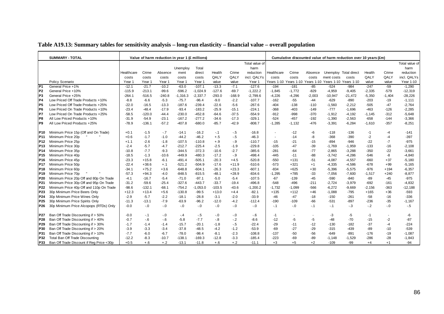|  |  | Table A19.13: Summary tables for sensitivity analysis – long-run elasticity – financial value – overall population |
|--|--|--------------------------------------------------------------------------------------------------------------------|
|  |  |                                                                                                                    |

|                 | <b>SUMMARY - TOTAL</b>                   |            |          | Value of harm reduction in year 1 (£ millions) |            |            |          |          |                |            |                                  |          |                       | Cumulative discounted value of harm reduction over 10 years (£m) |          |          |                |
|-----------------|------------------------------------------|------------|----------|------------------------------------------------|------------|------------|----------|----------|----------------|------------|----------------------------------|----------|-----------------------|------------------------------------------------------------------|----------|----------|----------------|
|                 |                                          |            |          |                                                |            |            |          |          | Total value of |            |                                  |          |                       |                                                                  |          |          | Total value of |
|                 |                                          |            |          |                                                | Unemploy   | Total      |          |          | harm           |            |                                  |          |                       |                                                                  |          |          | harm           |
|                 |                                          | Healthcare | Crime    | Absence                                        | ment       | direct     | Health   | Crime    | reduction      | Healthcare | Crime                            | Absence  |                       | Unemploy Total direct                                            | Health   | Crime    | reduction      |
|                 |                                          | costs      | costs    | costs                                          | costs      | costs      | QALY     | QALY     | incl. QALYs    | costs      | costs                            | costs    | ment costs            | costs                                                            | QALY     | QALY     | incl. QALYs    |
|                 | Policy Scenario                          | Year 1     | Year 1   | Year 1                                         | Year 1     | Year 1     | value    | value    | Year 1         |            | Years 1-10 Years 1-10 Years 1-10 |          | Years 1-10 Years 1-10 |                                                                  | value    | value    | Year 1-10      |
| P <sub>1</sub>  | General Price +1%                        | $-12.1$    | $-21.7$  | $-10.2$                                        | $-63.0$    | $-107.1$   | $-13.3$  | $-7.1$   | $-127.6$       | $-194$     | $-181$                           | $-85$    | $-524$                | $-984$                                                           | $-247$   | $-59$    | $-1,290$       |
| P <sub>2</sub>  | General Price +10%                       | $-115.9$   | $-213.1$ | $-99.6$                                        | $-596.2$   | $-1,024.9$ | $-127.6$ | $-69.7$  | $-1,222.2$     | $-1,845$   | $-1,772$                         | $-829$   | $-4,959$              | $-9,405$                                                         | $-2,335$ | $-579$   | $-12,319$      |
| P <sub>3</sub>  | General Price +25%                       | $-264.1$   | $-516.5$ | $-240.8$                                       | $-1,316.3$ | $-2,337.7$ | $-293.0$ | $-168.9$ | $-2,799.6$     | $-4,226$   | $-4,296$                         | $-2,003$ | $-10,947$             | $-21,472$                                                        | $-5,350$ | $-1,404$ | $-28,226$      |
| P <sub>4</sub>  | Low Priced Off Trade Products +10%       | $-8.8$     | $-6.6$   | $-5.3$                                         | $-75.7$    | $-96.4$    | $-9.0$   | $-2.2$   | $-107.7$       | $-162$     | $-55$                            | $-44$    | $-629$                | $-890$                                                           | $-203$   | $-19$    | $-1,111$       |
| P <sub>5</sub>  | Low Priced Off Trade Products +25%       | $-22.0$    | $-16.5$  | $-13.3$                                        | $-187.6$   | $-239.4$   | $-22.6$  | $-5.6$   | $-267.6$       | $-404$     | $-138$                           | $-110$   | $-1,560$              | $-2,212$                                                         | $-505$   | $-47$    | $-2,764$       |
| P <sub>6</sub>  | Low Priced On Trade Products +10%        | $-23.4$    | $-48.4$  | $-17.9$                                        | $-93.4$    | $-183.2$   | $-25.9$  | $-15.1$  | $-224.1$       | $-368$     | $-403$                           | $-149$   | $-777$                | $-1,696$                                                         | $-463$   | $-126$   | $-2,285$       |
| P7              | Low Priced On Trade Products +25%        | $-58.5$    | $-120.0$ | $-44.4$                                        | $-230.0$   | $-452.8$   | $-64.6$  | $-37.5$  | $-554.9$       | $-912$     | $-998$                           | $-370$   | $-1,912$              | $-4,192$                                                         | $-1,145$ | $-312$   | $-5,648$       |
| IP8             | All Low Priced Products +10%             | $-31.9$    | $-54.9$  | $-23.1$                                        | $-167.2$   | $-277.2$   | $-34.6$  | $-17.3$  | $-329.1$       | $-524$     | $-457$                           | $-192$   | $-1,390$              | $-2,563$                                                         | $-658$   | $-144$   | $-3,366$       |
| P <sub>9</sub>  | All Low Priced Products +25%             | $-78.9$    | $-136.1$ | $-57.2$                                        | $-407.8$   | $-680.0$   | $-85.7$  | $-42.9$  | $-808.7$       | $-1,285$   | $-1,132$                         | $-476$   | $-3,391$              | $-6,284$                                                         | $-1,610$ | $-357$   | $-8,251$       |
| <b>P10</b>      | Minimum Price 15p (Off and On Trade)     | $+0.1$     | $-1.5$   | $-7$                                           | $-14.1$    | $-16.2$    | -.1      | $-.5$    | $-16.8$        | $\sim$     | $-12$                            | -6       | $-118$                | $-136$                                                           | $-1$     | -4       | $-141$         |
| P11             | Minimum Price 20p                        | $+0.6$     | $-1.7$   | $-1.0$                                         | $-44.2$    | $-46.2$    | $+.5$    | $-.5$    | $-46.3$        | $\sim$     | $-14$                            | -8       | $-368$                | $-390$                                                           | $-2$     | $-4$     | $-397$         |
| P <sub>12</sub> | Minimum Price 25p                        | $+1.1$     | $-2.6$   | $-1.8$                                         | $-107.5$   | $-110.8$   | $+.9$    | $-9$     | $-110.7$       | $-15$      | $-21$                            | $-15$    | $-894$                | $-946$                                                           | -22      | $-7$     | $-975$         |
| P13             | Minimum Price 30p                        | $-2.4$     | $-5.7$   | $-4.7$                                         | $-212.7$   | $-225.4$   | $-2.5$   | $-1.9$   | $-229.8$       | $-105$     | $-47$                            | $-39$    | $-1,769$              | $-1,959$                                                         | $-133$   | $-16$    | $-2,108$       |
| P14             | Minimum Price 35p                        | $-10.8$    | $-7.7$   | $-9.3$                                         | $-344.5$   | $-372.3$   | $-10.6$  | $-2.7$   | $-385.6$       | $-281$     | $-64$                            | $-77$    | $-2,865$              | $-3,288$                                                         | $-350$   | $-22$    | $-3,661$       |
| P <sub>15</sub> | Minimum Price 40p                        | $-18.5$    | $-1.3$   | $-10.6$                                        | $-449.9$   | $-480.3$   | $-17.2$  | $-9$     | $-498.4$       | $-445$     | $-11$                            | $-88$    | $-3,742$              | $-4,286$                                                         | $-546$   | -8       | $-4,840$       |
| P16             | Minimum Price 45p                        | $-23.3$    | $+15.8$  | $-6.1$                                         | $-491.4$   | $-505.1$   | $-20.3$  | $+4.5$   | $-520.8$       | $-550$     | $+131$                           | $-51$    | $-4,087$              | $-4,557$                                                         | $-660$   | $+37$    | $-5,180$       |
| P <sub>17</sub> | Minimum Price 50p                        | $-22.4$    | $+38.6$  | $+.1$                                          | $-521.2$   | $-504.9$   | $-17.6$  | $+11.9$  | $-510.6$       | $-573$     | $+321$                           | $+1$     | $-4,335$              | $-4,586$                                                         | $-678$   | $+99$    | $-5,165$       |
| P18             | Minimum Price 60p                        | $-34.1$    | $+75.2$  | $+3.6$                                         | $-648.8$   | $-604.1$   | $-26.3$  | $+23.3$  | $-607.1$       | $-834$     | $+625$                           | $+30$    | $-5,396$              | $-5,575$                                                         | $-976$   | $+194$   | $-6,357$       |
| P <sub>19</sub> | Minimum Price 70p                        | $-57.3$    | $+94.3$  | $-4.0$                                         | $-848.5$   | $-815.5$   | -48.1    | $+28.9$  | $-834.6$       | $-1,295$   | $+785$                           | -33      | $-7,056$              | $-7,600$                                                         | $-1,517$ | $+240$   | $-8,877$       |
| P <sub>20</sub> | Minimum Price 20p Off and 80p On Trade   | $-4.1$     | $-16.7$  | $-5.4$                                         | $-71.0$    | $-97.1$    | $-5.0$   | $-5.4$   | $-107.5$       | $-67$      | $-139$                           | $-45$    | $-590$                | $-840$                                                           | -89      | $-45$    | $-975$         |
| P21             | Minimum Price 30p Off and 95p On Trade   | $-31.2$    | $-59.6$  | $-25.4$                                        | $-327.6$   | $-443.7$   | $-33.7$  | $-19.4$  | $-496.8$       | $-548$     | $-496$                           | $-211$   | $-2,724$              | $-3,979$                                                         | $-692$   | -161     | $-4,832$       |
| P22             | Minimum Price 40p Off and 110p On Trade  | $-98.6$    | $-132.1$ | $-68.1$                                        | $-754.2$   | $-1,053.0$ | $-103.5$ | $-43.6$  | $-1,200.2$     | $-1,732$   | $-1,099$                         | $-566$   | $-6,272$              | $-9,669$                                                         | $-2,156$ | $-363$   | $-12,188$      |
| P <sub>23</sub> | 30p Minimum Price Beers Only             | $+12.3$    | $+13.4$  | $+5.6$                                         | $-130.8$   | $-99.5$    | $+13.0$  | $+4.4$   | $-82.1$        | $+135$     | $+112$                           | $+46$    | $-1,088$              | $-795$                                                           | $+165$   | $+36$    | $-593$         |
| P24             | 30p Minimum Price Wines Only             | $-2.9$     | $-5.7$   | $-2.2$                                         | $-18.1$    | $-28.8$    | $-3.1$   | $-2.0$   | $-33.9$        | $-46$      | $-47$                            | $-18$    | $-150$                | $-261$                                                           | $-58$    | $-16$    | $-336$         |
| P <sub>25</sub> | 30p Minimum Price Spirits Only           | $-11.3$    | $-13.1$  | $-7.9$                                         | $-63.9$    | $-96.2$    | $-12.0$  | $-4.2$   | $-112.4$       | $-190$     | $-109$                           | $-66$    | $-531$                | $-897$                                                           | $-236$   | $-35$    | $-1,167$       |
| P26             | 30p Minimum Price Alcopops (RTDs) Only   | $-0.0$     | $-.0$    | $-0.1$                                         | $-0.1$     | $-.0$      | $-0$     | $-0$     | $-.0$          | $-.1$      | $-0.1$                           | $-.1$    | $-.1$                 | $-.3$                                                            | $-2$     | $-0.0$   | $-.5$          |
| P27             | Ban Off Trade Discounting if > 50%       | $-0.0$     | $-.1$    | $-0.0$                                         | $-.4$      | $-.5$      | -.0      | $-.0$    | $-6$           | $-1$       | $\overline{\phantom{a}}$         |          | -3                    | -5                                                               | $-1$     |          | -6             |
| P <sub>28</sub> | Ban Off Trade Discounting if > 40%       | $-0.7$     | $-6$     | $-6$                                           | $-5.8$     | $-7.7$     | $-8$     | $-2$     | $-8.6$         | $-12$      | -5                               | -5       | $-48$                 | $-70$                                                            | $-15$    | $-2$     | $-87$          |
| <b>P29</b>      | Ban Off Trade Discounting if > 30%       | $-1.7$     | $-1.4$   | $-1.4$                                         | $-15.7$    | $-20.1$    | $-1.8$   | $-.5$    | $-22.4$        | $-29$      | $-11$                            | $-12$    | $-130$                | $-182$                                                           | $-37$    | $-4$     | $-224$         |
| <b>P30</b>      | Ban Off Trade Discounting if > 20%       | $-3.9$     | $-3.3$   | $-3.4$                                         | $-37.8$    | $-48.5$    | $-4.2$   | $-1.2$   | $-53.9$        | $-69$      | $-27$                            | $-29$    | $-315$                | $-439$                                                           | -89      | $-10$    | $-539$         |
| P31             | Ban Off Trade Discounting if > 10%       | $-7.7$     | $-6.0$   | $-6.7$                                         | $-78.0$    | $-98.4$    | $-8.1$   | $-2.3$   | $-108.8$       | $-137$     | $-50$                            | $-56$    | $-649$                | $-891$                                                           | $-176$   | $-19$    | $-1,087$       |
| P32             | Total Ban Off Trade Discounting          | $-12.2$    | $-8.3$   | $-10.7$                                        | $-138.1$   | $-169.3$   | $-12.8$  | $-3.3$   | $-185.4$       | $-223$     | $-69$                            | $-89$    | $-1,148$              | $-1,529$                                                         | $-286$   | $-28$    | $-1,843$       |
| P33             | Ban Off Trade Discount if Reg Price <30p | $+0.5$     | $+.6$    | $+.2$                                          | $-13.1$    | $-11.8$    | $+.6$    | $+.2$    | $-11.1$        | $+3$       | $+5$                             | $+2$     | $-109$                | $-99$                                                            | $+4$     | $+1$     | $-94$          |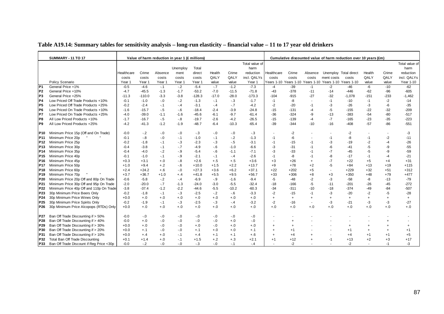| Table A19.14: Summary tables for sensitivity analysis – long-run elasticity – financial value – 11 to 17 year old drinkers |  |  |  |
|----------------------------------------------------------------------------------------------------------------------------|--|--|--|
|                                                                                                                            |  |  |  |

|                 | <b>SUMMARY - 11 TO 17</b>                |            |          |         | Value of harm reduction in year 1 (£ millions) |          |         |         |                |            |           |           |                                             | Cumulative discounted value of harm reduction over 10 years (£m) |           |           |                |
|-----------------|------------------------------------------|------------|----------|---------|------------------------------------------------|----------|---------|---------|----------------|------------|-----------|-----------|---------------------------------------------|------------------------------------------------------------------|-----------|-----------|----------------|
|                 |                                          |            |          |         |                                                |          |         |         | Total value of |            |           |           |                                             |                                                                  |           |           | Total value of |
|                 |                                          |            |          |         | Unemploy                                       | Total    |         |         | harm           |            |           |           |                                             |                                                                  |           |           | harm           |
|                 |                                          | Healthcare | Crime    | Absence | ment                                           | direct   | Health  | Crime   | reduction      | Healthcare | Crime     | Absence   | Unemploy Total direct                       |                                                                  | Health    | Crime     | reduction      |
|                 |                                          | costs      | costs    | costs   | costs                                          | costs    | QALY    | QALY    | incl. QALYs    | costs      | costs     | costs     | ment costs                                  | costs                                                            | QALY      | QALY      | incl. QALYs    |
|                 | Policy Scenario                          | Year 1     | Year 1   | Year 1  | Year 1                                         | Year 1   | value   | value   | Year 1         | Years 1-10 |           |           | Years 1-10 Years 1-10 Years 1-10 Years 1-10 |                                                                  | value     | value     | Year 1-10      |
| P1              | General Price +1%                        | $-0.5$     | $-4.6$   | $-.1$   | $-2$                                           | $-5.4$   | $-.7$   | $-1.2$  | $-7.3$         | -4         | $-39$     | $-1$      | $-2$                                        | $-46$                                                            | $-6$      | $-10$     | $-62$          |
| P <sub>2</sub>  | General Price +10%                       | $-4.7$     | $-45.5$  | $-1.3$  | $-1.7$                                         | $-53.2$  | $-7.0$  | $-11.5$ | $-71.8$        | $-43$      | $-378$    | $-11$     | $-14$                                       | $-446$                                                           | $-62$     | $-96$     | $-605$         |
| P <sub>3</sub>  | General Price +25%                       | $-11.3$    | $-110.0$ | $-3.3$  | $-3.8$                                         | $-128.3$ | $-17.0$ | $-28.0$ | $-173.3$       | $-104$     | $-915$    | $-27$     | $-32$                                       | $-1.078$                                                         | $-151$    | $-233$    | $-1,462$       |
| P <sub>4</sub>  | Low Priced Off Trade Products +10%       | $-0.1$     | $-1.0$   | $-0$    | $-2$                                           | $-1.3$   | $-1$    | $-.3$   | $-1.7$         | $-1$       | -8        |           | $-1$                                        | $-10$                                                            | $-1$      | $-2$      | $-14$          |
| P5              | Low Priced Off Trade Products +25%       | $-0.2$     | $-2.4$   | $-.1$   | $-.4$                                          | $-3.1$   | $-.4$   | $-.7$   | $-4.2$         | $-2$       | $-20$     | $-1$      | -3                                          | $-26$                                                            | -3        | -6        | $-35$          |
| IP6             | Low Priced On Trade Products +10%        | $-1.6$     | $-15.7$  | $-5$    | $-6$                                           | $-18.4$  | $-2.4$  | $-3.9$  | $-24.8$        | $-15$      | -131      | $-4$      | $-5$                                        | $-155$                                                           | -22       | $-32$     | $-209$         |
| <b>P7</b>       | Low Priced On Trade Products +25%        | -4.0       | $-39.0$  | $-1.1$  | $-1.6$                                         | $-45.6$  | $-6.1$  | $-9.7$  | $-61.4$        | -36        | $-324$    | -9        | $-13$                                       | -383                                                             | $-54$     | $-80$     | $-517$         |
| P8              | All Low Priced Products +10%             | $-1.7$     | $-16.7$  | $-5$    | $-8$                                           | $-19.7$  | $-2.6$  | $-4.2$  | $-26.5$        | $-15$      | $-139$    | $-4$      | $-7$                                        | $-165$                                                           | $-23$     | $-35$     | $-223$         |
| P9              | All Low Priced Products +25%             | $-4.2$     | $-41.3$  | $-1.2$  | $-1.9$                                         | $-48.7$  | $-6.4$  | $-10.3$ | $-65.4$        | $-39$      | $-344$    | $-10$     | $-16$                                       | $-408$                                                           | $-57$     | $-86$     | $-551$         |
| P10.            | Minimum Price 15p (Off and On Trade)     | $-0.0$     | $-.2$    | $-0$    | $-0.0$                                         | $-.3$    | $-.0$   | $-.0$   | $-.3$          |            | $-2$      |           |                                             | $-2$                                                             |           |           | -3             |
| P11             | Minimum Price 20p                        | $-0.1$     | $-8$     | $-0$    | $-.1$                                          | $-1.0$   | $-.1$   | $-.2$   | $-1.3$         | $-1$       | -6        |           | $-1$                                        | -8                                                               | -1        | $-2$      | $-11$          |
| P12             | Minimum Price 25p                        | $-0.2$     | $-1.8$   | $-.1$   | $-3$                                           | $-2.3$   | $-3$    | $-5$    | $-3.1$         | $-1$       | $-15$     | $-1$      | -3                                          | $-19$                                                            | $-2$      | $-4$      | $-26$          |
| P13             | Minimum Price 30p                        | $-0.4$     | $-3.8$   | $-1$    | $-.7$                                          | $-4.9$   | $-6$    | $-1.0$  | $-6.6$         | -3         | $-31$     | $-1$      | -6                                          | $-41$                                                            | -5        | -9        | $-55$          |
| P14             | Minimum Price 35p                        | $-0.4$     | $-4.0$   | $-.2$   | $-9$                                           | $-5.4$   | $-6$    | $-1.1$  | $-7.1$         | -3         | $-33$     | $-1$      | $-7$                                        | $-45$                                                            | $-5$      | -9        | $-59$          |
| P15             | Minimum Price 40p                        | $-0.1$     | $-1.0$   | $-.1$   | $-9$                                           | $-2.1$   | $-.1$   | $-.4$   | $-2.6$         | $-1$       | -8        |           | -8                                          | $-17$                                                            | $-1$      | $-4$      | $-21$          |
| P16             | Minimum Price 45p                        | $+0.3$     | $+3.1$   | $+.0$   | $-8$                                           | $+2.6$   | $+.5$   | $+.5$   | $+3.6$         | $+3$       | $+26$     | $\ddot{}$ | $-7$                                        | $+22$                                                            | $+5$      | $+4$      | $+31$          |
| P17             | Minimum Price 50p                        | $+1.0$     | $+9.4$   | $+.2$   | $-6$                                           | $+10.0$  | $+1.5$  | $+2.2$  | $+13.7$        | $+9$       | $+78$     | +2        | $-5$                                        | $+84$                                                            | $+13$     | $+19$     | $+115$         |
| P18             | Minimum Price 60p                        | $+2.4$     | $+24.2$  | $+.6$   | $-0.0$                                         | $+27.3$  | $+3.6$  | $+6.2$  | $+37.1$        | $+22$      | $+202$    | $+5$      | $\sim$                                      | $+229$                                                           | $+32$     | $+51$     | $+312$         |
| P19             | Minimum Price 70p                        | $+3.7$     | $+36.7$  | $+1.0$  | $+.4$                                          | $+41.8$  | $+5.5$  | $+9.5$  | $+56.7$        | $+33$      | $+306$    | $+8$      | $+3$                                        | $+350$                                                           | $+48$     | $+79$     | $+477$         |
| P <sub>20</sub> | Minimum Price 20p Off and 80p On Trade   | $-0.6$     | $-5.8$   | $-2$    | $-4$                                           | $-6.9$   | $-9$    | $-1.6$  | $-9.4$         | $-5$       | -48       | $-2$      | -3                                          | $-58$                                                            | -8        | $-13$     | $-79$          |
| P <sub>21</sub> | Minimum Price 30p Off and 95p On Trade   | $-2.0$     | $-20.0$  | $-7$    | $-1.3$                                         | $-24.0$  | $-3.0$  | $-5.5$  | $-32.4$        | $-18$      | $-166$    | -5        | $-11$                                       | -201                                                             | -26       | $-45$     | $-272$         |
| P22             | Minimum Price 40p Off and 110p On Trade  | $-3.8$     | $-37.4$  | $-1.2$  | $-2.2$                                         | $-44.6$  | $-5.5$  | $-10.2$ | $-60.3$        | $-34$      | $-311$    | $-10$     | $-18$                                       | $-374$                                                           | $-49$     | $-84$     | $-507$         |
| P23             | 30p Minimum Price Beers Only             | $-0.2$     | $-1.8$   | $-.1$   | $-3$                                           | $-2.5$   | $-2$    | $-6$    | $-3.3$         | $-2$       | $-15$     | $-1$      | -3                                          | $-20$                                                            | $-2$      | $-5$      | $-28$          |
| P24             | 30p Minimum Price Wines Only             | $+0.0$     | $^{+.0}$ | $+.0$   | $+.0$                                          | $+.0$    | $+.0$   | $+.0$   | $+.0$          | $+$        | $\ddot{}$ | $+$       | $\overline{+}$                              | $\overline{+}$                                                   | $\ddot{}$ | $\ddot{}$ | $+$            |
| P <sub>25</sub> | 30p Minimum Price Spirits Only           | $-0.2$     | $-1.9$   | $-.1$   | $-3$                                           | $-2.5$   | $-3$    | $-.4$   | $-3.2$         | $-2$       | $-16$     | $\sim$    | -3                                          | $-21$                                                            | -3        | $-3$      | $-27$          |
| P26             | 30p Minimum Price Alcopops (RTDs) Only   | $+0.0$     | $+.0$    | $+.0$   | $+.0$                                          | $+.0$    | $+.0$   | $+.0$   | $+.0$          | $+.0$      | $+.0$     | $+.0$     | $+.0$                                       | $+.0$                                                            | $+.0$     | $+.0$     | $+.0$          |
| P27             | Ban Off Trade Discounting if > 50%       | $-0.0$     | $-.0$    | $-0$    | $-0.0$                                         | $-0$     | $-0$    | $-0$    | $-0.0$         |            |           |           |                                             |                                                                  |           |           |                |
| P28             | Ban Off Trade Discounting if > 40%       | $-0.0$     | $+.0$    | $-0$    | $-0.0$                                         | $-.0$    | $-0.0$  | $+.0$   | $-0.0$         |            |           |           |                                             |                                                                  |           |           |                |
| P <sub>29</sub> | Ban Off Trade Discounting if > 30%       | $+0.0$     | $+.0$    | $-0$    | $-0.0$                                         | $+.0$    | $-0$    | $+.0$   | $+.0$          | $\ddot{}$  | $\ddot{}$ |           |                                             |                                                                  | $\ddot{}$ | $\ddot{}$ | $+$            |
| P30             | Ban Off Trade Discounting if > 20%       | $+0.0$     | $+.1$    | $-0$    | $-0.0$                                         | $+.1$    | $+.0$   | $+.0$   | $+.1$          | $+$        | $+1$      |           |                                             | $+1$                                                             | $\ddot{}$ | $\ddot{}$ | $+1$           |
| P31             | Ban Off Trade Discounting if > 10%       | $+0.0$     | $+.4$    | $+.0$   | $-.1$                                          | $+, 4$   | $+.1$   | $+.1$   | $+.6$          | $\ddot{}$  | $+4$      |           |                                             | $+4$                                                             | $+1$      | $+1$      | $+5$           |
| P32             | Total Ban Off Trade Discounting          | $+0.1$     | $+1.4$   | $+.0$   | $-.1$                                          | $+1.5$   | $+.2$   | $+.3$   | $+2.1$         | $+1$       | $+12$     |           | $-1$                                        | $+13$                                                            | $+2$      | $+3$      | $+17$          |
| P33             | Ban Off Trade Discount if Reg Price <30p | $-0.0$     | $-2$     | $-0$    | $-0$                                           | $-3$     | $-0$    | $-.1$   | $-.4$          | $\sim$     | $-2$      |           | $\sim$                                      | $-2$                                                             |           | $-1$      | -3             |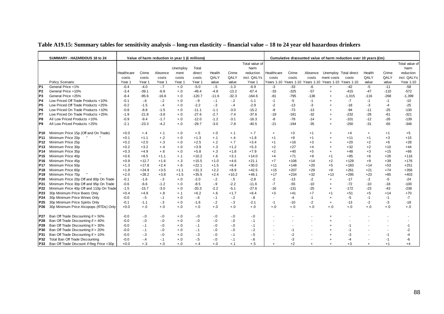|  |  | Table A19.15: Summary tables for sensitivity analysis – long-run elasticity – financial value – 18 to 24 year old hazardous drinkers |
|--|--|--------------------------------------------------------------------------------------------------------------------------------------|
|  |  |                                                                                                                                      |

|                 | SUMMARY - HAZARDOUS 18 to 24             |            |                   |         | Value of harm reduction in year 1 (£ millions) |          |         |         |                   |            |        |         |                                                        | Cumulative discounted value of harm reduction over 10 years (£m) |           |        |                |
|-----------------|------------------------------------------|------------|-------------------|---------|------------------------------------------------|----------|---------|---------|-------------------|------------|--------|---------|--------------------------------------------------------|------------------------------------------------------------------|-----------|--------|----------------|
|                 |                                          |            |                   |         |                                                |          |         |         | Total value of    |            |        |         |                                                        |                                                                  |           |        | Total value of |
|                 |                                          |            |                   |         | Unemploy                                       | Total    |         |         | harm              |            |        |         |                                                        |                                                                  |           |        | harm           |
|                 |                                          | Healthcare | Crime             | Absence | ment                                           | direct   | Health  | Crime   | reduction         | Healthcare | Crime  | Absence | Unemploy Total direct                                  |                                                                  | Health    | Crime  | reduction      |
|                 |                                          | costs      | costs             | costs   | costs                                          | costs    | QALY    | QALY    | incl. QALYs       | costs      | costs  | costs   | ment costs                                             | costs                                                            | QALY      | QALY   | incl. QALYs    |
|                 | Policy Scenario                          | Year 1     | Year <sub>1</sub> | Year 1  | Year 1                                         | Year 1   | value   | value   | Year <sub>1</sub> |            |        |         | Years 1-10 Years 1-10 Years 1-10 Years 1-10 Years 1-10 |                                                                  | value     | value  | Year 1-10      |
| P1              | General Price +1%                        | $-0.4$     | $-4.0$            | $-.7$   | $+.0$                                          | $-5.0$   | $-.5$   | $-1.3$  | $-6.9$            | -3         | $-33$  | $-6$    | $\ddot{}$                                              | $-42$                                                            | $-5$      | $-11$  | $-58$          |
| P <sub>2</sub>  | General Price +10%                       | $-3.4$     | $-39.1$           | $-6.8$  | $+.0$                                          | $-49.4$  | $-4.8$  | $-13.2$ | $-67.4$           | $-33$      | $-325$ | $-57$   | $\overline{+}$                                         | $-415$                                                           | $-47$     | $-110$ | $-572$         |
| P <sub>3</sub>  | General Price +25%                       | $-8.4$     | $-95.6$           | $-16.6$ | $+.0$                                          | $-120.7$ | $-11.6$ | $-32.3$ | $-164.6$          | $-81$      | $-795$ | $-138$  | $\ddot{}$                                              | $-1,015$                                                         | $-116$    | $-268$ | $-1,399$       |
| P <sub>4</sub>  | Low Priced Off Trade Products +10%       | $-0.1$     | $-6$              | $-.2$   | $+.0$                                          | $-9$     | $-.1$   | $-2$    | $-1.1$            | $-1$       | $-5$   | $-1$    | $\overline{1}$                                         | $-7$                                                             | $-1$      | $-1$   | $-10$          |
| P5              | Low Priced Off Trade Products +25%       | $-0.2$     | $-1.5$            | $-.4$   | $+.0$                                          | $-2.2$   | $-3$    | $-.4$   | $-2.9$            | $-2$       | $-13$  | $-3$    |                                                        | $-18$                                                            | -3        | -4     | $-25$          |
| IP6             | Low Priced On Trade Products +10%        | $-0.8$     | $-8.8$            | $-1.5$  | $+.0$                                          | $-11.1$  | $-1.1$  | $-3.0$  | $-15.2$           | -8         | $-73$  | -13     | $\overline{1}$                                         | $-94$                                                            | $-11$     | $-25$  | $-130$         |
| P7              | Low Priced On Trade Products +25%        | $-1.9$     | $-21.8$           | $-3.8$  | $+.0$                                          | $-27.6$  | $-2.7$  | $-7.4$  | $-37.6$           | $-19$      | $-181$ | $-32$   |                                                        | -232                                                             | $-28$     | $-61$  | $-321$         |
| P8              | All Low Priced Products +10%             | $-0.9$     | $-9.4$            | $-1.7$  | $+.0$                                          | $-12.0$  | $-1.2$  | $-3.1$  | $-16.3$           | -8         | $-78$  | $-14$   | $\ddot{}$                                              | $-101$                                                           | $-12$     | $-26$  | $-139$         |
| P9              | All Low Priced Products +25%             | $-2.1$     | $-23.3$           | $-4.2$  | $+.0$                                          | $-29.7$  | $-3.0$  | $-7.8$  | $-40.5$           | $-21$      | $-194$ | $-35$   | $\overline{+}$                                         | $-250$                                                           | $-31$     | $-65$  | $-346$         |
| P10.            | Minimum Price 15p (Off and On Trade)     | $+0.0$     | $+.4$             | $+.1$   | $+.0$                                          | $+.5$    | $+.0$   | $+.1$   | $+.7$             | $\ddot{}$  | $+3$   | $+1$    | $\overline{+}$                                         | $+4$                                                             | $\ddot{}$ | $+1$   | $+5$           |
| P11             | Minimum Price 20p                        | $+0.1$     | $+1.1$            | $+.2$   | $+.0$                                          | $+1.3$   | $+.1$   | $+.4$   | $+1.8$            | $+1$       | $+9$   | $+1$    | $\overline{+}$                                         | $+11$                                                            | $+1$      | $+3$   | $+15$          |
| P12             | Minimum Price 25p                        | $+0.2$     | $+2.0$            | $+.3$   | $+.0$                                          | $+2.5$   | $+.2$   | $+.7$   | $+3.4$            | $+1$       | $+16$  | $+3$    | $\overline{1}$                                         | $+20$                                                            | $+2$      | $+6$   | $+28$          |
| P13             | Minimum Price 30p                        | $+0.2$     | $+3.2$            | $+.4$   | $+.0$                                          | $+3.9$   | $+.3$   | $+1.2$  | $+5.3$            | $+2$       | $+27$  | $+4$    | $\overline{1}$                                         | $+32$                                                            | $+2$      | $+10$  | $+44$          |
| P14             | Minimum Price 35p                        | $+0.3$     | $+4.9$            | $+.6$   | $+.0$                                          | $+5.8$   | $+.3$   | $+1.8$  | $+7.9$            | $+2$       | $+40$  | $+5$    | $\ddot{}$                                              | $+48$                                                            | $+3$      | $+15$  | $+66$          |
| P <sub>15</sub> | Minimum Price 40p                        | $+0.6$     | $+8.5$            | $+1.1$  | $+.1$                                          | $+10.2$  | $+.6$   | $+3.1$  | $+14.0$           | $+4$       | $+71$  | $+9$    | $+1$                                                   | $+85$                                                            | $+6$      | $+26$  | $+116$         |
| P16             | Minimum Price 45p                        | $+0.9$     | $+12.7$           | $+1.6$  | $+.3$                                          | $+15.5$  | $+1.0$  | $+4.6$  | $+21.1$           | $+7$       | $+106$ | $+14$   | $+2$                                                   | $+129$                                                           | $+9$      | $+39$  | $+176$         |
| P17             | Minimum Price 50p                        | $+1.3$     | $+17.8$           | $+2.4$  | $+.6$                                          | $+22.1$  | $+1.5$  | $+6.4$  | $+30.0$           | $+11$      | $+148$ | $+20$   | $+5$                                                   | $+183$                                                           | $+14$     | $+53$  | $+251$         |
| P18             | Minimum Price 60p                        | $+1.8$     | $+24.9$           | $+3.5$  | $+1.1$                                         | $+31.3$  | $+2.2$  | $+8.9$  | $+42.5$           | $+15$      | $+207$ | $+29$   | $+9$                                                   | $+261$                                                           | $+21$     | $+74$  | $+356$         |
| P19             | Minimum Price 70p                        | $+2.0$     | $+28.2$           | $+3.8$  | $+1.5$                                         | $+35.5$  | $+2.4$  | $+10.2$ | $+48.1$           | $+17$      | $+234$ | $+32$   | $+13$                                                  | $+295$                                                           | $+23$     | $+85$  | $+403$         |
| P20             | Minimum Price 20p Off and 80p On Trade   | $-0.1$     | $-1.6$            | $-.3$   | $+.0$                                          | $-2.0$   | $-2$    | $-5$    | $-2.8$            | $-2$       | $-13$  | $-2$    | $\ddot{}$                                              | $-17$                                                            | $-2$      | -5     | $-24$          |
| P <sub>21</sub> | Minimum Price 30p Off and 95p On Trade   | $-0.6$     | -6.6              | $-1.2$  | $+.0$                                          | $-8.5$   | $-9$    | $-2.2$  | $-11.6$           | $-7$       | $-55$  | -10     | $\ddot{}$                                              | $-72$                                                            | $-10$     | $-18$  | $-100$         |
| P22             | Minimum Price 40p Off and 110p On Trade  | $-1.5$     | $-15.7$           | $-3.0$  | $+.0$                                          | $-20.3$  | $-2.2$  | $-5.1$  | $-27.6$           | $-16$      | $-131$ | $-25$   | $\overline{+}$                                         | $-172$                                                           | $-23$     | $-43$  | $-238$         |
| P <sub>23</sub> | 30p Minimum Price Beers Only             | $+0.4$     | $+4.9$            | $+.8$   | $+.1$                                          | $+6.2$   | $+.6$   | $+1.7$  | $+8.4$            | $+3$       | $+41$  | $+7$    | $+1$                                                   | $+51$                                                            | $+5$      | $+14$  | $+70$          |
| P24             | 30p Minimum Price Wines Only             | $-0.0$     | $-5$              | $-.1$   | $+.0$                                          | $-6$     | $-.1$   | $-2$    | $-8$              |            | $-4$   | $-1$    | $\ddot{}$                                              | -5                                                               | -1        | $-1$   | $-7$           |
| P25             | 30p Minimum Price Spirits Only           | $-0.1$     | $-1.1$            | $-.3$   | $+.0$                                          | $-1.6$   | $-2$    | $-3$    | $-2.1$            | $-1$       | $-10$  | $-2$    | $^{+}$                                                 | $-13$                                                            | $-2$      | -3     | $-18$          |
| P26             | 30p Minimum Price Alcopops (RTDs) Only   | $+0.0$     | $+.0$             | $+.0$   | $+.0$                                          | $+.0$    | $+.0$   | $+.0$   | $+.0$             | $+.0$      | $+.0$  | $+.0$   | $+.0$                                                  | $+.0$                                                            | $+.0$     | $+.0$  | $+.0$          |
| P27             | Ban Off Trade Discounting if > 50%       | $-0.0$     | $-0$              | $-0$    | $+.0$                                          | $-0$     | $-0.0$  | $-0$    | $-0$              |            |        |         | $\overline{+}$                                         |                                                                  |           |        |                |
| P28             | Ban Off Trade Discounting if > 40%       | $-0.0$     | $-0$              | $-0$    | $+.0$                                          | $-.0$    | $-0.0$  | $-0$    | $-.1$             |            |        |         |                                                        |                                                                  |           |        |                |
| P29             | Ban Off Trade Discounting if > 30%       | $-0.0$     | $-.1$             | $-.0$   | $+.0$                                          | $-.1$    | $-0.0$  | $-0$    | $-.1$             |            |        |         |                                                        | $-1$                                                             |           |        | -1             |
| P30             | Ban Off Trade Discounting if > 20%       | $-0.0$     | $-1$              | $-0$    | $+.0$                                          | $-.1$    | $-0.0$  | $-0$    | $-2$              |            | $-1$   |         |                                                        | $-1$                                                             |           |        | -2             |
| P31             | Ban Off Trade Discounting if > 10%       | $-0.0$     | $-3$              | $-0$    | $+.0$                                          | $-3$     | $-0.0$  | $-.1$   | $-5$              |            | $-2$   |         |                                                        | -3                                                               |           | $-1$   | -4             |
| P32             | Total Ban Off Trade Discounting          | $-0.0$     | $-4$              | $-.1$   | $+.0$                                          | $-.5$    | $-0.0$  | $-.1$   | $-6$              |            | -3     |         |                                                        | $-4$                                                             |           | $-1$   | -6             |
| P33             | Ban Off Trade Discount if Reg Price <30p | $+0.0$     | $+.3$             | $+.0$   | $+.0$                                          | $+.4$    | $+.0$   | $+.1$   | $+.5$             | $+$        | $+2$   | $+$     | $\ddot{}$                                              | $+3$                                                             | $+$       | $+1$   | $+4$           |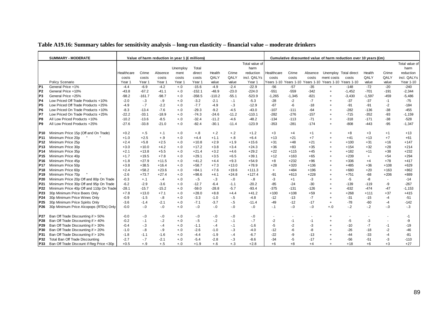|  |  | Table A19.16: Summary tables for sensitivity analysis – long-run elasticity – financial value – moderate drinkers |
|--|--|-------------------------------------------------------------------------------------------------------------------|
|  |  |                                                                                                                   |

|                 | <b>SUMMARY - MODERATE</b>                |            |          |         | Value of harm reduction in year 1 (£ millions) |          |          |         |                |            |          |         | Cumulative discounted value of harm reduction over 10 years (£m) |          |           |        |                |
|-----------------|------------------------------------------|------------|----------|---------|------------------------------------------------|----------|----------|---------|----------------|------------|----------|---------|------------------------------------------------------------------|----------|-----------|--------|----------------|
|                 |                                          |            |          |         |                                                |          |          |         | Total value of |            |          |         |                                                                  |          |           |        | Total value of |
|                 |                                          |            |          |         | Unemploy                                       | Total    |          |         | harm           |            |          |         |                                                                  |          |           |        | harm           |
|                 |                                          | Healthcare | Crime    | Absence | ment                                           | direct   | Health   | Crime   | reduction      | Healthcare | Crime    | Absence | Unemploy Total direct                                            |          | Health    | Crime  | reduction      |
|                 |                                          | costs      | costs    | costs   | costs                                          | costs    | QALY     | QALY    | incl. QALYs    | costs      | costs    | costs   | ment costs                                                       | costs    | QALY      | QALY   | incl. QALYs    |
|                 | Policy Scenario                          | Year 1     | Year 1   | Year 1  | Year 1                                         | Year 1   | value    | value   | Year 1         |            |          |         | Years 1-10 Years 1-10 Years 1-10 Years 1-10 Years 1-10           |          | value     | value  | Year 1-10      |
| P <sub>1</sub>  | General Price +1%                        | $-4.4$     | $-6.9$   | $-4.2$  | $+0$                                           | $-15.6$  | $-4.9$   | $-2.4$  | $-22.9$        | $-56$      | $-57$    | $-35$   | $+$                                                              | $-148$   | $-72$     | $-20$  | $-240$         |
| P <sub>2</sub>  | General Price +10%                       | $-43.8$    | $-67.2$  | $-41.1$ | $+.0$                                          | $-152.1$ | $-48.9$  | $-23.0$ | $-224.0$       | $-551$     | $-559$   | $-342$  | $\overline{+}$                                                   | $-1,452$ | $-701$    | $-191$ | $-2,344$       |
| P <sub>3</sub>  | General Price +25%                       | $-98.2$    | $-161.7$ | $-98.7$ | $+.0$                                          | $-358.5$ | $-110.2$ | $-55.1$ | $-523.9$       | $-1,265$   | $-1,345$ | $-821$  | $\overline{+}$                                                   | $-3,430$ | $-1,597$  | $-459$ | $-5,486$       |
| P4              | Low Priced Off Trade Products +10%       | $-2.0$     | $-.3$    | $-9$    | $+.0$                                          | $-3.2$   | $-2.1$   | $-1$    | $-5.3$         | $-28$      | $-2$     | $-7$    |                                                                  | $-37$    | $-37$     | $-1$   | $-75$          |
| IP <sub>5</sub> | Low Priced Off Trade Products +25%       | $-4.9$     | $-.7$    | $-2.2$  | $+.0$                                          | $-7.7$   | $-4.9$   | $-.3$   | $-12.9$        | $-67$      | $-6$     | $-18$   |                                                                  | $-91$    | $-91$     | $-2$   | $-184$         |
| P <sub>6</sub>  | Low Priced On Trade Products +10%        | $-8.3$     | $-13.4$  | $-7.6$  | $+.0$                                          | $-29.3$  | $-9.2$   | $-4.5$  | $-43.0$        | $-107$     | $-111$   | $-64$   | $\overline{+}$                                                   | $-282$   | $-136$    | $-38$  | $-455$         |
| P7              | Low Priced On Trade Products +25%        | $-22.2$    | $-33.1$  | $-18.9$ | $+.0$                                          | $-74.3$  | $-24.6$  | $-11.2$ | $-110.1$       | $-282$     | $-276$   | $-157$  | $\overline{+}$                                                   | $-715$   | $-352$    | $-93$  | $-1,159$       |
| IP8             | All Low Priced Products +10%             | $-10.2$    | $-13.6$  | $-8.5$  | $+.0$                                          | $-32.4$  | $-11.2$  | $-4.6$  | $-48.2$        | $-134$     | $-113$   | $-71$   |                                                                  | $-318$   | $-171$    | $-38$  | $-528$         |
| P <sub>9</sub>  | All Low Priced Products +25%             | $-27.6$    | $-33.8$  | $-21.0$ | $+.0$                                          | $-82.4$  | $-30.1$  | $-11.4$ | $-123.9$       | $-353$     | $-281$   | $-174$  | $\overline{+}$                                                   | $-808$   | $-443$    | $-95$  | $-1,347$       |
|                 |                                          |            |          |         |                                                |          |          |         |                |            |          |         |                                                                  |          |           |        |                |
| P10             | Minimum Price 15p (Off and On Trade)     | $+0.2$     | $+.5$    | $+.1$   | $+.0$                                          | $+.8$    | $+.2$    | $+.2$   | $+1.2$         | $+3$       | $+4$     | $+1$    | $\overline{+}$                                                   | $+8$     | $+3$      | $+1$   | $+13$          |
| <b>P11</b>      | Minimum Price 20p                        | $+1.0$     | $+2.5$   | $+.9$   | $+.0$                                          | $+4.4$   | $+1.1$   | $+.8$   | $+6.4$         | $+13$      | $+21$    | $+7$    |                                                                  | $+41$    | $+13$     | $+7$   | $+61$          |
| P <sub>12</sub> | Minimum Price 25p                        | $+2.4$     | $+5.8$   | $+2.5$  | $+.0$                                          | $+10.8$  | $+2.9$   | $+1.9$  | $+15.6$        | $+31$      | $+48$    | $+21$   | $\overline{+}$                                                   | $+100$   | $+31$     | $+16$  | $+147$         |
| P <sub>13</sub> | Minimum Price 30p                        | $+3.0$     | $+10.0$  | $+4.2$  | $+.0$                                          | $+17.2$  | $+3.8$   | $+3.4$  | $+24.3$        | $+36$      | $+83$    | $+35$   | $\overline{+}$                                                   | $+154$   | $+32$     | $+28$  | $+214$         |
| P <sub>14</sub> | Minimum Price 35p                        | $+2.1$     | $+13.8$  | $+5.5$  | $+.0$                                          | $+21.4$  | $+3.2$   | $+4.6$  | $+29.2$        | $+22$      | $+115$   | $+45$   | $\overline{+}$                                                   | $+182$   | $+11$     | $+38$  | $+232$         |
| P <sub>15</sub> | Minimum Price 40p                        | $+1.7$     | $+19.5$  | $+7.8$  | $+.0$                                          | $+29.1$  | $+3.5$   | $+6.5$  | $+39.1$        | $+12$      | $+163$   | $+65$   | $\ddot{}$                                                        | $+239$   | $\ddot{}$ | $+54$  | $+294$         |
| P16             | Minimum Price 45p                        | $+1.8$     | $+27.9$  | $+11.5$ | $+.0$                                          | $+41.2$  | $+4.4$   | $+9.3$  | $+54.9$        | $+8$       | $+232$   | $+96$   | $\ddot{}$                                                        | $+336$   | $+4$      | $+78$  | $+417$         |
| P <sub>17</sub> | Minimum Price 50p                        | $+3.8$     | $+38.5$  | $+16.4$ | $+.0$                                          | $+58.7$  | $+7.3$   | $+13.0$ | $+78.9$        | $+28$      | $+320$   | $+136$  | $\overline{+}$                                                   | $+485$   | $+36$     | $+108$ | $+629$         |
| P <sub>18</sub> | Minimum Price 60p                        | $+2.4$     | $+58.2$  | $+23.6$ | $+.0$                                          | $+84.1$  | $+7.6$   | $+19.6$ | $+111.3$       | $+$        | $+484$   | $+196$  | $\overline{+}$                                                   | $+680$   | $+20$     | $+163$ | $+862$         |
| P <sub>19</sub> | Minimum Price 70p                        | $-2.6$     | $+73.7$  | $+27.4$ | $+.0$                                          | $+98.6$  | $+4.1$   | $+24.8$ | $+127.4$       | $-91$      | $+613$   | $+228$  | $\overline{+}$                                                   | +751     | $-68$     | $+206$ | $+889$         |
| P20             | Minimum Price 20p Off and 80p On Trade   | $-0.3$     | $+.1$    | $-4$    | $+.0$                                          | $-5$     | $-.3$    | $-.0$   | $-8$           | $-3$       | $+1$     | $-3$    |                                                                  | -5       | -8        | $\sim$ | $-14$          |
| P21             | Minimum Price 30p Off and 95p On Trade   | $-6.2$     | $-2.9$   | $-3.6$  | $+.0$                                          | $-12.7$  | $-6.4$   | $-1.1$  | $-20.2$        | $-85$      | $-24$    | $-30$   | $\overline{+}$                                                   | $-139$   | $-119$    | -9     | $-267$         |
| P22             | Minimum Price 40p Off and 110p On Trade  | $-28.1$    | $-15.7$  | $-15.2$ | $+.0$                                          | $-59.0$  | $-28.8$  | $-5.7$  | $-93.4$        | $-375$     | $-131$   | $-126$  | $\overline{+}$                                                   | $-632$   | $-474$    | $-47$  | $-1,153$       |
| P <sub>23</sub> | 30p Minimum Price Beers Only             | $+7.8$     | $+13.0$  | $+7.1$  | $+.0$                                          | $+28.0$  | $+8.8$   | $+4.4$  | $+41.2$        | $+100$     | $+108$   | $+59$   | $\overline{+}$                                                   | $+268$   | $+111$    | $+37$  | $+415$         |
| P <sub>24</sub> | 30p Minimum Price Wines Only             | $-0.9$     | $-1.5$   | $-8$    | $+.0$                                          | $-3.3$   | $-1.0$   | $-.5$   | $-4.8$         | $-12$      | $-13$    | $-7$    | $\ddot{}$                                                        | $-31$    | $-15$     | $-4$   | $-51$          |
| P <sub>25</sub> | 30p Minimum Price Spirits Only           | $-3.6$     | $-1.4$   | $-2.1$  | $+.0$                                          | $-7.1$   | $-3.7$   | $-5$    | $-11.4$        | $-49$      | $-12$    | $-17$   | $+$                                                              | $-78$    | $-60$     | $-4$   | $-142$         |
| P26             | 30p Minimum Price Alcopops (RTDs) Only   | $-0.0$     | $-.0$    | $-0$    | $+.0$                                          | $-0.0$   | $-0$     | $-0.5$  | $-0.0$         | $-.1$      | $-0.0$   | $-0.0$  | $+.0$                                                            | $-.2$    | $-2$      | $-.0$  | $-3$           |
|                 |                                          |            |          |         |                                                |          |          |         |                |            |          |         |                                                                  |          |           |        |                |
| P <sub>27</sub> | Ban Off Trade Discounting if > 50%       | $-0.0$     | $-0$     | $-0$    | $+.0$                                          | $-.0$    | $-0.0$   | $-0$    | $-0.0$         |            |          |         |                                                                  |          |           |        | $-1$           |
| P28             | Ban Off Trade Discounting if > 40%       | $-0.2$     | $-1$     | $-2$    | $+.0$                                          | $-.5$    | $-2$     | $-1$    | $-7$           | $-2$       | $-1$     | $-1$    |                                                                  | $-5$     | -3        |        | -9             |
| P29             | Ban Off Trade Discounting if > 30%       | $-0.4$     | $-.3$    | $-.4$   | $+.0$                                          | $-1.1$   | $-.4$    | $-.1$   | $-1.6$         | $-5$       | $-2$     | -3      |                                                                  | $-10$    | $-7$      | $-1$   | $-19$          |
| P30             | Ban Off Trade Discounting if > 20%       | $-1.0$     | $-8$     | $-9$    | $+.0$                                          | $-2.6$   | $-1.0$   | $-.3$   | $-4.0$         | $-12$      | -6       | -8      | $\overline{+}$                                                   | $-26$    | $-18$     | $-2$   | $-46$          |
| P31             | Ban Off Trade Discounting if > 10%       | $-1.8$     | $-1.1$   | $-1.6$  | $+.0$                                          | $-4.4$   | $-1.9$   | $-.4$   | $-6.7$         | $-22$      | -9       | $-13$   |                                                                  | -44      | $-33$     | $-4$   | $-81$          |
| P32             | Total Ban Off Trade Discounting          | $-2.7$     | $-.7$    | $-2.1$  | $+.0$                                          | $-5.4$   | $-2.8$   | $-3$    | $-8.6$         | $-34$      | $-5$     | $-17$   |                                                                  | $-56$    | $-51$     | -3     | $-110$         |
| P33             | Ban Off Trade Discount if Reg Price <30p | $+0.5$     | $+.9$    | $+.5$   | $+.0$                                          | $+1.9$   | $+.6$    | $+.3$   | $+2.8$         | $+6$       | $+8$     | $+4$    | $\overline{+}$                                                   | $+18$    | $+6$      | $+3$   | $+27$          |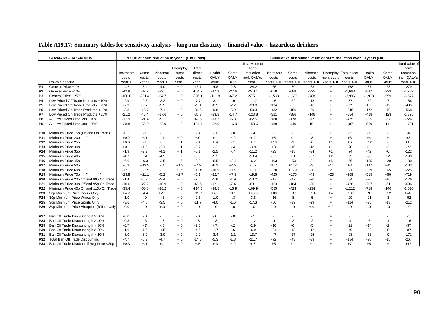| Table A19.17: Summary tables for sensitivity analysis – long-run elasticity – financial value – hazardous drinkers |  |  |  |
|--------------------------------------------------------------------------------------------------------------------|--|--|--|
|                                                                                                                    |  |  |  |

|                 | <b>SUMMARY - HAZARDOUS</b>               |            |          | Value of harm reduction in year 1 (£ millions) |          |          |          |         |                |            |          |         |                                             | Cumulative discounted value of harm reduction over 10 years (£m) |          |                          |                |
|-----------------|------------------------------------------|------------|----------|------------------------------------------------|----------|----------|----------|---------|----------------|------------|----------|---------|---------------------------------------------|------------------------------------------------------------------|----------|--------------------------|----------------|
|                 |                                          |            |          |                                                |          |          |          |         | Total value of |            |          |         |                                             |                                                                  |          |                          | Total value of |
|                 |                                          |            |          |                                                | Unemploy | Total    |          |         | harm           |            |          |         |                                             |                                                                  |          |                          | harm           |
|                 |                                          | Healthcare | Crime    | Absence                                        | ment     | direct   | Health   | Crime   | reduction      | Healthcare | Crime    | Absence | Unemploy Total direct                       |                                                                  | Health   | Crime                    | reduction      |
|                 |                                          | costs      | costs    | costs                                          | costs    | costs    | QALY     | QALY    | incl. QALYs    | costs      | costs    | costs   | ment costs                                  | costs                                                            | QALY     | QALY                     | incl. QALYs    |
|                 | Policy Scenario                          | Year 1     | Year 1   | Year 1                                         | Year 1   | Year 1   | value    | value   | Year 1         |            |          |         | Years 1-10 Years 1-10 Years 1-10 Years 1-10 | Years 1-10                                                       | value    | value                    | Year 1-10      |
| P1              | General Price +1%                        | $-4.2$     | $-8.4$   | $-4.0$                                         | $+.0$    | $-16.7$  | $-4.8$   | $-2.8$  | $-24.2$        | $-65$      | $-70$    | $-33$   | $\ddot{}$                                   | $-168$                                                           | $-87$    | $-23$                    | $-279$         |
| P <sub>2</sub>  | General Price +10%                       | $-42.9$    | $-82.7$  | $-39.1$                                        | $+.0$    | $-164.7$ | $-47.9$  | $-27.6$ | $-240.1$       | $-650$     | $-688$   | $-325$  | $+$                                         | $-1,663$                                                         | $-847$   | $-229$                   | $-2,739$       |
| P <sub>3</sub>  | General Price +25%                       | $-100.0$   | $-201.4$ | $-94.7$                                        | $+.0$    | $-396.1$ | $-111.8$ | $-67.2$ | $-575.1$       | $-1,533$   | $-1,675$ | $-788$  | $\overline{+}$                              | $-3.996$                                                         | $-1,973$ | $-559$                   | $-6,527$       |
| P <sub>4</sub>  | Low Priced Off Trade Products +10%       | $-2.9$     | $-2.6$   | $-2.2$                                         | $+.0$    | $-7.7$   | $-3.1$   | $-9$    | $-11.7$        | $-46$      | $-22$    | $-18$   | $\overline{+}$                              | $-87$                                                            | $-62$    | $-7$                     | $-156$         |
| P5              | Low Priced Off Trade Products +25%       | $-7.9$     | $-6.7$   | $-5.5$                                         | $+.0$    | $-20.1$  | $-8.5$   | $-2.2$  | $-30.8$        | $-124$     | $-55$    | $-46$   |                                             | $-225$                                                           | $-161$   | $-19$                    | $-405$         |
| IP6             | Low Priced On Trade Products +10%        | -8.8       | $-18.7$  | $-7.1$                                         | $+.0$    | $-34.6$  | $-9.8$   | $-5.9$  | $-50.3$        | $-132$     | $-156$   | -59     | $\overline{1}$                              | -346                                                             | $-172$   | -49                      | $-568$         |
| <b>P7</b>       | Low Priced On Trade Products +25%        | $-21.2$    | $-46.4$  | $-17.6$                                        | $+.0$    | $-85.3$  | $-23.8$  | $-14.7$ | $-123.8$       | $-321$     | $-386$   | $-146$  |                                             | $-854$                                                           | $-418$   | $-123$                   | $-1,395$       |
| P8              | All Low Priced Products +10%             | $-11.9$    | $-21.4$  | $-9.2$                                         | $+.0$    | $-42.5$  | $-13.2$  | $-6.8$  | $-62.5$        | $-180$     | $-178$   | $-77$   | $\overline{+}$                              | $-435$                                                           | $-235$   | $-57$                    | $-726$         |
| P9              | All Low Priced Products +25%             | $-28.8$    | $-53.0$  | $-22.9$                                        | $+.0$    | $-104.7$ | $-32.0$  | $-16.9$ | $-153.6$       | $-439$     | $-440$   | $-191$  | $+$                                         | $-1,071$                                                         | $-569$   | $-141$                   | $-1,781$       |
| P10.            | Minimum Price 15p (Off and On Trade)     | $-0.1$     | $-.1$    | $-2$                                           | $+.0$    | $-3$     | $-.1$    | $-.0$   | $-.4$          |            |          | $-2$    | $\overline{+}$                              | $-2$                                                             | $-1$     | $\blacksquare$           | -4             |
| P11             | Minimum Price 20p                        | $+0.2$     | $+.1$    | $-4$                                           | $+.0$    | $+.0$    | $+.1$    | $+.0$   | $+.2$          | $+5$       | $+1$     | -3      | $\overline{+}$                              | $+3$                                                             | $+4$     | $\ddot{}$                | $+8$           |
| P12             | Minimum Price 25p                        | $+0.6$     | $-.1$    | $-8$                                           | $+.1$    | $-3$     | $+.4$    | $-.1$   | $+.1$          | $+13$      | $-1$     | -6      | $+1$                                        | $+6$                                                             | $+12$    | $\overline{\phantom{a}}$ | $+18$          |
| P13             | Minimum Price 30p                        | $+0.1$     | $-1.3$   | $-2.1$                                         | $+.1$    | $-3.2$   | $-3$     | $-.4$   | $-3.9$         | $+8$       | $-10$    | $-18$   | $+1$                                        | $-20$                                                            | $+1$     | -3                       | $-22$          |
| P14             | Minimum Price 35p                        | $-1.9$     | $-2.2$   | $-4.1$                                         | $+.1$    | $-8.1$   | $-2.5$   | $-7$    | $-11.2$        | $-23$      | $-18$    | $-34$   | $+1$                                        | $-74$                                                            | $-42$    | -6                       | $-122$         |
| P15             | Minimum Price 40p                        | $-4.7$     | $+.4$    | $-4.5$                                         | $+.2$    | $-8.5$   | $-5.1$   | $+.3$   | $-13.4$        | $-67$      | $+3$     | $-37$   | $+2$                                        | -99                                                              | -96      | $+2$                     | $-193$         |
| P16             | Minimum Price 45p                        | $-6.6$     | $+6.3$   | $-2.5$                                         | $+.6$    | $-2.2$   | $-6.5$   | $+2.4$  | $-6.2$         | $-103$     | $+53$    | $-21$   | $+5$                                        | $-66$                                                            | $-135$   | $+20$                    | $-180$         |
| P17             | Minimum Price 50p                        | $-6.9$     | $+13.5$  | $-.4$                                          | $+1.3$   | $+7.5$   | $-6.2$   | $+4.9$  | $+6.2$         | $-117$     | $+112$   | -3      | $+11$                                       | $+3$                                                             | $-147$   | $+41$                    | $-103$         |
| P18             | Minimum Price 60p                        | $-12.1$    | $+21.5$  | $-.2$                                          | $+2.5$   | $+11.8$  | $-10.9$  | $+7.9$  | $+8.7$         | $-220$     | $+179$   | $-1$    | $+21$                                       | $-21$                                                            | $-269$   | $+65$                    | $-225$         |
| P19             | Minimum Price 70p                        | -23.8      | $+21.1$  | $-5.2$                                         | $+2.7$   | $-5.1$   | $-22.7$  | $+7.9$  | $-19.8$        | $-425$     | $+176$   | -43     | $+23$                                       | -269                                                             | $-515$   | $+66$                    | $-719$         |
| P <sub>20</sub> | Minimum Price 20p Off and 80p On Trade   | $-1.4$     | $-5.7$   | $-2.4$                                         | $+.0$    | $-9.5$   | $-1.8$   | $-1.9$  | $-13.2$        | $-17$      | $-47$    | $-20$   | $\overline{+}$                              | $-84$                                                            | $-26$    | $-16$                    | $-126$         |
| P <sub>21</sub> | Minimum Price 30p Off and 95p On Trade   | $-10.6$    | $-22.2$  | $-10.9$                                        | $+.0$    | $-43.6$  | $-12.1$  | $-7.4$  | $-63.1$        | $-153$     | $-184$   | $-90$   | $\overline{+}$                              | $-428$                                                           | $-207$   | $-61$                    | $-696$         |
| P22             | Minimum Price 40p Off and 110p On Trade  | $-35.4$    | $-50.8$  | $-28.2$                                        | $+.0$    | $-114.5$ | $-38.5$  | $-16.9$ | $-169.9$       | $-555$     | $-423$   | $-234$  | $+$                                         | $-1,212$                                                         | $-718$   | $-140$                   | $-2,070$       |
| P23             | 30p Minimum Price Beers Only             | $+4.7$     | $+4.4$   | $+2.1$                                         | $+.5$    | $+11.7$  | $+4.8$   | $+1.5$  | $+18.0$        | $+80$      | $+37$    | $+18$   | $+4$                                        | $+139$                                                           | $+97$    | $+12$                    | $+248$         |
| P24             | 30p Minimum Price Wines Only             | $-1.0$     | $-9$     | $-6$                                           | $+.0$    | $-2.5$   | $-1.0$   | $-.3$   | $-3.8$         | $-16$      | -8       | -5      | $\overline{+}$                              | $-29$                                                            | $-21$    | $-3$                     | $-52$          |
| P <sub>25</sub> | 30p Minimum Price Spirits Only           | $-3.6$     | $-4.6$   | $-3.5$                                         | $+.0$    | $-11.7$  | $-4.0$   | $-1.6$  | $-17.3$        | $-56$      | $-39$    | $-29$   | $+$                                         | $-124$                                                           | $-75$    | $-13$                    | $-212$         |
| P26             | 30p Minimum Price Alcopops (RTDs) Only   | $-0.0$     | $-0$     | $+.0$                                          | $+.0$    | $-0.1$   | $-0.0$   | $-.0$   | $-0.0$         | $-0.1$     | $-0.0$   | $+.0$   | $+.0$                                       | $-.0$                                                            | $-0$     | $-0$                     | $-0$           |
|                 |                                          |            |          |                                                |          |          |          |         |                |            |          |         |                                             |                                                                  |          |                          |                |
| P27             | Ban Off Trade Discounting if > 50%       | $-0.0$     | $-0$     | $-0$                                           | $+.0$    | $-0$     | $-0$     | $-0$    | $-1$           |            |          |         |                                             |                                                                  |          | $\overline{\phantom{a}}$ | $-1$           |
| P28             | Ban Off Trade Discounting if > 40%       | $-0.3$     | $-3$     | $-3$                                           | $+.0$    | $-8$     | $-3$     | $-.1$   | $-1.2$         | -4         | $-2$     | -2      |                                             | -9                                                               | -6       | $-1$                     | $-16$          |
| P29             | Ban Off Trade Discounting if > 30%       | $-0.7$     | $-.7$    | $-6$                                           | $+.0$    | $-2.0$   | $-.7$    | $-.2$   | $-2.9$         | $-10$      | -6       | -5      |                                             | $-21$                                                            | $-14$    | $-2$                     | $-37$          |
| P30             | Ban Off Trade Discounting if > 20%       | $-1.6$     | $-1.6$   | $-1.5$                                         | $+.0$    | -4.6     | $-1.7$   | $-6$    | $-6.9$         | $-24$      | $-13$    | $-12$   |                                             | $-49$                                                            | -32      | $-5$                     | $-87$          |
| P31             | Ban Off Trade Discounting if > 10%       | $-3.0$     | $-3.2$   | $-3.0$                                         | $+.0$    | $-9.2$   | $-3.4$   | $-1.1$  | $-13.7$        | $-47$      | $-27$    | $-25$   |                                             | $-98$                                                            | $-63$    | -9                       | $-171$         |
| P32             | Total Ban Off Trade Discounting          | $-4.7$     | $-5.2$   | $-4.7$                                         | $+.0$    | $-14.6$  | $-5.3$   | $-1.8$  | $-21.7$        | $-72$      | -43      | $-39$   |                                             | $-154$                                                           | $-98$    | $-15$                    | $-267$         |
| P33             | Ban Off Trade Discount if Reg Price <30p | $+0.3$     | $+.1$    | $+.1$                                          | $+.0$    | $+.5$    | $+.3$    | $+.0$   | $+.8$          | $+5$       | $+1$     | $+1$    | $\ddot{}$                                   | $+7$                                                             | $+6$     | $+$                      | $+13$          |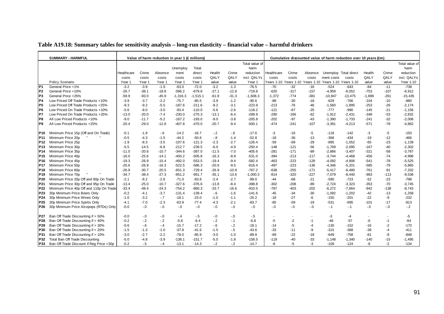|  |  | Table A19.18: Summary tables for sensitivity analysis - long-run elasticity - financial value - harmful drinkers |
|--|--|------------------------------------------------------------------------------------------------------------------|
|  |  |                                                                                                                  |

|                 | <b>SUMMARY - HARMFUL</b>                 |            |         | Value of harm reduction in year 1 (£ millions) |            |            |         |         |                |            |        |         |                                                        | Cumulative discounted value of harm reduction over 10 years (£m) |          |        |                |
|-----------------|------------------------------------------|------------|---------|------------------------------------------------|------------|------------|---------|---------|----------------|------------|--------|---------|--------------------------------------------------------|------------------------------------------------------------------|----------|--------|----------------|
|                 |                                          |            |         |                                                |            |            |         |         | Total value of |            |        |         |                                                        |                                                                  |          |        | Total value of |
|                 |                                          |            |         |                                                | Unemploy   | Total      |         |         | harm           |            |        |         |                                                        |                                                                  |          |        | harm           |
|                 |                                          | Healthcare | Crime   | Absence                                        | ment       | direct     | Health  | Crime   | reduction      | Healthcare | Crime  | Absence |                                                        | Unemploy Total direct                                            | Health   | Crime  | reduction      |
|                 |                                          | costs      | costs   | costs                                          | costs      | costs      | QALY    | QALY    | incl. QALYs    | costs      | costs  | costs   | ment costs                                             | costs                                                            | QALY     | QALY   | incl. QALYs    |
|                 | Policy Scenario                          | Year 1     | Year 1  | Year *                                         | Year 1     | Year 1     | value   | value   | Year 1         |            |        |         | Years 1-10 Years 1-10 Years 1-10 Years 1-10 Years 1-10 |                                                                  | value    | value  | Year 1-10      |
| P1              | General Price +1%                        | $-3.2$     | $-3.9$  | $-1.9$                                         | $-63.0$    | $-72.0$    | $-3.2$  | $-1.3$  | $-76.5$        | $-70$      | $-32$  | $-16$   | $-524$                                                 | $-643$                                                           | $-84$    | $-11$  | $-738$         |
| P <sub>2</sub>  | General Price +10%                       | $-26.7$    | $-38.1$ | $-18.8$                                        | $-596.2$   | $-679.8$   | $-27.1$ | $-12.8$ | $-719.8$       | $-620$     | $-317$ | $-157$  | $-4,959$                                               | $-6,052$                                                         | $-753$   | $-107$ | $-6,912$       |
| P <sub>3</sub>  | General Price +25%                       | $-59.9$    | $-93.0$ | $-45.9$                                        | $-1,316.3$ | $-1,515.1$ | $-61.8$ | $-31.3$ | $-1,608.3$     | $-1,372$   | $-774$ | -381    | $-10,947$                                              | $-13,475$                                                        | $-1,699$ | $-261$ | $-15,435$      |
| P <sub>4</sub>  | Low Priced Off Trade Products +10%       | $-3.9$     | $-3.7$  | $-2.2$                                         | $-75.7$    | $-85.5$    | $-3.9$  | $-1.2$  | $-90.6$        | $-88$      | $-30$  | $-18$   | $-629$                                                 | $-766$                                                           | $-104$   | $-10$  | $-880$         |
| P5              | Low Priced Off Trade Products +25%       | $-9.3$     | $-9.2$  | $-5.5$                                         | $-187.6$   | $-211.6$   | $-9.2$  | $-3.1$  | $-223.9$       | $-213$     | $-76$  | $-46$   | $-1,560$                                               | $-1,895$                                                         | $-253$   | $-26$  | $-2,174$       |
| P <sub>6</sub>  | Low Priced On Trade Products +10%        | $-5.6$     | $-8.0$  | $-3.0$                                         | $-93.4$    | $-110.0$   | $-5.6$  | $-2.6$  | $-118.2$       | $-121$     | $-67$  | $-25$   | $-777$                                                 | $-990$                                                           | $-145$   | $-21$  | $-1,156$       |
| P7              | Low Priced On Trade Products +25%        | $-13.0$    | $-20.0$ | $-7.4$                                         | $-230.0$   | $-270.3$   | $-13.1$ | $-6.4$  | $-289.9$       | $-290$     | $-166$ | $-62$   | $-1,912$                                               | $-2,431$                                                         | $-348$   | $-53$  | $-2,832$       |
| P8              | All Low Priced Products +10%             | $-9.0$     | $-11.7$ | $-5.2$                                         | $-167.2$   | $-193.0$   | $-9.0$  | $-3.8$  | $-205.8$       | $-202$     | $-97$  | $-43$   | $-1,390$                                               | $-1,733$                                                         | $-241$   | $-32$  | $-2,006$       |
| P9              | All Low Priced Products +25%             | $-20.4$    | $-29.0$ | $-12.8$                                        | $-407.8$   | $-470.0$   | $-20.7$ | $-9.4$  | $-500.1$       | $-474$     | $-241$ | $-107$  | $-3,391$                                               | $-4,213$                                                         | $-571$   | $-78$  | $-4,862$       |
|                 |                                          |            |         |                                                |            |            |         |         |                |            |        |         |                                                        |                                                                  |          |        |                |
| IP10.           | Minimum Price 15p (Off and On Trade)     | $-0.1$     | $-1.9$  | $-6$                                           | $-14.2$    | $-16.7$    | $-.2$   | $-6$    | $-17.6$        | -3         | $-16$  | -5      | $-118$                                                 | $-142$                                                           | -3       | $-5$   | $-150$         |
| <b>P11</b>      | Minimum Price 20p                        | $-0.5$     | $-4.3$  | $-1.5$                                         | $-44.2$    | $-50.6$    | $-8$    | $-1.4$  | $-52.8$        | $-18$      | $-36$  | $-13$   | $-368$                                                 | $-434$                                                           | $-19$    | $-12$  | $-466$         |
| P12             | Minimum Price 25p                        | $-1.9$     | $-8.3$  | $-3.5$                                         | $-107.6$   | $-121.3$   | $-2.3$  | $-2.7$  | $-126.4$       | $-59$      | $-69$  | $-29$   | $-895$                                                 | $-1.052$                                                         | $-65$    | $-23$  | $-1,139$       |
| P <sub>13</sub> | Minimum Price 30p                        | $-5.5$     | $-14.5$ | $-6.8$                                         | $-212.7$   | $-239.5$   | $-6.0$  | $-4.9$  | $-250.4$       | $-148$     | $-121$ | $-56$   | $-1.769$                                               | $-2.095$                                                         | $-167$   | $-40$  | $-2,302$       |
| P14             | Minimum Price 35p                        | $-11.0$    | $-20.6$ | $-10.7$                                        | $-344.6$   | $-387.0$   | $-11.5$ | $-7.0$  | $-405.6$       | $-281$     | $-171$ | $-89$   | $-2,866$                                               | $-3,407$                                                         | $-321$   | $-58$  | $-3,787$       |
| P <sub>15</sub> | Minimum Price 40p                        | $-16.0$    | $-25.6$ | $-14.1$                                        | $-450.2$   | $-505.8$   | $-16.3$ | $-8.9$  | $-531.0$       | $-394$     | $-213$ | $-117$  | $-3.744$                                               | $-4,468$                                                         | $-456$   | $-74$  | $-4,998$       |
| P16             | Minimum Price 45p                        | $-19.3$    | $-26.9$ | $-15.4$                                        | $-492.0$   | $-553.5$   | $-19.4$ | $-9.4$  | $-582.4$       | $-463$     | $-223$ | $-128$  | $-4,092$                                               | $-4,906$                                                         | $-541$   | $-78$  | $-5,525$       |
| P17             | Minimum Price 50p                        | $-20.6$    | $-26.9$ | $-16.3$                                        | $-522.5$   | $-586.3$   | $-20.6$ | $-9.5$  | $-616.4$       | $-497$     | $-223$ | $-136$  | $-4,346$                                               | $-5,201$                                                         | $-585$   | $-79$  | $-5,865$       |
| P18             | Minimum Price 60p                        | $-26.9$    | $-30.7$ | $-20.5$                                        | $-651.3$   | $-729.4$   | $-26.9$ | $-10.9$ | $-767.2$       | $-638$     | $-255$ | $-171$  | $-5,417$                                               | $-6,480$                                                         | $-761$   | $-91$  | $-7,332$       |
| P19             | Minimum Price 70p                        | $-34.7$    | $-38.4$ | $-27.3$                                        | $-851.2$   | $-951.7$   | $-35.1$ | $-13.6$ | $-1,000.3$     | $-814$     | $-320$ | $-227$  | $-7,079$                                               | $-8,440$                                                         | $-983$   | $-113$ | $-9,536$       |
| P20             | Minimum Price 20p Off and 80p On Trade   | $-2.1$     | $-8.2$  | $-2.6$                                         | $-71.0$    | $-83.8$    | $-2.4$  | $-2.7$  | $-89.0$        | $-44$      | $-68$  | $-21$   | $-590$                                                 | $-723$                                                           | $-52$    | $-23$  | $-798$         |
| P21             | Minimum Price 30p Off and 95p On Trade   | $-13.4$    | $-25.0$ | $-10.7$                                        | $-327.6$   | $-376.6$   | $-13.8$ | $-8.4$  | $-398.8$       | $-302$     | $-208$ | $-89$   | $-2,724$                                               | $-3,323$                                                         | $-353$   | $-70$  | $-3,745$       |
| P22             | Minimum Price 40p Off and 110p On Trade  | $-33.4$    | $-48.4$ | $-24.3$                                        | $-754.2$   | $-860.3$   | $-33.7$ | $-16.6$ | $-910.5$       | $-787$     | $-403$ | -202    | $-6,272$                                               | $-7,664$                                                         | $-942$   | $-138$ | $-8,743$       |
| P23             | 30p Minimum Price Beers Only             | $-0.2$     | $-4.1$  | $-3.7$                                         | $-131.4$   | $-139.4$   | $-6$    | $-1.6$  | $-141.6$       | -45        | $-34$  | $-30$   | $-1,092$                                               | $-1,202$                                                         | $-42$    | $-13$  | $-1,258$       |
| P24             | 30p Minimum Price Wines Only             | $-1.0$     | $-3.2$  | $-7$                                           | $-18.1$    | $-23.0$    | $-1.0$  | $-1.1$  | $-25.2$        | $-18$      | $-27$  | -6      | $-150$                                                 | $-201$                                                           | $-22$    | -9     | $-232$         |
| P25             | 30p Minimum Price Spirits Only           | $-4.1$     | $-7.0$  | $-2.3$                                         | $-63.9$    | $-77.4$    | $-4.3$  | $-2.1$  | $-83.7$        | $-85$      | $-59$  | $-19$   | $-531$                                                 | $-695$                                                           | $-101$   | $-17$  | $-813$         |
| P26             | 30p Minimum Price Alcopops (RTDs) Only   | $-0.0$     | $-0$    | $-0$                                           | $-0.0$     | $-0$       | $-0.0$  | $-.0$   | $-0.0$         | $-0$       | $-0.0$ | $-.0$   | $-.1$                                                  | $-.1$                                                            | $-0$     | $-0$   | $-.2$          |
|                 |                                          |            |         |                                                |            |            |         |         |                |            |        |         |                                                        |                                                                  |          |        |                |
| P27             | Ban Off Trade Discounting if > 50%       | $-0.0$     | $-.0$   | $-.0$                                          | $-.4$      | $-5$       | $-0$    | $-0$    | $-.5$          |            |        |         | -3                                                     | -4                                                               |          |        | -5             |
| P28             | Ban Off Trade Discounting if > 40%       | $-0.2$     | $-2$    | $-.2$                                          | $-5.8$     | $-6.4$     | $-2$    | $-1$    | $-6.8$         | $-5$       | $-2$   | $-1$    | $-48$                                                  | $-57$                                                            | -6       | $-1$   | $-64$          |
| P29             | Ban Off Trade Discounting if > 30%       | $-0.6$     | $-6$    | $-4$                                           | $-15.7$    | $-17.2$    | $-6$    | $-2$    | $-18.1$        | $-14$      | $-5$   | $-4$    | $-130$                                                 | $-152$                                                           | $-16$    | $-2$   | $-170$         |
| P30             | Ban Off Trade Discounting if > 20%       | $-1.5$     | $-1.3$  | $-1.0$                                         | $-37.8$    | $-41.6$    | $-1.5$  | $-.5$   | $-43.6$        | $-33$      | $-11$  | -9      | $-315$                                                 | $-368$                                                           | $-39$    | -4     | $-411$         |
| P31             | Ban Off Trade Discounting if > 10%       | $-3.0$     | $-2.7$  | $-2.2$                                         | $-78.0$    | $-85.9$    | $-3.0$  | $-1.0$  | $-89.8$        | $-69$      | $-22$  | $-18$   | $-649$                                                 | $-758$                                                           | $-81$    | -8     | $-848$         |
| P32             | Total Ban Off Trade Discounting          | $-5.0$     | $-4.8$  | $-3.9$                                         | $-138.1$   | $-151.7$   | $-5.0$  | $-1.8$  | $-158.5$       | $-119$     | $-40$  | $-33$   | $-1,148$                                               | $-1,340$                                                         | $-140$   | $-15$  | $-1,495$       |
| <b>P33</b>      | Ban Off Trade Discount if Reg Price <30p | $-0.2$     | $-.5$   | $-.4$                                          | $-13.1$    | $-14.3$    | $-2$    | $-2$    | $-14.7$        | -8         | -5     | -3      | $-109$                                                 | $-124$                                                           | -8       | $-2$   | $-134$         |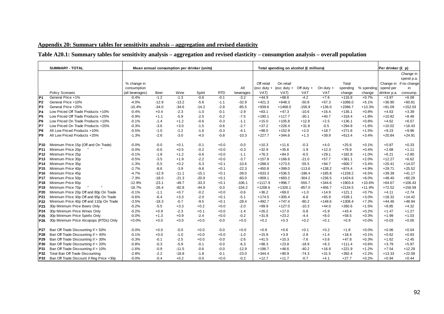### **Appendix 20: Summary tables for sensitivity analysis – aggregation and revised elasticity**

### **Table A20.1: Summary tables for sensitivity analysis – aggregation and revised elasticity – consumption analysis – overall population**

|                 | <b>SUMMARY - TOTAL</b>                   |                 | Mean annual consumption per drinker (units) |         |         | Total spending on alcohol (£ millions) |           |               |               |              | Per drinker (£ p) |           |            |              |              |
|-----------------|------------------------------------------|-----------------|---------------------------------------------|---------|---------|----------------------------------------|-----------|---------------|---------------|--------------|-------------------|-----------|------------|--------------|--------------|
|                 |                                          |                 |                                             |         |         |                                        |           |               |               |              |                   |           |            |              | Change in    |
|                 |                                          |                 |                                             |         |         |                                        |           |               |               |              |                   |           |            |              | spend p.a.   |
|                 |                                          | % change in     |                                             |         |         |                                        |           | Off retail    | On retail     |              |                   | Total     |            | Change in    | if no change |
|                 |                                          | consumption     |                                             |         |         |                                        | All       | $(exc duty +$ | (exc duty $+$ | Off duty $+$ | On duty $+$       | spending  | % spending | spend per    | in           |
|                 | Policy Scenario                          | (all beverages) | Beer                                        | Wine    | Spirit  | <b>RTD</b>                             | beverages | VAT)          | VAT)          | <b>VAT</b>   | <b>VAT</b>        | change    | change     | drinker p.a. | consump.     |
| P <sub>1</sub>  | General Price +1%                        | $-0.4%$         | $-1.2$                                      | $-1.3$  | $-0.6$  | $-0.1$                                 | $-3.2$    | $+44.9$       | $+68.6$       | $-4.2$       | $+7.6$            | $+116.8$  | $+0.7%$    | $+3.97$      | $+6.08$      |
| P <sub>2</sub>  | General Price +10%                       | $-4.0%$         | $-12.9$                                     | $-13.2$ | $-5.6$  | $-1.1$                                 | $-32.9$   | $+421.3$      | $+648.3$      | $-50.8$      | $+67.3$           | $+1086.0$ | $+6.1%$    | $+36.90$     | $+60.81$     |
| P <sub>3</sub>  | General Price +25%                       | $-10.4%$        | $-34.0$                                     | $-34.6$ | $-14.2$ | $-2.8$                                 | $-85.5$   | $+939.6$      | $+1468.0$     | $-156.9$     | $+136.0$          | $+2386.7$ | $+13.3%$   | $+81.09$     | $+152.03$    |
| P <sub>4</sub>  | Low Priced Off Trade Products +10%       | $-0.4%$         | $+0.4$                                      | $-2.3$  | $-1.0$  | $-0.1$                                 | $-2.9$    | $+83.1$       | $+47.3$       | $-10.6$      | $+16.4$           | $+136.1$  | $+0.8%$    | $+4.63$      | $+3.39$      |
| P5              | Low Priced Off Trade Products +25%       | $-0.9%$         | $+1.1$                                      | $-5.9$  | $-2.5$  | $-0.2$                                 | $-7.5$    | $+190.1$      | $+117.7$      | $-30.1$      | $+40.7$           | $+318.4$  | $+1.8%$    | $+10.82$     | $+8.48$      |
| P <sub>6</sub>  | Low Priced On Trade Products +10%        | $-0.1%$         | $-1.4$                                      | $+1.2$  | $-0.6$  | $-0.3$                                 | $-1.1$    | $+15.0$       | $+105.8$      | $+12.8$      | $+2.5$            | $+136.1$  | $+0.8%$    | $+4.62$      | $+6.57$      |
| P7              | Low Priced On Trade Products +25%        | $-0.3%$         | $-3.6$                                      | $+3.0$  | $-1.5$  | $-0.6$                                 | $-2.7$    | $+37.2$       | $+226.4$      | $+31.8$      | $-0.5$            | $+294.8$  | $+1.6%$    | $+10.02$     | $+16.43$     |
| P8              | All Low Priced Products +10%             | $-0.5%$         | $-1.0$                                      | $-1.2$  | $-1.6$  | $-0.3$                                 | $-4.1$    | $+98.0$       | $+152.9$      | $+2.0$       | $+18.7$           | $+271.6$  | $+1.5%$    | $+9.23$      | $+9.96$      |
| P9              | All Low Priced Products +25%             | $-1.3%$         | $-2.6$                                      | $-3.0$  | $-4.0$  | $-0.8$                                 | $-10.3$   | $+227.7$      | $+344.6$      | $+1.3$       | $+39.9$           | $+613.4$  | $+3.4%$    | $+20.84$     | $+24.91$     |
|                 |                                          |                 |                                             |         |         |                                        |           |               |               |              |                   |           |            |              |              |
| P10             | Minimum Price 15p (Off and On Trade)     | $-0.0%$         | $-0.0$                                      | $+0.1$  | $-0.1$  | $+0.0$                                 | $-0.0$    | $+10.3$       | $+11.6$       | $-0.3$       | $+4.0$            | $+25.6$   | $+0.1%$    | $+0.87$      | $+0.33$      |
| P <sub>11</sub> | Minimum Price 20p                        | $-0.0%$         | $-0.6$                                      | $+0.5$  | $-0.2$  | $+0.0$                                 | $-0.3$    | $+32.9$       | $+35.6$       | $-1.9$       | $+12.3$           | $+78.9$   | $+0.4%$    | $+2.68$      | $+1.11$      |
| P <sub>12</sub> | Minimum Price 25p                        | $-0.1%$         | $-1.8$                                      | $+1.2$  | $-0.6$  | $+0.0$                                 | $-1.1$    | $+76.3$       | $+84.0$       | $-6.5$       | $+29.1$           | $+182.8$  | $+1.0%$    | $+6.21$      | $+2.80$      |
| P <sub>13</sub> | Minimum Price 30p                        | $-0.5%$         | $-3.5$                                      | $+1.9$  | $-2.2$  | $+0.0$                                 | $-3.7$    | $+157.8$      | $+166.6$      | $-21.0$      | $+57.7$           | $+361.1$  | $+2.0%$    | $+12.27$     | $+6.62$      |
| <b>P14</b>      | Minimum Price 35p                        | $-1.3%$         | $-5.5$                                      | $+0.2$  | $-5.3$  | $+0.1$                                 | $-10.6$   | $+288.0$      | $+273.5$      | $-55.5$      | $+94.7$           | $+600.7$  | $+3.4%$    | $+20.41$     | $+14.07$     |
| P <sub>15</sub> | Minimum Price 40p                        | $-2.7%$         | $-8.6$                                      | $-3.9$  | $-9.8$  | $+0.1$                                 | $-22.3$   | $+450.8$      | $+399.0$      | $-113.6$     | $+138.2$          | $+874.4$  | $+4.9%$    | $+29.71$     | $+25.52$     |
| P <sub>16</sub> | Minimum Price 45p                        | $-4.7%$         | $-12.9$                                     | $-11.1$ | $-15.1$ | $+0.1$                                 | $-39.0$   | $+633.3$      | $+536.5$      | $-196.4$     | $+185.8$          | $+1159.2$ | $+6.5%$    | $+39.39$     | $+41.17$     |
| <b>P17</b>      | Minimum Price 50p                        | $-7.3%$         | $-18.0$                                     | $-21.3$ | $-20.9$ | $+0.1$                                 | $-60.0$   | $+809.1$      | $+683.2$      | $-304.2$     | $+236.5$          | $+1424.6$ | $+8.0%$    | $+48.40$     | $+60.29$     |
| P <sub>18</sub> | Minimum Price 60p                        | $-12.9%$        | $-23.1$                                     | $-49.7$ | $-33.3$ | $+0.1$                                 | $-106.1$  | $+1117.9$     | $+996.7$      | $-555.7$     | $+344.6$          | $+1903.4$ | $+10.6%$   | $+64.67$     | $+106.43$    |
| P <sub>19</sub> | Minimum Price 70p                        | $-18.7%$        | $-26.4$                                     | $-82.8$ | $-44.9$ | $-0.0$                                 | $-154.2$  | $+1208.6$     | $+1326.1$     | $-857.0$     | $+456.7$          | $+2134.5$ | $+11.9%$   | $+72.52$     | $+156.59$    |
| P <sub>20</sub> | Minimum Price 20p Off and 80p On Trade   | $-0.1%$         | $-1.1$                                      | $+0.7$  | $-0.2$  | $+0.0$                                 | $-0.6$    | $+36.2$       | $+69.0$       | $+1.0$       | $+14.9$           | $+121.1$  | $+0.7%$    | $+4.11$      | $+2.74$      |
| P21             | Minimum Price 30p Off and 95p On Trade   | $-0.6%$         | $-6.4$                                      | $+3.3$  | $-2.0$  | $+0.1$                                 | $-5.1$    | $+174.5$      | $+305.4$      | $-6.8$       | $+65.9$           | $+539.1$  | $+3.0%$    | $+18.32$     | $+14.42$     |
| P <sub>22</sub> | Minimum Price 40p Off and 110p On Trade  | $-3.5%$         | $-18.3$                                     | $-0.7$  | $-9.5$  | $+0.1$                                 | $-28.4$   | $+492.7$      | $+747.4$      | $-80.2$      | $+148.6$          | $+1308.4$ | $+7.3%$    | $+44.46$     | $+48.94$     |
| P <sub>23</sub> | 30p Minimum Price Beers Only             | $-0.2%$         | $-5.5$                                      | $+3.3$  | $+0.2$  | $+0.0$                                 | $-2.0$    | $+99.9$       | $+127.0$      | $-10.3$      | $+44.0$           | $+260.6$  | $+1.5%$    | $+8.85$      | $+4.32$      |
| P24             | 30p Minimum Price Wines Only             | $-0.2%$         | $+0.9$                                      | $-2.3$  | $+0.1$  | $+0.0$                                 | $-1.4$    | $+26.2$       | $+17.0$       | $-5.8$       | $+5.9$            | $+43.4$   | $+0.2%$    | $+1.47$      | $+1.27$      |
| P <sub>25</sub> | 30p Minimum Price Spirits Only           | $-0.0%$         | $+1.3$                                      | $+0.9$  | $-2.4$  | $+0.0$                                 | $-0.2$    | $+31.8$       | $+23.2$       | $-4.4$       | $+8.0$            | $+58.5$   | $+0.3%$    | $+1.99$      | $+1.03$      |
| P <sub>26</sub> | 30p Minimum Price Alcopops (RTDs) Only   | $+0.0%$         | $+0.0$                                      | $+0.0$  | $+0.0$  | $-0.0$                                 | $+0.0$    | $+0.2$        | $+0.3$        | $+0.2$       | $+0.1$            | $+0.9$    | $+0.0%$    | $+0.03$      | $+0.00$      |
|                 |                                          |                 |                                             |         |         |                                        |           |               |               |              |                   |           |            |              |              |
| P27             | Ban Off Trade Discounting if > 50%       | $-0.0%$         | $+0.0$                                      | $-0.0$  | $+0.0$  | $-0.0$                                 | $+0.0$    | $+0.9$        | $+0.6$        | $+0.1$       | $+0.2$            | $+1.8$    | $+0.0%$    | $+0.06$      | $+0.04$      |
| P28             | Ban Off Trade Discounting if > 40%       | $-0.1%$         | $+0.0$                                      | $-1.0$  | $+0.0$  | $+0.0$                                 | $-1.0$    | $+15.9$       | $+3.9$        | $-2.8$       | $+1.4$            | $+18.4$   | $+0.1%$    | $+0.62$      | $+0.93$      |
| P29             | Ban Off Trade Discounting if > 30%       | $-0.3%$         | $-0.1$                                      | $-2.5$  | $+0.0$  | $-0.0$                                 | $-2.6$    | $+41.5$       | $+10.3$       | $-7.6$       | $+3.6$            | $+47.8$   | $+0.3%$    | $+1.62$      | $+2.45$      |
| P30             | Ban Off Trade Discounting if > 20%       | $-0.8%$         | $-0.3$                                      | $-5.9$  | $-0.1$  | $-0.0$                                 | $-6.3$    | $+98.3$       | $+23.8$       | $-18.9$      | $+8.3$            | $+111.4$  | $+0.6%$    | $+3.79$      | $+5.97$      |
| P31             | Ban Off Trade Discounting if > 10%       | $-1.6%$         | $-0.9$                                      | $-11.5$ | $-0.6$  | $-0.0$                                 | $-12.9$   | $+196.7$      | $+48.6$       | $-40.2$      | $+16.9$           | $+221.9$  | $+1.2%$    | $+7.54$      | $+12.29$     |
| P32             | Total Ban Off Trade Discounting          | $-2.8%$         | $-2.2$                                      | $-18.8$ | $-1.8$  | $-0.1$                                 | $-23.0$   | $+344.4$      | $+90.9$       | $-74.3$      | $+31.5$           | $+392.4$  | $+2.2%$    | $+13.33$     | $+22.09$     |
| P33             | Ban Off Trade Discount if Reg Price <30p | $-0.0%$         | $-0.4$                                      | $+0.2$  | $-0.0$  | $+0.0$                                 | $-0.2$    | $+12.7$       | $+11.7$       | $-0.7$       | $+4.1$            | $+27.7$   | $+0.2%$    | $+0.94$      | $+0.44$      |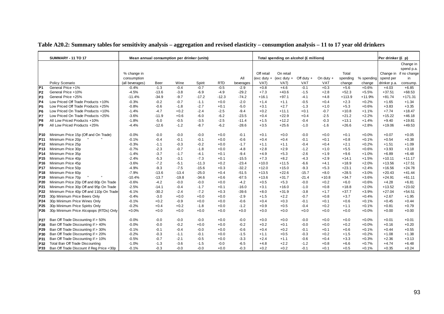|                 | <b>SUMMARY - 11 TO 17</b>                | Mean annual consumption per drinker (units) |         |         |         |            |           |                 | Total spending on alcohol (£ millions) |              |             |          |            | Per drinker (£ p) |                        |
|-----------------|------------------------------------------|---------------------------------------------|---------|---------|---------|------------|-----------|-----------------|----------------------------------------|--------------|-------------|----------|------------|-------------------|------------------------|
|                 |                                          |                                             |         |         |         |            |           |                 |                                        |              |             |          |            |                   | Change in              |
|                 |                                          |                                             |         |         |         |            |           |                 |                                        |              |             |          |            |                   | spend p.a.             |
|                 |                                          | % change in                                 |         |         |         |            |           | Off retail      | On retail                              |              |             | Total    |            |                   | Change in if no change |
|                 |                                          | consumption                                 |         |         |         |            | All       | $(exc$ duty $+$ | $(exc duty +$                          | Off duty $+$ | On duty $+$ | spending | % spending | spend per         | in                     |
|                 | Policy Scenario                          | (all beverages)                             | Beer    | Wine    | Spirit  | <b>RTD</b> | beverages | VAT)            | VAT)                                   | <b>VAT</b>   | <b>VAT</b>  | change   | change     | drinker p.a.      | consump.               |
| P <sub>1</sub>  | General Price +1%                        | $-0.4%$                                     | $-1.3$  | $-0.4$  | $-0.7$  | $-0.5$     | $-2.9$    | $+0.8$          | $+4.6$                                 | $-0.1$       | $+0.3$      | $+5.6$   | $+0.6%$    | $+4.03$           | $+6.85$                |
| P <sub>2</sub>  | General Price +10%                       | $-4.5%$                                     | $-13.6$ | $-3.8$  | $-6.9$  | $-4.9$     | $-29.2$   | $+7.3$          | $+43.6$                                | $-1.5$       | $+2.8$      | $+52.3$  | $+5.5%$    | $+37.51$          | $+68.53$               |
| P <sub>3</sub>  | General Price +25%                       | $-11.4%$                                    | $-34.9$ | $-9.7$  | $-17.2$ | $-12.3$    | $-74.2$   | $+16.1$         | $+97.1$                                | $-4.1$       | $+4.8$      | $+113.9$ | $+11.9%$   | $+81.74$          | $+171.31$              |
| P <sub>4</sub>  | Low Priced Off Trade Products +10%       | $-0.3%$                                     | $-0.2$  | $-0.7$  | $-1.1$  | $+0.0$     | $-2.0$    | $+1.4$          | $+1.1$                                 | $-0.5$       | $+0.4$      | $+2.3$   | $+0.2%$    | $+1.65$           | $+1.34$                |
| P <sub>5</sub>  | Low Priced Off Trade Products +25%       | $-0.8%$                                     | $-0.6$  | $-1.8$  | $-2.7$  | $+0.1$     | $-5.0$    | $+3.1$          | $+2.7$                                 | $-1.3$       | $+1.0$      | $+5.3$   | $+0.6%$    | $+3.83$           | $+3.35$                |
| P <sub>6</sub>  | Low Priced On Trade Products +10%        | $-1.4%$                                     | $-4.7$  | $+0.2$  | $-2.4$  | $-2.5$     | $-9.4$    | $+0.2$          | $+11.1$                                | $+0.1$       | $-0.7$      | $+10.8$  | $+1.1%$    | $+7.74$           | $+18.47$               |
| P7              | Low Priced On Trade Products +25%        | $-3.6%$                                     | $-11.9$ | $+0.6$  | $-6.0$  | $-6.2$     | $-23.5$   | $+0.4$          | $+22.9$                                | $+0.4$       | $-2.5$      | $+21.2$  | $+2.2%$    | $+15.22$          | $+46.18$               |
| IP8             | All Low Priced Products +10%             | $-1.8%$                                     | $-5.0$  | $-0.5$  | $-3.5$  | $-2.5$     | $-11.4$   | $+1.5$          | $+12.2$                                | $-0.4$       | $-0.3$      | $+13.1$  | $+1.4%$    | $+9.40$           | $+19.81$               |
| lP9             | All Low Priced Products +25%             | $-4.4%$                                     | $-12.6$ | $-1.2$  | $-8.7$  | $-6.2$     | $-28.6$   | $+3.5$          | $+25.6$                                | $-1.0$       | $-1.6$      | $+26.6$  | $+2.8%$    | $+19.06$          | $+49.53$               |
| P10             | Minimum Price 15p (Off and On Trade)     | $-0.0%$                                     | $-0.0$  | $-0.0$  | $-0.0$  | $+0.0$     | $-0.1$    | $+0.1$          | $+0.0$                                 | $-0.0$       | $+0.0$      | $+0.1$   | $+0.0%$    | $+0.07$           | $+0.05$                |
| IP11            | Minimum Price 20p                        | $-0.1%$                                     | $-0.4$  | $-0.1$  | $-0.1$  | $+0.0$     | $-0.6$    | $+0.4$          | $+0.4$                                 | $-0.1$       | $+0.1$      | $+0.8$   | $+0.1%$    | $+0.54$           | $+0.38$                |
| P <sub>12</sub> | Minimum Price 25p                        | $-0.3%$                                     | $-1.1$  | $-0.3$  | $-0.2$  | $+0.0$     | $-1.7$    | $+1.1$          | $+1.1$                                 | $-0.4$       | $+0.4$      | $+2.1$   | $+0.2%$    | $+1.51$           | $+1.09$                |
| P <sub>13</sub> | Minimum Price 30p                        | $-0.7%$                                     | $-2.3$  | $-0.7$  | $-1.8$  | $+0.0$     | $-4.8$    | $+2.8$          | $+2.9$                                 | $-1.2$       | $+1.0$      | $+5.5$   | $+0.6%$    | $+3.93$           | $+3.18$                |
| P <sub>14</sub> | Minimum Price 35p                        | $-1.4%$                                     | $-3.7$  | $-1.7$  | $-4.1$  | $+0.1$     | $-9.4$    | $+4.9$          | $+5.3$                                 | $-2.6$       | $+1.9$      | $+9.6$   | $+1.0%$    | $+6.89$           | $+6.48$                |
| P <sub>15</sub> | Minimum Price 40p                        | $-2.4%$                                     | $-5.3$  | $-3.1$  | $-7.3$  | $+0.1$     | $-15.5$   | $+7.3$          | $+8.2$                                 | $-4.3$       | $+2.9$      | $+14.1$  | $+1.5%$    | $+10.11$          | $+11.17$               |
| P <sub>16</sub> | Minimum Price 45p                        | $-3.6%$                                     | $-7.2$  | $-5.1$  | $-11.3$ | $+0.2$     | $-23.4$   | $+10.0$         | $+11.5$                                | $-6.6$       | $+4.1$      | $+18.9$  | $+2.0%$    | $+13.56$          | $+17.51$               |
| <b>P17</b>      | Minimum Price 50p                        | $-4.9%$                                     | $-9.3$  | $-7.5$  | $-15.6$ | $+0.3$     | $-32.2$   | $+12.0$         | $+15.0$                                | $-9.3$       | $+5.3$      | $+23.1$  | $+2.4%$    | $+16.56$          | $+24.78$               |
| P <sub>18</sub> | Minimum Price 60p                        | $-7.9%$                                     | $-13.6$ | $-13.4$ | $-25.0$ | $+0.4$     | $-51.5$   | $+13.5$         | $+22.6$                                | $-15.7$      | $+8.0$      | $+28.5$  | $+3.0%$    | $+20.43$          | $+41.44$               |
| P <sub>19</sub> | Minimum Price 70p                        | $-10.4%$                                    | $-13.7$ | $-19.8$ | $-34.6$ | $+0.6$     | $-67.5$   | $+13.6$         | $+31.7$                                | $-21.4$      | $+10.8$     | $+34.7$  | $+3.6%$    | $+24.91$          | $+61.11$               |
| P <sub>20</sub> | Minimum Price 20p Off and 80p On Trade   | $-0.6%$                                     | $-4.2$  | $-0.0$  | $-0.0$  | $+0.0$     | $-4.2$    | $+0.5$          | $+5.3$                                 | $-0.0$       | $+0.2$      | $+6.0$   | $+0.6%$    | $+4.28$           | $+6.81$                |
| P21             | Minimum Price 30p Off and 95p On Trade   | $-2.5%$                                     | $-14.1$ | $-0.4$  | $-1.7$  | $+0.1$     | $-16.0$   | $+3.1$          | $+16.0$                                | $-1.0$       | $+0.8$      | $+18.8$  | $+2.0%$    | $+13.52$          | $+23.02$               |
| P <sub>22</sub> | Minimum Price 40p Off and 110p On Trade  | $-6.1%$                                     | $-30.2$ | $-2.4$  | $-7.2$  | $+0.3$     | $-39.6$   | $+8.0$          | $+31.9$                                | $-3.8$       | $+1.7$      | $+37.7$  | $+3.9%$    | $+27.04$          | $+54.51$               |
| P23             | 30p Minimum Price Beers Only             | $-0.4%$                                     | $-3.0$  | $+0.0$  | $+0.0$  | $+0.0$     | $-2.9$    | $+1.5$          | $+2.2$                                 | $-0.7$       | $+0.8$      | $+3.7$   | $+0.4%$    | $+2.67$           | $+1.95$                |
| P24             | 30p Minimum Price Wines Only             | $-0.1%$                                     | $+0.2$  | $-0.9$  | $+0.0$  | $+0.0$     | $-0.6$    | $+0.4$          | $+0.3$                                 | $-0.1$       | $+0.1$      | $+0.6$   | $+0.1%$    | $+0.45$           | $+0.44$                |
| P <sub>25</sub> | 30p Minimum Price Spirits Only           | $-0.2%$                                     | $+0.4$  | $+0.2$  | $-1.8$  | $+0.0$     | $-1.2$    | $+0.9$          | $+0.5$                                 | $-0.4$       | $+0.2$      | $+1.1$   | $+0.1%$    | $+0.81$           | $+0.79$                |
| P26             | 30p Minimum Price Alcopops (RTDs) Only   | $+0.0%$                                     | $+0.0$  | $+0.0$  | $+0.0$  | $+0.0$     | $+0.0$    | $+0.0$          | $+0.0$                                 | $+0.0$       | $+0.0$      | $+0.0$   | $+0.0%$    | $+0.00$           | $+0.00$                |
| P27             | Ban Off Trade Discounting if > 50%       | $-0.0%$                                     | $-0.0$  | $-0.0$  | $-0.0$  | $+0.0$     | $-0.0$    | $+0.0$          | $+0.0$                                 | $-0.0$       | $+0.0$      | $+0.0$   | $+0.0%$    | $+0.01$           | $+0.01$                |
| P28             | Ban Off Trade Discounting if > 40%       | $-0.0%$                                     | $-0.0$  | $-0.2$  | $+0.0$  | $+0.0$     | $-0.2$    | $+0.2$          | $+0.1$                                 | $-0.0$       | $+0.0$      | $+0.2$   | $+0.0%$    | $+0.16$           | $+0.20$                |
| P29             | Ban Off Trade Discounting if > 30%       | $-0.1%$                                     | $-0.1$  | $-0.4$  | $-0.0$  | $+0.0$     | $-0.6$    | $+0.4$          | $+0.2$                                 | $-0.1$       | $+0.1$      | $+0.6$   | $+0.1%$    | $+0.44$           | $+0.55$                |
| P30             | Ban Off Trade Discounting if > 20%       | $-0.2%$                                     | $-0.3$  | $-1.1$  | $-0.1$  | $+0.0$     | $-1.5$    | $+1.1$          | $+0.5$                                 | $-0.3$       | $+0.2$      | $+1.5$   | $+0.2%$    | $+1.08$           | $+1.38$                |
| P31             | Ban Off Trade Discounting if > 10%       | $-0.5%$                                     | $-0.7$  | $-2.1$  | $-0.5$  | $+0.0$     | $-3.3$    | $+2.4$          | $+1.1$                                 | $-0.6$       | $+0.4$      | $+3.3$   | $+0.3%$    | $+2.36$           | $+3.13$                |
| <b>P32</b>      | Total Ban Off Trade Discounting          | $-1.0%$                                     | $-1.3$  | $-3.6$  | $-1.5$  | $-0.0$     | $-6.5$    | $+4.8$          | $+2.2$                                 | $-1.2$       | $+0.8$      | $+6.6$   | $+0.7%$    | $+4.74$           | $+6.48$                |
| P33             | Ban Off Trade Discount if Reg Price <30p | $-0.1%$                                     | $-0.3$  | $-0.0$  | $-0.0$  | $+0.0$     | $-0.3$    | $+0.2$          | $+0.2$                                 | $-0.1$       | $+0.1$      | $+0.5$   | $+0.1%$    | $+0.35$           | $+0.24$                |

#### **Table A20.2: Summary tables for sensitivity analysis – aggregation and revised elasticity – consumption analysis – 11 to 17 year old drinkers**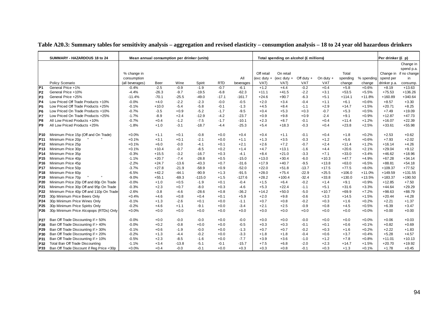|                 | SUMMARY - HAZARDOUS 18 to 24             | Mean annual consumption per drinker (units) |         |         |          |            |           |            | Total spending on alcohol (£ millions) |              |            |          |            | Per drinker (£ p) |                        |
|-----------------|------------------------------------------|---------------------------------------------|---------|---------|----------|------------|-----------|------------|----------------------------------------|--------------|------------|----------|------------|-------------------|------------------------|
|                 |                                          |                                             |         |         |          |            |           |            |                                        |              |            |          |            |                   | Change in              |
|                 |                                          |                                             |         |         |          |            |           |            |                                        |              |            |          |            |                   | spend p.a.             |
|                 |                                          | % change in                                 |         |         |          |            |           | Off retail | On retail                              |              |            | Total    |            |                   | Change in if no change |
|                 |                                          | consumption                                 |         |         |          |            | All       |            | (exc duty + (exc duty +                | Off duty $+$ | On duty +  | spending | % spending | spend per         | in                     |
|                 | Policy Scenario                          | (all beverages)                             | Beer    | Wine    | Spirit   | <b>RTD</b> | beverages | VAT)       | VAT)                                   | <b>VAT</b>   | <b>VAT</b> | change   | change     | drinker p.a.      | consump.               |
| P <sub>1</sub>  | General Price +1%                        | $-0.4%$                                     | $-2.5$  | $-0.9$  | $-1.9$   | $-0.7$     | $-6.1$    | $+1.2$     | $+4.4$                                 | $-0.2$       | $+0.4$     | $+5.8$   | $+0.6%$    | $+8.19$           | $+13.63$               |
| P <sub>2</sub>  | General Price +10%                       | $-4.4%$                                     | $-26.3$ | $-9.7$  | $-19.5$  | $-6.8$     | $-62.3$   | $+11.1$    | $+41.5$                                | $-2.2$       | $+3.1$     | $+53.5$  | $+5.5%$    | $+75.53$          | $+136.26$              |
| P <sub>3</sub>  | General Price +25%                       | $-11.4%$                                    | $-70.1$ | $-25.5$ | $-49.0$  | $-17.1$    | $-161.7$  | $+24.6$    | $+90.7$                                | $-6.3$       | $+5.1$     | $+114.1$ | $+11.8%$   | $+160.89$         | $+340.64$              |
| P <sub>4</sub>  | Low Priced Off Trade Products +10%       | $-0.0%$                                     | $+4.0$  | $-2.2$  | $-2.3$   | $-0.0$     | $-0.5$    | $+2.0$     | $+3.4$                                 | $-0.4$       | $+1.1$     | $+6.1$   | $+0.6%$    | $+8.57$           | $+3.30$                |
| P <sub>5</sub>  | Low Priced Off Trade Products +25%       | $-0.1%$                                     | $+10.0$ | $-5.4$  | $-5.8$   | $-0.1$     | $-1.3$    | $+4.5$     | $+8.4$                                 | $-1.1$       | $+2.9$     | $+14.7$  | $+1.5%$    | $+20.71$          | $+8.25$                |
| P <sub>6</sub>  | Low Priced On Trade Products +10%        | $-0.7%$                                     | $-3.5$  | $+0.9$  | $-5.2$   | $-1.7$     | $-9.5$    | $+0.4$     | $+5.3$                                 | $+0.3$       | $-0.7$     | $+5.3$   | $+0.5%$    | $+7.49$           | $+19.09$               |
| P7              | Low Priced On Trade Products +25%        | $-1.7%$                                     | $-8.9$  | $+2.4$  | $-12.9$  | $-4.2$     | $-23.7$   | $+0.9$     | $+9.8$                                 | $+0.9$       | $-2.4$     | $+9.1$   | $+0.9%$    | $+12.87$          | $+47.73$               |
| P <sub>8</sub>  | All Low Priced Products +10%             | $-0.7%$                                     | $+0.4$  | $-1.2$  | $-7.5$   | $-1.7$     | $-10.1$   | $+2.3$     | $+8.7$                                 | $-0.1$       | $+0.4$     | $+11.4$  | $+1.2%$    | $+16.07$          | $+22.39$               |
| P <sub>9</sub>  | All Low Priced Products +25%             | $-1.8%$                                     | $+1.0$  | $-3.1$  | $-18.7$  | $-4.4$     | $-25.3$   | $+5.4$     | $+18.3$                                | $-0.3$       | $+0.4$     | $+23.8$  | $+2.5%$    | $+33.61$          | $+55.98$               |
| P10             | Minimum Price 15p (Off and On Trade)     | $+0.0%$                                     | $+1.1$  | $+0.1$  | $-0.8$   | $+0.0$     | $+0.4$    | $+0.4$     | $+1.1$                                 | $-0.1$       | $+0.4$     | $+1.8$   | $+0.2%$    | $+2.53$           | $+0.62$                |
| P <sub>11</sub> | Minimum Price 20p                        | $+0.1%$                                     | $+3.1$  | $+0.1$  | $-2.1$   | $+0.0$     | $+1.1$    | $+1.3$     | $+3.5$                                 | $-0.3$       | $+1.2$     | $+5.6$   | $+0.6%$    | $+7.93$           | $+2.02$                |
| P <sub>12</sub> | Minimum Price 25p                        | $+0.1%$                                     | $+6.0$  | $-0.0$  | $-4.1$   | $+0.1$     | $+2.1$    | $+2.6$     | $+7.2$                                 | $-0.7$       | $+2.4$     | $+11.4$  | $+1.2%$    | $+16.14$          | $+4.26$                |
| P <sub>13</sub> | Minimum Price 30p                        | $+0.1%$                                     | $+10.4$ | $-0.7$  | $-8.5$   | $+0.2$     | $+1.4$    | $+4.7$     | $+13.1$                                | $-1.6$       | $+4.4$     | $+20.6$  | $+2.1%$    | $+29.04$          | $+9.12$                |
| P <sub>14</sub> | Minimum Price 35p                        | $-0.3%$                                     | $+15.5$ | $-3.2$  | $-16.7$  | $+0.3$     | $-4.1$    | $+8.4$     | $+21.0$                                | $-3.3$       | $+7.1$     | $+33.0$  | $+3.4%$    | $+46.62$          | $+18.96$               |
| P <sub>15</sub> | Minimum Price 40p                        | $-1.1%$                                     | $+20.7$ | $-7.4$  | $-28.8$  | $+0.5$     | $-15.0$   | $+13.0$    | $+30.4$                                | $-6.0$       | $+10.3$    | $+47.7$  | $+4.9%$    | $+67.28$          | $+34.14$               |
| P <sub>16</sub> | Minimum Price 45p                        | $-2.2%$                                     | $+24.7$ | $-13.6$ | $-43.3$  | $+0.7$     | $-31.6$   | $+17.9$    | $+40.7$                                | $-9.5$       | $+13.8$    | $+63.0$  | $+6.5%$    | $+88.81$          | $+54.18$               |
| P <sub>17</sub> | Minimum Price 50p                        | $-3.7%$                                     | $+27.8$ | $-21.9$ | $-58.9$  | $+0.9$     | $-52.0$   | $+22.0$    | $+51.8$                                | $-13.7$      | $+17.5$    | $+77.5$  | $+8.0%$    | $+109.37$         | $+77.52$               |
| P18             | Minimum Price 60p                        | $-6.5%$                                     | $+42.2$ | $-44.1$ | $-90.9$  | $+1.3$     | $-91.5$   | $+28.0$    | $+75.4$                                | $-22.9$      | $+25.5$    | $+106.0$ | $+11.0%$   | $+149.59$         | $+131.55$              |
| P <sub>19</sub> | Minimum Price 70p                        | $-9.0%$                                     | $+55.1$ | $-69.3$ | $-115.0$ | $+1.5$     | $-127.6$  | $+28.2$    | $+100.4$                               | $-32.4$      | $+33.8$    | $+130.0$ | $+13.5%$   | $+183.37$         | $+190.50$              |
| P20             | Minimum Price 20p Off and 80p On Trade   | $-0.0%$                                     | $+1.0$  | $+0.5$  | $-1.9$   | $+0.1$     | $-0.4$    | $+1.5$     | $+6.4$                                 | $-0.2$       | $+1.4$     | $+9.1$   | $+0.9%$    | $+12.85$          | $+7.50$                |
| P21             | Minimum Price 30p Off and 95p On Trade   | $-0.3%$                                     | $+2.3$  | $+0.7$  | $-8.0$   | $+0.3$     | $-4.6$    | $+5.3$     | $+22.4$                                | $-1.1$       | $+5.1$     | $+31.6$  | $+3.3%$    | $+44.64$          | $+29.29$               |
| P22             | Minimum Price 40p Off and 110p On Trade  | $-2.6%$                                     | $-3.8$  | $-4.6$  | $-28.6$  | $+0.8$     | $-36.2$   | $+14.2$    | $+50.0$                                | $-5.0$       | $+10.7$    | $+69.9$  | $+7.2%$    | $+98.63$          | $+88.79$               |
| P23             | 30p Minimum Price Beers Only             | $+0.4%$                                     | $+4.6$  | $+0.8$  | $+0.4$   | $+0.1$     | $+5.9$    | $+2.0$     | $+9.8$                                 | $-0.6$       | $+3.3$     | $+14.5$  | $+1.5%$    | $+20.44$          | $+4.28$                |
| P24             | 30p Minimum Price Wines Only             | $-0.1%$                                     | $+1.3$  | $-2.6$  | $+0.1$   | $+0.0$     | $-1.1$    | $+0.7$     | $+0.8$                                 | $-0.2$       | $+0.3$     | $+1.6$   | $+0.2%$    | $+2.21$           | $+1.37$                |
| P <sub>25</sub> | 30p Minimum Price Spirits Only           | $-0.2%$                                     | $+4.6$  | $+1.1$  | $-9.1$   | $+0.0$     | $-3.4$    | $+2.1$     | $+2.5$                                 | $-0.9$       | $+0.8$     | $+4.5$   | $+0.5%$    | $+6.39$           | $+3.47$                |
| P26             | 30p Minimum Price Alcopops (RTDs) Only   | $+0.0%$                                     | $+0.0$  | $+0.0$  | $+0.0$   | $+0.0$     | $+0.0$    | $+0.0$     | $+0.0$                                 | $+0.0$       | $+0.0$     | $+0.0$   | $+0.0%$    | $+0.00$           | $+0.00$                |
| P27             | Ban Off Trade Discounting if > 50%       | $-0.0%$                                     | $+0.0$  | $-0.0$  | $-0.0$   | $+0.0$     | $-0.0$    | $+0.0$     | $+0.0$                                 | $-0.0$       | $+0.0$     | $+0.0$   | $+0.0%$    | $+0.06$           | $+0.03$                |
| P28             | Ban Off Trade Discounting if > 40%       | $-0.0%$                                     | $+0.2$  | $-0.8$  | $+0.0$   | $+0.0$     | $-0.5$    | $+0.3$     | $+0.3$                                 | $-0.1$       | $+0.1$     | $+0.6$   | $+0.1%$    | $+0.82$           | $+0.69$                |
| P29             | Ban Off Trade Discounting if > 30%       | $-0.1%$                                     | $+0.6$  | $-1.9$  | $-0.0$   | $+0.0$     | $-1.3$    | $+0.7$     | $+0.7$                                 | $-0.2$       | $+0.3$     | $+1.6$   | $+0.2%$    | $+2.22$           | $+1.83$                |
| P30             | Ban Off Trade Discounting if > 20%       | $-0.2%$                                     | $+1.3$  | $-4.4$  | $-0.2$   | $+0.0$     | $-3.3$    | $+1.8$     | $+1.8$                                 | $-0.4$       | $+0.6$     | $+3.7$   | $+0.4%$    | $+5.28$           | $+4.57$                |
| P31             | Ban Off Trade Discounting if > 10%       | $-0.5%$                                     | $+2.3$  | $-8.5$  | $-1.6$   | $+0.0$     | $-7.7$    | $+3.9$     | $+3.6$                                 | $-1.0$       | $+1.2$     | $+7.8$   | $+0.8%$    | $+11.01$          | $+10.13$               |
| <b>P32</b>      | Total Ban Off Trade Discounting          | $-1.1%$                                     | $+3.4$  | $-13.8$ | $-5.1$   | $-0.1$     | $-15.7$   | $+7.5$     | $+6.8$                                 | $-2.0$       | $+2.3$     | $+14.7$  | $+1.5%$    | $+20.70$          | $+19.92$               |
| P33             | Ban Off Trade Discount if Reg Price <30p | $+0.0%$                                     | $+0.4$  | $-0.0$  | $-0.1$   | $+0.0$     | $+0.3$    | $+0.3$     | $+0.8$                                 | $-0.1$       | $+0.3$     | $+1.3$   | $+0.1%$    | $+1.78$           | $+0.45$                |

#### **Table A20.3: Summary tables for sensitivity analysis – aggregation and revised elasticity – consumption analysis – 18 to 24 year old hazardous drinkers**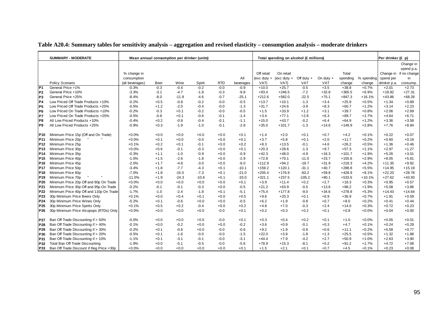|                 | <b>SUMMARY - MODERATE</b>                | Mean annual consumption per drinker (units) |        |         |         |            |           |            | Total spending on alcohol (£ millions) |              |             |          |            | Per drinker (£ p) |                        |
|-----------------|------------------------------------------|---------------------------------------------|--------|---------|---------|------------|-----------|------------|----------------------------------------|--------------|-------------|----------|------------|-------------------|------------------------|
|                 |                                          |                                             |        |         |         |            |           |            |                                        |              |             |          |            |                   | Change in              |
|                 |                                          |                                             |        |         |         |            |           |            |                                        |              |             |          |            |                   | spend p.a.             |
|                 |                                          | % change in                                 |        |         |         |            |           | Off retail | On retail                              |              |             | Total    |            |                   | Change in if no change |
|                 |                                          | consumption                                 |        |         |         |            | All       |            | (exc duty + (exc duty +                | Off duty $+$ | On duty $+$ | spending | % spending | spend per         | in                     |
|                 | Policy Scenario                          | (all beverages)                             | Beer   | Wine    | Spirit  | <b>RTD</b> | beverages | VAT)       | VAT)                                   | VAT          | <b>VAT</b>  | change   | change     | drinker p.a.      | consump.               |
| P <sub>1</sub>  | General Price +1%                        | $-0.3%$                                     | $-0.3$ | $-0.4$  | $-0.2$  | $-0.0$     | $-0.9$    | $+10.0$    | $+25.7$                                | $-0.5$       | $+3.5$      | $+38.8$  | $+0.7%$    | $+2.01$           | $+2.73$                |
| P <sub>2</sub>  | General Price +10%                       | $-3.3%$                                     | $-3.1$ | $-4.7$  | $-1.8$  | $-0.3$     | $-9.8$    | $+93.4$    | $+246.5$                               | $-7.2$       | $+32.8$     | $+365.5$ | $+6.9%$    | $+18.92$          | $+27.31$               |
| P <sub>3</sub>  | General Price +25%                       | $-8.4%$                                     | $-8.0$ | $-11.9$ | $-4.6$  | $-0.7$     | $-25.1$   | $+212.6$   | $+582.0$                               | $-22.5$      | $+75.1$     | $+847.3$ | $+16.1%$   | $+43.86$          | $+68.28$               |
| P <sub>4</sub>  | Low Priced Off Trade Products +10%       | $-0.2%$                                     | $+0.5$ | $-0.8$  | $-0.2$  | $-0.0$     | $-0.5$    | $+13.7$    | $+10.1$                                | $-1.3$       | $+3.4$      | $+25.9$  | $+0.5%$    | $+1.34$           | $+0.89$                |
| P <sub>5</sub>  | Low Priced Off Trade Products +25%       | $-0.5%$                                     | $+1.2$ | $-2.0$  | $-0.4$  | $-0.0$     | $-1.3$    | $+31.7$    | $+24.6$                                | $-3.9$       | $+8.3$      | $+60.7$  | $+1.2%$    | $+3.14$           | $+2.23$                |
| P <sub>6</sub>  | Low Priced On Trade Products +10%        | $-0.2%$                                     | $-0.3$ | $+0.1$  | $-0.2$  | $-0.0$     | $-0.5$    | $+1.5$     | $+33.9$                                | $+1.2$       | $+3.1$      | $+39.7$  | $+0.8%$    | $+2.06$           | $+2.69$                |
| P7              | Low Priced On Trade Products +25%        | $-0.5%$                                     | $-0.8$ | $+0.1$  | $-0.6$  | $-0.1$     | $-1.4$    | $+3.4$     | $+77.1$                                | $+2.8$       | $+6.3$      | $+89.7$  | $+1.7%$    | $+4.64$           | $+6.71$                |
| P8              | All Low Priced Products +10%             | $-0.4%$                                     | $+0.2$ | $-0.8$  | $-0.4$  | $-0.1$     | $-1.1$    | $+15.0$    | $+43.7$                                | $-0.2$       | $+6.4$      | $+64.9$  | $+1.2%$    | $+3.36$           | $+3.58$                |
| P <sub>9</sub>  | All Low Priced Products +25%             | $-0.9%$                                     | $+0.3$ | $-1.9$  | $-1.0$  | $-0.1$     | $-2.8$    | $+35.0$    | $+101.7$                               | $-1.3$       | $+14.6$     | $+149.9$ | $+2.8%$    | $+7.76$           | $+8.94$                |
| P10             | Minimum Price 15p (Off and On Trade)     | $+0.0%$                                     | $+0.0$ | $+0.0$  | $+0.0$  | $+0.0$     | $+0.1$    | $+1.4$     | $+2.0$                                 | $+0.1$       | $+0.7$      | $+4.2$   | $+0.1%$    | $+0.22$           | $+0.07$                |
| P11             | Minimum Price 20p                        | $+0.0%$                                     | $+0.1$ | $+0.0$  | $-0.0$  | $+0.0$     | $+0.1$    | $+3.7$     | $+5.8$                                 | $+0.1$       | $+2.0$      | $+11.7$  | $+0.2%$    | $+0.60$           | $+0.19$                |
| P <sub>12</sub> | Minimum Price 25p                        | $+0.1%$                                     | $+0.2$ | $+0.1$  | $-0.1$  | $+0.0$     | $+0.2$    | $+8.3$     | $+13.5$                                | $-0.1$       | $+4.6$      | $+26.2$  | $+0.5%$    | $+1.36$           | $+0.46$                |
| P <sub>13</sub> | Minimum Price 30p                        | $+0.0%$                                     | $+0.6$ | $-0.1$  | $-0.3$  | $+0.0$     | $+0.1$    | $+20.3$    | $+28.6$                                | $-1.3$       | $+9.7$      | $+57.3$  | $+1.1%$    | $+2.97$           | $+1.27$                |
| P <sub>14</sub> | Minimum Price 35p                        | $-0.3%$                                     | $+1.1$ | $-1.0$  | $-0.9$  | $+0.0$     | $-0.9$    | $+42.3$    | $+48.0$                                | $-4.9$       | $+16.3$     | $+101.7$ | $+1.9%$    | $+5.26$           | $+3.01$                |
| P <sub>15</sub> | Minimum Price 40p                        | $-1.0%$                                     | $+1.5$ | $-2.6$  | $-1.8$  | $+0.0$     | $-2.9$    | $+72.8$    | $+70.1$                                | $-11.0$      | $+23.7$     | $+155.6$ | $+2.9%$    | $+8.05$           | $+5.81$                |
| P16             | Minimum Price 45p                        | $-2.0%$                                     | $+1.7$ | $-4.8$  | $-3.0$  | $+0.0$     | $-6.0$    | $+112.9$   | $+94.2$                                | $-19.7$      | $+31.9$     | $+219.3$ | $+4.2%$    | $+11.35$          | $+9.92$                |
| <b>P17</b>      | Minimum Price 50p                        | $-3.4%$                                     | $+1.8$ | $-7.7$  | $-4.3$  | $+0.1$     | $-10.1$   | $+159.2$   | $+120.1$                               | $-31.1$      | $+40.7$     | $+288.8$ | $+5.5%$    | $+14.95$          | $+15.19$               |
| P <sub>18</sub> | Minimum Price 60p                        | $-7.0%$                                     | $+1.8$ | $-15.5$ | $-7.3$  | $+0.1$     | $-21.0$   | $+255.4$   | $+176.9$                               | $-63.2$      | $+59.8$     | $+428.9$ | $+8.1%$    | $+22.20$          | $+28.78$               |
| P <sub>19</sub> | Minimum Price 70p                        | $-11.0%$                                    | $+1.9$ | $-24.3$ | $-10.6$ | $+0.1$     | $-33.0$   | $+321.1$   | $+237.5$                               | $-105.2$     | $+80.1$     | $+533.6$ | $+10.1%$   | $+27.62$          | $+43.93$               |
| P20             | Minimum Price 20p Off and 80p On Trade   | $+0.0%$                                     | $+0.0$ | $+0.0$  | $+0.0$  | $+0.0$     | $+0.1$    | $+3.9$     | $+11.4$                                | $+0.2$       | $+2.7$      | $+18.3$  | $+0.3%$    | $+0.95$           | $+0.57$                |
| P21             | Minimum Price 30p Off and 95p On Trade   | $-0.2%$                                     | $-0.1$ | $-0.1$  | $-0.3$  | $+0.0$     | $-0.5$    | $+21.2$    | $+63.9$                                | $-0.5$       | $+13.6$     | $+98.2$  | $+1.9%$    | $+5.08$           | $+3.86$                |
| P22             | Minimum Price 40p Off and 110p On Trade  | $-1.7%$                                     | $-1.0$ | $-2.4$  | $-1.8$  | $+0.1$     | $-5.1$    | $+75.4$    | $+177.8$                               | $-9.0$       | $+34.6$     | $+278.8$ | $+5.3%$    | $+14.43$          | $+14.64$               |
| P23             | 30p Minimum Price Beers Only             | $+0.1%$                                     | $+0.0$ | $+0.4$  | $+0.1$  | $+0.0$     | $+0.5$    | $+9.6$     | $+20.3$                                | $+0.1$       | $+6.9$      | $+36.9$  | $+0.7%$    | $+1.91$           | $+0.59$                |
| P <sub>24</sub> | 30p Minimum Price Wines Only             | $-0.2%$                                     | $+0.1$ | $-0.6$  | $+0.0$  | $+0.0$     | $-0.5$    | $+6.2$     | $+1.9$                                 | $-0.8$       | $+0.7$      | $+8.0$   | $+0.2%$    | $+0.41$           | $+0.44$                |
| P <sub>25</sub> | 30p Minimum Price Spirits Only           | $+0.1%$                                     | $+0.5$ | $+0.2$  | $-0.4$  | $+0.0$     | $+0.2$    | $+4.8$     | $+7.0$                                 | $-0.3$       | $+2.4$      | $+14.0$  | $+0.3%$    | $+0.72$           | $+0.23$                |
| P <sub>26</sub> | 30p Minimum Price Alcopops (RTDs) Only   | $+0.0%$                                     | $+0.0$ | $+0.0$  | $+0.0$  | $-0.0$     | $+0.1$    | $+0.2$     | $+0.3$                                 | $+0.2$       | $+0.1$      | $+0.8$   | $+0.0%$    | $+0.04$           | $+0.00$                |
| P27             | Ban Off Trade Discounting if > 50%       | $-0.0%$                                     | $+0.0$ | $+0.0$  | $+0.0$  | $-0.0$     | $+0.1$    | $+0.3$     | $+0.4$                                 | $+0.2$       | $+0.1$      | $+1.0$   | $+0.0%$    | $+0.05$           | $+0.01$                |
| P28             | Ban Off Trade Discounting if > 40%       | $-0.1%$                                     | $+0.0$ | $-0.2$  | $+0.0$  | $+0.0$     | $-0.2$    | $+3.6$     | $+0.9$                                 | $-0.1$       | $+0.3$      | $+4.7$   | $+0.1%$    | $+0.24$           | $+0.29$                |
| P29             | Ban Off Trade Discounting if > 30%       | $-0.2%$                                     | $+0.1$ | $-0.6$  | $+0.0$  | $-0.0$     | $-0.6$    | $+9.2$     | $+1.9$                                 | $-0.6$       | $+0.6$      | $+11.1$  | $+0.2%$    | $+0.58$           | $+0.77$                |
| P30             | Ban Off Trade Discounting if > 20%       | $-0.5%$                                     | $+0.1$ | $-1.6$  | $-0.0$  | $-0.0$     | $-1.5$    | $+22.0$    | $+3.9$                                 | $-1.8$       | $+1.3$      | $+25.5$  | $+0.5%$    | $+1.32$           | $+1.88$                |
| P31             | Ban Off Trade Discounting if > 10%       | $-1.1%$                                     | $+0.1$ | $-3.1$  | $-0.1$  | $-0.0$     | $-3.1$    | $+44.4$    | $+7.9$                                 | $-4.2$       | $+2.7$      | $+50.9$  | $+1.0%$    | $+2.63$           | $+3.90$                |
| P32             | Total Ban Off Trade Discounting          | $-1.9%$                                     | $+0.0$ | $-5.1$  | $-0.5$  | $-0.0$     | $-5.6$    | $+78.9$    | $+15.3$                                | $-8.1$       | $+5.2$      | $+91.2$  | $+1.7%$    | $+4.72$           | $+7.08$                |
| P33             | Ban Off Trade Discount if Reg Price <30p | $+0.0%$                                     | $+0.0$ | $+0.0$  | $+0.0$  | $+0.0$     | $+0.1$    | $+1.5$     | $+2.1$                                 | $+0.1$       | $+0.7$      | $+4.5$   | $+0.1%$    | $+0.23$           | $+0.08$                |

#### **Table A20.4: Summary tables for sensitivity analysis – aggregation and revised elasticity – consumption analysis – moderate drinkers**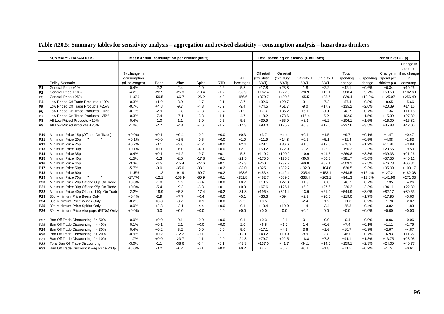|                 | <b>SUMMARY - HAZARDOUS</b>               | Mean annual consumption per drinker (units) |             |          |         |            |           |                 | Total spending on alcohol (£ millions) |              |             |          |            | Per drinker $(E, p)$ |                        |
|-----------------|------------------------------------------|---------------------------------------------|-------------|----------|---------|------------|-----------|-----------------|----------------------------------------|--------------|-------------|----------|------------|----------------------|------------------------|
|                 |                                          |                                             |             |          |         |            |           |                 |                                        |              |             |          |            |                      | Change in              |
|                 |                                          |                                             |             |          |         |            |           |                 |                                        |              |             |          |            |                      | spend p.a.             |
|                 |                                          | % change in                                 |             |          |         |            |           | Off retail      | On retail                              |              |             | Total    |            |                      | Change in if no change |
|                 |                                          | consumption                                 |             |          |         |            | All       | $(exc$ duty $+$ | $(exc$ duty $+$                        | Off duty $+$ | On duty $+$ | spending | % spending | spend per            | in                     |
|                 | Policy Scenario                          | (all beverages)                             | <b>Beer</b> | Wine     | Spirit  | <b>RTD</b> | beverages | VAT)            | VAT)                                   | <b>VAT</b>   | <b>VAT</b>  | change   | change     | drinker p.a.         | consump.               |
| P <sub>1</sub>  | General Price +1%                        | $-0.4%$                                     | $-2.2$      | $-2.4$   | $-1.0$  | $-0.2$     | $-5.8$    | $+17.8$         | $+23.8$                                | $-1.8$       | $+2.2$      | $+42.1$  | $+0.6%$    | $+6.34$              | $+10.26$               |
| P <sub>2</sub>  | General Price +10%                       | $-4.2%$                                     | $-22.5$     | $-25.3$  | $-10.4$ | $-1.7$     | $-59.9$   | $+167.4$        | $+222.8$                               | $-20.9$      | $+19.1$     | $+388.4$ | $+5.7%$    | $+58.58$             | $+102.60$              |
| P3              | General Price +25%                       | $-11.0%$                                    | $-59.5$     | $-66.7$  | $-26.2$ | $-4.2$     | $-156.6$  | $+370.7$        | $+490.5$                               | $-65.5$      | $+33.7$     | $+829.4$ | $+12.2%$   | $+125.07$            | $+256.49$              |
| P4              | Low Priced Off Trade Products +10%       | $-0.3%$                                     | $+1.9$      | $-3.9$   | $-1.7$  | $-0.1$     | $-3.7$    | $+32.6$         | $+20.7$                                | $-3.1$       | $+7.2$      | $+57.4$  | $+0.8%$    | $+8.65$              | $+5.66$                |
| P <sub>5</sub>  | Low Priced Off Trade Products +25%       | $-0.7%$                                     | $+4.8$      | $-9.7$   | $-4.3$  | $-0.2$     | $-9.4$    | $+74.5$         | $+51.7$                                | $-9.0$       | $+17.9$     | $+135.2$ | $+2.0%$    | $+20.39$             | $+14.16$               |
| P <sub>6</sub>  | Low Priced On Trade Products +10%        | $-0.1%$                                     | $-2.9$      | $+2.8$   | $-1.3$  | $-0.4$     | $-1.9$    | $+7.3$          | $+36.2$                                | $+6.1$       | $-0.9$      | $+48.7$  | $+0.7%$    | $+7.34$              | $+11.15$               |
| P7              | Low Priced On Trade Products +25%        | $-0.3%$                                     | $-7.4$      | $+7.1$   | $-3.3$  | $-1.1$     | $-4.7$    | $+18.2$         | $+73.6$                                | $+15.4$      | $-5.2$      | $+102.0$ | $+1.5%$    | $+15.39$             | $+27.89$               |
| P8              | All Low Priced Products +10%             | $-0.4%$                                     | $-1.0$      | $-1.1$   | $-3.0$  | $-0.5$     | $-5.6$    | $+39.9$         | $+56.9$                                | $+3.1$       | $+6.2$      | $+106.1$ | $+1.6%$    | $+16.00$             | $+16.82$               |
| P9              | All Low Priced Products +25%             | $-1.0%$                                     | $-2.7$      | $-2.8$   | $-7.6$  | $-1.2$     | $-14.3$   | $+93.0$         | $+125.7$                               | $+6.3$       | $+12.6$     | $+237.6$ | $+3.5%$    | $+35.83$             | $+42.05$               |
|                 |                                          |                                             |             |          |         |            |           |                 |                                        |              |             |          |            |                      |                        |
| P10             | Minimum Price 15p (Off and On Trade)     | $+0.0%$                                     | $+0.1$      | $+0.4$   | $-0.2$  | $+0.0$     | $+0.3$    | $+3.7$          | $+4.4$                                 | $+0.1$       | $+1.5$      | $+9.7$   | $+0.1%$    | $+1.47$              | $+0.47$                |
| P11             | Minimum Price 20p                        | $+0.1%$                                     | $+0.0$      | $+1.5$   | $-0.5$  | $+0.0$     | $+1.0$    | $+11.9$         | $+14.8$                                | $+0.6$       | $+5.1$      | $+32.4$  | $+0.5%$    | $+4.88$              | $+1.53$                |
| P12             | Minimum Price 25p                        | $+0.2%$                                     | $-0.1$      | $+3.6$   | $-1.2$  | $+0.0$     | $+2.4$    | $+28.1$         | $+36.6$                                | $+1.0$       | $+12.6$     | $+78.3$  | $+1.2%$    | $+11.81$             | $+3.88$                |
| P <sub>13</sub> | Minimum Price 30p                        | $+0.1%$                                     | $+0.1$      | $+6.0$   | $-4.0$  | $+0.0$     | $+2.1$    | $+59.2$         | $+72.9$                                | $-1.2$       | $+25.2$     | $+156.2$ | $+2.3%$    | $+23.55$             | $+9.50$                |
| <b>P14</b>      | Minimum Price 35p                        | $-0.4%$                                     | $+0.1$      | $+4.2$   | $-9.7$  | $+0.1$     | $-5.3$    | $+110.2$        | $+120.0$                               | $-10.9$      | $+41.5$     | $+260.8$ | $+3.8%$    | $+39.33$             | $+21.26$               |
| P15             | Minimum Price 40p                        | $-1.5%$                                     | $-1.3$      | $-2.5$   | $-17.8$ | $+0.1$     | $-21.5$   | $+175.5$        | $+175.8$                               | $-30.5$      | $+60.8$     | $+381.7$ | $+5.6%$    | $+57.56$             | $+40.11$               |
| P <sub>16</sub> | Minimum Price 45p                        | $-3.3%$                                     | $-4.5$      | $-15.4$  | $-27.6$ | $+0.1$     | $-47.3$   | $+250.7$        | $+237.2$                               | $-60.8$      | $+82.1$     | $+509.1$ | $+7.5%$    | $+76.78$             | $+66.84$               |
| <b>P17</b>      | Minimum Price 50p                        | $-5.7%$                                     | $-9.0$      | $-35.0$  | $-38.1$ | $+0.2$     | $-82.0$   | $+325.1$        | $+302.7$                               | $-102.0$     | $+104.8$    | $+630.5$ | $+9.3%$    | $+95.09$             | $+100.17$              |
| P <sub>18</sub> | Minimum Price 60p                        | $-11.5%$                                    | $-11.2$     | $-91.9$  | $-60.7$ | $+0.2$     | $-163.6$  | $+453.4$        | $+442.4$                               | $-205.4$     | $+153.1$    | $+843.5$ | $+12.4%$   | $+127.21$            | $+182.08$              |
| P <sub>19</sub> | Minimum Price 70p                        | $-17.7%$                                    | $-12.1$     | $-158.9$ | $-80.9$ | $+0.1$     | $-251.8$  | $+482.7$        | $+589.0$                               | $-333.4$     | $+203.1$    | $+941.3$ | $+13.8%$   | $+141.96$            | $+271.03$              |
| P <sub>20</sub> | Minimum Price 20p Off and 80p On Trade   | $+0.0%$                                     | $-1.0$      | $+2.2$   | $-0.4$  | $+0.0$     | $+0.7$    | $+13.5$         | $+27.3$                                | $+1.9$       | $+6.0$      | $+48.7$  | $+0.7%$    | $+7.35$              | $+4.26$                |
| P21             | Minimum Price 30p Off and 95p On Trade   | $+0.0%$                                     | $-5.4$      | $+9.3$   | $-3.8$  | $+0.1$     | $+0.3$    | $+67.6$         | $+125.1$                               | $+5.8$       | $+27.6$     | $+226.2$ | $+3.3%$    | $+34.11$             | $+22.89$               |
| P22             | Minimum Price 40p Off and 110p On Trade  | $-2.2%$                                     | $-19.9$     | $+5.3$   | $-17.4$ | $+0.2$     | $-31.8$   | $+196.4$        | $+301.4$                               | $-13.9$      | $+61.0$     | $+544.9$ | $+8.0%$    | $+82.17$             | $+80.53$               |
| P <sub>23</sub> | 30p Minimum Price Beers Only             | $+0.4%$                                     | $-2.9$      | $+7.7$   | $+0.4$  | $+0.0$     | $+5.1$    | $+36.3$         | $+59.4$                                | $+2.7$       | $+20.6$     | $+119.0$ | $+1.7%$    | $+17.95$             | $+5.60$                |
| P24             | 30p Minimum Price Wines Only             | $-0.2%$                                     | $+0.8$      | $-3.7$   | $+0.1$  | $+0.0$     | $-2.9$    | $+9.5$          | $+3.5$                                 | $-2.4$       | $+1.2$      | $+11.8$  | $+0.2%$    | $+1.78$              | $+2.07$                |
| P <sub>25</sub> | 30p Minimum Price Spirits Only           | $-0.0%$                                     | $+2.3$      | $+2.1$   | $-4.4$  | $+0.0$     | $-0.1$    | $+13.4$         | $+10.0$                                | $-1.4$       | $+3.4$      | $+25.3$  | $+0.4%$    | $+3.82$              | $+1.83$                |
| P26             | 30p Minimum Price Alcopops (RTDs) Only   | $+0.0%$                                     | $-0.0$      | $+0.0$   | $+0.0$  | $-0.0$     | $+0.0$    | $+0.0$          | $-0.0$                                 | $+0.0$       | $-0.0$      | $+0.0$   | $+0.0%$    | $+0.00$              | $+0.00$                |
|                 |                                          |                                             |             |          |         |            |           |                 |                                        |              |             |          |            |                      |                        |
| <b>P27</b>      | Ban Off Trade Discounting if > 50%       | $-0.0%$                                     | $+0.0$      | $-0.1$   | $-0.0$  | $+0.0$     | $-0.1$    | $+0.3$          | $+0.1$                                 | $-0.1$       | $+0.0$      | $+0.4$   | $+0.0%$    | $+0.06$              | $+0.06$                |
| P28             | Ban Off Trade Discounting if > 40%       | $-0.1%$                                     | $+0.1$      | $-2.1$   | $+0.0$  | $+0.0$     | $-2.0$    | $+6.5$          | $+1.7$                                 | $-1.4$       | $+0.6$      | $+7.4$   | $+0.1%$    | $+1.11$              | $+1.79$                |
| P29             | Ban Off Trade Discounting if > 30%       | $-0.4%$                                     | $+0.2$      | $-5.2$   | $-0.0$  | $-0.0$     | $-5.0$    | $+17.1$         | $+4.6$                                 | $-3.6$       | $+1.6$      | $+19.7$  | $+0.3%$    | $+2.97$              | $+4.67$                |
| P30             | Ban Off Trade Discounting if > 20%       | $-0.9%$                                     | $+0.2$      | $-12.2$  | $-0.1$  | $-0.0$     | $-12.1$   | $+40.2$         | $+10.9$                                | $-8.9$       | $+3.8$      | $+46.0$  | $+0.7%$    | $+6.93$              | $+11.27$               |
| P31             | Ban Off Trade Discounting if > 10%       | $-1.7%$                                     | $+0.0$      | $-23.7$  | $-1.1$  | $-0.0$     | $-24.8$   | $+79.7$         | $+22.5$                                | $-18.8$      | $+7.8$      | $+91.1$  | $+1.3%$    | $+13.75$             | $+23.05$               |
| <b>P32</b>      | Total Ban Off Trade Discounting          | $-3.0%$                                     | $-1.1$      | $-38.6$  | $-3.4$  | $-0.1$     | $-43.3$   | $+137.0$        | $+41.7$                                | $-34.1$      | $+14.5$     | $+159.1$ | $+2.3%$    | $+24.00$             | $+40.77$               |
| P33             | Ban Off Trade Discount if Reg Price <30p | $+0.0%$                                     | $-0.2$      | $+0.4$   | $-0.1$  | $+0.0$     | $+0.2$    | $+4.4$          | $+5.2$                                 | $+0.1$       | $+1.8$      | $+11.5$  | $+0.2%$    | $+1.74$              | $+0.61$                |

### **Table A20.5: Summary tables for sensitivity analysis – aggregation and revised elasticity – consumption analysis – hazardous drinkers**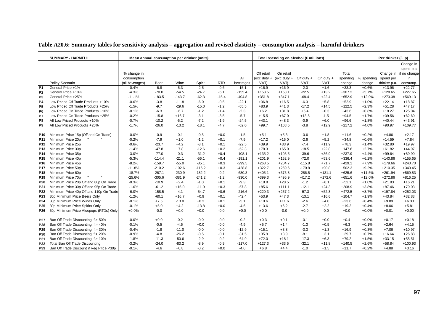|                 | <b>SUMMARY - HARMFUL</b>                 | Mean annual consumption per drinker (units) |             |          |          |            |           |            | Total spending on alcohol (£ millions) |              |             |          |            | Per drinker (£ p) |                        |
|-----------------|------------------------------------------|---------------------------------------------|-------------|----------|----------|------------|-----------|------------|----------------------------------------|--------------|-------------|----------|------------|-------------------|------------------------|
|                 |                                          |                                             |             |          |          |            |           |            |                                        |              |             |          |            |                   | Change in              |
|                 |                                          |                                             |             |          |          |            |           |            |                                        |              |             |          |            |                   | spend p.a.             |
|                 |                                          | % change in                                 |             |          |          |            |           | Off retail | On retail                              |              |             | Total    |            |                   | Change in if no change |
|                 |                                          | consumption                                 |             |          |          |            | All       |            | (exc duty + (exc duty +                | Off duty $+$ | On duty $+$ | spending | % spending | spend per         | in                     |
|                 | Policy Scenario                          | (all beverages)                             | <b>Beer</b> | Wine     | Spirit   | <b>RTD</b> | beverages | VAT)       | VAT)                                   | VAT          | <b>VAT</b>  | change   | change     | drinker p.a.      | consump.               |
| P <sub>1</sub>  | General Price +1%                        | $-0.4%$                                     | $-6.8$      | $-5.3$   | $-2.5$   | $-0.6$     | $-15.1$   | $+16.9$    | $+16.9$                                | $-2.0$       | $+1.6$      | $+33.3$  | $+0.6%$    | $+13.96$          | $+22.77$               |
| P <sub>2</sub>  | General Price +10%                       | $-4.3%$                                     | $-70.0$     | $-54.5$  | $-24.7$  | $-6.1$     | $-155.4$  | $+158.5$   | $+158.1$                               | $-22.5$      | $+13.2$     | $+307.2$ | $+5.7%$    | $+128.65$         | $+227.65$              |
| P <sub>3</sub>  | General Price +25%                       | $-11.1%$                                    | $-183.5$    | $-143.7$ | $-62.3$  | $-15.4$    | $-404.8$  | $+351.8$   | $+347.1$                               | $-68.4$      | $+22.4$     | $+652.9$ | $+12.0%$   | $+273.38$         | $+569.13$              |
| <b>P4</b>       | Low Priced Off Trade Products +10%       | $-0.6%$                                     | $-3.8$      | $-11.8$  | $-6.0$   | $-0.5$     | $-22.1$   | $+36.8$    | $+16.5$                                | $-6.3$       | $+5.8$      | $+52.9$  | $+1.0%$    | $+22.14$          | $+18.87$               |
| P <sub>5</sub>  | Low Priced Off Trade Products +25%       | $-1.5%$                                     | $-9.7$      | $-29.6$  | $-15.0$  | $-1.2$     | $-55.5$   | $+83.9$    | $+41.3$                                | $-17.2$      | $+14.5$     | $+122.5$ | $+2.3%$    | $+51.28$          | $+47.17$               |
| P <sub>6</sub>  | Low Priced On Trade Products +10%        | $-0.1%$                                     | $-6.3$      | $+6.7$   | $-1.2$   | $-1.4$     | $-2.3$    | $+6.2$     | $+31.8$                                | $+5.4$       | $+0.3$      | $+43.6$  | $+0.8%$    | $+18.27$          | $+25.04$               |
| P7              | Low Priced On Trade Products +25%        | $-0.2%$                                     | $-15.8$     | $+16.7$  | $-3.1$   | $-3.5$     | $-5.7$    | $+15.5$    | $+67.0$                                | $+13.5$      | $-1.5$      | $+94.5$  | $+1.7%$    | $+39.56$          | $+62.60$               |
| P8              | All Low Priced Products +10%             | $-0.7%$                                     | $-10.2$     | $-5.2$   | $-7.2$   | $-1.9$     | $-24.5$   | $+43.1$    | $+48.3$                                | $-0.9$       | $+6.0$      | $+96.6$  | $+1.8%$    | $+40.44$          | $+43.91$               |
| P <sub>9</sub>  | All Low Priced Products +25%             | $-1.7%$                                     | $-26.0$     | $-13.2$  | $-18.1$  | $-4.7$     | $-62.0$   | $+99.7$    | $+108.5$                               | $-3.8$       | $+12.9$     | $+217.2$ | $+4.0%$    | $+90.97$          | $+109.77$              |
| P10             | Minimum Price 15p (Off and On Trade)     | $-0.0%$                                     | $-0.9$      | $-0.1$   | $-0.5$   | $+0.0$     | $-1.5$    | $+5.1$     | $+5.3$                                 | $-0.6$       | $+1.8$      | $+11.6$  | $+0.2%$    | $+4.86$           | $+2.17$                |
| P11             | Minimum Price 20p                        | $-0.2%$                                     | $-7.9$      | $+1.0$   | $-1.2$   | $+0.1$     | $-7.9$    | $+17.2$    | $+15.0$                                | $-2.6$       | $+5.2$      | $+34.8$  | $+0.6%$    | $+14.59$          | $+7.84$                |
| P <sub>12</sub> | Minimum Price 25p                        | $-0.6%$                                     | $-23.7$     | $+4.2$   | $-3.1$   | $+0.1$     | $-22.5$   | $+39.9$    | $+33.9$                                | $-7.4$       | $+11.9$     | $+78.3$  | $+1.4%$    | $+32.80$          | $+19.97$               |
| P <sub>13</sub> | Minimum Price 30p                        | $-1.4%$                                     | $-47.8$     | $+7.8$   | $-12.6$  | $+0.2$     | $-52.3$   | $+78.3$    | $+65.0$                                | $-18.5$      | $+22.8$     | $+147.6$ | $+2.7%$    | $+61.82$          | $+44.97$               |
| P <sub>14</sub> | Minimum Price 35p                        | $-3.0%$                                     | $-77.0$     | $-0.3$   | $-31.2$  | $+0.4$     | $-108.1$  | $+135.2$   | $+105.5$                               | $-39.6$      | $+36.9$     | $+237.9$ | $+4.4%$    | $+99.64$          | $+89.90$               |
| P <sub>15</sub> | Minimum Price 40p                        | $-5.3%$                                     | $-114.4$    | $-21.1$  | $-56.1$  | $+0.4$     | $-191.1$  | $+201.9$   | $+152.9$                               | $-72.0$      | $+53.6$     | $+336.4$ | $+6.2%$    | $+140.86$         | $+155.65$              |
| P16             | Minimum Price 45p                        | $-8.2%$                                     | $-159.7$    | $-55.0$  | $-85.1$  | $+0.3$     | $-299.5$  | $+268.5$   | $+204.7$                               | $-115.8$     | $+71.7$     | $+429.1$ | $+7.9%$    | $+179.66$         | $+240.70$              |
| <b>P17</b>      | Minimum Price 50p                        | $-11.8%$                                    | $-210.2$    | $-102.6$ | $-116.2$ | $+0.3$     | $-428.8$  | $+322.7$   | $+259.6$                               | $-170.8$     | $+90.8$     | $+502.3$ | $+9.2%$    | $+210.35$         | $+340.45$              |
| P <sub>18</sub> | Minimum Price 60p                        | $-18.7%$                                    | $-267.1$    | $-230.9$ | $-182.2$ | $-0.2$     | $-680.3$  | $+405.1$   | $+375.8$                               | $-286.5$     | $+131.1$    | $+625.6$ | $+11.5%$   | $+261.94$         | $+569.83$              |
| P <sub>19</sub> | Minimum Price 70p                        | $-25.6%$                                    | $-305.6$    | $-381.9$ | $-241.2$ | $-1.2$     | $-930.0$  | $+399.3$   | $+496.9$                               | $-417.2$     | $+172.6$    | $+651.6$ | $+12.0%$   | $+272.86$         | $+816.25$              |
| P20             | Minimum Price 20p Off and 80p On Trade   | $-0.3%$                                     | $-10.9$     | $+2.4$   | $-1.0$   | $+0.1$     | $-9.3$    | $+18.8$    | $+28.5$                                | $-1.2$       | $+6.1$      | $+52.1$  | $+1.0%$    | $+21.83$          | $+16.21$               |
| P21             | Minimum Price 30p Off and 95p On Trade   | $-1.6%$                                     | $-61.2$     | $+15.0$  | $-11.9$  | $+0.3$     | $-57.8$   | $+85.6$    | $+111.1$                               | $-12.1$      | $+24.3$     | $+208.9$ | $+3.8%$    | $+87.46$          | $+79.03$               |
| P22             | Minimum Price 40p Off and 110p On Trade  | $-6.0%$                                     | $-158.5$    | $-4.1$   | $-54.7$  | $+0.6$     | $-216.6$  | $+220.3$   | $+257.2$                               | $-57.3$      | $+52.3$     | $+472.5$ | $+8.7%$    | $+197.84$         | $+252.03$              |
| P23             | 30p Minimum Price Beers Only             | $-1.2%$                                     | $-60.1$     | $+16.7$  | $+0.9$   | $+0.1$     | $-42.4$   | $+53.9$    | $+47.3$                                | $-13.1$      | $+16.6$     | $+104.7$ | $+1.9%$    | $+43.84$          | $+32.83$               |
| P <sub>24</sub> | 30p Minimum Price Wines Only             | $-0.1%$                                     | $+7.5$      | $-13.0$  | $+0.3$   | $+0.1$     | $-5.1$    | $+10.6$    | $+11.6$                                | $-2.6$       | $+4.0$      | $+23.6$  | $+0.4%$    | $+9.89$           | $+6.33$                |
| P <sub>25</sub> | 30p Minimum Price Spirits Only           | $-0.1%$                                     | $+5.0$      | $+4.2$   | $-13.8$  | $+0.0$     | $-4.6$    | $+13.6$    | $+6.2$                                 | $-2.7$       | $+2.2$      | $+19.2$  | $+0.4%$    | $+8.06$           | $+5.81$                |
| P <sub>26</sub> | 30p Minimum Price Alcopops (RTDs) Only   | $+0.0%$                                     | $-0.0$      | $+0.0$   | $+0.0$   | $-0.0$     | $+0.0$    | $+0.0$     | $-0.0$                                 | $+0.0$       | $-0.0$      | $+0.0$   | $+0.0%$    | $+0.01$           | $+0.00$                |
| <b>P27</b>      | Ban Off Trade Discounting if > 50%       | $-0.0%$                                     | $+0.0$      | $-0.2$   | $-0.0$   | $-0.0$     | $-0.2$    | $+0.3$     | $+0.1$                                 | $-0.1$       | $+0.0$      | $+0.4$   | $+0.0%$    | $+0.17$           | $+0.18$                |
| P28             | Ban Off Trade Discounting if > 40%       | $-0.1%$                                     | $-0.5$      | $-4.5$   | $+0.0$   | $-0.0$     | $-4.9$    | $+5.7$     | $+1.4$                                 | $-1.3$       | $+0.5$      | $+6.3$   | $+0.1%$    | $+2.64$           | $+4.15$                |
| P29             | Ban Off Trade Discounting if > 30%       | $-0.4%$                                     | $-1.8$      | $-11.0$  | $-0.0$   | $-0.0$     | $-12.9$   | $+15.1$    | $+3.8$                                 | $-3.3$       | $+1.3$      | $+16.9$  | $+0.3%$    | $+7.06$           | $+10.97$               |
| P30             | Ban Off Trade Discounting if > 20%       | $-0.9%$                                     | $-4.8$      | $-26.2$  | $-0.5$   | $-0.1$     | $-31.5$   | $+35.9$    | $+8.9$                                 | $-8.1$       | $+3.1$      | $+39.7$  | $+0.7%$    | $+16.64$          | $+26.88$               |
| P31             | Ban Off Trade Discounting if > 10%       | $-1.8%$                                     | $-11.3$     | $-50.6$  | $-2.9$   | $-0.2$     | $-64.9$   | $+72.0$    | $+18.1$                                | $-17.3$      | $+6.3$      | $+79.2$  | $+1.5%$    | $+33.15$          | $+55.51$               |
| P32             | Total Ban Off Trade Discounting          | $-3.2%$                                     | $-24.0$     | $-83.2$  | $-8.9$   | $-0.9$     | $-117.0$  | $+127.3$   | $+33.5$                                | $-32.1$      | $+11.8$     | $+140.5$ | $+2.6%$    | $+58.84$          | $+100.93$              |
|                 |                                          |                                             |             |          |          |            |           |            |                                        |              |             |          |            |                   |                        |
| P33             | Ban Off Trade Discount if Reg Price <30p | $-0.1%$                                     | $-4.6$      | $+0.8$   | $-0.2$   | $+0.0$     | $-4.0$    | $+6.8$     | $+4.4$                                 | $-1.0$       | $+1.5$      | $+11.7$  | $+0.2%$    | $+4.88$           | $+3.16$                |

#### **Table A20.6: Summary tables for sensitivity analysis – aggregation and revised elasticity – consumption analysis – harmful drinkers**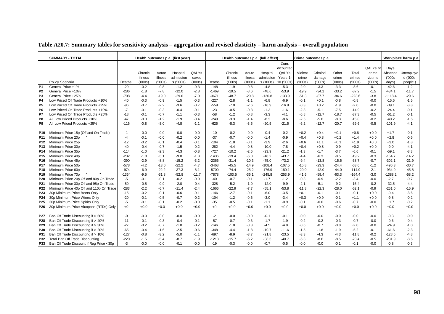|                 | <b>SUMMARY - TOTAL</b>                   |         |         |         | Health outcomes p.a. (first year) |        |         |          |         | Health outcomes p.a. (full effect) |            |         | Crime outcomes p.a. |         |          |          |           | Workplace harm p.a. |
|-----------------|------------------------------------------|---------|---------|---------|-----------------------------------|--------|---------|----------|---------|------------------------------------|------------|---------|---------------------|---------|----------|----------|-----------|---------------------|
|                 |                                          |         |         |         |                                   |        |         |          |         |                                    | Cum.       |         |                     |         |          |          |           |                     |
|                 |                                          |         |         |         |                                   |        |         |          |         |                                    | dicounted  |         |                     |         |          | QALYs of | Days      |                     |
|                 |                                          |         | Chronic | Acute   | Hospital                          | QALYs  |         | Chronic  | Acute   | Hospital                           | QALYs      | Violent | Criminal            | Other   | Total    | crime    | Absence   | Unemploye           |
|                 |                                          |         | illness | illness | admission                         | saved  |         | illness  | illness | admission                          | Years 1    | crime   | damage              | crime   | crimes   | victims  | (000s     | d ('000s            |
|                 | Policy Scenario                          | Deaths  | (000s)  | (000s)  | s ('000s)                         | (000s) | Deaths  | (000s)   | (000s)  | s ('000s)                          | 10 ('000s) | (000s)  | (000s)              | ('000s) | (000s)   | (000s)   | days)     | people)             |
| $\overline{P1}$ | General Price +1%                        | $-29$   | $-0.2$  | $-0.8$  | $-1.2$                            | $-0.3$ | $-148$  | $-1.9$   | $-0.8$  | $-4.8$                             | $-5.3$     | $-2.0$  | $-3.3$              | $-3.3$  | $-8.6$   | $-0.1$   | $-42.6$   | $-1.2$              |
| P <sub>2</sub>  | General Price +10%                       | $-286$  | $-1.8$  | $-7.8$  | $-12.0$                           | $-2.8$ | $-1469$ | $-19.5$  | $-8.6$  | $-48.6$                            | $-53.9$    | $-19.9$ | $-34.1$             | $-33.2$ | $-87.2$  | $-1.5$   | $-434.1$  | $-11.7$             |
| P <sub>3</sub>  | General Price +25%                       | $-708$  | $-4.4$  | $-19.0$ | $-29.6$                           | $-7.0$ | $-3671$ | $-48.7$  | $-20.8$ | $-120.8$                           | $-133.9$   | $-51.3$ | $-87.7$             | $-84.6$ | $-223.6$ | $-3.8$   | $-1118.4$ | $-29.6$             |
| <b>P4</b>       | Low Priced Off Trade Products +10%       | $-40$   | $-0.3$  | $-0.9$  | $-1.5$                            | $-0.3$ | $-227$  | $-2.8$   | $-1.1$  | $-6.8$                             | $-6.9$     | $-0.1$  | $+0.1$              | $-0.8$  | $-0.8$   | $-0.0$   | $-15.5$   | $-1.5$              |
| P <sub>5</sub>  | Low Priced Off Trade Products +25%       | $-96$   | $-0.7$  | $-2.2$  | $-3.6$                            | $-0.7$ | $-559$  | $-7.0$   | $-2.6$  | $-16.9$                            | $-16.9$    | $-0.3$  | $+0.2$              | $-1.9$  | $-2.0$   | $-0.0$   | $-39.1$   | $-3.8$              |
| P <sub>6</sub>  | Low Priced On Trade Products +10%        | $-7$    | $-0.1$  | $-0.3$  | $-0.4$                            | $-0.1$ | $-23$   | $-0.5$   | $-0.3$  | $-1.3$                             | $-1.6$     | $-2.3$  | $-5.1$              | $-7.5$  | $-14.9$  | $-0.2$   | $-24.4$   | $-0.1$              |
| P7              | Low Priced On Trade Products +25%        | $-18$   | $-0.1$  | $-0.7$  | $-1.1$                            | $-0.3$ | $-58$   | $-1.2$   | $-0.8$  | $-3.3$                             | $-4.1$     | $-5.8$  | $-12.7$             | $-18.7$ | $-37.3$  | $-0.5$   | $-61.2$   | $-0.1$              |
| P <sub>8</sub>  | All Low Priced Products +10%             | $-47$   | $-0.3$  | $-1.2$  | $-1.9$                            | $-0.4$ | $-249$  | $-3.3$   | $-1.4$  | $-8.2$                             | $-8.6$     | $-2.5$  | $-5.0$              | $-8.3$  | $-15.8$  | $-0.2$   | $-40.2$   | $-1.6$              |
| P9              | All Low Priced Products +25%             | $-116$  | $-0.8$  | $-3.0$  | $-4.8$                            | $-1.1$ | $-625$  | $-8.3$   | $-3.5$  | $-20.5$                            | $-21.5$    | $-6.2$  | $-12.7$             | $-20.7$ | $-39.6$  | $-0.5$   | $-101.9$  | $-4.1$              |
|                 |                                          |         |         |         |                                   |        |         |          |         |                                    |            |         |                     |         |          |          |           |                     |
| <b>P10</b>      | Minimum Price 15p (Off and On Trade)     | $-1$    | $-0.0$  | $-0.0$  | $-0.0$                            | $-0.0$ | $-10$   | $-0.2$   | $-0.0$  | $-0.4$                             | $-0.2$     | $+0.2$  | $+0.4$              | $+0.1$  | $+0.8$   | $+0.0$   | $+1.7$    | $-0.1$              |
| P11             | Minimum Price 20p                        | $-4$    | $-0.1$  | $-0.0$  | $-0.2$                            | $-0.0$ | $-37$   | $-0.7$   | $-0.0$  | $-1.4$                             | $-0.9$     | $+0.4$  | $+0.8$              | $+0.2$  | $+1.4$   | $+0.0$   | $+2.8$    | $-0.6$              |
| P <sub>12</sub> | Minimum Price 25p                        | $-12$   | $-0.2$  | $-0.1$  | $-0.4$                            | $-0.1$ | $-104$  | $-1.8$   | $-0.1$  | $-3.9$                             | $-2.6$     | $+0.6$  | $+1.1$              | $+0.1$  | $+1.9$   | $+0.0$   | $+3.0$    | $-1.8$              |
| P <sub>13</sub> | Minimum Price 30p                        | $-40$   | $-0.4$  | $-0.7$  | $-1.5$                            | $-0.2$ | $-282$  | $-4.4$   | $-0.8$  | $-10.0$                            | $-7.8$     | $+0.4$  | $+0.8$              | $-0.9$  | $+0.2$   | $+0.0$   | $-9.0$    | $-4.1$              |
| P <sub>14</sub> | Minimum Price 35p                        | $-114$  | $-1.0$  | $-2.3$  | $-4.3$                            | $-0.8$ | $-727$  | $-10.2$  | $-2.6$  | $-23.9$                            | $-21.2$    | $-1.3$  | $-1.7$              | $-3.7$  | $-6.6$   | $-0.1$   | $-59.1$   | $-8.3$              |
| P <sub>15</sub> | Minimum Price 40p                        | $-232$  | $-1.8$  | $-5.1$  | $-9.0$                            | $-1.8$ | $-1436$ | $-19.4$  | $-6.0$  | $-46.2$                            | $-43.7$    | $-4.4$  | $-6.3$              | $-8.5$  | $-19.2$  | $-0.3$   | $-154.7$  | $-14.2$             |
| P16             | Minimum Price 45p                        | $-390$  | $-2.9$  | $-8.8$  | $-15.2$                           | $-3.2$ | $-2366$ | $-31.4$  | $-10.3$ | $-75.0$                            | $-73.2$    | $-9.4$  | $-13.8$             | $-15.6$ | $-38.7$  | $-0.7$   | $-302.1$  | $-21.9$             |
| P <sub>17</sub> | Minimum Price 50p                        | $-578$  | $-4.2$  | $-13.0$ | $-22.2$                           | $-4.7$ | $-3463$ | $-45.5$  | $-14.9$ | $-108.4$                           | $-107.5$   | $-15.8$ | $-23.3$             | $-24.4$ | $-63.6$  | $-1.2$   | -496.3    | $-30.7$             |
| P18             | Minimum Price 60p                        | $-974$  | $-6.9$  | $-22.2$ | $-37.3$                           | $-8.1$ | $-5700$ | $-74.4$  | $-25.2$ | $-176.9$                           | $-180.1$   | $-29.0$ | $-42.0$             | $-44.0$ | $-114.9$ | $-2.1$   | $-934.0$  | $-45.8$             |
| P <sub>19</sub> | Minimum Price 70p                        | $-1364$ | $-9.5$  | $-31.8$ | $-52.8$                           | -11.7  | $-7878$ | $-103.5$ | $-36.1$ | $-245.8$                           | $-253.9$   | $-41.6$ | $-59.4$             | $-63.3$ | $-164.4$ | $-3.0$   | $-1388.2$ | $-58.2$             |
| P <sub>20</sub> | Minimum Price 20p Off and 80p On Trade   | -5      | $-0.1$  | $-0.1$  | $-0.2$                            | $-0.0$ | $-40$   | $-0.7$   | $-0.1$  | $-1.7$                             | $-1.2$     | $-0.3$  | $-0.9$              | $-2.2$  | $-3.4$   | $-0.0$   | $-2.7$    | $-0.7$              |
| P21             | Minimum Price 30p Off and 95p On Trade   | $-50$   | $-0.5$  | $-0.9$  | $-2.0$                            | $-0.4$ | $-328$  | $-5.2$   | $-1.0$  | $-12.0$                            | $-9.9$     | $-2.1$  | $-5.1$              | $-9.2$  | $-16.4$  | $-0.2$   | $-32.5$   | $-4.4$              |
| P22             | Minimum Price 40p Off and 110p On Trade  | $-283$  | $-2.2$  | $-6.7$  | $-11.4$                           | $-2.4$ | $-1666$ | $-22.9$  | $-7.7$  | $-55.1$                            | $-53.8$    | $-11.8$ | $-22.3$             | $-28.0$ | $-62.1$  | $-0.9$   | $-251.0$  | $-15.9$             |
| P <sub>23</sub> | 30p Minimum Price Beers Only             | $-15$   | $-0.2$  | $-0.1$  | $-0.6$                            | $-0.1$ | $-146$  | $-2.7$   | $-0.1$  | $-6.0$                             | $-3.5$     | $+0.1$  | $-0.1$              | $-0.1$  | $-0.1$   | $+0.0$   | $-0.4$    | $-3.6$              |
| P <sub>24</sub> | 30p Minimum Price Wines Only             | $-20$   | $-0.1$  | $-0.5$  | $-0.7$                            | $-0.2$ | $-104$  | $-1.2$   | $-0.6$  | $-3.0$                             | $-3.4$     | $+0.3$  | $+0.9$              | $-0.1$  | $+1.1$   | $+0.0$   | $-9.8$    | $-0.2$              |
| P <sub>25</sub> | 30p Minimum Price Spirits Only           | $-5$    | $-0.1$  | $-0.1$  | $-0.2$                            | $-0.0$ | $-35$   | $-0.5$   | $-0.1$  | $-1.1$                             | $-0.9$     | $-0.1$  | $-0.0$              | $-0.6$  | $-0.7$   | $-0.0$   | $+1.7$    | $-0.2$              |
| P26             | 30p Minimum Price Alcopops (RTDs) Only   | $+0$    | $+0.0$  | $+0.0$  | $+0.0$                            | $+0.0$ | $+0$    | $+0.0$   | $+0.0$  | $+0.0$                             | $+0.0$     | $+0.0$  | $+0.0$              | $+0.0$  | $+0.0$   | $+0.0$   | $+0.0$    | $+0.0$              |
|                 |                                          |         |         |         |                                   |        |         |          |         |                                    |            |         |                     |         |          |          |           |                     |
| P27             | Ban Off Trade Discounting if > 50%       | $-0$    | $-0.0$  | $-0.0$  | $-0.0$                            | $-0.0$ | $-2$    | $-0.0$   | $-0.0$  | $-0.1$                             | $-0.1$     | $-0.0$  | $-0.0$              | $-0.0$  | $-0.0$   | $-0.0$   | $-0.3$    | $-0.0$              |
| P <sub>28</sub> | Ban Off Trade Discounting if > 40%       | $-11$   | $-0.1$  | $-0.3$  | $-0.4$                            | $-0.1$ | $-57$   | $-0.7$   | $-0.3$  | $-1.7$                             | $-1.9$     | $-0.2$  | $-0.2$              | $-0.3$  | $-0.7$   | $-0.0$   | $-9.6$    | $-0.4$              |
| P29             | Ban Off Trade Discounting if > 30%       | $-27$   | $-0.2$  | $-0.7$  | $-1.0$                            | $-0.2$ | $-146$  | $-1.8$   | $-0.8$  | $-4.5$                             | $-4.8$     | $-0.6$  | $-0.7$              | $-0.8$  | $-2.0$   | $-0.0$   | $-24.9$   | $-1.0$              |
| P30             | Ban Off Trade Discounting if > 20%       | $-65$   | $-0.4$  | $-1.6$  | $-2.5$                            | $-0.6$ | $-348$  | $-4.4$   | $-1.8$  | $-10.7$                            | $-11.6$    | $-1.5$  | $-1.8$              | $-1.9$  | $-5.2$   | $-0.1$   | $-61.6$   | $-2.3$              |
| P31             | Ban Off Trade Discounting if > 10%       | $-127$  | $-0.8$  | $-3.2$  | $-5.0$                            | $-1.1$ | $-697$  | $-8.9$   | $-3.7$  | $-21.8$                            | $-23.5$    | $-3.3$  | -4.3                | $-4.3$  | $-11.8$  | $-0.2$   | $-128.5$  | $-4.8$              |
| P32             | Total Ban Off Trade Discounting          | $-220$  | $-1.5$  | $-5.4$  | $-8.7$                            | $-1.9$ | $-1218$ | $-15.7$  | $-6.2$  | $-38.3$                            | $-40.7$    | $-6.3$  | $-8.6$              | $-8.5$  | $-23.4$  | $-0.5$   | $-231.9$  | $-8.6$              |
| P33             | Ban Off Trade Discount if Reg Price <30p | $-3$    | $-0.0$  | $-0.0$  | $-0.1$                            | $-0.0$ | $-19$   | $-0.3$   | $-0.0$  | $-0.7$                             | $-0.5$     | $-0.0$  | $-0.0$              | $-0.1$  | $-0.1$   | $-0.0$   | $-0.8$    | $-0.3$              |

#### **Table A20.7: Summary tables for sensitivity analysis – aggregation and revised elasticity – harm analysis – overall population**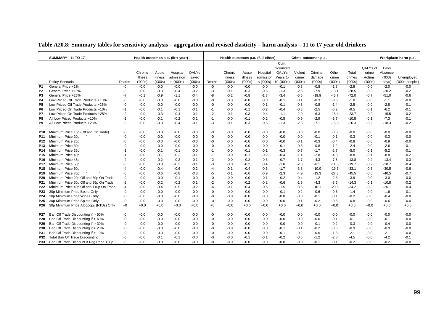|                 | <b>SUMMARY - 11 TO 17</b><br>Health outcomes p.a. (first year) |        |         |         |           |        |        | Health outcomes p.a. (full effect) |         |           |                   |         | Crime outcomes p.a. |         |         |          |         | Workplace harm p.a. |
|-----------------|----------------------------------------------------------------|--------|---------|---------|-----------|--------|--------|------------------------------------|---------|-----------|-------------------|---------|---------------------|---------|---------|----------|---------|---------------------|
|                 |                                                                |        |         |         |           |        |        |                                    |         |           | Cum.<br>dicounted |         |                     |         |         | QALYs of | Days    |                     |
|                 |                                                                |        | Chronic | Acute   | Hospital  | QALYs  |        | Chronic                            | Acute   | Hospital  | QALYs             | Violent | Criminal            | Other   | Total   | crime    | Absence |                     |
|                 |                                                                |        | illness | illness | admission | saved  |        | illness                            | illness | admission | Years 1           | crime   | damage              | crime   | crimes  | victims  | (000s   | Unemployed          |
|                 | Policy Scenario                                                | Deaths | (000s)  | (000s)  | s ('000s) | (000s) | Deaths | (000s)                             | (000s)  | s ('000s) | 10 ('000s)        | (000s)  | (000s)              | (000s)  | (000s)  | (000s)   | days)   | $(000s$ people)     |
| P <sub>1</sub>  | General Price +1%                                              | -0     | $-0.0$  | $-0.0$  | $-0.0$    | $-0.0$ | -0     | $-0.0$                             | $-0.0$  | $-0.0$    | $-0.1$            | $-0.3$  | $-0.8$              | $-1.8$  | $-2.8$  | $-0.0$   | $-2.0$  | $-0.0$              |
| P <sub>2</sub>  | General Price +10%                                             | -3     | $-0.0$  | $-0.3$  | $-0.4$    | $-0.2$ | $-3$   | $-0.1$                             | $-0.3$  | $-0.5$    | $-1.3$            | $-2.6$  | $-7.9$              | $-18.1$ | $-28.5$ | $-0.3$   | $-20.2$ | $-0.2$              |
| P <sub>3</sub>  | General Price +25%                                             | -7     | $-0.1$  | $-0.9$  | $-1.1$    | $-0.4$ | -8     | $-0.2$                             | $-0.8$  | $-1.3$    | $-3.4$            | $-6.5$  | $-19.9$             | $-45.7$ | $-72.0$ | $-0.7$   | $-51.0$ | $-0.6$              |
| P4              | Low Priced Off Trade Products +10%                             | -0     | $-0.0$  | $-0.0$  | $-0.0$    | $-0.0$ | -0     | $-0.0$                             | $-0.0$  | $-0.0$    | $-0.1$            | $-0.1$  | $-0.3$              | $-0.6$  | $-1.0$  | $-0.0$   | $-1.1$  | $-0.0$              |
| P <sub>5</sub>  | Low Priced Off Trade Products +25%                             | -0     | $-0.0$  | $-0.0$  | $-0.0$    | $-0.0$ | $-0$   | $-0.0$                             | $-0.0$  | $-0.1$    | $-0.1$            | $-0.3$  | $-0.8$              | $-1.4$  | $-2.5$  | $-0.0$   | $-2.8$  | $-0.1$              |
| IP <sub>6</sub> | Low Priced On Trade Products +10%                              | -1     | $-0.0$  | $-0.1$  | $-0.1$    | $-0.1$ | $-1$   | $-0.0$                             | $-0.1$  | $-0.2$    | $-0.4$            | $-0.8$  | $-2.5$              | $-6.2$  | $-9.5$  | $-0.1$   | $-6.2$  | $-0.1$              |
| P7              | Low Priced On Trade Products +25%                              | $-2$   | $-0.0$  | $-0.3$  | $-0.4$    | $-0.1$ | $-2$   | $-0.1$                             | $-0.3$  | $-0.4$    | $-1.1$            | $-2.0$  | $-6.3$              | $-15.4$ | $-23.7$ | $-0.2$   | $-15.5$ | $-0.2$              |
| IP8             | All Low Priced Products +10%                                   | -1     | $-0.0$  | $-0.1$  | $-0.2$    | $-0.1$ | $-1$   | $-0.0$                             | $-0.1$  | $-0.2$    | $-0.5$            | $-0.9$  | $-2.9$              | $-6.7$  | $-10.5$ | $-0.1$   | $-7.3$  | $-0.1$              |
| P <sub>9</sub>  | All Low Priced Products +25%                                   | -3     | $-0.0$  | $-0.3$  | $-0.4$    | $-0.1$ | -3     | $-0.1$                             | $-0.3$  | $-0.5$    | $-1.3$            | $-2.3$  | $-7.1$              | $-16.8$ | $-26.3$ | $-0.2$   | $-18.3$ | $-0.2$              |
|                 |                                                                |        |         |         |           |        |        |                                    |         |           |                   |         |                     |         |         |          |         |                     |
| P10             | Minimum Price 15p (Off and On Trade)                           | -0     | $-0.0$  | $-0.0$  | $-0.0$    | $-0.0$ | -0     | $-0.0$                             | $-0.0$  | $-0.0$    | $-0.0$            | $-0.0$  | $-0.0$              | $-0.0$  | $-0.0$  | $-0.0$   | $-0.0$  | $-0.0$              |
| <b>P11</b>      | Minimum Price 20p                                              | -0     | $-0.0$  | $-0.0$  | $-0.0$    | $-0.0$ | -0     | $-0.0$                             | $-0.0$  | $-0.0$    | $-0.0$            | $-0.0$  | $-0.1$              | $-0.1$  | $-0.3$  | $-0.0$   | $-0.3$  | $-0.0$              |
| P <sub>12</sub> | Minimum Price 25p                                              | $-0$   | $-0.0$  | $-0.0$  | $-0.0$    | $-0.0$ | -0     | $-0.0$                             | $-0.0$  | $-0.0$    | $-0.0$            | $-0.1$  | $-0.3$              | $-0.4$  | $-0.8$  | $-0.0$   | $-0.9$  | $-0.0$              |
| P <sub>13</sub> | Minimum Price 30p                                              | $-0$   | $-0.0$  | $-0.0$  | $-0.0$    | $-0.0$ | -0     | $-0.0$                             | $-0.0$  | $-0.0$    | $-0.1$            | $-0.3$  | $-0.8$              | $-1.2$  | $-2.4$  | $-0.0$   | $-2.6$  | $-0.1$              |
| P <sub>14</sub> | Minimum Price 35p                                              | -1     | $-0.0$  | $-0.1$  | $-0.1$    | $-0.0$ | $-1$   | $-0.0$                             | $-0.1$  | $-0.1$    | $-0.3$            | $-0.7$  | $-1.7$              | $-2.7$  | $-5.0$  | $-0.1$   | $-5.2$  | $-0.1$              |
| P <sub>15</sub> | Minimum Price 40p                                              | -1     | $-0.0$  | $-0.1$  | $-0.2$    | $-0.1$ | $-1$   | $-0.0$                             | $-0.1$  | $-0.2$    | $-0.4$            | $-1.1$  | $-2.8$              | $-4.8$  | $-8.8$  | $-0.1$   | $-8.8$  | $-0.2$              |
| P <sub>16</sub> | Minimum Price 45p                                              | $-2$   | $-0.0$  | $-0.2$  | $-0.2$    | $-0.1$ | $-2$   | $-0.0$                             | $-0.2$  | $-0.3$    | $-0.7$            | $-1.7$  | $-4.3$              | $-7.8$  | $-13.8$ | $-0.2$   | $-13.4$ | $-0.3$              |
| P <sub>17</sub> | Minimum Price 50p                                              | -3     | $-0.0$  | $-0.3$  | $-0.3$    | $-0.1$ | -3     | $-0.0$                             | $-0.2$  | $-0.4$    | $-1.0$            | $-2.3$  | $-6.1$              | $-11.3$ | $-19.7$ | $-0.2$   | $-18.7$ | $-0.4$              |
| P <sub>18</sub> | Minimum Price 60p                                              | $-4$   | $-0.0$  | -0.4    | $-0.6$    | $-0.2$ | $-4$   | $-0.1$                             | $-0.4$  | $-0.6$    | $-1.7$            | $-3.8$  | $-10.0$             | $-19.3$ | $-33.1$ | $-0.3$   | $-30.5$ | $-0.6$              |
| P <sub>19</sub> | Minimum Price 70p                                              | -5     | $-0.0$  | $-0.6$  | $-0.8$    | $-0.3$ | $-5$   | $-0.1$                             | $-0.6$  | $-0.9$    | $-2.3$            | $-4.9$  | $-13.3$             | $-27.3$ | $-45.5$ | $-0.5$   | $-40.5$ | $-0.7$              |
| P20             | Minimum Price 20p Off and 80p On Trade                         | -0     | $-0.0$  | $-0.0$  | $-0.1$    | $-0.0$ | $-0$   | $-0.0$                             | $-0.0$  | $-0.1$    | $-0.2$            | $-0.4$  | $-1.2$              | $-2.3$  | $-3.9$  | $-0.0$   | $-3.0$  | $-0.0$              |
| P21             | Minimum Price 30p Off and 95p On Trade                         | $-2$   | $-0.0$  | $-0.2$  | $-0.2$    | $-0.1$ | $-2$   | $-0.0$                             | $-0.2$  | $-0.2$    | $-0.6$            | $-1.5$  | $-4.3$              | $-8.6$  | $-14.3$ | $-0.1$   | $-10.8$ | $-0.2$              |
| P22             | Minimum Price 40p Off and 110p On Trade                        | -4     | $-0.0$  | -0.4    | $-0.5$    | $-0.2$ | $-4$   | $-0.1$                             | $-0.4$  | $-0.6$    | $-1.5$            | $-3.5$  | $-10.1$             | $-20.6$ | $-34.2$ | $-0.3$   | $-26.1$ | $-0.4$              |
| P <sub>23</sub> | 30p Minimum Price Beers Only                                   | -0     | $-0.0$  | -0.0    | $-0.0$    | $-0.0$ | -0     | $-0.0$                             | $-0.0$  | $-0.0$    | $-0.1$            | $-0.2$  | $-0.6$              | $-0.6$  | $-1.4$  | $-0.0$   | $-1.6$  | $-0.1$              |
| P24             | 30p Minimum Price Wines Only                                   | -0     | $-0.0$  | $-0.0$  | $-0.0$    | $-0.0$ | -0     | $-0.0$                             | $-0.0$  | $-0.0$    | $-0.0$            | $-0.0$  | $-0.1$              | $-0.1$  | $-0.2$  | $-0.0$   | $-0.4$  | $-0.0$              |
| P <sub>25</sub> | 30p Minimum Price Spirits Only                                 | -0     | $-0.0$  | -0.0    | $-0.0$    | $-0.0$ | $-0$   | $-0.0$                             | $-0.0$  | $-0.0$    | $-0.0$            | $-0.1$  | $-0.2$              | $-0.5$  | $-0.8$  | $-0.0$   | $-0.6$  | $-0.0$              |
| P26             | 30p Minimum Price Alcopops (RTDs) Only                         | $+0$   | $+0.0$  | $+0.0$  | $+0.0$    | $+0.0$ | $+0$   | $+0.0$                             | $+0.0$  | $+0.0$    | $+0.0$            | $+0.0$  | $+0.0$              | $+0.0$  | $+0.0$  | $+0.0$   | $+0.0$  | $+0.0$              |
|                 |                                                                |        |         |         |           |        |        |                                    |         |           |                   |         |                     |         |         |          |         |                     |
| P27             | Ban Off Trade Discounting if > 50%                             | -0     | $-0.0$  | $-0.0$  | $-0.0$    | $-0.0$ | -0     | $-0.0$                             | $-0.0$  | $-0.0$    | $-0.0$            | $-0.0$  | $-0.0$              | $-0.0$  | $-0.0$  | $-0.0$   | $-0.0$  | $-0.0$              |
| P28             | Ban Off Trade Discounting if > 40%                             | $-0$   | $-0.0$  | $-0.0$  | $-0.0$    | $-0.0$ | -0     | $-0.0$                             | $-0.0$  | $-0.0$    | $-0.0$            | $-0.0$  | $-0.0$              | $-0.1$  | $-0.1$  | $-0.0$   | $-0.1$  | $-0.0$              |
| P <sub>29</sub> | Ban Off Trade Discounting if > 30%                             | $-0$   | $-0.0$  | $-0.0$  | $-0.0$    | $-0.0$ | -0     | $-0.0$                             | $-0.0$  | $-0.0$    | $-0.0$            | $-0.0$  | $-0.1$              | $-0.2$  | $-0.3$  | $-0.0$   | $-0.4$  | $-0.0$              |
| P30             | Ban Off Trade Discounting if > 20%                             | $-0$   | $-0.0$  | -0.0    | $-0.0$    | $-0.0$ | -0     | $-0.0$                             | $-0.0$  | $-0.0$    | $-0.1$            | $-0.1$  | $-0.2$              | $-0.5$  | $-0.9$  | $-0.0$   | $-0.9$  | $-0.0$              |
| P31             | Ban Off Trade Discounting if > 10%                             | -0     | $-0.0$  | $-0.0$  | $-0.0$    | $-0.0$ | -0     | $-0.0$                             | $-0.0$  | $-0.0$    | $-0.1$            | $-0.2$  | $-0.6$              | $-1.3$  | $-2.1$  | $-0.0$   | -2.1    | $-0.0$              |
| P32             | Total Ban Off Trade Discounting                                | -0     | $-0.0$  | $-0.1$  | $-0.1$    | $-0.0$ | -0     | $-0.0$                             | $-0.1$  | $-0.1$    | $-0.2$            | $-0.5$  | $-1.2$              | $-2.8$  | $-4.5$  | $-0.0$   | $-4.2$  | $-0.1$              |
| P33             | Ban Off Trade Discount if Reg Price <30p                       | -0     | $-0.0$  | $-0.0$  | $-0.0$    | $-0.0$ | -0     | $-0.0$                             | $-0.0$  | $-0.0$    | $-0.0$            | $-0.0$  | $-0.1$              | $-0.1$  | $-0.2$  | $-0.0$   | $-0.2$  | $-0.0$              |

**Table A20.8: Summary tables for sensitivity analysis – aggregation and revised elasticity – harm analysis – 11 to 17 year old drinkers**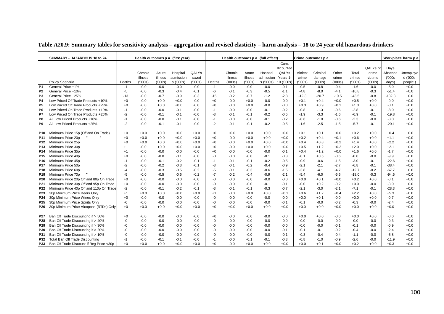|                 | SUMMARY - HAZARDOUS 18 to 24             |        |         |         | Health outcomes p.a. (first year) |        |        |         |         | Health outcomes p.a. (full effect) |            |         | Crime outcomes p.a. |         |         |          |          | Workplace harm p.a |
|-----------------|------------------------------------------|--------|---------|---------|-----------------------------------|--------|--------|---------|---------|------------------------------------|------------|---------|---------------------|---------|---------|----------|----------|--------------------|
|                 |                                          |        |         |         |                                   |        |        |         |         |                                    | Cum.       |         |                     |         |         |          |          |                    |
|                 |                                          |        |         |         |                                   |        |        |         |         |                                    | dicounted  |         |                     |         |         | QALYs of | Days     |                    |
|                 |                                          |        | Chronic | Acute   | Hospital                          | QALYs  |        | Chronic | Acute   | Hospital                           | QALYs      | Violent | Criminal            | Other   | Total   | crime    | Absence  | Unemploye          |
|                 |                                          |        | illness | illness | admission                         | saved  |        | illness | illness | admission                          | Years 1-   | crime   | damage              | crime   | crimes  | victims  | (000s)   | d ('000s           |
|                 | Policy Scenario                          | Deaths | (000s)  | (000s)  | s ('000s)                         | (000s) | Deaths | (000s)  | (000s)  | s ('000s)                          | 10 ('000s) | (000s)  | (000s)              | (000s)  | (000s)  | (000s)   | days)    | people             |
| IP <sub>1</sub> | General Price +1%                        | -1     | $-0.0$  | $-0.0$  | $-0.0$                            | $-0.0$ | $-1$   | $-0.0$  | $-0.0$  | $-0.0$                             | $-0.1$     | $-0.5$  | $-0.8$              | $-0.4$  | $-1.6$  | $-0.0$   | $-5.0$   | $+0.0$             |
| P <sub>2</sub>  | General Price +10%                       | -5     | $-0.0$  | $-0.3$  | $-0.4$                            | $-0.1$ | -6     | $-0.1$  | $-0.3$  | $-0.5$                             | $-1.1$     | $-4.8$  | $-8.0$              | $-4.1$  | $-16.8$ | $-0.3$   | $-51.4$  | $+0.0$             |
| P <sub>3</sub>  | General Price +25%                       | -13    | $-0.0$  | $-0.7$  | $-0.9$                            | $-0.3$ | $-15$  | $-0.2$  | $-0.7$  | $-1.2$                             | $-2.8$     | $-12.3$ | -20.7               | $-10.5$ | $-43.5$ | $-0.8$   | $-132.8$ | $+0.0$             |
| P4              | Low Priced Off Trade Products +10%       | $+0$   | $-0.0$  | $+0.0$  | $+0.0$                            | $-0.0$ | $+0$   | $-0.0$  | $+0.0$  | $-0.0$                             | $-0.0$     | $+0.1$  | $+0.4$              | $+0.0$  | $+0.5$  | $+0.0$   | $-0.0$   | $+0.0$             |
| P5              | Low Priced Off Trade Products +25%       | $+0$   | $-0.0$  | $+0.0$  | $+0.0$                            | $-0.0$ | $+0$   | $-0.0$  | $+0.0$  | $-0.0$                             | $-0.0$     | $+0.3$  | $+0.9$              | $+0.1$  | $+1.3$  | $+0.0$   | $-0.1$   | $+0.0$             |
| P <sub>6</sub>  | Low Priced On Trade Products +10%        | $-1$   | $-0.0$  | $-0.0$  | $-0.1$                            | $-0.0$ | $-1$   | $-0.0$  | $-0.0$  | $-0.1$                             | $-0.2$     | $-0.8$  | $-1.3$              | $-0.6$  | $-2.8$  | $-0.1$   | $-8.0$   | $+0.0$             |
| P7              | Low Priced On Trade Products +25%        | $-2$   | $-0.0$  | $-0.1$  | $-0.1$                            | $-0.0$ | -3     | $-0.1$  | $-0.1$  | $-0.2$                             | $-0.5$     | $-1.9$  | $-3.3$              | $-1.6$  | $-6.9$  | $-0.1$   | $-19.8$  | $+0.0$             |
| P <sub>8</sub>  | All Low Priced Products +10%             | $-1$   | $-0.0$  | $-0.0$  | $-0.1$                            | $-0.0$ | $-1$   | $-0.0$  | $-0.0$  | $-0.1$                             | $-0.2$     | $-0.6$  | $-1.0$              | $-0.6$  | $-2.3$  | $-0.0$   | $-8.0$   | $+0.0$             |
| P <sub>9</sub>  | All Low Priced Products +25%             | $-2$   | $-0.0$  | $-0.1$  | $-0.1$                            | $-0.0$ | $-2$   | $-0.1$  | $-0.1$  | $-0.2$                             | $-0.5$     | $-1.6$  | $-2.5$              | $-1.5$  | $-5.7$  | $-0.1$   | $-20.1$  | $+0.0$             |
|                 |                                          |        |         |         |                                   |        |        |         |         |                                    |            |         |                     |         |         |          |          |                    |
| P <sub>10</sub> | Minimum Price 15p (Off and On Trade)     | $+0$   | $+0.0$  | $+0.0$  | $+0.0$                            | $+0.0$ | $+0$   | $+0.0$  | $+0.0$  | $+0.0$                             | $+0.0$     | $+0.1$  | $+0.1$              | $+0.0$  | $+0.2$  | $+0.0$   | $+0.4$   | $+0.0$             |
| P <sub>11</sub> | Minimum Price 20p                        | $+0$   | $+0.0$  | $+0.0$  | $+0.0$                            | $+0.0$ | $+0$   | $-0.0$  | $+0.0$  | $+0.0$                             | $+0.0$     | $+0.2$  | $+0.4$              | $+0.1$  | $+0.6$  | $+0.0$   | $+1.1$   | $+0.0$             |
| P <sub>12</sub> | Minimum Price 25p                        | $+0$   | $+0.0$  | $+0.0$  | $+0.0$                            | $+0.0$ | $+0$   | $-0.0$  | $+0.0$  | $+0.0$                             | $+0.0$     | $+0.4$  | $+0.8$              | $+0.2$  | $+1.4$  | $+0.0$   | $+2.2$   | $+0.0$             |
| P <sub>13</sub> | Minimum Price 30p                        | $+1$   | $-0.0$  | $+0.0$  | $+0.0$                            | $+0.0$ | $+0$   | $-0.0$  | $+0.0$  | $+0.0$                             | $+0.0$     | $+0.5$  | $+1.2$              | $+0.2$  | $+2.0$  | $+0.0$   | $+2.1$   | $+0.0$             |
| P <sub>14</sub> | Minimum Price 35p                        | $+1$   | $-0.0$  | $-0.0$  | $-0.0$                            | $-0.0$ | $+0$   | $-0.0$  | $-0.0$  | $-0.0$                             | $-0.1$     | $+0.4$  | $+1.2$              | $+0.0$  | $+1.6$  | $+0.0$   | $-1.7$   | $+0.0$             |
| P <sub>15</sub> | Minimum Price 40p                        | $+0$   | $-0.0$  | $-0.0$  | $-0.1$                            | $-0.0$ | -0     | $-0.0$  | $-0.0$  | $-0.1$                             | $-0.3$     | $-0.1$  | $+0.6$              | $-0.6$  | $-0.0$  | $-0.0$   | $-9.9$   | $+0.0$             |
| P <sub>16</sub> | Minimum Price 45p                        | $-1$   | $-0.0$  | $-0.1$  | $-0.2$                            | $-0.1$ | $-1$   | $-0.1$  | $-0.1$  | $-0.2$                             | $-0.5$     | $-0.9$  | $-0.6$              | $-1.5$  | $-3.0$  | $-0.1$   | $-22.6$  | $+0.0$             |
| P <sub>17</sub> | Minimum Price 50p                        | $-2$   | $-0.0$  | $-0.2$  | $-0.3$                            | $-0.1$ | -3     | $-0.1$  | $-0.2$  | $-0.4$                             | -0.9       | $-2.1$  | $-2.1$              | $-2.7$  | $-6.8$  | $-0.1$   | $-38.4$  | $+0.0$             |
| P <sub>18</sub> | Minimum Price 60p                        | -4     | $-0.0$  | $-0.3$  | $-0.5$                            | $-0.2$ | -5     | $-0.1$  | $-0.3$  | $-0.6$                             | $-1.5$     | $-3.8$  | $-4.1$              | $-4.7$  | $-12.7$ | $-0.2$   | $-67.7$  | $+0.0$             |
| P <sub>19</sub> | Minimum Price 70p                        | $-5$   | $-0.0$  | $-0.5$  | $-0.6$                            | $-0.2$ | $-7$   | $-0.2$  | $-0.4$  | $-0.9$                             | $-2.1$     | $-5.4$  | $-6.0$              | $-6.6$  | $-18.0$ | $-0.3$   | $-94.6$  | $+0.0$             |
| P20             | Minimum Price 20p Off and 80p On Trade   | $+0$   | $-0.0$  | $-0.0$  | $-0.0$                            | $-0.0$ | -0     | $-0.0$  | $-0.0$  | $-0.0$                             | $-0.0$     | $+0.0$  | $+0.1$              | $+0.0$  | $+0.2$  | $+0.0$   | $-0.1$   | $+0.0$             |
| P21             | Minimum Price 30p Off and 95p On Trade   | $+0$   | $-0.0$  | $-0.0$  | $-0.0$                            | $-0.0$ | -0     | $-0.0$  | $-0.0$  | $-0.1$                             | $-0.1$     | $-0.0$  | $+0.2$              | $-0.2$  | $+0.0$  | $-0.0$   | $-3.0$   | $+0.0$             |
| P22             | Minimum Price 40p Off and 110p On Trade  | $-2$   | $-0.0$  | $-0.1$  | $-0.2$                            | $-0.1$ | -3     | $-0.1$  | $-0.1$  | $-0.3$                             | $-0.7$     | $-2.1$  | $-3.0$              | $-2.1$  | $-7.1$  | $-0.1$   | $-28.3$  | $+0.0$             |
| P23             | 30p Minimum Price Beers Only             | $+1$   | $+0.0$  | $+0.0$  | $+0.0$                            | $+0.0$ | $+1$   | $-0.0$  | $+0.0$  | $+0.0$                             | $+0.1$     | $+0.6$  | $+1.2$              | $+0.4$  | $+2.2$  | $+0.0$   | $+5.3$   | $+0.0$             |
| P <sub>24</sub> | 30p Minimum Price Wines Only             | $+0$   | $-0.0$  | $-0.0$  | $-0.0$                            | $-0.0$ | -0     | $-0.0$  | $-0.0$  | $-0.0$                             | -0.0       | $+0.0$  | $+0.1$              | $-0.0$  | $+0.0$  | $+0.0$   | $-0.7$   | $+0.0$             |
| P <sub>25</sub> | 30p Minimum Price Spirits Only           | -0     | $-0.0$  | $-0.0$  | $-0.0$                            | $-0.0$ | -0     | $-0.0$  | $-0.0$  | $-0.0$                             | $-0.1$     | $-0.1$  | $-0.0$              | $-0.2$  | $-0.3$  | $-0.0$   | $-2.4$   | $+0.0$             |
| P <sub>26</sub> | 30p Minimum Price Alcopops (RTDs) Only   | $+0$   | $+0.0$  | $+0.0$  | $+0.0$                            | $+0.0$ | $+0$   | $+0.0$  | $+0.0$  | $+0.0$                             | $+0.0$     | $+0.0$  | $+0.0$              | $+0.0$  | $+0.0$  | $+0.0$   | $+0.0$   | $+0.0$             |
|                 |                                          |        |         |         |                                   |        |        |         |         |                                    |            |         |                     |         |         |          |          |                    |
| P27             | Ban Off Trade Discounting if > 50%       | $+0$   | $-0.0$  | $-0.0$  | $-0.0$                            | $-0.0$ | $+0$   | $-0.0$  | $-0.0$  | $-0.0$                             | -0.0       | $+0.0$  | $+0.0$              | $-0.0$  | $+0.0$  | $+0.0$   | $-0.0$   | $+0.0$             |
| P28             | Ban Off Trade Discounting if > 40%       | -0     | $-0.0$  | $-0.0$  | $-0.0$                            | $-0.0$ | -0     | $-0.0$  | $-0.0$  | $-0.0$                             | $-0.0$     | $-0.0$  | $-0.0$              | $-0.0$  | $-0.0$  | $-0.0$   | $-0.3$   | $+0.0$             |
| P29             | Ban Off Trade Discounting if > 30%       | -0     | $-0.0$  | $-0.0$  | $-0.0$                            | $-0.0$ | -0     | $-0.0$  | $-0.0$  | $-0.0$                             | $-0.0$     | $-0.0$  | $-0.0$              | $-0.1$  | $-0.1$  | $-0.0$   | $-0.9$   | $+0.0$             |
| P30             | Ban Off Trade Discounting if > 20%       | -0     | $-0.0$  | $-0.0$  | $-0.0$                            | $-0.0$ | -0     | $-0.0$  | $-0.0$  | $-0.0$                             | $-0.1$     | $-0.1$  | $-0.1$              | $-0.2$  | $-0.4$  | $-0.0$   | $-2.4$   | $+0.0$             |
| P31             | Ban Off Trade Discounting if > 10%       | -0     | $-0.0$  | $-0.0$  | $-0.0$                            | $-0.0$ | -0     | $-0.0$  | $-0.0$  | $-0.0$                             | $-0.1$     | $-0.3$  | $-0.4$              | $-0.4$  | $-1.1$  | $-0.0$   | $-5.8$   | $+0.0$             |
| P32             | Total Ban Off Trade Discounting          | -1     | $-0.0$  | $-0.1$  | $-0.1$                            | $-0.0$ | -1     | $-0.0$  | $-0.1$  | $-0.1$                             | $-0.3$     | $-0.8$  | $-1.0$              | $-0.9$  | $-2.6$  | $-0.0$   | $-11.9$  | $+0.0$             |
| P33             | Ban Off Trade Discount if Reg Price <30p | $+0$   | $+0.0$  | $+0.0$  | $+0.0$                            | $+0.0$ | $+0$   | $-0.0$  | $+0.0$  | $+0.0$                             | $+0.0$     | $+0.0$  | $+0.1$              | $+0.0$  | $+0.2$  | $+0.0$   | $+0.3$   | $+0.0$             |

#### **Table A20.9: Summary tables for sensitivity analysis – aggregation and revised elasticity – harm analysis – 18 to 24 year old hazardous drinkers**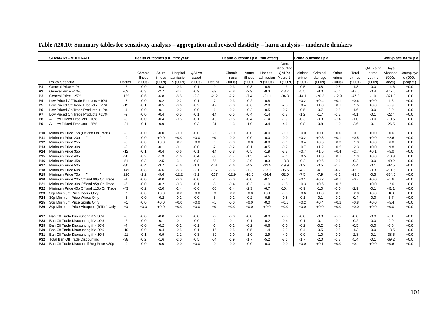|                 | <b>SUMMARY - MODERATE</b>                |        |         |         | Health outcomes p.a. (first year) |        |        |         |         | Health outcomes p.a. (full effect) |            |         | Crime outcomes p.a. |         |         |          |          | Workplace harm p.a. |
|-----------------|------------------------------------------|--------|---------|---------|-----------------------------------|--------|--------|---------|---------|------------------------------------|------------|---------|---------------------|---------|---------|----------|----------|---------------------|
|                 |                                          |        |         |         |                                   |        |        |         |         |                                    | Cum.       |         |                     |         |         |          |          |                     |
|                 |                                          |        |         |         |                                   |        |        |         |         |                                    | dicounted  |         |                     |         |         | QALYs of | Days     |                     |
|                 |                                          |        | Chronic | Acute   | Hospital                          | QALYs  |        | Chronic | Acute   | Hospital                           | QALYs      | Violent | Criminal            | Other   | Total   | crime    | Absence  | Unemploye           |
|                 |                                          |        | illness | illness | admission                         | saved  |        | illness | illness | admission                          | Years 1    | crime   | damage              | crime   | crimes  | victims  | (000s)   | d ('000s            |
|                 | Policy Scenario                          | Deaths | (000s)  | (000s)  | s ('000s)                         | (000s) | Deaths | (000s)  | (000s)  | s ('000s)                          | 10 ('000s) | (000s)  | (000s)              | (000s)  | (000s)  | (000s)   | days)    | people)             |
| $\overline{P1}$ | General Price +1%                        | -6     | $-0.0$  | $-0.3$  | $-0.3$                            | $-0.1$ | -9     | $-0.3$  | $-0.3$  | $-0.8$                             | $-1.3$     | $-0.5$  | $-0.8$              | $-0.5$  | $-1.8$  | $-0.0$   | $-14.6$  | $+0.0$              |
| P <sub>2</sub>  | General Price +10%                       | $-63$  | $-0.3$  | $-2.7$  | $-3.4$                            | $-0.9$ | $-89$  | $-2.8$  | $-2.9$  | $-8.3$                             | $-13.7$    | $-5.5$  | $-8.0$              | $-5.1$  | $-18.6$ | $-0.4$   | $-147.0$ | $+0.0$              |
| P <sub>3</sub>  | General Price +25%                       | $-155$ | $-0.6$  | $-6.8$  | $-8.5$                            | $-2.3$ | $-212$ | $-7.2$  | $-7.4$  | $-21.1$                            | $-34.3$    | $-14.1$ | $-20.3$             | $-12.9$ | $-47.3$ | $-1.0$   | $-371.0$ | $+0.0$              |
| P <sub>4</sub>  | Low Priced Off Trade Products +10%       | $-5$   | $-0.0$  | $-0.2$  | $-0.2$                            | $-0.1$ | $-7$   | $-0.3$  | $-0.2$  | $-0.8$                             | $-1.1$     | $+0.2$  | $+0.4$              | $+0.1$  | $+0.6$  | $+0.0$   | $-1.6$   | $+0.0$              |
| P <sub>5</sub>  | Low Priced Off Trade Products +25%       | $-12$  | $-0.1$  | $-0.5$  | $-0.6$                            | $-0.2$ | $-17$  | $-0.8$  | $-0.6$  | $-2.0$                             | $-2.8$     | $+0.4$  | $+1.0$              | $+0.1$  | $+1.5$  | $+0.0$   | $-3.9$   | $+0.0$              |
| P <sub>6</sub>  | Low Priced On Trade Products +10%        | $-4$   | $-0.0$  | $-0.1$  | $-0.2$                            | $-0.0$ | -6     | $-0.2$  | $-0.2$  | $-0.5$                             | $-0.7$     | $-0.5$  | $-0.7$              | $-0.5$  | $-1.6$  | $-0.0$   | $-8.9$   | $+0.0$              |
| P7              | Low Priced On Trade Products +25%        | -9     | $-0.0$  | $-0.4$  | $-0.5$                            | $-0.1$ | $-14$  | $-0.5$  | $-0.4$  | $-1.4$                             | $-1.8$     | $-1.2$  | $-1.7$              | $-1.2$  | $-4.1$  | $-0.1$   | $-22.4$  | $+0.0$              |
| P8              | All Low Priced Products +10%             | -8     | $-0.0$  | $-0.4$  | $-0.5$                            | $-0.1$ | $-13$  | $-0.5$  | $-0.4$  | $-1.4$                             | $-1.9$     | $-0.3$  | $-0.3$              | $-0.4$  | $-1.0$  | $-0.0$   | $-10.5$  | $+0.0$              |
| <b>P9</b>       | All Low Priced Products +25%             | $-21$  | $-0.1$  | $-0.9$  | $-1.1$                            | $-0.3$ | $-31$  | $-1.3$  | $-1.0$  | $-3.4$                             | $-4.6$     | $-0.8$  | $-0.8$              | $-1.0$  | $-2.6$  | $-0.1$   | $-26.5$  | $+0.0$              |
|                 |                                          |        |         |         |                                   |        |        |         |         |                                    |            |         |                     |         |         |          |          |                     |
| P <sub>10</sub> | Minimum Price 15p (Off and On Trade)     | -0     | $-0.0$  | $-0.0$  | $-0.0$                            | $-0.0$ | -0     | $-0.0$  | $-0.0$  | $-0.0$                             | $-0.0$     | $+0.0$  | $+0.1$              | $+0.0$  | $+0.1$  | $+0.0$   | $+0.6$   | $+0.0$              |
| P <sub>11</sub> | Minimum Price 20p                        | -0     | $-0.0$  | $+0.0$  | $+0.0$                            | $+0.0$ | $+0$   | $-0.0$  | $-0.0$  | $-0.0$                             | $-0.0$     | $+0.2$  | $+0.3$              | $+0.1$  | $+0.5$  | $+0.0$   | $+2.6$   | $+0.0$              |
| P <sub>12</sub> | Minimum Price 25p                        | -0     | $-0.0$  | $+0.0$  | $+0.0$                            | $+0.0$ | $+1$   | $-0.0$  | $+0.0$  | $-0.0$                             | $-0.1$     | $+0.4$  | $+0.6$              | $+0.3$  | $+1.3$  | $+0.0$   | $+6.0$   | $+0.0$              |
| P <sub>13</sub> | Minimum Price 30p                        | $-2$   | $-0.0$  | $-0.1$  | $-0.1$                            | $-0.0$ | $-2$   | $-0.2$  | $-0.1$  | $-0.5$                             | $-0.7$     | $+0.7$  | $+1.2$              | $+0.5$  | $+2.3$  | $+0.0$   | $+9.8$   | $+0.0$              |
| P <sub>14</sub> | Minimum Price 35p                        | $-12$  | $-0.1$  | $-0.4$  | $-0.6$                            | $-0.1$ | $-14$  | $-0.8$  | $-0.5$  | $-1.9$                             | $-2.8$     | $+0.7$  | $+1.5$              | $+0.4$  | $+2.7$  | $+0.1$   | $+5.0$   | $+0.0$              |
| P <sub>15</sub> | Minimum Price 40p                        | $-28$  | $-0.2$  | $-1.3$  | $-1.6$                            | $-0.4$ | $-35$  | $-1.7$  | $-1.5$  | $-4.5$                             | $-7.1$     | $+0.5$  | $+1.3$              | $+0.1$  | $+1.9$  | $+0.0$   | $-10.9$  | $+0.0$              |
| P <sub>16</sub> | Minimum Price 45p                        | $-51$  | $-0.3$  | $-2.5$  | $-3.1$                            | $-0.8$ | $-65$  | $-3.0$  | $-2.9$  | $-8.3$                             | $-13.3$    | $-0.2$  | $+0.6$              | $-0.6$  | $-0.2$  | $-0.0$   | $-40.2$  | $+0.0$              |
| P <sub>17</sub> | Minimum Price 50p                        | -80    | $-0.4$  | $-3.7$  | $-4.6$                            | $-1.1$ | $-101$ | $-4.6$  | $-4.2$  | $-12.5$                            | $-19.9$    | $-1.2$  | $-0.5$              | $-1.7$  | $-3.4$  | $-0.1$   | $-82.5$  | $+0.0$              |
| P18             | Minimum Price 60p                        | $-149$ | $-0.8$  | $-6.6$  | $-8.3$                            | $-2.1$ | $-187$ | $-8.6$  | $-7.3$  | $-23.1$                            | $-35.6$    | $-4.2$  | -4.1                | $-4.7$  | $-13.0$ | $-0.3$   | $-201.5$ | $+0.0$              |
| P <sub>19</sub> | Minimum Price 70p                        | $-220$ | $-1.2$  | $-9.6$  | $-12.2$                           | $-3.1$ | $-267$ | $-12.9$ | $-10.5$ | $-34.4$                            | $-52.0$    | $-7.5$  | $-7.9$              | $-8.1$  | $-23.6$ | $-0.5$   | -334.6   | $+0.0$              |
| P20             | Minimum Price 20p Off and 80p On Trade   | $-1$   | $-0.0$  | $-0.0$  | $-0.0$                            | $-0.0$ | $-1$   | $-0.0$  | $-0.0$  | $-0.1$                             | $-0.1$     | $+0.1$  | $+0.2$              | $+0.1$  | $+0.4$  | $+0.0$   | $+1.6$   | $+0.0$              |
| P21             | Minimum Price 30p Off and 95p On Trade   | -6     | $-0.0$  | $-0.2$  | $-0.3$                            | $-0.1$ | -8     | $-0.4$  | $-0.3$  | $-1.0$                             | $-1.5$     | $+0.3$  | $+0.6$              | $+0.2$  | $+1.1$  | $+0.0$   | $+2.6$   | $+0.0$              |
| P <sub>22</sub> | Minimum Price 40p Off and 110p On Trade  | $-43$  | $-0.2$  | $-2.0$  | $-2.4$                            | $-0.6$ | $-56$  | $-2.4$  | $-2.3$  | $-6.7$                             | $-10.4$    | $-0.9$  | $-1.0$              | $-1.0$  | $-2.9$  | $-0.1$   | $-41.1$  | $+0.0$              |
| P23             | 30p Minimum Price Beers Only             | $+1$   | $-0.0$  | $+0.0$  | $+0.0$                            | $+0.0$ | $+3$   | $+0.0$  | $+0.0$  | $+0.1$                             | $-0.0$     | $+0.6$  | $+1.0$              | $+0.5$  | $+2.0$  | $+0.0$   | $+10.0$  | $+0.0$              |
| P24             | 30p Minimum Price Wines Only             | -3     | $-0.0$  | $-0.2$  | $-0.2$                            | $-0.0$ | $-5$   | $-0.2$  | $-0.2$  | $-0.5$                             | $-0.8$     | $-0.1$  | $-0.1$              | $-0.2$  | $-0.4$  | $-0.0$   | $-5.7$   | $+0.0$              |
| P <sub>25</sub> | 30p Minimum Price Spirits Only           | $+1$   | $-0.0$  | $+0.0$  | $+0.0$                            | $+0.0$ | $+1$   | $-0.0$  | $+0.0$  | $-0.0$                             | $+0.1$     | $+0.2$  | $+0.4$              | $+0.2$  | $+0.8$  | $+0.0$   | $+5.4$   | $+0.0$              |
| P <sub>26</sub> | 30p Minimum Price Alcopops (RTDs) Only   | $+0$   | $+0.0$  | $+0.0$  | $+0.0$                            | $+0.0$ | $+0$   | $+0.0$  | $+0.0$  | $+0.0$                             | $+0.0$     | $+0.0$  | $+0.0$              | $+0.0$  | $+0.0$  | $+0.0$   | $+0.0$   | $+0.0$              |
|                 |                                          |        |         |         |                                   |        |        |         |         |                                    |            |         |                     |         |         |          |          |                     |
| P27             | Ban Off Trade Discounting if > 50%       | -0     | $-0.0$  | $-0.0$  | $-0.0$                            | $-0.0$ | -0     | $-0.0$  | $-0.0$  | $-0.0$                             | $-0.0$     | $-0.0$  | $-0.0$              | $-0.0$  | $-0.0$  | $-0.0$   | $-0.1$   | $+0.0$              |
| P28             | Ban Off Trade Discounting if > 40%       | -2     | $-0.0$  | $-0.1$  | $-0.1$                            | $-0.0$ | $-2$   | $-0.1$  | $-0.1$  | $-0.2$                             | $-0.4$     | $-0.1$  | $-0.1$              | $-0.1$  | $-0.2$  | $-0.0$   | $-2.9$   | $+0.0$              |
| P29             | Ban Off Trade Discounting if > 30%       | $-4$   | $-0.0$  | $-0.2$  | $-0.2$                            | $-0.1$ | -6     | $-0.2$  | $-0.2$  | $-0.6$                             | $-1.0$     | $-0.2$  | $-0.2$              | $-0.2$  | $-0.5$  | $-0.0$   | $-7.5$   | $+0.0$              |
| P30             | Ban Off Trade Discounting if > 20%       | $-10$  | $-0.0$  | $-0.4$  | $-0.5$                            | $-0.1$ | $-15$  | $-0.5$  | $-0.5$  | $-1.4$                             | $-2.3$     | $-0.4$  | $-0.5$              | $-0.5$  | $-1.3$  | $-0.0$   | $-18.5$  | $+0.0$              |
| P31             | Ban Off Trade Discounting if > 10%       | $-21$  | $-0.1$  | $-0.9$  | $-1.1$                            | $-0.3$ | $-30$  | $-1.0$  | $-1.0$  | $-2.9$                             | $-4.9$     | $-0.9$  | $-1.0$              | $-0.9$  | $-2.8$  | $-0.1$   | $-38.5$  | $+0.0$              |
| P32             | Total Ban Off Trade Discounting          | $-38$  | $-0.2$  | $-1.6$  | $-2.0$                            | $-0.5$ | $-54$  | $-1.9$  | $-1.7$  | $-5.2$                             | $-8.6$     | $-1.7$  | $-2.0$              | $-1.8$  | $-5.4$  | $-0.1$   | $-69.2$  | $+0.0$              |
| P33             | Ban Off Trade Discount if Reg Price <30p | -0     | $-0.0$  | $-0.0$  | $-0.0$                            | $+0.0$ | -0     | $-0.0$  | $-0.0$  | $-0.0$                             | $-0.0$     | $+0.0$  | $+0.1$              | $+0.0$  | $+0.1$  | $+0.0$   | $+0.6$   | $+0.0$              |

# **Table A20.10: Summary tables for sensitivity analysis – aggregation and revised elasticity – harm analysis – moderate drinkers**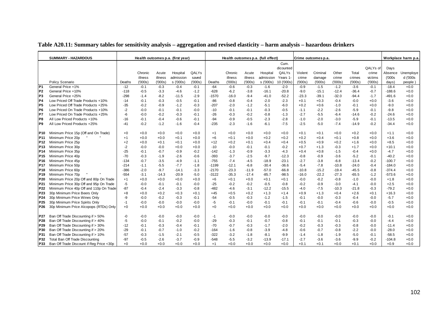|                 | <b>SUMMARY - HAZARDOUS</b>               |        |         |         | Health outcomes p.a. (first year) |        |         |         |         | Health outcomes p.a. (full effect) |            |         | Crime outcomes p.a. |         |         |          |          | Workplace harm p.a |
|-----------------|------------------------------------------|--------|---------|---------|-----------------------------------|--------|---------|---------|---------|------------------------------------|------------|---------|---------------------|---------|---------|----------|----------|--------------------|
|                 |                                          |        |         |         |                                   |        |         |         |         |                                    | Cum.       |         |                     |         |         |          |          |                    |
|                 |                                          |        |         |         |                                   |        |         |         |         |                                    | dicounted  |         |                     |         |         | QALYs of | Days     |                    |
|                 |                                          |        | Chronic | Acute   | Hospital                          | QALYs  |         | Chronic | Acute   | Hospital                           | QALYs      | Violent | Criminal            | Other   | Total   | crime    | Absence  | Unemploye          |
|                 |                                          |        | illness | illness | admission                         | saved  |         | illness | illness | admission                          | Years 1    | crime   | damage              | crime   | crimes  | victims  | (000s    | d ('000s           |
|                 | Policy Scenario                          | Deaths | (000s)  | (000s)  | s ('000s)                         | (000s) | Deaths  | (000s)  | (000s)  | s ('000s)                          | 10 ('000s) | (000s)  | (000s)              | (000s)  | (000s)  | (000s)   | days)    | people             |
| P <sub>1</sub>  | General Price +1%                        | $-12$  | $-0.1$  | $-0.3$  | $-0.4$                            | $-0.1$ | $-64$   | $-0.6$  | $-0.3$  | $-1.6$                             | $-2.0$     | $-0.9$  | $-1.5$              | $-1.2$  | $-3.6$  | $-0.1$   | $-18.4$  | $+0.0$             |
| P <sub>2</sub>  | General Price +10%                       | $-118$ | $-0.5$  | $-3.3$  | $-4.6$                            | $-1.2$ | $-628$  | $-6.2$  | $-3.8$  | $-16.1$                            | $-20.8$    | $-9.0$  | $-15.1$             | $-12.4$ | $-36.4$ | $-0.7$   | $-188.6$ | $+0.0$             |
| P <sub>3</sub>  | General Price +25%                       | $-298$ | $-1.4$  | $-8.2$  | $-11.5$                           | $-2.9$ | $-1570$ | $-16.0$ | $-9.4$  | $-41.0$                            | $-52.2$    | $-23.3$ | $-39.1$             | $-32.0$ | $-94.4$ | $-1.7$   | $-491.6$ | $+0.0$             |
| P4              | Low Priced Off Trade Products +10%       | $-14$  | $-0.1$  | $-0.3$  | $-0.5$                            | $-0.1$ | $-86$   | $-0.8$  | $-0.4$  | $-2.0$                             | $-2.3$     | $+0.1$  | $+0.3$              | $-0.4$  | $-0.0$  | $+0.0$   | $-3.6$   | $+0.0$             |
| P5              | Low Priced Off Trade Products +25%       | -35    | $-0.2$  | $-0.9$  | $-1.2$                            | $-0.3$ | $-207$  | $-2.0$  | $-1.2$  | $-5.1$                             | $-6.0$     | $+0.2$  | $+0.6$              | $-1.0$  | $-0.1$  | $+0.0$   | $-9.0$   | $+0.0$             |
| P6              | Low Priced On Trade Products +10%        | $-2$   | $-0.0$  | $-0.1$  | $-0.1$                            | $-0.0$ | $-10$   | $-0.1$  | $-0.1$  | $-0.3$                             | $-0.5$     | $-1.1$  | $-2.2$              | $-2.6$  | $-5.9$  | $-0.1$   | $-9.8$   | $+0.0$             |
| P7              | Low Priced On Trade Products +25%        | -6     | $-0.0$  | $-0.2$  | $-0.3$                            | $-0.1$ | $-26$   | $-0.3$  | $-0.2$  | $-0.8$                             | $-1.3$     | $-2.7$  | $-5.5$              | $-6.4$  | $-14.6$ | $-0.2$   | $-24.6$  | $+0.0$             |
| P <sub>8</sub>  | All Low Priced Products +10%             | $-16$  | $-0.1$  | $-0.4$  | $-0.6$                            | $-0.1$ | $-94$   | $-0.9$  | $-0.5$  | $-2.3$                             | $-2.8$     | $-1.0$  | $-2.0$              | $-3.0$  | $-5.9$  | $-0.1$   | $-13.5$  | $+0.0$             |
| P <sub>9</sub>  | All Low Priced Products +25%             | $-41$  | $-0.2$  | $-1.2$  | $-1.6$                            | $-0.4$ | $-235$  | $-2.3$  | $-1.6$  | $-6.1$                             | $-7.5$     | $-2.5$  | $-5.0$              | $-7.4$  | $-14.9$ | $-0.2$   | $-34.4$  | $+0.0$             |
| P <sub>10</sub> | Minimum Price 15p (Off and On Trade)     | +0     | $+0.0$  | $+0.0$  | $+0.0$                            | $+0.0$ | $+1$    | $+0.0$  | $+0.0$  | $+0.0$                             | $+0.0$     | $+0.1$  | $+0.1$              | $+0.0$  | $+0.2$  | $+0.0$   | $+1.1$   | $+0.0$             |
| P <sub>11</sub> | Minimum Price 20p                        | $+1$   | $+0.0$  | $+0.0$  | $+0.1$                            | $+0.0$ | $+6$    | $+0.1$  | $+0.0$  | $+0.2$                             | $+0.2$     | $+0.2$  | $+0.4$              | $+0.1$  | $+0.8$  | $+0.0$   | $+3.6$   | $+0.0$             |
| P <sub>12</sub> | Minimum Price 25p                        | +2     | $+0.0$  | $+0.1$  | $+0.1$                            | $+0.0$ | $+12$   | $+0.2$  | $+0.1$  | $+0.4$                             | $+0.4$     | $+0.5$  | $+0.9$              | $+0.2$  | $+1.6$  | $+0.0$   | $+8.5$   | $+0.0$             |
| P <sub>13</sub> | Minimum Price 30p                        | $-2$   | $-0.0$  | $-0.0$  | $+0.0$                            | $+0.0$ | $-10$   | $-0.0$  | $-0.1$  | $-0.1$                             | $-0.2$     | $+0.7$  | $+1.3$              | $-0.3$  | $+1.7$  | $+0.0$   | $+10.1$  | $+0.0$             |
| P <sub>14</sub> | Minimum Price 35p                        | $-25$  | $-0.1$  | $-0.7$  | $-0.9$                            | $-0.2$ | $-142$  | $-1.3$  | $-0.9$  | $-3.3$                             | $-4.3$     | $+0.4$  | $+0.8$              | $-1.5$  | $-0.4$  | $+0.0$   | $-4.7$   | $+0.0$             |
| P <sub>15</sub> | Minimum Price 40p                        | $-70$  | $-0.3$  | $-1.9$  | $-2.6$                            | $-0.6$ | $-393$  | $-3.7$  | $-2.5$  | $-9.7$                             | $-12.3$    | $-0.8$  | $-0.9$              | $-3.6$  | $-5.2$  | $-0.1$   | $-40.2$  | $+0.0$             |
| P <sub>16</sub> | Minimum Price 45p                        | $-134$ | $-0.7$  | $-3.5$  | $-4.9$                            | $-1.1$ | $-755$  | $-7.4$  | $-4.5$  | $-18.9$                            | $-23.1$    | $-2.7$  | $-3.8$              | $-6.8$  | $-13.4$ | $-0.2$   | $-100.7$ | $+0.0$             |
| P <sub>17</sub> | Minimum Price 50p                        | -214   | $-1.1$  | $-5.5$  | $-7.7$                            | $-1.8$ | $-1199$ | $-12.1$ | $-6.8$  | $-30.4$                            | $-36.6$    | $-5.4$  | $-7.8$              | $-10.8$ | $-24.0$ | $-0.4$   | $-184.0$ | $+0.0$             |
| P18             | Minimum Price 60p                        | $-386$ | $-2.0$  | $-9.7$  | $-14.1$                           | $-3.3$ | $-2170$ | $-23.3$ | $-11.9$ | $-57.0$                            | $-66.8$    | $-10.8$ | $-15.2$             | $-19.4$ | $-45.5$ | $-0.8$   | $-374.4$ | $+0.0$             |
| P <sub>19</sub> | Minimum Price 70p                        | $-554$ | $-3.1$  | $-14.3$ | $-20.9$                           | $-5.0$ | $-3122$ | $-35.3$ | $-17.4$ | $-85.7$                            | $-98.5$    | $-16.0$ | $-22.2$             | $-27.3$ | $-65.5$ | $-1.2$   | $-573.6$ | $+0.0$             |
| P20             | Minimum Price 20p Off and 80p On Trade   | $+1$   | $+0.0$  | $+0.0$  | $+0.0$                            | $+0.0$ | $+6$    | $+0.1$  | $+0.0$  | $+0.1$                             | $+0.1$     | $-0.0$  | $-0.2$              | $-0.8$  | $-1.0$  | $-0.0$   | $+1.8$   | $+0.0$             |
| P21             | Minimum Price 30p Off and 95p On Trade   | $-5$   | $-0.0$  | $-0.1$  | $-0.1$                            | $-0.0$ | $-25$   | $-0.2$  | $-0.2$  | $-0.5$                             | $-0.8$     | $-0.2$  | $-0.9$              | $-3.0$  | $-4.1$  | $-0.0$   | $+2.5$   | $+0.0$             |
| P22             | Minimum Price 40p Off and 110p On Trade  | $-87$  | $-0.4$  | $-2.4$  | $-3.3$                            | $-0.8$ | $-482$  | $-4.6$  | $-3.1$  | $-12.2$                            | $-15.5$    | $-4.0$  | $-7.5$              | $-10.3$ | $-21.8$ | $-0.3$   | $-79.2$  | $+0.0$             |
| P23             | 30p Minimum Price Beers Only             | $+8$   | $+0.0$  | $+0.2$  | $+0.3$                            | $+0.1$ | $+45$   | $+0.5$  | $+0.2$  | $+1.3$                             | $+1.4$     | $+0.9$  | $+1.3$              | $+0.4$  | $+2.6$  | $+0.1$   | $+16.3$  | $+0.0$             |
| P24             | 30p Minimum Price Wines Only             | -9     | $-0.0$  | $-0.2$  | $-0.3$                            | $-0.1$ | $-54$   | $-0.5$  | $-0.3$  | $-1.2$                             | $-1.5$     | $-0.1$  | $-0.0$              | $-0.3$  | $-0.4$  | $-0.0$   | $-5.7$   | $+0.0$             |
| P <sub>25</sub> | 30p Minimum Price Spirits Only           | $-1$   | $-0.0$  | $-0.0$  | $-0.0$                            | $-0.0$ | $-5$    | $-0.1$  | $-0.0$  | $-0.1$                             | $-0.1$     | $-0.1$  | $-0.1$              | $-0.4$  | $-0.6$  | $-0.0$   | $-0.5$   | $+0.0$             |
| P <sub>26</sub> | 30p Minimum Price Alcopops (RTDs) Only   | $+0$   | $+0.0$  | $+0.0$  | $+0.0$                            | $+0.0$ | $+0$    | $+0.0$  | $+0.0$  | $+0.0$                             | $+0.0$     | $+0.0$  | $+0.0$              | $+0.0$  | $+0.0$  | $+0.0$   | $+0.0$   | $+0.0$             |
| P27             | Ban Off Trade Discounting if > 50%       | -0     | $-0.0$  | $-0.0$  | $-0.0$                            | $-0.0$ | $-1$    | $-0.0$  | $-0.0$  | $-0.0$                             | $-0.0$     | -0.0    | $-0.0$              | $-0.0$  | $-0.0$  | $-0.0$   | $-0.1$   | $+0.0$             |
| <b>P28</b>      | Ban Off Trade Discounting if > 40%       | $-5$   | $-0.0$  | $-0.1$  | $-0.2$                            | $-0.0$ | $-29$   | $-0.3$  | $-0.1$  | $-0.7$                             | $-0.8$     | $-0.1$  | $-0.1$              | $-0.1$  | $-0.3$  | $-0.0$   | $-4.4$   | $+0.0$             |
| P29             | Ban Off Trade Discounting if > 30%       | $-12$  | $-0.1$  | $-0.3$  | $-0.4$                            | $-0.1$ | $-70$   | $-0.7$  | $-0.3$  | $-1.7$                             | $-2.0$     | $-0.2$  | $-0.3$              | $-0.3$  | $-0.8$  | $-0.0$   | $-11.4$  | $+0.0$             |
| P30             | Ban Off Trade Discounting if > 20%       | $-29$  | $-0.1$  | $-0.7$  | $-1.0$                            | $-0.2$ | $-164$  | $-1.6$  | $-0.8$  | $-3.9$                             | $-4.8$     | $-0.6$  | $-0.7$              | $-0.8$  | $-2.2$  | $-0.0$   | $-28.0$  | $+0.0$             |
| P31             | Ban Off Trade Discounting if > 10%       | $-57$  | $-0.3$  | $-1.5$  | $-2.1$                            | $-0.5$ | $-322$  | $-3.2$  | $-1.8$  | $-8.1$                             | $-9.9$     | $-1.4$  | $-1.8$              | $-1.9$  | $-5.0$  | $-0.1$   | $-58.5$  | $+0.0$             |
| P32             | Total Ban Off Trade Discounting          | $-97$  | $-0.5$  | $-2.6$  | $-3.7$                            | $-0.9$ | $-548$  | $-5.5$  | $-3.2$  | $-13.9$                            | $-17.1$    | $-2.7$  | $-3.6$              | $-3.6$  | $-9.9$  | $-0.2$   | $-104.8$ | $+0.0$             |
| P33             | Ban Off Trade Discount if Reg Price <30p | $+0$   | $+0.0$  | $+0.0$  | $+0.0$                            | $+0.0$ | $+1$    | $+0.0$  | $+0.0$  | $+0.0$                             | $+0.0$     | $+0.1$  | $+0.1$              | $+0.0$  | $+0.1$  | $+0.0$   | $+0.9$   | $+0.0$             |

# **Table A20.11: Summary tables for sensitivity analysis – aggregation and revised elasticity – harm analysis – hazardous drinkers**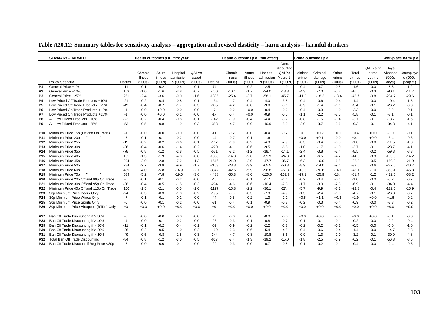|                                    | <b>SUMMARY - HARMFUL</b>                 |                  |                  |                  | Health outcomes p.a. (first year) |                  |                    |                    |                  | Health outcomes p.a. (full effect) |                    |                  | Crime outcomes p.a. |                   |                    |                  |                      | Workplace harm p.a |
|------------------------------------|------------------------------------------|------------------|------------------|------------------|-----------------------------------|------------------|--------------------|--------------------|------------------|------------------------------------|--------------------|------------------|---------------------|-------------------|--------------------|------------------|----------------------|--------------------|
|                                    |                                          |                  |                  |                  |                                   |                  |                    |                    |                  |                                    | Cum.               |                  |                     |                   |                    |                  |                      |                    |
|                                    |                                          |                  |                  |                  |                                   |                  |                    |                    |                  |                                    | dicounted          |                  |                     |                   |                    | QALYs of         | Days                 |                    |
|                                    |                                          |                  | Chronic          | Acute            | Hospital                          | QALYs            |                    | Chronic            | Acute            | Hospital                           | QALYs              | Violent          | Criminal            | Other             | Total              | crime            | Absence              | Unemploye          |
|                                    |                                          |                  | illness          | illness          | admission                         | saved            |                    | illness            | illness          | admission                          | Years 1            | crime            | damage              | crime             | crimes             | victims          | (000s                | d ('000s           |
|                                    | Policy Scenario                          | Deaths           | (000s)           | (000s)           | s ('000s)                         | (000s)           | Deaths             | (000s)             | (000s)           | s ('000s)                          | 10 ('000s)         | (000s)           | (000s)              | (000s)            | (000s)             | (000s)           | days)                | people)            |
| P <sub>1</sub>                     | General Price +1%                        | $-11$            | $-0.1$           | $-0.2$           | $-0.4$                            | $-0.1$           | $-74$              | $-1.1$             | $-0.2$           | $-2.5$                             | $-1.9$             | $-0.4$           | $-0.7$              | $-0.5$            | $-1.6$             | $-0.0$           | $-8.8$               | $-1.2$             |
| P <sub>2</sub>                     | General Price +10%                       | $-103$           | $-1.0$           | $-1.6$           | $-3.8$                            | $-0.7$           | $-750$             | $-10.4$            | $-1.7$           | -24.0                              | $-18.8$            | -4.3             | $-7.0$              | $-5.2$            | $-16.5$            | $-0.3$           | $-90.1$              | $-11.7$            |
| P <sub>3</sub>                     | General Price +25%                       | -251             | $-2.4$           | $-3.6$           | $-9.0$                            | $-1.6$           | $-1885$            | $-25.4$            | $-3.7$           | $-58.1$                            | $-45.7$            | $-11.0$          | $-18.2$             | $-13.4$           | $-42.7$            | $-0.8$           | $-234.7$             | $-29.6$            |
| P4                                 | Low Priced Off Trade Products +10%       | $-21$            | $-0.2$           | $-0.4$           | $-0.8$                            | $-0.1$           | $-134$             | $-1.7$             | $-0.4$           | $-4.0$                             | $-3.5$             | $-0.4$           | $-0.6$              | $-0.4$            | $-1.4$             | $-0.0$           | $-10.4$              | $-1.5$             |
| P5                                 | Low Priced Off Trade Products +25%       | -49              | $-0.4$           | $-0.7$           | $-1.7$                            | $-0.3$           | $-335$             | $-4.2$             | $-0.8$           | $-9.8$                             | $-8.1$             | -0.9             | $-1.4$              | $-1.1$            | $-3.4$             | $-0.1$           | $-26.2$              | $-3.8$             |
| P6                                 | Low Priced On Trade Products +10%        | $-1$             | $-0.0$           | $+0.0$           | $-0.0$                            | $-0.0$           | $-7$               | $-0.2$             | $+0.0$           | $-0.4$                             | $-0.2$             | -0.4             | $-0.9$              | $-1.0$            | $-2.3$             | $-0.0$           | $-3.2$               | $-0.1$             |
| P7                                 | Low Priced On Trade Products +25%        | $-1$             | $-0.0$           | $+0.0$           | $-0.1$                            | $-0.0$           | $-17$              | $-0.4$             | $+0.0$           | $-0.9$                             | $-0.5$             | $-1.1$           | $-2.2$              | $-2.5$            | $-5.8$             | $-0.1$           | $-8.1$               | $-0.1$             |
| P <sub>8</sub>                     | All Low Priced Products +10%             | $-22$            | $-0.2$           | $-0.4$           | $-0.8$                            | $-0.1$           | $-142$             | $-1.9$             | $-0.4$           | $-4.4$                             | $-3.7$             | $-0.8$           | $-1.5$              | $-1.4$            | $-3.7$             | $-0.1$           | $-13.7$              | $-1.6$             |
| P <sub>9</sub>                     | All Low Priced Products +25%             | $-53$            | $-0.5$           | $-0.8$           | $-1.9$                            | $-0.3$           | $-358$             | $-4.7$             | $-0.9$           | $-10.9$                            | $-8.9$             | $-2.0$           | $-3.7$              | $-3.6$            | $-9.3$             | $-0.1$           | $-34.8$              | $-4.1$             |
|                                    |                                          |                  |                  |                  |                                   |                  |                    |                    |                  |                                    |                    |                  |                     |                   |                    |                  |                      |                    |
| P <sub>10</sub>                    | Minimum Price 15p (Off and On Trade)     | -1               | $-0.0$           | $-0.0$           | $-0.0$                            | $-0.0$           | -11                | $-0.2$             | $-0.0$           | $-0.4$                             | $-0.2$             | $+0.1$           | $+0.2$              | $+0.1$            | $+0.4$             | $+0.0$           | -0.0                 | $-0.1$             |
| P <sub>11</sub>                    | Minimum Price 20p                        | $-5$             | $-0.1$           | $-0.1$           | $-0.2$                            | $-0.0$           | $-44$              | $-0.7$             | $-0.1$           | $-1.6$                             | $-1.1$             | $+0.0$           | $+0.1$              | $-0.0$            | $+0.1$             | $+0.0$           | $-3.4$               | $-0.6$             |
| P <sub>12</sub>                    | Minimum Price 25p                        | $-15$            | $-0.2$           | $-0.2$           | $-0.6$                            | $-0.1$           | $-117$<br>$-270$   | $-1.9$             | $-0.2$           | $-4.3$                             | $-2.9$             | -0.3             | $-0.4$              | $-0.3$            | $-1.0$             | $-0.0$           | $-11.5$              | $-1.8$             |
| P <sub>13</sub>                    | Minimum Price 30p<br>Minimum Price 35p   | -36              | $-0.4$           | $-0.6$           | $-1.4$                            | $-0.2$           | $-571$             | -4.1               | $-0.6$           | $-9.5$                             | $-6.8$             | $-1.0$           | $-1.7$              | $-1.0$            | $-3.7$             | $-0.1$           | $-28.7$              | -4.1               |
| P <sub>14</sub>                    |                                          | $-78$            | $-0.8$           | $-1.2$           | $-2.8$                            | $-0.5$           |                    | $-8.2$             | $-1.2$           | $-18.7$                            | $-14.1$            | -2.4             | $-3.8$              | $-2.4$            | $-8.5$             | $-0.2$           | $-59.3$              | $-8.3$             |
| P <sub>15</sub><br>P <sub>16</sub> | Minimum Price 40p<br>Minimum Price 45p   | $-135$<br>$-204$ | $-1.3$<br>$-2.0$ | $-1.9$<br>$-2.8$ | $-4.8$<br>$-7.2$                  | $-0.8$<br>$-1.3$ | $-1008$<br>$-1546$ | $-14.0$<br>$-21.0$ | $-2.0$<br>$-2.9$ | $-31.9$<br>$-47.7$                 | $-24.3$<br>$-36.7$ | $-4.1$<br>$-6.3$ | $-6.5$<br>$-10.0$   | $-4.2$<br>$-6.5$  | $-14.8$            | $-0.3$<br>$-0.5$ | $-103.0$<br>$-160.0$ | $-14.2$<br>$-21.9$ |
| P <sub>17</sub>                    | Minimum Price 50p                        | $-284$           | $-2.7$           | $-3.8$           | $-9.9$                            | $-1.7$           | $-2163$            | $-28.8$            |                  | $-65.5$                            | $-50.8$            | $-8.9$           |                     |                   | $-22.8$<br>$-32.0$ |                  | $-227.6$             | $-30.7$            |
| P18                                | Minimum Price 60p                        | $-439$           | $-4.0$           | $-5.8$           |                                   | $-2.7$           | $-3342$            | $-42.6$            | $-3.9$           | $-96.8$                            | $-77.3$            | $-13.3$          | $-14.0$             | $-9.1$<br>$-14.1$ | $-48.1$            | $-0.6$           | $-353.4$             | $-45.8$            |
| P <sub>19</sub>                    | Minimum Price 70p                        | $-589$           | $-5.2$           | $-7.8$           | $-14.9$<br>$-19.6$                | $-3.6$           | $-4488$            | $-55.3$            | $-5.9$<br>$-8.0$ | $-125.5$                           | $-102.7$           | $-17.1$          | $-20.6$<br>$-25.9$  | $-18.4$           | $-61.4$            | $-1.0$<br>$-1.2$ | $-472.5$             | $-58.2$            |
| P20                                | Minimum Price 20p Off and 80p On Trade   | -5               | $-0.1$           | $-0.1$           | $-0.2$                            | $-0.0$           | $-45$              | $-0.8$             | $-0.1$           | $-1.7$                             | $-1.1$             | $-0.2$           | $-0.4$              | $-0.4$            | $-1.0$             | $-0.0$           | $-5.2$               | $-0.7$             |
| P21                                | Minimum Price 30p Off and 95p On Trade   | $-38$            | $-0.4$           | $-0.5$           | $-1.5$                            | $-0.3$           | $-294$             | $-4.6$             | $-0.6$           | $-10.4$                            | $-7.3$             | $-1.7$           | $-3.0$              | $-2.3$            | $-6.9$             | $-0.1$           | $-34.0$              | -4.4               |
| P22                                | Minimum Price 40p Off and 110p On Trade  | $-150$           | $-1.5$           | $-2.1$           | $-5.5$                            | $-1.0$           | $-1127$            | $-15.8$            | $-2.2$           | $-36.1$                            | $-27.4$            | $-5.7$           | $-9.9$              | $-7.2$            | $-22.8$            | $-0.4$           | $-122.6$             | $-15.9$            |
| P <sub>23</sub>                    | 30p Minimum Price Beers Only             | $-24$            | $-0.3$           | $-0.3$           | $-1.0$                            | $-0.2$           | $-195$             | $-3.3$             | $-0.3$           | $-7.3$                             | $-4.9$             | $-1.3$           | $-2.4$              | $-1.0$            | $-4.7$             | $-0.1$           | $-26.8$              | $-3.7$             |
| P24                                | 30p Minimum Price Wines Only             | $-7$             | $-0.1$           | $-0.1$           | $-0.2$                            | $-0.0$           | $-44$              | $-0.5$             | $-0.2$           | $-1.3$                             | $-1.1$             | $+0.5$           | $+1.1$              | $+0.3$            | $+1.9$             | $+0.0$           | $+1.6$               | $-0.2$             |
| P <sub>25</sub>                    | 30p Minimum Price Spirits Only           | $-5$             | $-0.0$           | $-0.1$           | $-0.2$                            | $-0.0$           | $-31$              | $-0.4$             | $-0.1$           | $-0.9$                             | $-0.8$             | $-0.2$           | $-0.3$              | $-0.4$            | $-0.9$             | $-0.0$           | $-3.3$               | $-0.2$             |
| P <sub>26</sub>                    | 30p Minimum Price Alcopops (RTDs) Only   | $+0$             | $+0.0$           | $+0.0$           | $+0.0$                            | $+0.0$           | $+0$               | $+0.0$             | $+0.0$           | $+0.0$                             | $+0.0$             | $+0.0$           | $+0.0$              | $+0.0$            | $+0.0$             | $+0.0$           | $+0.0$               | $+0.0$             |
|                                    |                                          |                  |                  |                  |                                   |                  |                    |                    |                  |                                    |                    |                  |                     |                   |                    |                  |                      |                    |
| P27                                | Ban Off Trade Discounting if > 50%       | -0               | $-0.0$           | $-0.0$           | $-0.0$                            | $-0.0$           | $-1$               | $-0.0$             | $-0.0$           | $-0.0$                             | $-0.0$             | $+0.0$           | $+0.0$              | $-0.0$            | $+0.0$             | $+0.0$           | $-0.1$               | $-0.0$             |
| <b>P28</b>                         | Ban Off Trade Discounting if > 40%       | $-4$             | $-0.0$           | $-0.1$           | $-0.2$                            | $-0.0$           | $-26$              | $-0.3$             | $-0.1$           | $-0.8$                             | $-0.7$             | $-0.1$           | $-0.1$              | $-0.1$            | $-0.2$             | $-0.0$           | $-2.2$               | $-0.4$             |
| P29                                | Ban Off Trade Discounting if > 30%       | $-11$            | $-0.1$           | $-0.2$           | $-0.4$                            | $-0.1$           | $-69$              | $-0.9$             | $-0.2$           | $-2.2$                             | $-1.8$             | $-0.2$           | $-0.2$              | $-0.2$            | $-0.5$             | $-0.0$           | $-6.0$               | $-1.0$             |
| P30                                | Ban Off Trade Discounting if > 20%       | $-26$            | $-0.2$           | $-0.5$           | $-1.0$                            | $-0.2$           | $-169$             | $-2.3$             | $-0.6$           | $-5.4$                             | -4.5               | $-0.4$           | $-0.6$              | $-0.4$            | $-1.4$             | $-0.0$           | $-14.7$              | $-2.3$             |
| P31                                | Ban Off Trade Discounting if > 10%       | $-49$            | $-0.5$           | $-0.8$           | $-1.8$                            | $-0.3$           | $-344$             | $-4.7$             | $-0.8$           | $-10.8$                            | $-8.6$             | $-0.9$           | $-1.3$              | $-1.0$            | $-3.2$             | $-0.1$           | $-30.9$              | $-4.8$             |
| P32                                | Total Ban Off Trade Discounting          | $-84$            | $-0.8$           | $-1.2$           | $-3.0$                            | $-0.5$           | $-617$             | $-8.4$             | $-1.3$           | $-19.2$                            | $-15.0$            | $-1.8$           | $-2.5$              | $-1.9$            | $-6.2$             | $-0.1$           | $-56.8$              | $-8.6$             |
| P33                                | Ban Off Trade Discount if Reg Price <30p | $-3$             | $-0.0$           | $-0.0$           | $-0.1$                            | $-0.0$           | $-20$              | $-0.3$             | $-0.0$           | $-0.7$                             | $-0.5$             | $-0.1$           | $-0.2$              | $-0.1$            | $-0.4$             | $-0.0$           | $-2.4$               | $-0.3$             |

# **Table A20.12: Summary tables for sensitivity analysis – aggregation and revised elasticity – harm analysis – harmful drinkers**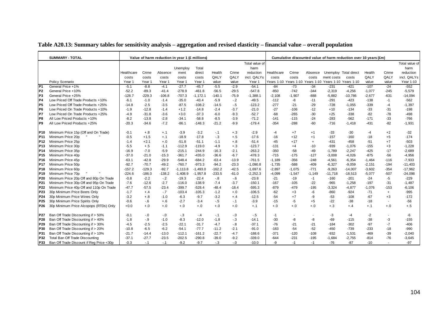|                        | <b>SUMMARY - TOTAL</b>                                                  |                   |               | Value of harm reduction in year 1 (£ millions) |                      |                       |                 |                  |                      |                  |                   |                 |                    | Cumulative discounted value of harm reduction over 10 years (£m) |                    |             |                    |
|------------------------|-------------------------------------------------------------------------|-------------------|---------------|------------------------------------------------|----------------------|-----------------------|-----------------|------------------|----------------------|------------------|-------------------|-----------------|--------------------|------------------------------------------------------------------|--------------------|-------------|--------------------|
|                        |                                                                         |                   |               |                                                |                      |                       |                 |                  | Total value of       |                  |                   |                 |                    |                                                                  |                    |             | Total value of     |
|                        |                                                                         |                   |               |                                                | Unemploy             | Total                 |                 |                  | harm                 |                  |                   |                 |                    |                                                                  |                    |             | harm               |
|                        |                                                                         | Healthcare        | Crime         | Absence                                        | ment                 | direct                | Health          | Crime            | reduction            | Healthcare       | Crime             | Absence         |                    | Unemploy Total direct                                            | Health             | Crime       | reduction          |
|                        |                                                                         | costs             | costs         | costs                                          | costs                | costs                 | QALY            | QALY             | incl. QALYs          | costs            | costs             | costs           | ment costs         | costs                                                            | QALY               | QALY        | incl. QALYs        |
|                        | Policy Scenario                                                         | Year 1            | Year 1        | Year 1                                         | Year 1               | Year 1                | value           | value            | Year 1               |                  |                   |                 |                    | Years 1-10 Years 1-10 Years 1-10 Years 1-10 Years 1-10           | value              | value       | Year 1-10          |
| P <sub>1</sub>         | General Price +1%                                                       | $-5.1$            | $-8.8$        | $-4.1$                                         | $-27.7$              | $-45.7$               | $-5.5$          | $-2.9$           | $-54.1$              | $-84$            | $-73$             | $-34$           | $-231$             | -421                                                             | $-107$             | $-24$       | $-552$             |
| P <sub>2</sub>         | General Price +10%                                                      | $-52.2$           | $-89.3$       | $-41.4$                                        | $-278.9$             | $-461.8$              | $-56.5$         | $-29.5$          | $-547.8$             | $-850$           | $-742$            | $-344$          | $-2,319$           | $-4,256$                                                         | $-1,077$           | $-245$      | $-5,579$           |
| P <sub>3</sub>         | General Price +25%                                                      | $-128.7$          | $-229.3$      | $-106.8$                                       | $-707.3$             | $-1, 172.1$           | $-140.1$        | $-75.9$          | $-1,388.1$           | $-2.108$         | $-1,907$          | $-888$          | $-5,882$           | $-10,786$                                                        | $-2,677$           | $-631$      | $-14,094$          |
| <b>P4</b>              | Low Priced Off Trade Products +10%                                      | $-6.1$            | $-1.0$        | $-1.4$                                         | $-35.0$              | $-43.4$               | $-5.9$          | $-2$             | $-49.5$              | $-112$           | -8                | $-11$           | $-291$             | $-423$                                                           | $-138$             | $-1$        | $-562$             |
| P <sub>5</sub>         | Low Priced Off Trade Products +25%                                      | $-14.8$           | $-2.5$        | $-3.5$                                         | $-87.5$              | $-108.2$              | $-14.5$         | $-.5$            | $-123.2$             | $-277$           | $-21$             | $-29$           | $-728$             | $-1,055$                                                         | $-339$             | -4          | $-1,397$           |
| P <sub>6</sub>         | Low Priced On Trade Products +10%                                       | $-1.9$            | $-12.8$       | $-1.4$                                         | $+1.2$               | $-14.8$               | $-2.4$          | $-3.7$           | $-21.0$              | $-27$            | $-106$            | $-12$           | $+10$              | $-134$                                                           | $-33$              | $-31$       | $-198$             |
| P7                     | Low Priced On Trade Products +25%                                       | $-4.9$            | $-31.8$       | $-3.6$                                         | $+3.0$               | $-37.3$               | $-6.0$          | $-9.3$           | $-52.7$              | $-68$            | $-265$            | $-30$           | $+25$              | $-338$                                                           | $-82$              | $-78$       | $-498$             |
| P8                     | All Low Priced Products +10%                                            | $-8.2$            | $-13.8$       | $-2.8$                                         | $-34.1$              | $-58.8$               | $-8.5$          | $-3.9$           | $-71.2$              | $-141$           | $-115$            | $-24$           | $-283$             | $-562$                                                           | $-171$             | $-33$       | $-766$             |
| P <sub>9</sub>         | All Low Priced Products +25%                                            | $-20.3$           | $-34.6$       | $-7.2$                                         | $-86.1$              | $-148.3$              | $-21.2$         | $-9.9$           | $-179.4$             | $-354$           | $-288$            | $-60$           | $-716$             | $-1,418$                                                         | $-431$             | $-82$       | $-1,931$           |
|                        |                                                                         |                   |               |                                                |                      |                       |                 |                  |                      |                  |                   |                 |                    |                                                                  |                    |             |                    |
| P10                    | Minimum Price 15p (Off and On Trade)                                    | $-0.1$            | $+.8$         | $+.1$                                          | $-3.9$               | $-3.2$                | $-.1$           | $+.3$            | $-2.9$               | -4               | $+7$              | $+1$            | $-33$              | $-30$                                                            | $-4$               | $+2$        | $-32$              |
| P <sub>11</sub>        | Minimum Price 20p                                                       | $-0.5$            | $+1.5$        | $+.1$                                          | $-18.9$              | $-17.8$               | $-.3$           | $+.5$            | $-17.6$              | $-16$            | $+12$             | $+1$            | $-157$             | $-160$                                                           | $-18$              | $+5$        | $-174$             |
| P12                    | Minimum Price 25p                                                       | $-1.4$            | $+2.1$        | $+.0$                                          | $-51.8$              | $-51.1$               | $-1.1$          | $+.8$            | $-51.4$              | $-45$            | $+17$             | $\ddot{}$       | -431               | $-458$                                                           | $-51$              | $+7$        | $-503$             |
| P13                    | Minimum Price 30p                                                       | $-5.5$            | $+.5$         | $-1.1$                                         | $-112.9$             | $-119.0$              | $-4.9$          | $+.3$            | $-123.7$             | $-131$           | $+4$              | $-10$           | $-939$             | $-1,076$                                                         | $-155$             | $+3$        | $-1,228$           |
| P <sub>14</sub>        | Minimum Price 35p                                                       | $-16.9$           | $-7.0$        | $-5.9$                                         | $-215.1$             | $-244.9$              | $-16.3$         | $-2.1$           | $-263.2$             | $-350$           | $-58$             | $-49$           | $-1,789$           | $-2,247$                                                         | $-425$             | $-17$       | $-2,689$           |
| P <sub>15</sub>        | Minimum Price 40p                                                       | $-37.0$           | $-21.0$       | $-15.3$                                        | $-361.7$             | $-435.0$              | $-36.6$         | $-6.7$           | $-478.3$             | $-715$           | $-175$            | $-127$          | $-3,008$           | $-4,026$                                                         | $-875$             | $-56$       | $-4,956$           |
| P16                    | Minimum Price 45p                                                       | $-63.1$           | $-42.8$       | $-29.9$                                        | $-548.4$             | $-684.2$              | $-63.4$         | $-13.9$          | $-761.5$             | $-1,189$         | $-356$            | $-248$          | $-4,561$           | $-6,354$                                                         | $-1,464$           | $-116$      | $-7,933$           |
| <b>P17</b>             | Minimum Price 50p                                                       | $-92.7$           | $-70.7$       | $-49.2$                                        | $-760.7$             | $-973.3$              | $-94.2$         | $-23.3$          | $-1,090.8$           | $-1,735$         | $-588$            | $-409$          | $-6,327$           | $-9,059$                                                         | $-2.151$           | $-194$      | $-11,403$          |
| <b>P18</b>             | Minimum Price 60p                                                       | $-157.2$          | $-129.3$      | $-92.7$                                        | $-1.113.8$           | $-1,493.0$            | $-162.2$        | $-42.5$          | $-1,697.6$           | $-2,897$         | $-1,075$          | $-771$          | $-9,263$           | $-14,007$                                                        | $-3,602$           | $-354$      | $-17,962$          |
| P <sub>19</sub>        | Minimum Price 70p                                                       | $-224.6$          | $-186.0$      | $-138.2$                                       | $-1,408.9$           | $-1,957.8$<br>$-22.4$ | $-233.5$        | $-61.0$          | $-2,252.3$           | $-4,099$         | $-1,547$<br>$-19$ | $-1,149$        | $-11,718$          | $-18,513$                                                        | $-5,077$           | $-507$      | $-24,098$          |
| P <sub>20</sub>        | Minimum Price 20p Off and 80p On Trade                                  | $-0.8$            | $-2.2$        | $-.2$                                          | $-19.3$              |                       | $-8$            | $-6$             | $-23.8$              | $-21$            |                   | $-1$            | $-160$             | $-201$                                                           | $-24$              | -5          | $-229$             |
| P <sub>21</sub>        | Minimum Price 30p Off and 95p On Trade                                  | $-7.6$<br>$-47.7$ | $-12.6$       | $-2.7$                                         | $-116.0$<br>$-399.7$ | $-138.9$<br>$-528.4$  | $-7.4$          | $-3.7$           | $-150.1$<br>$-595.3$ | $-167$<br>$-879$ | $-105$<br>$-479$  | $-22$<br>$-195$ | $-965$             | $-1,258$                                                         | $-197$<br>$-1,076$ | $-31$       | $-1,487$           |
| P <sub>22</sub><br>P23 | Minimum Price 40p Off and 110p On Trade<br>30p Minimum Price Beers Only | $-1.7$            | $-57.5$       | $-23.4$                                        | $-103.4$             | $-105.3$              | $-48.4$         | $-18.4$<br>$+.0$ | $-106.5$             | $-62$            |                   |                 | $-3,324$<br>$-860$ | $-4,877$<br>$-924$                                               | $-71$              | $-153$      | $-6,106$<br>$-995$ |
| P24                    | 30p Minimum Price Wines Only                                            | $-3.2$            | $+.4$         | $-7$<br>$-1.0$                                 | $-6.3$               | $-9.7$                | $-1.2$          |                  | $-12.5$              | $-54$            | $+3$<br>$+7$      | -6<br>-9        | $-53$              | $-108$                                                           | $-67$              | $+$<br>$+3$ | $-172$             |
|                        | 30p Minimum Price Spirits Only                                          | $-0.6$            | $+.8$<br>$-6$ | $+.6$                                          | $-2.7$               | $-3.4$                | $-3.2$<br>$-.5$ | $+.4$<br>$-.1$   | $-3.9$               | $-15$            | $-5$              | $+5$            | $-22$              | $-38$                                                            | $-18$              | $\sim$      | $-56$              |
| P <sub>25</sub>        | 30p Minimum Price Alcopops (RTDs) Only                                  | $+0.0$            | $+.0$         |                                                |                      | $+.0$                 | $+.0$           |                  |                      |                  |                   |                 | $+.3$              |                                                                  |                    |             |                    |
| P <sub>26</sub>        |                                                                         |                   |               | $+.0$                                          | $+.0$                |                       |                 | $+.0$            | $+.1$                | $+.0$            | $+.0$             | $+.0$           |                    | $+.4$                                                            | $+.1$              | $+.0$       | $+.5$              |
| <b>P27</b>             | Ban Off Trade Discounting if > 50%                                      | $-0.1$            | $-.0$         | $-0.0$                                         | $-.3$                | $-.4$                 | $-.1$           | $-0.0$           | $-.5$                | -1               |                   |                 | $-3$               | $-4$                                                             | $-2$               |             | -6                 |
| P28                    | Ban Off Trade Discounting if > 40%                                      | $-1.8$            | $-9$          | $-1.0$                                         | $-8.3$               | $-12.0$               | $-1.8$          | $-.3$            | $-14.1$              | $-30$            | -8                | -8              | $-69$              | $-115$                                                           | $-38$              | -3          | $-155$             |
| P <sub>29</sub>        | Ban Off Trade Discounting if > 30%                                      | $-4.5$            | $-2.5$        | $-2.5$                                         | $-22.1$              | $-31.7$               | $-4.7$          | $-8$             | $-37.1$              | $-76$            | $-21$             | $-21$           | $-184$             | $-302$                                                           | $-97$              | $-7$        | $-406$             |
| P30                    | Ban Off Trade Discounting if > 20%                                      | $-10.8$           | $-6.5$        | $-6.2$                                         | $-54.1$              | $-77.7$               | $-11.2$         | $-2.1$           | $-91.0$              | $-183$           | $-54$             | $-52$           | $-450$             | $-739$                                                           | $-233$             | $-18$       | $-990$             |
| P31                    | Ban Off Trade Discounting if > 10%                                      | $-21.7$           | $-14.4$       | $-13.0$                                        | $-112.1$             | $-161.2$              | $-22.7$         | $-4.7$           | $-188.6$             | $-371$           | $-120$            | $-108$          | $-932$             | $-1,531$                                                         | $-469$             | $-39$       | $-2,040$           |
| P32                    | Total Ban Off Trade Discounting                                         | $-37.1$           | $-27.7$       | $-23.5$                                        | $-202.5$             | $-290.8$              | $-39.0$         | $-9.2$           | $-339.0$             | $-644$           | $-231$            | $-195$          | $-1,684$           | $-2,755$                                                         | $-814$             | $-76$       | $-3,645$           |
| P33                    | Ban Off Trade Discount if Reg Price <30p                                | $-0.3$            | $-.1$         | $-.1$                                          | $-9.2$               | $-9.7$                | $-3$            | $-0.0$           | $-10.0$              | -9               | $-1$              | $-1$            | $-76$              | $-87$                                                            | $-10$              |             | $-97$              |

# **Table A20.13: Summary tables for sensitivity analysis – aggregation and revised elasticity – financial value – overall population**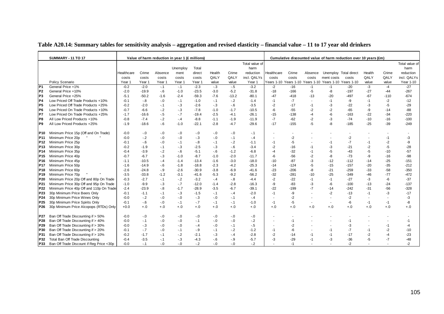| Table A20.14: Summary tables for sensitivity analysis – aggregation and revised elasticity – financial value – 11 to 17 year old drinkers |  |  |  |  |
|-------------------------------------------------------------------------------------------------------------------------------------------|--|--|--|--|
|                                                                                                                                           |  |  |  |  |

|                 | <b>SUMMARY - 11 TO 17</b>                |            |              | Value of harm reduction in year 1 (£ millions) |          |             |                 |                 |                |            |        |                          |                                                        | Cumulative discounted value of harm reduction over 10 years (£m) |        |        |                |
|-----------------|------------------------------------------|------------|--------------|------------------------------------------------|----------|-------------|-----------------|-----------------|----------------|------------|--------|--------------------------|--------------------------------------------------------|------------------------------------------------------------------|--------|--------|----------------|
|                 |                                          |            |              |                                                |          |             |                 |                 | Total value of |            |        |                          |                                                        |                                                                  |        |        | Total value of |
|                 |                                          |            |              |                                                | Unemploy | Total       |                 |                 | harm           |            |        |                          |                                                        |                                                                  |        |        | harm           |
|                 |                                          | Healthcare | Crime        | Absence                                        | ment     | direct      | Health          | Crime           | reduction      | Healthcare | Crime  | Absence                  | Unemploy Total direct                                  |                                                                  | Health | Crime  | reduction      |
|                 |                                          | costs      | costs        | costs                                          | costs    | costs       | QALY            | QALY            | incl. QALYs    | costs      | costs  | costs                    | ment costs                                             | costs                                                            | QALY   | QALY   | incl. QALYs    |
|                 | Policy Scenario                          | Year 1     | Year 1       | Year 1                                         | Year 1   | Year 1      | value           | value           | Year 1         |            |        |                          | Years 1-10 Years 1-10 Years 1-10 Years 1-10 Years 1-10 |                                                                  | value  | value  | Year 1-10      |
| P1              | General Price +1%                        | $-0.2$     | $-2.0$       | $-.1$                                          | $-.1$    | $-2.3$      | $-.3$           | $-.5$           | $-3.2$         | $-2$       | $-16$  | $-1$                     | $-1$                                                   | $-20$                                                            | $-3$   | $-4$   | $-27$          |
| P <sub>2</sub>  | General Price +10%                       | $-2.0$     | $-19.9$      | $-6$                                           | $-1.0$   | $-23.5$     | $-3.0$          | $-5.2$          | $-31.8$        | $-18$      | $-166$ | $-5$                     | -8                                                     | $-197$                                                           | $-27$  | $-44$  | $-267$         |
| P <sub>3</sub>  | General Price +25%                       | $-5.1$     | $-50.2$      | $-1.6$                                         | $-2.4$   | $-59.3$     | $-7.6$          | $-13.2$         | $-80.1$        | $-47$      | $-418$ | $-13$                    | $-20$                                                  | $-497$                                                           | $-67$  | $-110$ | $-674$         |
| P <sub>4</sub>  | Low Priced Off Trade Products +10%       | $-0.1$     | $-8$         | $-0$                                           | $-.1$    | $-1.0$      | $-.1$           | $-.2$           | $-1.4$         | $-1$       | $-7$   |                          | $-1$                                                   | -9                                                               | $-1$   | $-2$   | $-12$          |
| P5              | Low Priced Off Trade Products +25%       | $-0.2$     | $-2.0$       | $-.1$                                          | $-3$     | $-2.6$      | $-3$            | $-6$            | $-3.5$         | $-2$       | $-17$  | $-1$                     | -3                                                     | $-22$                                                            | -3     | -5     | $-29$          |
| IP6             | Low Priced On Trade Products +10%        | $-0.7$     | $-6.6$       | $-2$                                           | $-3$     | $-7.8$      | $-1.0$          | $-1.7$          | $-10.5$        | $-6$       | $-55$  | -2                       | $-2$                                                   | -65                                                              | -9     | $-14$  | -88            |
| P7              | Low Priced On Trade Products +25%        | $-1.7$     | $-16.6$      | $-.5$                                          | $-7$     | $-19.4$     | $-2.5$          | $-4.1$          | $-26.1$        | $-15$      | $-138$ | -4                       | -6                                                     | -163                                                             | $-22$  | $-34$  | $-220$         |
| P8              | All Low Priced Products +10%             | $-0.8$     | $-7.4$       | $-2$                                           | $-.4$    | $-8.8$      | $-1.1$          | $-1.9$          | $-11.9$        | $-7$       | $-62$  | $-2$                     | -3                                                     | $-74$                                                            | $-10$  | $-16$  | $-100$         |
| P9              | All Low Priced Products +25%             | $-1.9$     | $-18.6$      | $-6$                                           | $-1.0$   | $-22.1$     | $-2.8$          | $-4.7$          | $-29.6$        | $-17$      | $-155$ | -5                       | -8                                                     | $-185$                                                           | $-25$  | $-39$  | $-249$         |
|                 | Minimum Price 15p (Off and On Trade)     | $-0.0$     |              | $-0$                                           | $-0.0$   |             |                 |                 |                |            |        |                          |                                                        |                                                                  |        |        |                |
| P10.<br>P11     | Minimum Price 20p                        | $-0.0$     | $-0$<br>$-2$ | $-.0$                                          | $-0.0$   | -.0<br>$-3$ | $-.0$<br>$-0.0$ | $-0.0$<br>$-.1$ | $-1$<br>$-.4$  |            | $-2$   |                          |                                                        | $-2$                                                             |        | $-1$   | -3             |
| P12             | Minimum Price 25p                        | $-0.1$     | $-6$         | $-.0$                                          | $-.1$    | $-8$        | $-.1$           | $-2$            | $-1.1$         | -1         | $-5$   |                          | -1                                                     | $-7$                                                             | -1     | $-2$   | -9             |
| P13             | Minimum Price 30p                        | $-0.2$     | $-1.9$       | $-.1$                                          | $-3$     | $-2.5$      | $-3$            | $-6$            | $-3.4$         | $-2$       | $-16$  | -1                       | -3                                                     | $-21$                                                            | $-2$   | $-5$   | $-28$          |
| P14             | Minimum Price 35p                        | $-0.4$     | $-3.9$       | $-.2$                                          | $-6$     | $-5.1$      | $-6$            | $-1.2$          | $-6.8$         | -4         | $-32$  | $-1$                     | -5                                                     | $-43$                                                            | $-5$   | $-10$  | $-57$          |
| P <sub>15</sub> | Minimum Price 40p                        | $-0.7$     | $-6.7$       | $-.3$                                          | $-1.0$   | $-8.7$      | $-1.0$          | $-2.0$          | $-11.7$        | $-6$       | $-56$  | $-2$                     | -8                                                     | $-73$                                                            | -9     | $-16$  | $-98$          |
| P16             | Minimum Price 45p                        | $-1.1$     | $-10.5$      | $-.4$                                          | $-1.4$   | $-13.4$     | $-1.6$          | $-3.0$          | $-18.0$        | $-10$      | $-87$  | $-3$                     | $-12$                                                  | $-112$                                                           | $-14$  | $-25$  | $-151$         |
| P <sub>17</sub> | Minimum Price 50p                        | $-1.6$     | $-14.9$      | $-6$                                           | $-1.8$   | $-18.8$     | $-2.3$          | $-4.2$          | $-25.3$        | $-14$      | $-124$ | -5                       | $-15$                                                  | $-157$                                                           | $-20$  | $-35$  | $-212$         |
| P18             | Minimum Price 60p                        | $-2.6$     | $-24.8$      | $-.9$                                          | $-2.6$   | $-30.9$     | $-3.8$          | $-6.9$          | $-41.6$        | $-23$      | $-206$ | -8                       | $-21$                                                  | $-259$                                                           | $-33$  | $-58$  | $-350$         |
| P19             | Minimum Price 70p                        | $-3.5$     | $-33.8$      | $-1.2$                                         | $-3.1$   | $-41.6$     | $-5.3$          | $-9.2$          | $-56.2$        | $-32$      | $-281$ | -10                      | -25                                                    | -349                                                             | $-46$  | $-77$  | $-472$         |
| P20             | Minimum Price 20p Off and 80p On Trade   | $-0.3$     | $-2.7$       | $-1$                                           | $-2$     | $-3.2$      | -.4             | $-8$            | $-4.4$         | $-2$       | $-22$  | $-1$                     | $-1$                                                   | $-27$                                                            | -3     | -6     | $-37$          |
| P <sub>21</sub> | Minimum Price 30p Off and 95p On Trade   | $-1.0$     | $-9.9$       | $-.3$                                          | $-7$     | $-12.0$     | $-1.4$          | $-2.8$          | $-16.3$        | -9         | $-83$  | -3                       | -6                                                     | $-100$                                                           | $-13$  | $-24$  | $-137$         |
| P <sub>22</sub> | Minimum Price 40p Off and 110p On Trade  | $-2.4$     | $-23.9$      | $-8$                                           | $-1.7$   | $-28.9$     | $-3.5$          | $-6.7$          | $-39.1$        | $-22$      | $-199$ | $-7$                     | $-14$                                                  | $-242$                                                           | $-31$  | $-56$  | $-328$         |
| P <sub>23</sub> | 30p Minimum Price Beers Only             | $-0.1$     | $-1.1$       | $-.1$                                          | $-3$     | $-1.5$      | $-1$            | $-.4$           | $-2.0$         | $-1$       | -9     |                          | $-2$                                                   | $-13$                                                            | $-1$   | $-3$   | $-17$          |
| P24             | 30p Minimum Price Wines Only             | $-0.0$     | $-2$         | $-.0$                                          | $-0.0$   | $-3$        | $-0.0$          | $-.1$           | - 4            |            | $-2$   |                          |                                                        | $-2$                                                             |        |        | -3             |
| P <sub>25</sub> | 30p Minimum Price Spirits Only           | $-0.1$     | $-6$         | $-.0$                                          | $-.1$    | $-.7$       | $-.1$           | $-.1$           | $-1.0$         | $-1$       | $-5$   | $\overline{\phantom{a}}$ | $\sim$                                                 | -6                                                               | $-1$   | $-1$   | -8             |
| P26             | 30p Minimum Price Alcopops (RTDs) Only   | $+0.0$     | $+.0$        | $+.0$                                          | $+0.0$   | $+.0$       | $+.0$           | $+.0$           | $+.0$          | $+.0$      | $+.0$  | $+.0$                    | $+.0$                                                  | $+.0$                                                            | $+.0$  | $+.0$  | $+.0$          |
|                 |                                          |            |              |                                                |          |             |                 |                 |                |            |        |                          |                                                        |                                                                  |        |        |                |
| P27             | Ban Off Trade Discounting if > 50%       | $-0.0$     | $-.0$        | $-0$                                           | $-0.0$   | $-.0$       | $-0.0$          | $-0$            | $-0$           |            |        |                          |                                                        |                                                                  |        |        |                |
| P28             | Ban Off Trade Discounting if > 40%       | $-0.0$     | $-.1$        | $-0$                                           | $-0.0$   | $-1$        | $-0.0$          | $-0$            | $-.2$          |            | $-1$   |                          |                                                        | -1                                                               |        |        | -1             |
| P <sub>29</sub> | Ban Off Trade Discounting if > 30%       | $-0.0$     | $-.3$        | $-0$                                           | $-0.0$   | $-.4$       | $-0$            | $-.1$           | $-5$           |            | $-2$   |                          |                                                        | -3                                                               |        | $-1$   | -4             |
| P30             | Ban Off Trade Discounting if > 20%       | -0.1       | $-7$         | $-0$                                           | $-.1$    | $-9$        | -. 1            | $-2$            | $-1.2$         | -1         | -6     |                          | $-1$                                                   | $-7$                                                             | -1     | -2     | $-10$          |
| P31             | Ban Off Trade Discounting if > 10%       | $-0.2$     | $-1.7$       | $-.1$                                          | $-2$     | $-2.1$      | $-3$            | $-4$            | $-2.8$         | $-2$       | $-14$  | $-1$                     | $-1$                                                   | $-17$                                                            | $-2$   | $-4$   | $-23$          |
| P32             | Total Ban Off Trade Discounting          | $-0.4$     | $-3.5$       | $-.1$                                          | $-.3$    | $-4.3$      | $-6$            | $-9$            | $-5.7$         | -3         | $-29$  | $-1$                     | -3                                                     | $-36$                                                            | $-5$   | $-7$   | $-48$          |
| P33             | Ban Off Trade Discount if Reg Price <30p | $-0.0$     | $-.1$        | $-.0$                                          | $-0.0$   | $-2$        | $-0.0$          | $-0.1$          | $-.2$          |            | -1     |                          |                                                        | -2                                                               |        |        | -2             |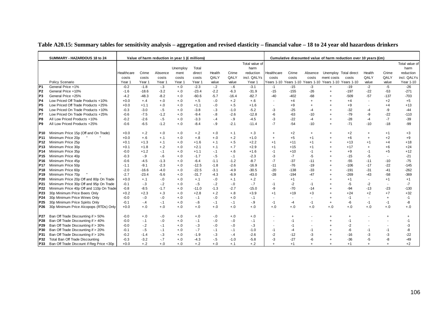|                 | SUMMARY - HAZARDOUS 18 to 24             |            |         | Value of harm reduction in year 1 (£ millions) |          |         |        |         |                |                          |        |           |                                                        | Cumulative discounted value of harm reduction over 10 years (£m) |                |                          |                |
|-----------------|------------------------------------------|------------|---------|------------------------------------------------|----------|---------|--------|---------|----------------|--------------------------|--------|-----------|--------------------------------------------------------|------------------------------------------------------------------|----------------|--------------------------|----------------|
|                 |                                          |            |         |                                                |          |         |        |         | Total value of |                          |        |           |                                                        |                                                                  |                |                          | Total value of |
|                 |                                          |            |         |                                                | Unemploy | Total   |        |         | harm           |                          |        |           |                                                        |                                                                  |                |                          | harm           |
|                 |                                          | Healthcare | Crime   | Absence                                        | ment     | direct  | Health | Crime   | reduction      | Healthcare               | Crime  | Absence   | Unemploy Total direct                                  |                                                                  | Health         | Crime                    | reduction      |
|                 |                                          | costs      | costs   | costs                                          | costs    | costs   | QALY   | QALY    | incl. QALYs    | costs                    | costs  | costs     | ment costs                                             | costs                                                            | QALY           | QALY                     | incl. QALYs    |
|                 | Policy Scenario                          | Year 1     | Year 1  | Year 1                                         | Year '   | Year 1  | value  | value   | Year 1         |                          |        |           | Years 1-10 Years 1-10 Years 1-10 Years 1-10 Years 1-10 |                                                                  | value          | value                    | Year 1-10      |
| $\overline{P1}$ | General Price +1%                        | $-0.2$     | $-1.8$  | $-3$                                           | $+.0$    | $-2.3$  | $-.2$  | $-6$    | $-3.1$         | $-1$                     | $-15$  | $-3$      | $+$                                                    | -19                                                              | $-2$           | $-5$                     | $-26$          |
| P <sub>2</sub>  | General Price +10%                       | $-1.6$     | $-18.6$ | $-3.2$                                         | $+.0$    | $-23.4$ | $-2.2$ | $-6.3$  | $-31.9$        | $-15$                    | $-155$ | $-26$     | $\ddot{}$                                              | $-197$                                                           | $-22$          | $-53$                    | $-271$         |
| P <sub>3</sub>  | General Price +25%                       | $-4.2$     | $-48.3$ | $-8.2$                                         | $+.0$    | $-60.6$ | $-5.7$ | $-16.4$ | $-82.7$        | $-40$                    | $-402$ | $-68$     |                                                        | $-509$                                                           | $-57$          | $-137$                   | $-703$         |
| P <sub>4</sub>  | Low Priced Off Trade Products +10%       | $+0.0$     | $+, 4$  | $+.0$                                          | $+.0$    | $+.5$   | $-0.0$ | $+.2$   | $+.6$          | $\blacksquare$           | $+4$   | $+$       |                                                        | $+4$                                                             |                | $+2$                     | $+5$           |
| P <sub>5</sub>  | Low Priced Off Trade Products +25%       | $+0.0$     | $+1.1$  | $+.0$                                          | $+.0$    | $+1.1$  | $-0.0$ | $+.5$   | $+1.6$         | $\overline{\phantom{a}}$ | $+9$   | $\ddot{}$ |                                                        | $+9$                                                             |                | $+4$                     | $+13$          |
| P <sub>6</sub>  | Low Priced On Trade Products +10%        | $-0.3$     | $-3.0$  | $-.5$                                          | $+.0$    | $-3.8$  | $-.3$  | $-1.0$  | $-5.2$         | -3                       | $-25$  | -4        |                                                        | $-32$                                                            | -4             | -9                       | -44            |
| P7              | Low Priced On Trade Products +25%        | $-0.6$     | $-7.5$  | $-1.2$                                         | $+.0$    | $-9.4$  | $-8$   | $-2.6$  | $-12.8$        | -6                       | $-63$  | $-10$     |                                                        | $-79$                                                            | -9             | $-22$                    | $-110$         |
| P8              | All Low Priced Products +10%             | $-0.2$     | $-2.6$  | $-5$                                           | $+.0$    | $-3.3$  | $-4$   | $-9$    | $-4.5$         | -3                       | $-22$  | $-4$      |                                                        | $-28$                                                            | $-4$           | $-7$                     | $-39$          |
| P9              | All Low Priced Products +25%             | $-0.6$     | $-6.5$  | $-1.2$                                         | $+.0$    | $-8.4$  | $-9$   | $-2.1$  | $-11.4$        | $-7$                     | $-54$  | $-10$     |                                                        | $-71$                                                            | $-10$          | $-18$                    | $-99$          |
|                 |                                          |            |         |                                                |          |         |        |         |                |                          |        |           |                                                        |                                                                  |                |                          |                |
| P10             | Minimum Price 15p (Off and On Trade)     | $+0.0$     | $+.2$   | $+.0$                                          | $+.0$    | $+.2$   | $+.0$  | $+.1$   | $+.3$          | $+$                      | $+2$   | $\ddot{}$ |                                                        | $+2$                                                             | $\overline{1}$ | $+1$                     | $+3$           |
| P <sub>11</sub> | Minimum Price 20p                        | $+0.0$     | $+.6$   | $+.1$                                          | $+.0$    | $+.8$   | $+.0$  | $+.2$   | $+1.0$         | $\ddot{}$                | $+5$   | $+1$      |                                                        | $+6$                                                             | $\ddot{}$      | $+2$                     | $+9$           |
| P <sub>12</sub> | Minimum Price 25p                        | $+0.1$     | $+1.3$  | $+.1$                                          | $+0.0$   | $+1.6$  | $+, 1$ | $+.5$   | $+2.2$         | $+1$                     | $+11$  | $+1$      |                                                        | $+13$                                                            | $+1$           | $+4$                     | $+18$          |
| P <sub>13</sub> | Minimum Price 30p                        | $+0.1$     | $+1.8$  | $+.2$                                          | $+.0$    | $+2.1$  | $+.1$  | $+.7$   | $+2.9$         | $+1$                     | $+15$  | $+1$      |                                                        | $+17$                                                            | $\ddot{}$      | $+6$                     | $+24$          |
| P14             | Minimum Price 35p                        | $-0.0$     | $+1.2$  | $-1$                                           | $+0.0$   | $+1.1$  | $-1$   | $+.6$   | $+1.6$         | $-1$                     | $+10$  | -1        |                                                        | $+9$                                                             | $-1$           | $+5$                     | $+12$          |
| P <sub>15</sub> | Minimum Price 40p                        | $-0.3$     | $-9$    | $-6$                                           | $+.0$    | $-1.7$  | $-5$   | $-1$    | $-2.3$         | -3                       | $-7$   | -5        |                                                        | $-15$                                                            | $-5$           | $\blacksquare$           | $-21$          |
| P <sub>16</sub> | Minimum Price 45p                        | $-0.6$     | $-4.5$  | $-1.3$                                         | $+.0$    | $-6.4$  | $-1.1$ | $-1.2$  | $-8.7$         | $-7$                     | $-37$  | $-11$     |                                                        | $-55$                                                            | $-11$          | $-10$                    | $-75$          |
| P <sub>17</sub> | Minimum Price 50p                        | $-1.1$     | $-9.1$  | $-2.3$                                         | $+.0$    | $-12.5$ | $-1.8$ | $-2.6$  | $-16.9$        | $-11$                    | $-76$  | $-19$     |                                                        | $-106$                                                           | $-17$          | $-22$                    | $-145$         |
| P <sub>18</sub> | Minimum Price 60p                        | $-2.0$     | $-16.6$ | $-4.0$                                         | $+.0$    | $-22.5$ | $-3.1$ | $-4.9$  | $-30.5$        | $-20$                    | $-138$ | $-33$     |                                                        | $-191$                                                           | -31            | $-41$                    | $-262$         |
| P <sub>19</sub> | Minimum Price 70p                        | $-2.7$     | $-23.4$ | $-5.6$                                         | $+.0$    | $-31.7$ | $-4.3$ | $-6.9$  | $-43.0$        | $-28$                    | $-194$ | $-47$     |                                                        | $-269$                                                           | $-43$          | $-58$                    | $-369$         |
| P <sub>20</sub> | Minimum Price 20p Off and 80p On Trade   | $+0.0$     | $+.1$   | $-.0$                                          | $+.0$    | $+.1$   | $-0.0$ | $+.1$   | $+.2$          | ۰                        | $+1$   |           |                                                        | $+1$                                                             |                | $+1$                     | $+1$           |
| P21             | Minimum Price 30p Off and 95p On Trade   | $-0.1$     | $-3$    | $-2$                                           | $+.0$    | $-5$    | $-2$   | $-0.0$  | $-7$           | $-1$                     | $-2$   | -1        |                                                        | -5                                                               | $-2$           | $\sim$                   | $-7$           |
| P <sub>22</sub> | Minimum Price 40p Off and 110p On Trade  | $-0.8$     | $-8.5$  | $-1.7$                                         | $+.0$    | $-11.0$ | $-1.3$ | $-2.7$  | $-15.0$        | -9                       | $-70$  | -14       |                                                        | -94                                                              | -13            | $-23$                    | $-130$         |
| P23             | 30p Minimum Price Beers Only             | $+0.2$     | $+2.3$  | $+.3$                                          | $+.0$    | $+2.8$  | $+.2$  | $+.8$   | $+3.9$         | $+1$                     | $+19$  | $+3$      |                                                        | $+24$                                                            | $+2$           | $+7$                     | $+32$          |
| P24             | 30p Minimum Price Wines Only             | $-0.0$     | $-0$    | $-0$                                           | $+.0$    | -.1     | $-0.0$ | $+.0$   | $-1$           | $\blacksquare$           |        |           |                                                        | -1                                                               | $\blacksquare$ | $+$                      | $-1$           |
| P <sub>25</sub> | 30p Minimum Price Spirits Only           | $-0.1$     | $-.4$   | $-1$                                           | $+.0$    | $-6$    | $-.1$  | $-.1$   | $-9$           | $-1$                     | $-4$   | $-1$      | $\ddot{}$                                              | -6                                                               | $-1$           | $-1$                     | -8             |
| P26             | 30p Minimum Price Alcopops (RTDs) Only   | $+0.0$     | $+.0$   | $+.0$                                          | $+.0$    | $+.0$   | $+.0$  | $+.0$   | $+.0$          | $+.0$                    | $+.0$  | $+.0$     | $^{+.0}$                                               | $+.0$                                                            | $+.0$          | $+.0$                    | $+.0$          |
|                 |                                          |            |         |                                                |          |         |        |         |                |                          |        |           |                                                        |                                                                  |                |                          |                |
| P27             | Ban Off Trade Discounting if > 50%       | $-0.0$     | $+.0$   | $-.0$                                          | $+.0$    | $+.0$   | $-0.0$ | $+.0$   | $+.0$          |                          |        |           |                                                        | $\ddot{}$                                                        |                | $\ddot{}$                | $\ddot{}$      |
| P28             | Ban Off Trade Discounting if > 40%       | $-0.0$     | $-1$    | $-.0$                                          | $+.0$    | $-1$    | $-0.0$ | $-0.0$  | $-.1$          | $\blacksquare$           | $-1$   |           |                                                        | $-1$                                                             |                | $\overline{\phantom{a}}$ | $-1$           |
| P29             | Ban Off Trade Discounting if > 30%       | $-0.0$     | $-2$    | $-1$                                           | $+.0$    | $-3$    | $-0.0$ | $-0.0$  | $-.3$          | $\blacksquare$           | -1     |           |                                                        | -2                                                               |                |                          | -3             |
| P30             | Ban Off Trade Discounting if > 20%       | $-0.1$     | $-.5$   | $-.1$                                          | $+.0$    | $-.7$   | -. 1   | $-.1$   | $-1.0$         | $-1$                     | -4     | -1        |                                                        | -6                                                               | -1             | $-1$                     | -8             |
| P31             | Ban Off Trade Discounting if > 10%       | $-0.2$     | $-1.4$  | $-.3$                                          | $+.0$    | $-1.9$  | $-.3$  | $-.4$   | $-2.6$         | $-2$                     | $-12$  | -3        |                                                        | $-16$                                                            | -3             | -3                       | $-22$          |
| P32             | Total Ban Off Trade Discounting          | $-0.3$     | $-3.2$  | $-.7$                                          | $+.0$    | $-4.3$  | $-5$   | $-1.0$  | $-5.8$         | -3                       | $-27$  | -6        |                                                        | $-36$                                                            | -5             | -8                       | $-49$          |
| P33             | Ban Off Trade Discount if Reg Price <30p | $+0.0$     | $+.2$   | $+.0$                                          | $+.0$    | $+.2$   | $+.0$  | $+.1$   | $+.2$          | $\ddot{}$                | $+1$   | $\ddot{}$ |                                                        | $+1$                                                             | $\ddot{}$      | $\ddot{}$                | $+2$           |

#### **Table A20.15: Summary tables for sensitivity analysis – aggregation and revised elasticity – financial value – 18 to 24 year old hazardous drinkers**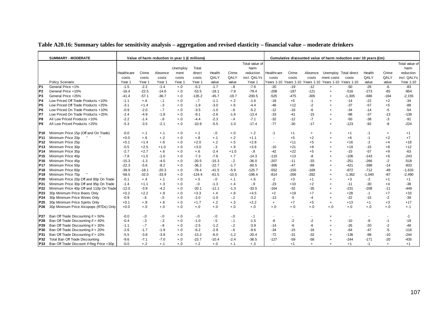| Table A20.16: Summary tables for sensitivity analysis – aggregation and revised elasticity – financial value – moderate drinkers |  |  |  |  |
|----------------------------------------------------------------------------------------------------------------------------------|--|--|--|--|
|                                                                                                                                  |  |  |  |  |

|                 | <b>SUMMARY - MODERATE</b>                |            |         | Value of harm reduction in year 1 (£ millions) |          |          |         |         |                |                          |                       |           |                       | Cumulative discounted value of harm reduction over 10 years (£m) |          |           |                |
|-----------------|------------------------------------------|------------|---------|------------------------------------------------|----------|----------|---------|---------|----------------|--------------------------|-----------------------|-----------|-----------------------|------------------------------------------------------------------|----------|-----------|----------------|
|                 |                                          |            |         |                                                |          |          |         |         | Total value of |                          |                       |           |                       |                                                                  |          |           | Total value of |
|                 |                                          |            |         |                                                | Unemploy | Total    |         |         | harm           |                          |                       |           |                       |                                                                  |          |           | harm           |
|                 |                                          | Healthcare | Crime   | Absence                                        | ment     | direct   | Health  | Crime   | reduction      | Healthcare               | Crime                 | Absence   | Unemploy Total direct |                                                                  | Health   | Crime     | reduction      |
|                 |                                          | costs      | costs   | costs                                          | costs    | costs    | QALY    | QALY    | incl. QALYs    | costs                    | costs                 | costs     | ment costs            | costs                                                            | QALY     | QALY      | incl. QALYs    |
|                 | Policy Scenario                          | Year 1     | Year 1  | Year 1                                         | Year 1   | Year 1   | value   | value   | Year 1         | Years 1-10               | Years 1-10 Years 1-10 |           | Years 1-10 Years 1-10 |                                                                  | value    | value     | Year 1-10      |
| P <sub>1</sub>  | General Price +1%                        | $-1.5$     | $-2.2$  | $-1.4$                                         | $+.0$    | $-5.2$   | $-1.7$  | $-.8$   | $-7.6$         | $-20$                    | $-19$                 | $-12$     | $+$                   | $-50$                                                            | $-26$    | -6        | $-83$          |
| P <sub>2</sub>  | General Price +10%                       | $-16.4$    | $-22.5$ | $-14.6$                                        | $+.0$    | $-53.5$  | $-18.1$ | $-7.8$  | $-79.4$        | $-208$                   | $-187$                | $-121$    | $^{+}$                | $-516$                                                           | $-273$   | $-65$     | $-854$         |
| P <sub>3</sub>  | General Price +25%                       | $-41.4$    | $-57.1$ | $-36.7$                                        | $+.0$    | $-135.2$ | $-45.7$ | $-19.7$ | $-200.5$       | $-525$                   | $-475$                | $-305$    | $\ddot{}$             | $-1,305$                                                         | $-686$   | $-164$    | $-2,155$       |
| P <sub>4</sub>  | Low Priced Off Trade Products +10%       | $-1.1$     | $+.6$   | $-.1$                                          | $+.0$    | $-.7$    | $-1.1$  | $+.2$   | $-1.6$         | $-18$                    | $+5$                  | $-1$      | $\ddot{}$             | $-14$                                                            | $-22$    | $+2$      | $-34$          |
| P5              | Low Priced Off Trade Products +25%       | $-3.1$     | $+1.4$  | $-.3$                                          | $+.0$    | $-1.9$   | $-3.0$  | $+.6$   | $-4.4$         | $-46$                    | $+12$                 | $-2$      |                       | $-37$                                                            | $-57$    | $+5$      | $-88$          |
| P <sub>6</sub>  | Low Priced On Trade Products +10%        | $-0.9$     | $-2.0$  | $-.7$                                          | $+.0$    | $-3.5$   | $-1.0$  | $-6$    | $-5.2$         | $-12$                    | $-16$                 | -6        | $\overline{1}$        | $-34$                                                            | $-14$    | $-5$      | $-54$          |
| P7              | Low Priced On Trade Products +25%        | $-2.4$     | $-4.9$  | $-1.8$                                         | $+.0$    | $-9.1$   | $-2.6$  | $-1.6$  | $-13.4$        | $-33$                    | $-41$                 | $-15$     |                       | $-88$                                                            | $-37$    | $-13$     | $-139$         |
| P8              | All Low Priced Products +10%             | $-2.2$     | $-1.4$  | $-.8$                                          | $+0.0$   | $-4.4$   | $-2.3$  | $-.4$   | $-7.1$         | $-32$                    | $-12$                 | $-7$      | $\overline{+}$        | $-50$                                                            | $-38$    | $-3$      | $-91$          |
| P9              | All Low Priced Products +25%             | $-5.3$     | $-3.5$  | $-2.1$                                         | $+.0$    | $-10.9$  | $-5.5$  | $-1.0$  | $-17.4$        | $-77$                    | $-30$                 | $-17$     | $\ddot{}$             | -123                                                             | $-92$    | -8        | $-224$         |
| P10             | Minimum Price 15p (Off and On Trade)     | $-0.0$     | $+.1$   | $+.1$                                          | $+.0$    | $+.1$    | $-0$    | $+.0$   | $+.2$          | -1                       | $+1$                  | $^{+}$    | $\ddot{}$             | $+1$                                                             | $-1$     | $\ddot{}$ | $+1$           |
| P11             | Minimum Price 20p                        | $+0.0$     | $+.6$   | $+.2$                                          | $+.0$    | $+.8$    | $+.1$   | $+.2$   | $+1.1$         | $\overline{\phantom{a}}$ | $+5$                  | $+2$      | $\ddot{}$             | $+6$                                                             | $-1$     | $+2$      | $+7$           |
| P12             | Minimum Price 25p                        | $+0.1$     | $+1.4$  | $+.6$                                          | $+.0$    | $+2.0$   | $+.2$   | $+.5$   | $+2.8$         | $\sim$                   | $+11$                 | $+5$      | $\ddot{}$             | $+16$                                                            | $-2$     | $+4$      | $+18$          |
| P13             | Minimum Price 30p                        | $-0.5$     | $+2.5$  | $+1.0$                                         | $+.0$    | $+3.0$   | $-.3$   | $+.9$   | $+3.6$         | $-10$                    | $+21$                 | $+8$      | $\overline{1}$        | $+19$                                                            | $-15$    | $+8$      | $+12$          |
| P14             | Minimum Price 35p                        | $-2.7$     | $+2.7$  | $+.6$                                          | $+.0$    | $+.6$    | $-2.4$  | $+1.0$  | $-8$           | $-42$                    | $+22$                 | $+5$      | $\ddot{}$             | $-15$                                                            | $-57$    | $+9$      | $-63$          |
| P15             | Minimum Price 40p                        | $-7.8$     | $+1.5$  | $-1.0$                                         | $+.0$    | $-7.3$   | $-7.6$  | $+.7$   | $-14.3$        | $-110$                   | $+13$                 | -8        | $\ddot{}$             | $-106$                                                           | $-143$   | $+6$      | $-243$         |
| P16             | Minimum Price 45p                        | $-15.3$    | $-1.3$  | $-4.0$                                         | $+.0$    | $-20.5$  | $-15.3$ | $-2$    | $-36.0$        | $-207$                   | $-11$                 | $-33$     | $\overline{1}$        | $-251$                                                           | $-266$   | $-2$      | $-518$         |
| P17             | Minimum Price 50p                        | $-22.3$    | $-5.6$  | $-8.2$                                         | $+.0$    | $-36.2$  | $-22.7$ | $-1.7$  | $-60.5$        | $-306$                   | $-47$                 | -69       | $\ddot{}$             | $-421$                                                           | $-398$   | $-14$     | $-833$         |
| P18             | Minimum Price 60p                        | $-39.9$    | $-18.1$ | $-20.3$                                        | $+.0$    | $-78.4$  | $-41.5$ | $-5.9$  | $-125.7$       | $-552$                   | $-150$                | $-169$    | $\ddot{}$             | $-872$                                                           | $-712$   | -49       | $-1,633$       |
| P19             | Minimum Price 70p                        | $-58.5$    | $-32.0$ | $-33.9$                                        | $+.0$    | -124.4   | $-61.5$ | $-10.5$ | $-196.4$       | $-814$                   | $-266$                | $-282$    | $\ddot{}$             | $-1,362$                                                         | $-1,040$ | $-87$     | $-2,490$       |
| P20             | Minimum Price 20p Off and 80p On Trade   | $-0.1$     | $+.4$   | $+.1$                                          | $+.0$    | $+.5$    | $-0.0$  | $+.1$   | $+.6$          | $-2$                     | $+3$                  | $+1$      | $\overline{1}$        | $+3$                                                             | $-2$     | $+1$      | $+1$           |
| P <sub>21</sub> | Minimum Price 30p Off and 95p On Trade   | $-1.4$     | $+1.1$  | $+.3$                                          | $+.0$    | $-0$     | $-1.3$  | $+.4$   | $-9$           | $-23$                    | $+10$                 | $+2$      |                       | $-11$                                                            | $-30$    | $+4$      | $-38$          |
| P22             | Minimum Price 40p Off and 110p On Trade  | $-12.0$    | $-3.9$  | $-4.2$                                         | $+0.0$   | $-20.1$  | $-12.1$ | $-1.3$  | $-33.5$        | $-164$                   | $-32$                 | $-35$     | $\overline{1}$        | $-231$                                                           | $-208$   | $-11$     | $-449$         |
| P <sub>23</sub> | 30p Minimum Price Beers Only             | $+0.2$     | $+2.2$  | $+.9$                                          | $+0.0$   | $+3.3$   | $+.4$   | $+.8$   | $+4.5$         | $+2$                     | $+19$                 | $+7$      | $\div$                | $+28$                                                            | -1       | $+7$      | $+33$          |
| P <sub>24</sub> | 30p Minimum Price Wines Only             | $-0.9$     | $-6$    | $-5$                                           | $+.0$    | $-2.0$   | $-1.0$  | $-2$    | $-3.2$         | $-13$                    | $-5$                  | -4        | $\overline{+}$        | $-22$                                                            | $-15$    | $-2$      | $-39$          |
| P <sub>25</sub> | 30p Minimum Price Spirits Only           | $+0.1$     | $+.9$   | $+.6$                                          | $+.0$    | $+1.7$   | $+.2$   | $+.3$   | $+2.2$         | $+$                      | $+7$                  | $+5$      | $^{+}$                | $+13$                                                            | $+1$     | $+3$      | $+17$          |
| P26             | 30p Minimum Price Alcopops (RTDs) Only   | $+0.0$     | $+.0$   | $+.0$                                          | $+.0$    | $+.0$    | $+.0$   | $+.0$   | $+.0$          | $+.0$                    | $+.0$                 | $+.0$     | $+.0$                 | $+.0$                                                            | $+.0$    | $+.0$     | $+, 1$         |
| P27             | Ban Off Trade Discounting if > 50%       | $-0.0$     | $-.0$   | $-0$                                           | $+.0$    | $-0.0$   | $-0$    | $-0$    | $-1$           |                          |                       |           |                       |                                                                  |          |           | $-1$           |
| P28             | Ban Off Trade Discounting if > 40%       | $-0.4$     | $-3$    | $-.3$                                          | $+.0$    | $-1.0$   | $-.5$   | $-1$    | $-1.5$         | -6                       | $-2$                  | -2        |                       | $-10$                                                            | -8       | $-1$      | $-19$          |
| P <sub>29</sub> | Ban Off Trade Discounting if > 30%       | $-1.1$     | $-.7$   | $-.8$                                          | $+.0$    | $-2.5$   | $-1.2$  | $-2$    | $-3.9$         | $-14$                    | -6                    | -6        |                       | $-26$                                                            | $-20$    | $-2$      | $-48$          |
| P30             | Ban Off Trade Discounting if > 20%       | $-2.6$     | $-1.7$  | $-1.9$                                         | $+.0$    | $-6.2$   | $-2.8$  | $-6$    | $-9.6$         | $-34$                    | $-15$                 | $-16$     |                       | -64                                                              | $-47$    | -5        | $-116$         |
| P31             | Ban Off Trade Discounting if > 10%       | $-5.5$     | $-3.8$  | $-3.9$                                         | $+.0$    | $-13.2$  | $-6.0$  | $-1.2$  | $-20.4$        | $-72$                    | $-31$                 | $-32$     |                       | -136                                                             | -98      | $-10$     | $-244$         |
| P32             | Total Ban Off Trade Discounting          | $-9.6$     | $-7.1$  | $-7.0$                                         | $+.0$    | $-23.7$  | $-10.4$ | $-2.4$  | $-36.5$        | $-127$                   | $-59$                 | $-58$     |                       | $-244$                                                           | $-171$   | $-20$     | $-435$         |
| P33             | Ban Off Trade Discount if Reg Price <30p | -0.0       | $+.2$   | $+.1$                                          | $+.0$    | $+.2$    | $+.0$   | $+.1$   | $+.3$          | $\sim$                   | $+1$                  | $\ddot{}$ | $\ddot{}$             | $+1$                                                             | $-1$     | $+$       | $+1$           |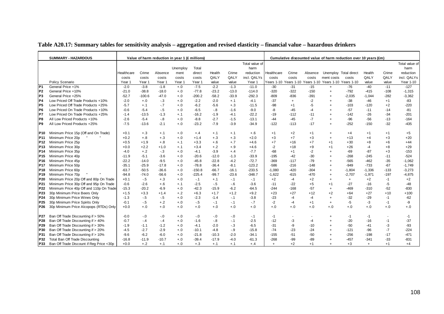| Table A20.17: Summary tables for sensitivity analysis – aggregation and revised elasticity – financial value – hazardous drinkers |  |
|-----------------------------------------------------------------------------------------------------------------------------------|--|
|-----------------------------------------------------------------------------------------------------------------------------------|--|

|                 | <b>SUMMARY - HAZARDOUS</b>               |            |          | Value of harm reduction in year 1 (£ millions) |          |          |         |         |                |            |           |         | Cumulative discounted value of harm reduction over 10 years (£m) |           |          |                          |                |
|-----------------|------------------------------------------|------------|----------|------------------------------------------------|----------|----------|---------|---------|----------------|------------|-----------|---------|------------------------------------------------------------------|-----------|----------|--------------------------|----------------|
|                 |                                          |            |          |                                                |          |          |         |         | Total value of |            |           |         |                                                                  |           |          |                          | Total value of |
|                 |                                          |            |          |                                                | Unemploy | Total    |         |         | harm           |            |           |         |                                                                  |           |          |                          | harm           |
|                 |                                          | Healthcare | Crime    | Absence                                        | ment     | direct   | Health  | Crime   | reduction      | Healthcare | Crime     | Absence | Unemploy Total direct                                            |           | Health   | Crime                    | reduction      |
|                 |                                          | costs      | costs    | costs                                          | costs    | costs    | QALY    | QALY    | incl. QALYs    | costs      | costs     | costs   | ment costs                                                       | costs     | QALY     | QALY                     | incl. QALYs    |
|                 | Policy Scenario                          | Year 1     | Year 1   | Year 1                                         | Year 1   | Year 1   | value   | value   | Year 1         | Years 1-10 |           |         | Years 1-10 Years 1-10 Years 1-10 Years 1-10                      |           | value    | value                    | Year 1-10      |
| P <sub>1</sub>  | General Price +1%                        | $-2.0$     | $-3.8$   | $-1.8$                                         | $+.0$    | $-7.5$   | $-2.2$  | $-1.3$  | $-11.0$        | $-30$      | $-31$     | $-15$   | $\ddot{}$                                                        | $-76$     | $-40$    | $-11$                    | $-127$         |
| IP <sub>2</sub> | General Price +10%                       | $-21.0$    | $-38.8$  | $-18.0$                                        | $+.0$    | $-77.8$  | $-23.2$ | $-13.0$ | $-114.0$       | $-320$     | $-322$    | $-150$  | $+$                                                              | $-792$    | $-415$   | $-108$                   | $-1,315$       |
| lP3             | General Price +25%                       | $-52.7$    | $-100.6$ | $-47.0$                                        | $+.0$    | $-200.2$ | $-58.2$ | $-33.9$ | $-292.3$       | $-809$     | $-836$    | $-391$  |                                                                  | $-2,035$  | $-1,044$ | $-282$                   | $-3,362$       |
| P4              | Low Priced Off Trade Products +10%       | $-2.0$     | $+.0$    | $-3$                                           | $+.0$    | $-2.2$   | $-2.0$  | $+.1$   | $-4.1$         | $-37$      | $\ddot{}$ | $-2$    |                                                                  | $-38$     | $-46$    | $+1$                     | $-83$          |
| IP <sub>5</sub> | Low Priced Off Trade Products +25%       | $-5.7$     | $+.1$    | $-7$                                           | $+.0$    | $-6.2$   | $-5.6$  | $+.3$   | $-11.5$        | $-98$      | $+1$      | -5      |                                                                  | $-103$    | $-120$   | $+2$                     | $-220$         |
| IP6             | Low Priced On Trade Products +10%        | $-0.6$     | $-5.4$   | $-5$                                           | $+.0$    | -6.5     | $-8$    | $-1.6$  | $-9.0$         | -8         | -45       | $-4$    |                                                                  | $-57$     | $-11$    | $-14$                    | $-81$          |
| lP7             | Low Priced On Trade Products +25%        | $-1.4$     | $-13.5$  | $-1.3$                                         | $+.1$    | $-16.2$  | $-1.9$  | $-4.1$  | $-22.2$        | $-19$      | $-112$    | $-11$   |                                                                  | $-142$    | $-26$    | $-34$                    | $-201$         |
| P8              | All Low Priced Products +10%             | $-2.6$     | $-5.4$   | $-8$                                           | $+.0$    | $-8.8$   | $-2.7$  | $-1.5$  | $-13.1$        | $-44$      | $-45$     | $-7$    |                                                                  | $-96$     | $-56$    | $-13$                    | $-164$         |
| P9              | All Low Priced Products +25%             | $-7.5$     | $-13.6$  | $-2.1$                                         | $+.0$    | $-23.2$  | $-7.9$  | $-3.9$  | $-34.9$        | $-122$     | $-113$    | $-17$   | $\overline{+}$                                                   | $-252$    | $-150$   | $-32$                    | $-435$         |
| <b>P10</b>      | Minimum Price 15p (Off and On Trade)     | $+0.1$     | $+.3$    | $+.1$                                          | $+.0$    | $+.4$    | $+.1$   | $+.1$   | $+.6$          | $+1$       | $+2$      | $+1$    | $\overline{+}$                                                   | $+4$      | $+1$     | $+1$                     | $+5$           |
| P <sub>11</sub> | Minimum Price 20p                        | $+0.2$     | $+.8$    | $+.3$                                          | $+.0$    | $+1.4$   | $+.3$   | $+.3$   | $+2.0$         | $+3$       | $+7$      | $+3$    | $\overline{+}$                                                   | $+13$     | $+4$     | $+3$                     | $+20$          |
| P <sub>12</sub> | Minimum Price 25p                        | $+0.5$     | $+1.9$   | $+.8$                                          | $+.1$    | $+3.3$   | $+.6$   | $+.7$   | $+4.6$         | $+7$       | $+16$     | $+7$    | $+1$                                                             | $+30$     | $+8$     | $+6$                     | $+44$          |
| P <sub>13</sub> | Minimum Price 30p                        | $+0.0$     | $+2.2$   | $+1.0$                                         | $+.1$    | $+3.4$   | $+.2$   | $+.9$   | $+4.6$         | $-2$       | $+18$     | $+9$    | $+1$                                                             | +26       | $-4$     | $+8$                     | $+29$          |
| P <sub>14</sub> | Minimum Price 35p                        | $-4.0$     | $+.2$    | $-3$                                           | $+.0$    | $-4.1$   | $-3.9$  | $+.4$   | $-7.7$         | $-68$      | $+1$      | $-2$    | $\overline{+}$                                                   | $-69$     | $-87$    | $+3$                     | $-153$         |
| P <sub>15</sub> | Minimum Price 40p                        | $-11.9$    | $-5.1$   | $-3.6$                                         | $+.0$    | $-20.6$  | $-12.0$ | $-1.3$  | $-33.9$        | $-195$     | $-42$     | $-30$   |                                                                  | $-268$    | $-245$   | $-11$                    | $-524$         |
| P <sub>16</sub> | Minimum Price 45p                        | $-22.2$    | $-14.0$  | $-9.5$                                         | $+.0$    | $-45.8$  | $-22.8$ | $-4.2$  | $-72.7$        | $-369$     | $-117$    | $-79$   | $\ddot{}$                                                        | $-565$    | $-462$   | $-35$                    | $-1,062$       |
| P <sub>17</sub> | Minimum Price 50p                        | $-35.1$    | $-25.9$  | $-17.8$                                        | $+.0$    | $-78.8$  | $-36.4$ | $-8.1$  | $-123.2$       | $-586$     | $-216$    | $-148$  | $\overline{+}$                                                   | -949      | $-733$   | $-67$                    | $-1,749$       |
| P <sub>18</sub> | Minimum Price 60p                        | $-63.7$    | $-50.5$  | $-36.6$                                        | $+.0$    | $-150.8$ | $-66.7$ | $-16.1$ | $-233.5$       | $-1.080$   | $-420$    | $-304$  | $\overline{+}$                                                   | $-1,804$  | $-1,336$ | $-133$                   | $-3,273$       |
| P <sub>19</sub> | Minimum Price 70p                        | $-94.8$    | $-74.0$  | $-56.6$                                        | $+.0$    | $-225.4$ | $-99.7$ | $-23.6$ | $-348.7$       | $-1,622$   | $-615$    | -470    | $\overline{+}$                                                   | $-2,707$  | $-1,971$ | $-197$                   | $-4,875$       |
| P20             | Minimum Price 20p Off and 80p On Trade   | $+0.1$     | $-.5$    | $+.3$                                          | $+.0$    | $-1$     | $+.1$   | $-.1$   | $-.1$          | $+2$       | $-4$      | $+2$    | $\overline{+}$                                                   | $\ddot{}$ | $+2$     | $-1$                     | $+2$           |
| P21             | Minimum Price 30p Off and 95p On Trade   | $-0.6$     | $-2.6$   | $+.6$                                          | $+.1$    | $-2.5$   | $-5$    | $-6$    | $-3.6$         | $-11$      | $-22$     | $+5$    | $+1$                                                             | $-27$     | $-16$    | -5                       | $-48$          |
| P <sub>22</sub> | Minimum Price 40p Off and 110p On Trade  | $-15.3$    | $-20.2$  | $-6.9$                                         | $+.0$    | $-42.3$  | $-15.9$ | $-6.2$  | $-64.5$        | $-244$     | $-168$    | $-57$   | $\overline{+}$                                                   | -469      | $-310$   | $-52$                    | $-830$         |
| P23             | 30p Minimum Price Beers Only             | $+1.5$     | $+3.3$   | $+1.4$                                         | $+.2$    | $+6.3$   | $+1.7$  | $+1.2$  | $+9.2$         | $+23$      | $+27$     | $+12$   | $+2$                                                             | $+64$     | $+27$    | $+10$                    | $+100$         |
| P24             | 30p Minimum Price Wines Only             | $-1.3$     | $-.5$    | $-.5$                                          | $+.0$    | $-2.3$   | $-1.4$  | $-.1$   | $-3.8$         | $-23$      | $-4$      | $-4$    |                                                                  | $-32$     | $-29$    | $-1$                     | $-62$          |
| P <sub>25</sub> | 30p Minimum Price Spirits Only           | $-0.1$     | $-.5$    | $+.2$                                          | $+.0$    | $-5$     | $-.1$   | $-.1$   | $-7$           | $-2$       | $-4$      | $+1$    | $^{+}$                                                           | -5        | -3       | $-1$                     | -9             |
| P <sub>26</sub> | 30p Minimum Price Alcopops (RTDs) Only   | $+0.0$     | $+.0$    | $+.0$                                          | $+.0$    | $+.0$    | $+.0$   | $+.0$   | $+.0$          | $+.0$      | $+.0$     | $+.0$   | $+.0$                                                            | $+.0$     | $+.0$    | $+.0$                    | $+.0$          |
| P27             | Ban Off Trade Discounting if > 50%       | $-0.0$     | $-.0$    | $-0$                                           | $+.0$    | $-0$     | $-0.0$  | $-0$    | $-.1$          | $-1$       |           |         |                                                                  | -1        | $-1$     | $\overline{\phantom{a}}$ | $-1$           |
| P28             | Ban Off Trade Discounting if > 40%       | $-0.7$     | $-.4$    | $-.4$                                          | $+.0$    | $-1.6$   | $-8$    | $-.1$   | $-2.5$         | $-12$      | -3        | -4      |                                                                  | $-20$     | $-16$    | $-1$                     | $-37$          |
| P <sub>29</sub> | Ban Off Trade Discounting if > 30%       | $-1.9$     | $-1.1$   | $-1.2$                                         | $+.0$    | $-4.1$   | $-2.0$  | $-3$    | $-6.5$         | $-31$      | $-9$      | $-10$   |                                                                  | $-50$     | $-41$    | $-3$                     | $-93$          |
| P30             | Ban Off Trade Discounting if > 20%       | $-4.5$     | $-2.7$   | $-2.9$                                         | $+.0$    | $-10.1$  | $-4.8$  | $-9$    | $-15.8$        | $-74$      | $-23$     | $-24$   |                                                                  | $-121$    | -96      | $-7$                     | $-224$         |
| P31             | Ban Off Trade Discounting if > 10%       | $-9.6$     | $-6.2$   | $-6.0$                                         | $+.0$    | $-21.8$  | $-10.3$ | $-2.0$  | $-34.1$        | $-155$     | $-51$     | $-50$   |                                                                  | $-256$    | $-198$   | $-17$                    | $-471$         |
| P32             | Total Ban Off Trade Discounting          | $-16.8$    | $-11.9$  | $-10.7$                                        | $+.0$    | $-39.4$  | $-17.9$ | $-4.0$  | $-61.3$        | $-268$     | -99       | -89     |                                                                  | $-457$    | $-341$   | $-33$                    | $-831$         |
| P33             | Ban Off Trade Discount if Reg Price <30p | $+0.0$     | $+.2$    | $+.1$                                          | $+.0$    | $+.3$    | $+.1$   | $+.1$   | $+.4$          | $+$        | $+2$      | $+1$    | $\ddot{}$                                                        | $+3$      | $+$      | $+1$                     | $+4$           |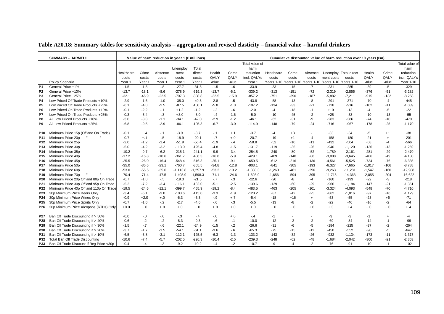| Table A20.18: Summary tables for sensitivity analysis – aggregation and revised elasticity – financial value – harmful drinkers |  |  |  |  |
|---------------------------------------------------------------------------------------------------------------------------------|--|--|--|--|
|                                                                                                                                 |  |  |  |  |

|                 | <b>SUMMARY - HARMFUL</b>                                                 |                  |                | Value of harm reduction in year 1 (£ millions) |                   |                   |                |              |                    |                |            |              |                                                        | Cumulative discounted value of harm reduction over 10 years (£m) |                |              |                        |
|-----------------|--------------------------------------------------------------------------|------------------|----------------|------------------------------------------------|-------------------|-------------------|----------------|--------------|--------------------|----------------|------------|--------------|--------------------------------------------------------|------------------------------------------------------------------|----------------|--------------|------------------------|
|                 |                                                                          |                  |                |                                                |                   |                   |                |              | Total value of     |                |            |              |                                                        |                                                                  |                |              |                        |
|                 |                                                                          |                  |                |                                                |                   | Total             |                |              | harm               |                |            |              |                                                        |                                                                  |                |              | Total value of<br>harm |
|                 |                                                                          | Healthcare       | Crime          | Absence                                        | Unemploy<br>ment  | direct            | Health         | Crime        | reduction          | Healthcare     | Crime      | Absence      | Unemploy Total direct                                  |                                                                  | Health         | Crime        | reduction              |
|                 |                                                                          | costs            | costs          | costs                                          | costs             | costs             | QALY           | QALY         | incl. QALYs        | costs          | costs      | costs        | ment costs                                             | costs                                                            | QALY           | QALY         | incl. QALYs            |
|                 | Policy Scenario                                                          | Year 1           | Year 1         | Year 1                                         | Year 1            | Year 1            | value          | value        | Year 1             |                |            |              | Years 1-10 Years 1-10 Years 1-10 Years 1-10 Years 1-10 |                                                                  | value          | value        | Year 1-10              |
| IP <sub>1</sub> | General Price +1%                                                        | $-1.5$           | $-1.8$         | $-8$                                           | $-27.7$           | $-31.8$           | $-1.5$         | $-6$         | $-33.9$            | $-33$          | $-15$      | $-7$         | $-231$                                                 | $-285$                                                           | $-39$          | $-5$         | $-329$                 |
| P <sub>2</sub>  | General Price +10%                                                       | $-13.7$          | $-18.1$        | $-8.6$                                         | $-278.9$          | $-319.3$          | $-13.7$        | $-6.1$       | $-339.2$           | $-313$         | $-151$     | $-72$        | $-2,319$                                               | $-2,855$                                                         | $-376$         | $-51$        | $-3,282$               |
| P <sub>3</sub>  | General Price +25%                                                       | $-32.1$          | $-46.9$        | $-22.5$                                        | $-707.3$          | $-808.8$          | $-32.5$        | $-15.9$      | $-857.2$           | $-751$         | $-390$     | $-187$       | $-5,882$                                               | $-7,211$                                                         | $-915$         | $-132$       | $-8,258$               |
| P <sub>4</sub>  | Low Priced Off Trade Products +10%                                       | $-2.9$           | $-1.6$         | $-1.0$                                         | $-35.0$           | $-40.5$           | $-2.8$         | $-.5$        | $-43.8$            | $-58$          | $-13$      | -8           | $-291$                                                 | $-371$                                                           | $-70$          | $-4$         | $-445$                 |
| P5              | Low Priced Off Trade Products +25%                                       | $-6.1$           | $-4.0$         | $-2.5$                                         | $-87.5$           | $-100.1$          | $-5.8$         | $-1.3$       | $-107.2$           | $-134$         | $-33$      | $-21$        | $-728$                                                 | $-916$                                                           | $-162$         | $-11$        | $-1,089$               |
| IP6             | Low Priced On Trade Products +10%                                        | -0.1             | $-2.2$         | $-.1$                                          | $+1.2$            | $-1.2$            | $-2$           | $-6$         | $-2.0$             | -4             | -18        | $-1$         | $+10$                                                  | $-13$                                                            | -4             | -5           | $-22$                  |
| P7              | Low Priced On Trade Products +25%                                        | $-0.3$           | $-5.4$         | $-.3$                                          | $+3.0$            | $-3.0$            | $-.4$          | $-1.6$       | $-5.0$             | $-10$          | $-45$      | $-2$         | $+25$                                                  | $-33$                                                            | $-10$          | $-13$        | $-55$                  |
| P8              | All Low Priced Products +10%                                             | $-3.0$           | $-3.8$         | $-1.1$                                         | $-34.1$           | $-42.0$           | $-2.9$         | $-1.2$       | $-46.1$            | $-62$          | $-31$      | -9           | $-283$                                                 | $-386$                                                           | $-74$          | $-10$        | $-470$                 |
| P9              | All Low Priced Products +25%                                             | $-6.8$           | $-9.5$         | $-2.9$                                         | $-86.1$           | $-105.3$          | $-6.7$         | $-3.0$       | $-114.9$           | $-148$         | $-79$      | $-24$        | $-716$                                                 | -967                                                             | $-178$         | $-25$        | $-1,170$               |
|                 |                                                                          |                  |                |                                                |                   |                   |                |              |                    |                |            |              |                                                        |                                                                  |                |              |                        |
| P10.            | Minimum Price 15p (Off and On Trade)                                     | $-0.1$           | $+.4$          | $-.1$                                          | $-3.9$            | $-3.7$            | $-.1$          | $+.1$        | $-3.7$             | -4             | $+3$       |              | -33                                                    | $-34$                                                            | -5             | $+1$         | $-38$                  |
| P11             | Minimum Price 20p                                                        | $-0.7$           | $+.1$          | $-.5$                                          | $-18.9$           | $-20.1$           | $-.7$          | $+.0$        | $-20.7$            | $-19$          | $+1$       | $-4$         | $-158$                                                 | $-180$                                                           | $-21$          | $\ddot{}$    | $-201$                 |
| P12             | Minimum Price 25p                                                        | $-2.0$           | $-1.2$         | $-1.4$                                         | $-51.9$           | $-56.4$           | $-1.9$         | $-.4$        | $-58.8$            | $-52$          | $-10$      | $-11$        | $-432$                                                 | $-504$                                                           | $-58$          | -4           | $-566$                 |
| P13             | Minimum Price 30p                                                        | $-5.0$           | $-4.2$         | $-3.2$                                         | $-113.0$          | $-125.4$          | $-4.8$         | $-1.5$       | $-131.7$           | $-119$         | $-35$      | -26          | $-940$                                                 | $-1,120$                                                         | $-136$         | $-13$        | $-1,269$               |
| P14             | Minimum Price 35p                                                        | $-10.2$          | $-9.7$         | $-6.2$                                         | $-215.1$          | $-241.1$          | $-9.9$         | $-3.4$       | $-254.5$           | $-240$         | $-80$      | $-52$        | $-1,789$                                               | $-2,161$                                                         | -281           | $-29$        | $-2,470$               |
| P <sub>15</sub> | Minimum Price 40p                                                        | $-17.2$          | $-16.8$        | $-10.6$                                        | $-361.7$          | $-406.3$          | $-16.8$        | $-5.9$       | $-429.1$           | $-409$         | $-140$     | $-88$        | $-3,008$                                               | $-3,645$                                                         | $-486$         | $-49$        | $-4,180$               |
| P16             | Minimum Price 45p                                                        | $-25.5$          | $-26.0$        | $-16.4$                                        | $-548.4$          | $-616.3$          | $-25.1$        | $-9.1$       | $-650.5$           | $-612$         | $-216$     | $-136$       | $-4,561$                                               | $-5,525$                                                         | $-734$         | $-76$        | $-6,335$               |
| P17             | Minimum Price 50p                                                        | $-35.0$          | $-36.6$        | $-23.1$                                        | $-760.7$          | $-855.5$          | $-34.8$        | $-12.8$      | $-903.1$           | $-841$         | $-305$     | $-193$       | $-6,327$                                               | $-7.665$                                                         | $-1.017$       | $-106$       | $-8,788$               |
| P18             | Minimum Price 60p                                                        | $-53.0$          | $-55.5$        | $-35.6$                                        | $-1.113.8$        | $-1,257.9$        | $-53.2$        | $-19.2$      | $-1,330.3$         | $-1,260$       | $-461$     | $-296$       | $-9,263$                                               | $-11,281$                                                        | $-1,547$       | $-160$       | $-12,988$              |
| P19             | Minimum Price 70p                                                        | -70.4            | $-71.4$        | $-47.5$                                        | $-1,408.9$        | $-1,598.3$        | $-71.1$        | $-24.6$      | $-1,693.9$         | $-1,656$       | $-594$     | $-395$       | $-11,718$                                              | $-14,363$                                                        | $-2,055$       | $-204$       | $-16,622$              |
| P20             | Minimum Price 20p Off and 80p On Trade                                   | $-0.7$           | $-1.0$         | $-.5$                                          | $-19.3$           | $-21.5$           | $-7$           | $-3$         | $-22.6$            | $-20$          | -8         | $-4$         | $-160$                                                 | $-193$                                                           | $-22$          | -3           | $-218$                 |
| P <sub>21</sub> | Minimum Price 30p Off and 95p On Trade                                   | $-5.2$           | $-7.2$         | $-3.4$                                         | $-116.1$          | $-132.0$          | $-5.1$         | $-2.5$       | $-139.6$           | $-129$         | -60        | -29          | -966                                                   | $-1,184$                                                         | $-147$         | $-21$        | $-1,351$               |
| P22             | Minimum Price 40p Off and 110p On Trade                                  | $-19.5$          | $-24.6$        | $-12.1$                                        | $-399.7$          | $-455.9$          | $-19.2$        | $-8.4$       | $-483.5$           | $-463$         | $-205$     | $-101$       | $-3,324$                                               | $-4,093$                                                         | $-548$         | $-70$        | $-4,710$               |
| P <sub>23</sub> | 30p Minimum Price Beers Only                                             | $-3.4$           | $-5.1$         | $-3.0$                                         | -103.6            | $-115.0$          | $-3.3$         | $-1.9$       | $-120.2$           | $-87$          | $-42$      | $-25$        | $-862$                                                 | -1,016                                                           | $-97$          | $-16$        | $-1,129$               |
| P24             | 30p Minimum Price Wines Only                                             | $-0.9$           | $+2.0$         | $+.0$                                          | $-6.3$            | $-5.3$            | $-9$           | $+.7$        | $-5.4$             | $-18$          | $+16$      | $\ddot{}$    | $-53$                                                  | $-55$                                                            | $-23$          | $+6$         | $-71$                  |
| P25             | 30p Minimum Price Spirits Only                                           | $-0.7$           | $-1.0$         | $-.2$                                          | $-2.7$            | $-4.6$            | $-6$           | $-3$         | $-5.5$             | $-13$          | -8         | $-2$         | $-22$                                                  | $-46$                                                            | $-16$          | $-2$         | $-64$                  |
| P26             | 30p Minimum Price Alcopops (RTDs) Only                                   | $+0.0$           | $+.0$          | $+.0$                                          | $+.0$             | $+.0$             | $+.0$          | $+.0$        | $+.0$              | $+.0$          | $+.0$      | $+.0$        | $+.3$                                                  | $+, 4$                                                           | $+.0$          | $+.0$        | $+.4$                  |
|                 |                                                                          | $-0.0$           |                |                                                |                   |                   |                |              |                    |                |            |              |                                                        |                                                                  |                |              |                        |
| P27             | Ban Off Trade Discounting if > 50%                                       |                  | $-0$           | $-0$                                           | $-3$              | $-4$              | $-0.0$         | $+.0$        | - 4                | -1             |            |              | $-3$                                                   | $-3$                                                             | $-1$           | $\ddot{}$    | -4                     |
| <b>P28</b>      | Ban Off Trade Discounting if > 40%<br>Ban Off Trade Discounting if > 30% | $-0.6$<br>$-1.5$ | $-.2$<br>$-.7$ | $-2$<br>$-6$                                   | $-8.3$<br>$-22.1$ | $-9.3$<br>$-24.9$ | $-6$<br>$-1.5$ | $-1$<br>$-2$ | $-10.0$<br>$-26.6$ | $-12$<br>$-31$ | $-2$<br>-6 | $-2$<br>$-5$ | -69<br>$-184$                                          | $-84$<br>$-225$                                                  | $-14$<br>$-37$ | $-1$<br>$-2$ | $-99$<br>$-264$        |
| P29             | Ban Off Trade Discounting if > 20%                                       | $-3.7$           | $-1.7$         | $-1.5$                                         | $-54.1$           | $-61.1$           | $-3.6$         | $-6$         | $-65.3$            | $-75$          | $-15$      | $-12$        | $-450$                                                 | $-552$                                                           | $-90$          | -5           | $-647$                 |
| P30<br>P31      | Ban Off Trade Discounting if > 10%                                       | $-6.5$           | $-3.8$         | $-3.1$                                         | $-112.1$          | $-125.5$          | $-6.3$         | $-1.3$       | $-133.2$           | $-143$         | $-32$      | $-26$        | -932                                                   | $-1,134$                                                         | $-173$         | $-11$        | $-1,317$               |
| P32             | Total Ban Off Trade Discounting                                          | $-10.6$          | $-7.4$         | $-5.7$                                         | $-202.5$          | $-226.3$          | $-10.4$        | $-2.5$       | $-239.3$           | $-248$         | $-62$      | $-48$        | $-1,684$                                               | $-2,042$                                                         | $-300$         | $-21$        | $-2,363$               |
| P33             | Ban Off Trade Discount if Reg Price <30p                                 | $-0.4$           | $-.4$          | $-.3$                                          | $-9.2$            | $-10.2$           | $-.4$          | $-2$         | $-10.7$            | -9             | -4         | $-2$         | $-76$                                                  | -91                                                              | $-10$          | $-1$         | $-102$                 |
|                 |                                                                          |                  |                |                                                |                   |                   |                |              |                    |                |            |              |                                                        |                                                                  |                |              |                        |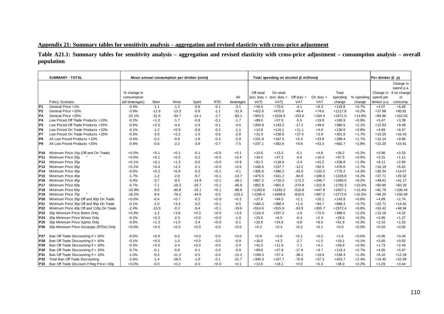#### **Appendix 21: Summary tables for sensitivity analysis – aggregation and revised elasticity with cross-price adjustment**

**Table A21.1: Summary tables for sensitivity analysis – aggregation and revised elasticity with cross-price adjustment – consumption analysis – overall population** 

|                 | <b>SUMMARY - TOTAL</b>                   |                 |         |         | Mean annual consumption per drinker (units) |            |           |                 | Total spending on alcohol (£ millions) |          |             |           |            | Per drinker (£ p) |              |
|-----------------|------------------------------------------|-----------------|---------|---------|---------------------------------------------|------------|-----------|-----------------|----------------------------------------|----------|-------------|-----------|------------|-------------------|--------------|
|                 |                                          |                 |         |         |                                             |            |           |                 |                                        |          |             |           |            |                   | Change in    |
|                 |                                          |                 |         |         |                                             |            |           |                 |                                        |          |             |           |            |                   | spend p.a.   |
|                 |                                          | % change in     |         |         |                                             |            |           | Off retail      | On retail                              |          |             | Total     |            | Change in         | if no change |
|                 |                                          | consumption     |         |         |                                             |            | All       |                 | (exc duty + (exc duty + $Off$ duty +   |          | On duty $+$ | spending  | % spending | spend per         | in           |
|                 | Policy Scenario                          | (all beverages) | Beer    | Wine    | Spirit                                      | <b>RTD</b> | beverages | VA <sub>T</sub> | VAT)                                   | VAT      | VAT         | change    | change     | drinker p.a.      | consump.     |
| P <sub>1</sub>  | General Price +1%                        | $-0.4%$         | $-1.1$  | $-1.3$  | $-0.6$                                      | $-0.1$     | $-3.1$    | $+45.0$         | $+70.6$                                | $-4.1$   | $+8.3$      | $+119.8$  | $+0.7%$    | $+4.07$           | $+6.08$      |
| P <sub>2</sub>  | General Price +10%                       | $-3.9%$         | $-11.9$ | $-13.3$ | $-5.6$                                      | $-1.1$     | $-31.9$   | $+422.6$        | $+670.0$                               | $-49.4$  | $+74.6$     | $+1117.8$ | $+6.2%$    | $+37.98$          | $+60.81$     |
| P <sub>3</sub>  | General Price +25%                       | $-10.1%$        | $-31.6$ | $-34.7$ | $-14.1$                                     | $-2.7$     | $-83.1$   | $+943.5$        | $+1526.6$                              | $-153.6$ | $+154.4$    | $+2471.0$ | $+13.8%$   | $+83.96$          | $+152.03$    |
| P <sub>4</sub>  | Low Priced Off Trade Products +10%       | $-0.2%$         | $+1.0$  | $-1.7$  | $-0.9$                                      | $-0.1$     | $-1.7$    | $+89.0$         | $+57.5$                                | $-5.5$   | $+19.9$     | $+160.9$  | $+0.9%$    | $+5.47$           | $+3.39$      |
| P <sub>5</sub>  | Low Priced Off Trade Products +25%       | $-0.5%$         | $+2.5$  | $-4.4$  | $-2.4$                                      | $-0.1$     | $-4.5$    | $+204.9$        | $+143.2$                               | $-17.2$  | $+49.6$     | $+380.5$  | $+2.1%$    | $+12.93$          | $+8.48$      |
| P <sub>6</sub>  | Low Priced On Trade Products +10%        | $-0.1%$         | $-1.2$  | $+0.9$  | $-0.6$                                      | $-0.2$     | $-1.1$    | $+12.8$         | $+110.1$                               | $+11.1$  | $+4.0$      | $+138.0$  | $+0.8%$    | $+4.69$           | $+6.57$      |
| P7              | Low Priced On Trade Products +25%        | $-0.3%$         | $-3.0$  | $+2.2$  | $-1.5$                                      | $-0.6$     | $-2.8$    | $+31.9$         | $+238.6$                               | $+27.4$  | $+3.9$      | $+301.8$  | $+1.7%$    | $+10.25$          | $+16.43$     |
| P8              | All Low Priced Products +10%             | $-0.4%$         | $-0.2$  | $-0.8$  | $-1.6$                                      | $-0.3$     | $-2.9$    | $+101.8$        | $+167.5$                               | $+5.4$   | $+23.8$     | $+298.4$  | $+1.7%$    | $+10.14$          | $+9.96$      |
| P <sub>9</sub>  | All Low Priced Products +25%             | $-0.9%$         | $-0.6$  | $-2.2$  | $-3.9$                                      | $-0.7$     | $-7.5$    | $+237.1$        | $+382.6$                               | $+9.8$   | $+53.3$     | $+682.7$  | $+3.8%$    | $+23.20$          | $+24.91$     |
|                 |                                          |                 |         |         |                                             |            |           |                 |                                        |          |             |           |            |                   |              |
| P10             | Minimum Price 15p (Off and On Trade)     | $+0.0%$         | $+0.1$  | $+0.1$  | $-0.1$                                      | $+0.0$     | $+0.1$    | $+10.6$         | $+13.2$                                | $-0.1$   | $+4.6$      | $+28.2$   | $+0.2%$    | $+0.96$           | $+0.33$      |
| <b>P11</b>      | Minimum Price 20p                        | $+0.0%$         | $+0.1$  | $+0.5$  | $-0.2$                                      | $+0.0$     | $+0.4$    | $+34.5$         | $+47.2$                                | $-0.6$   | $+16.4$     | $+97.5$   | $+0.5%$    | $+3.31$           | $+1.11$      |
| P12             | Minimum Price 25p                        | $+0.1%$         | $+0.1$  | $+1.3$  | $-0.5$                                      | $+0.0$     | $+0.9$    | $+81.3$         | $+118.6$                               | $-2.4$   | $+41.2$     | $+238.8$  | $+1.3%$    | $+8.11$           | $+2.80$      |
| <b>P13</b>      | Minimum Price 30p                        | $+0.1%$         | $+0.4$  | $+2.2$  | $-2.1$                                      | $+0.0$     | $+0.6$    | $+168.6$        | $+237.7$                               | $-12.2$  | $+82.5$     | $+476.6$  | $+2.7%$    | $+16.19$          | $+6.62$      |
| P14             | Minimum Price 35p                        | $-0.5%$         | $+0.2$  | $+0.9$  | $-5.3$                                      | $+0.1$     | $-4.1$    | $+305.0$        | $+380.2$                               | $-42.0$  | $+132.0$    | $+775.2$  | $+4.3%$    | $+26.34$          | $+14.07$     |
| P15             | Minimum Price 40p                        | $-1.7%$         | $-1.2$  | $-2.9$  | $-9.7$                                      | $+0.1$     | $-13.7$   | $+475.5$        | $+541.2$                               | $-94.9$  | $+188.0$    | $+1109.8$ | $+6.2%$    | $+37.71$          | $+25.52$     |
| P <sub>16</sub> | Minimum Price 45p                        | $-3.4%$         | $-3.7$  | $-9.5$  | $-14.9$                                     | $+0.1$     | $-28.1$   | $+667.2$        | $+716.3$                               | $-172.2$ | $+248.7$    | $+1460.0$ | $+8.2%$    | $+49.61$          | $+41.17$     |
| <b>P17</b>      | Minimum Price 50p                        | $-5.7%$         | $-7.1$  | $-19.3$ | $-20.7$                                     | $+0.1$     | $-46.9$   | $+852.9$        | $+901.5$                               | $-274.9$ | $+312.9$    | $+1792.3$ | $+10.0%$   | $+60.90$          | $+60.29$     |
| <b>P18</b>      | Minimum Price 60p                        | $-10.8%$        | $-9.0$  | $-46.8$ | $-33.1$                                     | $+0.1$     | $-88.8$   | $+1183.8$       | $+1292.2$                              | $-516.8$ | $+447.9$    | $+2407.1$ | $+13.4%$   | $+81.79$          | $+106.43$    |
| <b>P19</b>      | Minimum Price 70p                        | $-16.2%$        | $-9.4$  | $-79.2$ | $-44.6$                                     | $-0.0$     | $-133.2$  | $+1296.4$       | $+1699.6$                              | $-810.6$ | $+587.2$    | $+2772.6$ | $+15.5%$   | $+94.20$          | $+156.59$    |
| P20             | Minimum Price 20p Off and 80p On Trade   | $+0.0%$         | $-0.4$  | $+0.7$  | $-0.2$                                      | $+0.0$     | $+0.2$    | $+37.6$         | $+84.0$                                | $+2.1$   | $+20.1$     | $+143.9$  | $+0.8%$    | $+4.89$           | $+2.74$      |
| P21             | Minimum Price 30p Off and 95p On Trade   | $-0.1%$         | $-2.0$  | $+3.4$  | $-2.0$                                      | $+0.1$     | $-0.5$    | $+184.2$        | $+388.4$                               | $+1.0$   | $+94.7$     | $+668.3$  | $+3.7%$    | $+22.71$          | $+14.42$     |
| <b>P22</b>      | Minimum Price 40p Off and 110p On Trade  | $-2.4%$         | $-10.0$ | $-0.3$  | $-9.4$                                      | $+0.1$     | $-19.6$   | $+514.6$        | $+915.9$                               | $-63.9$  | $+205.7$    | $+1572.4$ | $+8.8%$    | $+53.42$          | $+48.94$     |
| P23             | 30p Minimum Price Beers Only             | $+0.3%$         | $-1.2$  | $+3.6$  | $+0.3$                                      | $+0.0$     | $+2.6$    | $+110.4$        | $+207.2$                               | $-1.6$   | $+72.0$     | $+388.0$  | $+2.2%$    | $+13.18$          | $+4.32$      |
| P <sub>24</sub> | 30p Minimum Price Wines Only             | $-0.2%$         | $+0.3$  | $-2.3$  | $+0.0$                                      | $+0.0$     | $-1.9$    | $+25.6$         | $+6.5$                                 | $-6.4$   | $+2.3$      | $+28.0$   | $+0.2%$    | $+0.95$           | $+1.27$      |
| P <sub>25</sub> | 30p Minimum Price Spirits Only           | $-0.0%$         | $+1.3$  | $+1.0$  | $-2.4$                                      | $+0.0$     | $-0.1$    | $+32.6$         | $+24.6$                                | $-3.8$   | $+8.5$      | $+61.9$   | $+0.3%$    | $+2.10$           | $+1.03$      |
| P <sub>26</sub> | 30p Minimum Price Alcopops (RTDs) Only   | $+0.0%$         | $+0.0$  | $+0.0$  | $+0.0$                                      | $-0.0$     | $+0.0$    | $+0.2$          | $+0.4$                                 | $+0.2$   | $+0.1$      | $+0.9$    | $+0.0%$    | $+0.03$           | $+0.00$      |
|                 |                                          |                 |         |         |                                             |            |           |                 |                                        |          |             |           |            |                   |              |
| P27             | Ban Off Trade Discounting if > 50%       | $-0.0%$         | $+0.0$  | $-0.0$  | $+0.0$                                      | $-0.0$     | $+0.0$    | $+0.9$          | $+0.6$                                 | $+0.1$   | $+0.2$      | $+1.8$    | $+0.0%$    | $+0.06$           | $+0.04$      |
| P28             | Ban Off Trade Discounting if > 40%       | $-0.1%$         | $+0.0$  | $-1.0$  | $+0.0$                                      | $-0.0$     | $-0.9$    | $+16.0$         | $+4.3$                                 | $-2.7$   | $+1.5$      | $+19.1$   | $+0.1%$    | $+0.65$           | $+0.93$      |
| P29             | Ban Off Trade Discounting if > 30%       | $-0.3%$         | $+0.0$  | $-2.4$  | $+0.0$                                      | $-0.0$     | $-2.4$    | $+42.0$         | $+11.9$                                | $-7.1$   | $+4.1$      | $+50.9$   | $+0.3%$    | $+1.73$           | $+2.45$      |
| P30             | Ban Off Trade Discounting if > 20%       | $-0.7%$         | $-0.1$  | $-5.8$  | $-0.1$                                      | $-0.0$     | $-5.9$    | $+99.6$         | $+27.8$                                | $-17.8$  | $+9.7$      | $+119.3$  | $+0.7%$    | $+4.05$           | $+5.97$      |
| P31             | Ban Off Trade Discounting if > 10%       | $-1.5%$         | $-0.4$  | $-11.3$ | $-0.5$                                      | $-0.0$     | $-12.2$   | $+199.3$        | $+57.4$                                | $-38.2$  | $+19.9$     | $+238.4$  | $+1.3%$    | $+8.10$           | $+12.29$     |
| P32             | Total Ban Off Trade Discounting          | $-2.6%$         | $-1.4$  | $-18.5$ | $-1.8$                                      | $-0.1$     | $-21.7$   | $+349.3$        | $+107.7$                               | $-70.6$  | $+37.3$     | $+423.7$  | $+2.4%$    | $+14.40$          | $+22.09$     |
| P33             | Ban Off Trade Discount if Reg Price <30p | $+0.0%$         | $-0.0$  | $+0.2$  | $-0.0$                                      | $+0.0$     | $+0.1$    | $+13.6$         | $+18.1$                                | $+0.0$   | $+6.3$      | $+38.0$   | $+0.2%$    | $+1.29$           | $+0.44$      |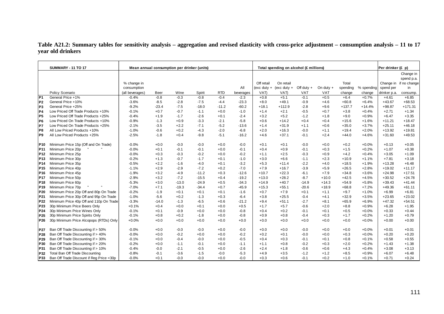## **Table A21.2: Summary tables for sensitivity analysis – aggregation and revised elasticity with cross-price adjustment – consumption analysis – 11 to 17 year old drinkers**

|                 | <b>SUMMARY - 11 TO 17</b>                |                            |                | Mean annual consumption per drinker (units) |                  |                      |                     |                | Total spending on alcohol (£ millions) |                      |               |                  |                   | Per drinker (£ p)       |                                      |
|-----------------|------------------------------------------|----------------------------|----------------|---------------------------------------------|------------------|----------------------|---------------------|----------------|----------------------------------------|----------------------|---------------|------------------|-------------------|-------------------------|--------------------------------------|
|                 |                                          |                            |                |                                             |                  |                      |                     |                |                                        |                      |               |                  |                   |                         |                                      |
|                 |                                          |                            |                |                                             |                  |                      |                     |                |                                        |                      |               |                  |                   |                         | Change in                            |
|                 |                                          |                            |                |                                             |                  |                      |                     | Off retail     | On retail                              |                      |               | Total            |                   |                         | spend p.a.<br>Change in if no change |
|                 |                                          | % change in                |                |                                             |                  |                      |                     |                |                                        |                      |               |                  |                   |                         |                                      |
|                 |                                          | consumption                |                |                                             |                  |                      | All                 | $(exc duty +$  | (exc duty $+$                          | Off duty $+$         | On duty $+$   | spending         | % spending        | spend per               | in                                   |
| P <sub>1</sub>  | Policy Scenario<br>General Price +1%     | (all beverages)<br>$-0.4%$ | Beer<br>$-0.8$ | Wine<br>$-0.3$                              | Spirit<br>$-0.8$ | <b>RTD</b><br>$-0.4$ | beverages<br>$-2.3$ | VAT)<br>$+0.8$ | VAT)<br>$+5.1$                         | <b>VAT</b><br>$-0.1$ | VAT<br>$+0.5$ | change<br>$+6.4$ | change<br>$+0.7%$ | drinker p.a.<br>$+4.61$ | consump.<br>$+6.85$                  |
| P <sub>2</sub>  | General Price +10%                       | $-3.6%$                    | $-8.5$         | $-2.8$                                      | $-7.5$           | $-4.4$               | $-23.3$             | $+8.0$         | $+49.1$                                | $-0.9$               | $+4.6$        | $+60.8$          | $+6.4%$           | $+43.67$                | $+68.53$                             |
| P <sub>3</sub>  | General Price +25%                       | $-9.2%$                    | $-23.4$        | $-7.5$                                      | $-18.0$          | $-11.2$              | $-60.2$             | $+18.1$        | $+112.9$                               | $-2.8$               | $+9.6$        | $+137.7$         | $+14.4%$          | $+98.87$                | $+171.31$                            |
| P <sub>4</sub>  | Low Priced Off Trade Products +10%       | $-0.1%$                    | $+0.7$         | $-0.7$                                      | $-1.1$           | $+0.0$               | $-1.0$              | $+1.4$         | $+2.1$                                 | $-0.5$               | $+0.7$        | $+3.8$           | $+0.4%$           | $+2.71$                 | $+1.34$                              |
| P <sub>5</sub>  | Low Priced Off Trade Products +25%       | $-0.4%$                    | $+1.9$         | $-1.7$                                      | $-2.6$           | $+0.1$               | $-2.4$              | $+3.2$         | $+5.2$                                 | $-1.2$               | $+1.8$        | $+9.0$           | $+0.9%$           | $+6.47$                 | $+3.35$                              |
| P <sub>6</sub>  | Low Priced On Trade Products +10%        | $-0.9%$                    | $-1.3$         | $+0.9$                                      | $-3.3$           | $-2.1$               | $-5.8$              | $+0.6$         | $+14.2$                                | $+0.4$               | $+0.4$        | $+15.6$          | $+1.6%$           | $+11.21$                | $+18.47$                             |
| P7              | Low Priced On Trade Products +25%        | $-2.1%$                    | $-3.5$         | $+2.2$                                      | $-7.1$           | $-5.2$               | $-13.6$             | $+1.4$         | $+31.9$                                | $+1.1$               | $+0.6$        | $+35.0$          | $+3.7%$           | $+25.11$                | $+46.18$                             |
| P8              | All Low Priced Products +10%             | $-1.0%$                    | $-0.6$         | $+0.2$                                      | $-4.3$           | $-2.0$               | $-6.8$              | $+2.0$         | $+16.3$                                | $-0.0$               | $+1.1$        | $+19.4$          | $+2.0%$           | $+13.92$                | $+19.81$                             |
| P <sub>9</sub>  | All Low Priced Products +25%             | $-2.5%$                    | $-1.8$         | $+0.4$                                      | $-9.8$           | $-5.1$               | $-16.2$             | $+4.6$         | $+37.1$                                | $-0.1$               | $+2.4$        | $+44.0$          | $+4.6%$           | $+31.60$                | $+49.53$                             |
|                 |                                          |                            |                |                                             |                  |                      |                     |                |                                        |                      |               |                  |                   |                         |                                      |
| P10             | Minimum Price 15p (Off and On Trade)     | $-0.0%$                    | $+0.0$         | $-0.0$                                      | $-0.0$           | $+0.0$               | $-0.0$              | $+0.1$         | $+0.1$                                 | $-0.0$               | $+0.0$        | $+0.2$           | $+0.0%$           | $+0.13$                 | $+0.05$                              |
| P <sub>11</sub> | Minimum Price 20p                        | $-0.0%$                    | $+0.1$         | $-0.1$                                      | $-0.1$           | $+0.0$               | $-0.1$              | $+0.4$         | $+0.9$                                 | $-0.1$               | $+0.3$        | $+1.5$           | $+0.2%$           | $+1.07$                 | $+0.38$                              |
| P <sub>12</sub> | Minimum Price 25p                        | $-0.0%$                    | $+0.3$         | $-0.3$                                      | $-0.2$           | $+0.0$               | $-0.2$              | $+1.1$         | $+2.5$                                 | $-0.3$               | $+0.9$        | $+4.2$           | $+0.4%$           | $+3.05$                 | $+1.09$                              |
| P <sub>13</sub> | Minimum Price 30p                        | $-0.2%$                    | $+1.3$         | $-0.7$                                      | $-1.7$           | $+0.1$               | $-1.0$              | $+3.0$         | $+6.6$                                 | $-1.1$               | $+2.3$        | $+10.9$          | $+1.1%$           | $+7.81$                 | $+3.18$                              |
| <b>P14</b>      | Minimum Price 35p                        | $-0.5%$                    | $+2.2$         | $-1.6$                                      | $-4.0$           | $+0.1$               | $-3.2$              | $+5.3$         | $+11.4$                                | $-2.2$               | $+4.0$        | $+18.5$          | $+1.9%$           | $+13.28$                | $+6.48$                              |
| P <sub>15</sub> | Minimum Price 40p                        | $-1.1%$                    | $+2.9$         | $-2.9$                                      | $-7.2$           | $+0.2$               | $-7.0$              | $+7.9$         | $+16.7$                                | $-3.9$               | $+5.9$        | $+26.5$          | $+2.8%$           | $+19.02$                | $+11.17$                             |
| P <sub>16</sub> | Minimum Price 45p                        | $-1.9%$                    | $+3.2$         | $-4.9$                                      | $-11.2$          | $+0.3$               | $-12.6$             | $+10.7$        | $+22.3$                                | $-6.1$               | $+7.9$        | $+34.8$          | $+3.6%$           | $+24.98$                | $+17.51$                             |
| <b>P17</b>      | Minimum Price 50p                        | $-2.9%$                    | $+3.2$         | $-7.2$                                      | $-15.5$          | $+0.4$               | $-19.2$             | $+13.0$        | $+28.2$                                | $-8.7$               | $+10.0$       | $+42.5$          | $+4.5%$           | $+30.52$                | $+24.78$                             |
| P <sub>18</sub> | Minimum Price 60p                        | $-5.3%$                    | $+3.0$         | $-13.0$                                     | $-24.9$          | $+0.5$               | $-34.3$             | $+14.9$        | $+40.7$                                | $-14.9$              | $+14.3$       | $+54.9$          | $+5.8%$           | $+39.43$                | $+41.44$                             |
| <b>P19</b>      | Minimum Price 70p                        | $-7.0%$                    | $+7.1$         | $-19.3$                                     | $-34.4$          | $+0.7$               | $-45.9$             | $+15.3$        | $+55.1$                                | $-20.6$              | $+18.9$       | $+68.8$          | $+7.2%$           | $+49.36$                | $+61.11$                             |
| P <sub>20</sub> | Minimum Price 20p Off and 80p On Trade   | $-0.2%$                    | $-1.9$         | $+0.1$                                      | $+0.1$           | $+0.1$               | $-1.6$              | $+0.7$         | $+7.9$                                 | $+0.1$               | $+1.1$        | $+9.7$           | $+1.0%$           | $+6.99$                 | $+6.81$                              |
| P21             | Minimum Price 30p Off and 95p On Trade   | $-1.0%$                    | $-5.6$         | $+0.2$                                      | $-1.3$           | $+0.3$               | $-6.4$              | $+3.8$         | $+25.5$                                | $-0.4$               | $+4.1$        | $+32.9$          | $+3.5%$           | $+23.65$                | $+23.02$                             |
| P22             | Minimum Price 40p Off and 110p On Trade  | $-3.3%$                    | $-14.0$        | $-1.3$                                      | $-6.5$           | $+0.6$               | $-21.2$             | $+9.4$         | $+51.1$                                | $-2.7$               | $+8.1$        | $+65.9$          | $+6.9%$           | $+47.32$                | $+54.51$                             |
| P23             | 30p Minimum Price Beers Only             | $+0.1%$                    | $+0.4$         | $+0.0$                                      | $+0.1$           | $+0.0$               | $+0.5$              | $+1.7$         | $+5.7$                                 | $-0.6$               | $+2.0$        | $+8.8$           | $+0.9%$           | $+6.28$                 | $+1.95$                              |
| P24             | 30p Minimum Price Wines Only             | $-0.1%$                    | $+0.1$         | $-0.9$                                      | $+0.0$           | $+0.0$               | $-0.8$              | $+0.4$         | $+0.2$                                 | $-0.1$               | $+0.1$        | $+0.5$           | $+0.0%$           | $+0.33$                 | $+0.44$                              |
| P <sub>25</sub> | 30p Minimum Price Spirits Only           | $-0.1%$                    | $+0.8$         | $+0.2$                                      | $-1.8$           | $+0.0$               | $-0.8$              | $+0.9$         | $+0.8$                                 | $-0.4$               | $+0.3$        | $+1.7$           | $+0.2%$           | $+1.20$                 | $+0.79$                              |
| P26             | 30p Minimum Price Alcopops (RTDs) Only   | $+0.0%$                    | $+0.0$         | $+0.0$                                      | $+0.0$           | $+0.0$               | $+0.0$              | $+0.0$         | $+0.0$                                 | $+0.0$               | $+0.0$        | $+0.0$           | $+0.0%$           | $+0.00$                 | $+0.00$                              |
|                 |                                          |                            |                |                                             |                  |                      |                     |                |                                        |                      |               |                  |                   |                         |                                      |
| <b>P27</b>      | Ban Off Trade Discounting if > 50%       | $-0.0%$                    | $+0.0$         | $-0.0$                                      | $-0.0$           | $+0.0$               | $-0.0$              | $+0.0$         | $+0.0$                                 | $-0.0$               | $+0.0$        | $+0.0$           | $+0.0%$           | $+0.01$                 | $+0.01$                              |
| P28             | Ban Off Trade Discounting if > 40%       | $-0.0%$                    | $+0.0$         | $-0.2$                                      | $+0.0$           | $+0.0$               | $-0.2$              | $+0.2$         | $+0.1$                                 | $-0.0$               | $+0.0$        | $+0.3$           | $+0.0%$           | $+0.20$                 | $+0.20$                              |
| P29             | Ban Off Trade Discounting if > 30%       | $-0.1%$                    | $+0.0$         | $-0.4$                                      | $-0.0$           | $+0.0$               | $-0.5$              | $+0.4$         | $+0.3$                                 | $-0.1$               | $+0.1$        | $+0.8$           | $+0.1%$           | $+0.58$                 | $+0.55$                              |
| P30             | Ban Off Trade Discounting if > 20%       | $-0.2%$                    | $+0.0$         | $-1.1$                                      | $-0.1$           | $+0.0$               | $-1.1$              | $+1.1$         | $+0.8$                                 | $-0.2$               | $+0.3$        | $+2.0$           | $+0.2%$           | $+1.43$                 | $+1.38$                              |
| P31             | Ban Off Trade Discounting if > 10%       | $-0.4%$                    | $-0.0$         | $-2.1$                                      | $-0.5$           | $+0.0$               | $-2.6$              | $+2.4$         | $+1.8$                                 | $-0.6$               | $+0.6$        | $+4.3$           | $+0.4%$           | $+3.08$                 | $+3.13$                              |
| P32             | Total Ban Off Trade Discounting          | $-0.8%$                    | $-0.1$         | $-3.6$                                      | $-1.5$           | $-0.0$               | $-5.3$              | $+4.9$         | $+3.5$                                 | $-1.2$               | $+1.2$        | $+8.5$           | $+0.9%$           | $+6.07$                 | $+6.48$                              |
| P33             | Ban Off Trade Discount if Reg Price <30p | $-0.0%$                    | $+0.1$         | $-0.0$                                      | $-0.0$           | $+0.0$               | $-0.0$              | $+0.3$         | $+0.6$                                 | $-0.1$               | $+0.2$        | $+1.0$           | $+0.1%$           | $+0.71$                 | $+0.24$                              |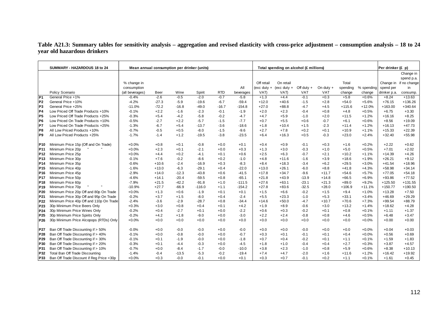## **Table A21.3: Summary tables for sensitivity analysis – aggregation and revised elasticity with cross-price adjustment – consumption analysis – 18 to 24 year old hazardous drinkers**

|                 | SUMMARY - HAZARDOUS 18 to 24             | Mean annual consumption per drinker (units) |         |         |          |            |           |               | Total spending on alcohol (£ millions) |              |            |          |            | Per drinker (£ p) |                         |
|-----------------|------------------------------------------|---------------------------------------------|---------|---------|----------|------------|-----------|---------------|----------------------------------------|--------------|------------|----------|------------|-------------------|-------------------------|
|                 |                                          |                                             |         |         |          |            |           |               |                                        |              |            |          |            |                   | Change in<br>spend p.a. |
|                 |                                          | % change in                                 |         |         |          |            |           | Off retail    | On retail                              |              |            | Total    |            |                   | Change in if no change  |
|                 |                                          | consumption                                 |         |         |          |            | All       | $(exc duty +$ | (exc duty $+$                          | Off duty $+$ | On duty +  | spending | % spending | spend per         | in                      |
|                 | Policy Scenario                          | (all beverages)                             | Beer    | Wine    | Spirit   | <b>RTD</b> | beverages | VAT)          | VAT)                                   | <b>VAT</b>   | <b>VAT</b> | change   | change     | drinker p.a.      | consump.                |
| P <sub>1</sub>  | General Price +1%                        | $-0.4%$                                     | $-2.6$  | $-0.5$  | $-2.0$   | $-0.7$     | $-5.8$    | $+1.3$        | $+4.4$                                 | $-0.1$       | $+0.3$     | $+5.8$   | $+0.6%$    | $+8.24$           | $+13.63$                |
| P <sub>2</sub>  | General Price +10%                       | $-4.2%$                                     | $-27.3$ | $-5.9$  | $-19.6$  | $-6.7$     | $-59.4$   | $+12.0$       | $+40.6$                                | $-1.5$       | $+2.8$     | $+54.0$  | $+5.6%$    | $+76.15$          | $+136.26$               |
| P <sub>3</sub>  | General Price +25%                       | $-11.0%$                                    | $-72.2$ | $-16.8$ | $-49.0$  | $-16.7$    | $-154.8$  | $+27.0$       | $+88.8$                                | $-4.7$       | $+4.5$     | $+115.6$ | $+12.0%$   | $+163.00$         | $+340.64$               |
| P4              | Low Priced Off Trade Products +10%       | $-0.1%$                                     | $+2.2$  | $-1.6$  | $-2.3$   | $-0.1$     | $-1.9$    | $+2.0$        | $+2.3$                                 | $-0.4$       | $+0.8$     | $+4.8$   | $+0.5%$    | $+6.75$           | $+3.30$                 |
| IP <sub>5</sub> | Low Priced Off Trade Products +25%       | $-0.3%$                                     | $+5.4$  | $-4.2$  | $-5.8$   | $-0.2$     | $-4.7$    | $+4.7$        | $+5.9$                                 | $-1.0$       | $+2.0$     | $+11.5$  | $+1.2%$    | $+16.16$          | $+8.25$                 |
| P <sub>6</sub>  | Low Priced On Trade Products +10%        | $-0.5%$                                     | $-2.7$  | $+2.2$  | $-5.7$   | $-1.5$     | $-7.7$    | $+0.7$        | $+5.5$                                 | $+0.6$       | $-0.7$     | $+6.1$   | $+0.6%$    | $+8.56$           | $+19.09$                |
| P7              | Low Priced On Trade Products +25%        | $-1.3%$                                     | $-6.7$  | $+5.4$  | $-13.7$  | $-3.6$     | $-18.6$   | $+1.8$        | $+10.4$                                | $+1.5$       | $-2.3$     | $+11.4$  | $+1.2%$    | $+16.13$          | $+47.73$                |
| P8              | All Low Priced Products +10%             | $-0.7%$                                     | $-0.5$  | $+0.5$  | $-8.0$   | $-1.5$     | $-9.6$    | $+2.7$        | $+7.8$                                 | $+0.2$       | $+0.1$     | $+10.9$  | $+1.1%$    | $+15.33$          | $+22.39$                |
| P <sub>9</sub>  | All Low Priced Products +25%             | $-1.7%$                                     | $-1.4$  | $+1.2$  | $-19.5$  | $-3.8$     | $-23.5$   | $+6.4$        | $+16.3$                                | $+0.5$       | $-0.3$     | $+23.0$  | $+2.4%$    | $+32.40$          | $+55.98$                |
| P10             | Minimum Price 15p (Off and On Trade)     | $+0.0%$                                     | $+0.8$  | $+0.1$  | $-0.8$   | $+0.0$     | $+0.1$    | $+0.4$        | $+0.9$                                 | $-0.1$       | $+0.3$     | $+1.6$   | $+0.2%$    | $+2.22$           | $+0.62$                 |
| P <sub>11</sub> | Minimum Price 20p                        | $+0.0%$                                     | $+2.3$  | $+0.1$  | $-2.1$   | $+0.0$     | $+0.3$    | $+1.3$        | $+3.0$                                 | $-0.3$       | $+1.0$     | $+5.0$   | $+0.5%$    | $+7.01$           | $+2.02$                 |
| P <sub>12</sub> | Minimum Price 25p                        | $+0.0%$                                     | $+4.4$  | $+0.2$  | $-4.1$   | $+0.1$     | $+0.6$    | $+2.5$        | $+6.3$                                 | $-0.7$       | $+2.1$     | $+10.2$  | $+1.1%$    | $+14.39$          | $+4.26$                 |
| P <sub>13</sub> | Minimum Price 30p                        | $-0.1%$                                     | $+7.6$  | $-0.2$  | $-8.6$   | $+0.2$     | $-1.0$    | $+4.8$        | $+11.6$                                | $-1.6$       | $+3.9$     | $+18.6$  | $+1.9%$    | $+26.21$          | $+9.12$                 |
| P <sub>14</sub> | Minimum Price 35p                        | $-0.6%$                                     | $+10.6$ | $-2.4$  | $-16.9$  | $+0.3$     | $-8.3$    | $+8.4$        | $+18.3$                                | $-3.4$       | $+6.2$     | $+29.5$  | $+3.0%$    | $+41.54$          | $+18.96$                |
| P <sub>15</sub> | Minimum Price 40p                        | $-1.6%$                                     | $+13.0$ | $-6.3$  | $-29.1$  | $+0.4$     | $-22.0$   | $+13.0$       | $+26.1$                                | $-6.0$       | $+8.8$     | $+41.8$  | $+4.3%$    | $+58.98$          | $+34.14$                |
| P <sub>16</sub> | Minimum Price 45p                        | $-2.9%$                                     | $+14.0$ | $-12.3$ | $-43.8$  | $+0.6$     | $-41.5$   | $+17.8$       | $+34.7$                                | $-9.6$       | $+11.7$    | $+54.6$  | $+5.7%$    | $+77.05$          | $+54.18$                |
| <b>P17</b>      | Minimum Price 50p                        | $-4.6%$                                     | $+14.1$ | $-20.4$ | $-59.5$  | $+0.8$     | $-65.1$   | $+21.8$       | $+43.9$                                | $-13.9$      | $+14.8$    | $+66.5$  | $+6.9%$    | $+93.86$          | $+77.52$                |
| <b>P18</b>      | Minimum Price 60p                        | $-7.9%$                                     | $+21.5$ | $-42.2$ | $-91.8$  | $+1.0$     | $-111.5$  | $+27.6$       | $+63.1$                                | $-23.1$      | $+21.3$    | $+89.0$  | $+9.2%$    | $+125.50$         | $+131.55$               |
| P <sub>19</sub> | Minimum Price 70p                        | $-10.9%$                                    | $+27.7$ | $-66.9$ | $-116.0$ | $+1.1$     | $-154.2$  | $+27.8$       | $+83.6$                                | $-32.5$      | $+28.0$    | $+106.9$ | $+11.1%$   | $+150.77$         | $+190.50$               |
| P20             | Minimum Price 20p Off and 80p On Trade   | $+0.0%$                                     | $+1.3$  | $+0.6$  | $-1.9$   | $+0.1$     | $+0.1$    | $+1.5$        | $+6.6$                                 | $-0.2$       | $+1.5$     | $+9.4$   | $+1.0%$    | $+13.28$          | $+7.50$                 |
| P21             | Minimum Price 30p Off and 95p On Trade   | $-0.2%$                                     | $+3.7$  | $+1.5$  | $-8.0$   | $+0.4$     | $-2.4$    | $+5.5$        | $+23.3$                                | $-1.0$       | $+5.3$     | $+33.1$  | $+3.4%$    | $+46.69$          | $+29.29$                |
| P22             | Minimum Price 40p Off and 110p On Trade  | $-2.4%$                                     | $-3.6$  | $-2.9$  | $-28.7$  | $+0.8$     | $-34.4$   | $+14.6$       | $+50.0$                                | $-4.7$       | $+10.7$    | $+70.6$  | $+7.3%$    | $+99.54$          | $+88.79$                |
| P23             | 30p Minimum Price Beers Only             | $+0.3%$                                     | $+3.0$  | $+0.8$  | $+0.4$   | $+0.1$     | $+4.2$    | $+1.9$        | $+8.9$                                 | $-0.6$       | $+3.0$     | $+13.2$  | $+1.4%$    | $+18.62$          | $+4.28$                 |
| P24             | 30p Minimum Price Wines Only             | $-0.2%$                                     | $+0.4$  | $-2.7$  | $+0.1$   | $+0.0$     | $-2.2$    | $+0.6$        | $+0.3$                                 | $-0.2$       | $+0.1$     | $+0.8$   | $+0.1%$    | $+1.11$           | $+1.37$                 |
| P <sub>25</sub> | 30p Minimum Price Spirits Only           | $-0.2%$                                     | $+4.2$  | $+1.8$  | $-9.0$   | $+0.0$     | $-3.0$    | $+2.2$        | $+2.4$                                 | $-0.8$       | $+0.8$     | $+4.6$   | $+0.5%$    | $+6.48$           | $+3.47$                 |
| P <sub>26</sub> | 30p Minimum Price Alcopops (RTDs) Only   | $+0.0%$                                     | $+0.0$  | $+0.0$  | $+0.0$   | $+0.0$     | $+0.0$    | $+0.0$        | $+0.0$                                 | $+0.0$       | $+0.0$     | $+0.0$   | $+0.0%$    | $+0.00$           | $+0.00$                 |
| <b>P27</b>      | Ban Off Trade Discounting if > 50%       | $-0.0%$                                     | $+0.0$  | $-0.0$  | $-0.0$   | $+0.0$     | $-0.0$    | $+0.0$        | $+0.0$                                 | $-0.0$       | $+0.0$     | $+0.0$   | $+0.0%$    | $+0.04$           | $+0.03$                 |
| P28             | Ban Off Trade Discounting if > 40%       | $-0.1%$                                     | $+0.0$  | $-0.8$  | $-0.0$   | $+0.0$     | $-0.7$    | $+0.3$        | $+0.1$                                 | $-0.1$       | $+0.1$     | $+0.4$   | $+0.0%$    | $+0.56$           | $+0.69$                 |
| P29             | Ban Off Trade Discounting if > 30%       | $-0.1%$                                     | $+0.1$  | $-1.9$  | $-0.0$   | $+0.0$     | $-1.8$    | $+0.7$        | $+0.4$                                 | $-0.2$       | $+0.1$     | $+1.1$   | $+0.1%$    | $+1.59$           | $+1.83$                 |
| P30             | Ban Off Trade Discounting if > 20%       | $-0.3%$                                     | $+0.1$  | $-4.4$  | $-0.3$   | $+0.0$     | $-4.5$    | $+1.8$        | $+1.0$                                 | $-0.4$       | $+0.4$     | $+2.7$   | $+0.3%$    | $+3.87$           | $+4.57$                 |
| P31             | Ban Off Trade Discounting if > 10%       | $-0.7%$                                     | $+0.0$  | $-8.4$  | $-1.7$   | $-0.0$     | $-10.0$   | $+3.8$        | $+2.3$                                 | $-1.0$       | $+0.8$     | $+5.9$   | $+0.6%$    | $+8.38$           | $+10.13$                |
| P32             | Total Ban Off Trade Discounting          | $-1.4%$                                     | $-0.4$  | $-13.5$ | $-5.3$   | $-0.2$     | $-19.4$   | $+7.4$        | $+4.7$                                 | $-2.0$       | $+1.6$     | $+11.6$  | $+1.2%$    | $+16.42$          | $+19.92$                |
| P33             | Ban Off Trade Discount if Reg Price <30p | $+0.0%$                                     | $+0.3$  | $-0.0$  | $-0.1$   | $+0.0$     | $+0.1$    | $+0.3$        | $+0.7$                                 | $-0.1$       | $+0.2$     | $+1.1$   | $+0.1%$    | $+1.61$           | $+0.45$                 |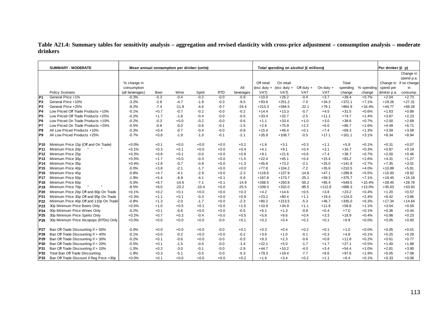## **Table A21.4: Summary tables for sensitivity analysis – aggregation and revised elasticity with cross-price adjustment – consumption analysis – moderate drinkers**

|                 | <b>SUMMARY - MODERATE</b>                |                 |        | Mean annual consumption per drinker (units) |         |            |           |               | Total spending on alcohol (£ millions) |              |            |          |            | Per drinker (£ p) |                        |
|-----------------|------------------------------------------|-----------------|--------|---------------------------------------------|---------|------------|-----------|---------------|----------------------------------------|--------------|------------|----------|------------|-------------------|------------------------|
|                 |                                          |                 |        |                                             |         |            |           |               |                                        |              |            |          |            |                   | Change in              |
|                 |                                          |                 |        |                                             |         |            |           |               |                                        |              |            |          |            |                   | spend p.a.             |
|                 |                                          | % change in     |        |                                             |         |            |           | Off retail    | On retail                              |              |            | Total    |            |                   | Change in if no change |
|                 |                                          | consumption     |        |                                             |         |            | All       | $(exc duty +$ | (exc duty $+$                          | Off duty $+$ | On duty +  | spending | % spending | spend per         | in                     |
|                 | Policy Scenario                          | (all beverages) | Beer   | Wine                                        | Spirit  | <b>RTD</b> | beverages | VAT)          | VAT)                                   | <b>VAT</b>   | <b>VAT</b> | change   | change     | drinker p.a.      | consump.               |
| P <sub>1</sub>  | General Price +1%                        | $-0.3%$         | $-0.3$ | $-0.4$                                      | $-0.2$  | $-0.0$     | $-0.9$    | $+10.0$       | $+26.2$                                | $-0.4$       | $+3.7$     | $+39.4$  | $+0.7%$    | $+2.04$           | $+2.73$                |
| P <sub>2</sub>  | General Price +10%                       | $-3.2%$         | $-2.8$ | $-4.7$                                      | $-1.8$  | $-0.3$     | $-9.5$    | $+93.6$       | $+251.2$                               | $-7.0$       | $+34.3$    | $+372.1$ | $+7.1%$    | $+19.26$          | $+27.31$               |
| P <sub>3</sub>  | General Price +25%                       | $-8.2%$         | $-7.4$ | $-11.8$                                     | $-4.6$  | $-0.7$     | $-24.4$   | $+213.3$      | $+594.5$                               | $-22.1$      | $+79.1$    | $+864.9$ | $+16.4%$   | $+44.77$          | $+68.28$               |
| P <sub>4</sub>  | Low Priced Off Trade Products +10%       | $-0.1%$         | $+0.7$ | $-0.7$                                      | $-0.2$  | $-0.0$     | $-0.2$    | $+14.4$       | $+13.3$                                | $-0.7$       | $+4.5$     | $+31.5$  | $+0.6%$    | $+1.63$           | $+0.89$                |
| P <sub>5</sub>  | Low Priced Off Trade Products +25%       | $-0.2%$         | $+1.7$ | $-1.8$                                      | $-0.4$  | $-0.0$     | $-0.5$    | $+33.4$       | $+32.7$                                | $-2.5$       | $+11.1$    | $+74.7$  | $+1.4%$    | $+3.87$           | $+2.23$                |
| P <sub>6</sub>  | Low Priced On Trade Products +10%        | $-0.2%$         | $-0.3$ | $+0.0$                                      | $-0.2$  | $-0.0$     | $-0.6$    | $+1.1$        | $+33.4$                                | $+1.0$       | $+3.0$     | $+38.6$  | $+0.7%$    | $+2.00$           | $+2.69$                |
| P7              | Low Priced On Trade Products +25%        | $-0.5%$         | $-0.8$ | $-0.0$                                      | $-0.6$  | $-0.1$     | $-1.5$    | $+2.6$        | $+75.9$                                | $+2.2$       | $+6.0$     | $+86.7$  | $+1.6%$    | $+4.49$           | $+6.71$                |
| P8              | All Low Priced Products +10%             | $-0.3%$         | $+0.4$ | $-0.7$                                      | $-0.4$  | $-0.0$     | $-0.8$    | $+15.4$       | $+46.4$                                | $+0.1$       | $+7.4$     | $+69.3$  | $+1.3%$    | $+3.59$           | $+3.58$                |
| P <sub>9</sub>  | All Low Priced Products +25%             | $-0.7%$         | $+0.8$ | $-1.9$                                      | $-1.0$  | $-0.1$     | $-2.1$    | $+35.9$       | $+108.7$                               | $-0.5$       | $+17.1$    | $+161.1$ | $+3.1%$    | $+8.34$           | $+8.94$                |
|                 |                                          |                 |        |                                             |         |            |           |               |                                        |              |            |          |            |                   |                        |
| P <sub>10</sub> | Minimum Price 15p (Off and On Trade)     | $+0.0%$         | $+0.1$ | $+0.0$                                      | $+0.0$  | $+0.0$     | $+0.2$    | $+1.6$        | $+3.1$                                 | $+0.3$       | $+1.1$     | $+5.9$   | $+0.1%$    | $+0.31$           | $+0.07$                |
| P <sub>11</sub> | Minimum Price 20p                        | $+0.1%$         | $+0.3$ | $+0.1$                                      | $+0.0$  | $+0.0$     | $+0.4$    | $+4.1$        | $+9.1$                                 | $+0.4$       | $+3.1$     | $+16.7$  | $+0.3%$    | $+0.87$           | $+0.19$                |
| P <sub>12</sub> | Minimum Price 25p                        | $+0.3%$         | $+0.8$ | $+0.1$                                      | $-0.0$  | $+0.0$     | $+0.9$    | $+9.1$        | $+21.6$                                | $+0.6$       | $+7.4$     | $+38.7$  | $+0.7%$    | $+2.00$           | $+0.46$                |
| P <sub>13</sub> | Minimum Price 30p                        | $+0.5%$         | $+1.7$ | $+0.0$                                      | $-0.3$  | $+0.0$     | $+1.5$    | $+22.4$       | $+45.1$                                | $+0.4$       | $+15.4$    | $+83.2$  | $+1.6%$    | $+4.31$           | $+1.27$                |
| P <sub>14</sub> | Minimum Price 35p                        | $+0.4%$         | $+2.8$ | $-0.7$                                      | $-0.9$  | $+0.0$     | $+1.3$    | $+45.8$       | $+73.2$                                | $-2.1$       | $+25.0$    | $+141.9$ | $+2.7%$    | $+7.35$           | $+3.01$                |
| P <sub>15</sub> | Minimum Price 40p                        | $-0.0%$         | $+3.8$ | $-2.1$                                      | $-1.7$  | $+0.0$     | $+0.0$    | $+77.8$       | $+104.2$                               | $-7.2$       | $+35.6$    | $+210.5$ | $+4.0%$    | $+10.89$          | $+5.81$                |
| P <sub>16</sub> | Minimum Price 45p                        | $-0.8%$         | $+4.7$ | $-4.1$                                      | $-2.9$  | $+0.0$     | $-2.3$    | $+119.6$      | $+137.9$                               | $-14.8$      | $+47.1$    | $+289.8$ | $+5.5%$    | $+15.00$          | $+9.92$                |
| <b>P17</b>      | Minimum Price 50p                        | $-1.9%$         | $+5.4$ | $-6.9$                                      | $-4.1$  | $+0.1$     | $-5.6$    | $+167.8$      | $+173.7$                               | $-25.1$      | $+59.3$    | $+375.7$ | $+7.1%$    | $+19.45$          | $+15.19$               |
| P <sub>18</sub> | Minimum Price 60p                        | $-5.0%$         | $+6.7$ | $-14.6$                                     | $-7.1$  | $+0.1$     | $-14.9$   | $+268.5$      | $+250.8$                               | $-55.2$      | $+85.4$    | $+549.5$ | $+10.4%$   | $+28.45$          | $+28.78$               |
| <b>P19</b>      | Minimum Price 70p                        | $-8.5%$         | $+8.0$ | $-23.2$                                     | $-10.4$ | $+0.0$     | $-25.5$   | $+339.0$      | $+332.0$                               | $-95.5$      | $+112.8$   | $+688.3$ | $+13.0%$   | $+35.63$          | $+43.93$               |
| P20             | Minimum Price 20p Off and 80p On Trade   | $+0.1%$         | $+0.2$ | $+0.1$                                      | $+0.0$  | $+0.0$     | $+0.3$    | $+4.2$        | $+14.6$                                | $+0.5$       | $+3.8$     | $+23.2$  | $+0.4%$    | $+1.20$           | $+0.57$                |
| P21             | Minimum Price 30p Off and 95p On Trade   | $+0.3%$         | $+1.1$ | $+0.1$                                      | $-0.3$  | $+0.0$     | $+0.9$    | $+23.2$       | $+80.4$                                | $+1.1$       | $+19.4$    | $+124.0$ | $+2.4%$    | $+6.42$           | $+3.86$                |
| P22             | Minimum Price 40p Off and 110p On Trade  | $-0.8%$         | $+1.3$ | $-2.0$                                      | $-1.7$  | $+0.0$     | $-2.3$    | $+80.2$       | $+213.5$                               | $-5.3$       | $+46.7$    | $+335.0$ | $+6.3%$    | $+17.34$          | $+14.64$               |
| P23             | 30p Minimum Price Beers Only             | $+0.5%$         | $+1.0$ | $+0.5$                                      | $+0.1$  | $+0.0$     | $+1.6$    | $+10.9$       | $+34.9$                                | $+1.1$       | $+11.9$    | $+58.8$  | $+1.1%$    | $+3.04$           | $+0.59$                |
| P24             | 30p Minimum Price Wines Only             | $-0.2%$         | $+0.1$ | $-0.6$                                      | $+0.0$  | $+0.0$     | $-0.5$    | $+6.1$        | $+1.3$                                 | $-0.8$       | $+0.4$     | $+7.0$   | $+0.1%$    | $+0.36$           | $+0.44$                |
| P <sub>25</sub> | 30p Minimum Price Spirits Only           | $+0.2%$         | $+0.7$ | $+0.3$                                      | $-0.4$  | $+0.0$     | $+0.5$    | $+5.6$        | $+9.6$                                 | $+0.4$       | $+3.3$     | $+18.9$  | $+0.4%$    | $+0.98$           | $+0.23$                |
| P26             | 30p Minimum Price Alcopops (RTDs) Only   | $+0.0%$         | $+0.0$ | $+0.0$                                      | $+0.0$  | $-0.0$     | $+0.1$    | $+0.2$        | $+0.4$                                 | $+0.2$       | $+0.1$     | $+0.9$   | $+0.0%$    | $+0.05$           | $+0.00$                |
|                 |                                          |                 |        |                                             |         |            |           |               |                                        |              |            |          |            |                   |                        |
| <b>P27</b>      | Ban Off Trade Discounting if > 50%       | $-0.0%$         | $+0.0$ | $+0.0$                                      | $+0.0$  | $-0.0$     | $+0.1$    | $+0.3$        | $+0.4$                                 | $+0.2$       | $+0.1$     | $+1.0$   | $+0.0%$    | $+0.05$           | $+0.01$                |
| P28             | Ban Off Trade Discounting if > 40%       | $-0.1%$         | $+0.0$ | $-0.2$                                      | $+0.0$  | $+0.0$     | $-0.2$    | $+3.6$        | $+1.0$                                 | $-0.1$       | $+0.3$     | $+4.8$   | $+0.1%$    | $+0.25$           | $+0.29$                |
| P29             | Ban Off Trade Discounting if > 30%       | $-0.2%$         | $+0.1$ | $-0.6$                                      | $+0.0$  | $-0.0$     | $-0.5$    | $+9.3$        | $+2.3$                                 | $-0.6$       | $+0.8$     | $+11.8$  | $+0.2%$    | $+0.61$           | $+0.77$                |
| P30             | Ban Off Trade Discounting if > 20%       | $-0.5%$         | $+0.1$ | $-1.5$                                      | $-0.0$  | $-0.0$     | $-1.4$    | $+22.1$       | $+5.0$                                 | $-1.7$       | $+1.7$     | $+27.1$  | $+0.5%$    | $+1.40$           | $+1.88$                |
| P31             | Ban Off Trade Discounting if > 10%       | $-1.0%$         | $+0.2$ | $-3.0$                                      | $-0.1$  | $-0.0$     | $-2.9$    | $+44.7$       | $+10.2$                                | $-4.0$       | $+3.4$     | $+54.4$  | $+1.0%$    | $+2.81$           | $+3.90$                |
| P32             | Total Ban Off Trade Discounting          | $-1.8%$         | $+0.3$ | $-5.1$                                      | $-0.5$  | $-0.0$     | $-5.3$    | $+79.3$       | $+19.4$                                | $-7.7$       | $+6.6$     | $+97.6$  | $+1.9%$    | $+5.05$           | $+7.08$                |
| P33             | Ban Off Trade Discount if Reg Price <30p | $+0.0%$         | $+0.1$ | $+0.0$                                      | $+0.0$  | $+0.0$     | $+0.2$    | $+1.6$        | $+3.4$                                 | $+0.2$       | $+1.1$     | $+6.4$   | $+0.1%$    | $+0.33$           | $+0.08$                |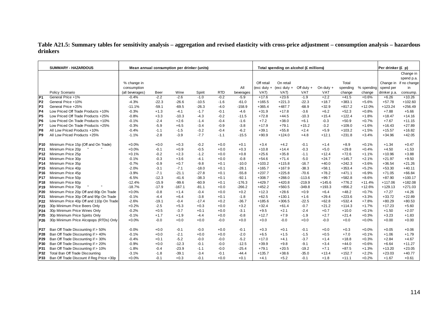## **Table A21.5: Summary tables for sensitivity analysis – aggregation and revised elasticity with cross-price adjustment – consumption analysis – hazardous drinkers**

|                 | <b>SUMMARY - HAZARDOUS</b>               |                 |         | Mean annual consumption per drinker (units) |         |            |           |               | Total spending on alcohol (£ millions) |              |            |          |            | Per drinker (£ p) |                        |
|-----------------|------------------------------------------|-----------------|---------|---------------------------------------------|---------|------------|-----------|---------------|----------------------------------------|--------------|------------|----------|------------|-------------------|------------------------|
|                 |                                          |                 |         |                                             |         |            |           |               |                                        |              |            |          |            |                   | Change in              |
|                 |                                          |                 |         |                                             |         |            |           |               |                                        |              |            |          |            |                   | spend p.a.             |
|                 |                                          | % change in     |         |                                             |         |            |           | Off retail    | On retail                              |              |            | Total    |            |                   | Change in if no change |
|                 |                                          | consumption     |         |                                             |         |            | All       | $(exc duty +$ | ( $exc$ duty $+$                       | Off duty $+$ | On duty +  | spending | % spending | spend per         | in                     |
|                 | Policy Scenario                          | (all beverages) | Beer    | Wine                                        | Spirit  | <b>RTD</b> | beverages | VAT)          | VAT)                                   | <b>VAT</b>   | <b>VAT</b> | change   | change     | drinker p.a.      | consump.               |
| P <sub>1</sub>  | General Price +1%                        | $-0.4%$         | $-2.2$  | $-2.6$                                      | $-1.0$  | $-0.2$     | $-5.9$    | $+17.6$       | $+23.6$                                | $-1.9$       | $+2.2$     | $+41.5$  | $+0.6%$    | $+6.26$           | $+10.26$               |
| P <sub>2</sub>  | General Price +10%                       | $-4.3%$         | $-22.3$ | $-26.6$                                     | $-10.5$ | $-1.6$     | $-61.0$   | $+165.5$      | $+221.3$                               | $-22.3$      | $+18.7$    | $+383.1$ | $+5.6%$    | $+57.78$          | $+102.60$              |
| P <sub>3</sub>  | General Price +25%                       | $-11.1%$        | $-59.1$ | $-69.5$                                     | $-26.3$ | $-4.0$     | $-158.9$  | $+365.4$      | $+487.7$                               | $-68.9$      | $+32.9$    | $+817.2$ | $+12.0%$   | $+123.24$         | $+256.49$              |
| P4              | Low Priced Off Trade Products +10%       | $-0.3%$         | $+1.3$  | $-4.1$                                      | $-1.7$  | $-0.1$     | $-4.6$    | $+31.9$       | $+17.8$                                | $-3.6$       | $+6.2$     | $+52.3$  | $+0.8%$    | $+7.88$           | $+5.66$                |
| P <sub>5</sub>  | Low Priced Off Trade Products +25%       | $-0.8%$         | $+3.3$  | $-10.3$                                     | $-4.3$  | $-0.2$     | $-11.5$   | $+72.8$       | $+44.5$                                | $-10.3$      | $+15.4$    | $+122.4$ | $+1.8%$    | $+18.47$          | $+14.16$               |
| P <sub>6</sub>  | Low Priced On Trade Products +10%        | $-0.1%$         | $-2.4$  | $+2.6$                                      | $-1.4$  | $-0.4$     | $-1.6$    | $+7.2$        | $+38.0$                                | $+6.1$       | $-0.3$     | $+50.9$  | $+0.7%$    | $+7.67$           | $+11.15$               |
| P7              | Low Priced On Trade Products +25%        | $-0.3%$         | $-5.9$  | $+6.5$                                      | $-3.4$  | $-0.9$     | $-3.8$    | $+17.9$       | $+79.1$                                | $+15.2$      | $-3.2$     | $+109.0$ | $+1.6%$    | $+16.43$          | $+27.89$               |
| P8              | All Low Priced Products +10%             | $-0.4%$         | $-1.1$  | $-1.5$                                      | $-3.2$  | $-0.4$     | $-6.2$    | $+39.1$       | $+55.8$                                | $+2.4$       | $+5.9$     | $+103.2$ | $+1.5%$    | $+15.57$          | $+16.82$               |
| P <sub>9</sub>  | All Low Priced Products +25%             | $-1.1%$         | $-2.8$  | $-3.9$                                      | $-7.7$  | $-1.1$     | $-15.5$   | $+90.9$       | $+124.0$                               | $+4.8$       | $+12.1$    | $+231.8$ | $+3.4%$    | $+34.96$          | $+42.05$               |
|                 |                                          |                 |         |                                             |         |            |           |               |                                        |              |            |          |            |                   |                        |
| P <sub>10</sub> | Minimum Price 15p (Off and On Trade)     | $+0.0%$         | $+0.0$  | $+0.3$                                      | $-0.2$  | $+0.0$     | $+0.1$    | $+3.4$        | $+4.2$                                 | $-0.1$       | $+1.4$     | $+8.9$   | $+0.1%$    | $+1.34$           | $+0.47$                |
| P <sub>11</sub> | Minimum Price 20p                        | $+0.0%$         | $-0.1$  | $+0.9$                                      | $-0.5$  | $+0.0$     | $+0.3$    | $+10.8$       | $+14.4$                                | $-0.3$       | $+5.0$     | $+29.8$  | $+0.4%$    | $+4.50$           | $+1.53$                |
| P <sub>12</sub> | Minimum Price 25p                        | $+0.1%$         | $-0.2$  | $+2.3$                                      | $-1.2$  | $+0.0$     | $+0.8$    | $+25.6$       | $+35.8$                                | $-1.1$       | $+12.4$    | $+72.6$  | $+1.1%$    | $+10.96$          | $+3.88$                |
| P <sub>13</sub> | Minimum Price 30p                        | $-0.1%$         | $-0.3$  | $+3.6$                                      | $-4.1$  | $+0.0$     | $-0.8$    | $+54.6$       | $+71.4$                                | $-5.0$       | $+24.7$    | $+145.7$ | $+2.1%$    | $+21.97$          | $+9.50$                |
| P <sub>14</sub> | Minimum Price 35p                        | $-0.7%$         | $-0.9$  | $+0.7$                                      | $-9.8$  | $+0.1$     | $-10.0$   | $+103.2$      | $+115.8$                               | $-16.7$      | $+40.0$    | $+242.3$ | $+3.6%$    | $+36.54$          | $+21.26$               |
| P <sub>15</sub> | Minimum Price 40p                        | $-2.0%$         | $-3.1$  | $-7.1$                                      | $-18.0$ | $+0.1$     | $-28.1$   | $+165.7$      | $+167.9$                               | $-38.3$      | $+58.1$    | $+353.4$ | $+5.2%$    | $+53.30$          | $+40.11$               |
| P <sub>16</sub> | Minimum Price 45p                        | $-3.9%$         | $-7.1$  | $-21.1$                                     | $-27.8$ | $+0.1$     | $-55.8$   | $+237.7$      | $+225.8$                               | $-70.6$      | $+78.2$    | $+471.1$ | $+6.9%$    | $+71.05$          | $+66.84$               |
| <b>P17</b>      | Minimum Price 50p                        | $-6.5%$         | $-12.3$ | $-41.6$                                     | $-38.3$ | $+0.1$     | $-92.1$   | $+308.7$      | $+288.0$                               | $-113.6$     | $+99.7$    | $+582.8$ | $+8.6%$    | $+87.90$          | $+100.17$              |
| P <sub>18</sub> | Minimum Price 60p                        | $-12.4%$        | $-15.9$ | $-99.6$                                     | $-60.9$ | $+0.1$     | $-176.3$  | $+429.7$      | $+420.8$                               | $-219.9$     | $+145.6$   | $+776.2$ | $+11.4%$   | $+117.06$         | $+182.08$              |
| <b>P19</b>      | Minimum Price 70p                        | $-18.7%$        | $-17.9$ | $-167.1$                                    | $-81.1$ | $+0.0$     | $-266.2$  | $+452.2$      | $+560.5$                               | $-349.8$     | $+193.3$   | $+856.2$ | $+12.6%$   | $+129.13$         | $+271.03$              |
| P <sub>20</sub> | Minimum Price 20p Off and 80p On Trade   | $+0.0%$         | $-0.8$  | $+1.4$                                      | $-0.4$  | $+0.0$     | $+0.2$    | $+12.3$       | $+28.6$                                | $+0.9$       | $+6.4$     | $+48.2$  | $+0.7%$    | $+7.27$           | $+4.26$                |
| P21             | Minimum Price 30p Off and 95p On Trade   | $-0.1%$         | $-4.4$  | $+6.4$                                      | $-3.8$  | $+0.1$     | $-1.8$    | $+62.5$       | $+130.1$                               | $+1.6$       | $+29.4$    | $+223.6$ | $+3.3%$    | $+33.72$          | $+22.89$               |
| P22             | Minimum Price 40p Off and 110p On Trade  | $-2.6%$         | $-19.1$ | $-0.4$                                      | $-17.4$ | $+0.2$     | $-36.7$   | $+185.6$      | $+306.5$                               | $-22.5$      | $+62.8$    | $+532.4$ | $+7.8%$    | $+80.29$          | $+80.53$               |
| P23             | 30p Minimum Price Beers Only             | $+0.2%$         | $-2.5$  | $+5.3$                                      | $+0.3$  | $+0.0$     | $+3.2$    | $+32.4$       | $+61.4$                                | $-0.7$       | $+21.2$    | $+114.3$ | $+1.7%$    | $+17.23$          | $+5.60$                |
| P24             | 30p Minimum Price Wines Only             | $-0.2%$         | $+0.5$  | $-3.7$                                      | $+0.1$  | $+0.0$     | $-3.1$    | $+9.5$        | $+2.1$                                 | $-2.4$       | $+0.7$     | $+10.0$  | $+0.1%$    | $+1.50$           | $+2.07$                |
| P <sub>25</sub> | 30p Minimum Price Spirits Only           | $-0.1%$         | $+1.7$  | $+1.9$                                      | $-4.4$  | $+0.0$     | $-0.8$    | $+12.7$       | $+7.9$                                 | $-1.9$       | $+2.7$     | $+21.4$  | $+0.3%$    | $+3.23$           | $+1.83$                |
| P26             | 30p Minimum Price Alcopops (RTDs) Only   | $+0.0%$         | $-0.0$  | $+0.0$                                      | $+0.0$  | $-0.0$     | $+0.0$    | $+0.0$        | $-0.0$                                 | $+0.0$       | $-0.0$     | $+0.0$   | $+0.0%$    | $+0.00$           | $+0.00$                |
|                 |                                          |                 |         |                                             |         |            |           |               |                                        |              |            |          |            |                   |                        |
| <b>P27</b>      | Ban Off Trade Discounting if > 50%       | $-0.0%$         | $+0.0$  | $-0.1$                                      | $-0.0$  | $+0.0$     | $-0.1$    | $+0.3$        | $+0.1$                                 | $-0.1$       | $+0.0$     | $+0.3$   | $+0.0%$    | $+0.05$           | $+0.06$                |
| P28             | Ban Off Trade Discounting if > 40%       | $-0.1%$         | $+0.0$  | $-2.1$                                      | $+0.0$  | $+0.0$     | $-2.0$    | $+6.5$        | $+1.5$                                 | $-1.5$       | $+0.5$     | $+7.0$   | $+0.1%$    | $+1.06$           | $+1.79$                |
| P29             | Ban Off Trade Discounting if > 30%       | $-0.4%$         | $+0.1$  | $-5.2$                                      | $-0.0$  | $-0.0$     | $-5.2$    | $+17.0$       | $+4.1$                                 | $-3.7$       | $+1.4$     | $+18.8$  | $+0.3%$    | $+2.84$           | $+4.67$                |
| P30             | Ban Off Trade Discounting if > 20%       | $-0.9%$         | $+0.0$  | $-12.3$                                     | $-0.1$  | $-0.0$     | $-12.5$   | $+39.9$       | $+9.8$                                 | $-9.1$       | $+3.4$     | $+44.0$  | $+0.6%$    | $+6.64$           | $+11.27$               |
| P31             | Ban Off Trade Discounting if > 10%       | $-1.8%$         | $-0.4$  | $-23.9$                                     | $-1.1$  | $-0.0$     | $-25.4$   | $+79.1$       | $+20.5$                                | $-19.2$      | $+7.1$     | $+87.5$  | $+1.3%$    | $+13.20$          | $+23.05$               |
| P32             | Total Ban Off Trade Discounting          | $-3.1%$         | $-1.8$  | $-39.1$                                     | $-3.4$  | $-0.1$     | $-44.4$   | $+135.7$      | $+38.6$                                | $-35.0$      | $+13.4$    | $+152.7$ | $+2.2%$    | $+23.03$          | $+40.77$               |
| P33             | Ban Off Trade Discount if Reg Price <30p | $+0.0%$         | $-0.1$  | $+0.3$                                      | $-0.1$  | $+0.0$     | $+0.1$    | $+4.1$        | $+5.2$                                 | $-0.1$       | $+1.8$     | $+11.1$  | $+0.2%$    | $+1.67$           | $+0.61$                |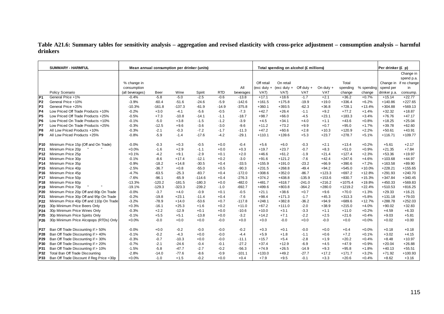## **Table A21.6: Summary tables for sensitivity analysis – aggregation and revised elasticity with cross-price adjustment – consumption analysis – harmful drinkers**

|                 | <b>SUMMARY - HARMFUL</b>                 |                 |          | Mean annual consumption per drinker (units) |          |            |           |               | Total spending on alcohol (£ millions) |              |             |           |            | Per drinker (£ p) |                        |
|-----------------|------------------------------------------|-----------------|----------|---------------------------------------------|----------|------------|-----------|---------------|----------------------------------------|--------------|-------------|-----------|------------|-------------------|------------------------|
|                 |                                          |                 |          |                                             |          |            |           |               |                                        |              |             |           |            |                   | Change in              |
|                 |                                          |                 |          |                                             |          |            |           |               |                                        |              |             |           |            |                   | spend p.a.             |
|                 |                                          | % change in     |          |                                             |          |            |           | Off retail    | On retail                              |              |             | Total     |            |                   | Change in if no change |
|                 |                                          | consumption     |          |                                             |          |            | All       | $(exc duty +$ | (exc duty $+$                          | Off duty $+$ | On duty $+$ | spending  | % spending | spend per         | in                     |
|                 | Policy Scenario                          | (all beverages) | Beer     | Wine                                        | Spirit   | <b>RTD</b> | beverages | VAT)          | VAT)                                   | <b>VAT</b>   | <b>VAT</b>  | change    | change     | drinker p.a.      | consump.               |
| P <sub>1</sub>  | General Price +1%                        | $-0.4%$         | $-5.8$   | $-5.0$                                      | $-2.5$   | $-0.6$     | $-13.8$   | $+17.1$       | $+18.6$                                | $-1.7$       | $+2.1$      | $+36.2$   | $+0.7%$    | $+15.14$          | $+22.77$               |
| <b>P2</b>       | General Price +10%                       | $-3.9%$         | $-60.4$  | $-51.6$                                     | $-24.6$  | $-5.9$     | $-142.6$  | $+161.5$      | $+175.8$                               | $-19.9$      | $+19.0$     | $+336.4$  | $+6.2%$    | $+140.86$         | $+227.65$              |
| P <sub>3</sub>  | General Price +25%                       | $-10.3%$        | $-161.8$ | $-137.3$                                    | $-61.9$  | $-14.9$    | $-375.8$  | $+360.1$      | $+393.5$                               | $-62.3$      | $+36.8$     | $+728.1$  | $+13.4%$   | $+304.88$         | $+569.13$              |
| P <sub>4</sub>  | Low Priced Off Trade Products +10%       | $-0.2%$         | $+3.0$   | $-4.1$                                      | $-5.6$   | $-0.5$     | $-7.3$    | $+42.7$       | $+26.4$                                | $-1.1$       | $+9.2$      | $+77.2$   | $+1.4%$    | $+32.32$          | $+18.87$               |
| P <sub>5</sub>  | Low Priced Off Trade Products +25%       | $-0.5%$         | $+7.3$   | $-10.8$                                     | $-14.1$  | $-1.1$     | $-18.7$   | $+98.7$       | $+66.0$                                | $-4.5$       | $+23.1$     | $+183.3$  | $+3.4%$    | $+76.76$          | $+47.17$               |
| P <sub>6</sub>  | Low Priced On Trade Products +10%        | $-0.1%$         | $-5.0$   | $+3.8$                                      | $-1.5$   | $-1.2$     | $-3.9$    | $+4.5$        | $+34.1$                                | $+4.0$       | $+1.1$      | $+43.6$   | $+0.8%$    | $+18.25$          | $+25.04$               |
| IP7             | Low Priced On Trade Products +25%        | $-0.3%$         | $-12.5$  | $+9.6$                                      | $-3.6$   | $-3.0$     | $-9.6$    | $+11.2$       | $+73.2$                                | $+9.9$       | $+0.7$      | $+95.0$   | $+1.7%$    | $+39.78$          | $+62.60$               |
| P <sub>8</sub>  | All Low Priced Products +10%             | $-0.3%$         | $-2.1$   | $-0.3$                                      | $-7.2$   | $-1.7$     | $-11.3$   | $+47.2$       | $+60.6$                                | $+2.8$       | $+10.3$     | $+120.9$  | $+2.2%$    | $+50.61$          | $+43.91$               |
| P <sub>9</sub>  | All Low Priced Products +25%             | $-0.8%$         | $-5.9$   | $-1.4$                                      | $-17.6$  | $-4.2$     | $-29.1$   | $+110.1$      | $+139.6$                               | $+5.3$       | $+23.7$     | $+278.7$  | $+5.1%$    | $+116.71$         | $+109.77$              |
| P <sub>10</sub> | Minimum Price 15p (Off and On Trade)     | $-0.0%$         | $-0.3$   | $+0.3$                                      | $-0.5$   | $+0.0$     | $-0.4$    | $+5.6$        | $+6.0$                                 | $-0.3$       | $+2.1$      | $+13.4$   | $+0.2%$    | $+5.61$           | $+2.17$                |
| P <sub>11</sub> | Minimum Price 20p                        | $+0.0%$         | $-1.6$   | $+2.9$                                      | $-1.1$   | $+0.0$     | $+0.3$    | $+19.7$       | $+23.7$                                | $-0.7$       | $+8.3$      | $+51.0$   | $+0.9%$    | $+21.35$          | $+7.84$                |
| P <sub>12</sub> | Minimum Price 25p                        | $+0.1%$         | $-4.2$   | $+9.1$                                      | $-2.9$   | $+0.1$     | $+2.0$    | $+46.6$       | $+61.2$                                | $-1.9$       | $+21.4$     | $+127.4$  | $+2.3%$    | $+53.36$          | $+19.97$               |
| P <sub>13</sub> | Minimum Price 30p                        | $-0.1%$         | $-8.6$   | $+17.4$                                     | $-12.1$  | $+0.2$     | $-3.0$    | $+91.6$       | $+121.2$                               | $-7.6$       | $+42.4$     | $+247.6$  | $+4.6%$    | $+103.68$         | $+44.97$               |
| P <sub>14</sub> | Minimum Price 35p                        | $-0.9%$         | $-18.2$  | $+14.8$                                     | $-30.5$  | $+0.4$     | $-33.5$   | $+155.9$      | $+191.0$                               | $-23.2$      | $+66.9$     | $+390.6$  | $+7.2%$    | $+163.58$         | $+89.90$               |
| P <sub>15</sub> | Minimum Price 40p                        | $-2.5%$         | $-36.7$  | $+0.8$                                      | $-55.0$  | $+0.5$     | $-90.3$   | $+231.5$      | $+268.8$                               | $-49.4$      | $+94.2$     | $+545.0$  | $+10.0%$   | $+228.21$         | $+155.65$              |
| P <sub>16</sub> | Minimum Price 45p                        | $-4.7%$         | $-63.5$  | $-25.3$                                     | $-83.7$  | $+0.4$     | $-172.0$  | $+308.6$      | $+352.0$                               | $-86.7$      | $+123.3$    | $+697.2$  | $+12.8%$   | $+291.93$         | $+240.70$              |
| <b>P17</b>      | Minimum Price 50p                        | $-7.6%$         | $-96.1$  | $-65.9$                                     | $-114.6$ | $+0.4$     | $-276.3$  | $+374.2$      | $+438.8$                               | $-135.9$     | $+153.6$    | $+830.7$  | $+15.3%$   | $+347.84$         | $+340.45$              |
| <b>P18</b>      | Minimum Price 60p                        | $-13.3%$        | $-120.2$ | $-181.5$                                    | $-180.3$ | $+0.0$     | $-482.0$  | $+481.7$      | $+618.7$                               | $-241.0$     | $+216.2$    | $+1075.4$ | $+19.8%$   | $+450.33$         | $+569.83$              |
| P <sub>19</sub> | Minimum Price 70p                        | $-19.1%$        | $-129.3$ | $-323.3$                                    | $-239.2$ | $-1.0$     | $-692.7$  | $+499.6$      | $+803.8$                               | $-364.2$     | $+280.0$    | $+1219.2$ | $+22.4%$   | $+510.53$         | $+816.25$              |
| <b>P20</b>      | Minimum Price 20p Off and 80p On Trade   | $-0.0%$         | $-3.7$   | $+4.0$                                      | $-0.9$   | $+0.1$     | $-0.5$    | $+21.1$       | $+38.6$                                | $+0.7$       | $+9.6$      | $+70.0$   | $+1.3%$    | $+29.33$          | $+16.21$               |
| P21             | Minimum Price 30p Off and 95p On Trade   | $-0.2%$         | $-19.8$  | $+23.1$                                     | $-11.4$  | $+0.4$     | $-7.6$    | $+98.4$       | $+171.3$                               | $-1.7$       | $+45.3$     | $+313.3$  | $+5.8%$    | $+131.18$         | $+79.03$               |
| P22             | Minimum Price 40p Off and 110p On Trade  | $-3.2%$         | $-78.9$  | $+14.0$                                     | $-53.6$  | $+0.7$     | $-117.8$  | $+248.1$      | $+382.8$                               | $-36.2$      | $+94.9$     | $+689.6$  | $+12.7%$   | $+288.78$         | $+252.03$              |
| P <sub>23</sub> | 30p Minimum Price Beers Only             | $+0.3%$         | $-16.1$  | $+25.3$                                     | $+1.6$   | $+0.2$     | $+11.0$   | $+67.2$       | $+111.0$                               | $-2.0$       | $+38.9$     | $+215.0$  | $+4.0%$    | $+90.02$          | $+32.83$               |
| P24             | 30p Minimum Price Wines Only             | $-0.3%$         | $+2.2$   | $-12.9$                                     | $+0.1$   | $+0.0$     | $-10.6$   | $+10.0$       | $+3.1$                                 | $-3.3$       | $+1.1$      | $+11.0$   | $+0.2%$    | $+4.59$           | $+6.33$                |
| P <sub>25</sub> | 30p Minimum Price Spirits Only           | $-0.1%$         | $+5.5$   | $+5.1$                                      | $-13.8$  | $+0.0$     | $-3.2$    | $+14.2$       | $+7.1$                                 | $-2.2$       | $+2.5$      | $+21.6$   | $+0.4%$    | $+9.03$           | $+5.81$                |
| P26             | 30p Minimum Price Alcopops (RTDs) Only   | $+0.0%$         | $-0.0$   | $+0.0$                                      | $+0.0$   | $-0.0$     | $+0.0$    | $+0.0$        | $-0.0$                                 | $+0.0$       | $-0.0$      | $+0.0$    | $+0.0%$    | $+0.02$           | $+0.00$                |
| <b>P27</b>      | Ban Off Trade Discounting if > 50%       | $-0.0%$         | $+0.0$   | $-0.2$                                      | $-0.0$   | $-0.0$     | $-0.2$    | $+0.3$        | $+0.1$                                 | $-0.0$       | $+0.0$      | $+0.4$    | $+0.0%$    | $+0.18$           | $+0.18$                |
| P28             | Ban Off Trade Discounting if > 40%       | $-0.1%$         | $-0.2$   | $-4.3$                                      | $+0.0$   | $-0.0$     | $-4.4$    | $+5.9$        | $+1.8$                                 | $-1.1$       | $+0.6$      | $+7.2$    | $+0.1%$    | $+3.02$           | $+4.15$                |
| P29             | Ban Off Trade Discounting if > 30%       | $-0.3%$         | $-0.7$   | $-10.3$                                     | $+0.0$   | $-0.0$     | $-11.1$   | $+15.7$       | $+5.4$                                 | $-2.8$       | $+1.9$      | $+20.2$   | $+0.4%$    | $+8.48$           | $+10.97$               |
| <b>P30</b>      | Ban Off Trade Discounting if > 20%       | $-0.7%$         | $-2.1$   | $-24.6$                                     | $-0.4$   | $-0.1$     | $-27.2$   | $+37.4$       | $+12.9$                                | $-6.9$       | $+4.5$      | $+47.9$   | $+0.9%$    | $+20.04$          | $+26.88$               |
| P31             | Ban Off Trade Discounting if > 10%       | $-1.5%$         | $-5.8$   | $-47.7$                                     | $-2.7$   | $-0.2$     | $-56.3$   | $+74.9$       | $+26.5$                                | $-14.9$      | $+9.3$      | $+95.8$   | $+1.8%$    | $+40.13$          | $+55.51$               |
| P32             | Total Ban Off Trade Discounting          | $-2.8%$         | $-14.0$  | $-77.6$                                     | $-8.6$   | $-0.9$     | $-101.1$  | $+133.0$      | $+49.2$                                | $-27.7$      | $+17.2$     | $+171.7$  | $+3.2%$    | $+71.92$          | $+100.93$              |
| P33             | Ban Off Trade Discount if Reg Price <30p | $+0.0%$         | $-1.0$   | $+1.5$                                      | $-0.2$   | $+0.0$     | $+0.4$    | $+7.9$        | $+9.5$                                 | $-0.1$       | $+3.3$      | $+20.6$   | $+0.4%$    | $+8.62$           | $+3.16$                |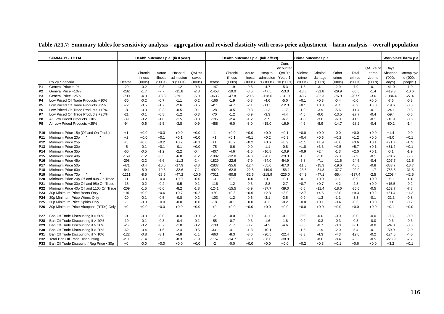|                 | <b>SUMMARY - TOTAL</b>                   |         |         |         | Health outcomes p.a. (first year) |         |         |         |         | Health outcomes p.a. (full effect) |            |         | Crime outcomes p.a. |         |          |          |           | Workplace harm p.a |
|-----------------|------------------------------------------|---------|---------|---------|-----------------------------------|---------|---------|---------|---------|------------------------------------|------------|---------|---------------------|---------|----------|----------|-----------|--------------------|
|                 |                                          |         |         |         |                                   |         |         |         |         |                                    | Cum.       |         |                     |         |          |          |           |                    |
|                 |                                          |         |         |         |                                   |         |         |         |         |                                    | dicounted  |         |                     |         |          | QALYs of | Days      |                    |
|                 |                                          |         | Chronic | Acute   | Hospital                          | QALYs   |         | Chronic | Acute   | Hospital                           | QALYs      | Violent | Criminal            | Other   | Total    | crime    | Absence   | Unemploye          |
|                 |                                          |         | illness | illness | admission                         | saved   |         | illness | illness | admission                          | Years 1-   | crime   | damage              | crime   | crimes   | victims  | (000s)    | d ('000s           |
|                 | Policy Scenario                          | Deaths  | (000s)  | ('000s) | s ('000s)                         | (000s)  | Deaths  | (000s)  | (′000s) | s ('000s)                          | 10 ('000s) | (000s)  | (000s)              | (000s)  | (000s)   | (000s)   | days)     | people)            |
| P <sub>1</sub>  | General Price +1%                        | $-29$   | $-0.2$  | $-0.8$  | $-1.2$                            | $-0.3$  | $-147$  | $-1.9$  | $-0.8$  | $-4.7$                             | $-5.3$     | $-1.8$  | $-3.1$              | $-2.9$  | $-7.9$   | $-0.1$   | $-41.0$   | $-1.0$             |
| P <sub>2</sub>  | General Price +10%                       | $-282$  | $-1.7$  | $-7.7$  | $-11.8$                           | $-2.8$  | $-1453$ | $-19.0$ | $-8.5$  | $-47.5$                            | $-53.0$    | $-18.8$ | $-31.8$             | $-29.9$ | $-80.5$  | $-1.4$   | $-419.3$  | $-10.6$            |
| P <sub>3</sub>  | General Price +25%                       | $-700$  | $-4.3$  | $-18.8$ | $-29.1$                           | $-6.9$  | $-3635$ | $-47.8$ | $-20.6$ | $-118.6$                           | $-131.9$   | $-48.7$ | $-82.3$             | $-76.9$ | $-207.9$ | $-3.6$   | $-1084.4$ | $-27.4$            |
| P <sub>4</sub>  | Low Priced Off Trade Products +10%       | $-30$   | $-0.2$  | $-0.7$  | $-1.1$                            | $-0.2$  | $-166$  | $-1.9$  | $-0.8$  | $-4.6$                             | $-5.0$     | $+0.1$  | $+0.3$              | $-0.4$  | $-0.0$   | $+0.0$   | $-7.6$    | $-0.3$             |
| P <sub>5</sub>  | Low Priced Off Trade Products +25%       | $-72$   | $-0.5$  | $-1.7$  | $-2.6$                            | $-0.5$  | $-411$  | $-4.7$  | $-2.1$  | $-11.5$                            | $-12.3$    | $+0.1$  | $+0.8$              | $-1.1$  | $-0.2$   | $+0.0$   | $-19.6$   | $-0.8$             |
| P <sub>6</sub>  | Low Priced On Trade Products +10%        | -8      | $-0.0$  | $-0.3$  | $-0.5$                            | $-0.1$  | $-28$   | $-0.5$  | $-0.3$  | $-1.3$                             | $-1.7$     | $-1.9$  | $-3.9$              | $-5.6$  | $-11.4$  | $-0.1$   | $-24.1$   | $-0.3$             |
| P7              | Low Priced On Trade Products +25%        | $-21$   | $-0.1$  | $-0.8$  | $-1.2$                            | $-0.3$  | $-70$   | $-1.2$  | $-0.9$  | $-3.3$                             | $-4.4$     | $-4.6$  | $-9.6$              | $-13.5$ | $-27.7$  | $-0.4$   | $-59.4$   | $-0.6$             |
| P8              | All Low Priced Products +10%             | $-39$   | $-0.2$  | $-1.0$  | $-1.5$                            | $-0.3$  | $-195$  | $-2.4$  | $-1.2$  | $-5.9$                             | $-6.7$     | $-1.8$  | $-3.6$              | $-6.0$  | $-11.5$  | $-0.1$   | $-31.9$   | $-0.6$             |
| P <sub>9</sub>  | All Low Priced Products +25%             | $-94$   | $-0.6$  | $-2.5$  | $-3.8$                            | $-0.9$  | $-488$  | $-6.0$  | $-3.0$  | $-15.0$                            | $-16.9$    | $-4.6$  | $-8.9$              | $-14.7$ | $-28.2$  | $-0.4$   | $-80.2$   | $-1.4$             |
| <b>P10</b>      | Minimum Price 15p (Off and On Trade)     | $+1$    | $+0.0$  | $+0.0$  | $+0.0$                            | $+0.0$  | $-1$    | $+0.0$  | $+0.0$  | $+0.0$                             | $+0.1$     | $+0.0$  | $+0.0$              | $-0.0$  | $+0.0$   | $+0.0$   | $+1.4$    | $-0.0$             |
| P11             | Minimum Price 20p                        | $+2$    | $+0.0$  | $+0.1$  | $+0.1$                            | $+0.0$  | $+1$    | $+0.1$  | $+0.1$  | $+0.2$                             | $+0.3$     | $+0.4$  | $+0.6$              | $+0.2$  | $+1.2$   | $+0.0$   | $+8.0$    | $+0.1$             |
| P12             | Minimum Price 25p                        | $+5$    | $+0.0$  | $+0.2$  | $+0.2$                            | $+0.1$  | $+1$    | $+0.2$  | $+0.2$  | $+0.6$                             | $+0.9$     | $+1.1$  | $+1.9$              | $+0.6$  | $+3.6$   | $+0.1$   | $+21.7$   | $+0.3$             |
| P13             | Minimum Price 30p                        | $-5$    | $-0.1$  | $+0.1$  | $-0.1$                            | $+0.0$  | $-75$   | $-0.6$  | $-0.0$  | $-1.1$                             | $-0.8$     | $+1.8$  | $+3.3$              | $+0.5$  | $+5.7$   | $+0.1$   | $+31.4$   | $+0.1$             |
| P14             | Minimum Price 35p                        | $-60$   | $-0.5$  | $-1.2$  | $-2.2$                            | $-0.4$  | $-407$  | -4.6    | $-1.6$  | $-10.8$                            | $-10.9$    | $+0.9$  | $+2.4$              | $-1.3$  | $+2.0$   | $+0.1$   | $-0.1$    | $-1.9$             |
| P <sub>15</sub> | Minimum Price 40p                        | $-159$  | $-1.2$  | $-3.5$  | $-6.0$                            | $-1.2$  | $-1002$ | $-12.0$ | $-4.3$  | $-28.8$                            | $-29.3$    | $-1.5$  | $-1.0$              | $-5.3$  | $-7.9$   | $-0.1$   | $-78.6$   | $-5.8$             |
| P <sub>16</sub> | Minimum Price 45p                        | $-298$  | $-2.2$  | $-6.6$  | $-11.3$                           | $-2.4$  | $-1829$ | $-22.6$ | $-7.9$  | $-54.0$                            | $-54.9$    | $-5.8$  | $-7.1$              | $-11.6$ | $-24.5$  | $-0.4$   | $-207.7$  | $-11.5$            |
| P17             | Minimum Price 50p                        | $-471$  | $-3.4$  | $-10.6$ | $-17.9$                           | $-3.8$  | $-2837$ | $-35.6$ | $-12.4$ | $-85.0$                            | $-87.0$    | $-11.5$ | $-15.3$             | $-19.6$ | $-46.5$  | $-0.8$   | $-383.7$  | $-18.7$            |
| P <sub>18</sub> | Minimum Price 60p                        | $-841$  | $-5.9$  | $-19.6$ | $-32.6$                           | $-7.1$  | $-4929$ | $-62.8$ | $-22.5$ | $-149.9$                           | $-156.1$   | $-23.5$ | $-31.8$             | $-37.7$ | $-92.9$  | $-1.7$   | $-786.8$  | $-31.5$            |
| P <sub>19</sub> | Minimum Price 70p                        | $-1211$ | $-8.5$  | $-28.6$ | $-47.2$                           | $-10.5$ | $-7011$ | $-90.8$ | $-32.6$ | $-215.9$                           | $-226.0$   | $-34.9$ | $-47.1$             | $-55.4$ | $-137.4$ | $-2.5$   | $-1208.4$ | $-42.5$            |
| P <sub>20</sub> | Minimum Price 20p Off and 80p On Trade   | $+1$    | $-0.0$  | $+0.0$  | $+0.0$                            | $+0.0$  | $-3$    | $+0.0$  | $+0.0$  | $+0.1$                             | $+0.1$     | $+0.1$  | $+0.0$              | $-1.1$  | $-0.9$   | $+0.0$   | $+5.1$    | $+0.0$             |
| P <sub>21</sub> | Minimum Price 30p Off and 95p On Trade   | $-15$   | $-0.2$  | $-0.2$  | $-0.5$                            | $-0.1$  | $-116$  | $-1.2$  | $-0.3$  | $-2.8$                             | $-2.7$     | $+0.7$  | $+0.7$              | $-4.2$  | $-2.8$   | $+0.0$   | $+15.5$   | $-0.2$             |
| P22             | Minimum Price 40p Off and 110p On Trade  | $-209$  | $-1.5$  | $-5.0$  | $-8.2$                            | $-1.8$  | $-1241$ | $-15.5$ | $-5.9$  | $-37.7$                            | $-39.0$    | $-6.6$  | $-11.4$             | $-18.6$ | $-36.6$  | $-0.5$   | $-162.7$  | $-7.8$             |
| P23             | 30p Minimum Price Beers Only             | $+16$   | $+0.0$  | $+0.6$  | $+0.7$                            | $+0.2$  | $+50$   | $+0.8$  | $+0.6$  | $+2.3$                             | $+3.0$     | $+2.7$  | $+4.6$              | $+2.0$  | $+9.3$   | $+0.2$   | $+51.4$   | $+1.2$             |
| P <sub>24</sub> | 30p Minimum Price Wines Only             | $-20$   | $-0.1$  | $-0.5$  | $-0.8$                            | $-0.2$  | $-103$  | $-1.2$  | $-0.6$  | $-3.1$                             | $-3.5$     | $-0.9$  | $-1.3$              | $-1.1$  | $-3.3$   | $-0.1$   | $-21.3$   | $-0.8$             |
| P <sub>25</sub> | 30p Minimum Price Spirits Only           | $-1$    | $-0.0$  | $+0.0$  | $-0.0$                            | $+0.0$  | $-18$   | $-0.1$  | $+0.0$  | $-0.3$                             | $-0.2$     | $+0.0$  | $+0.1$              | $-0.4$  | $-0.3$   | $+0.0$   | $+1.6$    | $-0.2$             |
| P <sub>26</sub> | 30p Minimum Price Alcopops (RTDs) Only   | $+0$    | $+0.0$  | $+0.0$  | $+0.0$                            | $+0.0$  | $+0$    | $+0.0$  | $+0.0$  | $+0.0$                             | $+0.0$     | $+0.0$  | $+0.0$              | $+0.0$  | $+0.0$   | $+0.0$   | $+0.1$    | $+0.0$             |
| P27             | Ban Off Trade Discounting if > 50%       | $-0$    | $-0.0$  | $-0.0$  | $-0.0$                            | $-0.0$  | $-2$    | $-0.0$  | $-0.0$  | $-0.1$                             | $-0.1$     | $-0.0$  | $-0.0$              | $-0.0$  | $-0.0$   | $-0.0$   | $-0.3$    | $-0.0$             |
| P28             | Ban Off Trade Discounting if > 40%       | $-10$   | $-0.1$  | $-0.3$  | $-0.4$                            | $-0.1$  | $-55$   | $-0.7$  | $-0.3$  | $-1.6$                             | $-1.8$     | $-0.2$  | $-0.3$              | $-0.3$  | $-0.8$   | $-0.0$   | $-9.6$    | $-0.3$             |
| P <sub>29</sub> | Ban Off Trade Discounting if > 30%       | $-26$   | $-0.2$  | $-0.7$  | $-1.0$                            | $-0.2$  | $-138$  | $-1.7$  | $-0.7$  | $-4.2$                             | $-4.6$     | $-0.6$  | $-0.7$              | $-0.8$  | $-2.1$   | $-0.0$   | $-24.3$   | $-0.8$             |
| P30             | Ban Off Trade Discounting if > 20%       | $-62$   | $-0.4$  | $-1.6$  | $-2.4$                            | $-0.5$  | $-331$  | $-4.1$  | $-1.8$  | $-10.1$                            | $-11.1$    | $-1.5$  | $-1.9$              | $-2.0$  | $-5.4$   | $-0.1$   | $-59.9$   | $-2.0$             |
| P31             | Ban Off Trade Discounting if > 10%       | $-122$  | $-0.8$  | $-3.1$  | $-4.8$                            | $-1.1$  | $-663$  | $-8.3$  | $-3.6$  | $-20.5$                            | $-22.4$    | $-3.3$  | $-4.3$              | $-4.3$  | $-12.0$  | $-0.2$   | $-124.6$  | $-4.0$             |
| P32             | Total Ban Off Trade Discounting          | $-211$  | $-1.4$  | $-5.3$  | $-8.3$                            | $-1.9$  | $-1157$ | $-14.7$ | $-6.0$  | $-36.0$                            | $-38.9$    | $-6.3$  | $-8.6$              | $-8.4$  | $-23.3$  | $-0.5$   | $-223.9$  | $-7.2$             |
| P33             | Ban Off Trade Discount if Reg Price <30p | $+0$    | $-0.0$  | $+0.0$  | $+0.0$                            | $+0.0$  | $-2$    | $-0.0$  | $+0.0$  | $+0.0$                             | $+0.0$     | $+0.2$  | $+0.3$              | $+0.1$  | $+0.6$   | $+0.0$   | $+3.2$    | $+0.1$             |

**Table A21.7: Summary tables for sensitivity analysis – aggregation and revised elasticity with cross-price adjustment – harm analysis – overall population**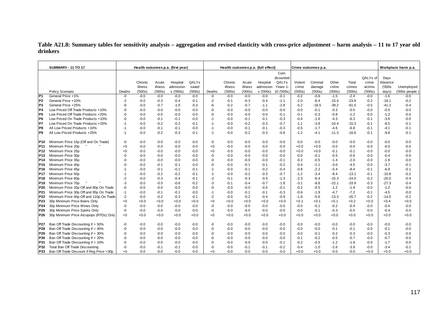**Table A21.8: Summary tables for sensitivity analysis – aggregation and revised elasticity with cross-price adjustment – harm analysis – 11 to 17 year olddrinkers** 

|                 | <b>SUMMARY - 11 TO 17</b>                |        |         |         | Health outcomes p.a. (first year) |        |        | Health outcomes p.a. (full effect) |         |           |                   |         | Crime outcomes p.a. |         |         |          |         | Workplace harm p.a. |
|-----------------|------------------------------------------|--------|---------|---------|-----------------------------------|--------|--------|------------------------------------|---------|-----------|-------------------|---------|---------------------|---------|---------|----------|---------|---------------------|
|                 |                                          |        |         |         |                                   |        |        |                                    |         |           | Cum.<br>dicounted |         |                     |         |         | QALYs of | Days    |                     |
|                 |                                          |        | Chronic | Acute   | Hospital                          | QALYs  |        | Chronic                            | Acute   | Hospital  | QALYs             | Violent | Criminal            | Other   | Total   | crime    | Absence |                     |
|                 |                                          |        | illness | illness | admission                         | saved  |        | illness                            | illness | admission | Years 1-          | crime   | damage              | crime   | crimes  | victims  | (000s   | Unemployed          |
|                 | Policy Scenario                          | Deaths | (000s)  | (000s)  | s ('000s)                         | (000s) | Deaths | (000s)                             | (000s)  | s ('000s) | 10 ('000s)        | (000s)  | (000s)              | (000s)  | (000s)  | (000s)   | days)   | $(000s$ people      |
| P <sub>1</sub>  | General Price +1%                        | -0     | $-0.0$  | $-0.0$  | $-0.0$                            | $-0.0$ | -0     | $-0.0$                             | $-0.0$  | $-0.0$    | $-0.1$            | $-0.2$  | $-0.6$              | $-1.5$  | $-2.4$  | $-0.0$   | $-1.6$  | $-0.0$              |
| P <sub>2</sub>  | General Price +10%                       | $-2$   | $-0.0$  | $-0.3$  | $-0.4$                            | $-0.1$ | $-2$   | $-0.1$                             | $-0.3$  | $-0.4$    | $-1.1$            | $-2.0$  | $-6.4$              | $-15.4$ | $-23.8$ | $-0.2$   | $-16.1$ | $-0.2$              |
| P <sub>3</sub>  | General Price +25%                       | $-6$   | $-0.0$  | $-0.7$  | $-1.0$                            | $-0.3$ | -6     | $-0.2$                             | $-0.7$  | $-1.1$    | $-2.8$            | $-5.2$  | $-16.5$             | $-39.2$ | $-61.0$ | $-0.5$   | $-41.3$ | $-0.4$              |
| P4              | Low Priced Off Trade Products +10%       | -0     | $-0.0$  | $-0.0$  | $-0.0$                            | $-0.0$ | -0     | $-0.0$                             | $-0.0$  | $-0.0$    | $-0.0$            | $-0.0$  | $-0.1$              | $-0.3$  | $-0.5$  | $-0.0$   | $-0.5$  | $-0.0$              |
| P <sub>5</sub>  | Low Priced Off Trade Products +25%       | -0     | $-0.0$  | $-0.0$  | $-0.0$                            | $-0.0$ | -0     | $-0.0$                             | $-0.0$  | $-0.0$    | $-0.1$            | $-0.1$  | -0.3                | $-0.8$  | $-1.2$  | $-0.0$   | $-1.2$  | $-0.0$              |
| P <sub>6</sub>  | Low Priced On Trade Products +10%        | $-0$   | $-0.0$  | $-0.1$  | $-0.1$                            | $-0.0$ | $-1$   | $-0.0$                             | $-0.1$  | $-0.1$    | $-0.3$            | $-0.4$  | $-1.6$              | $-4.3$  | $-6.3$  | $-0.1$   | $-3.6$  | $-0.0$              |
| P7              | Low Priced On Trade Products +25%        | $-1$   | $-0.0$  | $-0.2$  | $-0.2$                            | $-0.1$ | $-1$   | $-0.0$                             | $-0.2$  | $-0.3$    | $-0.7$            | $-1.1$  | $-3.8$              | $-10.4$ | $-15.3$ | $-0.1$   | $-8.5$  | $-0.1$              |
| P8              | All Low Priced Products +10%             | $-1$   | $-0.0$  | $-0.1$  | $-0.1$                            | $-0.0$ | $-1$   | $-0.0$                             | $-0.1$  | $-0.1$    | $-0.3$            | $-0.5$  | $-1.7$              | $-4.6$  | $-6.8$  | $-0.1$   | $-4.1$  | $-0.1$              |
| P9              | All Low Priced Products +25%             | $-1$   | $-0.0$  | $-0.2$  | $-0.3$                            | $-0.1$ | $-1$   | $-0.0$                             | $-0.2$  | $-0.3$    | $-0.8$            | $-1.2$  | $-4.1$              | $-11.3$ | $-16.6$ | $-0.1$   | $-9.8$  | $-0.1$              |
| P10             | Minimum Price 15p (Off and On Trade)     | -0     | $-0.0$  | $-0.0$  | $-0.0$                            | $-0.0$ | -0     | $-0.0$                             | $-0.0$  | $-0.0$    | $-0.0$            | $-0.0$  | $-0.0$              | $-0.0$  | $-0.0$  | $-0.0$   | $-0.0$  | $-0.0$              |
| <b>P11</b>      | Minimum Price 20p                        | $+0$   | $-0.0$  | $-0.0$  | $-0.0$                            | $-0.0$ | $+0$   | $-0.0$                             | $-0.0$  | $-0.0$    | $-0.0$            | $+0.0$  | $+0.0$              | $-0.0$  | $-0.0$  | $-0.0$   | $-0.0$  | $-0.0$              |
| P12             | Minimum Price 25p                        | $+0$   | $-0.0$  | $-0.0$  | $-0.0$                            | $-0.0$ | $+0$   | $-0.0$                             | $-0.0$  | $-0.0$    | $-0.0$            | $+0.0$  | $+0.0$              | $-0.1$  | $-0.1$  | $-0.0$   | $-0.0$  | $-0.0$              |
| P13             | Minimum Price 30p                        | -0     | $-0.0$  | $-0.0$  | $-0.0$                            | $-0.0$ | -0     | $-0.0$                             | $-0.0$  | $-0.0$    | $-0.0$            | $-0.0$  | $-0.1$              | $-0.5$  | $-0.6$  | $-0.0$   | $-0.4$  | $-0.0$              |
| P14             | Minimum Price 35p                        | -0     | $-0.0$  | $-0.0$  | $-0.0$                            | $-0.0$ | -0     | $-0.0$                             | $-0.0$  | $-0.0$    | $-0.1$            | $-0.2$  | $-0.5$              | $-1.4$  | $-2.0$  | $-0.0$   | $-1.6$  | $-0.0$              |
| P <sub>15</sub> | Minimum Price 40p                        | $-0$   | $-0.0$  | $-0.1$  | $-0.1$                            | $-0.0$ | $-0$   | $-0.0$                             | $-0.1$  | $-0.1$    | $-0.2$            | $-0.4$  | $-1.1$              | $-3.0$  | $-4.5$  | $-0.0$   | $-3.7$  | $-0.1$              |
| P16             | Minimum Price 45p                        | -1     | $-0.0$  | $-0.1$  | $-0.1$                            | $-0.1$ | $-1$   | $-0.0$                             | $-0.1$  | $-0.2$    | $-0.4$            | $-0.8$  | $-2.2$              | $-5.4$  | $-8.4$  | $-0.1$   | $-6.9$  | $-0.1$              |
| <b>P17</b>      | Minimum Price 50p                        | $-1$   | $-0.0$  | $-0.2$  | $-0.2$                            | $-0.1$ | $-1$   | $-0.0$                             | $-0.2$  | $-0.3$    | $-0.7$            | $-1.2$  | $-3.4$              | $-8.4$  | $-13.1$ | $-0.1$   | $-10.8$ | $-0.2$              |
| P18             | Minimum Price 60p                        | $-2$   | $-0.0$  | $-0.3$  | $-0.4$                            | $-0.1$ | $-2$   | $-0.1$                             | $-0.3$  | $-0.5$    | $-1.3$            | $-2.3$  | $-6.4$              | $-15.3$ | $-24.0$ | $-0.2$   | $-20.0$ | $-0.4$              |
| P <sub>19</sub> | Minimum Price 70p                        | $-3$   | $-0.0$  | $-0.5$  | $-0.6$                            | $-0.2$ | $-3$   | $-0.1$                             | $-0.4$  | $-0.7$    | $-1.8$            | $-3.1$  | $-8.8$              | $-22.1$ | $-33.9$ | $-0.3$   | $-27.3$ | $-0.4$              |
| P <sub>20</sub> | Minimum Price 20p Off and 80p On Trade   | -0     | $-0.0$  | $-0.0$  | $-0.0$                            | $-0.0$ | -0     | $-0.0$                             | $-0.0$  | $-0.0$    | $-0.1$            | $-0.2$  | $-0.5$              | $-1.2$  | $-1.9$  | $-0.0$   | $-1.2$  | $-0.0$              |
| P21             | Minimum Price 30p Off and 95p On Trade   | $-1$   | $-0.0$  | $-0.1$  | $-0.1$                            | $-0.0$ | $-1$   | $-0.0$                             | $-0.1$  | $-0.1$    | $-0.3$            | $-0.6$  | $-1.9$              | $-4.7$  | $-7.2$  | $-0.1$   | $-4.5$  | $-0.0$              |
| P <sub>22</sub> | Minimum Price 40p Off and 110p On Trade  | -2     | $-0.0$  | $-0.2$  | $-0.3$                            | $-0.1$ | $-2$   | $-0.0$                             | $-0.2$  | $-0.4$    | $-0.9$            | $-1.8$  | $-5.6$              | $-13.3$ | $-20.7$ | $-0.2$   | $-14.0$ | $-0.2$              |
| P <sub>23</sub> | 30p Minimum Price Beers Only             | $+0$   | $+0.0$  | $+0.0$  | $+0.0$                            | $+0.0$ | $+0$   | $+0.0$                             | $+0.0$  | $+0.0$    | $+0.0$            | $+0.1$  | $+0.1$              | $+0.1$  | $+0.2$  | $+0.0$   | $+0.4$  | $+0.0$              |
| P <sub>24</sub> | 30p Minimum Price Wines Only             | -0     | $-0.0$  | $-0.0$  | $-0.0$                            | $-0.0$ | -0     | $-0.0$                             | $-0.0$  | $-0.0$    | $-0.0$            | $-0.0$  | $-0.1$              | $-0.2$  | $-0.4$  | $-0.0$   | $-0.4$  | $-0.0$              |
| P <sub>25</sub> | 30p Minimum Price Spirits Only           | -0     | $-0.0$  | $-0.0$  | $-0.0$                            | $-0.0$ | $-0$   | $-0.0$                             | $-0.0$  | $-0.0$    | $-0.0$            | $-0.0$  | $-0.1$              | $-0.3$  | $-0.5$  | $-0.0$   | $-0.4$  | $-0.0$              |
| P26             | 30p Minimum Price Alcopops (RTDs) Only   | $+0$   | $+0.0$  | $+0.0$  | $+0.0$                            | $+0.0$ | $+0$   | $+0.0$                             | $+0.0$  | $+0.0$    | $+0.0$            | $+0.0$  | $+0.0$              | $+0.0$  | $+0.0$  | $+0.0$   | $+0.0$  | $+0.0$              |
|                 |                                          |        |         |         |                                   |        |        |                                    |         |           |                   |         |                     |         |         |          |         |                     |
| P27             | Ban Off Trade Discounting if > 50%       | -0     | $-0.0$  | $-0.0$  | $-0.0$                            | $-0.0$ | -0     | $-0.0$                             | $-0.0$  | $-0.0$    | $-0.0$            | $-0.0$  | $-0.0$              | $-0.0$  | $-0.0$  | $-0.0$   | $-0.0$  | $-0.0$              |
| P28             | Ban Off Trade Discounting if > 40%       | -0     | $-0.0$  | $-0.0$  | $-0.0$                            | $-0.0$ | -0     | $-0.0$                             | $-0.0$  | $-0.0$    | $-0.0$            | $-0.0$  | $-0.0$              | $-0.1$  | $-0.1$  | $-0.0$   | $-0.1$  | $-0.0$              |
| P <sub>29</sub> | Ban Off Trade Discounting if > 30%       | -0     | $-0.0$  | $-0.0$  | $-0.0$                            | $-0.0$ | -0     | $-0.0$                             | $-0.0$  | $-0.0$    | $-0.0$            | $-0.0$  | $-0.1$              | $-0.2$  | $-0.3$  | $-0.0$   | $-0.3$  | $-0.0$              |
| P30             | Ban Off Trade Discounting if > 20%       | $-0$   | $-0.0$  | $-0.0$  | $-0.0$                            | $-0.0$ | -0     | $-0.0$                             | $-0.0$  | $-0.0$    | $-0.0$            | $-0.1$  | $-0.2$              | $-0.5$  | $-0.7$  | $-0.0$   | $-0.7$  | $-0.0$              |
| P31             | Ban Off Trade Discounting if > 10%       | -0     | $-0.0$  | $-0.0$  | $-0.0$                            | $-0.0$ | -0     | $-0.0$                             | $-0.0$  | $-0.0$    | $-0.1$            | $-0.2$  | $-0.5$              | $-1.2$  | $-1.8$  | $-0.0$   | $-1.7$  | $-0.0$              |
| P32             | Total Ban Off Trade Discounting          | -0     | $-0.0$  | $-0.1$  | $-0.1$                            | $-0.0$ | -0     | $-0.0$                             | $-0.1$  | $-0.1$    | $-0.2$            | $-0.4$  | $-1.0$              | $-2.6$  | $-3.9$  | $-0.0$   | $-3.4$  | $-0.1$              |
| P33             | Ban Off Trade Discount if Reg Price <30p | $+0$   | $-0.0$  | $-0.0$  | $-0.0$                            | $-0.0$ | $+0$   | $-0.0$                             | $-0.0$  | $-0.0$    | $-0.0$            | $+0.0$  | $+0.0$              | $-0.0$  | $-0.0$  | $+0.0$   | $+0.0$  | $+0.0$              |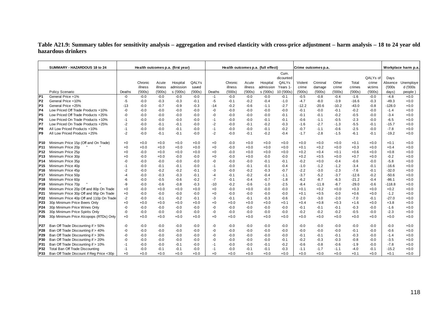## **Table A21.9: Summary tables for sensitivity analysis – aggregation and revised elasticity with cross-price adjustment – harm analysis – 18 to 24 year oldhazardous drinkers**

|                 | SUMMARY - HAZARDOUS 18 to 24             |        |         |         | Health outcomes p.a. (first year) |        |        |         |         | Health outcomes p.a. (full effect) |            |         | Crime outcomes p.a. |         |         |          |          | Workplace harm p.a |
|-----------------|------------------------------------------|--------|---------|---------|-----------------------------------|--------|--------|---------|---------|------------------------------------|------------|---------|---------------------|---------|---------|----------|----------|--------------------|
|                 |                                          |        |         |         |                                   |        |        |         |         |                                    | Cum.       |         |                     |         |         |          |          |                    |
|                 |                                          |        |         |         |                                   |        |        |         |         |                                    | dicounted  |         |                     |         |         | QALYs of | Days     |                    |
|                 |                                          |        | Chronic | Acute   | Hospital                          | QALYs  |        | Chronic | Acute   | Hospital                           | QALYs      | Violent | Criminal            | Other   | Total   | crime    | Absence  | Unemploye          |
|                 |                                          |        | illness | illness | admission                         | saved  |        | illness | illness | admission                          | Years 1    | crime   | damage              | crime   | crimes  | victims  | (000s    | d ('000s           |
|                 | Policy Scenario                          | Deaths | (000s)  | (000s)  | s ('000s)                         | (000s) | Deaths | (000s)  | (000s)  | s ('000s)                          | 10 ('000s) | (000s)  | (000s)              | (000s)  | (000s)  | (000s)   | days)    | people)            |
| P <sub>1</sub>  | General Price +1%                        | $-0$   | $-0.0$  | $-0.0$  | $-0.0$                            | $-0.0$ | $-1$   | $-0.0$  | $-0.0$  | $-0.0$                             | $-0.1$     | $-0.5$  | $-0.8$              | $-0.4$  | $-1.6$  | $-0.0$   | $-4.8$   | $+0.0$             |
| P <sub>2</sub>  | General Price +10%                       | $-5$   | $-0.0$  | $-0.3$  | $-0.3$                            | $-0.1$ | $-5$   | $-0.1$  | $-0.2$  | $-0.4$                             | $-1.0$     | $-4.7$  | $-8.0$              | $-3.9$  | $-16.6$ | $-0.3$   | $-49.3$  | $+0.0$             |
| P <sub>3</sub>  | General Price +25%                       | $-13$  | $-0.0$  | $-0.7$  | $-0.9$                            | $-0.3$ | $-14$  | $-0.2$  | $-0.6$  | $-1.1$                             | $-2.7$     | $-12.2$ | $-20.6$             | $-10.2$ | $-43.0$ | $-0.8$   | $-128.0$ | $+0.0$             |
| P <sub>4</sub>  | Low Priced Off Trade Products +10%       | -0     | $-0.0$  | $-0.0$  | $-0.0$                            | $-0.0$ | -0     | $-0.0$  | $-0.0$  | $-0.0$                             | $-0.0$     | $-0.1$  | $-0.0$              | $-0.1$  | $-0.2$  | $-0.0$   | $-1.4$   | $+0.0$             |
| P <sub>5</sub>  | Low Priced Off Trade Products +25%       | -0     | $-0.0$  | $-0.0$  | $-0.0$                            | $-0.0$ | -0     | $-0.0$  | $-0.0$  | $-0.0$                             | $-0.1$     | $-0.1$  | $-0.1$              | $-0.2$  | $-0.5$  | $-0.0$   | $-3.4$   | $+0.0$             |
| P <sub>6</sub>  | Low Priced On Trade Products +10%        | $-1$   | $-0.0$  | $-0.0$  | $-0.0$                            | $-0.0$ | $-1$   | $-0.0$  | $-0.0$  | $-0.1$                             | $-0.1$     | $-0.6$  | $-1.1$              | $-0.5$  | $-2.3$  | $-0.0$   | $-6.5$   | $+0.0$             |
| P7              | Low Priced On Trade Products +25%        | $-2$   | $-0.0$  | $-0.1$  | $-0.1$                            | $-0.0$ | $-2$   | $-0.0$  | $-0.1$  | $-0.2$                             | $-0.3$     | $-1.6$  | $-2.7$              | $-1.3$  | $-5.5$  | $-0.1$   | $-15.7$  | $+0.0$             |
| P8              | All Low Priced Products +10%             | $-1$   | $-0.0$  | $-0.0$  | $-0.1$                            | $-0.0$ | $-1$   | $-0.0$  | $-0.0$  | $-0.1$                             | $-0.2$     | $-0.7$  | $-1.1$              | $-0.6$  | $-2.5$  | $-0.0$   | $-7.8$   | $+0.0$             |
| P <sub>9</sub>  | All Low Priced Products +25%             | $-2$   | $-0.0$  | $-0.1$  | $-0.1$                            | $-0.0$ | $-2$   | $-0.0$  | $-0.1$  | $-0.2$                             | $-0.4$     | $-1.7$  | $-2.8$              | $-1.5$  | $-6.1$  | $-0.1$   | $-19.2$  | $+0.0$             |
| <b>P10</b>      | Minimum Price 15p (Off and On Trade)     | $+0$   | $+0.0$  | $+0.0$  | $+0.0$                            | $+0.0$ | $+0$   | $-0.0$  | $+0.0$  | $+0.0$                             | $+0.0$     | $+0.0$  | $+0.0$              | $+0.0$  | $+0.1$  | $+0.0$   | $+0.1$   | $+0.0$             |
| <b>P11</b>      | Minimum Price 20p                        | $+0$   | $+0.0$  | $+0.0$  | $+0.0$                            | $+0.0$ | $+0$   | $-0.0$  | $+0.0$  | $+0.0$                             | $+0.0$     | $+0.1$  | $+0.2$              | $+0.0$  | $+0.3$  | $+0.0$   | $+0.4$   | $+0.0$             |
| P <sub>12</sub> | Minimum Price 25p                        | $+0$   | $-0.0$  | $+0.0$  | $+0.0$                            | $+0.0$ | $+0$   | $-0.0$  | $+0.0$  | $+0.0$                             | $+0.0$     | $+0.2$  | $+0.4$              | $+0.1$  | $+0.6$  | $+0.0$   | $+0.8$   | $+0.0$             |
| <b>P13</b>      | Minimum Price 30p                        | $+0$   | $-0.0$  | $+0.0$  | $-0.0$                            | $-0.0$ | $+0$   | $-0.0$  | $+0.0$  | $-0.0$                             | $-0.0$     | $+0.2$  | $+0.5$              | $+0.0$  | $+0.7$  | $+0.0$   | $-0.2$   | $+0.0$             |
| P <sub>14</sub> | Minimum Price 35p                        | -0     | $-0.0$  | $-0.0$  | $-0.0$                            | $-0.0$ | -0     | $-0.0$  | $-0.0$  | $-0.1$                             | $-0.1$     | $-0.2$  | $+0.0$              | $-0.4$  | $-0.6$  | $-0.0$   | $-5.8$   | $+0.0$             |
| P <sub>15</sub> | Minimum Price 40p                        | $-1$   | $-0.0$  | $-0.1$  | $-0.1$                            | $-0.0$ | $-1$   | $-0.0$  | $-0.1$  | $-0.1$                             | $-0.4$     | $-1.0$  | $-1.2$              | $-1.2$  | $-3.4$  | $-0.1$   | $-16.6$  | $+0.0$             |
| P <sub>16</sub> | Minimum Price 45p                        | $-2$   | $-0.0$  | $-0.2$  | $-0.2$                            | $-0.1$ | -3     | $-0.0$  | $-0.2$  | $-0.3$                             | $-0.7$     | $-2.2$  | $-3.0$              | $-2.3$  | $-7.6$  | $-0.1$   | $-32.0$  | $+0.0$             |
| <b>P17</b>      | Minimum Price 50p                        | $-4$   | $-0.0$  | $-0.3$  | $-0.3$                            | $-0.1$ | -4     | $-0.1$  | $-0.2$  | $-0.4$                             | $-1.1$     | $-3.7$  | $-5.2$              | $-3.7$  | $-12.6$ | $-0.2$   | $-50.6$  | $+0.0$             |
| P <sub>18</sub> | Minimum Price 60p                        | -6     | $-0.0$  | $-0.5$  | $-0.6$                            | $-0.2$ | $-7$   | $-0.1$  | $-0.4$  | $-0.7$                             | $-1.8$     | $-6.2$  | $-8.7$              | $-6.3$  | $-21.2$ | $-0.4$   | $-86.1$  | $+0.0$             |
| P <sub>19</sub> | Minimum Price 70p                        | -9     | $-0.0$  | $-0.6$  | $-0.8$                            | $-0.3$ | $-10$  | $-0.2$  | $-0.6$  | $-1.0$                             | $-2.5$     | $-8.4$  | $-11.8$             | $-8.7$  | $-29.0$ | $-0.6$   | $-118.8$ | $+0.0$             |
| P <sub>20</sub> | Minimum Price 20p Off and 80p On Trade   | $+0$   | $-0.0$  | $+0.0$  | $+0.0$                            | $+0.0$ | $+0$   | $-0.0$  | $+0.0$  | $-0.0$                             | $-0.0$     | $+0.1$  | $+0.2$              | $+0.0$  | $+0.3$  | $+0.0$   | $+0.2$   | $+0.0$             |
| P21             | Minimum Price 30p Off and 95p On Trade   | $+0$   | $-0.0$  | $-0.0$  | $-0.0$                            | $-0.0$ | $+0$   | $-0.0$  | $-0.0$  | $-0.0$                             | $-0.0$     | $+0.1$  | $+0.5$              | $-0.0$  | $+0.6$  | $+0.0$   | $-1.2$   | $+0.0$             |
| P <sub>22</sub> | Minimum Price 40p Off and 110p On Trade  | $-2$   | $-0.0$  | $-0.1$  | $-0.2$                            | $-0.1$ | -3     | $-0.1$  | $-0.1$  | $-0.3$                             | $-0.6$     | $-2.0$  | $-3.0$              | $-2.0$  | $-7.0$  | $-0.1$   | $-27.0$  | $+0.0$             |
| P23             | 30p Minimum Price Beers Only             | $+0$   | $+0.0$  | $+0.0$  | $+0.0$                            | $+0.0$ | $+0$   | $+0.0$  | $+0.0$  | $+0.0$                             | $+0.1$     | $+0.4$  | $+0.8$              | $+0.3$  | $+1.6$  | $+0.0$   | $+3.8$   | $+0.0$             |
| P <sub>24</sub> | 30p Minimum Price Wines Only             | -0     | $-0.0$  | $-0.0$  | $-0.0$                            | $-0.0$ | -0     | $-0.0$  | $-0.0$  | $-0.0$                             | $-0.0$     | $-0.1$  | $-0.1$              | $-0.1$  | $-0.3$  | $-0.0$   | $-1.6$   | $+0.0$             |
| P <sub>25</sub> | 30p Minimum Price Spirits Only           | -0     | $-0.0$  | $-0.0$  | $-0.0$                            | $-0.0$ | -0     | $-0.0$  | $-0.0$  | $-0.0$                             | $-0.0$     | $-0.2$  | $-0.2$              | $-0.2$  | $-0.5$  | $-0.0$   | $-2.3$   | $+0.0$             |
| P <sub>26</sub> | 30p Minimum Price Alcopops (RTDs) Only   | $+0$   | $+0.0$  | $+0.0$  | $+0.0$                            | $+0.0$ | $+0$   | $+0.0$  | $+0.0$  | $+0.0$                             | $+0.0$     | $+0.0$  | $+0.0$              | $+0.0$  | $+0.0$  | $+0.0$   | $+0.0$   | $+0.0$             |
| P27             | Ban Off Trade Discounting if > 50%       | -0     | $-0.0$  | $-0.0$  | $-0.0$                            | $-0.0$ | $-0$   | $-0.0$  | $-0.0$  | $-0.0$                             | $-0.0$     | $-0.0$  | -0.0                | $-0.0$  | $-0.0$  | $-0.0$   | $-0.0$   | $+0.0$             |
| P28             | Ban Off Trade Discounting if > 40%       | -0     | $-0.0$  | $-0.0$  | $-0.0$                            | $-0.0$ | -0     | $-0.0$  | $-0.0$  | $-0.0$                             | $-0.0$     | $-0.0$  | $-0.0$              | $-0.0$  | $-0.1$  | $-0.0$   | $-0.6$   | $+0.0$             |
| P29             | Ban Off Trade Discounting if > 30%       | -0     | $-0.0$  | $-0.0$  | $-0.0$                            | $-0.0$ | -0     | $-0.0$  | $-0.0$  | $-0.0$                             | $-0.0$     | $-0.1$  | $-0.1$              | $-0.1$  | $-0.3$  | $-0.0$   | $-1.4$   | $+0.0$             |
| P30             | Ban Off Trade Discounting if > 20%       | $-0$   | $-0.0$  | $-0.0$  | $-0.0$                            | $-0.0$ | -0     | $-0.0$  | $-0.0$  | $-0.0$                             | $-0.1$     | $-0.2$  | $-0.3$              | $-0.3$  | $-0.8$  | $-0.0$   | $-3.5$   | $+0.0$             |
| P31             | Ban Off Trade Discounting if > 10%       | $-1$   | $-0.0$  | $-0.0$  | $-0.1$                            | $-0.0$ | $-1$   | $-0.0$  | $-0.0$  | $-0.1$                             | $-0.2$     | $-0.6$  | $-0.8$              | $-0.6$  | $-1.9$  | $-0.0$   | $-7.8$   | $+0.0$             |
| P32             | Total Ban Off Trade Discounting          | $-1$   | $-0.0$  | $-0.1$  | $-0.1$                            | $-0.0$ | $-1$   | $-0.0$  | $-0.1$  | $-0.1$                             | $-0.3$     | $-1.1$  | $-1.7$              | $-1.1$  | $-4.0$  | $-0.1$   | $-15.2$  | $+0.0$             |
| P33             | Ban Off Trade Discount if Reg Price <30p | $+0$   | $+0.0$  | $+0.0$  | $+0.0$                            | $+0.0$ | $+0$   | $+0.0$  | $+0.0$  | $+0.0$                             | $+0.0$     | $+0.0$  | $+0.0$              | $+0.0$  | $+0.1$  | $+0.0$   | $+0.1$   | $+0.0$             |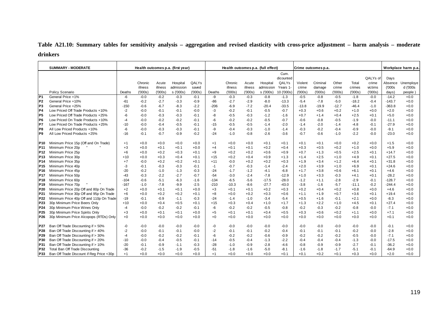**Table A21.10: Summary tables for sensitivity analysis – aggregation and revised elasticity with cross-price adjustment – harm analysis – moderate drinkers** 

|                 | <b>SUMMARY - MODERATE</b>                |        |         |         | Health outcomes p.a. (first year) |        |        |         |         | Health outcomes p.a. (full effect) |            |         | Crime outcomes p.a. |         |         |          |          | Workplace harm p.a |
|-----------------|------------------------------------------|--------|---------|---------|-----------------------------------|--------|--------|---------|---------|------------------------------------|------------|---------|---------------------|---------|---------|----------|----------|--------------------|
|                 |                                          |        |         |         |                                   |        |        |         |         |                                    | Cum.       |         |                     |         |         |          |          |                    |
|                 |                                          |        |         |         |                                   |        |        |         |         |                                    | dicounted  |         |                     |         |         | QALYs of | Days     |                    |
|                 |                                          |        | Chronic | Acute   | Hospital                          | QALYs  |        | Chronic | Acute   | Hospital                           | QALYs      | Violent | Criminal            | Other   | Total   | crime    | Absence  | Unemploye          |
|                 |                                          |        | illness | illness | admission                         | saved  |        | illness | illness | admission                          | Years 1    | crime   | damage              | crime   | crimes  | victims  | (000s)   | d ('000s           |
|                 | Policy Scenario                          | Deaths | (000s)  | (000s)  | s ('000s)                         | (000s) | Deaths | (000s)  | (000s)  | s ('000s)                          | 10 ('000s) | (000s)  | (000s)              | (000s)  | (000s)  | (000s)   | days)    | people)            |
| P <sub>1</sub>  | General Price +1%                        | -6     | $-0.0$  | $-0.2$  | $-0.3$                            | $-0.1$ | -9     | $-0.3$  | $-0.3$  | $-0.8$                             | $-1.3$     | $-0.5$  | $-0.8$              | $-0.5$  | $-1.8$  | $-0.0$   | $-14.2$  | $+0.0$             |
| P <sub>2</sub>  | General Price +10%                       | -61    | $-0.2$  | $-2.7$  | $-3.3$                            | $-0.9$ | $-86$  | $-2.7$  | $-2.9$  | $-8.0$                             | $-13.3$    | $-5.4$  | $-7.8$              | $-5.0$  | $-18.2$ | $-0.4$   | $-143.7$ | $+0.0$             |
| P <sub>3</sub>  | General Price +25%                       | $-150$ | $-0.6$  | $-6.7$  | $-8.3$                            | $-2.2$ | $-206$ | $-6.9$  | $-7.2$  | $-20.4$                            | $-33.5$    | $-13.8$ | $-19.9$             | $-12.7$ | $-46.4$ | $-1.0$   | $-363.8$ | $+0.0$             |
| P <sub>4</sub>  | Low Priced Off Trade Products +10%       | $-2$   | $-0.0$  | $-0.1$  | $-0.1$                            | $-0.0$ | $-3$   | $-0.2$  | $-0.1$  | $-0.5$                             | $-0.7$     | $+0.3$  | $+0.6$              | $+0.2$  | $+1.0$  | $+0.0$   | $+2.0$   | $+0.0$             |
| P5              | Low Priced Off Trade Products +25%       | -6     | $-0.0$  | $-0.3$  | $-0.3$                            | $-0.1$ | -8     | $-0.5$  | $-0.3$  | $-1.2$                             | $-1.6$     | $+0.7$  | $+1.4$              | $+0.4$  | $+2.5$  | $+0.1$   | $+5.0$   | $+0.0$             |
| P <sub>6</sub>  | Low Priced On Trade Products +10%        | $-4$   | $-0.0$  | $-0.2$  | $-0.2$                            | $-0.1$ | $-6$   | $-0.2$  | $-0.2$  | $-0.5$                             | $-0.7$     | $-0.6$  | $-0.8$              | $-0.5$  | $-1.9$  | $-0.0$   | $-11.1$  | $+0.0$             |
| P7              | Low Priced On Trade Products +25%        | $-10$  | $-0.0$  | $-0.4$  | $-0.5$                            | $-0.1$ | $-15$  | $-0.5$  | $-0.5$  | $-1.4$                             | $-2.0$     | $-1.4$  | $-2.0$              | $-1.4$  | $-4.8$  | $-0.1$   | $-27.9$  | $+0.0$             |
| P8              | All Low Priced Products +10%             | -6     | $-0.0$  | $-0.3$  | $-0.3$                            | $-0.1$ | -9     | $-0.4$  | $-0.3$  | $-1.0$                             | $-1.4$     | $-0.3$  | $-0.2$              | -0.4    | $-0.9$  | $-0.0$   | $-9.1$   | $+0.0$             |
| P9              | All Low Priced Products +25%             | $-16$  | $-0.1$  | $-0.7$  | $-0.9$                            | $-0.2$ | $-24$  | $-1.0$  | $-0.8$  | $-2.6$                             | $-3.6$     | $-0.7$  | $-0.6$              | $-1.0$  | $-2.2$  | $-0.0$   | $-23.0$  | $+0.0$             |
|                 |                                          |        |         |         |                                   |        |        |         |         |                                    |            |         |                     |         |         |          |          |                    |
| IP10.           | Minimum Price 15p (Off and On Trade)     | $+1$   | $+0.0$  | $+0.0$  | $+0.0$                            | $+0.0$ | $+1$   | $+0.0$  | $+0.0$  | $+0.1$                             | $+0.1$     | $+0.1$  | $+0.1$              | $+0.0$  | $+0.2$  | $+0.0$   | $+1.5$   | $+0.0$             |
| P <sub>11</sub> | Minimum Price 20p                        | $+3$   | $+0.0$  | $+0.1$  | $+0.1$                            | $+0.0$ | $+4$   | $+0.1$  | $+0.1$  | $+0.2$                             | $+0.4$     | $+0.3$  | $+0.5$              | $+0.2$  | $+1.0$  | $+0.0$   | $+5.9$   | $+0.0$             |
| P12             | Minimum Price 25p                        | $+6$   | $+0.0$  | $+0.2$  | $+0.3$                            | $+0.1$ | $+9$   | $+0.2$  | $+0.2$  | $+0.6$                             | $+0.9$     | $+0.7$  | $+1.3$              | $+0.5$  | $+2.5$  | $+0.1$   | $+14.7$  | $+0.0$             |
| P13             | Minimum Price 30p                        | $+10$  | $+0.0$  | $+0.3$  | $+0.4$                            | $+0.1$ | $+15$  | $+0.2$  | $+0.4$  | $+0.9$                             | $+1.3$     | $+1.4$  | $+2.5$              | $+1.0$  | $+4.9$  | $+0.1$   | $+27.5$  | $+0.0$             |
| P14             | Minimum Price 35p                        | $+7$   | $-0.0$  | $+0.2$  | $+0.2$                            | $+0.1$ | $+11$  | $-0.0$  | $+0.2$  | $+0.2$                             | $+0.3$     | $+1.9$  | $+3.4$              | $+1.2$  | $+6.4$  | $+0.1$   | $+31.8$  | $+0.0$             |
| P15             | Minimum Price 40p                        | -3     | $-0.1$  | $-0.3$  | $-0.3$                            | $-0.1$ | $-1$   | $-0.7$  | $-0.3$  | $-1.4$                             | $-2.4$     | $+2.0$  | $+3.9$              | $+1.0$  | $+6.9$  | $+0.1$   | $+24.6$  | $+0.0$             |
| P16             | Minimum Price 45p                        | $-20$  | $-0.2$  | $-1.0$  | $-1.3$                            | $-0.3$ | $-24$  | $-1.7$  | $-1.2$  | $-4.1$                             | $-6.8$     | $+1.7$  | $+3.8$              | $+0.6$  | $+6.1$  | $+0.1$   | $+4.6$   | $+0.0$             |
| P17             | Minimum Price 50p                        | $-43$  | $-0.3$  | $-2.2$  | $-2.7$                            | $-0.7$ | $-54$  | $-3.0$  | $-2.4$  | $-7.8$                             | $-12.9$    | $+1.0$  | $+3.3$              | $-0.3$  | $+4.1$  | $+0.1$   | $-28.2$  | $+0.0$             |
| P18             | Minimum Price 60p                        | $-104$ | $-0.6$  | $-5.1$  | $-6.3$                            | $-1.6$ | $-134$ | $-6.5$  | $-5.6$  | $-17.5$                            | $-28.0$    | $-1.2$  | $+1.1$              | $-2.8$  | $-2.9$  | $-0.1$   | $-128.7$ | $+0.0$             |
| P19             | Minimum Price 70p                        | $-167$ | $-1.0$  | $-7.8$  | $-9.9$                            | $-2.5$ | $-210$ | $-10.3$ | -8.6    | $-27.7$                            | $-43.0$    | $-3.8$  | $-1.6$              | $-5.7$  | $-11.1$ | $-0.2$   | $-244.4$ | $+0.0$             |
| P20             | Minimum Price 20p Off and 80p On Trade   | $+2$   | $+0.0$  | $+0.1$  | $+0.1$                            | $+0.0$ | $+3$   | $+0.1$  | $+0.1$  | $+0.2$                             | $+0.3$     | $+0.2$  | $+0.4$              | $+0.2$  | $+0.8$  | $+0.0$   | $+4.6$   | $+0.0$             |
| P21             | Minimum Price 30p Off and 95p On Trade   | $+6$   | $+0.0$  | $+0.2$  | $+0.2$                            | $+0.1$ | $+8$   | $+0.0$  | $+0.2$  | $+0.3$                             | $+0.6$     | $+1.1$  | $+1.9$              | $+0.7$  | $+3.6$  | $+0.1$   | $+19.4$  | $+0.0$             |
| P22             | Minimum Price 40p Off and 110p On Trade  | $-19$  | $-0.1$  | $-0.9$  | $-1.1$                            | $-0.3$ | $-24$  | $-1.4$  | $-1.0$  | $-3.4$                             | $-5.4$     | $+0.5$  | $+1.6$              | $-0.1$  | $+2.1$  | $+0.0$   | $-8.3$   | $+0.0$             |
| P <sub>23</sub> | 30p Minimum Price Beers Only             | $+10$  | $+0.0$  | $+0.4$  | $+0.5$                            | $+0.1$ | $+15$  | $+0.3$  | $+0.4$  | $+1.0$                             | $+1.7$     | $+1.3$  | $+2.2$              | $+1.0$  | $+4.5$  | $+0.1$   | $+27.4$  | $+0.0$             |
| P <sub>24</sub> | 30p Minimum Price Wines Only             | $-4$   | $-0.0$  | $-0.2$  | $-0.2$                            | $-0.1$ | $-6$   | $-0.2$  | $-0.2$  | $-0.5$                             | $-0.8$     | $-0.2$  | $-0.3$              | $-0.2$  | $-0.8$  | $-0.0$   | $-7.1$   | $+0.0$             |
| P <sub>25</sub> | 30p Minimum Price Spirits Only           | $+3$   | $+0.0$  | $+0.1$  | $+0.1$                            | $+0.0$ | $+5$   | $+0.1$  | $+0.1$  | $+0.4$                             | $+0.5$     | $+0.3$  | $+0.6$              | $+0.2$  | $+1.1$  | $+0.0$   | $+7.1$   | $+0.0$             |
| P26             | 30p Minimum Price Alcopops (RTDs) Only   | $+0$   | $+0.0$  | $+0.0$  | $+0.0$                            | $+0.0$ | +0     | $+0.0$  | $+0.0$  | $+0.0$                             | $+0.0$     | $+0.0$  | $+0.0$              | $+0.0$  | $+0.0$  | $+0.0$   | $+0.1$   | $+0.0$             |
|                 |                                          |        |         |         |                                   |        |        |         |         |                                    |            |         |                     |         |         |          |          |                    |
| P27             | Ban Off Trade Discounting if > 50%       | -0     | -0.0    | $-0.0$  | $-0.0$                            | $-0.0$ | -0     | $-0.0$  | $-0.0$  | $-0.0$                             | $-0.0$     | $-0.0$  | $-0.0$              | $-0.0$  | $-0.0$  | $-0.0$   | $-0.1$   | $+0.0$             |
| P28             | Ban Off Trade Discounting if > 40%       | $-2$   | $-0.0$  | $-0.1$  | $-0.1$                            | $-0.0$ | $-2$   | $-0.1$  | $-0.1$  | $-0.2$                             | $-0.4$     | $-0.1$  | -0.1                | $-0.1$  | $-0.2$  | $-0.0$   | $-2.8$   | $+0.0$             |
| P29             | Ban Off Trade Discounting if > 30%       | $-4$   | $-0.0$  | $-0.2$  | $-0.2$                            | $-0.1$ | -6     | $-0.2$  | $-0.2$  | $-0.6$                             | $-0.9$     | $-0.2$  | $-0.2$              | $-0.2$  | $-0.5$  | $-0.0$   | $-7.1$   | $+0.0$             |
| P30             | Ban Off Trade Discounting if > 20%       | $-10$  | $-0.0$  | $-0.4$  | $-0.5$                            | $-0.1$ | $-14$  | $-0.5$  | $-0.4$  | $-1.3$                             | $-2.2$     | $-0.4$  | $-0.4$              | $-0.4$  | $-1.3$  | $-0.0$   | $-17.5$  | $+0.0$             |
| P31             | Ban Off Trade Discounting if > 10%       | $-20$  | $-0.1$  | $-0.9$  | $-1.1$                            | $-0.3$ | $-28$  | $-1.0$  | $-0.9$  | $-2.8$                             | $-4.6$     | $-0.8$  | $-0.9$              | $-0.9$  | $-2.7$  | $-0.1$   | $-36.2$  | $+0.0$             |
| P32             | Total Ban Off Trade Discounting          | $-36$  | $-0.2$  | $-1.5$  | $-1.9$                            | $-0.5$ | $-51$  | $-1.8$  | $-1.6$  | $-5.0$                             | $-8.1$     | $-1.6$  | $-1.8$              | $-1.7$  | $-5.1$  | $-0.1$   | $-64.9$  | $+0.0$             |
| P33             | Ban Off Trade Discount if Reg Price <30p | $+1$   | $+0.0$  | $+0.0$  | $+0.0$                            | $+0.0$ | $+1$   | $+0.0$  | $+0.0$  | $+0.0$                             | $+0.1$     | $+0.1$  | $+0.2$              | $+0.1$  | $+0.3$  | $+0.0$   | $+2.0$   | $+0.0$             |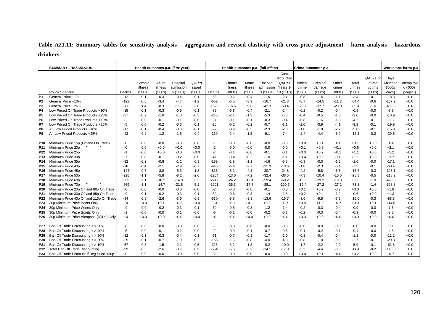# **Table A21.11: Summary tables for sensitivity analysis – aggregation and revised elasticity with cross-price adjustment – harm analysis – hazardous drinkers**

|                 | <b>SUMMARY - HAZARDOUS</b>               |        |         |         | Health outcomes p.a. (first year) |        |         |         |         | Health outcomes p.a. (full effect) |            |         | Crime outcomes p.a. |         |         |          |          | Workplace harm p.a |
|-----------------|------------------------------------------|--------|---------|---------|-----------------------------------|--------|---------|---------|---------|------------------------------------|------------|---------|---------------------|---------|---------|----------|----------|--------------------|
|                 |                                          |        |         |         |                                   |        |         |         |         |                                    | Cum.       |         |                     |         |         |          |          |                    |
|                 |                                          |        |         |         |                                   |        |         |         |         |                                    | dicounted  |         |                     |         |         | QALYs of | Days     |                    |
|                 |                                          |        | Chronic | Acute   | Hospital                          | QALYs  |         | Chronic | Acute   | Hospital                           | QALYs      | Violent | Criminal            | Other   | Total   | crime    | Absence  | Unemploye          |
|                 |                                          |        | illness | illness | admission                         | saved  |         | illness | illness | admission                          | Years 1    | crime   | damage              | crime   | crimes  | victims  | (000s    | d ('000s           |
|                 | Policy Scenario                          | Deaths | (000s)  | (000s)  | s ('000s)                         | (000s) | Deaths  | (000s)  | (000s)  | s ('000s)                          | 10 ('000s) | (000s)  | (000s)              | (000s)  | (000s)  | (000s)   | days)    | people)            |
| P <sub>1</sub>  | General Price +1%                        | $-12$  | $-0.1$  | $-0.3$  | $-0.4$                            | $-0.1$ | $-68$   | $-0.6$  | $-0.4$  | $-1.6$                             | $-2.1$     | $-0.8$  | $-1.4$              | $-1.1$  | $-3.4$  | $-0.1$   | $-18.3$  | $+0.0$             |
| P <sub>2</sub>  | General Price +10%                       | $-122$ | $-0.6$  | $-3.4$  | $-4.7$                            | $-1.2$ | $-652$  | $-6.5$  | $-3.9$  | $-16.7$                            | $-21.3$    | $-8.7$  | $-14.5$             | $-11.2$ | $-34.4$ | $-0.6$   | $-187.9$ | $+0.0$             |
| P <sub>3</sub>  | General Price +25%                       | $-306$ | $-1.4$  | $-8.3$  | $-11.7$                           | $-3.0$ | $-1620$ | $-16.6$ | $-9.6$  | $-42.3$                            | $-53.4$    | $-22.7$ | $-37.7$             | $-29.0$ | $-89.4$ | $-1.6$   | $-489.5$ | $+0.0$             |
| P <sub>4</sub>  | Low Priced Off Trade Products +10%       | $-15$  | $-0.1$  | $-0.3$  | $-0.5$                            | $-0.1$ | $-89$   | $-0.8$  | $-0.4$  | $-2.1$                             | $-2.4$     | $-0.2$  | $-0.2$              | $-0.4$  | $-0.8$  | $-0.0$   | $-7.5$   | $+0.0$             |
| P5              | Low Priced Off Trade Products +25%       | $-37$  | $-0.2$  | $-1.0$  | $-1.3$                            | $-0.3$ | $-216$  | $-2.1$  | $-1.3$  | $-5.3$                             | $-6.3$     | $-0.4$  | $-0.5$              | $-1.0$  | $-2.0$  | $-0.0$   | $-18.9$  | $+0.0$             |
| P <sub>6</sub>  | Low Priced On Trade Products +10%        | $-2$   | $-0.0$  | $-0.1$  | $-0.1$                            | $-0.0$ | -8      | $-0.1$  | $-0.1$  | $-0.3$                             | $-0.4$     | $-0.8$  | $-1.6$              | $-1.8$  | $-4.2$  | $-0.1$   | $-8.3$   | $+0.0$             |
| P7              | Low Priced On Trade Products +25%        | -5     | $-0.0$  | $-0.2$  | $-0.3$                            | $-0.1$ | $-20$   | $-0.2$  | $-0.2$  | $-0.7$                             | $-1.1$     | $-2.0$  | $-3.9$              | $-4.1$  | $-9.9$  | $-0.1$   | $-19.9$  | $+0.0$             |
| IP8             | All Low Priced Products +10%             | $-17$  | $-0.1$  | $-0.4$  | $-0.6$                            | $-0.1$ | $-97$   | $-0.9$  | $-0.5$  | $-2.3$                             | $-2.8$     | $-1.0$  | $-1.8$              | $-2.2$  | $-5.0$  | $-0.1$   | $-15.9$  | $+0.0$             |
| IP9             | All Low Priced Products +25%             | $-42$  | $-0.2$  | $-1.2$  | $-1.6$                            | $-0.4$ | $-239$  | $-2.4$  | $-1.5$  | $-6.1$                             | $-7.4$     | $-2.4$  | $-4.4$              | $-5.2$  | $-12.1$ | $-0.2$   | $-39.5$  | $+0.0$             |
| P <sub>10</sub> | Minimum Price 15p (Off and On Trade)     | -0     | $-0.0$  | $-0.0$  | $-0.0$                            | $-0.0$ | $-1$    | $-0.0$  | -0.0    | $-0.0$                             | $-0.0$     | $+0.0$  | $+0.1$              | $+0.0$  | $+0.1$  | $+0.0$   | $+0.6$   | $+0.0$             |
| <b>P11</b>      | Minimum Price 20p                        | -0     | $-0.0$  | $+0.0$  | $+0.0$                            | $+0.0$ | $-2$    | $-0.0$  | -0.0    | $-0.0$                             | $-0.0$     | $+0.1$  | $+0.3$              | $+0.1$  | $+0.5$  | $+0.0$   | $+2.1$   | $+0.0$             |
| <b>P12</b>      | Minimum Price 25p                        | $-1$   | $-0.0$  | $+0.0$  | $-0.0$                            | $+0.0$ | $-7$    | $-0.1$  | $-0.0$  | $-0.1$                             | $-0.1$     | $+0.3$  | $+0.7$              | $+0.1$  | $+1.1$  | $+0.0$   | $+5.2$   | $+0.0$             |
| <b>P13</b>      | Minimum Price 30p                        | -7     | $-0.0$  | $-0.1$  | $-0.2$                            | $-0.0$ | $-47$   | $-0.4$  | $-0.2$  | $-1.0$                             | $-1.1$     | $+0.4$  | $+0.9$              | $-0.1$  | $+1.1$  | $+0.0$   | $+3.7$   | $+0.0$             |
| P <sub>14</sub> | Minimum Price 35p                        | $-32$  | $-0.2$  | $-0.8$  | $-1.2$                            | $-0.3$ | $-189$  | $-1.8$  | $-1.1$  | $-4.6$                             | $-5.5$     | $-0.3$  | $-0.0$              | $-1.3$  | $-1.6$  | $-0.0$   | $-17.1$  | $+0.0$             |
| P <sub>15</sub> | Minimum Price 40p                        | $-78$  | $-0.4$  | $-2.1$  | $-2.9$                            | $-0.7$ | $-446$  | $-4.4$  | $-2.7$  | $-11.3$                            | $-13.6$    | $-1.8$  | $-2.3$              | $-3.4$  | $-7.5$  | $-0.1$   | $-60.4$  | $+0.0$             |
| P <sub>16</sub> | Minimum Price 45p                        | $-144$ | $-0.7$  | $-3.8$  | $-5.3$                            | $-1.3$ | $-815$  | $-8.2$  | $-4.8$  | $-20.7$                            | $-24.8$    | $-4.2$  | $-5.8$              | $-6.6$  | $-16.6$ | $-0.3$   | $-128.1$ | $+0.0$             |
| P <sub>17</sub> | Minimum Price 50p                        | $-225$ | $-1.1$  | $-5.8$  | $-8.2$                            | $-2.0$ | $-1264$ | $-13.0$ | $-7.2$  | $-32.4$                            | $-38.5$    | $-7.3$  | $-10.4$             | $-10.6$ | $-28.3$ | $-0.5$   | $-218.2$ | $+0.0$             |
| P18             | Minimum Price 60p                        | -399   | $-2.1$  | $-10.2$ | $-14.8$                           | $-3.5$ | $-2242$ | $-24.2$ | $-12.4$ | $-59.4$                            | $-69.2$    | $-13.5$ | $-19.2$             | $-19.3$ | $-52.0$ | $-1.0$   | -420.5   | $+0.0$             |
| P <sub>19</sub> | Minimum Price 70p                        | $-569$ | $-3.1$  | $-14.7$ | $-21.5$                           | $-5.2$ | $-3201$ | $-36.3$ | $-17.7$ | $-88.1$                            | $-100.7$   | $-19.4$ | $-27.2$             | $-27.2$ | $-73.8$ | $-1.4$   | $-628.8$ | $+0.0$             |
| P20             | Minimum Price 20p Off and 80p On Trade   | $-0$   | $-0.0$  | $-0.0$  | $-0.0$                            | $-0.0$ | $-2$    | $-0.0$  | $-0.0$  | $-0.1$                             | $-0.0$     | $+0.1$  | $+0.2$              | $-0.2$  | $+0.0$  | $+0.0$   | $+1.8$   | $+0.0$             |
| P21             | Minimum Price 30p Off and 95p On Trade   | -9     | $-0.1$  | $-0.2$  | $-0.3$                            | $-0.1$ | -59     | $-0.6$  | $-0.3$  | $-1.4$                             | $-1.5$     | $+0.2$  | $+0.4$              | $-1.2$  | $-0.6$  | $+0.0$   | $+1.3$   | $+0.0$             |
| P22             | Minimum Price 40p Off and 110p On Trade  | -94    | $-0.5$  | $-2.6$  | $-3.6$                            | $-0.9$ | $-530$  | $-5.3$  | $-3.3$  | $-13.6$                            | $-16.7$    | $-3.6$  | $-5.8$              | $-7.2$  | $-16.6$ | $-0.3$   | $-88.8$  | $+0.0$             |
| P <sub>23</sub> | 30p Minimum Price Beers Only             | $+4$   | $+0.0$  | $+0.1$  | $+0.2$                            | $+0.0$ | $+13$   | $+0.1$  | $+0.1$  | $+0.3$                             | $+0.7$     | $+0.8$  | $+1.5$              | $+0.7$  | $+3.0$  | $+0.1$   | $+14.6$  | $+0.0$             |
| P <sub>24</sub> | 30p Minimum Price Wines Only             | -9     | $-0.0$  | $-0.2$  | $-0.3$                            | $-0.1$ | -50     | $-0.5$  | $-0.3$  | $-1.2$                             | $-1.4$     | $-0.2$  | $-0.3$              | $-0.4$  | $-0.9$  | $-0.0$   | $-7.5$   | $+0.0$             |
| P <sub>25</sub> | 30p Minimum Price Spirits Only           | $-1$   | $-0.0$  | $-0.0$  | $-0.1$                            | $-0.0$ | -8      | $-0.1$  | $-0.0$  | $-0.2$                             | $-0.3$     | $-0.2$  | $-0.3$              | $-0.4$  | $-0.9$  | $-0.0$   | $-3.3$   | $+0.0$             |
| P26             | 30p Minimum Price Alcopops (RTDs) Only   | $+0$   | $+0.0$  | $+0.0$  | $+0.0$                            | $+0.0$ | $+0$    | $+0.0$  | $+0.0$  | $+0.0$                             | $+0.0$     | $+0.0$  | $+0.0$              | $+0.0$  | $+0.0$  | $+0.0$   | $+0.0$   | $+0.0$             |
| P27             | Ban Off Trade Discounting if > 50%       | -0     | $-0.0$  | $-0.0$  | $-0.0$                            | $-0.0$ | $-1$    | $-0.0$  | $-0.0$  | $-0.0$                             | $-0.0$     | $-0.0$  | $-0.0$              | $-0.0$  | $-0.0$  | $-0.0$   | $-0.1$   | $+0.0$             |
| P28             | Ban Off Trade Discounting if > 40%       | -5     | $-0.0$  | $-0.1$  | $-0.2$                            | $-0.0$ | $-29$   | $-0.3$  | $-0.1$  | $-0.7$                             | $-0.8$     | $-0.1$  | $-0.2$              | $-0.1$  | $-0.4$  | $-0.0$   | $-4.8$   | $+0.0$             |
| P <sub>29</sub> | Ban Off Trade Discounting if > 30%       | $-12$  | $-0.1$  | $-0.3$  | $-0.4$                            | $-0.1$ | $-71$   | $-0.7$  | $-0.3$  | $-1.7$                             | $-2.0$     | $-0.3$  | $-0.4$              | $-0.4$  | $-1.1$  | $-0.0$   | $-12.2$  | $+0.0$             |
| <b>P30</b>      | Ban Off Trade Discounting if > 20%       | $-29$  | $-0.1$  | $-0.7$  | $-1.0$                            | $-0.2$ | $-166$  | $-1.6$  | $-0.8$  | $-4.0$                             | $-4.8$     | $-0.8$  | $-1.0$              | $-0.9$  | $-2.7$  | $-0.1$   | $-29.8$  | $+0.0$             |
| P31             | Ban Off Trade Discounting if > 10%       | $-57$  | $-0.3$  | $-1.5$  | $-2.1$                            | $-0.5$ | $-325$  | $-3.2$  | -1.8    | $-8.2$                             | -10.0      | $-1.7$  | -2.2                | $-2.0$  | $-5.9$  | $-0.1$   | $-61.8$  | $+0.0$             |
| P32             | Total Ban Off Trade Discounting          | -99    | $-0.5$  | $-2.6$  | $-3.7$                            | $-0.9$ | $-554$  | $-5.6$  | $-3.2$  | $-14.1$                            | $-17.3$    | $-3.2$  | $-4.4$              | $-3.8$  | $-11.4$ | $-0.2$   | $-110.3$ | $+0.0$             |
| P33             | Ban Off Trade Discount if Reg Price <30p | -0     | $-0.0$  | $-0.0$  | $-0.0$                            | $-0.0$ | $-2$    | $-0.0$  | -0.0    | -0.0                               | $-0.0$     | $+0.0$  | $+0.1$              | $+0.0$  | $+0.2$  | $+0.0$   | $+0.7$   | $+0.0$             |
|                 |                                          |        |         |         |                                   |        |         |         |         |                                    |            |         |                     |         |         |          |          |                    |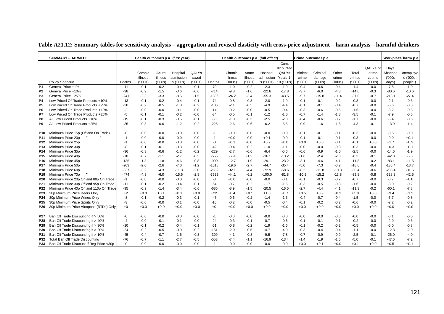|                 | <b>SUMMARY - HARMFUL</b>                 |        | Health outcomes p.a. (full effect) |         |                                   |        |         |         | Crime outcomes p.a. |           |            |         |          | Workplace harm p.a |         |          |          |           |
|-----------------|------------------------------------------|--------|------------------------------------|---------|-----------------------------------|--------|---------|---------|---------------------|-----------|------------|---------|----------|--------------------|---------|----------|----------|-----------|
|                 |                                          |        |                                    |         | Health outcomes p.a. (first year) |        |         |         |                     |           | Cum.       |         |          |                    |         |          |          |           |
|                 |                                          |        |                                    |         |                                   |        |         |         |                     |           | dicounted  |         |          |                    |         | QALYs of | Days     |           |
|                 |                                          |        | Chronic                            | Acute   | Hospital                          | QALYs  |         | Chronic | Acute               | Hospital  | QALYs      | Violent | Criminal | Other              | Total   | crime    | Absence  | Unemploye |
|                 |                                          |        | illness                            | illness | admission                         | saved  |         | illness | illness             | admission | Years 1    | crime   | damage   | crime              | crimes  | victims  | (000s)   | d ('000s  |
|                 | Policy Scenario                          | Deaths | (000s)                             | (000s)  | s ('000s)                         | (000s) | Deaths  | (000s)  | (000s)              | s ('000s) | 10 ('000s) | (000s)  | (000s)   | (000s)             | (000s)  | (000s)   | days)    | people)   |
| P <sub>1</sub>  | General Price +1%                        | $-11$  | $-0.1$                             | $-0.2$  | $-0.4$                            | $-0.1$ | $-70$   | $-1.0$  | $-0.2$              | $-2.3$    | $-1.9$     | $-0.4$  | $-0.6$   | $-0.4$             | $-1.4$  | $-0.0$   | $-7.8$   | $-1.0$    |
| P <sub>2</sub>  | General Price +10%                       | $-98$  | $-0.9$                             | $-1.5$  | $-3.6$                            | $-0.6$ | $-714$  | $-9.8$  | $-1.6$              | $-22.6$   | $-17.8$    | $-3.7$  | $-6.0$   | $-4.3$             | $-14.0$ | $-0.3$   | $-80.6$  | $-10.6$   |
| P <sub>3</sub>  | General Price +25%                       | -241   | $-2.3$                             | $-3.3$  | $-8.5$                            | $-1.5$ | $-1806$ | $-24.2$ | $-3.4$              | $-55.3$   | $-43.5$    | $-9.7$  | $-15.8$  | -11.4              | $-37.0$ | $-0.7$   | $-213.1$ | $-27.4$   |
| P <sub>4</sub>  | Low Priced Off Trade Products +10%       | $-13$  | $-0.1$                             | $-0.2$  | $-0.4$                            | $-0.1$ | $-74$   | $-0.8$  | $-0.3$              | $-2.0$    | $-1.9$     | $-0.1$  | $-0.1$   | $-0.2$             | $-0.3$  | $-0.0$   | $-2.1$   | $-0.3$    |
| P <sub>5</sub>  | Low Priced Off Trade Products +25%       | -30    | -0.2                               | $-0.5$  | $-1.0$                            | $-0.2$ | -186    | $-2.1$  | $-0.5$              | -4.9      | $-4.4$     | $-0.1$  | $-0.1$   | $-0.4$             | $-0.7$  | $-0.0$   | -5.6     | -0.8      |
| P <sub>6</sub>  | Low Priced On Trade Products +10%        | $-2$   | -0.0                               | $-0.0$  | $-0.1$                            | $-0.0$ | $-14$   | $-0.2$  | $-0.0$              | $-0.5$    | $-0.4$     | $-0.3$  | $-0.6$   | $-0.6$             | $-1.5$  | $-0.0$   | $-3.2$   | $-0.3$    |
| P7              | Low Priced On Trade Products +25%        | $-5$   | -0.1                               | $-0.1$  | $-0.2$                            | $-0.0$ | $-34$   | $-0.5$  | -0.1                | $-1.2$    | $-1.0$     | $-0.7$  | $-1.4$   | $-1.3$             | $-3.5$  | $-0.1$   | $-7.9$   | $-0.6$    |
| P <sub>8</sub>  | All Low Priced Products +10%             | $-15$  | $-0.1$                             | $-0.3$  | $-0.5$                            | $-0.1$ | $-88$   | $-1.0$  | $-0.3$              | $-2.5$    | $-2.3$     | $-0.4$  | $-0.6$   | $-0.7$             | $-1.7$  | $-0.0$   | $-5.4$   | $-0.6$    |
| P <sub>9</sub>  | All Low Priced Products +25%             | -35    | $-0.3$                             | $-0.6$  | $-1.2$                            | $-0.2$ | $-225$  | $-2.6$  | -0.6                | $-6.2$    | $-5.5$     | $-0.9$  | $-1.6$   | $-1.8$             | $-4.3$  | $-0.1$   | $-13.9$  | $-1.4$    |
| P <sub>10</sub> | Minimum Price 15p (Off and On Trade)     | -0     | $-0.0$                             | $-0.0$  | $-0.0$                            | $-0.0$ | $-1$    | $-0.0$  | $-0.0$              | $-0.0$    | $-0.0$     | $-0.1$  | $-0.1$   | $-0.1$             | $-0.3$  | $-0.0$   | $-0.6$   | $-0.0$    |
| P11             | Minimum Price 20p                        | $-1$   | $-0.0$                             | $-0.0$  | $-0.0$                            | $-0.0$ | $-1$    | $+0.0$  | $-0.0$              | $+0.1$    | $-0.0$     | $-0.1$  | $-0.1$   | $-0.1$             | $-0.3$  | $-0.0$   | -0.0     | $+0.1$    |
| P <sub>12</sub> | Minimum Price 25p                        | $-1$   | $-0.0$                             | $-0.0$  | $-0.0$                            | $-0.0$ | -0      | $+0.1$  | $-0.0$              | $+0.2$    | $+0.0$     | $+0.0$  | $+0.0$   | $-0.1$             | $-0.1$  | $+0.0$   | $+1.7$   | $+0.3$    |
| P <sub>13</sub> | Minimum Price 30p                        | -8     | $-0.1$                             | $-0.1$  | $-0.3$                            | $-0.0$ | $-42$   | $-0.4$  | $-0.2$              | $-1.0$    | $-1.1$     | $-0.0$  | $-0.0$   | $-0.3$             | $-0.3$  | $-0.0$   | $+0.3$   | $+0.1$    |
| P <sub>14</sub> | Minimum Price 35p                        | $-36$  | $-0.3$                             | $-0.6$  | $-1.2$                            | $-0.2$ | $-229$  | $-2.7$  | -0.6                | $-6.4$    | $-5.6$     | $-0.6$  | $-0.9$   | $-1.0$             | $-2.5$  | $-0.0$   | $-14.6$  | $-1.9$    |
| P <sub>15</sub> | Minimum Price 40p                        | $-78$  | $-0.7$                             | $-1.1$  | $-2.7$                            | $-0.5$ | $-555$  | $-6.9$  | $-1.2$              | $-16.1$   | $-13.2$    | $-1.6$  | $-2.4$   | $-2.3$             | $-6.3$  | $-0.1$   | $-42.3$  | $-5.8$    |
| P <sub>16</sub> | Minimum Price 45p                        | $-135$ | $-1.3$                             | $-1.8$  | $-4.6$                            | $-0.8$ | $-990$  | $-12.7$ | $-1.9$              | -29.1     | $-23.2$    | $-3.1$  | $-4.6$   | $-4.1$             | $-11.8$ | $-0.2$   | $-83.1$  | $-11.5$   |
| P <sub>17</sub> | Minimum Price 50p                        | -203   | $-2.0$                             | $-2.6$  | $-7.0$                            | $-1.2$ | -1518   | $-19.6$ | $-2.7$              | $-44.7$   | $-35.4$    | -5.0    | $-7.3$   | $-6.2$             | -18.6   | $-0.4$   | $-135.4$ | $-18.7$   |
| P <sub>18</sub> | Minimum Price 60p                        | $-337$ | $-3.2$                             | $-4.3$  | $-11.3$                           | $-2.0$ | $-2552$ | $-32.1$ | $-4.4$              | $-72.9$   | $-58.6$    | $-8.2$  | $-11.8$  | $-10.3$            | $-30.4$ | $-0.6$   | $-233.4$ | $-31.5$   |
| P <sub>19</sub> | Minimum Price 70p                        | -474   | $-4.3$                             | $-6.0$  | $-15.6$                           | $-2.8$ | $-3599$ | $-44.1$ | $-6.2$              | $-100.0$  | $-81.8$    | $-10.9$ | $-15.2$  | $-13.8$            | $-39.8$ | $-0.8$   | -328.3   | $-42.5$   |
| P20             | Minimum Price 20p Off and 80p On Trade   | $-1$   | $-0.0$                             | $-0.0$  | $-0.0$                            | $-0.0$ | -3      | $+0.0$  | $-0.0$              | $-0.0$    | $-0.1$     | $-0.1$  | $-0.3$   | $-0.2$             | $-0.7$  | $-0.0$   | $-0.7$   | $+0.0$    |
| P21             | Minimum Price 30p Off and 95p On Trade   | $-11$  | $-0.1$                             | $-0.2$  | $-0.4$                            | $-0.1$ | $-64$   | $-0.7$  | $-0.2$              | $-1.7$    | $-1.6$     | $-0.3$  | $-0.5$   | $-0.8$             | $-1.6$  | $-0.0$   | $-3.0$   | $-0.2$    |
| P <sub>22</sub> | Minimum Price 40p Off and 110p On Trade  | $-95$  | $-0.9$                             | $-1.4$  | $-3.4$                            | $-0.6$ | $-685$  | $-8.9$  | $-1.5$              | $-20.5$   | $-16.5$    | $-2.7$  | -4.4     | $-4.1$             | -11.3   | $-0.2$   | $-60.1$  | $-7.8$    |
| P23             | 30p Minimum Price Beers Only             | $+2$   | $+0.0$                             | $+0.1$  | $+0.1$                            | $+0.0$ | $+22$   | $+0.4$  | $+0.1$              | $+1.0$    | $+0.7$     | $+0.5$  | $+0.9$   | $+0.3$             | $+1.8$  | $+0.0$   | $+9.4$   | $+1.2$    |
| P <sub>24</sub> | 30p Minimum Price Wines Only             | -8     | $-0.1$                             | $-0.2$  | $-0.3$                            | $-0.1$ | $-47$   | $-0.6$  | $-0.2$              | $-1.4$    | $-1.3$     | $-0.4$  | $-0.7$   | $-0.4$             | $-1.5$  | $-0.0$   | $-6.7$   | $-0.8$    |
| P <sub>25</sub> | 30p Minimum Price Spirits Only           | -3     | $-0.0$                             | $-0.0$  | $-0.1$                            | $-0.0$ | $-16$   | $-0.2$  | $-0.0$              | $-0.5$    | $-0.4$     | $-0.1$  | $-0.2$   | $-0.2$             | $-0.6$  | $-0.0$   | $-2.2$   | $-0.2$    |
| P <sub>26</sub> | 30p Minimum Price Alcopops (RTDs) Only   | $+0$   | $+0.0$                             | $+0.0$  | $+0.0$                            | $+0.0$ | $+0$    | $+0.0$  | $+0.0$              | $+0.0$    | $+0.0$     | $+0.0$  | $+0.0$   | $+0.0$             | $+0.0$  | $+0.0$   | $+0.0$   | $+0.0$    |
| P27             | Ban Off Trade Discounting if > 50%       | -0     | $-0.0$                             | $-0.0$  | $-0.0$                            | $-0.0$ | $-1$    | $-0.0$  | $-0.0$              | $-0.0$    | $-0.0$     | $-0.0$  | $-0.0$   | $-0.0$             | $-0.0$  | $-0.0$   | $-0.1$   | $-0.0$    |
| P28             | Ban Off Trade Discounting if > 40%       | $-4$   | -0.0                               | $-0.1$  | $-0.1$                            | $-0.0$ | $-24$   | $-0.3$  | $-0.1$              | $-0.7$    | $-0.6$     | $-0.1$  | $-0.1$   | $-0.1$             | $-0.2$  | $-0.0$   | -2.0     | $-0.3$    |
| P29             | Ban Off Trade Discounting if > 30%       | $-10$  | $-0.1$                             | $-0.2$  | $-0.4$                            | $-0.1$ | $-61$   | $-0.8$  | $-0.2$              | $-1.9$    | $-1.6$     | $-0.1$  | $-0.2$   | $-0.2$             | $-0.5$  | $-0.0$   | -5.0     | $-0.8$    |
| P30             | Ban Off Trade Discounting if > 20%       | $-24$  | $-0.2$                             | $-0.5$  | $-0.9$                            | $-0.2$ | $-151$  | $-2.0$  | $-0.5$              | $-4.7$    | $-4.0$     | $-0.3$  | $-0.4$   | $-0.4$             | $-1.1$  | $-0.0$   | $-12.3$  | $-2.0$    |
| P31             | Ban Off Trade Discounting if > 10%       | $-45$  | $-0.4$                             | $-0.7$  | $-1.6$                            | $-0.3$ | $-309$  | $-4.1$  | -0.8                | $-9.5$    | $-7.8$     | $-0.7$  | $-0.9$   | $-0.9$             | $-2.5$  | $-0.1$   | $-26.0$  | $-4.0$    |
| P32             | Total Ban Off Trade Discounting          | $-76$  | $-0.7$                             | $-1.1$  | $-2.7$                            | $-0.5$ | $-553$  | $-7.4$  | $-1.1$              | $-16.9$   | $-13.4$    | $-1.4$  | $-1.9$   | $-1.6$             | $-5.0$  | $-0.1$   | $-47.6$  | $-7.2$    |
| P33             | Ban Off Trade Discount if Reg Price <30p | -0     | $-0.0$                             | $-0.0$  | $-0.0$                            | $-0.0$ | $-1$    | $-0.0$  | $-0.0$              | $-0.0$    | $-0.0$     | $+0.0$  | $+0.1$   | $+0.0$             | $+0.1$  | $+0.0$   | $+0.5$   | $+0.1$    |

**Table A21.12: Summary tables for sensitivity analysis – aggregation and revised elasticity with cross-price adjustment – harm analysis – harmful drinkers**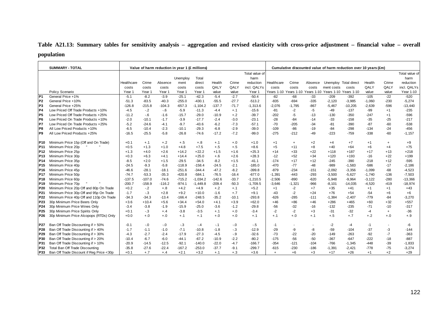# **Table A21.13: Summary tables for sensitivity analysis – aggregation and revised elasticity with cross-price adjustment – financial value – overall population**

|                 | <b>SUMMARY - TOTAL</b>                   | Value of harm reduction in year 1 (£ millions) |          |          |          |            |          |         |                |                                  |           |                                                        | Cumulative discounted value of harm reduction over 10 years (£m) |                       |          |                          |                |  |  |  |
|-----------------|------------------------------------------|------------------------------------------------|----------|----------|----------|------------|----------|---------|----------------|----------------------------------|-----------|--------------------------------------------------------|------------------------------------------------------------------|-----------------------|----------|--------------------------|----------------|--|--|--|
|                 |                                          |                                                |          |          |          |            |          |         | Total value of |                                  |           |                                                        |                                                                  |                       |          |                          | Total value of |  |  |  |
|                 |                                          |                                                |          |          | Unemploy | Total      |          |         | harm           |                                  |           |                                                        |                                                                  |                       |          |                          | harm           |  |  |  |
|                 |                                          | Healthcare                                     | Crime    | Absence  | ment     | direct     | Health   | Crime   | reduction      | Healthcare                       | Crime     | Absence                                                |                                                                  | Unemploy Total direct | Health   | Crime                    | reduction      |  |  |  |
|                 |                                          | costs                                          | costs    | costs    | costs    | costs      | QALY     | QALY    | incl. QALYs    | costs                            | costs     | costs                                                  | ment costs                                                       | costs                 | QALY     | QALY                     | incl. QALYs    |  |  |  |
|                 | Policy Scenario                          | Year 1                                         | Year 1   | Year 1   | Year 1   | Year 1     | value    | value   | Year 1         |                                  |           | Years 1-10 Years 1-10 Years 1-10 Years 1-10 Years 1-10 |                                                                  |                       | value    | value                    | Year 1-10      |  |  |  |
| P <sub>1</sub>  | General Price +1%                        | $-5.1$                                         | $-8.2$   | $-3.9$   | $-25.1$  | $-42.3$    | $-5.4$   | $-2.7$  | $-50.4$        | $-82$                            | $-68$     | $-33$                                                  | $-209$                                                           | $-392$                | $-105$   | $-22$                    | $-520$         |  |  |  |
| P <sub>2</sub>  | General Price +10%                       | $-51.3$                                        | $-83.5$  | $-40.3$  | $-255.0$ | $-430.1$   | $-55.5$  | $-27.7$ | $-513.2$       | $-835$                           | $-694$    | $-335$                                                 | $-2,120$                                                         | $-3,985$              | $-1,060$ | $-230$                   | $-5,274$       |  |  |  |
| P <sub>3</sub>  | General Price +25%                       | $-126.8$                                       | $-215.8$ | $-104.3$ | $-657.3$ | $-1,104.2$ | $-137.7$ | $-71.7$ | $-1,313.6$     | $-2,076$                         | $-1,795$  | $-867$                                                 | $-5,467$                                                         | $-10,205$             | $-2,639$ | $-596$                   | $-13,440$      |  |  |  |
| P <sub>4</sub>  | Low Priced Off Trade Products +10%       | $-4.5$                                         | $-.2$    | $-6$     | $-5.9$   | $-11.3$    | $-4.4$   | $+.1$   | $-15.6$        | $-81$                            | $-2$      | $-5$                                                   | $-49$                                                            | $-137$                | $-99$    | $+1$                     | $-235$         |  |  |  |
| IP <sub>5</sub> | Low Priced Off Trade Products +25%       | $-11.2$                                        | $-6$     | $-1.6$   | $-15.7$  | $-29.0$    | $-10.9$  | $+.2$   | $-39.7$        | $-202$                           | -5        | -13                                                    | $-130$                                                           | $-350$                | $-247$   | $+1$                     | $-596$         |  |  |  |
| IP <sub>6</sub> | Low Priced On Trade Products +10%        | $-2.0$                                         | $-10.1$  | $-1.7$   | $-3.9$   | $-17.7$    | $-2.4$   | $-3.0$  | $-23.1$        | $-28$                            | $-84$     | $-14$                                                  | $-33$                                                            | $-158$                | $-35$    | $-25$                    | $-217$         |  |  |  |
| IP7             | Low Priced On Trade Products +25%        | $-5.2$                                         | $-24.6$  | $-4.1$   | $-9.7$   | $-43.6$    | $-6.2$   | $-7.3$  | $-57.1$        | $-70$                            | $-205$    | $-34$                                                  | $-81$                                                            | $-390$                | $-87$    | $-60$                    | $-538$         |  |  |  |
| P <sub>8</sub>  | All Low Priced Products +10%             | $-6.5$                                         | $-10.4$  | $-2.3$   | $-10.1$  | $-29.3$    | $-6.8$   | $-2.9$  | $-39.0$        | $-109$                           | $-86$     | $-19$                                                  | $-84$                                                            | $-298$                | $-134$   | $-24$                    | $-456$         |  |  |  |
| P <sub>9</sub>  | All Low Priced Products +25%             | $-16.5$                                        | $-25.5$  | $-5.8$   | $-26.8$  | $-74.6$    | $-17.2$  | $-7.2$  | $-99.0$        | $-275$                           | $-212$    | $-49$                                                  | $-223$                                                           | $-759$                | $-338$   | $-60$                    | $-1,157$       |  |  |  |
| P <sub>10</sub> | Minimum Price 15p (Off and On Trade)     | $+0.1$                                         | $+.1$    | $+.2$    | $+.5$    | $+.8$      | $+.1$    | $+.0$   | $+1.0$         | $+1$                             | $\ddot{}$ | $+2$                                                   | $+4$                                                             | $+7$                  | $+1$     | $+$                      | $+9$           |  |  |  |
| P11             | Minimum Price 20p                        | $+0.5$                                         | $+1.3$   | $+1.0$   | $+4.8$   | $+7.5$     | $+.5$    | $+.5$   | $+8.6$         | $+5$                             | $+11$     | $+8$                                                   | $+40$                                                            | $+64$                 | $+6$     | $+4$                     | $+75$          |  |  |  |
| P <sub>12</sub> | Minimum Price 25p                        | $+1.3$                                         | $+4.0$   | $+2.6$   | $+14.2$  | $+22.2$    | $+1.5$   | $+1.6$  | $+25.3$        | $+14$                            | $+33$     | $+22$                                                  | $+118$                                                           | $+187$                | $+17$    | $+13$                    | $+218$         |  |  |  |
| P <sub>13</sub> | Minimum Price 30p                        | $+0.3$                                         | $+6.3$   | $+4.1$   | $+14.4$  | $+25.0$    | $+.6$    | $+2.6$  | $+28.3$        | $-12$                            | $+52$     | $+34$                                                  | $+120$                                                           | $+193$                | $-16$    | $+22$                    | $+199$         |  |  |  |
| P <sub>14</sub> | Minimum Price 35p                        | $-8.5$                                         | $+2.0$   | $+1.5$   | $-29.5$  | $-34.5$    | $-8.2$   | $+1.5$  | $-41.1$        | $-174$                           | $+17$     | $+12$                                                  | $-245$                                                           | $-390$                | $-218$   | $+12$                    | $-595$         |  |  |  |
| P <sub>15</sub> | Minimum Price 40p                        | $-24.5$                                        | $-9.3$   | $-5.8$   | $-118.9$ | $-158.4$   | $-24.5$  | $-2.1$  | $-185.0$       | $-470$                           | $-77$     | $-48$                                                  | $-989$                                                           | $-1,583$              | $-586$   | $-17$                    | $-2,186$       |  |  |  |
| P <sub>16</sub> | Minimum Price 45p                        | $-46.6$                                        | $-28.1$  | $-18.1$  | $-251.6$ | $-344.4$   | $-47.2$  | $-8.2$  | $-399.8$       | $-879$                           | $-234$    | $-151$                                                 | $-2,092$                                                         | $-3,356$              | $-1.099$ | $-68$                    | $-4,523$       |  |  |  |
| <b>P17</b>      | Minimum Price 50p                        | $-74.7$                                        | $-53.3$  | $-35.3$  | $-420.8$ | $-584.1$   | $-76.5$  | $-16.4$ | $-677.0$       | $-1,391$                         | $-443$    | $-293$                                                 | $-3,500$                                                         | $-5,627$              | $-1.740$ | $-136$                   | $-7,503$       |  |  |  |
| P <sub>18</sub> | Minimum Price 60p                        | $-137.5$                                       | $-107.0$ | $-74.6$  | $-715.2$ | $-1,034.2$ | $-142.6$ | $-33.7$ | $-1,210.5$     | $-2,506$                         | $-890$    | $-620$                                                 | $-5,948$                                                         | $-9,964$              | $-3,122$ | $-280$                   | $-13,366$      |  |  |  |
| <b>P19</b>      | Minimum Price 70p                        | $-200.7$                                       | $-158.9$ | $-116.2$ | $-974.1$ | $-1,449.8$ | $-209.4$ | $-50.3$ | $-1,709.5$     | $-3,646$                         | $-1,321$  | $-966$                                                 | $-8,101$                                                         | $-14,035$             | $-4,520$ | $-419$                   | $-18,974$      |  |  |  |
| P20             | Minimum Price 20p Off and 80p On Trade   | $+0.2$                                         | $-.2$    | $+.8$    | $+4.2$   | $+4.9$     | $+.2$    | $+.1$   | $+5.2$         | $+1$                             | $-2$      | $+7$                                                   | $+35$                                                            | $+41$                 | $+1$     | $+1$                     | $+43$          |  |  |  |
| P21             | Minimum Price 30p Off and 95p On Trade   | $-1.7$                                         | $-.3$    | $+2.8$   | $+9.2$   | $+10.0$    | $-1.6$   | $+.7$   | $+9.1$         | $-43$                            | $-2$      | $+24$                                                  | $+76$                                                            | $+54$                 | $-54$    | $+6$                     | $+6$           |  |  |  |
| P22             | Minimum Price 40p Off and 110p On Trade  | $-34.3$                                        | $-34.3$  | $-13.4$  | $-166.4$ | $-248.5$   | $-35.2$  | $-10.1$ | $-293.8$       | $-626$                           | $-285$    | $-111$                                                 | $-1,384$                                                         | $-2,407$              | $-779$   | $-84$                    | $-3,270$       |  |  |  |
| P23             | 30p Minimum Price Beers Only             | $+3.6$                                         | $+10.4$  | $+5.6$   | $+34.4$  | $+54.0$    | $+4.1$   | $+3.9$  | $+62.0$        | $+46$                            | $+86$     | $+46$                                                  | $+286$                                                           | $+465$                | $+60$    | $+32$                    | $+557$         |  |  |  |
| P24             | 30p Minimum Price Wines Only             | $-3.4$                                         | -3.8     | $-1.9$   | $-15.9$  | $-25.0$    | $-3.6$   | $-1.2$  | $-29.8$        | $-56$                            | $-32$     | $-16$                                                  | $-132$                                                           | $-235$                | $-71$    | $-10$                    | $-317$         |  |  |  |
| P <sub>25</sub> | 30p Minimum Price Spirits Only           | $+0.1$                                         | $-.3$    | $+.4$    | $-3.8$   | $-3.5$     | $+.1$    | $+.0$   | $-3.4$         | $-2$                             | $-2$      | $+3$                                                   | $-31$                                                            | $-32$                 | -4       | $+$                      | $-36$          |  |  |  |
| P <sub>26</sub> | 30p Minimum Price Alcopops (RTDs) Only   | $+0.0$                                         | $+.0$    | $^{+.0}$ | $+.1$    | $+.1$      | $+.0$    | $+.0$   | $+.1$          | $+.1$                            | $+.0$     | $+.1$                                                  | $+.5$                                                            | $+.7$                 | $+.2$    | $+.0$                    | $+.9$          |  |  |  |
|                 |                                          |                                                |          |          |          |            |          |         |                |                                  |           |                                                        |                                                                  |                       |          |                          |                |  |  |  |
| P27             | Ban Off Trade Discounting if > 50%       | $-0.1$                                         | $-.0$    | $-0$     | $-3$     | $-.4$      | $-.1$    | $-.0$   | $-.5$          | $-1$                             |           |                                                        | $-2$                                                             | $-4$                  | $-1$     | $\overline{\phantom{a}}$ | $-6$           |  |  |  |
| P28             | Ban Off Trade Discounting if > 40%       | $-1.7$                                         | $-1.1$   | $-1.0$   | $-7.1$   | $-10.8$    | $-1.8$   | $-3$    | $-12.9$        | $-29$                            | -9        | -8                                                     | $-59$                                                            | $-104$                | $-37$    | -3                       | $-144$         |  |  |  |
| P29             | Ban Off Trade Discounting if > 30%       | $-4.3$                                         | $-2.7$   | $-2.4$   | $-17.9$  | $-27.3$    | $-4.5$   | $-9$    | $-32.6$        | $-73$                            | $-22$     | $-20$                                                  | $-149$                                                           | $-263$                | $-92$    | $-7$                     | $-363$         |  |  |  |
| P30             | Ban Off Trade Discounting if > 20%       | $-10.4$                                        | $-6.7$   | $-6.0$   | $-44.1$  | $-67.2$    | $-10.9$  | $-2.2$  | $-80.2$        | $-175$                           | $-56$     | $-50$                                                  | $-367$                                                           | $-647$                | $-222$   | $-18$                    | $-887$         |  |  |  |
| P31             | Ban Off Trade Discounting if > 10%       | $-20.9$                                        | $-14.5$  | $-12.5$  | $-92.1$  | $-140.0$   | $-22.0$  | $-4.7$  | $-166.7$       | $-354$                           | $-121$    | $-104$                                                 | $-766$                                                           | $-1,345$              | -448     | $-39$                    | $-1,833$       |  |  |  |
| P32             | Total Ban Off Trade Discounting          | $-35.8$                                        | $-27.6$  | $-22.4$  | $-167.2$ | $-253.0$   | $-37.7$  | $-9.1$  | $-299.7$       | $-615$                           | $-230$    | $-186$                                                 | $-1,391$                                                         | $-2,421$              | $-778$   | $-75$                    | $-3,274$       |  |  |  |
| P33             | Ban Off Trade Discount if Reg Price <30p | $+0.1$                                         | $+.7$    | $+.4$    | $+2.1$   | $+3.2$     | $+.1$    | $+.3$   | $+3.6$         | $\begin{array}{c} + \end{array}$ | $+6$      | $+3$                                                   | $+17$                                                            | $+26$                 | $+1$     | $+2$                     | $+29$          |  |  |  |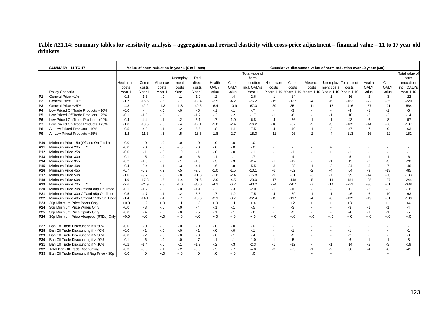## **Table A21.14: Summary tables for sensitivity analysis – aggregation and revised elasticity with cross-price adjustment – financial value – 11 to 17 year old drinkers**

|                 | <b>SUMMARY - 11 TO 17</b>                |            |         | Value of harm reduction in year 1 (£ millions) |          |         |        |         |                |                          |        |           |                                                        | Cumulative discounted value of harm reduction over 10 years (£m) |                |       |                |
|-----------------|------------------------------------------|------------|---------|------------------------------------------------|----------|---------|--------|---------|----------------|--------------------------|--------|-----------|--------------------------------------------------------|------------------------------------------------------------------|----------------|-------|----------------|
|                 |                                          |            |         |                                                |          |         |        |         | Total value of |                          |        |           |                                                        |                                                                  |                |       | Total value of |
|                 |                                          |            |         |                                                | Unemploy | Total   |        |         | harm           |                          |        |           |                                                        |                                                                  |                |       | harm           |
|                 |                                          | Healthcare | Crime   | Absence                                        | ment     | direct  | Health | Crime   | reduction      | Healthcare               | Crime  | Absence   | Unemploy Total direct                                  |                                                                  | Health         | Crime | reduction      |
|                 |                                          | costs      | costs   | costs                                          | costs    | costs   | QALY   | QALY    | incl. QALYs    | costs                    | costs  | costs     | ment costs                                             | costs                                                            | QALY           | QALY  | incl. QALYs    |
|                 | Policy Scenario                          | Year 1     | Year 1  | Year 1                                         | Year 1   | Year 1  | value  | value   | Year 1         |                          |        |           | Years 1-10 Years 1-10 Years 1-10 Years 1-10 Years 1-10 |                                                                  | value          | value | Year 1-10      |
| IP <sub>1</sub> | General Price +1%                        | $-0.2$     | $-1.6$  | $-0$                                           | $-1$     | $-1.9$  | $-2$   | $-4$    | $-2.6$         | $-1$                     | $-14$  |           | $-1$                                                   | $-16$                                                            | $-2$           | $-3$  | $-22$          |
| P <sub>2</sub>  | General Price +10%                       | $-1.7$     | $-16.5$ | $-.5$                                          | $-7$     | $-19.4$ | $-2.5$ | $-4.2$  | $-26.2$        | $-15$                    | $-137$ | $-4$      | $-6$                                                   | $-163$                                                           | $-22$          | $-35$ | $-220$         |
| P <sub>3</sub>  | General Price +25%                       | $-4.3$     | $-42.2$ | $-1.3$                                         | $-1.8$   | $-49.6$ | $-6.4$ | $-10.9$ | $-67.0$        | $-39$                    | $-351$ | $-11$     | $-15$                                                  | $-416$                                                           | $-57$          | $-91$ | $-564$         |
| P4              | Low Priced Off Trade Products +10%       | $-0.0$     | $-.4$   | $-0$                                           | $-0$     | $-5$    | $-1$   | $-1$    | $-7$           | $\overline{\phantom{a}}$ | $-3$   |           |                                                        | $-4$                                                             | $-1$           | $-1$  | -6             |
| IP <sub>5</sub> | Low Priced Off Trade Products +25%       | $-0.1$     | $-1.0$  | $-0$                                           | $-.1$    | $-1.2$  | $-2$   | $-2$    | $-1.7$         | $-1$                     | -8     |           | -1                                                     | $-10$                                                            | $-2$           | $-2$  | $-14$          |
| IP <sub>6</sub> | Low Priced On Trade Products +10%        | $-0.4$     | $-4.4$  | $-.1$                                          | $-2$     | $-5.1$  | $-7$   | $-1.0$  | $-6.8$         | $-4$                     | $-36$  | -1        | $-1$                                                   | $-43$                                                            | -6             | -8    | $-57$          |
| P7              | Low Priced On Trade Products +25%        | $-1.0$     | $-10.5$ | $-3$                                           | $-4$     | $-12.1$ | $-1.6$ | $-2.4$  | $-16.2$        | $-10$                    | $-87$  | $-2$      | $-3$                                                   | $-102$                                                           | $-14$          | $-20$ | $-137$         |
| P8              | All Low Priced Products +10%             | $-0.5$     | -4.8    | $-.1$                                          | $-2$     | $-5.6$  | $-8$   | $-1.1$  | $-7.5$         | $-4$                     | $-40$  | $-1$      | $-2$                                                   | $-47$                                                            | $-7$           | -9    | $-63$          |
| IP <sub>9</sub> | All Low Priced Products +25%             | $-1.2$     | $-11.6$ | $-.3$                                          | $-5$     | $-13.5$ | $-1.8$ | $-2.7$  | $-18.0$        | $-11$                    | $-96$  | $-2$      | -4                                                     | $-113$                                                           | $-16$          | $-22$ | $-152$         |
| P10             | Minimum Price 15p (Off and On Trade)     | $-0.0$     | $-.0$   | $-0$                                           | $-.0$    | $-.0$   | $-0.0$ | $-0.1$  | $-0$           |                          |        |           |                                                        |                                                                  |                |       |                |
| P11             | Minimum Price 20p                        | $-0.0$     | $-0.1$  | $-0$                                           | $+.0$    | $-.0$   | $-0.0$ | $-0.1$  | $-0$           |                          |        |           |                                                        |                                                                  |                |       |                |
| P <sub>12</sub> | Minimum Price 25p                        | $-0.0$     | $-1$    | $-.0$                                          | $+.0$    | $-1$    | $-0.0$ | $-0.0$  | $-.1$          |                          | $-1$   |           |                                                        | -1                                                               |                |       | $-1$           |
| P <sub>13</sub> | Minimum Price 30p                        | $-0.1$     | $-.5$   | $-0$                                           | $-0$     | $-6$    | -.1    | $-1$    | $-7$           | $\overline{\phantom{a}}$ | -4     |           |                                                        | -5                                                               | $-1$           | $-1$  | -6             |
| P <sub>14</sub> | Minimum Price 35p                        | $-0.2$     | $-1.5$  | $-0$                                           | $-.1$    | $-1.8$  | $-3$   | $-.3$   | $-2.4$         | $-1$                     | $-12$  |           | -1                                                     | -15                                                              | $-2$           | $-3$  | $-20$          |
| P <sub>15</sub> | Minimum Price 40p                        | $-0.4$     | $-3.4$  | $-.1$                                          | $-3$     | $-4.1$  | $-6$   | $-8$    | $-5.5$         | $-3$                     | $-28$  | $-1$      | $-2$                                                   | $-34$                                                            | $-5$           | $-7$  | $-46$          |
| P <sub>16</sub> | Minimum Price 45p                        | $-0.7$     | $-6.2$  | $-2$                                           | $-5$     | $-7.6$  | $-1.0$ | $-1.5$  | $-10.1$        | -6                       | $-52$  | -2        | -4                                                     | $-64$                                                            | -9             | $-13$ | $-85$          |
| P <sub>17</sub> | Minimum Price 50p                        | $-1.0$     | $-9.7$  | $-3$                                           | $-8$     | $-11.8$ | $-1.6$ | $-2.4$  | $-15.8$        | -9                       | $-81$  | -3        | $-7$                                                   | -99                                                              | $-14$          | $-20$ | $-133$         |
| P <sub>18</sub> | Minimum Price 60p                        | $-1.9$     | $-17.8$ | $-6$                                           | $-1.4$   | $-21.6$ | $-2.9$ | $-4.5$  | $-29.0$        | $-17$                    | $-148$ | -5        | $-11$                                                  | $-181$                                                           | $-25$          | $-37$ | $-244$         |
| P <sub>19</sub> | Minimum Price 70p                        | $-2.6$     | $-24.9$ | $-8$                                           | $-1.6$   | $-30.0$ | $-4.1$ | $-6.2$  | $-40.2$        | $-24$                    | $-207$ | $-7$      | $-14$                                                  | $-251$                                                           | -36            | $-51$ | $-338$         |
| P <sub>20</sub> | Minimum Price 20p Off and 80p On Trade   | $-0.1$     | $-1.2$  | $-0$                                           | $-0$     | $-1.4$  | $-2$   | $-3$    | $-2.0$         | $-1$                     | $-10$  |           |                                                        | $-12$                                                            | $-2$           | $-3$  | $-16$          |
| P21             | Minimum Price 30p Off and 95p On Trade   | $-0.5$     | $-4.7$  | $-.1$                                          | $-2$     | $-5.5$  | $-.7$  | $-1.2$  | $-7.5$         | $-4$                     | $-39$  | $-1$      | $-1$                                                   | $-46$                                                            | -6             | $-10$ | $-63$          |
| P <sub>22</sub> | Minimum Price 40p Off and 110p On Trade  | $-1.4$     | $-14.1$ | $-.4$                                          | $-7$     | $-16.6$ | $-2.1$ | $-3.7$  | $-22.4$        | $-13$                    | $-117$ | -4        | -6                                                     | $-139$                                                           | $-19$          | $-31$ | $-189$         |
| P23             | 30p Minimum Price Beers Only             | $+0.0$     | $+.2$   | $+.0$                                          | $+.1$    | $+.3$   | $+.0$  | $+.1$   | $+.4$          | $\ddot{}$                | $+2$   | $\ddot{}$ |                                                        | $+3$                                                             | $\overline{+}$ | $+1$  | $+4$           |
| P <sub>24</sub> | 30p Minimum Price Wines Only             | $-0.0$     | $-3$    | $-0$                                           | $-0$     | $-.4$   | $-.1$  | $-.1$   | $-5$           | $\overline{\phantom{a}}$ | $-3$   |           |                                                        | -3                                                               | $-1$           | $-1$  | $-4$           |
| P <sub>25</sub> | 30p Minimum Price Spirits Only           | $-0.0$     | $-.4$   | $-0$                                           | $-0$     | $-5$    | $-.1$  | $-.1$   | $-6$           | $\overline{\phantom{a}}$ | $-3$   |           |                                                        | -4                                                               | $-1$           | $-1$  | $-5$           |
| P <sub>26</sub> | 30p Minimum Price Alcopops (RTDs) Only   | $+0.0$     | $+.0$   | $+.0$                                          | $+.0$    | $+.0$   | $+.0$  | $+.0$   | $+.0$          | $+.0$                    | $+.0$  | $+.0$     | $+0.0$                                                 | $+.0$                                                            | $+.0$          | $+.0$ | $+.0$          |
| P27             | Ban Off Trade Discounting if > 50%       | $-0.0$     | $-0$    | $-.0$                                          | $-0$     | $-0$    | $-.0$  | $-0.0$  | $-0.0$         | $\blacksquare$           |        |           |                                                        |                                                                  |                |       |                |
| P28             | Ban Off Trade Discounting if > 40%       | $-0.0$     | $-1$    | $-0$                                           | $-0$     | $-1$    | $-0.0$ | $-0.0$  | $-.1$          | $\blacksquare$           | -1     |           |                                                        | -1                                                               |                |       | $-1$           |
| P29             | Ban Off Trade Discounting if > 30%       | $-0.0$     | $-2$    | $-.0$                                          | $-0$     | $-3$    | $-0.0$ | $-1$    | $-4$           | $\overline{\phantom{a}}$ | $-2$   |           |                                                        | -2                                                               |                |       | $-3$           |
| P30             | Ban Off Trade Discounting if > 20%       | $-0.1$     | $-6$    | $-0$                                           | $-0$     | $-7$    | -. 1   | $-1$    | $-1.0$         | $-1$                     | $-5$   |           |                                                        | -6                                                               | $-1$           | $-1$  | -8             |
| P31             | Ban Off Trade Discounting if > 10%       | $-0.2$     | $-1.4$  | $-.0$                                          | $-.1$    | $-1.7$  | $-2$   | $-.3$   | $-2.3$         | $-1$                     | $-12$  |           | $-1$                                                   | $-14$                                                            | $-2$           | -3    | $-19$          |
| P32             | Total Ban Off Trade Discounting          | $-0.3$     | $-3.0$  | $-1$                                           | $-2$     | $-3.6$  | $-5$   | $-7$    | $-4.8$         | -3                       | $-25$  | -1        | $-2$                                                   | $-30$                                                            | $-4$           | -6    | $-41$          |
| P33             | Ban Off Trade Discount if Reg Price <30p | $-0.0$     | $-0.1$  | $+.0$                                          | $+.0$    | $-0.5$  | $-0.0$ | $+.0$   | $-0$           | $\overline{\phantom{a}}$ |        | $+$       | $\ddot{}$                                              |                                                                  |                |       |                |
|                 |                                          |            |         |                                                |          |         |        |         |                |                          |        |           |                                                        |                                                                  |                |       |                |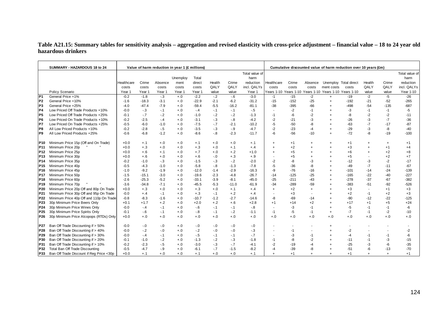## **Table A21.15: Summary tables for sensitivity analysis – aggregation and revised elasticity with cross-price adjustment – financial value – 18 to 24 year old hazardous drinkers**

|                        | SUMMARY - HAZARDOUS 18 to 24             |                  |                    |                  | Value of harm reduction in year 1 (£ millions) |                    |                |                   |                    |                          |                  |                |                                                        | Cumulative discounted value of harm reduction over 10 years (£m) |                |                |                 |
|------------------------|------------------------------------------|------------------|--------------------|------------------|------------------------------------------------|--------------------|----------------|-------------------|--------------------|--------------------------|------------------|----------------|--------------------------------------------------------|------------------------------------------------------------------|----------------|----------------|-----------------|
|                        |                                          |                  |                    |                  |                                                |                    |                |                   | Total value of     |                          |                  |                |                                                        |                                                                  |                |                | Total value of  |
|                        |                                          |                  |                    |                  | Unemploy                                       | Total              |                |                   | harm               |                          |                  |                |                                                        |                                                                  |                |                | harm            |
|                        |                                          | Healthcare       | Crime              | Absence          | ment                                           | direct             | Health         | Crime             | reduction          | Healthcare               | Crime            | Absence        | Unemploy Total direct                                  |                                                                  | Health         | Crime          | reduction       |
|                        |                                          | costs            | costs              | costs            | costs                                          | costs              | QALY           | QALY              | incl. QALYs        | costs                    | costs            | costs          | ment costs                                             | costs                                                            | QALY           | QALY           | incl. QALYs     |
|                        | Policy Scenario                          | Year 1           | Year 1             | Year 1           | Year 1                                         | Year 1             | value          | value             | Year 1             |                          |                  |                | Years 1-10 Years 1-10 Years 1-10 Years 1-10 Years 1-10 |                                                                  | value          | value          | Year 1-10       |
| P1                     | General Price +1%                        | $-0.2$           | $-1.8$             | $-.3$            | $+.0$                                          | $-2.2$             | $-2$           | $-6$              | $-3.0$             | $-1$                     | $-15$            | $-2$           | $+$                                                    | $-19$                                                            | $-2$           | $-5$           | $-26$           |
| P <sub>2</sub>         | General Price +10%                       | $-1.6$           | $-18.3$            | $-3.1$           | $+.0$                                          | $-22.9$            | $-2.1$         | $-6.2$            | $-31.2$            | $-15$                    | $-152$           | $-25$          | $\ddot{}$                                              | $-192$                                                           | $-21$          | $-52$          | $-265$          |
| P3                     | General Price +25%                       | $-4.0$           | $-47.4$            | $-7.9$           | $+.0$                                          | $-59.4$            | $-5.5$         | $-16.2$           | $-81.1$            | $-38$                    | $-395$           | $-66$          |                                                        | $-498$                                                           | $-54$          | $-135$         | $-687$          |
| P4                     | Low Priced Off Trade Products +10%       | $-0.0$           | $-3$               | $-.1$            | $+.0$                                          | $-4$               | $-.1$          | $-1$              | $-.5$              | $\blacksquare$           | $-2$             | $-1$           |                                                        | -3                                                               | $-1$           | $-1$           | $-5$            |
| IP <sub>5</sub>        | Low Priced Off Trade Products +25%       | $-0.1$           | $-7$               | $-2$             | $+.0$                                          | $-1.0$             | $-.2$          | $-2$              | $-1.3$             | $-1$                     | $-6$             | $-2$           |                                                        | -8                                                               | $-2$           | $-2$           | $-11$           |
| P <sub>6</sub>         | Low Priced On Trade Products +10%        | $-0.2$           | $-2.5$             | $-.4$            | $+.0$                                          | $-3.1$             | $-.3$          | $-8$              | $-4.2$             | $-2$                     | $-21$            | -3             |                                                        | $-26$                                                            | -3             | $-7$           | $-36$           |
| P7                     | Low Priced On Trade Products +25%        | $-0.5$           | $-6.0$             | $-1.0$           | $+.0$                                          | $-7.5$             | $-7$           | $-2.1$            | $-10.2$            | -5                       | $-50$            | -8             |                                                        | $-63$                                                            | $-7$           | $-17$          | $-87$           |
| P8                     | All Low Priced Products +10%             | $-0.2$           | $-2.8$             | $-.5$            | $+.0$                                          | $-3.5$             | $-3$           | $-9$              | $-4.7$             | $-2$                     | $-23$            | $-4$           |                                                        | $-29$                                                            | $-3$           | -8             | $-40$           |
| P9                     | All Low Priced Products +25%             | $-0.6$           | $-6.8$             | $-1.2$           | $+.0$                                          | $-8.6$             | $-8$           | $-2.3$            | $-11.7$            | -6                       | $-56$            | $-10$          |                                                        | $-72$                                                            | -8             | $-19$          | $-100$          |
|                        |                                          |                  |                    |                  |                                                |                    |                |                   |                    |                          |                  |                |                                                        |                                                                  |                |                |                 |
| P10.                   | Minimum Price 15p (Off and On Trade)     | $+0.0$           | $+.1$              | $+.0$            | $+.0$                                          | $+.1$              | $+.0$<br>$+.0$ | $+.0$             | $+.1$              | $\ddot{}$                | $+1$<br>$+2$     | $\ddot{}$      |                                                        | $+1$<br>$+3$                                                     | $^{+}$         | $+$            | $+1$            |
| IP 11                  | Minimum Price 20p                        | $+0.0$           | $+.3$              | $+.0$            | $+.0$                                          | $+.3$              |                | $+.1$             | $+.4$              | $\ddot{}$                |                  |                |                                                        |                                                                  | $\overline{+}$ | $+1$           | $+4$            |
| P12                    | Minimum Price 25p                        | $+0.0$           | $+.6$              | $+.1$            | $+.0$                                          | $+.7$              | $+.0$          | $+.2$             | $+1.0$             | $\ddot{}$                | $+5$             |                |                                                        | $+6$                                                             | $\overline{+}$ | $+2$           | $+8$            |
| P13                    | Minimum Price 30p                        | $+0.0$<br>$-0.2$ | $+.6$<br>$-1.0$    | $+.0$<br>$-.3$   | $+.0$                                          | $+.6$              | $-0.0$         | $+.3$             | $+.9$<br>$-2.0$    | $\overline{\phantom{a}}$ | $+5$             | -3             |                                                        | $+5$<br>$-12$                                                    |                | $+2$           | $+7$<br>$-17$   |
| P14                    | Minimum Price 35p                        |                  |                    |                  | $+.0$                                          | $-1.5$             | $-3$           | $-2$              |                    | $-2$                     | -8               |                |                                                        |                                                                  | $-3$           | $-2$<br>$-11$  |                 |
| P <sub>15</sub>        | Minimum Price 40p<br>Minimum Price 45p   | $-0.5$<br>$-1.0$ | $-4.3$<br>$-9.2$   | $-1.0$<br>$-1.9$ | $+.0$<br>$+.0$                                 | $-5.8$<br>$-12.0$  | $-8$<br>$-1.4$ | $-1.3$<br>$-2.9$  | $-7.8$<br>$-16.3$  | $-5$<br>-9               | $-36$<br>$-76$   | -8<br>$-16$    |                                                        | -49<br>$-101$                                                    | $-7$<br>$-14$  | $-24$          | $-67$<br>$-139$ |
| P16                    | Minimum Price 50p                        | $-1.5$           | $-15.1$            | $-3.0$           | $+.0$                                          | $-19.6$            | $-2.3$         | $-4.8$            | $-26.7$            | $-14$                    | $-125$           | $-25$          |                                                        | $-165$                                                           | $-22$          | $-40$          | $-227$          |
| P17                    | Minimum Price 60p                        |                  |                    | $-5.2$           |                                                |                    | $-3.9$         |                   |                    | $-25$                    |                  |                |                                                        |                                                                  | $-37$          |                | $-382$          |
| P18<br>P <sub>19</sub> | Minimum Price 70p                        | $-2.6$<br>$-3.6$ | $-25.3$<br>$-34.8$ | $-7.1$           | $+.0$<br>$+.0$                                 | $-33.1$<br>$-45.5$ | $-5.3$         | $-8.1$<br>$-11.0$ | $-45.0$<br>$-61.9$ | $-34$                    | $-211$<br>$-289$ | $-43$<br>$-59$ |                                                        | $-278$<br>$-383$                                                 | $-51$          | $-67$<br>$-92$ | $-526$          |
| P <sub>20</sub>        | Minimum Price 20p Off and 80p On Trade   | $+0.0$           | $+.3$              | $+.0$            | $+.0$                                          | $+.3$              | $+.0$          | $+.1$             | $+.4$              | $+$                      | $+2$             | $+$            |                                                        | $+3$                                                             |                | $+1$           | $+3$            |
| P21                    | Minimum Price 30p Off and 95p On Trade   | $-0.0$           | $+.4$              | $-.1$            | $+.0$                                          | $+.3$              | $-1$           | $+.2$             |                    | $\overline{\phantom{a}}$ | $+3$             |                |                                                        | $+2$                                                             | $-1$           | $+2$           | $+3$            |
| P22                    | Minimum Price 40p Off and 110p On Trade  | $-0.8$           | $-8.3$             | $-1.6$           | $+.0$                                          | $-10.7$            | $-1.2$         | $-2.7$            | $+.4$<br>$-14.6$   | -8                       | $-69$            | $-14$          |                                                        | -90                                                              | $-12$          | $-22$          | $-125$          |
| P23                    | 30p Minimum Price Beers Only             | $+0.1$           | $+1.7$             | $+.2$            | $+.0$                                          | $+2.0$             | $+.2$          | $+.6$             | $+2.8$             | $+1$                     | $+14$            | $+2$           |                                                        | $+17$                                                            | $+1$           | $+5$           | $+24$           |
| P24                    | 30p Minimum Price Wines Only             | $-0.0$           | $-4$               | $-.1$            | $+.0$                                          | $-6$               | $-.1$          | $-1$              | $-.8$              | $\overline{\phantom{a}}$ | $-3$             | $-1$           |                                                        | -5                                                               | $-1$           | $-1$           | -6              |
| P <sub>25</sub>        | 30p Minimum Price Spirits Only           | $-0.1$           | $-6$               | $-.1$            | $+.0$                                          | $-8$               | $-.1$          | $-2$              | $-1.1$             | $-1$                     | $-5$             | $-1$           | $\ddot{}$                                              | $-7$                                                             | $-1$           | $-2$           | $-10$           |
| P <sub>26</sub>        | 30p Minimum Price Alcopops (RTDs) Only   | $+0.0$           | $+.0$              | $+.0$            | $+.0$                                          | $+.0$              | $+.0$          | $+.0$             | $+.0$              | $+.0$                    | $+.0$            | $+.0$          | $+0.0$                                                 | $+.0$                                                            | $+.0$          | $+.0$          | $+.0$           |
|                        |                                          |                  |                    |                  |                                                |                    |                |                   |                    |                          |                  |                |                                                        |                                                                  |                |                |                 |
| P27                    | Ban Off Trade Discounting if > 50%       | $-0.0$           | $-0$               | $-0$             | $+.0$                                          | $-0.0$             | $-0.0$         | $-0.0$            | $-.0$              | $\overline{\phantom{a}}$ |                  |                |                                                        |                                                                  |                |                |                 |
| P28                    | Ban Off Trade Discounting if > 40%       | $-0.0$           | $-2$               | $-0$             | $+.0$                                          | $-2$               | $-0.0$         | $-0.0$            | $-3$               | $\overline{\phantom{a}}$ | $-1$             |                |                                                        | $-2$                                                             |                |                | $-2$            |
| P29                    | Ban Off Trade Discounting if > 30%       | $-0.0$           | $-.4$              | $-.1$            | $+.0$                                          | $-5$               | $-.1$          | $-.1$             | $-.7$              | $\overline{\phantom{a}}$ | -3               | -1             |                                                        | -4                                                               | -1             | $-1$           | -6              |
| P30                    | Ban Off Trade Discounting if > 20%       | $-0.1$           | $-1.0$             | $-.2$            | $+.0$                                          | $-1.3$             | $-.2$          | $-3$              | $-1.8$             | $-1$                     | -8               | $-2$           |                                                        | $-11$                                                            | $-1$           | $-3$           | $-15$           |
| P31                    | Ban Off Trade Discounting if > 10%       | $-0.2$           | $-2.3$             | $-5$             | $+.0$                                          | $-3.0$             | $-.3$          | $-7$              | $-4.1$             | $-2$                     | $-19$            | $-4$           |                                                        | $-25$                                                            | $-3$           | $-6$           | $-35$           |
| P32                    | Total Ban Off Trade Discounting          | $-0.5$           | $-4.7$             | $-9$             | $+.0$                                          | $-6.1$             | $-7$           | $-1.5$            | $-8.2$             | $-4$                     | $-39$            | -8             |                                                        | $-51$                                                            | -6             | $-13$          | $-70$           |
| P33                    | Ban Off Trade Discount if Reg Price <30p | $+0.0$           | $+.1$              | $+.0$            | $+.0$                                          | $+.1$              | $+.0$          | $+.0$             | $+.1$              | $\ddot{}$                | $+1$             | $\ddot{}$      |                                                        | $+1$                                                             | $\ddot{}$      | $+$            | $+1$            |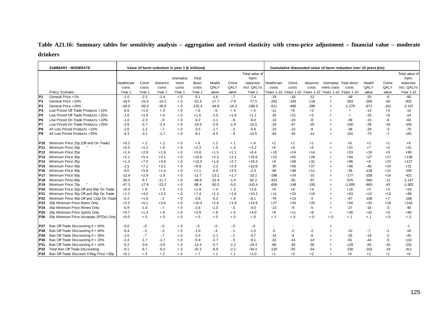# **Table A21.16: Summary tables for sensitivity analysis – aggregation and revised elasticity with cross-price adjustment – financial value – moderate drinkers**

|                 | <b>SUMMARY - MODERATE</b>                |            |         | Value of harm reduction in year 1 (£ millions) |          |          |         |         |                | Cumulative discounted value of harm reduction over 10 years (£m) |                                  |         |                       |                       |        |        |                |  |
|-----------------|------------------------------------------|------------|---------|------------------------------------------------|----------|----------|---------|---------|----------------|------------------------------------------------------------------|----------------------------------|---------|-----------------------|-----------------------|--------|--------|----------------|--|
|                 |                                          |            |         |                                                |          |          |         |         | Total value of |                                                                  |                                  |         |                       |                       |        |        | Total value of |  |
|                 |                                          |            |         |                                                | Unemploy | Total    |         |         | harm           |                                                                  |                                  |         |                       |                       |        |        | harm           |  |
|                 |                                          | Healthcare | Crime   | Absence                                        | ment     | direct   | Health  | Crime   | reduction      | Healthcare                                                       | Crime                            | Absence |                       | Unemploy Total direct | Health | Crime  | reduction      |  |
|                 |                                          | costs      | costs   | costs                                          | costs    | costs    | QALY    | QALY    | incl. QALYs    | costs                                                            | costs                            | costs   | ment costs            | costs                 | QALY   | QALY   | incl. QALYs    |  |
|                 | Policy Scenario                          | Year 1     | Year 1  | Year 1                                         | Year 1   | Year 1   | value   | value   | Year 1         |                                                                  | Years 1-10 Years 1-10 Years 1-10 |         | Years 1-10 Years 1-10 |                       | value  | value  | Year 1-10      |  |
| P <sub>1</sub>  | General Price +1%                        | $-1.5$     | $-2.2$  | $-1.4$                                         | $+.0$    | $-5.1$   | $-1.6$  | $-7$    | $-7.4$         | $-19$                                                            | $-18$                            | $-12$   | $\ddot{}$             | $-49$                 | $-25$  | $-6$   | $-80$          |  |
| P <sub>2</sub>  | General Price +10%                       | $-16.0$    | $-22.0$ | $-14.2$                                        | $+.0$    | $-52.3$  | $-17.7$ | $-7.6$  | $-77.5$        | $-202$                                                           | $-183$                           | $-118$  | $\ddot{}$             | $-503$                | $-266$ | $-63$  | $-832$         |  |
| P <sub>3</sub>  | General Price +25%                       | $-40.5$    | $-56.0$ | $-35.9$                                        | $+.0$    | $-132.4$ | $-44.8$ | $-19.3$ | $-196.5$       | $-511$                                                           | $-466$                           | $-299$  |                       | $-1,276$              | $-671$ | $-161$ | $-2,107$       |  |
| IP4             | Low Priced Off Trade Products +10%       | $-0.6$     | $+1.0$  | $+.3$                                          | $+.0$    | $+.6$    | $-6$    | $+.4$   | $+.4$          | $-11$                                                            | $+9$                             | $+2$    |                       | $\ddot{}$             | $-13$  | $+3$   | $-10$          |  |
| IP <sub>5</sub> | Low Priced Off Trade Products +25%       | $-1.6$     | $+2.6$  | $+.6$                                          | $+.0$    | $+1.6$   | $-1.5$  | $+1.0$  | $+1.1$         | $-26$                                                            | $+21$                            | $+5$    |                       | $\ddot{}$             | $-33$  | $+8$   | $-24$          |  |
| IP6             | Low Priced On Trade Products +10%        | $-1.0$     | $-2.3$  | $-9$                                           | $+.0$    | $-4.2$   | $-1.1$  | $-8$    | $-6.0$         | $-13$                                                            | $-19$                            | -8      |                       | $-39$                 | $-15$  | -6     | $-60$          |  |
| IP7             | Low Priced On Trade Products +25%        | $-2.6$     | $-5.7$  | $-2.4$                                         | $+.0$    | $-10.6$  | $-2.9$  | $-1.9$  | $-15.5$        | $-33$                                                            | $-47$                            | $-20$   |                       | $-100$                | $-39$  | $-16$  | $-155$         |  |
| P <sub>8</sub>  | All Low Priced Products +10%             | $-1.6$     | $-1.2$  | $-7$                                           | $+.0$    | $-3.5$   | $-1.7$  | $-.3$   | $-5.6$         | $-23$                                                            | $-10$                            | -6      |                       | $-39$                 | $-28$  | -3     | $-70$          |  |
| IP <sub>9</sub> | All Low Priced Products +25%             | $-4.3$     | $-3.1$  | $-1.7$                                         | $+.0$    | $-9.1$   | $-4.5$  | $-9$    | $-14.5$        | $-60$                                                            | $-26$                            | $-14$   |                       | $-101$                | $-73$  | $-7$   | $-181$         |  |
| P <sub>10</sub> | Minimum Price 15p (Off and On Trade)     | $+0.2$     | $+.2$   | $+.2$                                          | $+.0$    | $+.6$    | $+.2$   | $+.1$   | $+.8$          | $+2$                                                             | $+2$                             | $+1$    |                       | $+6$                  | $+2$   | $+1$   | $+9$           |  |
| P <sub>11</sub> | Minimum Price 20p                        | $+0.5$     | $+1.1$  | $+.6$                                          | $+.0$    | $+2.3$   | $+.5$   | $+.4$   | $+3.2$         | $+6$                                                             | $+9$                             | $+5$    |                       | $+21$                 | $+7$   | $+4$   | $+31$          |  |
| P <sub>12</sub> | Minimum Price 25p                        | $+1.4$     | $+2.8$  | $+1.6$                                         | $+.0$    | $+5.8$   | $+1.5$  | $+1.1$  | $+8.4$         | $+16$                                                            | $+24$                            | $+14$   |                       | $+53$                 | $+19$  | $+9$   | $+80$          |  |
| P <sub>13</sub> | Minimum Price 30p                        | $+2.1$     | $+5.4$  | $+3.1$                                         | $+.0$    | $+10.6$  | $+2.3$  | $+2.1$  | $+15.0$        | $+23$                                                            | $+45$                            | $+26$   |                       | $+94$                 | $+27$  | $+17$  | $+138$         |  |
| P14             | Minimum Price 35p                        | $+1.3$     | $+7.0$  | $+3.8$                                         | $+.0$    | $+12.0$  | $+1.6$  | $+2.7$  | $+16.3$        | $+9$                                                             | $+58$                            | $+31$   |                       | $+98$                 | $+6$   | $+23$  | $+127$         |  |
| P <sub>15</sub> | Minimum Price 40p                        | $-1.5$     | $+7.1$  | $+3.2$                                         | $+.0$    | $+8.9$   | $-1.2$  | $+2.9$  | $+10.6$        | $-30$                                                            | $+59$                            | $+27$   |                       | $+56$                 | $-48$  | $+24$  | $+31$          |  |
| P16             | Minimum Price 45p                        | $-6.0$     | $+5.8$  | $+1.4$                                         | $+.0$    | $+1.1$   | $-5.9$  | $+2.5$  | $-2.3$         | $-94$                                                            | $+48$                            | $+11$   |                       | $-35$                 | $-136$ | $+21$  | $-150$         |  |
| P <sub>17</sub> | Minimum Price 50p                        | $-12.9$    | $+2.9$  | $-1.8$                                         | $+.0$    | $-11.7$  | $-13.1$ | $+1.7$  | $-23.2$        | $-186$                                                           | $+24$                            | $-15$   |                       | $-177$                | $-258$ | $+14$  | $-421$         |  |
| P <sub>18</sub> | Minimum Price 60p                        | $-30.5$    | $-6.7$  | $-11.7$                                        | $+.0$    | $-48.9$  | $-31.9$ | $-1.4$  | $-82.2$        | $-423$                                                           | $-55$                            | $-97$   |                       | $-576$                | $-560$ | -12    | $-1,147$       |  |
| P <sub>19</sub> | Minimum Price 70p                        | $-47.3$    | $-17.8$ | $-23.2$                                        | $+.0$    | $-88.4$  | $-50.0$ | $-5.0$  | $-143.4$       | $-659$                                                           | $-148$                           | $-193$  |                       | $-1,000$              | $-860$ | $-42$  | $-1,902$       |  |
| P <sub>20</sub> | Minimum Price 20p Off and 80p On Trade   | $+0.4$     | $+.9$   | $+.5$                                          | $+.0$    | $+1.8$   | $+.4$   | $+.3$   | $+2.6$         | $+4$                                                             | $+8$                             | $+4$    |                       | $+16$                 | $+5$   | $+3$   | $+24$          |  |
| P21             | Minimum Price 30p Off and 95p On Trade   | $+1.2$     | $+4.0$  | $+2.3$                                         | $+.0$    | $+7.4$   | $+1.3$  | $+1.6$  | $+10.3$        | $+11$                                                            | $+33$                            | $+19$   |                       | $+63$                 | $+12$  | $+13$  | $+88$          |  |
| P22             | Minimum Price 40p Off and 110p On Trade  | $-5.2$     | $+1.6$  | $-2$                                           | $+.0$    | $-3.8$   | $-5.2$  | $+.9$   | $-8.1$         | $-79$                                                            | $+13$                            | $-2$    |                       | $-67$                 | $-108$ | $+7$   | $-168$         |  |
| P <sub>23</sub> | 30p Minimum Price Beers Only             | $+2.3$     | $+5.1$  | $+3.0$                                         | $+.0$    | $+10.4$  | $+2.6$  | $+1.9$  | $+14.9$        | $+27$                                                            | $+43$                            | $+25$   |                       | $+94$                 | $+33$  | $+16$  | $+144$         |  |
| P <sub>24</sub> | 30p Minimum Price Wines Only             | $-0.9$     | $-1.0$  | $-.7$                                          | $+.0$    | $-2.6$   | $-1.0$  | $-3$    | $-4.0$         | $-13$                                                            | -9                               | $-5$    |                       | $-27$                 | $-16$  | $-3$   | $-46$          |  |
| P <sub>25</sub> | 30p Minimum Price Spirits Only           | $+0.7$     | $+1.3$  | $+.8$                                          | $+.0$    | $+2.8$   | $+.8$   | $+.5$   | $+4.0$         | $+9$                                                             | $+11$                            | $+6$    | $\ddot{}$             | $+26$                 | $+10$  | $+4$   | $+40$          |  |
| P <sub>26</sub> | 30p Minimum Price Alcopops (RTDs) Only   | $+0.0$     | $+.0$   | $+.0$                                          | $+.0$    | $+.0$    | $+.0$   | $+.0$   | $+.0$          | $+, 1$                                                           | $+.0$                            | $+.0$   | $+.0$                 | $+.1$                 | $+.1$  | $+.0$  | $+.3$          |  |
| P27             | Ban Off Trade Discounting if > 50%       | $-0.0$     | $-0.0$  | $-0.0$                                         | $+.0$    | $-0$     | $-0$    | $-0.0$  | $-0$           | $\blacksquare$                                                   |                                  |         |                       |                       |        |        | $-1$           |  |
| P28             | Ban Off Trade Discounting if > 40%       | $-0.4$     | $-3$    | $-3$                                           | $+.0$    | $-1.0$   | $-.4$   | $-1$    | $-1.5$         | $-5$                                                             | $-2$                             | $-2$    |                       | $-10$                 | $-7$   | $-1$   | $-18$          |  |
| <b>P29</b>      | Ban Off Trade Discounting if > 30%       | $-1.0$     | $-7$    | $-7$                                           | $+.0$    | $-2.4$   | $-1.1$  | $-2$    | $-3.7$         | $-14$                                                            | -6                               | -6      |                       | $-25$                 | $-19$  | -2     | $-45$          |  |
| P30             | Ban Off Trade Discounting if > 20%       | $-2.4$     | $-1.7$  | $-1.7$                                         | $+.0$    | $-5.9$   | $-2.7$  | $-.5$   | $-9.1$         | $-32$                                                            | $-14$                            | $-14$   |                       | $-61$                 | $-44$  | -5     | $-110$         |  |
| P31             | Ban Off Trade Discounting if > 10%       | $-5.2$     | $-3.6$  | $-3.6$                                         | $+.0$    | $-12.4$  | $-5.7$  | $-1.2$  | $-19.3$        | $-68$                                                            | $-30$                            | $-30$   |                       | $-128$                | -93    | $-10$  | $-231$         |  |
| P32             | Total Ban Off Trade Discounting          | $-9.1$     | $-6.7$  | $-6.5$                                         | $+.0$    | $-22.3$  | $-9.9$  | $-2.2$  | $-34.4$        | $-120$                                                           | $-55$                            | $-54$   |                       | $-230$                | $-163$ | $-18$  | $-411$         |  |
| <b>P33</b>      | Ban Off Trade Discount if Reg Price <30p | $+0.1$     | $+.4$   | $+.2$                                          | $+.0$    | $+.7$    | $+.1$   | $+.1$   | $+1.0$         | $+1$                                                             | $+3$                             | $+2$    |                       | $+6$                  | $+2$   | $+1$   | $+9$           |  |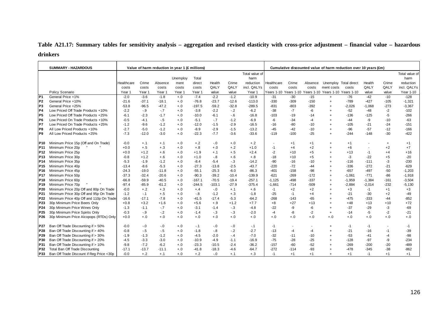# **Table A21.17: Summary tables for sensitivity analysis – aggregation and revised elasticity with cross-price adjustment – financial value – hazardous drinkers**

|                 | <b>SUMMARY - HAZARDOUS</b>               |            |         | Value of harm reduction in year 1 (£ millions) |          |          |          |         |                |                |        |         |                                                        | Cumulative discounted value of harm reduction over 10 years (£m) |          |        |                |
|-----------------|------------------------------------------|------------|---------|------------------------------------------------|----------|----------|----------|---------|----------------|----------------|--------|---------|--------------------------------------------------------|------------------------------------------------------------------|----------|--------|----------------|
|                 |                                          |            |         |                                                |          |          |          |         | Total value of |                |        |         |                                                        |                                                                  |          |        | Total value of |
|                 |                                          |            |         |                                                | Unemploy | Total    |          |         | harm           |                |        |         |                                                        |                                                                  |          |        | harm           |
|                 |                                          | Healthcare | Crime   | Absence                                        | ment     | direct   | Health   | Crime   | reduction      | Healthcare     | Crime  | Absence |                                                        | Unemploy Total direct                                            | Health   | Crime  | reduction      |
|                 |                                          | costs      | costs   | costs                                          | costs    | costs    | QALY     | QALY    | incl. QALYs    | costs          | costs  | costs   | ment costs                                             | costs                                                            | QALY     | QALY   | incl. QALYs    |
|                 | Policy Scenario                          | Year 1     | Year 1  | Year 1                                         | Year 1   | Year 1   | value    | value   | Year 1         |                |        |         | Years 1-10 Years 1-10 Years 1-10 Years 1-10 Years 1-10 |                                                                  | value    | value  | Year 1-10      |
| P <sub>1</sub>  | General Price +1%                        | $-2.0$     | $-3.6$  | $-1.8$                                         | $+.0$    | $-7.4$   | $-2.2$   | $-1.2$  | $-10.9$        | $-31$          | $-30$  | $-15$   | $+$                                                    | $-76$                                                            | $-42$    | $-10$  | $-128$         |
| P <sub>2</sub>  | General Price +10%                       | $-21.6$    | $-37.1$ | $-18.1$                                        | $+.0$    | $-76.8$  | $-23.7$  | $-12.6$ | $-113.0$       | $-330$         | $-309$ | $-150$  | $\ddot{}$                                              | $-789$                                                           | $-427$   | $-105$ | $-1,321$       |
| P <sub>3</sub>  | General Price +25%                       | $-53.8$    | $-96.5$ | $-47.2$                                        | $+.0$    | $-197.5$ | $-59.2$  | $-32.8$ | $-289.5$       | $-831$         | $-803$ | $-392$  |                                                        | $-2,026$                                                         | $-1,068$ | $-273$ | $-3,367$       |
| P4              | Low Priced Off Trade Products +10%       | $-2.2$     | $-9$    | $-7$                                           | $+.0$    | $-3.8$   | $-2.2$   | $-2$    | $-6.2$         | $-38$          | $-7$   | $-6$    |                                                        | $-52$                                                            | $-48$    | $-2$   | $-102$         |
| IP <sub>5</sub> | Low Priced Off Trade Products +25%       | $-6.1$     | $-2.3$  | $-1.7$                                         | $+.0$    | $-10.0$  | $-6.1$   | $-6$    | $-16.8$        | $-103$         | $-19$  | -14     |                                                        | $-136$                                                           | $-125$   | $-5$   | $-266$         |
| IP <sub>6</sub> | Low Priced On Trade Products +10%        | $-0.5$     | $-4.1$  | $-5$                                           | $+.0$    | $-5.1$   | $-.7$    | $-1.2$  | $-6.9$         | -6             | $-34$  | $-4$    |                                                        | -44                                                              | -9       | $-10$  | $-63$          |
| P7              | Low Priced On Trade Products +25%        | $-1.2$     | $-9.6$  | $-1.2$                                         | $+.0$    | $-12.0$  | $-1.5$   | $-2.9$  | $-16.5$        | $-16$          | $-80$  | $-10$   |                                                        | $-105$                                                           | $-21$    | $-24$  | $-151$         |
| P <sub>8</sub>  | All Low Priced Products +10%             | $-2.7$     | $-5.0$  | $-1.2$                                         | $+.0$    | $-8.9$   | $-2.9$   | $-1.5$  | $-13.2$        | $-45$          | $-42$  | $-10$   |                                                        | $-96$                                                            | $-57$    | $-12$  | $-166$         |
| IP <sub>9</sub> | All Low Priced Products +25%             | $-7.3$     | $-12.0$ | $-3.0$                                         | $+.0$    | $-22.3$  | $-7.7$   | $-3.6$  | $-33.6$        | $-119$         | $-100$ | $-25$   |                                                        | $-244$                                                           | $-148$   | $-30$  | $-422$         |
| P10             | Minimum Price 15p (Off and On Trade)     | $-0.0$     | $+.1$   | $+.1$                                          | $+.0$    | $+.2$    | $-0$     | $+.0$   | $+.2$          | $\blacksquare$ | $+1$   | $+1$    |                                                        | $+1$                                                             |          | $+$    | $+1$           |
| <b>P11</b>      | Minimum Price 20p                        | $+0.0$     | $+.5$   | $+.3$                                          | $+.0$    | $+.8$    | $+.0$    | $+.2$   | $+1.0$         | $-1$           | $+4$   | $+2$    |                                                        | $+6$                                                             |          | $+2$   | $+7$           |
| P <sub>12</sub> | Minimum Price 25p                        | $+0.0$     | $+1.2$  | $+.6$                                          | $+.0$    | $+1.9$   | $+.1$    | $+.5$   | $+2.4$         | $-2$           | $+10$  | $+5$    |                                                        | $+13$                                                            | $-1$     | $+4$   | $+16$          |
| P <sub>13</sub> | Minimum Price 30p                        | $-0.8$     | $+1.2$  | $+.6$                                          | $+.0$    | $+1.0$   | $-8$     | $+.6$   | $+.8$          | $-18$          | $+10$  | $+5$    |                                                        | $-3$                                                             | $-22$    | $+5$   | $-20$          |
| P <sub>14</sub> | Minimum Price 35p                        | $-5.3$     | $-1.9$  | $-1.2$                                         | $+.0$    | $-8.4$   | $-5.4$   | $-.3$   | $-14.2$        | $-90$          | $-16$  | $-10$   |                                                        | $-116$                                                           | $-111$   | -3     | $-230$         |
| P <sub>15</sub> | Minimum Price 40p                        | $-13.4$    | $-8.6$  | $-5.3$                                         | $+.0$    | $-27.3$  | $-13.8$  | $-2.5$  | $-43.7$        | $-220$         | $-72$  | -44     |                                                        | $-336$                                                           | $-272$   | $-21$  | $-629$         |
| P <sub>16</sub> | Minimum Price 45p                        | $-24.3$    | $-19.0$ | $-11.8$                                        | $+.0$    | $-55.1$  | $-25.3$  | $-6.0$  | $-86.3$        | $-401$         | $-158$ | $-98$   |                                                        | $-657$                                                           | $-497$   | $-50$  | $-1,203$       |
| P <sub>17</sub> | Minimum Price 50p                        | $-37.3$    | $-32.4$ | $-20.6$                                        | $+.0$    | $-90.3$  | $-39.2$  | $-10.4$ | $-139.9$       | $-621$         | $-269$ | $-172$  |                                                        | $-1,061$                                                         | $-771$   | $-86$  | $-1,918$       |
| P <sub>18</sub> | Minimum Price 60p                        | $-66.8$    | $-59.9$ | $-40.5$                                        | $+.0$    | $-167.1$ | $-70.5$  | $-19.4$ | $-257.1$       | $-1,125$       | $-498$ | $-337$  |                                                        | $-1,959$                                                         | $-1,384$ | $-161$ | $-3,504$       |
| P <sub>19</sub> | Minimum Price 70p                        | $-97.4$    | $-85.9$ | $-61.2$                                        | $+.0$    | $-244.5$ | $-103.1$ | $-27.9$ | $-375.4$       | $-1,661$       | $-714$ | $-509$  |                                                        | $-2,884$                                                         | $-2,014$ | $-232$ | $-5,130$       |
| P20             | Minimum Price 20p Off and 80p On Trade   | $-0.0$     | $+.2$   | $+.3$                                          | $+.0$    | $+.4$    | $-0$     | $+.1$   | $+.6$          | $-1$           | $+2$   | $+2$    |                                                        | $+3$                                                             | $-1$     | $+1$   | $+3$           |
| P21             | Minimum Price 30p Off and 95p On Trade   | $-1.2$     | $-.1$   | $+.5$                                          | $+.0$    | $-8$     | $-1.2$   | $+.3$   | $-1.8$         | $-25$          | $-1$   | $+4$    |                                                        | $-21$                                                            | $-30$    | $+2$   | $-49$          |
| P22             | Minimum Price 40p Off and 110p On Trade  | $-16.6$    | $-17.1$ | $-7.8$                                         | $+.0$    | $-41.5$  | $-17.4$  | $-5.3$  | $-64.2$        | $-268$         | $-143$ | $-65$   |                                                        | $-475$                                                           | $-333$   | $-44$  | $-852$         |
| P23             | 30p Minimum Price Beers Only             | $+0.8$     | $+3.2$  | $+1.6$                                         | $+.0$    | $+5.6$   | $+.9$    | $+1.2$  | $+7.7$         | $+8$           | $+27$  | $+13$   |                                                        | $+48$                                                            | $+13$    | $+10$  | $+72$          |
| P <sub>24</sub> | 30p Minimum Price Wines Only             | $-1.3$     | $-1.1$  | $-.7$                                          | $+.0$    | $-3.1$   | $-1.4$   | $-3$    | $-4.8$         | $-22$          | -9     | -6      |                                                        | $-37$                                                            | $-29$    | $-3$   | $-69$          |
| P <sub>25</sub> | 30p Minimum Price Spirits Only           | $-0.3$     | $-9$    | $-2$                                           | $+.0$    | $-1.4$   | $-3$     | $-3$    | $-2.0$         | $-4$           | -8     | $-2$    | $\ddot{}$                                              | $-14$                                                            | -5       | $-2$   | $-21$          |
| P <sub>26</sub> | 30p Minimum Price Alcopops (RTDs) Only   | $+0.0$     | $+.0$   | $+.0$                                          | $+.0$    | $+.0$    | $+.0$    | $+.0$   | $+.0$          | $+.0$          | $+.0$  | $+.0$   | $+.0$                                                  | $+.0$                                                            | $^{+.0}$ | $+.0$  | $+.0$          |
| P27             | Ban Off Trade Discounting if > 50%       | $-0.0$     | $-0.0$  | $-0$                                           | $+.0$    | $-.1$    | $-.0$    | $-0.0$  | $-.1$          | $-1$           | ٠      |         |                                                        | -1                                                               | $-1$     |        | $-1$           |
| P <sub>28</sub> | Ban Off Trade Discounting if > 40%       | $-0.8$     | $-.5$   | $-5$                                           | $+.0$    | $-1.8$   | $-8$     | $-2$    | $-2.7$         | $-13$          | -4     | $-4$    |                                                        | $-21$                                                            | $-16$    | $-1$   | $-39$          |
| P <sub>29</sub> | Ban Off Trade Discounting if > 30%       | $-1.9$     | $-1.3$  | $-1.2$                                         | $+.0$    | $-4.5$   | $-2.0$   | $-.4$   | $-7.0$         | $-32$          | $-11$  | $-10$   |                                                        | $-53$                                                            | $-41$    | -4     | $-98$          |
| P30             | Ban Off Trade Discounting if > 20%       | $-4.5$     | $-3.3$  | $-3.0$                                         | $+.0$    | $-10.9$  | $-4.9$   | $-1.1$  | $-16.9$        | $-75$          | $-28$  | $-25$   |                                                        | $-128$                                                           | $-97$    | -9     | $-234$         |
| P31             | Ban Off Trade Discounting if > 10%       | $-9.8$     | $-7.2$  | $-6.2$                                         | $+.0$    | $-23.3$  | $-10.5$  | $-2.4$  | $-36.2$        | $-157$         | $-60$  | $-52$   |                                                        | $-269$                                                           | $-200$   | $-20$  | $-489$         |
| P32             | Total Ban Off Trade Discounting          | $-17.1$    | $-13.7$ | $-11.1$                                        | $+.0$    | $-41.8$  | $-18.3$  | $-4.6$  | $-64.7$        | $-272$         | $-114$ | $-93$   |                                                        | $-478$                                                           | $-345$   | $-38$  | $-862$         |
| P33             | Ban Off Trade Discount if Reg Price <30p | $-0.0$     | $+.2$   | $+.1$                                          | $+.0$    | $+.2$    | $-0$     | $+.1$   | $+.3$          | $-1$           | $+1$   | $+1$    |                                                        | $+1$                                                             | $-1$     | $+1$   | $+1$           |